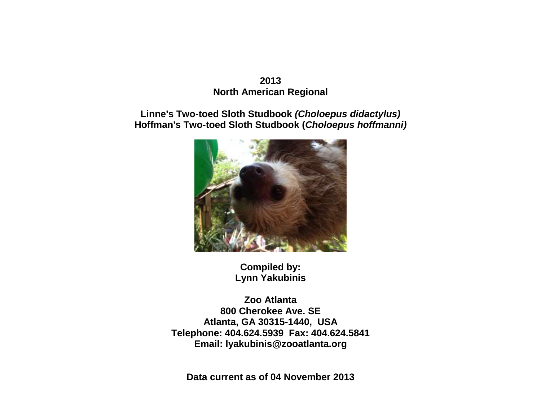## **2013 North American Regional**

# **Linne's Two-toed Sloth Studbook** *(Choloepus didactylus)* **Hoffman's Two-toed Sloth Studbook (***Choloepus hoffmanni)*



**Compiled by: Lynn Yakubinis**

**Zoo Atlanta 800 Cherokee Ave. SE Atlanta, GA 30315-1440, USA Telephone: 404.624.5939 Fax: 404.624.5841 Email: lyakubinis@zooatlanta.org**

**Data current as of 04 November 2013**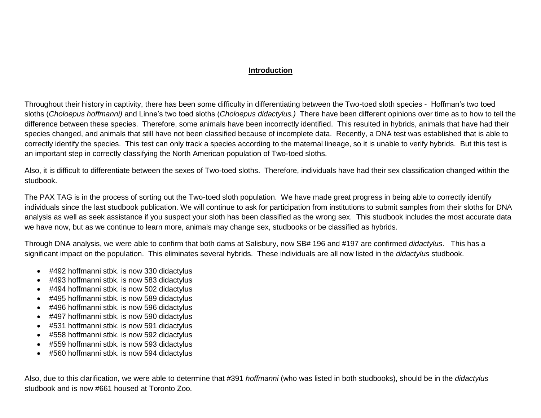### **Introduction**

Throughout their history in captivity, there has been some difficulty in differentiating between the Two-toed sloth species - Hoffman's two toed sloths (*Choloepus hoffmanni)* and Linne's two toed sloths (*Choloepus didactylus.)* There have been different opinions over time as to how to tell the difference between these species. Therefore, some animals have been incorrectly identified. This resulted in hybrids, animals that have had their species changed, and animals that still have not been classified because of incomplete data. Recently, a DNA test was established that is able to correctly identify the species. This test can only track a species according to the maternal lineage, so it is unable to verify hybrids. But this test is an important step in correctly classifying the North American population of Two-toed sloths.

Also, it is difficult to differentiate between the sexes of Two-toed sloths. Therefore, individuals have had their sex classification changed within the studbook.

The PAX TAG is in the process of sorting out the Two-toed sloth population. We have made great progress in being able to correctly identify individuals since the last studbook publication. We will continue to ask for participation from institutions to submit samples from their sloths for DNA analysis as well as seek assistance if you suspect your sloth has been classified as the wrong sex. This studbook includes the most accurate data we have now, but as we continue to learn more, animals may change sex, studbooks or be classified as hybrids.

Through DNA analysis, we were able to confirm that both dams at Salisbury, now SB# 196 and #197 are confirmed *didactylus*. This has a significant impact on the population. This eliminates several hybrids. These individuals are all now listed in the *didactylus* studbook.

- #492 hoffmanni stbk. is now 330 didactylus
- #493 hoffmanni stbk. is now 583 didactylus
- #494 hoffmanni stbk. is now 502 didactylus
- #495 hoffmanni stbk. is now 589 didactylus
- #496 hoffmanni stbk. is now 596 didactylus
- #497 hoffmanni stbk. is now 590 didactylus
- #531 hoffmanni stbk. is now 591 didactylus
- #558 hoffmanni stbk. is now 592 didactylus
- #559 hoffmanni stbk. is now 593 didactylus
- #560 hoffmanni stbk. is now 594 didactylus

Also, due to this clarification, we were able to determine that #391 *hoffmanni* (who was listed in both studbooks), should be in the *didactylus* studbook and is now #661 housed at Toronto Zoo.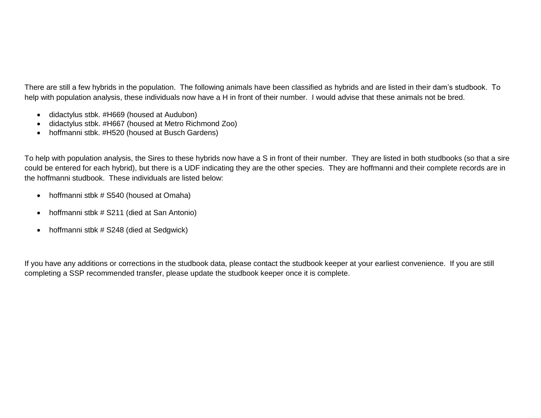There are still a few hybrids in the population. The following animals have been classified as hybrids and are listed in their dam's studbook. To help with population analysis, these individuals now have a H in front of their number. I would advise that these animals not be bred.

- didactylus stbk. #H669 (housed at Audubon)
- didactylus stbk. #H667 (housed at Metro Richmond Zoo)
- hoffmanni stbk. #H520 (housed at Busch Gardens)

To help with population analysis, the Sires to these hybrids now have a S in front of their number. They are listed in both studbooks (so that a sire could be entered for each hybrid), but there is a UDF indicating they are the other species. They are hoffmanni and their complete records are in the hoffmanni studbook. These individuals are listed below:

- hoffmanni stbk # S540 (housed at Omaha)
- hoffmanni stbk # S211 (died at San Antonio)
- hoffmanni stbk # S248 (died at Sedgwick)

If you have any additions or corrections in the studbook data, please contact the studbook keeper at your earliest convenience. If you are still completing a SSP recommended transfer, please update the studbook keeper once it is complete.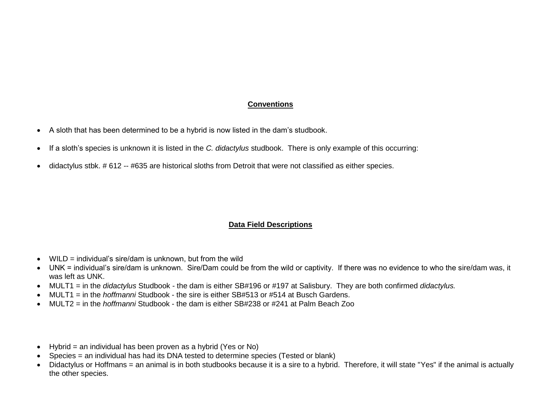### **Conventions**

- A sloth that has been determined to be a hybrid is now listed in the dam's studbook.
- If a sloth's species is unknown it is listed in the *C. didactylus* studbook. There is only example of this occurring:
- didactylus stbk. # 612 -- #635 are historical sloths from Detroit that were not classified as either species.

### **Data Field Descriptions**

- $\bullet$  WILD = individual's sire/dam is unknown, but from the wild
- UNK = individual's sire/dam is unknown. Sire/Dam could be from the wild or captivity. If there was no evidence to who the sire/dam was, it was left as UNK.
- MULT1 = in the *didactylus* Studbook the dam is either SB#196 or #197 at Salisbury. They are both confirmed *didactylus.*
- MULT1 = in the *hoffmanni* Studbook the sire is either SB#513 or #514 at Busch Gardens.
- MULT2 = in the *hoffmanni* Studbook the dam is either SB#238 or #241 at Palm Beach Zoo
- Hybrid = an individual has been proven as a hybrid (Yes or No)
- Species = an individual has had its DNA tested to determine species (Tested or blank)
- Didactylus or Hoffmans = an animal is in both studbooks because it is a sire to a hybrid. Therefore, it will state "Yes" if the animal is actually the other species.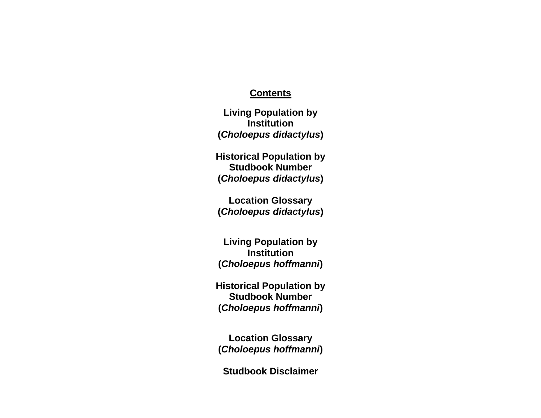## **Contents**

**Living Population by Institution (***Choloepus didactylus***)**

**Historical Population by Studbook Number (***Choloepus didactylus***)**

**Location Glossary (***Choloepus didactylus***)**

**Living Population by Institution (***Choloepus hoffmanni***)**

**Historical Population by Studbook Number (***Choloepus hoffmanni***)**

**Location Glossary (***Choloepus hoffmanni***)**

**Studbook Disclaimer**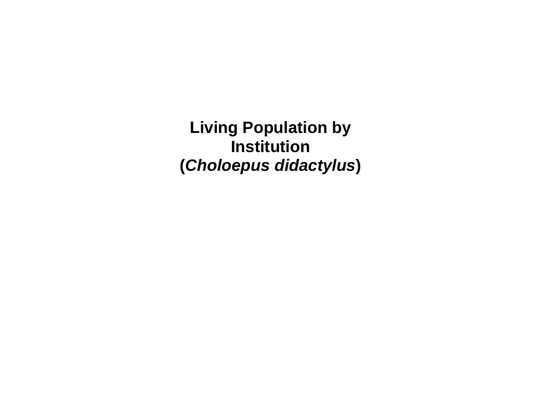**Living Population by Institution (***Choloepus didactylus***)**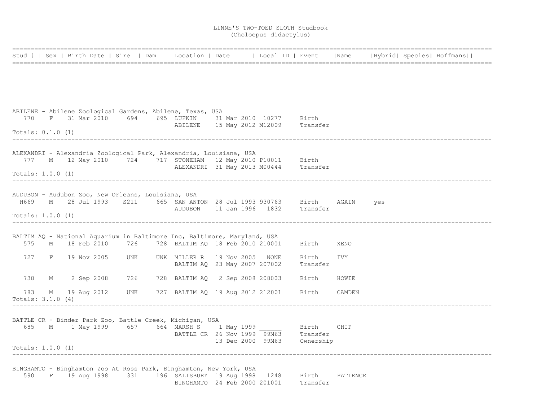|                            |   |                                                    |     | Stud #   Sex   Birth Date   Sire   Dam   Location   Date   Local ID   Event                                     |  |                                                                     |                   | Name     |     | Hybrid  Species  Hoffmans |
|----------------------------|---|----------------------------------------------------|-----|-----------------------------------------------------------------------------------------------------------------|--|---------------------------------------------------------------------|-------------------|----------|-----|---------------------------|
|                            |   |                                                    |     |                                                                                                                 |  |                                                                     |                   |          |     |                           |
|                            |   |                                                    |     |                                                                                                                 |  |                                                                     |                   |          |     |                           |
|                            |   |                                                    |     |                                                                                                                 |  |                                                                     |                   |          |     |                           |
|                            |   |                                                    |     | ABILENE - Abilene Zoological Gardens, Abilene, Texas, USA<br>770 F 31 Mar 2010 694 695 LUFKIN 31 Mar 2010 10277 |  |                                                                     | Birth             |          |     |                           |
| Totals: 0.1.0 (1)          |   |                                                    |     |                                                                                                                 |  | ABILENE 15 May 2012 M12009 Transfer                                 |                   |          |     |                           |
|                            |   |                                                    |     | ALEXANDRI - Alexandria Zoological Park, Alexandria, Louisiana, USA                                              |  |                                                                     |                   |          |     |                           |
|                            |   |                                                    |     | 777 M 12 May 2010 724 717 STONEHAM 12 May 2010 P10011 Birth<br>ALEXANDRI 31 May 2013 M00444 Transfer            |  |                                                                     |                   |          |     |                           |
| Totals: 1.0.0 (1)          |   |                                                    |     |                                                                                                                 |  |                                                                     |                   |          |     |                           |
|                            |   | AUDUBON - Audubon Zoo, New Orleans, Louisiana, USA |     |                                                                                                                 |  |                                                                     |                   |          |     |                           |
|                            |   |                                                    |     | H669 M 28 Jul 1993 S211 665 SAN ANTON 28 Jul 1993 930763 Birth AGAIN<br>AUDUBON 11 Jan 1996 1832 Transfer       |  |                                                                     |                   |          | yes |                           |
| Totals: 1.0.0 (1)          |   |                                                    |     |                                                                                                                 |  |                                                                     |                   |          |     |                           |
|                            |   |                                                    |     | BALTIM AQ - National Aquarium in Baltimore Inc, Baltimore, Maryland, USA                                        |  |                                                                     |                   |          |     |                           |
|                            |   | 575 M 18 Feb 2010 726                              |     | 728 BALTIM AQ 18 Feb 2010 210001                                                                                |  |                                                                     | Birth             | XENO     |     |                           |
|                            |   | 727 F 19 Nov 2005                                  | UNK | UNK MILLER R 19 Nov 2005 NONE<br>BALTIM AQ 23 May 2007 207002                                                   |  |                                                                     | Birth<br>Transfer | IVY      |     |                           |
|                            |   |                                                    |     |                                                                                                                 |  |                                                                     |                   |          |     |                           |
| 738                        | М | 2 Sep 2008                                         | 726 | 728 BALTIM AQ 2 Sep 2008 208003                                                                                 |  |                                                                     | Birth             | HOWIE    |     |                           |
| 783<br>Totals: $3.1.0$ (4) | М | 19 Aug 2012                                        | UNK | 727 BALTIM AQ 19 Aug 2012 212001 Birth                                                                          |  |                                                                     |                   | CAMDEN   |     |                           |
|                            |   |                                                    |     | BATTLE CR - Binder Park Zoo, Battle Creek, Michigan, USA                                                        |  |                                                                     |                   |          |     |                           |
|                            |   |                                                    |     | 685 M 1 May 1999 657 664 MARSH S 1 May 1999                                                                     |  |                                                                     | Birth             | CHIP     |     |                           |
|                            |   |                                                    |     |                                                                                                                 |  | BATTLE CR 26 Nov 1999 99M63 Transfer<br>13 Dec 2000 99M63 Ownership |                   |          |     |                           |
| Totals: 1.0.0 (1)          |   | -----------------------------                      |     |                                                                                                                 |  |                                                                     |                   |          |     |                           |
|                            |   |                                                    |     | BINGHAMTO - Binghamton Zoo At Ross Park, Binghamton, New York, USA                                              |  |                                                                     |                   |          |     |                           |
|                            |   |                                                    |     | 590 F 19 Aug 1998 331 196 SALISBURY 19 Aug 1998 1248 Birth                                                      |  | BINGHAMTO 24 Feb 2000 201001 Transfer                               |                   | PATIENCE |     |                           |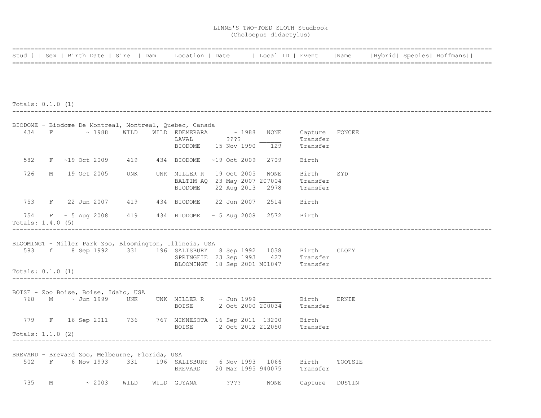|  |  | Stud #   Sex   Birth Date   Sire   Dam   Location   Date   Local ID   Event   Name   Hybrid   Species   Hoffmans |  |  |
|--|--|------------------------------------------------------------------------------------------------------------------|--|--|
|  |  |                                                                                                                  |  |  |

#### Totals: 0.1.0 (1) ----------------------------------------------------------------------------------------------------------------------------------

|                     |                                                |      | BIODOME - Biodome De Montreal, Montreal, Quebec, Canada     |             |                          |                                                                     |         |
|---------------------|------------------------------------------------|------|-------------------------------------------------------------|-------------|--------------------------|---------------------------------------------------------------------|---------|
|                     | 434 F ~ 1988                                   | WILD | WILD EDEMERARA $\sim$ 1988<br>LAVAL                         | 222         | <b>NONE</b>              | Capture FONCEE<br>Transfer                                          |         |
|                     |                                                |      | BIODOME 15 Nov 1990 129                                     |             |                          | Transfer                                                            |         |
|                     |                                                |      | 582 F ~19 Oct 2009 419 434 BIODOME ~19 Oct 2009             |             | 2709                     | Birth                                                               |         |
| 726                 | M 19 Oct 2005                                  | UNK  | UNK MILLER R<br>BALTIM AQ 23 May 2007 207004<br>BIODOME     | 19 Oct 2005 | NONE<br>22 Aug 2013 2978 | Birth<br>Transfer<br>Transfer                                       | SYD     |
|                     |                                                |      | 753 F 22 Jun 2007 419 434 BIODOME 22 Jun 2007               |             | 2514                     | Birth                                                               |         |
| Totals: $1.4.0$ (5) |                                                |      | 754 F ~ 5 Aug 2008 419 434 BIODOME ~ 5 Aug 2008 2572 Birth  |             |                          |                                                                     |         |
|                     |                                                |      |                                                             |             |                          |                                                                     |         |
|                     |                                                |      | BLOOMINGT - Miller Park Zoo, Bloomington, Illinois, USA     |             |                          |                                                                     |         |
|                     |                                                |      |                                                             |             |                          | 583 f 8 Sep 1992 331 196 SALISBURY 8 Sep 1992 1038 Birth CLOEY      |         |
|                     |                                                |      |                                                             |             |                          | SPRINGFIE 23 Sep 1993 427 Transfer                                  |         |
| Totals: $0.1.0$ (1) |                                                |      |                                                             |             |                          | BLOOMINGT 18 Sep 2001 M01047 Transfer                               |         |
|                     |                                                |      |                                                             |             |                          |                                                                     |         |
|                     | BOISE - Zoo Boise, Boise, Idaho, USA           |      |                                                             |             |                          | $768$ M $\sim$ Jun 1999 UNK UNK MILLER R $\sim$ Jun 1999 $\,$ Birth | ERNIE   |
|                     |                                                |      |                                                             |             |                          | BOISE 2 Oct 2000 200034 Transfer                                    |         |
|                     |                                                |      |                                                             |             |                          |                                                                     |         |
|                     |                                                |      | 779 F 16 Sep 2011 736 767 MINNESOTA 16 Sep 2011 13200 Birth |             |                          |                                                                     |         |
|                     |                                                |      |                                                             |             |                          | BOISE 2 Oct 2012 212050 Transfer                                    |         |
| Totals: $1.1.0$ (2) |                                                |      |                                                             |             |                          |                                                                     |         |
|                     | BREVARD - Brevard Zoo, Melbourne, Florida, USA |      |                                                             |             |                          |                                                                     |         |
|                     |                                                |      | 502 F 6 Nov 1993 331 196 SALISBURY 6 Nov 1993 1066 Birth    |             |                          |                                                                     | TOOTSIE |
|                     |                                                |      |                                                             |             |                          | BREVARD 20 Mar 1995 940075 Transfer                                 |         |
| 735                 | $M \sim 2003$                                  | WILD | WILD GUYANA                                                 | ????        | NONE                     | Capture DUSTIN                                                      |         |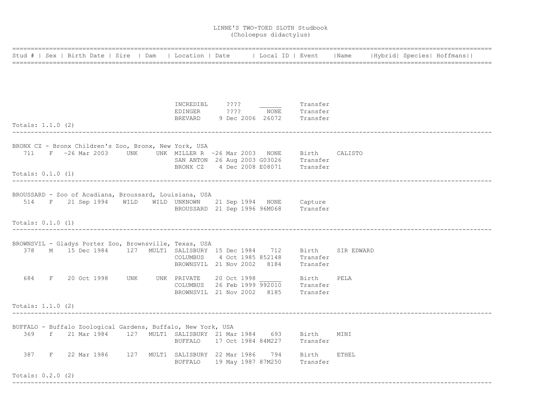|                     |  |  |                                                                                                                                           |  |                                                                              |           |              |  | Stud #   Sex   Birth Date   Sire   Dam   Location   Date   Local ID   Event   Name   Hybrid  Species  Hoffmans |
|---------------------|--|--|-------------------------------------------------------------------------------------------------------------------------------------------|--|------------------------------------------------------------------------------|-----------|--------------|--|----------------------------------------------------------------------------------------------------------------|
|                     |  |  |                                                                                                                                           |  |                                                                              |           |              |  |                                                                                                                |
|                     |  |  |                                                                                                                                           |  |                                                                              |           |              |  |                                                                                                                |
|                     |  |  | INCREDIBL ????                                                                                                                            |  | Transfer                                                                     |           |              |  |                                                                                                                |
|                     |  |  |                                                                                                                                           |  | EDINGER 7??? NONE Transfer<br>BREVARD 9 Dec 2006 26072 Transfer              |           |              |  |                                                                                                                |
| Totals: $1.1.0$ (2) |  |  |                                                                                                                                           |  |                                                                              |           |              |  |                                                                                                                |
|                     |  |  | BRONX CZ - Bronx Children's Zoo, Bronx, New York, USA                                                                                     |  |                                                                              |           |              |  |                                                                                                                |
|                     |  |  | 711 F ~26 Mar 2003 UNK UNK MILLER R ~26 Mar 2003 NONE Birth CALISTO                                                                       |  |                                                                              |           |              |  |                                                                                                                |
|                     |  |  |                                                                                                                                           |  | SAN ANTON 26 Aug 2003 G03026 Transfer<br>BRONX CZ 4 Dec 2008 E08071 Transfer |           |              |  |                                                                                                                |
| Totals: $0.1.0$ (1) |  |  | ------------------------------------                                                                                                      |  |                                                                              |           |              |  |                                                                                                                |
|                     |  |  |                                                                                                                                           |  |                                                                              |           |              |  |                                                                                                                |
|                     |  |  | BROUSSARD - Zoo of Acadiana, Broussard, Louisiana, USA<br>514 F 21 Sep 1994 WILD WILD UNKNOWN                                             |  | 21 Sep 1994 NONE Capture                                                     |           |              |  |                                                                                                                |
|                     |  |  |                                                                                                                                           |  | BROUSSARD 21 Sep 1996 96M068 Transfer                                        |           |              |  |                                                                                                                |
| Totals: $0.1.0$ (1) |  |  |                                                                                                                                           |  |                                                                              |           |              |  |                                                                                                                |
|                     |  |  |                                                                                                                                           |  |                                                                              |           |              |  |                                                                                                                |
|                     |  |  | BROWNSVIL - Gladys Porter Zoo, Brownsville, Texas, USA                                                                                    |  |                                                                              |           | SIR EDWARD   |  |                                                                                                                |
|                     |  |  | 378 M 15 Dec 1984 127 MULT1 SALISBURY 15 Dec 1984 712 Birth<br>COLUMBUS 4 Oct 1985 852148 Transfer                                        |  |                                                                              |           |              |  |                                                                                                                |
|                     |  |  |                                                                                                                                           |  | BROWNSVIL 21 Nov 2002 8184 Transfer                                          |           |              |  |                                                                                                                |
|                     |  |  |                                                                                                                                           |  |                                                                              |           | PELA         |  |                                                                                                                |
|                     |  |  | 684 F 20 Oct 1998 UNK UNK PRIVATE 20 Oct 1998 ______ Birth<br>COLUMBUS 26 Feb 1999 992010 Transfer<br>BROWNSVIL 21 Nov 2002 8185 Transfer |  |                                                                              |           |              |  |                                                                                                                |
|                     |  |  |                                                                                                                                           |  |                                                                              |           |              |  |                                                                                                                |
| Totals: $1.1.0$ (2) |  |  |                                                                                                                                           |  |                                                                              |           |              |  |                                                                                                                |
|                     |  |  |                                                                                                                                           |  |                                                                              |           |              |  |                                                                                                                |
|                     |  |  | BUFFALO - Buffalo Zoological Gardens, Buffalo, New York, USA<br>369 f 21 Mar 1984 127 MULT1 SALISBURY 21 Mar 1984 693 Birth               |  |                                                                              |           | MINI         |  |                                                                                                                |
|                     |  |  | BUFFALO                                                                                                                                   |  | 17 Oct 1984 84M227 Transfer                                                  |           |              |  |                                                                                                                |
|                     |  |  | 387 F 22 Mar 1986 127 MULT1 SALISBURY 22 Mar 1986                                                                                         |  |                                                                              | 794 Birth | <b>ETHEL</b> |  |                                                                                                                |
|                     |  |  |                                                                                                                                           |  | BUFFALO 19 May 1987 87M250 Transfer                                          |           |              |  |                                                                                                                |
| Totals: $0.2.0$ (2) |  |  |                                                                                                                                           |  |                                                                              |           |              |  |                                                                                                                |

----------------------------------------------------------------------------------------------------------------------------------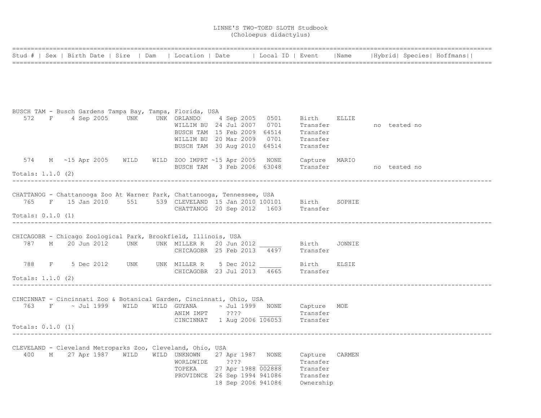|                     |  |  |                                                                                                                                                                                                                                        |  |                                                                                                                                                                                      |                                           |                                  |  | Stud #   Sex   Birth Date   Sire   Dam   Location   Date   Local ID   Event   Name   Hybrid   Species   Hoffmans |
|---------------------|--|--|----------------------------------------------------------------------------------------------------------------------------------------------------------------------------------------------------------------------------------------|--|--------------------------------------------------------------------------------------------------------------------------------------------------------------------------------------|-------------------------------------------|----------------------------------|--|------------------------------------------------------------------------------------------------------------------|
|                     |  |  |                                                                                                                                                                                                                                        |  |                                                                                                                                                                                      |                                           |                                  |  |                                                                                                                  |
|                     |  |  | BUSCH TAM - Busch Gardens Tampa Bay, Tampa, Florida, USA<br>572 F 4 Sep 2005 UNK UNK ORLANDO 4 Sep 2005 0501<br>WILLIM BU 24 Jul 2007 0701<br>BUSCH TAM 15 Feb 2009 64514<br>WILLIM BU 20 Mar 2009 0701<br>BUSCH TAM 30 Aug 2010 64514 |  |                                                                                                                                                                                      | Birth<br>Transfer<br>Transfer<br>Transfer | ELLIE<br>Transfer - no tested no |  |                                                                                                                  |
| Totals: $1.1.0$ (2) |  |  | 574 M ~15 Apr 2005 WILD WILD ZOO IMPRT ~15 Apr 2005 NONE                                                                                                                                                                               |  | BUSCH TAM 3 Feb 2006 63048 Transfer 5 no tested no                                                                                                                                   | Capture MARIO                             |                                  |  |                                                                                                                  |
| Totals: $0.1.0$ (1) |  |  | CHATTANOG - Chattanooga Zoo At Warner Park, Chattanooga, Tennessee, USA                                                                                                                                                                |  | 765 F 15 Jan 2010 551 539 CLEVELAND 15 Jan 2010 100101 Birth SOPHIE<br>CHATTANOG 20 Sep 2012 1603 Transfer                                                                           |                                           |                                  |  |                                                                                                                  |
|                     |  |  | CHICAGOBR - Chicago Zoological Park, Brookfield, Illinois, USA                                                                                                                                                                         |  | 787 M 20 Jun 2012 UNK UNK MILLER R 20 Jun 2012 Birth<br>CHICAGOBR 25 Feb 2013 4497 Transfer                                                                                          |                                           | JONNIE                           |  |                                                                                                                  |
| Totals: $1.1.0$ (2) |  |  |                                                                                                                                                                                                                                        |  | 788 F 5 Dec 2012 UNK UNK MILLER R 5 Dec 2012 Birth<br>CHICAGOBR 23 Jul 2013 4665 Transfer                                                                                            |                                           | <b>ELSIE</b>                     |  |                                                                                                                  |
| Totals: $0.1.0$ (1) |  |  | CINCINNAT - Cincinnati Zoo & Botanical Garden, Cincinnati, Ohio, USA<br>ANIM IMPT ????                                                                                                                                                 |  | 763 F $\sim$ Jul 1999 WILD WILD GUYANA $\sim$ Jul 1999 NONE Capture MOE<br>CINCINNAT $1$ Aug 2006 $\overline{106053}$ Transfer                                                       | Transfer                                  |                                  |  |                                                                                                                  |
|                     |  |  | CLEVELAND - Cleveland Metroparks Zoo, Cleveland, Ohio, USA<br>WORLDWIDE ????                                                                                                                                                           |  | 400 M 27 Apr 1987 WILD WILD UNKNOWN 27 Apr 1987 NONE Capture CARMEN<br>Transfer<br>TOPEKA 27 Apr 1988 002888 Transfer<br>PROVIDNCE 26 Sep 1994 941086 Transfer<br>18 Sep 2006 941086 | Transfer<br>Ownership                     |                                  |  |                                                                                                                  |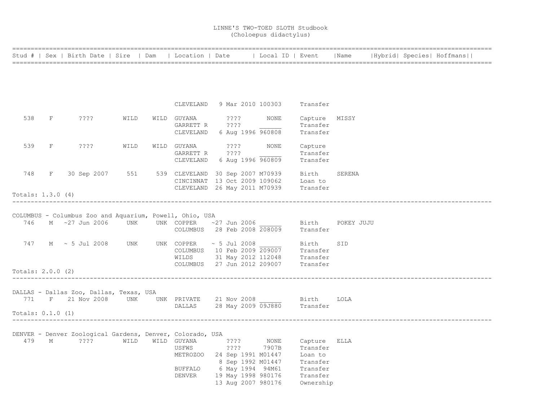|                     |              | Stud #   Sex   Birth Date   Sire   Dam   Location   Date     Local ID   Event   Name   Hybrid  Species  Hoffmans |      |                              |                              |                                                                           |                          |                  |  |  |
|---------------------|--------------|------------------------------------------------------------------------------------------------------------------|------|------------------------------|------------------------------|---------------------------------------------------------------------------|--------------------------|------------------|--|--|
|                     |              |                                                                                                                  |      |                              |                              |                                                                           |                          |                  |  |  |
|                     |              |                                                                                                                  |      |                              |                              |                                                                           |                          |                  |  |  |
|                     |              |                                                                                                                  |      |                              |                              |                                                                           |                          |                  |  |  |
|                     |              |                                                                                                                  |      |                              |                              |                                                                           |                          |                  |  |  |
|                     |              |                                                                                                                  |      |                              |                              | CLEVELAND 9 Mar 2010 100303 Transfer                                      |                          |                  |  |  |
| 538                 | $_{\rm F}$   | ????                                                                                                             | WILD | WILD GUYANA                  | 2222                         | NONE                                                                      | Capture MISSY            |                  |  |  |
|                     |              |                                                                                                                  |      | GARRETT R ????               |                              |                                                                           | Transfer                 |                  |  |  |
|                     |              |                                                                                                                  |      |                              | CLEVELAND 6 Aug 1996 960808  |                                                                           | Transfer                 |                  |  |  |
| 539                 | $_{\rm F}$   | $??\mathrel{?}?$                                                                                                 | WILD | WILD GUYANA ????             |                              | NONE                                                                      | Capture                  |                  |  |  |
|                     |              |                                                                                                                  |      | GARRETT R                    | $??\,?\,?$                   |                                                                           | Transfer                 |                  |  |  |
|                     |              |                                                                                                                  |      |                              |                              | CLEVELAND 6 Aug 1996 960809                                               | Transfer                 |                  |  |  |
| 748                 | $\mathbf{F}$ | 30 Sep 2007 551 539 CLEVELAND 30 Sep 2007 M70939 Birth                                                           |      |                              |                              |                                                                           |                          | SERENA           |  |  |
|                     |              |                                                                                                                  |      |                              |                              | CINCINNAT 13 Oct 2009 109062 Loan to                                      |                          |                  |  |  |
|                     |              |                                                                                                                  |      |                              | CLEVELAND 26 May 2011 M70939 |                                                                           | Transfer                 |                  |  |  |
| Totals: $1.3.0$ (4) |              |                                                                                                                  |      |                              |                              |                                                                           |                          |                  |  |  |
|                     |              |                                                                                                                  |      |                              |                              |                                                                           |                          |                  |  |  |
|                     |              | COLUMBUS - Columbus Zoo and Aquarium, Powell, Ohio, USA                                                          |      |                              |                              |                                                                           |                          |                  |  |  |
|                     |              | 746 M ~27 Jun 2006 UNK                                                                                           |      | UNK COPPER                   | ~27 Jun 2006                 |                                                                           |                          | Birth POKEY JUJU |  |  |
|                     |              |                                                                                                                  |      |                              |                              | COLUMBUS 28 Feb 2008 208009                                               | Transfer                 |                  |  |  |
|                     |              | 747 M ~ 5 Jul 2008 UNK                                                                                           |      | UNK COPPER $\sim$ 5 Jul 2008 |                              |                                                                           | Birth                    | SID              |  |  |
|                     |              |                                                                                                                  |      |                              |                              |                                                                           |                          |                  |  |  |
|                     |              |                                                                                                                  |      |                              |                              | COLUMBUS 10 Feb 2009 209007 Transfer<br>WILDS 31 May 2012 112048 Transfer |                          |                  |  |  |
|                     |              |                                                                                                                  |      |                              |                              | COLUMBUS 27 Jun 2012 209007 Transfer                                      |                          |                  |  |  |
| Totals: 2.0.0 (2)   |              |                                                                                                                  |      |                              |                              |                                                                           |                          |                  |  |  |
|                     |              |                                                                                                                  |      |                              |                              |                                                                           |                          |                  |  |  |
|                     |              | DALLAS - Dallas Zoo, Dallas, Texas, USA                                                                          |      |                              |                              |                                                                           |                          |                  |  |  |
|                     |              | 771 F 21 Nov 2008 UNK UNK PRIVATE 21 Nov 2008 Sirth LOLA                                                         |      |                              |                              |                                                                           |                          |                  |  |  |
|                     |              |                                                                                                                  |      |                              |                              | DALLAS 28 May 2009 09J880 Transfer                                        |                          |                  |  |  |
| Totals: $0.1.0$ (1) |              |                                                                                                                  |      |                              |                              |                                                                           |                          |                  |  |  |
|                     |              |                                                                                                                  |      |                              |                              |                                                                           |                          |                  |  |  |
|                     |              | DENVER - Denver Zoological Gardens, Denver, Colorado, USA<br>479 M ???? WILD                                     |      | WILD GUYANA                  | $? ? ? ?$ NONE               |                                                                           |                          |                  |  |  |
|                     |              |                                                                                                                  |      | USFWS                        | ????                         | 7907B                                                                     | Capture ELLA<br>Transfer |                  |  |  |
|                     |              |                                                                                                                  |      |                              |                              | METROZOO 24 Sep 1991 M01447 Loan to                                       |                          |                  |  |  |
|                     |              |                                                                                                                  |      |                              | 8 Sep 1992 M01447            |                                                                           | Transfer                 |                  |  |  |
|                     |              |                                                                                                                  |      |                              | BUFFALO 6 May 1994 94M61     |                                                                           | Transfer                 |                  |  |  |
|                     |              |                                                                                                                  |      | DENVER                       | 19 May 1998 980176           |                                                                           | Transfer                 |                  |  |  |
|                     |              |                                                                                                                  |      |                              | 13 Aug 2007 980176           |                                                                           | Ownership                |                  |  |  |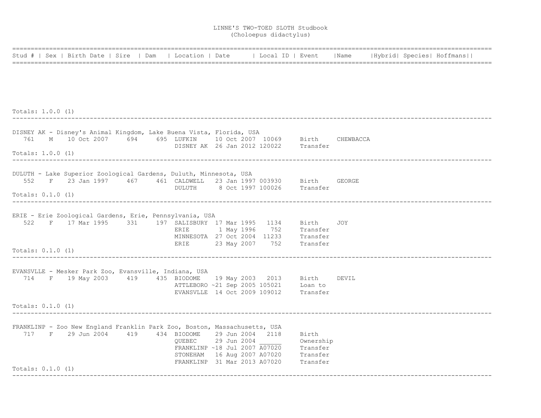|                     | Stud #   Sex   Birth Date   Sire   Dam   Location   Date   Local ID   Event   Name   Hybrid   Species   Hoffmans                                                                   |  |        |  |                                                                                                                               |                                |  |  |
|---------------------|------------------------------------------------------------------------------------------------------------------------------------------------------------------------------------|--|--------|--|-------------------------------------------------------------------------------------------------------------------------------|--------------------------------|--|--|
|                     |                                                                                                                                                                                    |  |        |  |                                                                                                                               |                                |  |  |
|                     |                                                                                                                                                                                    |  |        |  |                                                                                                                               |                                |  |  |
| Totals: $1.0.0$ (1) | _______________________________                                                                                                                                                    |  |        |  |                                                                                                                               |                                |  |  |
|                     | DISNEY AK - Disney's Animal Kingdom, Lake Buena Vista, Florida, USA<br>761 M 10 Oct 2007 694 695 LUFKIN 10 Oct 2007 10069 Birth CHEWBACCA<br>DISNEY AK 26 Jan 2012 120022 Transfer |  |        |  |                                                                                                                               |                                |  |  |
| Totals: $1.0.0$ (1) |                                                                                                                                                                                    |  |        |  |                                                                                                                               |                                |  |  |
|                     | DULUTH - Lake Superior Zoological Gardens, Duluth, Minnesota, USA<br>552 F 23 Jan 1997 467 461 CALDWELL 23 Jan 1997 003930 Birth GEORGE                                            |  |        |  | DULUTH 8 Oct 1997 100026 Transfer                                                                                             |                                |  |  |
| Totals: $0.1.0$ (1) |                                                                                                                                                                                    |  |        |  |                                                                                                                               |                                |  |  |
|                     | ERIE - Erie Zoological Gardens, Erie, Pennsylvania, USA<br>522 F 17 Mar 1995 331 197 SALISBURY 17 Mar 1995 1134 Birth JOY                                                          |  |        |  | ERIE 1 May 1996 752 Transfer<br>MINNESOTA 27 Oct 2004 11233 Transfer<br>ERIE 23 May 2007 752 Transfer                         |                                |  |  |
| Totals: $0.1.0$ (1) |                                                                                                                                                                                    |  |        |  |                                                                                                                               |                                |  |  |
|                     | EVANSVLLE - Mesker Park Zoo, Evansville, Indiana, USA<br>714 F 19 May 2003 419 435 BIODOME 19 May 2003 2013 Birth DEVIL                                                            |  |        |  | ATTLEBORO ~21 Sep 2005 105021 Loan to<br>EVANSVLLE 14 Oct 2009 109012 Transfer                                                |                                |  |  |
| Totals: $0.1.0$ (1) |                                                                                                                                                                                    |  |        |  |                                                                                                                               |                                |  |  |
|                     | FRANKLINP - Zoo New England Franklin Park Zoo, Boston, Massachusetts, USA                                                                                                          |  |        |  |                                                                                                                               |                                |  |  |
|                     | 717 F 29 Jun 2004 419 434 BIODOME 29 Jun 2004 2118                                                                                                                                 |  | QUEBEC |  | 29 Jun 2004<br>FRANKLINP ~18 Jul 2007 A07020<br>STONEHAM 16 Aug 2007 A07020 Transfer<br>FRANKLINP 31 Mar 2013 A07020 Transfer | Birth<br>Ownership<br>Transfer |  |  |
| Totals: $0.1.0$ (1) |                                                                                                                                                                                    |  |        |  |                                                                                                                               |                                |  |  |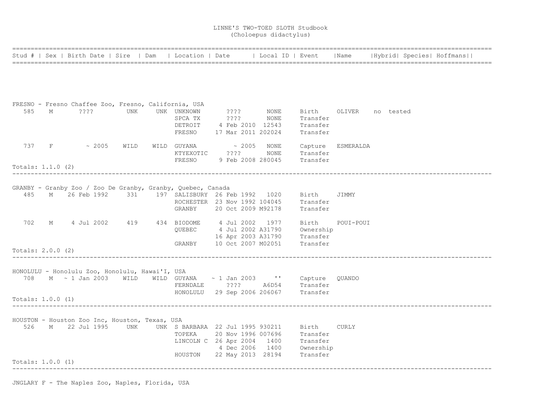|                     |   | Stud #   Sex   Birth Date   Sire   Dam          |     | Location   Date                                                                                                                 |  | Local ID   Event |                                                                           | Name                   |  | Hybrid  Species  Hoffmans |
|---------------------|---|-------------------------------------------------|-----|---------------------------------------------------------------------------------------------------------------------------------|--|------------------|---------------------------------------------------------------------------|------------------------|--|---------------------------|
|                     |   |                                                 |     |                                                                                                                                 |  |                  |                                                                           |                        |  |                           |
|                     |   |                                                 |     |                                                                                                                                 |  |                  |                                                                           |                        |  |                           |
|                     |   |                                                 |     | FRESNO - Fresno Chaffee Zoo, Fresno, California, USA                                                                            |  |                  |                                                                           |                        |  |                           |
| 585                 | M | 2222                                            | UNK | UNK UNKNOWN ???? NONE<br>SPCA TX ???? NONE                                                                                      |  |                  | Transfer                                                                  | Birth OLIVER no tested |  |                           |
|                     |   |                                                 |     |                                                                                                                                 |  |                  | DETROIT 4 Feb 2010 12543 Transfer                                         |                        |  |                           |
|                     |   |                                                 |     |                                                                                                                                 |  |                  | FRESNO 17 Mar 2011 202024 Transfer                                        |                        |  |                           |
|                     |   |                                                 |     | 737 F ~ 2005 WILD WILD GUYANA ~ 2005 NONE Capture ESMERALDA                                                                     |  |                  |                                                                           |                        |  |                           |
|                     |   |                                                 |     | KTYEXOTIC ????                                                                                                                  |  | NONE             | Transfer<br>FRESNO 9 Feb 2008 280045 Transfer                             |                        |  |                           |
| Totals: $1.1.0$ (2) |   |                                                 |     |                                                                                                                                 |  |                  |                                                                           |                        |  |                           |
|                     |   |                                                 |     |                                                                                                                                 |  |                  |                                                                           |                        |  |                           |
|                     |   |                                                 |     | GRANBY - Granby Zoo / Zoo De Granby, Granby, Quebec, Canada<br>485 M 26 Feb 1992 331 197 SALISBURY 26 Feb 1992 1020 Birth JIMMY |  |                  |                                                                           |                        |  |                           |
|                     |   |                                                 |     |                                                                                                                                 |  |                  | ROCHESTER 23 Nov 1992 104045 Transfer                                     |                        |  |                           |
|                     |   |                                                 |     |                                                                                                                                 |  |                  | GRANBY 20 Oct 2009 M92178 Transfer                                        |                        |  |                           |
|                     |   |                                                 |     | 702 M 4 Jul 2002 419 434 BIODOME 4 Jul 2002 1977 Birth                                                                          |  |                  |                                                                           | POUI-POUI              |  |                           |
|                     |   |                                                 |     |                                                                                                                                 |  |                  | QUEBEC 4 Jul 2002 A31790 Ownership                                        |                        |  |                           |
|                     |   |                                                 |     |                                                                                                                                 |  |                  | 16 Apr 2003 A31790 Transfer<br>GRANBY 10 Oct 2007 M02051 Transfer         |                        |  |                           |
| Totals: 2.0.0 (2)   |   |                                                 |     |                                                                                                                                 |  |                  |                                                                           |                        |  |                           |
|                     |   | HONOLULU - Honolulu Zoo, Honolulu, Hawai'I, USA |     |                                                                                                                                 |  |                  |                                                                           |                        |  |                           |
|                     |   |                                                 |     | 708 M ~ 1 Jan 2003 WILD WILD GUYANA ~ 1 Jan 2003 '' Capture QUANDO                                                              |  |                  |                                                                           |                        |  |                           |
|                     |   |                                                 |     |                                                                                                                                 |  |                  |                                                                           |                        |  |                           |
| Totals: $1.0.0$ (1) |   |                                                 |     |                                                                                                                                 |  |                  |                                                                           |                        |  |                           |
|                     |   |                                                 |     |                                                                                                                                 |  |                  |                                                                           |                        |  |                           |
|                     |   | HOUSTON - Houston Zoo Inc, Houston, Texas, USA  |     | 526 M 22 Jul 1995 UNK UNK S BARBARA 22 Jul 1995 930211 Birth CURLY                                                              |  |                  |                                                                           |                        |  |                           |
|                     |   |                                                 |     |                                                                                                                                 |  |                  | TOPEKA 20 Nov 1996 007696 Transfer<br>LINCOLN C 26 Apr 2004 1400 Transfer |                        |  |                           |
|                     |   |                                                 |     |                                                                                                                                 |  |                  | 4 Dec 2006 1400 Ownership                                                 |                        |  |                           |
|                     |   |                                                 |     | HOUSTON 22 May 2013 28194 Transfer                                                                                              |  |                  |                                                                           |                        |  |                           |
| Totals: $1.0.0$ (1) |   |                                                 |     |                                                                                                                                 |  |                  |                                                                           |                        |  |                           |
|                     |   |                                                 |     |                                                                                                                                 |  |                  |                                                                           |                        |  |                           |

JNGLARY F - The Naples Zoo, Naples, Florida, USA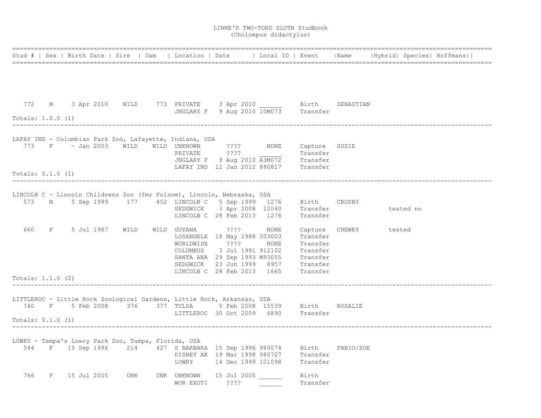|                     |                                |                                   |                                                                                                                                           |  |                                                                               |          |                       |           | Stud #   Sex   Birth Date   Sire   Dam   Location   Date   Local ID   Event   Name   Hybrid   Species   Hoffmans |
|---------------------|--------------------------------|-----------------------------------|-------------------------------------------------------------------------------------------------------------------------------------------|--|-------------------------------------------------------------------------------|----------|-----------------------|-----------|------------------------------------------------------------------------------------------------------------------|
|                     |                                |                                   |                                                                                                                                           |  |                                                                               |          |                       |           |                                                                                                                  |
|                     |                                |                                   |                                                                                                                                           |  |                                                                               |          |                       |           |                                                                                                                  |
|                     |                                |                                   |                                                                                                                                           |  |                                                                               |          |                       |           |                                                                                                                  |
| Totals: 1.0.0 (1)   |                                |                                   |                                                                                                                                           |  |                                                                               |          |                       |           |                                                                                                                  |
|                     |                                |                                   | LAFAY IND - Columbian Park Zoo, Lafayette, Indiana, USA                                                                                   |  |                                                                               |          |                       |           |                                                                                                                  |
|                     |                                |                                   | 773 F $\sim$ Jan 2003 WILD WILD UNKNOWN 2??? NONE Capture SUSIE<br>PRIVATE 2??? Transfer                                                  |  |                                                                               |          |                       |           |                                                                                                                  |
|                     |                                |                                   |                                                                                                                                           |  |                                                                               |          |                       |           |                                                                                                                  |
|                     |                                |                                   |                                                                                                                                           |  | JNGLARY F 9 Aug 2010 A3M072 Transfer<br>LAFAY IND 12 Jan 2012 880817 Transfer |          |                       |           |                                                                                                                  |
| Totals: $0.1.0$ (1) |                                |                                   |                                                                                                                                           |  |                                                                               |          |                       |           |                                                                                                                  |
|                     |                                |                                   |                                                                                                                                           |  |                                                                               |          |                       |           |                                                                                                                  |
|                     |                                |                                   | LINCOLN C - Lincoln Childrens Zoo (fmr Folsom), Lincoln, Nebraska, USA<br>573 M 5 Sep 1999 177 452 LINCOLN C 5 Sep 1999 1276 Birth CROSBY |  |                                                                               |          |                       |           |                                                                                                                  |
|                     |                                |                                   |                                                                                                                                           |  | SEDGWICK 3 Apr 2008 12040 Transfer                                            |          |                       | tested no |                                                                                                                  |
|                     |                                |                                   | LINCOLN C 28 Feb 2013 1276                                                                                                                |  |                                                                               | Transfer |                       |           |                                                                                                                  |
|                     | 660 F 5 Jul 1987 WILD          |                                   | WILD GUYANA ????                                                                                                                          |  | NONE                                                                          |          | Capture CHEWEY tested |           |                                                                                                                  |
|                     |                                |                                   |                                                                                                                                           |  | LOSANGELE 18 May 1988 003003                                                  | Transfer |                       |           |                                                                                                                  |
|                     |                                |                                   | WORLDWIDE ????                                                                                                                            |  | NONE                                                                          | Transfer |                       |           |                                                                                                                  |
|                     |                                |                                   |                                                                                                                                           |  | COLUMBUS 3 Jul 1991 912102 Transfer<br>SANTA ANA 29 Sep 1993 M93055 Transfer  |          |                       |           |                                                                                                                  |
|                     |                                |                                   |                                                                                                                                           |  |                                                                               |          |                       |           |                                                                                                                  |
|                     |                                |                                   |                                                                                                                                           |  | SEDGWICK 23 Jun 1999 8957 Transfer<br>LINCOLN C 28 Feb 2013 1665 Transfer     |          |                       |           |                                                                                                                  |
| Totals: 1.1.0 (2)   |                                |                                   |                                                                                                                                           |  |                                                                               |          |                       |           |                                                                                                                  |
|                     |                                | _________________________________ |                                                                                                                                           |  |                                                                               |          |                       |           |                                                                                                                  |
|                     |                                |                                   | LITTLEROC - Little Rock Zoological Gardens, Little Rock, Arkansas, USA                                                                    |  |                                                                               |          |                       |           |                                                                                                                  |
|                     | 740 F 5 Feb 2008 376 377 TULSA |                                   |                                                                                                                                           |  | 5 Feb 2008 15539 Birth ROSALIE                                                |          |                       |           |                                                                                                                  |
| Totals: $0.1.0$ (1) |                                |                                   | LITTLEROC 30 Oct 2009 6890 Transfer                                                                                                       |  |                                                                               |          |                       |           |                                                                                                                  |
|                     |                                |                                   |                                                                                                                                           |  |                                                                               |          |                       |           |                                                                                                                  |
|                     |                                |                                   | LOWRY - Tampa's Lowry Park Zoo, Tampa, Florida, USA                                                                                       |  |                                                                               |          |                       |           |                                                                                                                  |
|                     |                                |                                   | 544 F 15 Sep 1996 214 427 S BARBARA 15 Sep 1996 960074 Birth FABIO/ZOE<br>DISNEY AK 19 Mar 1998 980727 Transfer                           |  |                                                                               |          |                       |           |                                                                                                                  |
|                     |                                |                                   |                                                                                                                                           |  |                                                                               |          |                       |           |                                                                                                                  |
|                     |                                |                                   |                                                                                                                                           |  | LOWRY 14 Dec 1999 101098 Transfer                                             |          |                       |           |                                                                                                                  |
|                     | 766 F 15 Jul 2005              | UNK                               | UNK UNKNOWN 15 Jul 2005 _______ Birth                                                                                                     |  |                                                                               |          |                       |           |                                                                                                                  |
|                     |                                |                                   | WOR EXOTI ????                                                                                                                            |  |                                                                               | Transfer |                       |           |                                                                                                                  |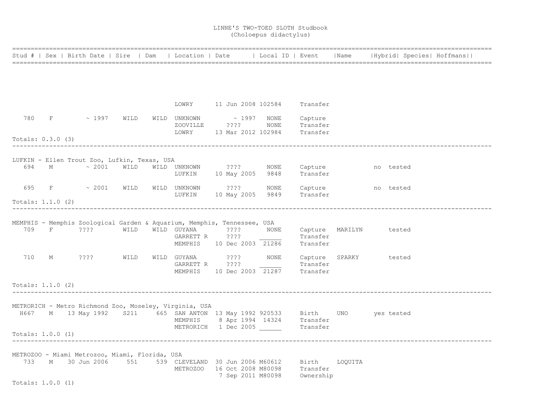|                     |   |        |                   | Stud #   Sex   Birth Date   Sire   Dam         | Location   Date                                        |                                                                         | Local ID   Event                                                                                                   |                                        | Name                   |           | Hybrid  Species  Hoffmans |
|---------------------|---|--------|-------------------|------------------------------------------------|--------------------------------------------------------|-------------------------------------------------------------------------|--------------------------------------------------------------------------------------------------------------------|----------------------------------------|------------------------|-----------|---------------------------|
|                     |   |        |                   |                                                |                                                        |                                                                         |                                                                                                                    |                                        |                        |           |                           |
|                     |   |        |                   |                                                |                                                        |                                                                         |                                                                                                                    |                                        |                        |           |                           |
|                     |   |        |                   |                                                |                                                        |                                                                         | LOWRY 11 Jun 2008 102584 Transfer                                                                                  |                                        |                        |           |                           |
| 780                 | F |        | $\sim 1997$ WILD  |                                                | WILD UNKNOWN                                           |                                                                         | $\sim$ 1997 NONE                                                                                                   | Capture                                |                        |           |                           |
| Totals: 0.3.0 (3)   |   |        |                   |                                                | ZOOVILLE<br>LOWRY                                      | $? ? ? ?$                                                               | NONE<br>13 Mar 2012 102984                                                                                         | Transfer<br>Transfer                   |                        |           |                           |
|                     |   |        |                   |                                                |                                                        |                                                                         |                                                                                                                    |                                        |                        |           |                           |
|                     |   |        |                   | LUFKIN - Ellen Trout Zoo, Lufkin, Texas, USA   |                                                        |                                                                         |                                                                                                                    |                                        |                        |           |                           |
| 694 M               |   |        |                   | $\sim 2001$ WILD                               |                                                        | WILD UNKNOWN ???? NONE<br>LUFKIN 10 May 2005 9848                       |                                                                                                                    | Capture<br>Transfer                    |                        | no tested |                           |
|                     |   |        |                   | 695 F ~ 2001 WILD                              | LUFKIN                                                 | WILD UNKNOWN ????<br>10 May 2005 9849                                   | NONE                                                                                                               | Capture<br>Transfer                    |                        | no tested |                           |
| Totals: $1.1.0$ (2) |   |        |                   |                                                |                                                        |                                                                         |                                                                                                                    |                                        |                        |           |                           |
|                     |   |        |                   |                                                |                                                        | MEMPHIS - Memphis Zoological Garden & Aquarium, Memphis, Tennessee, USA |                                                                                                                    |                                        |                        |           |                           |
| 709                 |   | F ???? |                   | WILD                                           | WILD GUYANA<br>GARRETT R ????                          | 2222                                                                    | NONE<br>MEMPHIS 10 Dec 2003 21286                                                                                  | Transfer<br>Transfer                   | Capture MARILYN tested |           |                           |
| 710                 | M |        | ????              | WILD                                           | GARRETT R ????                                         | WILD GUYANA ????                                                        | MEMPHIS 10 Dec 2003 21287 Transfer                                                                                 | NONE Capture SPARKY tested<br>Transfer |                        |           |                           |
| Totals: $1.1.0$ (2) |   |        |                   |                                                |                                                        |                                                                         |                                                                                                                    |                                        |                        |           |                           |
|                     |   |        |                   |                                                |                                                        |                                                                         |                                                                                                                    |                                        |                        |           |                           |
|                     |   |        |                   |                                                | METRORICH - Metro Richmond Zoo, Moseley, Virginia, USA |                                                                         | H667 M 13 May 1992 S211 665 SAN ANTON 13 May 1992 920533 Birth UNO yes tested<br>MEMPHIS 8 Apr 1994 14324 Transfer |                                        |                        |           |                           |
| Totals: $1.0.0$ (1) |   |        |                   |                                                |                                                        | METRORICH 1 Dec 2005                                                    |                                                                                                                    | Transfer                               |                        |           |                           |
|                     |   |        |                   |                                                |                                                        |                                                                         |                                                                                                                    |                                        |                        |           |                           |
|                     |   |        | 733 M 30 Jun 2006 | METROZOO - Miami Metrozoo, Miami, Florida, USA |                                                        | 7 Sep 2011 M80098                                                       | 551 539 CLEVELAND 30 Jun 2006 M60612 Birth LOQUITA<br>METROZOO 16 Oct 2008 M80098 Transfer                         | Ownership                              |                        |           |                           |
| Totals: 1.0.0 (1)   |   |        |                   |                                                |                                                        |                                                                         |                                                                                                                    |                                        |                        |           |                           |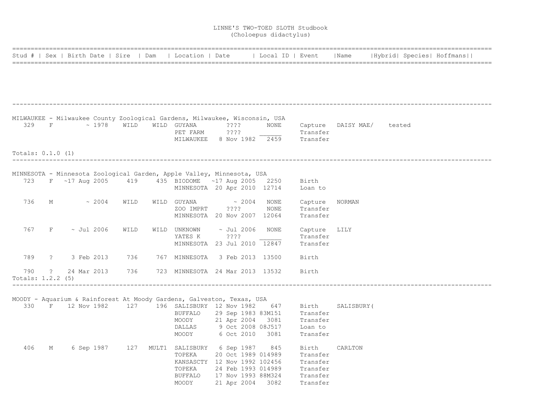|                     |            |                          |             |      | Stud #   Sex   Birth Date   Sire   Dam   Location   Date                                                                      |                    |              | Local ID   Event                                          |             |  | Name   Hybrid  Species  Hoffmans |
|---------------------|------------|--------------------------|-------------|------|-------------------------------------------------------------------------------------------------------------------------------|--------------------|--------------|-----------------------------------------------------------|-------------|--|----------------------------------|
|                     |            |                          |             |      |                                                                                                                               |                    |              |                                                           |             |  |                                  |
|                     |            |                          |             |      |                                                                                                                               |                    |              |                                                           |             |  |                                  |
|                     |            |                          |             |      |                                                                                                                               |                    |              |                                                           |             |  |                                  |
|                     |            |                          |             |      | MILWAUKEE - Milwaukee County Zoological Gardens, Milwaukee, Wisconsin, USA                                                    |                    |              |                                                           |             |  |                                  |
|                     |            | $329$ F $\sim 1978$ WILD |             |      | WILD GUYANA<br>PET FARM                                                                                                       | ????<br>????       | NONE         | Capture DAISY MAE/ tested<br>Transfer                     |             |  |                                  |
|                     |            |                          |             |      |                                                                                                                               |                    |              | MILWAUKEE 8 Nov 1982 2459 Transfer                        |             |  |                                  |
| Totals: $0.1.0$ (1) |            |                          |             |      |                                                                                                                               |                    |              |                                                           |             |  |                                  |
|                     |            |                          |             |      |                                                                                                                               |                    |              |                                                           |             |  |                                  |
|                     |            |                          |             |      | MINNESOTA - Minnesota Zoological Garden, Apple Valley, Minnesota, USA<br>723 F ~17 Aug 2005 419 435 BIODOME ~17 Aug 2005 2250 |                    |              | Birth                                                     |             |  |                                  |
|                     |            |                          |             |      | MINNESOTA 20 Apr 2010 12714                                                                                                   |                    |              | Loan to                                                   |             |  |                                  |
| 736                 | M          |                          | $\sim 2004$ | WILD |                                                                                                                               | $\sim 2004$        |              |                                                           |             |  |                                  |
|                     |            |                          |             |      | WILD GUYANA<br>ZOO IMPRT                                                                                                      | ????               | NONE<br>NONE | Capture<br>Transfer                                       | NORMAN      |  |                                  |
|                     |            |                          |             |      | MINNESOTA 20 Nov 2007 12064                                                                                                   |                    |              | Transfer                                                  |             |  |                                  |
| 767                 |            | $F \sim$ Jul 2006        |             | WILD | WILD UNKNOWN                                                                                                                  | $\sim$ Jul 2006    | NONE         | Capture LILY                                              |             |  |                                  |
|                     |            |                          |             |      | YATES K                                                                                                                       | $??\,?\,?$         |              | Transfer                                                  |             |  |                                  |
|                     |            |                          |             |      | MINNESOTA 23 Jul 2010 12847                                                                                                   |                    |              | Transfer                                                  |             |  |                                  |
| 789                 |            | ? 3 Feb 2013             |             | 736  | 767 MINNESOTA                                                                                                                 | 3 Feb 2013 13500   |              | Birth                                                     |             |  |                                  |
| 790                 | $\ddot{?}$ | 24 Mar 2013              |             | 736  | 723 MINNESOTA 24 Mar 2013 13532                                                                                               |                    |              | Birth                                                     |             |  |                                  |
| Totals: 1.2.2 (5)   |            |                          |             |      |                                                                                                                               |                    |              |                                                           |             |  |                                  |
|                     |            |                          |             |      | MOODY - Aquarium & Rainforest At Moody Gardens, Galveston, Texas, USA                                                         |                    |              |                                                           |             |  |                                  |
|                     |            |                          |             |      |                                                                                                                               |                    |              | 330 F 12 Nov 1982 127 196 SALISBURY 12 Nov 1982 647 Birth | SALISBURY ( |  |                                  |
|                     |            |                          |             |      | BUFFALO 29 Sep 1983 83M151                                                                                                    |                    |              | Transfer                                                  |             |  |                                  |
|                     |            |                          |             |      | MOODY 21 Apr 2004 3081                                                                                                        |                    |              | Transfer                                                  |             |  |                                  |
|                     |            |                          |             |      | DALLAS                                                                                                                        | 9 Oct 2008 08J517  |              | Loan to                                                   |             |  |                                  |
|                     |            |                          |             |      | MOODY                                                                                                                         | 6 Oct 2010 3081    |              | Transfer                                                  |             |  |                                  |
| 406                 | М          |                          |             |      | 6 Sep 1987 127 MULT1 SALISBURY 6 Sep 1987 845                                                                                 |                    |              | Birth                                                     | CARLTON     |  |                                  |
|                     |            |                          |             |      | TOPEKA                                                                                                                        | 20 Oct 1989 014989 |              | Transfer                                                  |             |  |                                  |
|                     |            |                          |             |      | KANSASCTY 12 Nov 1992 102456                                                                                                  |                    |              | Transfer                                                  |             |  |                                  |
|                     |            |                          |             |      | TOPEKA                                                                                                                        | 24 Feb 1993 014989 |              | Transfer                                                  |             |  |                                  |
|                     |            |                          |             |      | BUFFALO 17 Nov 1993 88M324                                                                                                    |                    |              | Transfer                                                  |             |  |                                  |
|                     |            |                          |             |      | MOODY 21 Apr 2004 3082                                                                                                        |                    |              | Transfer                                                  |             |  |                                  |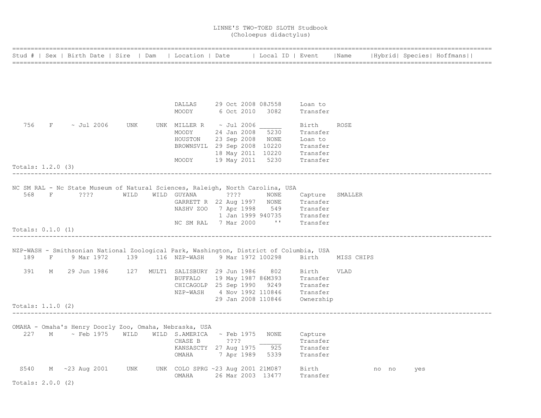|                     |   | Stud #   Sex   Birth Date   Sire   Dam |      | Location   Date   Local ID   Event                                                           |      |             |                            |                                                                            | Name        |       |     | Hybrid  Species  Hoffmans |
|---------------------|---|----------------------------------------|------|----------------------------------------------------------------------------------------------|------|-------------|----------------------------|----------------------------------------------------------------------------|-------------|-------|-----|---------------------------|
|                     |   |                                        |      |                                                                                              |      |             |                            |                                                                            |             |       |     |                           |
|                     |   |                                        |      |                                                                                              |      |             |                            |                                                                            |             |       |     |                           |
|                     |   |                                        |      |                                                                                              |      |             |                            |                                                                            |             |       |     |                           |
|                     |   |                                        |      |                                                                                              |      |             |                            |                                                                            |             |       |     |                           |
|                     |   |                                        |      | DALLAS                                                                                       |      |             | 29 Oct 2008 08J558         | Loan to                                                                    |             |       |     |                           |
|                     |   |                                        |      | MOODY                                                                                        |      | 6 Oct 2010  | 3082                       | Transfer                                                                   |             |       |     |                           |
| 756                 |   | $F \sim$ Jul 2006                      | UNK  | UNK MILLER R $\sim$ Jul 2006                                                                 |      |             |                            | Birth                                                                      | ROSE        |       |     |                           |
|                     |   |                                        |      | MOODY                                                                                        |      | 24 Jan 2008 | 5230                       | Transfer                                                                   |             |       |     |                           |
|                     |   |                                        |      | HOUSTON                                                                                      |      |             | 23 Sep 2008 NONE           | Loan to                                                                    |             |       |     |                           |
|                     |   |                                        |      | BROWNSVIL 29 Sep 2008 10220                                                                  |      |             |                            | Transfer                                                                   |             |       |     |                           |
|                     |   |                                        |      |                                                                                              |      |             | 18 May 2011 10220 Transfer |                                                                            |             |       |     |                           |
|                     |   |                                        |      | MOODY                                                                                        |      | 19 May 2011 | 5230                       | Transfer                                                                   |             |       |     |                           |
| Totals: $1.2.0$ (3) |   |                                        |      |                                                                                              |      |             |                            |                                                                            |             |       |     |                           |
|                     |   |                                        |      |                                                                                              |      |             |                            |                                                                            |             |       |     |                           |
|                     |   |                                        |      |                                                                                              |      |             |                            |                                                                            |             |       |     |                           |
|                     |   | 568 F ????                             | WILD | NC SM RAL - Nc State Museum of Natural Sciences, Raleigh, North Carolina, USA<br>WILD GUYANA | 2222 |             | NONE                       | Capture SMALLER                                                            |             |       |     |                           |
|                     |   |                                        |      |                                                                                              |      |             |                            | GARRETT R 22 Aug 1997 NONE Transfer                                        |             |       |     |                           |
|                     |   |                                        |      |                                                                                              |      |             |                            |                                                                            |             |       |     |                           |
|                     |   |                                        |      |                                                                                              |      |             |                            | NASHV ZOO 7 Apr 1998 549 Transfer<br>1 Jan 1999 940735 Transfer            |             |       |     |                           |
|                     |   |                                        |      | NC SM RAL 7 Mar 2000                                                                         |      |             |                            | '' Transfer                                                                |             |       |     |                           |
| Totals: $0.1.0$ (1) |   |                                        |      |                                                                                              |      |             |                            |                                                                            |             |       |     |                           |
|                     |   |                                        |      |                                                                                              |      |             |                            |                                                                            |             |       |     |                           |
|                     |   |                                        |      |                                                                                              |      |             |                            |                                                                            |             |       |     |                           |
|                     |   |                                        |      | NZP-WASH - Smithsonian National Zoological Park, Washington, District of Columbia, USA       |      |             |                            |                                                                            |             |       |     |                           |
| 189                 | F | 9 Mar 1972                             |      | 139 116 NZP-WASH 9 Mar 1972 100298                                                           |      |             |                            | Birth                                                                      | MISS CHIPS  |       |     |                           |
| 391                 | М |                                        |      | 29 Jun 1986      127   MULT1  SALISBURY  29 Jun 1986                                         |      |             | 802                        | Birth                                                                      | <b>VLAD</b> |       |     |                           |
|                     |   |                                        |      |                                                                                              |      |             |                            |                                                                            |             |       |     |                           |
|                     |   |                                        |      |                                                                                              |      |             |                            | BUFFALO 19 May 1987 86M393 Transfer<br>CHICAGOLP 25 Sep 1990 9249 Transfer |             |       |     |                           |
|                     |   |                                        |      |                                                                                              |      |             |                            | NZP-WASH 4 Nov 1992 110846 Transfer                                        |             |       |     |                           |
|                     |   |                                        |      |                                                                                              |      |             | 29 Jan 2008 110846         | Ownership                                                                  |             |       |     |                           |
| Totals: $1.1.0$ (2) |   |                                        |      |                                                                                              |      |             |                            |                                                                            |             |       |     |                           |
|                     |   |                                        |      |                                                                                              |      |             |                            |                                                                            |             |       |     |                           |
|                     |   |                                        |      | OMAHA - Omaha's Henry Doorly Zoo, Omaha, Nebraska, USA                                       |      |             |                            |                                                                            |             |       |     |                           |
|                     |   | 227 M ~ Feb 1975 WILD                  |      | WILD S.AMERICA                                                                               |      | ~ Feb 1975  | NONE                       | Capture                                                                    |             |       |     |                           |
|                     |   |                                        |      | CHASE B                                                                                      |      | ????        |                            | Transfer                                                                   |             |       |     |                           |
|                     |   |                                        |      | KANSASCTY 27 Aug 1975 925                                                                    |      |             |                            | Transfer                                                                   |             |       |     |                           |
|                     |   |                                        |      | OMAHA                                                                                        |      |             | 7 Apr 1989 5339            | Transfer                                                                   |             |       |     |                           |
|                     |   |                                        |      |                                                                                              |      |             |                            |                                                                            |             |       |     |                           |
| S540                |   | M ~23 Aug 2001                         | UNK  | UNK COLO SPRG ~23 Aug 2001 21M087                                                            |      |             |                            | Birth                                                                      |             | no no | yes |                           |
|                     |   |                                        |      | OMAHA                                                                                        |      |             | 26 Mar 2003 13477          | Transfer                                                                   |             |       |     |                           |
| Totals: $2.0.0$ (2) |   |                                        |      |                                                                                              |      |             |                            |                                                                            |             |       |     |                           |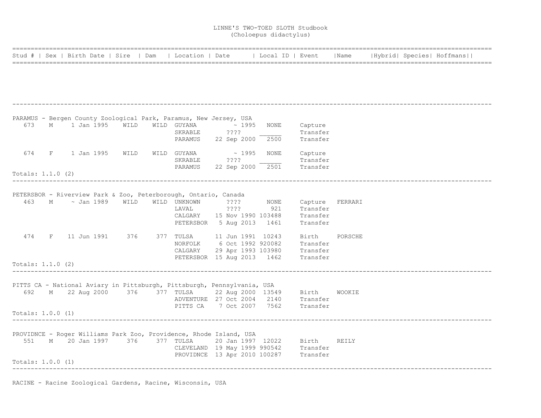|                     |                                 |      |                                                                                      |                           | Stud #   Sex   Birth Date   Sire   Dam   Location   Date   Local ID   Event                |                      | Name    |  | Hybrid  Species  Hoffmans |
|---------------------|---------------------------------|------|--------------------------------------------------------------------------------------|---------------------------|--------------------------------------------------------------------------------------------|----------------------|---------|--|---------------------------|
|                     |                                 |      |                                                                                      |                           |                                                                                            |                      |         |  |                           |
|                     |                                 |      |                                                                                      |                           |                                                                                            |                      |         |  |                           |
|                     |                                 |      |                                                                                      |                           |                                                                                            |                      |         |  |                           |
|                     |                                 |      |                                                                                      |                           |                                                                                            |                      |         |  |                           |
|                     |                                 |      | PARAMUS - Bergen County Zoological Park, Paramus, New Jersey, USA                    |                           |                                                                                            |                      |         |  |                           |
| 673                 | M 1 Jan 1995                    | WILD | WILD GUYANA                                                                          | $\sim 1995$               | NONE                                                                                       | Capture              |         |  |                           |
|                     |                                 |      | SKRABLE<br>PARAMUS                                                                   | ????                      | 2500                                                                                       | Transfer<br>Transfer |         |  |                           |
|                     |                                 |      |                                                                                      | 22 Sep 2000               |                                                                                            |                      |         |  |                           |
|                     | 674 F 1 Jan 1995 WILD           |      | WILD GUYANA                                                                          | $\sim 1995$               | NONE                                                                                       | Capture              |         |  |                           |
|                     |                                 |      | SKRABLE                                                                              | ? ? ? ?                   |                                                                                            | Transfer             |         |  |                           |
|                     |                                 |      | PARAMUS                                                                              | 22 Sep 2000               |                                                                                            | 2501 ransfer         |         |  |                           |
| Totals: $1.1.0$ (2) |                                 |      |                                                                                      |                           |                                                                                            |                      |         |  |                           |
|                     |                                 |      |                                                                                      |                           |                                                                                            |                      |         |  |                           |
|                     | 463 M ~ Jan 1989 WILD           |      | PETERSBOR - Riverview Park & Zoo, Peterborough, Ontario, Canada<br>WILD UNKNOWN ???? |                           | NONE                                                                                       | Capture FERRARI      |         |  |                           |
|                     |                                 |      | LAVAL                                                                                | 222                       | 921                                                                                        | Transfer             |         |  |                           |
|                     |                                 |      |                                                                                      |                           | CALGARY 15 Nov 1990 103488                                                                 | Transfer             |         |  |                           |
|                     |                                 |      |                                                                                      | PETERSBOR 5 Aug 2013 1461 |                                                                                            | Transfer             |         |  |                           |
|                     | 474 F 11 Jun 1991 376           |      |                                                                                      |                           |                                                                                            | Birth                | PORSCHE |  |                           |
|                     |                                 |      |                                                                                      |                           |                                                                                            |                      |         |  |                           |
|                     |                                 |      |                                                                                      |                           | NORFOLK 6 Oct 1992 920082 Transfer<br>CALGARY 29 Apr 1993 103980 Transfer                  |                      |         |  |                           |
|                     |                                 |      |                                                                                      |                           | PETERSBOR 15 Aug 2013 1462 Transfer                                                        |                      |         |  |                           |
| Totals: 1.1.0 (2)   |                                 |      |                                                                                      |                           |                                                                                            |                      |         |  |                           |
|                     |                                 |      | PITTS CA - National Aviary in Pittsburgh, Pittsburgh, Pennsylvania, USA              |                           |                                                                                            |                      |         |  |                           |
| 692                 |                                 |      |                                                                                      |                           |                                                                                            |                      | WOOKIE  |  |                           |
|                     |                                 |      |                                                                                      |                           | M 22 Aug 2000 376 377 TULSA 22 Aug 2000 13549 Birth<br>ADVENTURE 27 Oct 2004 2140 Transfer |                      |         |  |                           |
|                     |                                 |      |                                                                                      |                           | PITTS CA 7 Oct 2007 7562 Transfer                                                          |                      |         |  |                           |
| Totals: 1.0.0 (1)   |                                 |      |                                                                                      |                           |                                                                                            |                      |         |  |                           |
|                     |                                 |      |                                                                                      |                           |                                                                                            |                      |         |  |                           |
|                     |                                 |      | PROVIDNCE - Roger Williams Park Zoo, Providence, Rhode Island, USA                   |                           |                                                                                            |                      |         |  |                           |
|                     | 551 M 20 Jan 1997 376 377 TULSA |      |                                                                                      |                           |                                                                                            |                      |         |  |                           |
|                     |                                 |      |                                                                                      |                           | TULSA 20 Jan 1997 12022 Birth REILY<br>CLEVELAND 19 May 1999 990542 Transfer               |                      |         |  |                           |
|                     |                                 |      |                                                                                      |                           | PROVIDNCE 13 Apr 2010 100287 Transfer                                                      |                      |         |  |                           |
| Totals: 1.0.0 (1)   |                                 |      |                                                                                      |                           |                                                                                            |                      |         |  |                           |
|                     |                                 |      |                                                                                      |                           |                                                                                            |                      |         |  |                           |

RACINE - Racine Zoological Gardens, Racine, Wisconsin, USA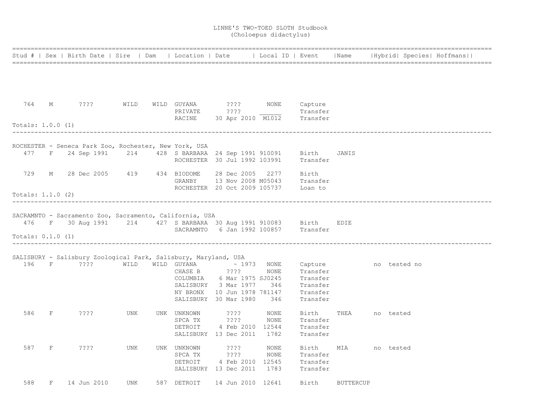|                     |   | Stud #   Sex   Birth Date   Sire   Dam   Location   Date   Local ID   Event                               |      |                                   |                                                                                                                                                            |                                     |                                                                     |                  |              | Name   Hybrid  Species  Hoffmans |
|---------------------|---|-----------------------------------------------------------------------------------------------------------|------|-----------------------------------|------------------------------------------------------------------------------------------------------------------------------------------------------------|-------------------------------------|---------------------------------------------------------------------|------------------|--------------|----------------------------------|
|                     |   |                                                                                                           |      |                                   |                                                                                                                                                            |                                     |                                                                     |                  |              |                                  |
|                     |   |                                                                                                           |      |                                   |                                                                                                                                                            |                                     |                                                                     |                  |              |                                  |
| 764 M               |   | $? ? ? ?$ WILD                                                                                            |      |                                   | WILD GUYANA 2??? NONE<br>PRIVATE 2???                                                                                                                      |                                     | Capture<br>Transfer                                                 |                  |              |                                  |
| Totals: $1.0.0$ (1) |   |                                                                                                           |      | RACINE                            |                                                                                                                                                            | 30 Apr 2010 M1012 Transfer          |                                                                     |                  |              |                                  |
|                     |   | ROCHESTER - Seneca Park Zoo, Rochester, New York, USA                                                     |      |                                   |                                                                                                                                                            |                                     |                                                                     |                  |              |                                  |
|                     |   | 477 F 24 Sep 1991 214 428 S BARBARA 24 Sep 1991 910091 Birth                                              |      |                                   | ROCHESTER 30 Jul 1992 103991                                                                                                                               |                                     | Transfer                                                            | JANIS            |              |                                  |
| 729                 | М | 28 Dec 2005 419 434 BIODOME                                                                               |      | GRANBY                            | 28 Dec 2005                                                                                                                                                | 2277<br>13 Nov 2008 M05043 Transfer | Birth                                                               |                  |              |                                  |
| Totals: $1.1.0$ (2) |   |                                                                                                           |      |                                   | ROCHESTER 20 Oct 2009 105737 Loan to                                                                                                                       |                                     |                                                                     |                  |              |                                  |
|                     |   |                                                                                                           |      |                                   |                                                                                                                                                            |                                     |                                                                     |                  |              |                                  |
|                     |   | SACRAMNTO - Sacramento Zoo, Sacramento, California, USA                                                   |      |                                   |                                                                                                                                                            |                                     |                                                                     |                  |              |                                  |
|                     |   | 476 F 30 Aug 1991 214 427 S BARBARA 30 Aug 1991 910083 Birth EDIE<br>SACRAMNTO 6 Jan 1992 100857 Transfer |      |                                   |                                                                                                                                                            |                                     |                                                                     |                  |              |                                  |
| Totals: $0.1.0$ (1) |   |                                                                                                           |      |                                   |                                                                                                                                                            |                                     |                                                                     |                  |              |                                  |
|                     |   | SALISBURY - Salisbury Zoological Park, Salisbury, Maryland, USA                                           |      |                                   |                                                                                                                                                            |                                     |                                                                     |                  |              |                                  |
| 196 F               |   | 2222                                                                                                      | WILD | CHASE B                           | $\verb WILD GUYANA  \sim 1973$<br>$??\,?\,?$<br>COLUMBIA 6 Mar 1975 SJ0245<br>SALISBURY 3 Mar 1977<br>NY BRONX 10 Jun 1978 781147<br>SALISBURY 30 Mar 1980 | NONE<br>NONE<br>346<br>346          | Capture<br>Transfer<br>Transfer<br>Transfer<br>Transfer<br>Transfer |                  | no tested no |                                  |
| 586                 | F | ????                                                                                                      | UNK  | UNK UNKNOWN<br>SPCA TX<br>DETROIT | ? ? ? ?<br>????<br>4 Feb 2010 12544<br>SALISBURY 13 Dec 2011 1782                                                                                          | NONE<br>NONE                        | Birth<br>Transfer<br>Transfer<br>Transfer                           | THEA             | no tested    |                                  |
| 587                 | F | ????                                                                                                      | UNK  | UNK UNKNOWN<br>SPCA TX<br>DETROIT | ? ? ? ?<br>$??\,?\,?$<br>4 Feb 2010 12545<br>SALISBURY 13 Dec 2011                                                                                         | NONE<br>NONE<br>1783                | Birth<br>Transfer<br>Transfer<br>Transfer                           | MIA              | no tested    |                                  |
| 588                 | F | 14 Jun 2010                                                                                               | UNK  | 587 DETROIT                       | 14 Jun 2010 12641                                                                                                                                          |                                     | Birth                                                               | <b>BUTTERCUP</b> |              |                                  |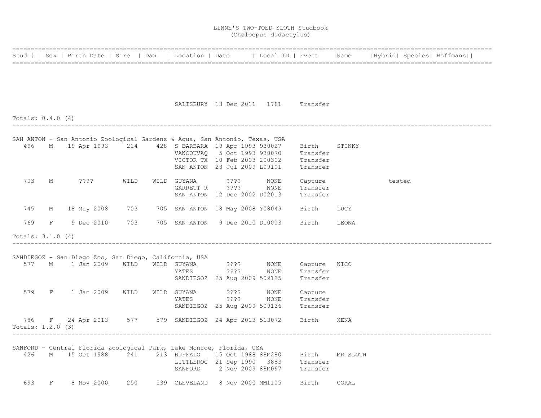|                     |   |                                                                            |      |             |                                                                             |      |                      |          | Stud #   Sex   Birth Date   Sire   Dam   Location   Date     Local ID   Event     Name   Hybrid  Species  Hoffmans |  |
|---------------------|---|----------------------------------------------------------------------------|------|-------------|-----------------------------------------------------------------------------|------|----------------------|----------|--------------------------------------------------------------------------------------------------------------------|--|
|                     |   |                                                                            |      |             |                                                                             |      |                      |          |                                                                                                                    |  |
|                     |   |                                                                            |      |             | SALISBURY 13 Dec 2011 1781 Transfer                                         |      |                      |          |                                                                                                                    |  |
| Totals: $0.4.0$ (4) |   |                                                                            |      |             |                                                                             |      |                      |          |                                                                                                                    |  |
|                     |   |                                                                            |      |             |                                                                             |      |                      |          |                                                                                                                    |  |
|                     |   | SAN ANTON - San Antonio Zoological Gardens & Aqua, San Antonio, Texas, USA |      |             |                                                                             |      |                      |          |                                                                                                                    |  |
|                     |   | 496 M 19 Apr 1993 214 428 S BARBARA 19 Apr 1993 930027                     |      |             |                                                                             |      | Birth                | STINKY   |                                                                                                                    |  |
|                     |   |                                                                            |      |             | VANCOUVAQ 5 Oct 1993 930070<br>VICTOR TX 10 Feb 2003 200302                 |      | Transfer<br>Transfer |          |                                                                                                                    |  |
|                     |   |                                                                            |      |             | SAN ANTON 23 Jul 2009 L09101                                                |      | Transfer             |          |                                                                                                                    |  |
|                     |   |                                                                            |      |             |                                                                             |      |                      |          |                                                                                                                    |  |
| 703                 | M | 2222                                                                       | WILD | WILD GUYANA | 222                                                                         | NONE | Capture              |          | tested                                                                                                             |  |
|                     |   |                                                                            |      | GARRETT R   | ? ? ? ?                                                                     | NONE | Transfer             |          |                                                                                                                    |  |
|                     |   |                                                                            |      |             | SAN ANTON 12 Dec 2002 D02013                                                |      | Transfer             |          |                                                                                                                    |  |
| 745                 |   | M 18 May 2008                                                              | 703  |             | 705 SAN ANTON 18 May 2008 Y08049                                            |      | Birth                | LUCY     |                                                                                                                    |  |
| 769                 |   | F 9 Dec 2010                                                               | 703  |             | 705 SAN ANTON 9 Dec 2010 D10003                                             |      | Birth                | LEONA    |                                                                                                                    |  |
| Totals: $3.1.0$ (4) |   |                                                                            |      |             |                                                                             |      |                      |          |                                                                                                                    |  |
|                     |   |                                                                            |      |             |                                                                             |      |                      |          |                                                                                                                    |  |
|                     |   | SANDIEGOZ - San Diego Zoo, San Diego, California, USA<br>577 M 1 Jan 2009  | WILD | WILD GUYANA | 2222                                                                        | NONE | Capture NICO         |          |                                                                                                                    |  |
|                     |   |                                                                            |      | YATES       | ????                                                                        | NONE | Transfer             |          |                                                                                                                    |  |
|                     |   |                                                                            |      |             | SANDIEGOZ 25 Aug 2009 509135                                                |      | Transfer             |          |                                                                                                                    |  |
|                     |   |                                                                            |      |             |                                                                             |      |                      |          |                                                                                                                    |  |
|                     |   | 579 F 1 Jan 2009                                                           | WILD |             | WILD GUYANA ????                                                            | NONE | Capture              |          |                                                                                                                    |  |
|                     |   |                                                                            |      | YATES       | ????<br>SANDIEGOZ 25 Aug 2009 509136                                        | NONE | Transfer<br>Transfer |          |                                                                                                                    |  |
|                     |   |                                                                            |      |             |                                                                             |      |                      |          |                                                                                                                    |  |
|                     |   | 786 F 24 Apr 2013 577 579 SANDIEGOZ 24 Apr 2013 513072                     |      |             |                                                                             |      | Birth                | XENA     |                                                                                                                    |  |
| Totals: 1.2.0 (3)   |   |                                                                            |      |             |                                                                             |      |                      |          |                                                                                                                    |  |
|                     |   |                                                                            |      |             |                                                                             |      |                      |          |                                                                                                                    |  |
|                     |   | SANFORD - Central Florida Zoological Park, Lake Monroe, Florida, USA       |      |             |                                                                             |      |                      |          |                                                                                                                    |  |
| 426                 |   | M 15 Oct 1988 241                                                          |      |             | 213 BUFFALO 15 Oct 1988 88M280 Birth<br>LITTLEROC 21 Sep 1990 3883 Transfer |      |                      | MR SLOTH |                                                                                                                    |  |
|                     |   |                                                                            |      |             | SANFORD 2 Nov 2009 88M097 Transfer                                          |      |                      |          |                                                                                                                    |  |
|                     |   |                                                                            |      |             |                                                                             |      |                      |          |                                                                                                                    |  |
| 693                 | F | 8 Nov 2000                                                                 | 250  |             | 539 CLEVELAND 8 Nov 2000 MM1105                                             |      | Birth                | CORAL    |                                                                                                                    |  |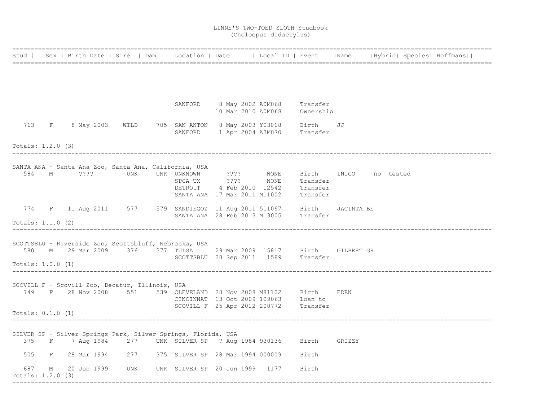|                                          |   | Stud #   Sex   Birth Date   Sire   Dam   Location   Date   Local ID   Event   Name   Hybrid   Species   Hoffmans                   |                         |         |                                                                                                |                                   |            |  |  |
|------------------------------------------|---|------------------------------------------------------------------------------------------------------------------------------------|-------------------------|---------|------------------------------------------------------------------------------------------------|-----------------------------------|------------|--|--|
|                                          |   |                                                                                                                                    |                         |         |                                                                                                |                                   |            |  |  |
|                                          |   |                                                                                                                                    |                         |         |                                                                                                |                                   |            |  |  |
|                                          |   |                                                                                                                                    |                         |         | SANFORD 8 May 2002 A0M068<br>10 Mar 2010 A0M068 Ownership                                      | Transfer                          |            |  |  |
| 713 F                                    |   |                                                                                                                                    |                         |         | 8 May 2003 WILD 705 SAN ANTON 8 May 2003 Y03018 Birth JJ<br>SANFORD 1 Apr 2004 A3M070 Transfer |                                   |            |  |  |
| Totals: 1.2.0 (3)                        |   |                                                                                                                                    |                         |         |                                                                                                |                                   |            |  |  |
|                                          |   |                                                                                                                                    |                         |         |                                                                                                |                                   |            |  |  |
|                                          |   | SANTA ANA - Santa Ana Zoo, Santa Ana, California, USA<br>584 M ???? UNK UNK UNKNOWN ???? NONE                                      |                         | SPCA TX | ???? NONE<br>DETROIT 4 Feb 2010 12542 Transfer<br>SANTA ANA 17 Mar 2011 M11002 Transfer        | Birth INIGO no tested<br>Transfer |            |  |  |
|                                          |   | 774 F 11 Aug 2011 577 579 SANDIEGOZ 11 Aug 2011 511097 Birth                                                                       |                         |         | SANTA ANA 28 Feb 2013 M13005 Transfer                                                          |                                   | JACINTA BE |  |  |
| Totals: 1.1.0 (2)                        |   |                                                                                                                                    |                         |         |                                                                                                |                                   |            |  |  |
| Totals: 1.0.0 (1)                        |   | SCOTTSBLU - Riverside Zoo, Scottsbluff, Nebraska, USA<br>580 M 29 Mar 2009 376 377 TULSA 29 Mar 2009 15817 Birth GILBERT GR        |                         |         | SCOTTSBLU 28 Sep 2011 1589 Transfer                                                            |                                   |            |  |  |
|                                          |   |                                                                                                                                    |                         |         |                                                                                                |                                   |            |  |  |
|                                          |   | SCOVILL F - Scovill Zoo, Decatur, Illinois, USA<br>749 F 28 Nov 2008 551 539 CLEVELAND 28 Nov 2008 M81102 Birth EDEN               |                         |         | CINCINNAT 13 Oct 2009 109063 Loan to<br>SCOVILL F 25 Apr 2012 200772 Transfer                  |                                   |            |  |  |
| Totals: $0.1.0$ (1)                      |   |                                                                                                                                    |                         |         |                                                                                                |                                   |            |  |  |
|                                          |   | SILVER SP - Silver Springs Park, Silver Springs, Florida, USA<br>375 F 7 Aug 1984 277 UNK SILVER SP 7 Aug 1984 930136 Birth GRIZZY |                         |         |                                                                                                |                                   |            |  |  |
|                                          |   | 505 F 28 Mar 1994 277 375 SILVER SP 28 Mar 1994 000009                                                                             |                         |         |                                                                                                | Birth                             |            |  |  |
| 687<br>Totals: 1.2.0 (3)<br>------------ | М | 20 Jun 1999                                                                                                                        | UNK<br>---------------- |         | UNK SILVER SP 20 Jun 1999 1177                                                                 | Birth                             |            |  |  |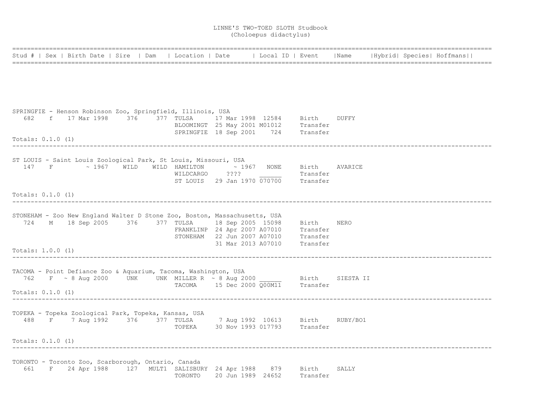| Stud #   Sex   Birth Date   Sire   Dam   Location   Date     Local ID   Event   Name   Hybrid  Species  Hoffmans         |  |         |                                                                                 |          |  |  |
|--------------------------------------------------------------------------------------------------------------------------|--|---------|---------------------------------------------------------------------------------|----------|--|--|
|                                                                                                                          |  |         |                                                                                 |          |  |  |
|                                                                                                                          |  |         |                                                                                 |          |  |  |
| SPRINGFIE - Henson Robinson Zoo, Springfield, Illinois, USA                                                              |  |         |                                                                                 |          |  |  |
| 682 f 17 Mar 1998 376 377 TULSA 17 Mar 1998 12584 Birth DUFFY                                                            |  |         | BLOOMINGT 25 May 2001 M01012 Transfer<br>SPRINGFIE 18 Sep 2001 724 Transfer     |          |  |  |
| Totals: $0.1.0$ (1)                                                                                                      |  |         |                                                                                 |          |  |  |
| ST LOUIS - Saint Louis Zoological Park, St Louis, Missouri, USA                                                          |  |         |                                                                                 |          |  |  |
| 147 F $\sim$ 1967 WILD WILD HAMILTON $\sim$ 1967 NONE Birth AVARICE                                                      |  |         | WILDCARGO $???$ ? Transfer<br>ST LOUIS 29 Jan 1970 $\overline{070700}$ Transfer |          |  |  |
| Totals: $0.1.0$ (1)                                                                                                      |  |         |                                                                                 |          |  |  |
|                                                                                                                          |  |         |                                                                                 |          |  |  |
| STONEHAM - Zoo New England Walter D Stone Zoo, Boston, Massachusetts, USA                                                |  |         |                                                                                 |          |  |  |
| 724 M 18 Sep 2005 376 377 TULSA 18 Sep 2005 15098 Birth NERO<br>FRANKLINP 24 Apr 2007 A07010 Transfer                    |  |         |                                                                                 |          |  |  |
| Totals: $1.0.0$ (1)                                                                                                      |  |         | STONEHAM 22 Jun 2007 A07010 Transfer<br>31 Mar 2013 A07010 Transfer             |          |  |  |
|                                                                                                                          |  |         |                                                                                 |          |  |  |
| TACOMA - Point Defiance Zoo & Aquarium, Tacoma, Washington, USA                                                          |  |         |                                                                                 |          |  |  |
| 762 F ~ 8 Aug 2000 UNK UNK MILLER R ~ 8 Aug 2000 Birth SIESTA II<br>TACOMA 15 Dec 2000 Q00M11 Transfer                   |  |         |                                                                                 |          |  |  |
| Totals: $0.1.0$ (1)                                                                                                      |  |         |                                                                                 |          |  |  |
| TOPEKA - Topeka Zoological Park, Topeka, Kansas, USA                                                                     |  |         |                                                                                 |          |  |  |
| 488 F 7 Aug 1992 376 377 TULSA 7 Aug 1992 10613 Birth RUBY/BO1                                                           |  |         | TOPEKA 30 Nov 1993 017793 Transfer                                              |          |  |  |
| Totals: $0.1.0$ (1)                                                                                                      |  |         |                                                                                 |          |  |  |
|                                                                                                                          |  |         |                                                                                 |          |  |  |
| TORONTO - Toronto Zoo, Scarborough, Ontario, Canada<br>661 F 24 Apr 1988 127 MULT1 SALISBURY 24 Apr 1988 879 Birth SALLY |  | TORONTO | 20 Jun 1989 24652                                                               | Transfer |  |  |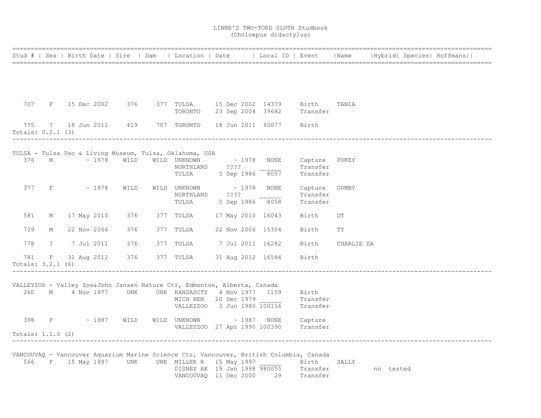|                          |             |               |                    |                                                                                            |  |                                                        |                                     |                                       |            |           | Stud #   Sex   Birth Date   Sire   Dam   Location   Date   Local ID   Event   Name   Hybrid   Species   Hoffmans |
|--------------------------|-------------|---------------|--------------------|--------------------------------------------------------------------------------------------|--|--------------------------------------------------------|-------------------------------------|---------------------------------------|------------|-----------|------------------------------------------------------------------------------------------------------------------|
|                          |             |               |                    |                                                                                            |  |                                                        |                                     |                                       |            |           |                                                                                                                  |
|                          |             |               |                    |                                                                                            |  |                                                        |                                     |                                       |            |           |                                                                                                                  |
| 707                      | F           | 15 Dec 2002   | 376                | 377 TULSA 15 Dec 2002 14379 Birth<br>TORONTO 23 Sep 2004 39682                             |  |                                                        |                                     | Transfer                              | TANIA      |           |                                                                                                                  |
| 775<br>Totals: 0.2.1 (3) |             |               | ? 18 Jun 2011 419  | 707 TORONTO 18 Jun 2011 45077                                                              |  |                                                        |                                     | Birth                                 |            |           |                                                                                                                  |
|                          |             |               |                    | TULSA - Tulsa Zoo & Living Museum, Tulsa, Oklahoma, USA                                    |  |                                                        |                                     |                                       |            |           |                                                                                                                  |
|                          | 376 M       |               | $\sim 1978$ WILD   | WILD UNKNOWN<br>NORTHLAND ????<br>TULSA                                                    |  |                                                        | $\sim$ 1978 NONE<br>5 Sep 1986 8057 | Capture POKEY<br>Transfer<br>Transfer |            |           |                                                                                                                  |
| 377                      | F           | $\sim 1978$   | WILD               | WILD UNKNOWN<br>NORTHLAND<br>TULSA                                                         |  | $\begin{array}{r} \sim 1978 \\ \text{???} \end{array}$ | NONE<br>5 Sep 1986 8058             | Capture<br>Transfer<br>Transfer       | GUMBY      |           |                                                                                                                  |
| 581                      | М           | 17 May 2010   | 376                | 377 TULSA                                                                                  |  |                                                        | 17 May 2010 16043                   | Birth                                 | DT         |           |                                                                                                                  |
| 739                      | М           | 22 Nov 2006   | 376                | 377 TULSA                                                                                  |  |                                                        | 22 Nov 2006 15304                   | Birth                                 | TY         |           |                                                                                                                  |
| 778                      | $\tilde{?}$ | 7 Jul 2011    | 376                | 377 TULSA 7 Jul 2011 16282                                                                 |  |                                                        |                                     | Birth                                 | CHARLIE DA |           |                                                                                                                  |
| 781<br>Totals: 3.2.1 (6) | F           | 31 Aug 2012   | 376                | 377 TULSA                                                                                  |  |                                                        | 31 Aug 2012 16584                   | Birth                                 |            |           |                                                                                                                  |
|                          |             |               |                    | VALLEYZOO - Valley Zoo&John Janzen Nature Ctr, Edmonton, Alberta, Canada                   |  |                                                        |                                     |                                       |            |           |                                                                                                                  |
| 260                      |             | M 4 Nov 1977  | UNK                | UNK KANSASCTY 4 Nov 1977 1159<br>MICH KEN 20 Dec 1979<br>VALLEYZOO 3 Jun 1980 100116       |  |                                                        |                                     | Birth<br>Transfer<br>Transfer         |            |           |                                                                                                                  |
| 398                      |             |               | $F \sim 1987$ WILD | WILD UNKNOWN ~ 1987<br>VALLEYZOO 27 Apr 1990 100390                                        |  |                                                        | NONE                                | Capture<br>Transfer                   |            |           |                                                                                                                  |
| Totals: $1.1.0$ (2)      |             |               |                    |                                                                                            |  |                                                        |                                     |                                       |            |           |                                                                                                                  |
|                          |             |               |                    | VANCOUVAQ - Vancouver Aquarium Marine Science Ctr, Vancouver, British Columbia, Canada     |  |                                                        |                                     |                                       |            |           |                                                                                                                  |
| 566                      |             | F 15 May 1997 | UNK                | UNK MILLER R 15 May 1997<br>DISNEY AK 19 Jan 1998 980055 Transfer<br>VANCOUVAQ 11 Dec 2000 |  |                                                        | 29                                  | Birth<br>Transfer                     | SALLY      | no tested |                                                                                                                  |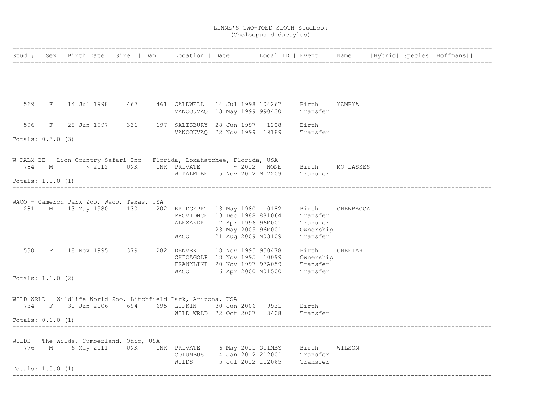|                     |                                           |  |                                                                                                        |  |                                                                     |          |         |  | Stud #   Sex   Birth Date   Sire   Dam   Location   Date     Local ID   Event   Name   Hybrid  Species  Hoffmans |
|---------------------|-------------------------------------------|--|--------------------------------------------------------------------------------------------------------|--|---------------------------------------------------------------------|----------|---------|--|------------------------------------------------------------------------------------------------------------------|
|                     |                                           |  |                                                                                                        |  |                                                                     |          |         |  |                                                                                                                  |
|                     |                                           |  |                                                                                                        |  |                                                                     |          |         |  |                                                                                                                  |
|                     |                                           |  | 569 F 14 Jul 1998 467 461 CALDWELL 14 Jul 1998 104267 Birth YAMBYA                                     |  |                                                                     |          |         |  |                                                                                                                  |
|                     |                                           |  |                                                                                                        |  | VANCOUVAQ 13 May 1999 990430 Transfer                               |          |         |  |                                                                                                                  |
|                     |                                           |  | 596 F 28 Jun 1997 331 197 SALISBURY 28 Jun 1997 1208 Birth<br>VANCOUVAQ 22 Nov 1999 19189 Transfer     |  |                                                                     |          |         |  |                                                                                                                  |
| Totals: 0.3.0 (3)   |                                           |  |                                                                                                        |  |                                                                     |          |         |  |                                                                                                                  |
|                     |                                           |  | W PALM BE - Lion Country Safari Inc - Florida, Loxahatchee, Florida, USA                               |  |                                                                     |          |         |  |                                                                                                                  |
|                     |                                           |  | 784 M $\sim$ 2012 UNK UNK PRIVATE $\sim$ 2012 NONE Birth MO LASSES                                     |  |                                                                     |          |         |  |                                                                                                                  |
| Totals: $1.0.0$ (1) |                                           |  | W PALM BE 15 Nov 2012 M12209 Transfer                                                                  |  |                                                                     |          |         |  |                                                                                                                  |
|                     |                                           |  |                                                                                                        |  |                                                                     |          |         |  |                                                                                                                  |
|                     | WACO - Cameron Park Zoo, Waco, Texas, USA |  | 281 M 13 May 1980 130 202 BRIDGEPRT 13 May 1980 0182 Birth CHEWBACCA                                   |  |                                                                     |          |         |  |                                                                                                                  |
|                     |                                           |  |                                                                                                        |  | PROVIDNCE 13 Dec 1988 881064 Transfer                               |          |         |  |                                                                                                                  |
|                     |                                           |  | ALEXANDRI 17 Apr 1996 96M001 Transfer<br>23 May 2005 96M001 Ownership                                  |  |                                                                     |          |         |  |                                                                                                                  |
|                     |                                           |  |                                                                                                        |  | WACO 21 Aug 2009 M03109                                             | Transfer |         |  |                                                                                                                  |
|                     |                                           |  | 530 F 18 Nov 1995 379 282 DENVER 18 Nov 1995 950478                                                    |  |                                                                     | Birth    | CHEETAH |  |                                                                                                                  |
|                     |                                           |  |                                                                                                        |  | CHICAGOLP 18 Nov 1995 10099 Ownership                               |          |         |  |                                                                                                                  |
|                     |                                           |  | WACO                                                                                                   |  | FRANKLINP 20 Nov 1997 97A059 Transfer<br>6 Apr 2000 M01500 Transfer |          |         |  |                                                                                                                  |
| Totals: $1.1.0$ (2) |                                           |  |                                                                                                        |  |                                                                     |          |         |  |                                                                                                                  |
|                     |                                           |  | WILD WRLD - Wildlife World Zoo, Litchfield Park, Arizona, USA                                          |  |                                                                     |          |         |  |                                                                                                                  |
|                     |                                           |  | 734 F 30 Jun 2006 694 695 LUFKIN 30 Jun 2006 9931 Birth                                                |  |                                                                     |          |         |  |                                                                                                                  |
| Totals: $0.1.0$ (1) |                                           |  | WILD WRLD 22 Oct 2007 8408 Transfer                                                                    |  |                                                                     |          |         |  |                                                                                                                  |
|                     |                                           |  |                                                                                                        |  |                                                                     |          |         |  |                                                                                                                  |
|                     | WILDS - The Wilds, Cumberland, Ohio, USA  |  |                                                                                                        |  |                                                                     |          |         |  |                                                                                                                  |
|                     |                                           |  | 776 M 6 May 2011 UNK UNK PRIVATE 6 May 2011 QUIMBY Birth WILSON<br>COLUMBUS 4 Jan 2012 212001 Transfer |  |                                                                     |          |         |  |                                                                                                                  |
|                     |                                           |  | WILDS 5 Jul 2012 112065 Transfer                                                                       |  |                                                                     |          |         |  |                                                                                                                  |
| Totals: 1.0.0 (1)   |                                           |  |                                                                                                        |  |                                                                     |          |         |  |                                                                                                                  |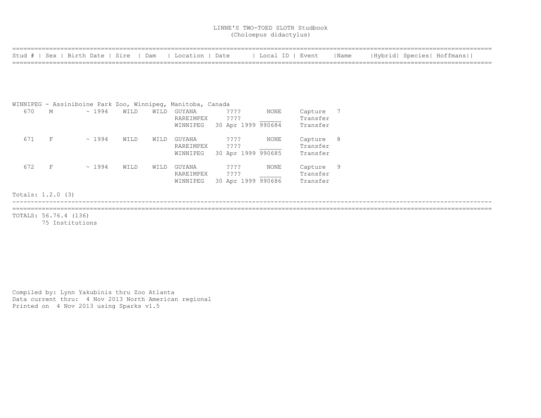|                   |   |                       |             | Stud #   Sex   Birth Date   Sire | Dam  | Location   Date                                             |                    | Local ID   Event |          | Name |  | Hybrid  Species  Hoffmans |
|-------------------|---|-----------------------|-------------|----------------------------------|------|-------------------------------------------------------------|--------------------|------------------|----------|------|--|---------------------------|
|                   |   |                       |             |                                  |      |                                                             |                    |                  |          |      |  |                           |
|                   |   |                       |             |                                  |      |                                                             |                    |                  |          |      |  |                           |
|                   |   |                       |             |                                  |      |                                                             |                    |                  |          |      |  |                           |
|                   |   |                       |             |                                  |      | WINNIPEG - Assiniboine Park Zoo, Winnipeg, Manitoba, Canada |                    |                  |          |      |  |                           |
| 670               | М |                       | $\sim 1994$ | WILD                             | WILD | GUYANA                                                      | ????               | NONE             | Capture  | 7    |  |                           |
|                   |   |                       |             |                                  |      | RAREIMPEX                                                   | ????               |                  | Transfer |      |  |                           |
|                   |   |                       |             |                                  |      | WINNIPEG                                                    | 30 Apr 1999 990684 |                  | Transfer |      |  |                           |
| 671               | F |                       | $\sim 1994$ | WILD                             | WILD | GUYANA                                                      | ? ? ? ?            | NONE             | Capture  | - 8  |  |                           |
|                   |   |                       |             |                                  |      | RAREIMPEX                                                   | $??\; ?$           |                  | Transfer |      |  |                           |
|                   |   |                       |             |                                  |      | WINNIPEG                                                    | 30 Apr 1999 990685 |                  | Transfer |      |  |                           |
| 672               | F |                       | $\sim 1994$ | WILD                             | WILD | GUYANA                                                      | $??\,?\,?$         | NONE             | Capture  | - 9  |  |                           |
|                   |   |                       |             |                                  |      | RAREIMPEX                                                   | $??\; ?$           |                  | Transfer |      |  |                           |
|                   |   |                       |             |                                  |      | WINNIPEG                                                    | 30 Apr 1999 990686 |                  | Transfer |      |  |                           |
| Totals: 1.2.0 (3) |   |                       |             |                                  |      |                                                             |                    |                  |          |      |  |                           |
|                   |   |                       |             |                                  |      |                                                             |                    |                  |          |      |  |                           |
|                   |   | TOTALS: 56.76.4 (136) |             |                                  |      |                                                             |                    |                  |          |      |  |                           |

75 Institutions

Compiled by: Lynn Yakubinis thru Zoo Atlanta Data current thru: 4 Nov 2013 North American regional Printed on 4 Nov 2013 using Sparks v1.5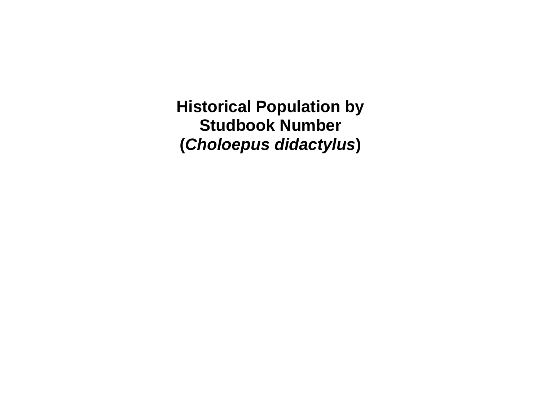**Historical Population by Studbook Number (***Choloepus didactylus***)**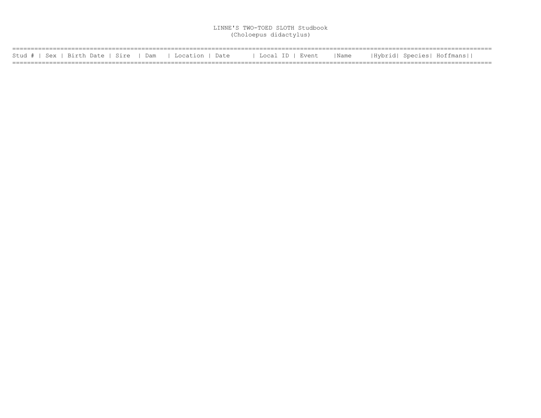| Stud #   Sex   Birth Date   Sire   Dam   Location   Date |  | l Local ID   Event | Name | Hybrid  Species  Hoffmans |
|----------------------------------------------------------|--|--------------------|------|---------------------------|
|                                                          |  |                    |      |                           |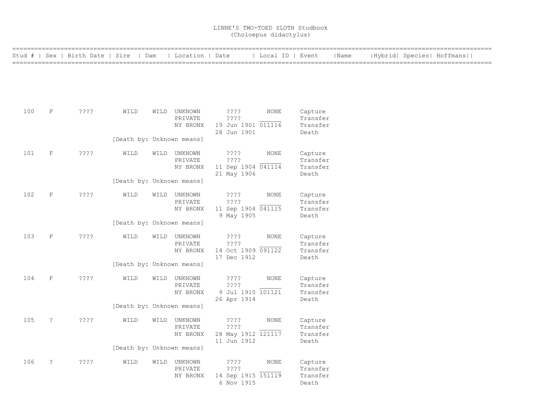|     |                      | Stud #   Sex   Birth Date   Sire   Dam |                           | Location   Date         |                                   | Local ID   Event |                     | Name | Hybrid  Species  Hoffmans |  |
|-----|----------------------|----------------------------------------|---------------------------|-------------------------|-----------------------------------|------------------|---------------------|------|---------------------------|--|
|     |                      |                                        |                           |                         |                                   |                  |                     |      |                           |  |
|     |                      |                                        |                           |                         |                                   |                  |                     |      |                           |  |
|     |                      |                                        |                           |                         |                                   |                  |                     |      |                           |  |
| 100 | $\mathbf F$          | $??\mathbf{??}$                        | WILD                      | WILD UNKNOWN<br>PRIVATE | ????<br>? ? ? ?                   | <b>NONE</b>      | Capture<br>Transfer |      |                           |  |
|     |                      |                                        |                           | NY BRONX                | 19 Jun 1901 011116<br>28 Jun 1901 |                  | Transfer<br>Death   |      |                           |  |
|     |                      |                                        | [Death by: Unknown means] |                         |                                   |                  |                     |      |                           |  |
| 101 | $\mathbf{F}$         | ? ? ? ?                                | WILD                      | WILD UNKNOWN<br>PRIVATE | ? ? ? ?<br>? ? ? ?                | <b>NONE</b>      | Capture<br>Transfer |      |                           |  |
|     |                      |                                        |                           | NY BRONX                | 11 Sep 1904 041114<br>21 May 1906 |                  | Transfer<br>Death   |      |                           |  |
|     |                      |                                        | [Death by: Unknown means] |                         |                                   |                  |                     |      |                           |  |
| 102 | $\mathbf F$          | ????                                   | WILD                      | WILD UNKNOWN<br>PRIVATE | ????<br>????                      | <b>NONE</b>      | Capture<br>Transfer |      |                           |  |
|     |                      |                                        |                           | NY BRONX                | 11 Sep 1904 041115<br>9 May 1905  |                  | Transfer<br>Death   |      |                           |  |
|     |                      |                                        | [Death by: Unknown means] |                         |                                   |                  |                     |      |                           |  |
| 103 | $\mathbf{F}$         | ????                                   | WILD                      | WILD UNKNOWN<br>PRIVATE | ????<br>????                      | <b>NONE</b>      | Capture<br>Transfer |      |                           |  |
|     |                      |                                        |                           | NY BRONX                | 14 Oct 1909 091122<br>17 Dec 1912 |                  | Transfer<br>Death   |      |                           |  |
|     |                      |                                        | [Death by: Unknown means] |                         |                                   |                  |                     |      |                           |  |
| 104 | $\mathbf F$          | ????                                   | WILD                      | WILD UNKNOWN<br>PRIVATE | ? ? ? ?<br>????                   | <b>NONE</b>      | Capture<br>Transfer |      |                           |  |
|     |                      |                                        |                           | NY BRONX                | 9 Jul 1910 101121                 |                  | Transfer            |      |                           |  |
|     |                      |                                        | [Death by: Unknown means] |                         | 26 Apr 1914                       |                  | Death               |      |                           |  |
| 105 | $\ddot{\cdot}$       | $??\,?\,?$                             | WILD                      | WILD UNKNOWN<br>PRIVATE | $??\,?\,?$<br>? ? ? ?             | <b>NONE</b>      | Capture<br>Transfer |      |                           |  |
|     |                      |                                        |                           | NY BRONX                | 28 May 1912 121117                |                  | Transfer            |      |                           |  |
|     |                      |                                        | [Death by: Unknown means] |                         | 11 Jun 1912                       |                  | Death               |      |                           |  |
| 106 | $\ddot{\phantom{0}}$ | $??\,?\,?$                             | WILD                      | WILD UNKNOWN            | ????<br>????                      | <b>NONE</b>      | Capture<br>Transfer |      |                           |  |
|     |                      |                                        |                           | PRIVATE<br>NY BRONX     | 14 Sep 1915 151119                |                  | Transfer            |      |                           |  |
|     |                      |                                        |                           |                         | 6 Nov 1915                        |                  | Death               |      |                           |  |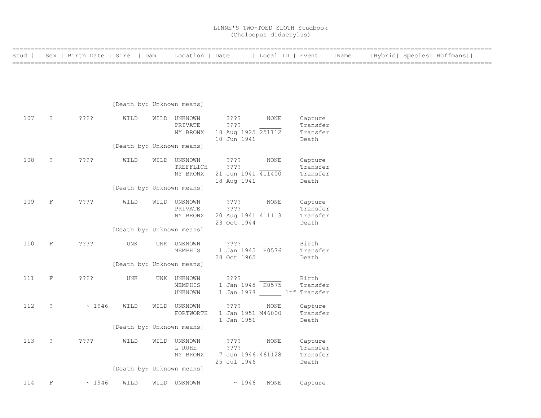| ============= |                      |                                        |                           |      |                                       |                                                         |                  |                                          |      |  |                           |  |
|---------------|----------------------|----------------------------------------|---------------------------|------|---------------------------------------|---------------------------------------------------------|------------------|------------------------------------------|------|--|---------------------------|--|
|               |                      | Stud #   Sex   Birth Date   Sire   Dam |                           |      | Location   Date                       |                                                         | Local ID   Event |                                          | Name |  | Hybrid  Species  Hoffmans |  |
|               |                      |                                        |                           |      |                                       |                                                         |                  |                                          |      |  |                           |  |
|               |                      |                                        | [Death by: Unknown means] |      |                                       |                                                         |                  |                                          |      |  |                           |  |
| 107           | $\ddot{\cdot}$       | ????                                   | WILD                      |      | WILD UNKNOWN<br>PRIVATE<br>NY BRONX   | ????<br>? ? ? ?<br>18 Aug 1925 251112<br>10 Jun 1941    | NONE             | Capture<br>Transfer<br>Transfer<br>Death |      |  |                           |  |
|               |                      |                                        | [Death by: Unknown means] |      |                                       |                                                         |                  |                                          |      |  |                           |  |
| 108           | $\ddot{\cdot}$       | ????                                   | WILD                      |      | WILD UNKNOWN<br>TREFFLICH<br>NY BRONX | $??\; ?$<br>????<br>21 Jun 1941 411400<br>18 Aug 1941   | NONE             | Capture<br>Transfer<br>Transfer<br>Death |      |  |                           |  |
|               |                      |                                        | [Death by: Unknown means] |      |                                       |                                                         |                  |                                          |      |  |                           |  |
| 109           | $\mathbf F$          | ????                                   | WILD                      |      | WILD UNKNOWN<br>PRIVATE<br>NY BRONX   | $??\ ??$<br>????<br>20 Aug 1941 411113<br>23 Oct 1944   | <b>NONE</b>      | Capture<br>Transfer<br>Transfer<br>Death |      |  |                           |  |
|               |                      |                                        | [Death by: Unknown means] |      |                                       |                                                         |                  |                                          |      |  |                           |  |
| 110           | $\mathbf F$          | ????                                   | <b>UNK</b>                |      | UNK UNKNOWN<br>MEMPHIS                | ????<br>1 Jan 1945 H0576<br>28 Oct 1965                 |                  | Birth<br>Transfer<br>Death               |      |  |                           |  |
|               |                      |                                        | [Death by: Unknown means] |      |                                       |                                                         |                  |                                          |      |  |                           |  |
| 111           | $\mathbf F$          | ????                                   | <b>UNK</b>                |      | UNK UNKNOWN<br>MEMPHIS<br>UNKNOWN     | ????<br>1 Jan 1945 H0575<br>1 Jan 1978 1tf Transfer     |                  | Birth<br>Transfer                        |      |  |                           |  |
| 112           | ?                    | ~1946                                  | WILD                      |      | WILD UNKNOWN<br>FORTWORTH             | ????<br>1 Jan 1951 M46000<br>1 Jan 1951                 | NONE             | Capture<br>Transfer<br>Death             |      |  |                           |  |
|               |                      |                                        | [Death by: Unknown means] |      |                                       |                                                         |                  |                                          |      |  |                           |  |
| 113           | $\ddot{\phantom{0}}$ | $??\mathbin{?}$                        | WILD                      |      | WILD UNKNOWN<br>L RUHE<br>NY BRONX    | $??\; ?$<br>? ? ? ?<br>7 Jun 1946 461128<br>25 Jul 1946 | NONE             | Capture<br>Transfer<br>Transfer<br>Death |      |  |                           |  |
|               |                      |                                        | [Death by: Unknown means] |      |                                       |                                                         |                  |                                          |      |  |                           |  |
| 114           | F                    | ~1946                                  | WILD                      | WILD | UNKNOWN                               | ~1946                                                   | <b>NONE</b>      | Capture                                  |      |  |                           |  |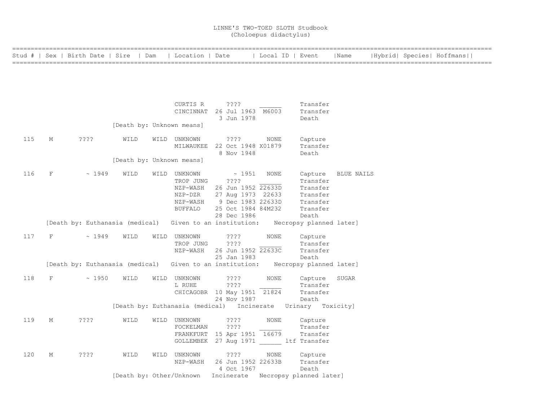|     |         | Stud #   Sex   Birth Date   Sire   Dam |                           |      | Location   Date           |                                                                         | Local ID   Event |                                  | Name       |  | Hybrid  Species  Hoffmans |
|-----|---------|----------------------------------------|---------------------------|------|---------------------------|-------------------------------------------------------------------------|------------------|----------------------------------|------------|--|---------------------------|
|     |         |                                        |                           |      |                           |                                                                         |                  |                                  |            |  |                           |
|     |         |                                        |                           |      |                           |                                                                         |                  |                                  |            |  |                           |
|     |         |                                        |                           |      | CURTIS R                  | ????                                                                    |                  | Transfer                         |            |  |                           |
|     |         |                                        |                           |      |                           | CINCINNAT 26 Jul 1963 M6003<br>3 Jun 1978                               |                  | Transfer<br>Death                |            |  |                           |
|     |         |                                        |                           |      | [Death by: Unknown means] |                                                                         |                  |                                  |            |  |                           |
| 115 | М       | ????                                   | WILD                      |      | WILD UNKNOWN<br>MILWAUKEE | ????<br>22 Oct 1948 X01879                                              | NONE             | Capture<br>Transfer              |            |  |                           |
|     |         |                                        |                           |      | [Death by: Unknown means] | 8 Nov 1948                                                              |                  | Death                            |            |  |                           |
| 116 | $\rm F$ | ~1949                                  | WILD                      | WILD | UNKNOWN                   | $\sim$ 1951<br>$??\mathord{?}\mathord{?}$                               | NONE             | Capture<br>Transfer              | BLUE NAILS |  |                           |
|     |         |                                        |                           |      | TROP JUNG<br>NZP-WASH     | 26 Jun 1952 22633D                                                      |                  | Transfer                         |            |  |                           |
|     |         |                                        |                           |      | NZP-DZR                   | 27 Aug 1973 22633                                                       |                  | Transfer                         |            |  |                           |
|     |         |                                        |                           |      | NZP-WASH                  | 9 Dec 1983 22633D                                                       |                  | Transfer                         |            |  |                           |
|     |         |                                        |                           |      | <b>BUFFALO</b>            | 25 Oct 1984 84M232                                                      |                  | Transfer                         |            |  |                           |
|     |         | [Death by: Euthanasia (medical)        |                           |      |                           | 28 Dec 1986<br>Given to an institution:                                 |                  | Death<br>Necropsy planned later] |            |  |                           |
| 117 | F       | ~1949                                  | WILD                      | WILD | UNKNOWN                   | $??\mathbin{?}$                                                         | NONE             | Capture                          |            |  |                           |
|     |         |                                        |                           |      | TROP JUNG                 | ????                                                                    |                  | Transfer                         |            |  |                           |
|     |         |                                        |                           |      | NZP-WASH                  | 26 Jun 1952 22633C                                                      |                  | Transfer                         |            |  |                           |
|     |         |                                        |                           |      |                           | 25 Jan 1983                                                             |                  | Death                            |            |  |                           |
|     |         | [Death by: Euthanasia (medical)        |                           |      |                           | Given to an institution: Necropsy planned later]                        |                  |                                  |            |  |                           |
| 118 | F       | ~1950                                  | WILD                      | WILD | UNKNOWN                   | ????                                                                    | NONE             | Capture                          | SUGAR      |  |                           |
|     |         |                                        |                           |      | L RUHE                    | ????<br>CHICAGOBR 10 May 1951 21824                                     |                  | Transfer<br>Transfer             |            |  |                           |
|     |         |                                        |                           |      |                           | 24 Nov 1987                                                             |                  | Death                            |            |  |                           |
|     |         |                                        |                           |      |                           | [Death by: Euthanasia (medical) Incinerate Urinary Toxicity]            |                  |                                  |            |  |                           |
| 119 | М       | ????                                   | WILD                      |      | WILD UNKNOWN              | $??\,?\,?$                                                              | <b>NONE</b>      | Capture                          |            |  |                           |
|     |         |                                        |                           |      | FOCKELMAN                 | ????                                                                    |                  | Transfer                         |            |  |                           |
|     |         |                                        |                           |      |                           | FRANKFURT 15 Apr 1951 16679<br>GOLLEMBEK 27 Aug 1971 _____ ltf Transfer |                  | Transfer                         |            |  |                           |
| 120 | М       | ????                                   | WILD                      |      | WILD UNKNOWN              | $??\mathord{?}\mathord{?}$                                              | NONE             | Capture                          |            |  |                           |
|     |         |                                        |                           |      | NZP-WASH                  | 26 Jun 1952 22633B                                                      |                  | Transfer                         |            |  |                           |
|     |         |                                        | [Death by: Other/Unknown] |      |                           | 4 Oct 1967                                                              |                  | Death                            |            |  |                           |
|     |         |                                        |                           |      |                           | Incinerate Necropsy planned later]                                      |                  |                                  |            |  |                           |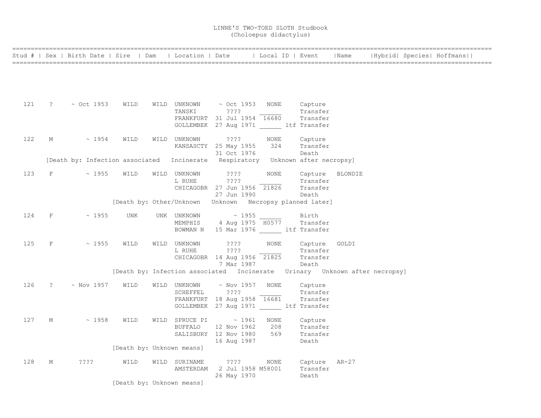|     |                        | Stud #   Sex   Birth Date   Sire   Dam   Location   Date                       |                                                                            |                        |                                           |            | Local ID   Event     | Name    |  | Hybrid  Species  Hoffmans |
|-----|------------------------|--------------------------------------------------------------------------------|----------------------------------------------------------------------------|------------------------|-------------------------------------------|------------|----------------------|---------|--|---------------------------|
|     |                        |                                                                                |                                                                            |                        |                                           |            |                      |         |  |                           |
|     |                        |                                                                                |                                                                            |                        |                                           |            |                      |         |  |                           |
|     |                        |                                                                                |                                                                            |                        |                                           |            |                      |         |  |                           |
|     |                        |                                                                                |                                                                            |                        |                                           |            |                      |         |  |                           |
| 121 |                        | $? \sim$ Oct 1953                                                              | WILD                                                                       | WILD UNKNOWN           | $\sim$ Oct 1953 – NONE                    |            | Capture              |         |  |                           |
|     |                        |                                                                                |                                                                            | TANSKI                 | ? ? ? ?<br>FRANKFURT 31 Jul 1954 16680    |            | Transfer<br>Transfer |         |  |                           |
|     |                        |                                                                                |                                                                            |                        | GOLLEMBEK 27 Aug 1971 ltf Transfer        |            |                      |         |  |                           |
|     |                        |                                                                                |                                                                            |                        |                                           |            |                      |         |  |                           |
| 122 | М                      | $\sim 1954$                                                                    | WILD                                                                       | WILD UNKNOWN           | ????                                      | NONE       | Capture              |         |  |                           |
|     |                        |                                                                                |                                                                            |                        | KANSASCTY 25 May 1955<br>31 Oct 1976      | 324        | Transfer<br>Death    |         |  |                           |
|     |                        | [Death by: Infection associated Incinerate Respiratory Unknown after necropsy] |                                                                            |                        |                                           |            |                      |         |  |                           |
|     |                        |                                                                                |                                                                            |                        |                                           |            |                      |         |  |                           |
| 123 | $F$ and the set of $F$ | $\sim 1955$                                                                    | WILD                                                                       | WILD UNKNOWN<br>L RUHE | ????<br>????                              | NONE       | Capture<br>Transfer  | BLONDIE |  |                           |
|     |                        |                                                                                |                                                                            |                        | CHICAGOBR 27 Jun 1956 21826               |            | Transfer             |         |  |                           |
|     |                        |                                                                                |                                                                            |                        | 27 Jun 1990                               |            | Death                |         |  |                           |
|     |                        |                                                                                | [Death by: Other/Unknown Unknown Necropsy planned later]                   |                        |                                           |            |                      |         |  |                           |
| 124 | $_{\rm F}$             | $\sim 1955$                                                                    | UNK                                                                        | UNK UNKNOWN            | $\sim$ 1955                               |            | Birth                |         |  |                           |
|     |                        |                                                                                |                                                                            | MEMPHIS                | 4 Aug 1975 H0577                          |            | Transfer             |         |  |                           |
|     |                        |                                                                                |                                                                            |                        | BOWMAN N 15 Mar 1976 ltf Transfer         |            |                      |         |  |                           |
| 125 | $\rm F$                | ~1955                                                                          | WILD                                                                       | WILD UNKNOWN           | ????                                      | NONE       | Capture              | GOLDI   |  |                           |
|     |                        |                                                                                |                                                                            | L RUHE                 | ????                                      |            | Transfer             |         |  |                           |
|     |                        |                                                                                |                                                                            |                        | CHICAGOBR 14 Aug 1956 21825               |            | Transfer             |         |  |                           |
|     |                        |                                                                                | [Death by: Infection associated Incinerate Urinary Unknown after necropsy] |                        | 7 Mar 1987                                |            | Death                |         |  |                           |
|     |                        |                                                                                |                                                                            |                        |                                           |            |                      |         |  |                           |
| 126 | $\ddot{?}$             | $\sim$ Nov 1957                                                                | WILD                                                                       | WILD UNKNOWN           | ~ Nov 1957                                | NONE       | Capture              |         |  |                           |
|     |                        |                                                                                |                                                                            | SCHEFFEL               | ????<br>FRANKFURT 18 Aug 1958 16681       |            | Transfer<br>Transfer |         |  |                           |
|     |                        |                                                                                |                                                                            |                        | GOLLEMBEK 27 Aug 1971 ______ ltf Transfer |            |                      |         |  |                           |
|     |                        |                                                                                |                                                                            |                        |                                           |            |                      |         |  |                           |
| 127 | М                      | ~1958                                                                          | WILD                                                                       | WILD SPRUCE PI         | $\sim 1961$                               | NONE       | Capture              |         |  |                           |
|     |                        |                                                                                |                                                                            | BUFFALO                | 12 Nov 1962<br>SALISBURY 12 Nov 1980      | 208<br>569 | Transfer<br>Transfer |         |  |                           |
|     |                        |                                                                                |                                                                            |                        | 16 Aug 1987                               |            | Death                |         |  |                           |
|     |                        |                                                                                | [Death by: Unknown means]                                                  |                        |                                           |            |                      |         |  |                           |
| 128 | М                      | ????                                                                           | WILD                                                                       | WILD SURINAME          | ????                                      | NONE       | Capture AR-27        |         |  |                           |
|     |                        |                                                                                |                                                                            |                        | AMSTERDAM 2 Jul 1958 M58001               |            | Transfer             |         |  |                           |
|     |                        |                                                                                |                                                                            |                        | 26 May 1970                               |            | Death                |         |  |                           |
|     |                        |                                                                                | [Death by: Unknown means]                                                  |                        |                                           |            |                      |         |  |                           |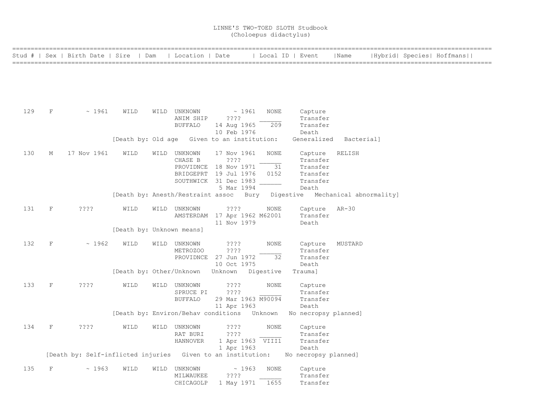|     |             | Stud #   Sex   Birth Date   Sire   Dam                      |                           | Location   Date           |                                             | Local ID   Event |                                                                          | Name       |  | Hybrid  Species  Hoffmans |  |
|-----|-------------|-------------------------------------------------------------|---------------------------|---------------------------|---------------------------------------------|------------------|--------------------------------------------------------------------------|------------|--|---------------------------|--|
|     |             |                                                             |                           |                           |                                             |                  |                                                                          |            |  |                           |  |
|     |             |                                                             |                           |                           |                                             |                  |                                                                          |            |  |                           |  |
|     |             |                                                             |                           |                           |                                             |                  |                                                                          |            |  |                           |  |
|     |             |                                                             |                           |                           |                                             |                  |                                                                          |            |  |                           |  |
| 129 | $\mathbf F$ | ~1961                                                       | WILD                      | WILD UNKNOWN<br>ANIM SHIP | ~1961<br>? ? ? ?                            | <b>NONE</b>      | Capture<br>Transfer                                                      |            |  |                           |  |
|     |             |                                                             |                           | <b>BUFFALO</b>            | 14 Aug 1965                                 | 209              | Transfer                                                                 |            |  |                           |  |
|     |             |                                                             |                           |                           | 10 Feb 1976                                 |                  | Death                                                                    |            |  |                           |  |
|     |             |                                                             |                           |                           | [Death by: Old age Given to an institution: |                  | Generalized                                                              | Bacterial] |  |                           |  |
| 130 | M           | 17 Nov 1961                                                 | WILD                      | WILD UNKNOWN              | 17 Nov 1961                                 | <b>NONE</b>      | Capture                                                                  | RELISH     |  |                           |  |
|     |             |                                                             |                           | CHASE B                   | ????<br>PROVIDNCE 18 Nov 1971               | 31               | Transfer<br>Transfer                                                     |            |  |                           |  |
|     |             |                                                             |                           |                           | BRIDGEPRT 19 Jul 1976                       | 0152             | Transfer                                                                 |            |  |                           |  |
|     |             |                                                             |                           |                           | SOUTHWICK 31 Dec 1983                       |                  | Transfer                                                                 |            |  |                           |  |
|     |             |                                                             |                           |                           | 5 Mar 1994                                  |                  | Death                                                                    |            |  |                           |  |
|     |             |                                                             |                           |                           |                                             |                  | [Death by: Anesth/Restraint assoc Bury Digestive Mechanical abnormality] |            |  |                           |  |
| 131 | $\rm F$     | ????                                                        | WILD                      | WILD UNKNOWN              | $??\ ??$                                    | NONE             | Capture                                                                  | AR-30      |  |                           |  |
|     |             |                                                             |                           |                           | AMSTERDAM 17 Apr 1962 M62001                |                  | Transfer                                                                 |            |  |                           |  |
|     |             |                                                             |                           |                           | 11 Nov 1979                                 |                  | Death                                                                    |            |  |                           |  |
|     |             |                                                             | [Death by: Unknown means] |                           |                                             |                  |                                                                          |            |  |                           |  |
| 132 | $\mathbf F$ | ~1962                                                       | WILD                      | WILD UNKNOWN              | ????                                        | <b>NONE</b>      | Capture                                                                  | MUSTARD    |  |                           |  |
|     |             |                                                             |                           | METROZOO                  | ????                                        |                  | Transfer                                                                 |            |  |                           |  |
|     |             |                                                             |                           |                           | PROVIDNCE 27 Jun 1972                       | 32               | Transfer                                                                 |            |  |                           |  |
|     |             |                                                             |                           |                           | 10 Oct 1975                                 |                  | Death                                                                    |            |  |                           |  |
|     |             |                                                             |                           |                           | [Death by: Other/Unknown Unknown Digestive  |                  | Trauma]                                                                  |            |  |                           |  |
| 133 | $\mathbf F$ | ????                                                        | WILD                      | WILD UNKNOWN              | 3333.                                       | NONE             | Capture                                                                  |            |  |                           |  |
|     |             |                                                             |                           | SPRUCE PI                 | ? ? ? ?                                     |                  | Transfer                                                                 |            |  |                           |  |
|     |             |                                                             |                           | <b>BUFFALO</b>            | 29 Mar 1963 M90094                          |                  | Transfer                                                                 |            |  |                           |  |
|     |             |                                                             |                           |                           | 11 Apr 1963                                 |                  | Death                                                                    |            |  |                           |  |
|     |             |                                                             |                           |                           | [Death by: Environ/Behav conditions Unknown |                  | No necropsy planned]                                                     |            |  |                           |  |
| 134 | F           | ????                                                        | WILD                      | WILD UNKNOWN              | ????                                        | <b>NONE</b>      | Capture                                                                  |            |  |                           |  |
|     |             |                                                             |                           | RAT BURI                  | ????                                        |                  | Transfer                                                                 |            |  |                           |  |
|     |             |                                                             |                           | <b>HANNOVER</b>           | 1 Apr 1963 VIII1                            |                  | Transfer                                                                 |            |  |                           |  |
|     |             |                                                             |                           |                           | 1 Apr 1963                                  |                  | Death                                                                    |            |  |                           |  |
|     |             | [Death by: Self-inflicted injuries Given to an institution: |                           |                           |                                             |                  | No necropsy planned]                                                     |            |  |                           |  |
| 135 | F           | ~1963                                                       | WILD                      | WILD UNKNOWN              | ~1963                                       | <b>NONE</b>      | Capture                                                                  |            |  |                           |  |
|     |             |                                                             |                           | MILWAUKEE                 | ????                                        |                  | Transfer                                                                 |            |  |                           |  |
|     |             |                                                             |                           | CHICAGOLP                 | 1 May 1971                                  | 1655             | Transfer                                                                 |            |  |                           |  |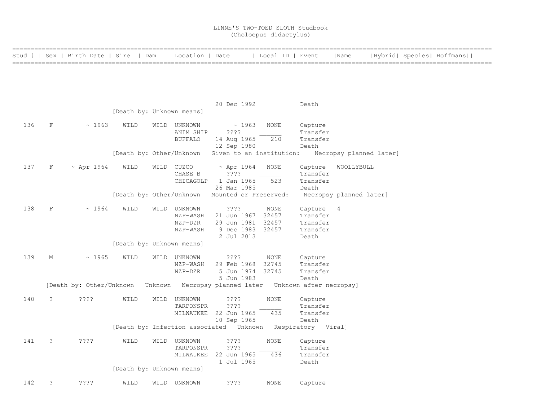|     |                      | Stud #   Sex   Birth Date   Sire   Dam   Location   Date |                           |                |                                                            | Local ID   Event |                   | Name                    |  | Hybrid  Species  Hoffmans |  |
|-----|----------------------|----------------------------------------------------------|---------------------------|----------------|------------------------------------------------------------|------------------|-------------------|-------------------------|--|---------------------------|--|
|     |                      |                                                          |                           |                |                                                            |                  |                   |                         |  |                           |  |
|     |                      |                                                          |                           |                |                                                            |                  |                   |                         |  |                           |  |
|     |                      |                                                          |                           |                |                                                            |                  |                   |                         |  |                           |  |
|     |                      |                                                          |                           |                |                                                            |                  |                   |                         |  |                           |  |
|     |                      |                                                          |                           |                |                                                            |                  |                   |                         |  |                           |  |
|     |                      |                                                          |                           |                | 20 Dec 1992                                                |                  | Death             |                         |  |                           |  |
|     |                      |                                                          | [Death by: Unknown means] |                |                                                            |                  |                   |                         |  |                           |  |
| 136 | $\rm F$              | ~1963                                                    | WILD                      | WILD UNKNOWN   | ~1963                                                      | <b>NONE</b>      | Capture           |                         |  |                           |  |
|     |                      |                                                          |                           | ANIM SHIP      | ????                                                       |                  | Transfer          |                         |  |                           |  |
|     |                      |                                                          |                           | <b>BUFFALO</b> | 14 Aug 1965                                                | 210              | Transfer          |                         |  |                           |  |
|     |                      |                                                          |                           |                | 12 Sep 1980                                                |                  | Death             |                         |  |                           |  |
|     |                      |                                                          |                           |                | [Death by: Other/Unknown Given to an institution:          |                  |                   | Necropsy planned later] |  |                           |  |
|     |                      |                                                          |                           |                |                                                            |                  |                   |                         |  |                           |  |
| 137 | F                    | $~\sim$ Apr 1964                                         | WILD                      | WILD CUZCO     | $~\sim$ Apr 1964                                           | <b>NONE</b>      | Capture           | WOOLLYBULL              |  |                           |  |
|     |                      |                                                          |                           | CHASE B        | ? ? ? ?                                                    |                  | Transfer          |                         |  |                           |  |
|     |                      |                                                          |                           | CHICAGOLP      | 1 Jan 1965<br>26 Mar 1985                                  | 523              | Transfer<br>Death |                         |  |                           |  |
|     |                      |                                                          |                           |                | [Death by: Other/Unknown Mounted or Preserved:             |                  |                   | Necropsy planned later] |  |                           |  |
|     |                      |                                                          |                           |                |                                                            |                  |                   |                         |  |                           |  |
| 138 | $_{\rm F}$           | ~1964                                                    | WILD                      | WILD UNKNOWN   | ????                                                       | NONE             | Capture           | - 4                     |  |                           |  |
|     |                      |                                                          |                           | NZP-WASH       | 21 Jun 1967 32457                                          |                  | Transfer          |                         |  |                           |  |
|     |                      |                                                          |                           | NZP-DZR        | 29 Jun 1981 32457                                          |                  | Transfer          |                         |  |                           |  |
|     |                      |                                                          |                           | NZP-WASH       | 9 Dec 1983 32457                                           |                  | Transfer          |                         |  |                           |  |
|     |                      |                                                          | [Death by: Unknown means] |                | 2 Jul 2013                                                 |                  | Death             |                         |  |                           |  |
|     |                      |                                                          |                           |                |                                                            |                  |                   |                         |  |                           |  |
| 139 | М                    | ~1965                                                    | WILD                      | WILD UNKNOWN   | $??\,?\,?$                                                 | NONE             | Capture           |                         |  |                           |  |
|     |                      |                                                          |                           | NZP-WASH       | 29 Feb 1968                                                | 32745            | Transfer          |                         |  |                           |  |
|     |                      |                                                          |                           | NZP-DZR        | 5 Jun 1974 32745                                           |                  | Transfer          |                         |  |                           |  |
|     |                      |                                                          |                           |                | 5 Jun 1983                                                 |                  | Death             |                         |  |                           |  |
|     |                      | [Death by: Other/Unknown                                 |                           |                | Unknown Necropsy planned later Unknown after necropsy]     |                  |                   |                         |  |                           |  |
| 140 | $\ddot{\phantom{0}}$ | ????                                                     | WILD                      | WILD UNKNOWN   | ????                                                       | <b>NONE</b>      | Capture           |                         |  |                           |  |
|     |                      |                                                          |                           | TARPONSPR      | ? ? ? ?                                                    |                  | Transfer          |                         |  |                           |  |
|     |                      |                                                          |                           |                | MILWAUKEE 22 Jun 1965                                      | 435              | Transfer          |                         |  |                           |  |
|     |                      |                                                          |                           |                | 10 Sep 1965                                                |                  | Death             |                         |  |                           |  |
|     |                      |                                                          |                           |                | [Death by: Infection associated Unknown Respiratory Viral] |                  |                   |                         |  |                           |  |
| 141 | $\ddot{\phantom{0}}$ | $??\mathbin{?}$                                          | WILD                      | WILD UNKNOWN   | $??\,?\,?$                                                 | NONE             | Capture           |                         |  |                           |  |
|     |                      |                                                          |                           | TARPONSPR      | ????                                                       |                  | Transfer          |                         |  |                           |  |
|     |                      |                                                          |                           |                | MILWAUKEE 22 Jun 1965                                      | 436              | Transfer          |                         |  |                           |  |
|     |                      |                                                          |                           |                | 1 Jul 1965                                                 |                  | Death             |                         |  |                           |  |
|     |                      |                                                          | [Death by: Unknown means] |                |                                                            |                  |                   |                         |  |                           |  |
|     |                      |                                                          |                           |                |                                                            |                  |                   |                         |  |                           |  |
| 142 | $\ddot{\phantom{0}}$ | ????                                                     | WILD                      | WILD UNKNOWN   | ? ? ? ?                                                    | <b>NONE</b>      | Capture           |                         |  |                           |  |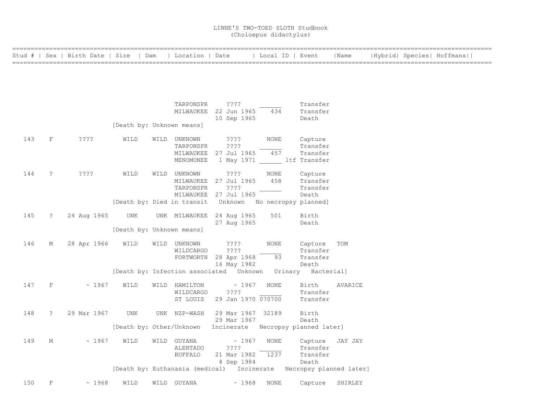| Stud # |                      | Sex   Birth Date   Sire   Dam |                           | Location   Date            |                                                             | Local ID   Event     |                         | Name    |  | Hybrid  Species  Hoffmans |  |
|--------|----------------------|-------------------------------|---------------------------|----------------------------|-------------------------------------------------------------|----------------------|-------------------------|---------|--|---------------------------|--|
|        |                      |                               |                           |                            |                                                             |                      |                         |         |  |                           |  |
|        |                      |                               |                           |                            |                                                             |                      |                         |         |  |                           |  |
|        |                      |                               |                           |                            |                                                             |                      |                         |         |  |                           |  |
|        |                      |                               |                           | TARPONSPR                  | $??\,?\,?$                                                  |                      | Transfer                |         |  |                           |  |
|        |                      |                               |                           | MILWAUKEE                  | 22 Jun 1965                                                 | 434                  | Transfer                |         |  |                           |  |
|        |                      |                               |                           |                            | 10 Sep 1965                                                 |                      | Death                   |         |  |                           |  |
|        |                      |                               | [Death by: Unknown means] |                            |                                                             |                      |                         |         |  |                           |  |
| 143    | $\mathbf F$          | $??\cdot?$                    | WILD                      | WILD UNKNOWN               | $??\mathbin{?}$                                             | <b>NONE</b>          | Capture                 |         |  |                           |  |
|        |                      |                               |                           | TARPONSPR                  | ????                                                        |                      | Transfer                |         |  |                           |  |
|        |                      |                               |                           | MILWAUKEE<br>MENOMONEE     | 27 Jul 1965<br>1 May 1971                                   | 457<br>ltf Transfer  | Transfer                |         |  |                           |  |
|        |                      |                               |                           |                            |                                                             |                      |                         |         |  |                           |  |
| 144    | $\ddot{\phantom{0}}$ | ????                          | WILD                      | WILD UNKNOWN               | ? ? ? ?                                                     | NONE                 | Capture                 |         |  |                           |  |
|        |                      |                               |                           | MILWAUKEE                  | 27 Jul 1965                                                 | 458                  | Transfer                |         |  |                           |  |
|        |                      |                               |                           | TARPONSPR                  | ????                                                        |                      | Transfer                |         |  |                           |  |
|        |                      |                               |                           | MILWAUKEE                  | 27 Jul 1965                                                 |                      | Death                   |         |  |                           |  |
|        |                      |                               |                           | [Death by: Died in transit | Unknown                                                     | No necropsy planned] |                         |         |  |                           |  |
| 145    | $\ddot{\phantom{0}}$ | 24 Aug 1965                   | UNK                       | UNK MILWAUKEE              | 24 Aug 1965                                                 | 501                  | Birth                   |         |  |                           |  |
|        |                      |                               |                           |                            | 27 Aug 1965                                                 |                      | Death                   |         |  |                           |  |
|        |                      |                               | [Death by: Unknown means] |                            |                                                             |                      |                         |         |  |                           |  |
| 146    | М                    | 28 Apr 1966                   | WILD                      | WILD UNKNOWN               | ? ? ? ?                                                     | <b>NONE</b>          | Capture                 | TOM     |  |                           |  |
|        |                      |                               |                           | WILDCARGO                  | ????                                                        |                      | Transfer                |         |  |                           |  |
|        |                      |                               |                           |                            | FORTWORTH 28 Apr 1968                                       | 93                   | Transfer                |         |  |                           |  |
|        |                      |                               |                           |                            | 16 May 1982                                                 |                      | Death                   |         |  |                           |  |
|        |                      |                               |                           |                            | [Death by: Infection associated Unknown Urinary Bacterial]  |                      |                         |         |  |                           |  |
| 147    | $\mathbf F$          | ~1967                         | WILD                      | WILD HAMILTON              | ~1967                                                       | <b>NONE</b>          | Birth                   | AVARICE |  |                           |  |
|        |                      |                               |                           | WILDCARGO                  | ????                                                        |                      | Transfer                |         |  |                           |  |
|        |                      |                               |                           | ST LOUIS                   | 29 Jan 1970 070700                                          |                      | Transfer                |         |  |                           |  |
| 148    | $\tilde{?}$          | 29 Mar 1967                   | UNK                       | UNK NZP-WASH               |                                                             | 32189                | Birth                   |         |  |                           |  |
|        |                      |                               |                           |                            | 29 Mar 1967<br>29 Mar 1967                                  |                      | Death                   |         |  |                           |  |
|        |                      |                               |                           |                            | [Death by: Other/Unknown Incinerate Necropsy planned later] |                      |                         |         |  |                           |  |
|        |                      |                               |                           |                            |                                                             |                      |                         |         |  |                           |  |
| 149    | М                    | ~1967                         | WILD                      | WILD GUYANA                | ~1967                                                       | NONE                 | Capture                 | JAY JAY |  |                           |  |
|        |                      |                               |                           | ALENTADO                   | ????                                                        |                      | Transfer                |         |  |                           |  |
|        |                      |                               |                           | <b>BUFFALO</b>             | 21 Mar 1982                                                 | 1237                 | Transfer                |         |  |                           |  |
|        |                      |                               |                           |                            | 8 Sep 1984                                                  |                      | Death                   |         |  |                           |  |
|        |                      |                               |                           |                            | [Death by: Euthanasia (medical) Incinerate                  |                      | Necropsy planned later] |         |  |                           |  |
| 150    | $\mathbf F$          | ~1968                         | WILD                      | WILD GUYANA                | ~1968                                                       | <b>NONE</b>          | Capture                 | SHIRLEY |  |                           |  |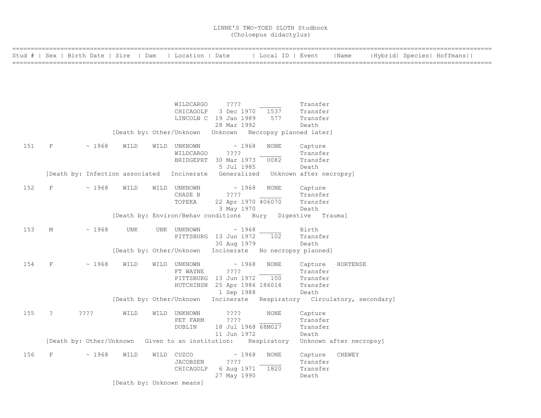|  |  | Stud #   Sex   Birth Date   Sire   Dam   Location   Date   Local ID   Event   Name   Hybrid   Species   Hoffmans |
|--|--|------------------------------------------------------------------------------------------------------------------|
|  |  |                                                                                                                  |
|  |  |                                                                                                                  |
|  |  |                                                                                                                  |
|  |  |                                                                                                                  |

|     |                     |             |                                   | WILDCARGO                          | ????<br>CHICAGOLP 3 Dec 1970 1537<br>LINCOLN C 19 Jan 1989                                 | 577                       | Transfer<br>Transfer<br>Transfer                                                        |
|-----|---------------------|-------------|-----------------------------------|------------------------------------|--------------------------------------------------------------------------------------------|---------------------------|-----------------------------------------------------------------------------------------|
|     |                     |             |                                   |                                    | 28 Mar 1992<br>[Death by: Other/Unknown Unknown Necropsy planned later]                    |                           | Death                                                                                   |
| 151 | F                   | ~1968       | WILD                              | WILD UNKNOWN<br>WILDCARGO          | $\sim 1968$<br>????<br>BRIDGEPRT 30 Mar 1973                                               | NONE<br>0082              | Capture<br>Transfer<br>Transfer                                                         |
|     |                     |             |                                   |                                    | 5 Jul 1985                                                                                 |                           | Death<br>[Death by: Infection associated Incinerate Generalized Unknown after necropsy] |
| 152 | F                   | ~1968       | WILD                              | WILD UNKNOWN<br>CHASE B<br>TOPEKA  | $\sim 1968$<br>????<br>22 Apr 1970 406070<br>3 May 1970                                    | NONE                      | Capture<br>Transfer<br>Transfer<br>Death                                                |
|     |                     |             |                                   |                                    |                                                                                            |                           | [Death by: Environ/Behav conditions Bury Digestive Trauma]                              |
| 153 | М                   | ~1968       | UNK                               | UNK UNKNOWN                        | $\sim 1968$<br>PITTSBURG 13 Jun 1972<br>30 Aug 1979                                        | 102                       | Birth<br>Transfer<br>Death                                                              |
|     |                     |             |                                   |                                    | [Death by: Other/Unknown Incinerate No necropsy planned]                                   |                           |                                                                                         |
| 154 | F                   | $\sim 1968$ | WILD                              | WILD UNKNOWN<br>FT WAYNE           | $\sim 1968$<br>????<br>PITTSBURG 13 Jun 1972<br>HUTCHINSN 25 Apr 1986 186014<br>1 Sep 1988 | NONE<br>$\frac{100}{100}$ | Capture HORTENSE<br>Transfer<br>Transfer<br>Transfer<br>Death                           |
|     |                     |             |                                   | [Death by: Other/Unknown           |                                                                                            |                           | Incinerate Respiratory Circulatory, secondary]                                          |
| 155 | $\ddot{\mathbf{c}}$ | ????        | WILD                              | WILD UNKNOWN<br>PET FARM<br>DUBLIN | ????<br>$??\mathrel{?}?$<br>18 Jul 1968 68M027<br>11 Jun 1972                              | NONE                      | Capture<br>Transfer<br>Transfer<br>Death                                                |
|     |                     |             |                                   |                                    | [Death by: Other/Unknown Given to an institution: Respiratory                              |                           | Unknown after necropsy]                                                                 |
| 156 | F                   | ~1968       | WILD<br>[Death by: Unknown means] | WILD CUZCO<br>JACOBSEN             | $\sim 1968$<br>????<br>CHICAGOLP 6 Aug 1971<br>27 May 1990                                 | NONE<br>1820              | Capture<br>CHEWEY<br>Transfer<br>Transfer<br>Death                                      |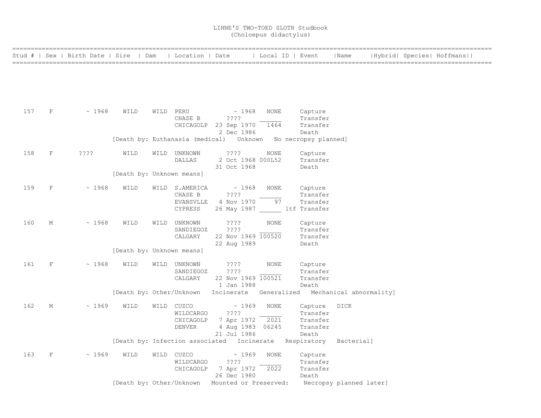|     |   | Stud #   Sex   Birth Date   Sire   Dam   Location   Date |                           |                             |                                                              | Local ID   Event |                      | Name                                                                    | Hybrid  Species  Hoffmans |  |
|-----|---|----------------------------------------------------------|---------------------------|-----------------------------|--------------------------------------------------------------|------------------|----------------------|-------------------------------------------------------------------------|---------------------------|--|
|     |   |                                                          |                           |                             |                                                              |                  |                      |                                                                         |                           |  |
|     |   |                                                          |                           |                             |                                                              |                  |                      |                                                                         |                           |  |
|     |   |                                                          |                           |                             |                                                              |                  |                      |                                                                         |                           |  |
| 157 | F | $\sim 1968$                                              | WILD                      | WILD PERU                   | $\sim 1968$                                                  | NONE             | Capture              |                                                                         |                           |  |
|     |   |                                                          |                           | CHASE B                     | ????                                                         |                  | Transfer             |                                                                         |                           |  |
|     |   |                                                          |                           |                             | CHICAGOLP 23 Sep 1970<br>2 Dec 1986                          | 1464             | Transfer<br>Death    |                                                                         |                           |  |
|     |   |                                                          |                           |                             | [Death by: Euthanasia (medical) Unknown No necropsy planned] |                  |                      |                                                                         |                           |  |
| 158 | F | ? ? ? ?                                                  | WILD                      | WILD UNKNOWN                | ????                                                         | NONE             | Capture              |                                                                         |                           |  |
|     |   |                                                          |                           | <b>DALLAS</b>               | 2 Oct 1968 000L52<br>31 Oct 1968                             |                  | Transfer<br>Death    |                                                                         |                           |  |
|     |   |                                                          | [Death by: Unknown means] |                             |                                                              |                  |                      |                                                                         |                           |  |
| 159 | F | ~1968                                                    | WILD                      | WILD S.AMERICA              | $\sim 1968$                                                  | NONE             | Capture              |                                                                         |                           |  |
|     |   |                                                          |                           | CHASE B                     | $??\ ??$                                                     | 97               | Transfer             |                                                                         |                           |  |
|     |   |                                                          |                           | <b>EVANSVLLE</b><br>CYPRESS | 4 Nov 1970<br>26 May 1987 ltf Transfer                       |                  | Transfer             |                                                                         |                           |  |
|     |   |                                                          |                           |                             |                                                              |                  |                      |                                                                         |                           |  |
| 160 | М | ~1968                                                    | WILD                      | WILD UNKNOWN                | ????                                                         | NONE             | Capture              |                                                                         |                           |  |
|     |   |                                                          |                           | SANDIEGOZ<br>CALGARY        | ????<br>22 Nov 1969 100520                                   |                  | Transfer<br>Transfer |                                                                         |                           |  |
|     |   |                                                          |                           |                             | 22 Aug 1989                                                  |                  | Death                |                                                                         |                           |  |
|     |   |                                                          | [Death by: Unknown means] |                             |                                                              |                  |                      |                                                                         |                           |  |
| 161 | F | ~1968                                                    | WILD                      | WILD UNKNOWN                | $??\mathbin{?}$                                              | NONE             | Capture              |                                                                         |                           |  |
|     |   |                                                          |                           | SANDIEGOZ                   | ????                                                         |                  | Transfer             |                                                                         |                           |  |
|     |   |                                                          |                           | CALGARY                     | 22 Nov 1969 100521<br>1 Jan 1988                             |                  | Transfer<br>Death    |                                                                         |                           |  |
|     |   |                                                          |                           |                             |                                                              |                  |                      | [Death by: Other/Unknown Incinerate Generalized Mechanical abnormality] |                           |  |
| 162 | М | ~1969                                                    | WILD                      | WILD CUZCO                  | ~1969                                                        | <b>NONE</b>      | Capture              | DICK                                                                    |                           |  |
|     |   |                                                          |                           | WILDCARGO                   | ????                                                         |                  | Transfer             |                                                                         |                           |  |
|     |   |                                                          |                           | CHICAGOLP                   | 7 Apr 1972 2021                                              |                  | Transfer             |                                                                         |                           |  |
|     |   |                                                          |                           | DENVER                      | 4 Aug 1983 06245<br>21 Jul 1986                              |                  | Transfer<br>Death    |                                                                         |                           |  |
|     |   |                                                          |                           |                             | [Death by: Infection associated Incinerate Respiratory       |                  |                      | Bacterial]                                                              |                           |  |
| 163 | F | ~1969                                                    | WILD                      | WILD CUZCO                  | $\sim 1969$                                                  | <b>NONE</b>      | Capture              |                                                                         |                           |  |
|     |   |                                                          |                           | WILDCARGO                   | ????                                                         |                  | Transfer             |                                                                         |                           |  |
|     |   |                                                          |                           | CHICAGOLP                   | 7 Apr 1972                                                   | 2022             | Transfer             |                                                                         |                           |  |
|     |   |                                                          | [Death by: Other/Unknown  |                             | 26 Dec 1980<br>Mounted or Preserved:                         |                  | Death                |                                                                         |                           |  |
|     |   |                                                          |                           |                             |                                                              |                  |                      | Necropsy planned later]                                                 |                           |  |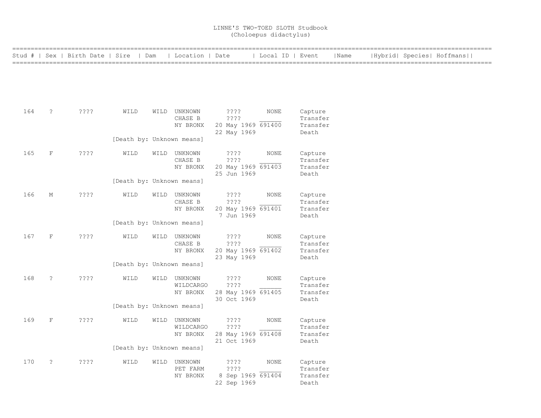| =============== |                      |                                        |                           |                                       |                                                         |                  |                                          |      |  |                           |  |
|-----------------|----------------------|----------------------------------------|---------------------------|---------------------------------------|---------------------------------------------------------|------------------|------------------------------------------|------|--|---------------------------|--|
|                 |                      | Stud #   Sex   Birth Date   Sire   Dam |                           | Location   Date                       |                                                         | Local ID   Event |                                          | Name |  | Hybrid  Species  Hoffmans |  |
|                 |                      |                                        |                           |                                       |                                                         |                  |                                          |      |  |                           |  |
| 164             | $\ddot{\phantom{0}}$ | ????                                   | WILD                      | WILD UNKNOWN<br>CHASE B<br>NY BRONX   | ????<br>? ? ? ?<br>20 May 1969 691400<br>22 May 1969    | NONE             | Capture<br>Transfer<br>Transfer<br>Death |      |  |                           |  |
|                 |                      |                                        | [Death by: Unknown means] |                                       |                                                         |                  |                                          |      |  |                           |  |
| 165             | $\rm F$              | $??\ ??$                               | WILD                      | WILD UNKNOWN<br>CHASE B<br>NY BRONX   | ????<br>? ? ? ?<br>20 May 1969 691403<br>25 Jun 1969    | <b>NONE</b>      | Capture<br>Transfer<br>Transfer<br>Death |      |  |                           |  |
|                 |                      |                                        | [Death by: Unknown means] |                                       |                                                         |                  |                                          |      |  |                           |  |
| 166             | $\mathbf M$          | ????                                   | WILD                      | WILD UNKNOWN<br>CHASE B<br>NY BRONX   | $??\; ?$<br>? ? ? ?<br>20 May 1969 691401<br>7 Jun 1969 | NONE             | Capture<br>Transfer<br>Transfer<br>Death |      |  |                           |  |
|                 |                      |                                        | [Death by: Unknown means] |                                       |                                                         |                  |                                          |      |  |                           |  |
| 167             | $\rm F$              | $??\ ??$                               | WILD                      | WILD UNKNOWN<br>CHASE B<br>NY BRONX   | ? ? ? ?<br>????<br>20 May 1969 691402<br>23 May 1969    | NONE             | Capture<br>Transfer<br>Transfer<br>Death |      |  |                           |  |
|                 |                      |                                        | [Death by: Unknown means] |                                       |                                                         |                  |                                          |      |  |                           |  |
| 168             | $\tilde{z}$          | ????                                   | WILD                      | WILD UNKNOWN<br>WILDCARGO<br>NY BRONX | ? ? ? ?<br>????<br>28 May 1969 691405<br>30 Oct 1969    | NONE             | Capture<br>Transfer<br>Transfer<br>Death |      |  |                           |  |
|                 |                      |                                        | [Death by: Unknown means] |                                       |                                                         |                  |                                          |      |  |                           |  |
| 169             | $_{\rm F}$           | $??\mathbf{??}$                        | WILD                      | WILD UNKNOWN<br>WILDCARGO<br>NY BRONX | ????<br>????<br>28 May 1969 691408<br>21 Oct 1969       | NONE             | Capture<br>Transfer<br>Transfer<br>Death |      |  |                           |  |
|                 |                      |                                        | [Death by: Unknown means] |                                       |                                                         |                  |                                          |      |  |                           |  |
| 170             | $\ddot{\cdot}$       | $??\mathrel{?}\mathrel{?}$             | WILD                      | WILD UNKNOWN<br>PET FARM<br>NY BRONX  | ????<br>????<br>8 Sep 1969 691404<br>22 Sep 1969        | NONE             | Capture<br>Transfer<br>Transfer<br>Death |      |  |                           |  |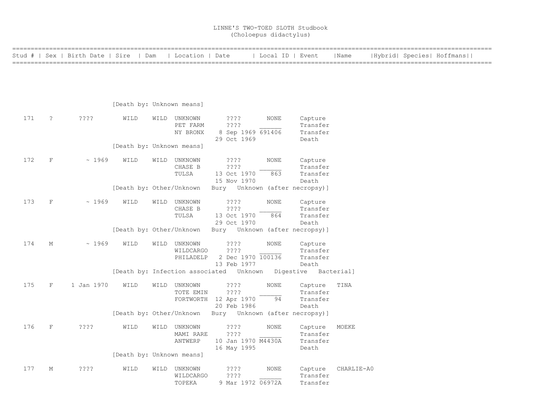| =============<br>Stud # |              | Sex   Birth Date   Sire   Dam |                           |      | Location   Date                        |                                                              | Local ID   Event   |                                          | Name       |  | Hybrid  Species  Hoffmans |  |
|-------------------------|--------------|-------------------------------|---------------------------|------|----------------------------------------|--------------------------------------------------------------|--------------------|------------------------------------------|------------|--|---------------------------|--|
|                         |              |                               |                           |      |                                        |                                                              |                    |                                          |            |  |                           |  |
|                         |              |                               | [Death by: Unknown means] |      |                                        |                                                              |                    |                                          |            |  |                           |  |
| 171                     | $\cdot$      | ????                          | WILD                      |      | WILD UNKNOWN<br>PET FARM<br>NY BRONX   | ????<br>????<br>8 Sep 1969 691406<br>29 Oct 1969             | NONE               | Capture<br>Transfer<br>Transfer<br>Death |            |  |                           |  |
|                         |              |                               | [Death by: Unknown means] |      |                                        |                                                              |                    |                                          |            |  |                           |  |
| 172                     | $\mathbf F$  | ~1969                         | WILD                      |      | WILD UNKNOWN<br>CHASE B<br>TULSA       | $??\$<br>$??\,?\,?$<br>13 Oct 1970<br>15 Nov 1970            | NONE<br>863        | Capture<br>Transfer<br>Transfer<br>Death |            |  |                           |  |
|                         |              |                               | [Death by: Other/Unknown  |      |                                        | Bury Unknown (after necropsy)]                               |                    |                                          |            |  |                           |  |
| 173                     | $\mathbf F$  | ~1969                         | WILD                      | WILD | UNKNOWN<br>CHASE B<br>TULSA            | ? ? ? ?<br>????<br>13 Oct 1970<br>29 Oct 1970                | <b>NONE</b><br>864 | Capture<br>Transfer<br>Transfer<br>Death |            |  |                           |  |
|                         |              |                               |                           |      |                                        | [Death by: Other/Unknown Bury Unknown (after necropsy)]      |                    |                                          |            |  |                           |  |
| 174                     | М            | ~1969                         | WILD                      |      | WILD UNKNOWN<br>WILDCARGO<br>PHILADELP | ????<br>????<br>2 Dec 1970 100136<br>13 Feb 1977             | <b>NONE</b>        | Capture<br>Transfer<br>Transfer<br>Death |            |  |                           |  |
|                         |              |                               |                           |      |                                        | [Death by: Infection associated Unknown Digestive Bacterial] |                    |                                          |            |  |                           |  |
| 175                     | $\mathbf{F}$ | 1 Jan 1970                    | WILD                      |      | WILD UNKNOWN<br>TOTE EMIN              | ????<br>$??\,?\,?$<br>FORTWORTH 12 Apr 1970<br>20 Feb 1986   | <b>NONE</b><br>94  | Capture<br>Transfer<br>Transfer<br>Death | TINA       |  |                           |  |
|                         |              |                               | [Death by: Other/Unknown  |      |                                        | Bury – Unknown (after necropsy)]                             |                    |                                          |            |  |                           |  |
| 176                     | $\mathbf F$  | ????                          | WILD                      | WILD | UNKNOWN<br>MAMI RARE<br>ANTWERP        | $??\; ?$<br>????<br>10 Jan 1970 M4430A<br>16 May 1995        | NONE               | Capture<br>Transfer<br>Transfer<br>Death | MOEKE      |  |                           |  |
|                         |              |                               | [Death by: Unknown means] |      |                                        |                                                              |                    |                                          |            |  |                           |  |
| 177                     | М            | $??\ ??$                      | WILD                      |      | WILD UNKNOWN<br>WILDCARGO<br>TOPEKA    | $??\,?\,?$<br>$??\ ??$<br>9 Mar 1972 06972A                  | <b>NONE</b>        | Capture<br>Transfer<br>Transfer          | CHARLIE-A0 |  |                           |  |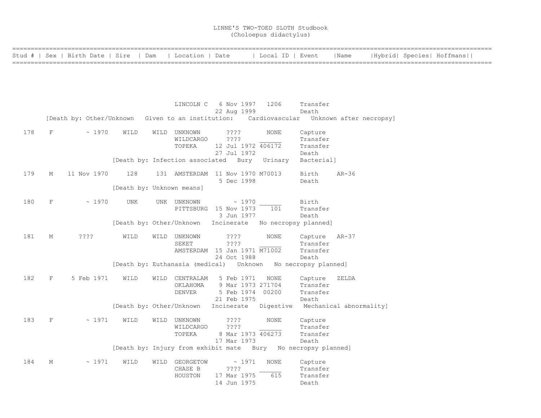|     |             | Stud #   Sex   Birth Date   Sire   Dam                                                   |                           | Location   Date                 |                                                                    | Local ID   Event                  |                   | Name    |  | Hybrid  Species  Hoffmans |
|-----|-------------|------------------------------------------------------------------------------------------|---------------------------|---------------------------------|--------------------------------------------------------------------|-----------------------------------|-------------------|---------|--|---------------------------|
|     |             |                                                                                          |                           |                                 |                                                                    |                                   |                   |         |  |                           |
|     |             |                                                                                          |                           |                                 |                                                                    |                                   |                   |         |  |                           |
|     |             |                                                                                          |                           |                                 |                                                                    |                                   |                   |         |  |                           |
|     |             |                                                                                          |                           |                                 |                                                                    |                                   |                   |         |  |                           |
|     |             |                                                                                          |                           |                                 | LINCOLN C 6 Nov 1997 1206                                          |                                   | Transfer          |         |  |                           |
|     |             |                                                                                          |                           |                                 | 22 Aug 1999                                                        |                                   | Death             |         |  |                           |
|     |             | [Death by: Other/Unknown Given to an institution: Cardiovascular Unknown after necropsy] |                           |                                 |                                                                    |                                   |                   |         |  |                           |
| 178 | F           | ~1970                                                                                    | WILD                      | WILD UNKNOWN                    | ????                                                               | NONE                              | Capture           |         |  |                           |
|     |             |                                                                                          |                           | WILDCARGO                       | ????                                                               |                                   | Transfer          |         |  |                           |
|     |             |                                                                                          |                           | TOPEKA                          | 12 Jul 1972 406172                                                 |                                   | Transfer          |         |  |                           |
|     |             |                                                                                          |                           |                                 | 27 Jul 1972                                                        |                                   | Death             |         |  |                           |
|     |             |                                                                                          |                           | [Death by: Infection associated | Bury                                                               | Urinary                           | Bacterial]        |         |  |                           |
| 179 | М           | 11 Nov 1970                                                                              | 128                       |                                 | 131 AMSTERDAM 11 Nov 1970 M70013                                   |                                   | Birth             | $AR-36$ |  |                           |
|     |             |                                                                                          |                           |                                 | 5 Dec 1998                                                         |                                   | Death             |         |  |                           |
|     |             |                                                                                          | [Death by: Unknown means] |                                 |                                                                    |                                   |                   |         |  |                           |
|     |             |                                                                                          |                           |                                 |                                                                    |                                   |                   |         |  |                           |
| 180 | $\mathbf F$ | ~1970                                                                                    | <b>UNK</b>                | UNK UNKNOWN                     | $\sim 1970$                                                        |                                   | Birth             |         |  |                           |
|     |             |                                                                                          |                           |                                 | PITTSBURG 15 Nov 1973<br>3 Jun 1977                                | 101                               | Transfer<br>Death |         |  |                           |
|     |             |                                                                                          |                           |                                 | [Death by: Other/Unknown Incinerate No necropsy planned]           |                                   |                   |         |  |                           |
|     |             |                                                                                          |                           |                                 |                                                                    |                                   |                   |         |  |                           |
| 181 | М           | $??\ ??$                                                                                 | WILD                      | WILD UNKNOWN                    | $??\mathord{?}\mathord{?}$                                         | <b>NONE</b>                       | Capture AR-37     |         |  |                           |
|     |             |                                                                                          |                           | SEKET                           | ????                                                               |                                   | Transfer          |         |  |                           |
|     |             |                                                                                          |                           |                                 | AMSTERDAM 15 Jan 1971 M71002<br>24 Oct 1988                        |                                   | Transfer<br>Death |         |  |                           |
|     |             |                                                                                          |                           |                                 | [Death by: Euthanasia (medical)    Unknown    No necropsy planned] |                                   |                   |         |  |                           |
|     |             |                                                                                          |                           |                                 |                                                                    |                                   |                   |         |  |                           |
| 182 | F           | 5 Feb 1971                                                                               | WILD                      | WILD CENTRALAM                  | 5 Feb 1971                                                         | NONE                              | Capture           | ZELDA   |  |                           |
|     |             |                                                                                          |                           | OKLAHOMA                        | 9 Mar 1973 271704                                                  |                                   | Transfer          |         |  |                           |
|     |             |                                                                                          |                           | <b>DENVER</b>                   | 5 Feb 1974 00200                                                   |                                   | Transfer<br>Death |         |  |                           |
|     |             |                                                                                          |                           |                                 | 21 Feb 1975<br>[Death by: Other/Unknown Incinerate                 | Digestive Mechanical abnormality] |                   |         |  |                           |
|     |             |                                                                                          |                           |                                 |                                                                    |                                   |                   |         |  |                           |
| 183 | $\mathbf F$ | ~1971                                                                                    | WILD                      | WILD UNKNOWN                    | $??\; ?$                                                           | NONE                              | Capture           |         |  |                           |
|     |             |                                                                                          |                           | WILDCARGO                       | ????                                                               |                                   | Transfer          |         |  |                           |
|     |             |                                                                                          |                           | TOPEKA                          | 8 Mar 1973 406273<br>17 Mar 1973                                   |                                   | Transfer<br>Death |         |  |                           |
|     |             |                                                                                          |                           |                                 | [Death by: Injury from exhibit mate Bury No necropsy planned]      |                                   |                   |         |  |                           |
|     |             |                                                                                          |                           |                                 |                                                                    |                                   |                   |         |  |                           |
| 184 | М           | ~1971                                                                                    | WILD                      | WILD GEORGETOW                  | $\sim 1971$                                                        | <b>NONE</b>                       | Capture           |         |  |                           |
|     |             |                                                                                          |                           | CHASE B                         | $??\ ??$                                                           |                                   | Transfer          |         |  |                           |
|     |             |                                                                                          |                           | HOUSTON                         | 17 Mar 1975                                                        | 615                               | Transfer          |         |  |                           |
|     |             |                                                                                          |                           |                                 | 14 Jun 1975                                                        |                                   | Death             |         |  |                           |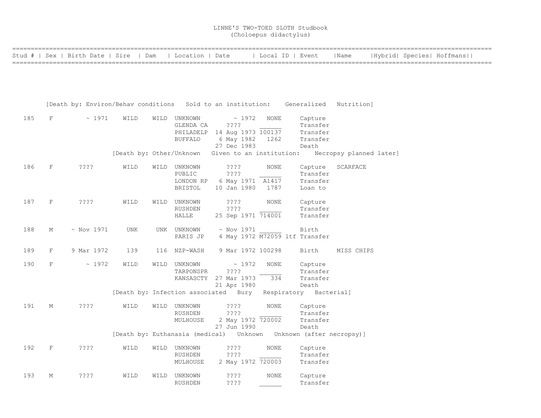|     |              | Stud #   Sex   Birth Date   Sire   Dam   Location   Date                           |      |      |                           |                                                                  |             | Local ID   Event                                                         | Name                    |  | Hybrid  Species  Hoffmans |
|-----|--------------|------------------------------------------------------------------------------------|------|------|---------------------------|------------------------------------------------------------------|-------------|--------------------------------------------------------------------------|-------------------------|--|---------------------------|
|     |              |                                                                                    |      |      |                           |                                                                  |             |                                                                          |                         |  |                           |
|     |              |                                                                                    |      |      |                           |                                                                  |             |                                                                          |                         |  |                           |
|     |              |                                                                                    |      |      |                           |                                                                  |             |                                                                          |                         |  |                           |
|     |              | [Death by: Environ/Behav conditions Sold to an institution: Generalized Nutrition] |      |      |                           |                                                                  |             |                                                                          |                         |  |                           |
| 185 | $\mathbf{F}$ | $\sim 1971$                                                                        | WILD |      | WILD UNKNOWN<br>GLENDA CA | $\sim 1972$<br>$??\mathord{?}\mathord{?}$                        | NONE        | Capture<br>Transfer                                                      |                         |  |                           |
|     |              |                                                                                    |      |      |                           | PHILADELP 14 Aug 1973 100137                                     |             | Transfer                                                                 |                         |  |                           |
|     |              |                                                                                    |      |      | <b>BUFFALO</b>            | 6 May 1982 1262                                                  |             | Transfer                                                                 |                         |  |                           |
|     |              |                                                                                    |      |      |                           | 27 Dec 1983<br>[Death by: Other/Unknown Given to an institution: |             | Death                                                                    | Necropsy planned later] |  |                           |
|     |              |                                                                                    |      |      |                           |                                                                  |             |                                                                          |                         |  |                           |
| 186 | F            | $??\mathbf{??}$                                                                    | WILD |      | WILD UNKNOWN<br>PUBLIC    | $??\mathrel{?}\mathrel{?}$<br>????                               | NONE        | Capture<br>Transfer                                                      | SCARFACE                |  |                           |
|     |              |                                                                                    |      |      | LONDON RP                 | 6 May 1971 A1417                                                 |             | Transfer                                                                 |                         |  |                           |
|     |              |                                                                                    |      |      | BRISTOL                   | 10 Jan 1980                                                      | 1787        | Loan to                                                                  |                         |  |                           |
| 187 | F            | $??\mathrel{?}?$                                                                   | WILD |      | WILD UNKNOWN              | $??\mathbf{??}$                                                  | <b>NONE</b> | Capture                                                                  |                         |  |                           |
|     |              |                                                                                    |      |      | RUSHDEN                   | ????                                                             |             | Transfer                                                                 |                         |  |                           |
|     |              |                                                                                    |      |      | HALLE                     | 25 Sep 1971 714001                                               |             | Transfer                                                                 |                         |  |                           |
| 188 | М            | $\sim$ Nov 1971                                                                    | UNK  |      | UNK UNKNOWN               | $\sim$ Nov 1971                                                  |             | Birth                                                                    |                         |  |                           |
|     |              |                                                                                    |      |      | PARIS JP                  |                                                                  |             | 4 May 1972 M72059 ltf Transfer                                           |                         |  |                           |
| 189 | F            | 9 Mar 1972                                                                         | 139  |      | 116 NZP-WASH              | 9 Mar 1972 100298                                                |             | Birth                                                                    | MISS CHIPS              |  |                           |
| 190 | $\mathbf F$  | $\sim 1972$                                                                        | WILD | WILD | UNKNOWN                   | $\sim 1972$                                                      | NONE        | Capture                                                                  |                         |  |                           |
|     |              |                                                                                    |      |      | TARPONSPR                 | $??\mathrel{?}?$                                                 |             | Transfer                                                                 |                         |  |                           |
|     |              |                                                                                    |      |      |                           | KANSASCTY 27 Mar 1973                                            | 334         | Transfer<br>Death                                                        |                         |  |                           |
|     |              |                                                                                    |      |      |                           | 21 Apr 1980                                                      |             | [Death by: Infection associated Bury Respiratory Bacterial]              |                         |  |                           |
|     |              |                                                                                    |      |      |                           |                                                                  |             |                                                                          |                         |  |                           |
| 191 | М            | ????                                                                               | WILD |      | WILD UNKNOWN<br>RUSHDEN   | $??\mathbin{?}$<br>????                                          | NONE        | Capture<br>Transfer                                                      |                         |  |                           |
|     |              |                                                                                    |      |      | MULHOUSE                  | 2 May 1972 720002                                                |             | Transfer                                                                 |                         |  |                           |
|     |              |                                                                                    |      |      |                           | 27 Jun 1990                                                      |             | Death                                                                    |                         |  |                           |
|     |              |                                                                                    |      |      |                           |                                                                  |             | [Death by: Euthanasia (medical)    Unknown   Unknown   (after necropsy)] |                         |  |                           |
| 192 | F            | ????                                                                               | WILD |      | WILD UNKNOWN              | $??\$                                                            | <b>NONE</b> | Capture                                                                  |                         |  |                           |
|     |              |                                                                                    |      |      | RUSHDEN                   | $??\mathrel{?}?$                                                 |             | Transfer                                                                 |                         |  |                           |
|     |              |                                                                                    |      |      | MULHOUSE                  | 2 May 1972 720003                                                |             | Transfer                                                                 |                         |  |                           |
| 193 | М            | ????                                                                               | WILD |      | WILD UNKNOWN              | $??\mathbin{?}$                                                  | <b>NONE</b> | Capture                                                                  |                         |  |                           |
|     |              |                                                                                    |      |      | RUSHDEN                   | ? ? ? ?                                                          |             | Transfer                                                                 |                         |  |                           |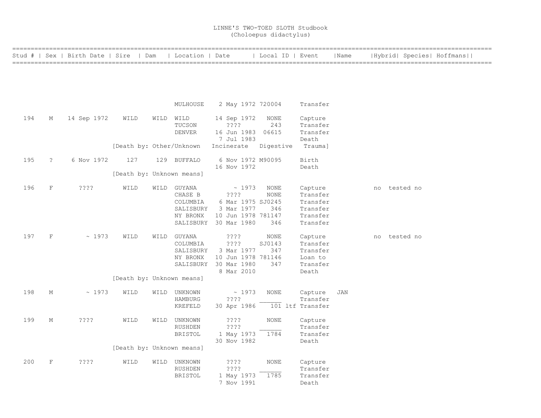|        |              |                         |                           |      |                       | -------------------------        |                  |                      |            |    |                           |  |
|--------|--------------|-------------------------|---------------------------|------|-----------------------|----------------------------------|------------------|----------------------|------------|----|---------------------------|--|
| Stud # |              | Sex   Birth Date   Sire | Dam                       |      | Location   Date       |                                  | Local ID   Event |                      | Name       |    | Hybrid  Species  Hoffmans |  |
|        |              |                         |                           |      |                       |                                  |                  |                      |            |    |                           |  |
|        |              |                         |                           |      |                       |                                  |                  |                      |            |    |                           |  |
|        |              |                         |                           |      |                       |                                  |                  |                      |            |    |                           |  |
|        |              |                         |                           |      |                       |                                  |                  |                      |            |    |                           |  |
|        |              |                         |                           |      | MULHOUSE              | 2 May 1972 720004                |                  | Transfer             |            |    |                           |  |
|        |              |                         |                           |      |                       |                                  |                  |                      |            |    |                           |  |
| 194    | М            | 14 Sep 1972             | WILD                      |      | WILD WILD             | 14 Sep 1972                      | NONE             | Capture              |            |    |                           |  |
|        |              |                         |                           |      | TUCSON                | ????                             | 243              | Transfer             |            |    |                           |  |
|        |              |                         |                           |      | <b>DENVER</b>         | 16 Jun 1983                      | 06615            | Transfer             |            |    |                           |  |
|        |              |                         |                           |      |                       | 7 Jul 1983                       |                  | Death                |            |    |                           |  |
|        |              |                         | [Death by: Other/Unknown  |      |                       | Incinerate                       | Digestive        | Trauma]              |            |    |                           |  |
| 195    | $\tilde{?}$  | 6 Nov 1972              | 127                       |      | 129 BUFFALO           | 6 Nov 1972 M90095                |                  | Birth                |            |    |                           |  |
|        |              |                         |                           |      |                       | 16 Nov 1972                      |                  | Death                |            |    |                           |  |
|        |              |                         | [Death by: Unknown means] |      |                       |                                  |                  |                      |            |    |                           |  |
|        |              |                         |                           |      |                       |                                  |                  |                      |            |    |                           |  |
| 196    | $\mathbf F$  | $??\ ??$                | WILD                      |      | WILD GUYANA           | ~1973                            | <b>NONE</b>      | Capture              |            | no | tested no                 |  |
|        |              |                         |                           |      | CHASE B               | ? ? ? ?                          | NONE             | Transfer             |            |    |                           |  |
|        |              |                         |                           |      | COLUMBIA              | 6 Mar 1975 SJ0245                | 346              | Transfer             |            |    |                           |  |
|        |              |                         |                           |      | SALISBURY<br>NY BRONX | 3 Mar 1977<br>10 Jun 1978 781147 |                  | Transfer<br>Transfer |            |    |                           |  |
|        |              |                         |                           |      |                       | SALISBURY 30 Mar 1980            | 346              | Transfer             |            |    |                           |  |
|        |              |                         |                           |      |                       |                                  |                  |                      |            |    |                           |  |
| 197    | $\mathbf F$  | ~1973                   | WILD                      | WILD | GUYANA                | ????                             | <b>NONE</b>      | Capture              |            | no | tested no                 |  |
|        |              |                         |                           |      | COLUMBIA              | ????                             | SJ0143           | Transfer             |            |    |                           |  |
|        |              |                         |                           |      | SALISBURY             | 3 Mar 1977                       | 347              | Transfer             |            |    |                           |  |
|        |              |                         |                           |      | NY BRONX              | 10 Jun 1978 781146               |                  | Loan to              |            |    |                           |  |
|        |              |                         |                           |      | SALISBURY             | 30 Mar 1980                      | 347              | Transfer             |            |    |                           |  |
|        |              |                         |                           |      |                       | 8 Mar 2010                       |                  | Death                |            |    |                           |  |
|        |              |                         | [Death by: Unknown means] |      |                       |                                  |                  |                      |            |    |                           |  |
| 198    | М            | ~1973                   | WILD                      | WILD | UNKNOWN               | ~1973                            | <b>NONE</b>      | Capture              | <b>JAN</b> |    |                           |  |
|        |              |                         |                           |      | <b>HAMBURG</b>        | ????                             |                  | Transfer             |            |    |                           |  |
|        |              |                         |                           |      | KREFELD               | 30 Apr 1986                      |                  | 101 ltf Transfer     |            |    |                           |  |
|        |              |                         |                           |      |                       |                                  |                  |                      |            |    |                           |  |
| 199    | М            | ????                    | WILD                      |      | WILD UNKNOWN          | ????                             | <b>NONE</b>      | Capture              |            |    |                           |  |
|        |              |                         |                           |      | <b>RUSHDEN</b>        | ? ? ? ?                          |                  | Transfer             |            |    |                           |  |
|        |              |                         |                           |      | <b>BRISTOL</b>        | 1 May 1973<br>30 Nov 1982        | 1784             | Transfer<br>Death    |            |    |                           |  |
|        |              |                         | [Death by: Unknown means] |      |                       |                                  |                  |                      |            |    |                           |  |
|        |              |                         |                           |      |                       |                                  |                  |                      |            |    |                           |  |
| 200    | $\mathbf{F}$ | ????                    | WILD                      |      | WILD UNKNOWN          | ????                             | NONE             | Capture              |            |    |                           |  |
|        |              |                         |                           |      | <b>RUSHDEN</b>        | ????                             |                  | Transfer             |            |    |                           |  |
|        |              |                         |                           |      | <b>BRISTOL</b>        | 1 May 1973                       | 1785             | Transfer             |            |    |                           |  |
|        |              |                         |                           |      |                       | 7 Nov 1991                       |                  | Death                |            |    |                           |  |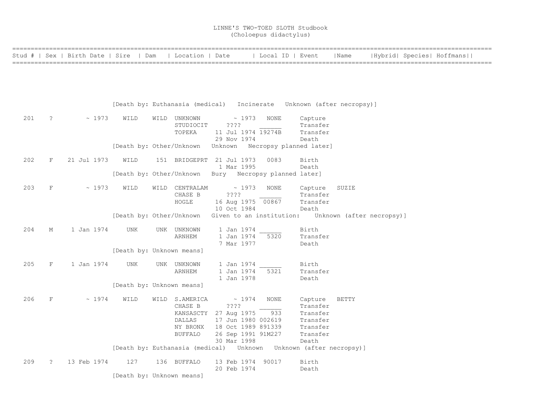|     |              | Stud #   Sex   Birth Date   Sire   Dam   Location   Date |                                                                             |                                                                          |                                          |             | Local ID   Event     | Name         |  | Hybrid  Species  Hoffmans |
|-----|--------------|----------------------------------------------------------|-----------------------------------------------------------------------------|--------------------------------------------------------------------------|------------------------------------------|-------------|----------------------|--------------|--|---------------------------|
|     |              |                                                          |                                                                             |                                                                          |                                          |             |                      |              |  |                           |
|     |              |                                                          |                                                                             |                                                                          |                                          |             |                      |              |  |                           |
|     |              |                                                          |                                                                             |                                                                          |                                          |             |                      |              |  |                           |
|     |              |                                                          |                                                                             |                                                                          |                                          |             |                      |              |  |                           |
|     |              |                                                          |                                                                             |                                                                          |                                          |             |                      |              |  |                           |
|     |              |                                                          |                                                                             | [Death by: Euthanasia (medical) Incinerate Unknown (after necropsy)]     |                                          |             |                      |              |  |                           |
| 201 | $\ddot{?}$   | $\sim 1973$                                              | WILD                                                                        | WILD UNKNOWN                                                             | $\sim 1973$                              | NONE        | Capture              |              |  |                           |
|     |              |                                                          |                                                                             | STUDIOCIT ????                                                           |                                          |             | Transfer             |              |  |                           |
|     |              |                                                          |                                                                             | TOPEKA                                                                   | 11 Jul 1974 19274B                       |             | Transfer             |              |  |                           |
|     |              |                                                          |                                                                             |                                                                          | 29 Nov 1974                              |             | Death                |              |  |                           |
|     |              |                                                          |                                                                             |                                                                          |                                          |             |                      |              |  |                           |
| 202 | $_{\rm F}$   | 21 Jul 1973                                              | WILD                                                                        | 151 BRIDGEPRT 21 Jul 1973                                                |                                          | 0083        | Birth                |              |  |                           |
|     |              |                                                          |                                                                             |                                                                          | 1 Mar 1995                               |             | Death                |              |  |                           |
|     |              |                                                          |                                                                             | [Death by: Other/Unknown Bury Necropsy planned later]                    |                                          |             |                      |              |  |                           |
| 203 | $_{\rm F}$   | $\sim 1973$                                              | WILD                                                                        | WILD CENTRALAM                                                           | $\sim 1973$                              | <b>NONE</b> | Capture              | SUZIE        |  |                           |
|     |              |                                                          |                                                                             | CHASE B                                                                  | ????                                     |             | Transfer             |              |  |                           |
|     |              |                                                          |                                                                             | HOGLE                                                                    | 16 Aug 1975 00867                        |             | Transfer             |              |  |                           |
|     |              |                                                          |                                                                             |                                                                          | 10 Oct 1984                              |             | Death                |              |  |                           |
|     |              |                                                          | [Death by: Other/Unknown Given to an institution: Unknown (after necropsy)] |                                                                          |                                          |             |                      |              |  |                           |
|     |              |                                                          |                                                                             |                                                                          |                                          |             |                      |              |  |                           |
| 204 | М            | 1 Jan 1974                                               | UNK                                                                         | UNK UNKNOWN<br>ARNHEM                                                    | 1 Jan 1974<br>1 Jan 1974                 | 5320        | Birth<br>Transfer    |              |  |                           |
|     |              |                                                          |                                                                             |                                                                          | 7 Mar 1977                               |             | Death                |              |  |                           |
|     |              |                                                          | [Death by: Unknown means]                                                   |                                                                          |                                          |             |                      |              |  |                           |
|     |              |                                                          |                                                                             |                                                                          |                                          |             |                      |              |  |                           |
| 205 | $\mathbf{F}$ | 1 Jan 1974                                               | UNK                                                                         | UNK UNKNOWN                                                              | 1 Jan 1974                               |             | Birth                |              |  |                           |
|     |              |                                                          |                                                                             | ARNHEM                                                                   | 1 Jan 1974<br>1 Jan 1978                 | 5321        | Transfer<br>Death    |              |  |                           |
|     |              |                                                          | [Death by: Unknown means]                                                   |                                                                          |                                          |             |                      |              |  |                           |
|     |              |                                                          |                                                                             |                                                                          |                                          |             |                      |              |  |                           |
| 206 | $\mathbf F$  | ~1974                                                    | WILD                                                                        | WILD S.AMERICA                                                           | $\sim 1974$                              | <b>NONE</b> | Capture              | <b>BETTY</b> |  |                           |
|     |              |                                                          |                                                                             | CHASE B                                                                  | ? ? ? ?                                  |             | Transfer             |              |  |                           |
|     |              |                                                          |                                                                             | KANSASCTY 27 Aug 1975 933                                                |                                          |             | Transfer             |              |  |                           |
|     |              |                                                          |                                                                             | <b>DALLAS</b><br>NY BRONX                                                | 17 Jun 1980 002619<br>18 Oct 1989 891339 |             | Transfer<br>Transfer |              |  |                           |
|     |              |                                                          |                                                                             | BUFFALO                                                                  | 26 Sep 1991 91M227                       |             | Transfer             |              |  |                           |
|     |              |                                                          |                                                                             |                                                                          | 30 Mar 1998                              |             | Death                |              |  |                           |
|     |              |                                                          |                                                                             | [Death by: Euthanasia (medical)    Unknown   Unknown   (after necropsy)] |                                          |             |                      |              |  |                           |
|     |              |                                                          |                                                                             |                                                                          |                                          |             |                      |              |  |                           |
| 209 | $\tilde{z}$  | 13 Feb 1974                                              | 127                                                                         | 136 BUFFALO                                                              | 13 Feb 1974 90017                        |             | Birth                |              |  |                           |
|     |              |                                                          |                                                                             |                                                                          | 20 Feb 1974                              |             | Death                |              |  |                           |

[Death by: Unknown means]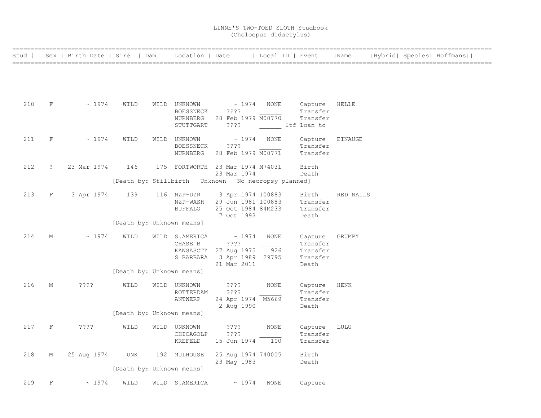|     |            | Stud #   Sex   Birth Date   Sire   Dam   Location   Date |                           |                           |                                          | Local ID   Event |                      | Name         |  | Hybrid  Species  Hoffmans |  |
|-----|------------|----------------------------------------------------------|---------------------------|---------------------------|------------------------------------------|------------------|----------------------|--------------|--|---------------------------|--|
|     |            |                                                          |                           |                           |                                          |                  |                      |              |  |                           |  |
|     |            |                                                          |                           |                           |                                          |                  |                      |              |  |                           |  |
|     |            |                                                          |                           |                           |                                          |                  |                      |              |  |                           |  |
| 210 | F          | $\sim 1974$                                              | WILD                      | WILD UNKNOWN              | $\sim 1974$                              | NONE             | Capture              | <b>HELLE</b> |  |                           |  |
|     |            |                                                          |                           | BOESSNECK                 | ????                                     |                  | Transfer             |              |  |                           |  |
|     |            |                                                          |                           | NURNBERG<br>STUTTGART     | 28 Feb 1979 M00770<br>? ? ? ?            | ltf Loan to      | Transfer             |              |  |                           |  |
|     |            |                                                          |                           |                           |                                          |                  |                      |              |  |                           |  |
| 211 | $\rm F$    | $\sim 1974$                                              | WILD                      | WILD UNKNOWN<br>BOESSNECK | $\sim 1974$<br>$??\mathrel{?}?$          | NONE             | Capture<br>Transfer  | EINAUGE      |  |                           |  |
|     |            |                                                          |                           | NURNBERG                  | 28 Feb 1979 M00771                       |                  | Transfer             |              |  |                           |  |
| 212 | $\ddot{?}$ | 23 Mar 1974                                              | 146                       |                           | 175 FORTWORTH 23 Mar 1974 M74031         |                  | Birth                |              |  |                           |  |
|     |            |                                                          |                           |                           | 23 Mar 1974                              |                  | Death                |              |  |                           |  |
|     |            |                                                          |                           |                           |                                          |                  |                      |              |  |                           |  |
| 213 | F          | 3 Apr 1974                                               | 139                       | 116 NZP-DZR               | 3 Apr 1974 100883                        |                  | Birth                | RED NAILS    |  |                           |  |
|     |            |                                                          |                           | NZP-WASH<br>BUFFALO       | 29 Jun 1981 100883<br>25 Oct 1984 84M233 |                  | Transfer<br>Transfer |              |  |                           |  |
|     |            |                                                          |                           |                           | 7 Oct 1993                               |                  | Death                |              |  |                           |  |
|     |            |                                                          | [Death by: Unknown means] |                           |                                          |                  |                      |              |  |                           |  |
| 214 | М          | $\sim 1974$                                              | WILD                      | WILD S.AMERICA            | $\sim 1974$                              | NONE             | Capture              | GRUMPY       |  |                           |  |
|     |            |                                                          |                           | CHASE B                   | ????<br>KANSASCTY 27 Aug 1975            | 926              | Transfer<br>Transfer |              |  |                           |  |
|     |            |                                                          |                           | S BARBARA                 | 3 Apr 1989 29795                         |                  | Transfer             |              |  |                           |  |
|     |            |                                                          | [Death by: Unknown means] |                           | 21 Mar 2011                              |                  | Death                |              |  |                           |  |
| 216 | М          | $??\mathbf{??}$                                          | WILD                      | WILD UNKNOWN              | ? ? ? ?                                  | <b>NONE</b>      | Capture              | <b>HENK</b>  |  |                           |  |
|     |            |                                                          |                           | ROTTERDAM                 | ????                                     |                  | Transfer             |              |  |                           |  |
|     |            |                                                          |                           | ANTWERP                   | 24 Apr 1974 M5669<br>2 Aug 1990          |                  | Transfer<br>Death    |              |  |                           |  |
|     |            |                                                          | [Death by: Unknown means] |                           |                                          |                  |                      |              |  |                           |  |
| 217 | $\rm F$    | $??\mathbf{??}$                                          | WILD                      | WILD UNKNOWN              | $??\,?\,?$                               | NONE             | Capture              | LULU         |  |                           |  |
|     |            |                                                          |                           | CHICAGOLP                 | ? ? ? ?                                  |                  | Transfer             |              |  |                           |  |
|     |            |                                                          |                           | KREFELD                   | 15 Jun 1974                              | 100              | Transfer             |              |  |                           |  |
| 218 | М          | 25 Aug 1974                                              | UNK                       | 192 MULHOUSE              | 25 Aug 1974 740005                       |                  | Birth                |              |  |                           |  |
|     |            |                                                          | [Death by: Unknown means] |                           | 23 May 1983                              |                  | Death                |              |  |                           |  |
|     |            |                                                          |                           |                           |                                          |                  |                      |              |  |                           |  |
| 219 | F          | ~1974                                                    | WILD                      | WILD S.AMERICA            | $\sim 1974$                              | NONE             | Capture              |              |  |                           |  |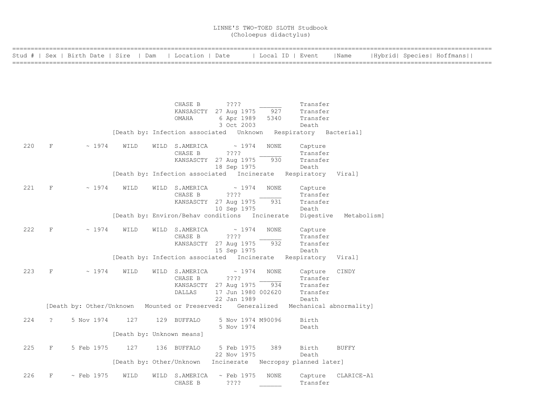|     |                                                                                                                                                                                                                                                                                                                                                                                                                                                                                                                                                                                                                                                                                                                                                                                                                                                                                                                                                                                                                                                                                                                                                                                                                                                                                                                                                                                       | Stud #   Sex   Birth Date   Sire   Dam   Location   Date |      |                           |                    | Local ID   Event |          | Name               |  | Hybrid  Species  Hoffmans |
|-----|---------------------------------------------------------------------------------------------------------------------------------------------------------------------------------------------------------------------------------------------------------------------------------------------------------------------------------------------------------------------------------------------------------------------------------------------------------------------------------------------------------------------------------------------------------------------------------------------------------------------------------------------------------------------------------------------------------------------------------------------------------------------------------------------------------------------------------------------------------------------------------------------------------------------------------------------------------------------------------------------------------------------------------------------------------------------------------------------------------------------------------------------------------------------------------------------------------------------------------------------------------------------------------------------------------------------------------------------------------------------------------------|----------------------------------------------------------|------|---------------------------|--------------------|------------------|----------|--------------------|--|---------------------------|
|     |                                                                                                                                                                                                                                                                                                                                                                                                                                                                                                                                                                                                                                                                                                                                                                                                                                                                                                                                                                                                                                                                                                                                                                                                                                                                                                                                                                                       |                                                          |      |                           |                    |                  |          |                    |  |                           |
|     |                                                                                                                                                                                                                                                                                                                                                                                                                                                                                                                                                                                                                                                                                                                                                                                                                                                                                                                                                                                                                                                                                                                                                                                                                                                                                                                                                                                       |                                                          |      |                           |                    |                  |          |                    |  |                           |
|     |                                                                                                                                                                                                                                                                                                                                                                                                                                                                                                                                                                                                                                                                                                                                                                                                                                                                                                                                                                                                                                                                                                                                                                                                                                                                                                                                                                                       |                                                          |      |                           |                    |                  |          |                    |  |                           |
|     |                                                                                                                                                                                                                                                                                                                                                                                                                                                                                                                                                                                                                                                                                                                                                                                                                                                                                                                                                                                                                                                                                                                                                                                                                                                                                                                                                                                       |                                                          |      | CHASE B                   | $??\mathbin{?}$    |                  | Transfer |                    |  |                           |
|     |                                                                                                                                                                                                                                                                                                                                                                                                                                                                                                                                                                                                                                                                                                                                                                                                                                                                                                                                                                                                                                                                                                                                                                                                                                                                                                                                                                                       |                                                          |      | OMAHA                     |                    |                  | Transfer |                    |  |                           |
|     |                                                                                                                                                                                                                                                                                                                                                                                                                                                                                                                                                                                                                                                                                                                                                                                                                                                                                                                                                                                                                                                                                                                                                                                                                                                                                                                                                                                       |                                                          |      |                           |                    |                  | Death    |                    |  |                           |
|     |                                                                                                                                                                                                                                                                                                                                                                                                                                                                                                                                                                                                                                                                                                                                                                                                                                                                                                                                                                                                                                                                                                                                                                                                                                                                                                                                                                                       |                                                          |      |                           |                    |                  |          |                    |  |                           |
| 220 | F                                                                                                                                                                                                                                                                                                                                                                                                                                                                                                                                                                                                                                                                                                                                                                                                                                                                                                                                                                                                                                                                                                                                                                                                                                                                                                                                                                                     |                                                          | WILD |                           |                    | NONE             | Capture  |                    |  |                           |
|     |                                                                                                                                                                                                                                                                                                                                                                                                                                                                                                                                                                                                                                                                                                                                                                                                                                                                                                                                                                                                                                                                                                                                                                                                                                                                                                                                                                                       |                                                          |      |                           |                    |                  |          |                    |  |                           |
|     |                                                                                                                                                                                                                                                                                                                                                                                                                                                                                                                                                                                                                                                                                                                                                                                                                                                                                                                                                                                                                                                                                                                                                                                                                                                                                                                                                                                       |                                                          |      |                           |                    |                  | Death    |                    |  |                           |
|     |                                                                                                                                                                                                                                                                                                                                                                                                                                                                                                                                                                                                                                                                                                                                                                                                                                                                                                                                                                                                                                                                                                                                                                                                                                                                                                                                                                                       |                                                          |      |                           |                    |                  |          |                    |  |                           |
| 221 |                                                                                                                                                                                                                                                                                                                                                                                                                                                                                                                                                                                                                                                                                                                                                                                                                                                                                                                                                                                                                                                                                                                                                                                                                                                                                                                                                                                       |                                                          | WILD |                           |                    | <b>NONE</b>      | Capture  |                    |  |                           |
|     |                                                                                                                                                                                                                                                                                                                                                                                                                                                                                                                                                                                                                                                                                                                                                                                                                                                                                                                                                                                                                                                                                                                                                                                                                                                                                                                                                                                       |                                                          |      | CHASE B                   | ????               |                  | Transfer |                    |  |                           |
|     |                                                                                                                                                                                                                                                                                                                                                                                                                                                                                                                                                                                                                                                                                                                                                                                                                                                                                                                                                                                                                                                                                                                                                                                                                                                                                                                                                                                       |                                                          |      |                           |                    |                  |          |                    |  |                           |
|     |                                                                                                                                                                                                                                                                                                                                                                                                                                                                                                                                                                                                                                                                                                                                                                                                                                                                                                                                                                                                                                                                                                                                                                                                                                                                                                                                                                                       |                                                          |      |                           |                    |                  |          |                    |  |                           |
|     |                                                                                                                                                                                                                                                                                                                                                                                                                                                                                                                                                                                                                                                                                                                                                                                                                                                                                                                                                                                                                                                                                                                                                                                                                                                                                                                                                                                       |                                                          |      |                           |                    |                  |          |                    |  |                           |
|     |                                                                                                                                                                                                                                                                                                                                                                                                                                                                                                                                                                                                                                                                                                                                                                                                                                                                                                                                                                                                                                                                                                                                                                                                                                                                                                                                                                                       |                                                          |      | CHASE B                   | $??\ ??$           |                  | Transfer |                    |  |                           |
|     |                                                                                                                                                                                                                                                                                                                                                                                                                                                                                                                                                                                                                                                                                                                                                                                                                                                                                                                                                                                                                                                                                                                                                                                                                                                                                                                                                                                       |                                                          |      |                           |                    | 932              | Transfer |                    |  |                           |
|     |                                                                                                                                                                                                                                                                                                                                                                                                                                                                                                                                                                                                                                                                                                                                                                                                                                                                                                                                                                                                                                                                                                                                                                                                                                                                                                                                                                                       |                                                          |      |                           |                    |                  | Death    |                    |  |                           |
|     |                                                                                                                                                                                                                                                                                                                                                                                                                                                                                                                                                                                                                                                                                                                                                                                                                                                                                                                                                                                                                                                                                                                                                                                                                                                                                                                                                                                       |                                                          |      |                           |                    |                  |          |                    |  |                           |
| 223 | F                                                                                                                                                                                                                                                                                                                                                                                                                                                                                                                                                                                                                                                                                                                                                                                                                                                                                                                                                                                                                                                                                                                                                                                                                                                                                                                                                                                     |                                                          | WILD |                           |                    | <b>NONE</b>      |          | CINDY              |  |                           |
|     | Transfer<br>KANSASCTY 27 Aug 1975<br>927<br>6 Apr 1989 5340<br>3 Oct 2003<br>[Death by: Infection associated Unknown Respiratory Bacterial]<br>$\sim 1974$<br>WILD S.AMERICA<br>$\sim 1974$<br>CHASE B<br>????<br>Transfer<br>KANSASCTY 27 Aug 1975<br>930<br>Transfer<br>18 Sep 1975<br>[Death by: Infection associated Incinerate Respiratory Viral]<br>$~\sim~1974$<br>F<br>WILD S.AMERICA<br>$\sim 1974$<br>KANSASCTY 27 Aug 1975<br>931<br>Transfer<br>10 Sep 1975<br>Death<br>[Death by: Environ/Behav conditions Incinerate<br>Digestive<br>Metabolism]<br>F<br>$\sim 1974$<br>WILD<br>WILD S.AMERICA<br>$\sim 1974$<br><b>NONE</b><br>Capture<br>KANSASCTY 27 Aug 1975<br>15 Sep 1975<br>[Death by: Infection associated Incinerate Respiratory Viral]<br>$\sim 1974$<br>WILD S.AMERICA<br>$\sim 1974$<br>Capture<br>????<br>Transfer<br>CHASE B<br>KANSASCTY 27 Aug 1975 934<br>Transfer<br><b>DALLAS</b><br>17 Jun 1980 002620<br>Transfer<br>22 Jan 1989<br>Death<br>[Death by: Other/Unknown Mounted or Preserved: Generalized Mechanical abnormality]<br>5 Nov 1974<br>$\tilde{S}$<br>127<br>129 BUFFALO<br>5 Nov 1974 M90096<br>Birth<br>5 Nov 1974<br>Death<br>[Death by: Unknown means]<br>F<br>5 Feb 1975<br>127<br>136 BUFFALO<br>5 Feb 1975<br>389<br>Birth<br><b>BUFFY</b><br>22 Nov 1975<br>Death<br>[Death by: Other/Unknown Incinerate Necropsy planned later] |                                                          |      |                           |                    |                  |          |                    |  |                           |
|     | 222<br>224<br>225                                                                                                                                                                                                                                                                                                                                                                                                                                                                                                                                                                                                                                                                                                                                                                                                                                                                                                                                                                                                                                                                                                                                                                                                                                                                                                                                                                     |                                                          |      |                           |                    |                  |          |                    |  |                           |
|     |                                                                                                                                                                                                                                                                                                                                                                                                                                                                                                                                                                                                                                                                                                                                                                                                                                                                                                                                                                                                                                                                                                                                                                                                                                                                                                                                                                                       |                                                          |      |                           |                    |                  |          |                    |  |                           |
|     |                                                                                                                                                                                                                                                                                                                                                                                                                                                                                                                                                                                                                                                                                                                                                                                                                                                                                                                                                                                                                                                                                                                                                                                                                                                                                                                                                                                       |                                                          |      |                           |                    |                  |          |                    |  |                           |
|     |                                                                                                                                                                                                                                                                                                                                                                                                                                                                                                                                                                                                                                                                                                                                                                                                                                                                                                                                                                                                                                                                                                                                                                                                                                                                                                                                                                                       |                                                          |      |                           |                    |                  |          |                    |  |                           |
|     |                                                                                                                                                                                                                                                                                                                                                                                                                                                                                                                                                                                                                                                                                                                                                                                                                                                                                                                                                                                                                                                                                                                                                                                                                                                                                                                                                                                       |                                                          |      |                           |                    |                  |          |                    |  |                           |
|     |                                                                                                                                                                                                                                                                                                                                                                                                                                                                                                                                                                                                                                                                                                                                                                                                                                                                                                                                                                                                                                                                                                                                                                                                                                                                                                                                                                                       |                                                          |      |                           |                    |                  |          |                    |  |                           |
|     |                                                                                                                                                                                                                                                                                                                                                                                                                                                                                                                                                                                                                                                                                                                                                                                                                                                                                                                                                                                                                                                                                                                                                                                                                                                                                                                                                                                       |                                                          |      |                           |                    |                  |          |                    |  |                           |
|     |                                                                                                                                                                                                                                                                                                                                                                                                                                                                                                                                                                                                                                                                                                                                                                                                                                                                                                                                                                                                                                                                                                                                                                                                                                                                                                                                                                                       |                                                          |      |                           |                    |                  |          |                    |  |                           |
|     |                                                                                                                                                                                                                                                                                                                                                                                                                                                                                                                                                                                                                                                                                                                                                                                                                                                                                                                                                                                                                                                                                                                                                                                                                                                                                                                                                                                       |                                                          |      |                           |                    |                  |          |                    |  |                           |
| 226 | F                                                                                                                                                                                                                                                                                                                                                                                                                                                                                                                                                                                                                                                                                                                                                                                                                                                                                                                                                                                                                                                                                                                                                                                                                                                                                                                                                                                     | $\sim$ Feb 1975                                          | WILD | WILD S.AMERICA<br>CHASE B | ~ Feb 1975<br>???? | NONE             | Transfer | Capture CLARICE-A1 |  |                           |

CHASE B ???? \_\_\_\_\_\_\_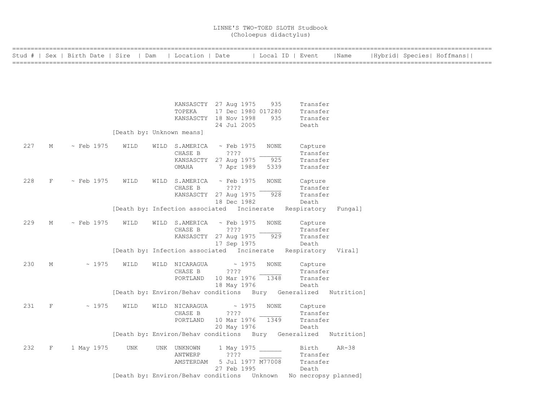|     |   | Stud #   Sex   Birth Date   Sire   Dam |                           | Location   Date |                                                                  | Local ID   Event |          | Name    |  | Hybrid  Species  Hoffmans |
|-----|---|----------------------------------------|---------------------------|-----------------|------------------------------------------------------------------|------------------|----------|---------|--|---------------------------|
|     |   |                                        |                           |                 |                                                                  |                  |          |         |  |                           |
|     |   |                                        |                           |                 |                                                                  |                  |          |         |  |                           |
|     |   |                                        |                           |                 |                                                                  |                  |          |         |  |                           |
|     |   |                                        |                           |                 |                                                                  |                  |          |         |  |                           |
|     |   |                                        |                           |                 | KANSASCTY 27 Aug 1975                                            | 935              | Transfer |         |  |                           |
|     |   |                                        |                           | TOPEKA          | 17 Dec 1980 017280                                               |                  | Transfer |         |  |                           |
|     |   |                                        |                           |                 | KANSASCTY 18 Nov 1998                                            | 935              | Transfer |         |  |                           |
|     |   |                                        |                           |                 | 24 Jul 2005                                                      |                  | Death    |         |  |                           |
|     |   |                                        | [Death by: Unknown means] |                 |                                                                  |                  |          |         |  |                           |
| 227 | М | ~ Feb 1975                             | WILD                      | WILD S.AMERICA  | $\sim$ Feb 1975                                                  | NONE             | Capture  |         |  |                           |
|     |   |                                        |                           | CHASE B         | ????                                                             |                  | Transfer |         |  |                           |
|     |   |                                        |                           |                 | KANSASCTY 27 Aug 1975                                            | 925              | Transfer |         |  |                           |
|     |   |                                        |                           | OMAHA           | 7 Apr 1989                                                       | 5339             | Transfer |         |  |                           |
| 228 | F | $\sim$ Feb 1975                        | WILD                      | WILD S.AMERICA  | ~ Feb 1975                                                       | <b>NONE</b>      | Capture  |         |  |                           |
|     |   |                                        |                           | CHASE B         | ????                                                             |                  | Transfer |         |  |                           |
|     |   |                                        |                           |                 | KANSASCTY 27 Aug 1975                                            | 928              | Transfer |         |  |                           |
|     |   |                                        |                           |                 | 18 Dec 1982                                                      |                  | Death    |         |  |                           |
|     |   |                                        |                           |                 | [Death by: Infection associated Incinerate Respiratory Fungal]   |                  |          |         |  |                           |
| 229 | М | $\sim$ Feb 1975                        | WILD                      | WILD S.AMERICA  | ~ Feb 1975                                                       | NONE             | Capture  |         |  |                           |
|     |   |                                        |                           | CHASE B         | ? ? ? ?                                                          |                  | Transfer |         |  |                           |
|     |   |                                        |                           |                 | KANSASCTY 27 Aug 1975                                            | 929              | Transfer |         |  |                           |
|     |   |                                        |                           |                 | 17 Sep 1975                                                      |                  | Death    |         |  |                           |
|     |   |                                        |                           |                 | [Death by: Infection associated Incinerate Respiratory Viral]    |                  |          |         |  |                           |
| 230 | М | ~1975                                  | WILD                      | WILD NICARAGUA  | $\sim 1975$                                                      | <b>NONE</b>      | Capture  |         |  |                           |
|     |   |                                        |                           | CHASE B         | ????                                                             |                  | Transfer |         |  |                           |
|     |   |                                        |                           | PORTLAND        | 10 Mar 1976 1348                                                 |                  | Transfer |         |  |                           |
|     |   |                                        |                           |                 | 18 May 1976                                                      |                  | Death    |         |  |                           |
|     |   |                                        |                           |                 | [Death by: Environ/Behav conditions Bury Generalized Nutrition]  |                  |          |         |  |                           |
| 231 | F | ~1975                                  | WILD                      | WILD NICARAGUA  | $\sim 1975$                                                      | NONE             | Capture  |         |  |                           |
|     |   |                                        |                           | CHASE B         | $??\ ??$                                                         |                  | Transfer |         |  |                           |
|     |   |                                        |                           | PORTLAND        | 10 Mar 1976 1349                                                 |                  | Transfer |         |  |                           |
|     |   |                                        |                           |                 | 20 May 1976                                                      |                  | Death    |         |  |                           |
|     |   |                                        |                           |                 | [Death by: Environ/Behav conditions Bury Generalized Nutrition]  |                  |          |         |  |                           |
| 232 | F | 1 May 1975                             | UNK                       | UNK UNKNOWN     | 1 May 1975                                                       |                  | Birth    | $AR-38$ |  |                           |
|     |   |                                        |                           | ANTWERP         | ????                                                             |                  | Transfer |         |  |                           |
|     |   |                                        |                           | AMSTERDAM       | 5 Jul 1977 M77008                                                |                  | Transfer |         |  |                           |
|     |   |                                        |                           |                 | 27 Feb 1995                                                      |                  | Death    |         |  |                           |
|     |   |                                        |                           |                 | [Death by: Environ/Behav conditions Unknown No necropsy planned] |                  |          |         |  |                           |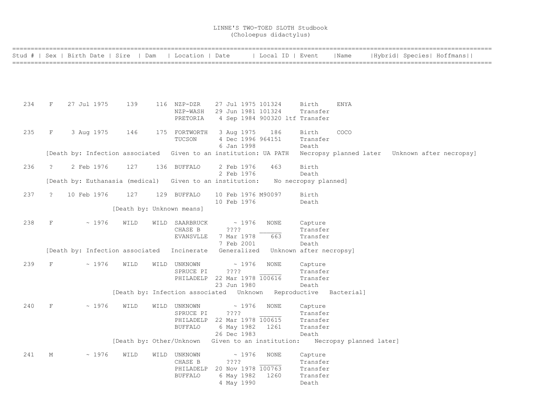|     |               | Stud #   Sex   Birth Date   Sire   Dam                           |                           | Location   Date      |                                                                       | Local ID   Event               |                               | Name                    | Hybrid  Species  Hoffmans                      |  |
|-----|---------------|------------------------------------------------------------------|---------------------------|----------------------|-----------------------------------------------------------------------|--------------------------------|-------------------------------|-------------------------|------------------------------------------------|--|
|     |               |                                                                  |                           |                      |                                                                       |                                |                               |                         |                                                |  |
|     |               |                                                                  |                           |                      |                                                                       |                                |                               |                         |                                                |  |
|     |               |                                                                  |                           |                      |                                                                       |                                |                               |                         |                                                |  |
|     |               |                                                                  |                           |                      |                                                                       |                                |                               |                         |                                                |  |
|     |               |                                                                  |                           |                      |                                                                       |                                |                               |                         |                                                |  |
| 234 | F             | 27 Jul 1975                                                      | 139                       | 116 NZP-DZR          | 27 Jul 1975 101324<br>NZP-WASH 29 Jun 1981 101324                     |                                | Birth<br>Transfer             | ENYA                    |                                                |  |
|     |               |                                                                  |                           | PRETORIA             |                                                                       | 4 Sep 1984 900320 ltf Transfer |                               |                         |                                                |  |
|     |               |                                                                  |                           |                      |                                                                       |                                |                               |                         |                                                |  |
| 235 | F             | 3 Aug 1975                                                       | 146                       | 175 FORTWORTH        | 3 Aug 1975                                                            | 186                            | Birth                         | COCO                    |                                                |  |
|     |               |                                                                  |                           | TUCSON               | 4 Dec 1996 964151                                                     |                                | Transfer                      |                         |                                                |  |
|     |               |                                                                  |                           |                      | 6 Jan 1998                                                            |                                | Death                         |                         |                                                |  |
|     |               | [Death by: Infection associated Given to an institution: UA PATH |                           |                      |                                                                       |                                |                               |                         | Necropsy planned later Unknown after necropsy] |  |
|     |               |                                                                  |                           |                      |                                                                       |                                |                               |                         |                                                |  |
| 236 | $\tilde{z}$   | 2 Feb 1976                                                       | 127                       | 136 BUFFALO          | 2 Feb 1976                                                            | 463                            | Birth                         |                         |                                                |  |
|     |               | [Death by: Euthanasia (medical) Given to an institution:         |                           |                      | 2 Feb 1976                                                            |                                | Death<br>No necropsy planned] |                         |                                                |  |
|     |               |                                                                  |                           |                      |                                                                       |                                |                               |                         |                                                |  |
| 237 | $\mathcal{P}$ | 10 Feb 1976                                                      | 127                       | 129 BUFFALO          | 10 Feb 1976 M90097                                                    |                                | Birth                         |                         |                                                |  |
|     |               |                                                                  |                           |                      | 10 Feb 1976                                                           |                                | Death                         |                         |                                                |  |
|     |               |                                                                  | [Death by: Unknown means] |                      |                                                                       |                                |                               |                         |                                                |  |
|     |               |                                                                  |                           |                      |                                                                       |                                |                               |                         |                                                |  |
| 238 | F             | ~1976                                                            | WILD                      | WILD SAARBRUCK       | $\sim 1976$                                                           | NONE                           | Capture                       |                         |                                                |  |
|     |               |                                                                  |                           | CHASE B<br>EVANSVLLE | ????<br>7 Mar 1978                                                    | 663                            | Transfer<br>Transfer          |                         |                                                |  |
|     |               |                                                                  |                           |                      | 7 Feb 2001                                                            |                                | Death                         |                         |                                                |  |
|     |               | [Death by: Infection associated Incinerate                       |                           |                      | Generalized                                                           |                                | Unknown after necropsy]       |                         |                                                |  |
|     |               |                                                                  |                           |                      |                                                                       |                                |                               |                         |                                                |  |
| 239 | $_{\rm F}$    | ~1976                                                            | WILD                      | WILD UNKNOWN         | ~1976                                                                 | NONE                           | Capture                       |                         |                                                |  |
|     |               |                                                                  |                           | SPRUCE PI            | ????                                                                  |                                | Transfer                      |                         |                                                |  |
|     |               |                                                                  |                           |                      | PHILADELP 22 Mar 1978 100616                                          |                                | Transfer                      |                         |                                                |  |
|     |               |                                                                  |                           |                      | 23 Jun 1980<br>[Death by: Infection associated  Unknown  Reproductive |                                | Death                         | Bacterial]              |                                                |  |
|     |               |                                                                  |                           |                      |                                                                       |                                |                               |                         |                                                |  |
| 240 | $\rm F$       | ~1976                                                            | WILD                      | WILD UNKNOWN         | ~1976                                                                 | <b>NONE</b>                    | Capture                       |                         |                                                |  |
|     |               |                                                                  |                           | SPRUCE PI            | ????                                                                  |                                | Transfer                      |                         |                                                |  |
|     |               |                                                                  |                           |                      | PHILADELP 22 Mar 1978 100615                                          |                                | Transfer                      |                         |                                                |  |
|     |               |                                                                  |                           | <b>BUFFALO</b>       | 6 May 1982                                                            | 1261                           | Transfer                      |                         |                                                |  |
|     |               |                                                                  |                           |                      | 26 Dec 1983                                                           |                                | Death                         |                         |                                                |  |
|     |               |                                                                  |                           |                      | [Death by: Other/Unknown Given to an institution:                     |                                |                               | Necropsy planned later] |                                                |  |
| 241 | М             | ~1976                                                            | WILD                      | WILD UNKNOWN         | ~1976                                                                 | NONE                           | Capture                       |                         |                                                |  |
|     |               |                                                                  |                           | CHASE B              | ????                                                                  |                                | Transfer                      |                         |                                                |  |
|     |               |                                                                  |                           | PHILADELP            | 20 Nov 1978 100763                                                    |                                | Transfer                      |                         |                                                |  |
|     |               |                                                                  |                           | <b>BUFFALO</b>       | 6 May 1982                                                            | 1260                           | Transfer                      |                         |                                                |  |
|     |               |                                                                  |                           |                      | 4 May 1990                                                            |                                | Death                         |                         |                                                |  |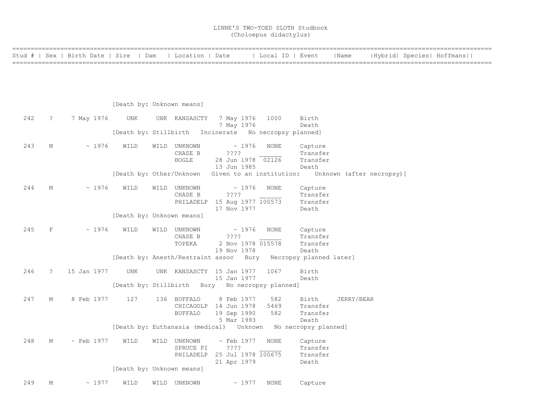| Stud # |   | Sex   Birth Date | Sire | Dam                                                   | Location   Date | Local ID                 | Event    | Name                      |  | Hybrid  Species  Hoffmans |
|--------|---|------------------|------|-------------------------------------------------------|-----------------|--------------------------|----------|---------------------------|--|---------------------------|
|        |   |                  |      |                                                       |                 |                          |          |                           |  |                           |
|        |   |                  |      |                                                       |                 |                          |          |                           |  |                           |
|        |   |                  |      |                                                       |                 |                          |          |                           |  |                           |
|        |   |                  |      | [Death by: Unknown means]                             |                 |                          |          |                           |  |                           |
| 242    | ? | 7 May 1976       | UNK  | KANSASCTY<br>UNK                                      | 7 May 1976      | 1000                     | Birth    |                           |  |                           |
|        |   |                  |      |                                                       | 7 May 1976      |                          | Death    |                           |  |                           |
|        |   |                  |      | [Death by: Stillbirth Incinerate No necropsy planned] |                 |                          |          |                           |  |                           |
| 243    | М | $~\sim~1976$     | WILD | UNKNOWN<br>WILD                                       |                 | $\sim$ 1976<br>NONE      | Capture  |                           |  |                           |
|        |   |                  |      | CHASE B                                               | $??\mathbf{??}$ |                          | Transfer |                           |  |                           |
|        |   |                  |      | HOGLE                                                 | 28 Jun 1978     | 02126                    | Transfer |                           |  |                           |
|        |   |                  |      |                                                       | 13 Jun 1985     |                          | Death    |                           |  |                           |
|        |   |                  |      | [Death by: Other/Unknown                              |                 | Given to an institution: |          | Unknown (after necropsy)] |  |                           |

| 244                                                     | М |  | $\sim$ 1976 | WILD | WILD | UNKNOWN<br>CHASE B | $\sim 1976$<br>????          | NONE | Capture<br>Transfer |  |  |  |  |
|---------------------------------------------------------|---|--|-------------|------|------|--------------------|------------------------------|------|---------------------|--|--|--|--|
|                                                         |   |  |             |      |      |                    | PHILADELP 15 Aug 1977 100573 |      | Transfer<br>Death   |  |  |  |  |
| 17 Nov 1977<br>Finantha lasse finite assessment and the |   |  |             |      |      |                    |                              |      |                     |  |  |  |  |

[Death by: Unknown means]

| 245 | F | $~\sim~1976$ | WILD | WILD | UNKNOWN |             | $\sim 1976$ | NONE              | Capture  |  |
|-----|---|--------------|------|------|---------|-------------|-------------|-------------------|----------|--|
|     |   |              |      |      | CHASE B | ????        |             |                   | Transfer |  |
|     |   |              |      |      | TOPEKA  |             |             | 2 Nov 1978 015578 | Transfer |  |
|     |   |              |      |      |         | 19 Nov 1978 |             |                   | Death    |  |
|     |   |              |      |      |         |             |             |                   |          |  |

[Death by: Anesth/Restraint assoc Bury Necropsy planned later]

 246 ? 15 Jan 1977 UNK UNK KANSASCTY 15 Jan 1977 1067 Birth 15 Jan 1977 [Death by: Stillbirth Bury No necropsy planned]

 247 M 8 Feb 1977 127 136 BUFFALO 8 Feb 1977 582 Birth JERRY/BEAR CHICAGOLP 14 Jun 1978 5469 Transfer<br>BUFFALO 19 Sep 1990 582 Transfer BUFFALO 19 Sep 1990 5 Mar 1993 Death [Death by: Euthanasia (medical) Unknown No necropsy planned] 248 M ~ Feb 1977 WILD WILD UNKNOWN ~ Feb 1977 NONE Capture

SPRUCE PI 2??? Transfer PHILADELP 25 Jul 1978 100675 Transfer 21 Apr 1979 Death [Death by: Unknown means]

249 M ~ 1977 WILD WILD UNKNOWN ~ 1977 NONE Capture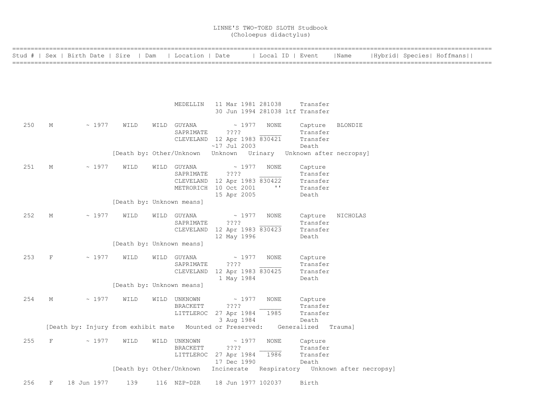| =============== |   |                                                                               |                                                                  |                                 |                                                                                                   |                      |                                                      |                |  |                           |  |
|-----------------|---|-------------------------------------------------------------------------------|------------------------------------------------------------------|---------------------------------|---------------------------------------------------------------------------------------------------|----------------------|------------------------------------------------------|----------------|--|---------------------------|--|
|                 |   | Stud #   Sex   Birth Date   Sire   Dam   Location   Date                      |                                                                  |                                 |                                                                                                   | Local ID   Event     |                                                      | Name           |  | Hybrid  Species  Hoffmans |  |
|                 |   |                                                                               |                                                                  |                                 |                                                                                                   |                      |                                                      |                |  |                           |  |
|                 |   |                                                                               |                                                                  |                                 | MEDELLIN 11 Mar 1981 281038                                                                       |                      | Transfer<br>30 Jun 1994 281038 ltf Transfer          |                |  |                           |  |
| 250             | М | ~1977                                                                         | WILD                                                             | WILD GUYANA<br>SAPRIMATE        | $\sim 1977$<br>$??\mathbin{?}$<br>CLEVELAND 12 Apr 1983 830421<br>$~17$ Jul 2003                  | NONE                 | Capture<br>Transfer<br>Transfer<br>Death             | <b>BLONDIE</b> |  |                           |  |
|                 |   |                                                                               | [Death by: Other/Unknown Unknown Urinary Unknown after necropsy] |                                 |                                                                                                   |                      |                                                      |                |  |                           |  |
| 251             | М | ~1977                                                                         | WILD                                                             | WILD GUYANA<br>SAPRIMATE        | $\sim 1977$<br>$??\,?\,?$<br>CLEVELAND 12 Apr 1983 830422<br>METRORICH 10 Oct 2001<br>15 Apr 2005 | NONE<br>$\mathbf{I}$ | Capture<br>Transfer<br>Transfer<br>Transfer<br>Death |                |  |                           |  |
|                 |   |                                                                               | [Death by: Unknown means]                                        |                                 |                                                                                                   |                      |                                                      |                |  |                           |  |
| 252             | М | ~1977                                                                         | WILD                                                             | WILD GUYANA<br>SAPRIMATE        | $\sim 1977$<br>????<br>CLEVELAND 12 Apr 1983 830423<br>12 May 1996                                | NONE                 | Capture<br>Transfer<br>Transfer<br>Death             | NICHOLAS       |  |                           |  |
|                 |   |                                                                               | [Death by: Unknown means]                                        |                                 |                                                                                                   |                      |                                                      |                |  |                           |  |
| 253             | F | ~1977                                                                         | WILD                                                             | WILD GUYANA<br>SAPRIMATE        | $\sim 1977$<br>$??\mathbin{?}$<br>CLEVELAND 12 Apr 1983 830425<br>1 May 1984                      | <b>NONE</b>          | Capture<br>Transfer<br>Transfer<br>Death             |                |  |                           |  |
|                 |   |                                                                               | [Death by: Unknown means]                                        |                                 |                                                                                                   |                      |                                                      |                |  |                           |  |
| 254             | M | $\sim 1977$                                                                   | WILD                                                             | WILD UNKNOWN<br>BRACKETT        | ~1977<br>$??\cdot?$<br>LITTLEROC 27 Apr 1984<br>3 Aug 1984                                        | <b>NONE</b><br>1985  | Capture<br>Transfer<br>Transfer<br>Death             |                |  |                           |  |
|                 |   | [Death by: Injury from exhibit mate Mounted or Preserved: Generalized Trauma] |                                                                  |                                 |                                                                                                   |                      |                                                      |                |  |                           |  |
| 255             | F | ~1977                                                                         | WILD                                                             | WILD UNKNOWN<br><b>BRACKETT</b> | $\sim 1977$<br>????<br>LITTLEROC 27 Apr 1984<br>17 Dec 1990                                       | NONE<br>1986         | Capture<br>Transfer<br>Transfer<br>Death             |                |  |                           |  |
|                 |   |                                                                               | [Death by: Other/Unknown                                         |                                 | Incinerate Respiratory Unknown after necropsy]                                                    |                      |                                                      |                |  |                           |  |
| 256             | F | 18 Jun 1977                                                                   | 139                                                              | 116 NZP-DZR                     | 18 Jun 1977 102037                                                                                |                      | Birth                                                |                |  |                           |  |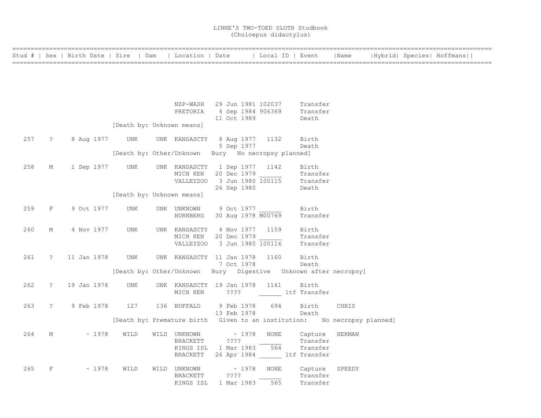| =============== |                     |                |                           |                          |                                                                            |      |                                                                                      |                                                                          |                           |
|-----------------|---------------------|----------------|---------------------------|--------------------------|----------------------------------------------------------------------------|------|--------------------------------------------------------------------------------------|--------------------------------------------------------------------------|---------------------------|
|                 |                     |                |                           |                          |                                                                            |      | Stud #   Sex   Birth Date   Sire   Dam   Location   Date     Local ID   Event   Name |                                                                          | Hybrid  Species  Hoffmans |
|                 |                     |                |                           |                          |                                                                            |      |                                                                                      |                                                                          |                           |
|                 |                     |                |                           |                          |                                                                            |      |                                                                                      |                                                                          |                           |
|                 |                     |                |                           |                          |                                                                            |      |                                                                                      |                                                                          |                           |
|                 |                     |                |                           |                          |                                                                            |      |                                                                                      |                                                                          |                           |
|                 |                     |                |                           |                          |                                                                            |      |                                                                                      |                                                                          |                           |
|                 |                     |                |                           |                          | NZP-WASH 29 Jun 1981 102037                                                |      | Transfer                                                                             |                                                                          |                           |
|                 |                     |                |                           |                          | PRETORIA 4 Sep 1984 906369 Transfer                                        |      |                                                                                      |                                                                          |                           |
|                 |                     |                |                           |                          | 11 Oct 1989                                                                |      | Death                                                                                |                                                                          |                           |
|                 |                     |                | [Death by: Unknown means] |                          |                                                                            |      |                                                                                      |                                                                          |                           |
| 257             | $\ddot{\mathbf{?}}$ | 8 Aug 1977     | <b>UNK</b>                |                          | UNK KANSASCTY 8 Aug 1977 1132                                              |      | Birth                                                                                |                                                                          |                           |
|                 |                     |                |                           |                          | 5 Sep 1977                                                                 |      | Death                                                                                |                                                                          |                           |
|                 |                     |                |                           |                          | [Death by: Other/Unknown Bury No necropsy planned]                         |      |                                                                                      |                                                                          |                           |
|                 |                     |                |                           |                          |                                                                            |      |                                                                                      |                                                                          |                           |
| 258             | М                   | 1 Sep 1977 UNK |                           |                          | UNK KANSASCTY 1 Sep 1977 1142                                              |      | Birth                                                                                |                                                                          |                           |
|                 |                     |                |                           |                          | MICH KEN 20 Dec 1979 [100115 Transfer VALLEYZOO 3 Jun 1980 100115 Transfer |      |                                                                                      |                                                                          |                           |
|                 |                     |                |                           |                          |                                                                            |      |                                                                                      |                                                                          |                           |
|                 |                     |                |                           |                          | 26 Sep 1980                                                                |      | Death                                                                                |                                                                          |                           |
|                 |                     |                | [Death by: Unknown means] |                          |                                                                            |      |                                                                                      |                                                                          |                           |
| 259             | F                   | 9 Oct 1977     | UNK                       | UNK UNKNOWN              | 9 Oct 1977                                                                 |      | Birth                                                                                |                                                                          |                           |
|                 |                     |                |                           | NURNBERG                 | 30 Aug 1978 M00769                                                         |      | Transfer                                                                             |                                                                          |                           |
|                 |                     |                |                           |                          |                                                                            |      |                                                                                      |                                                                          |                           |
| 260             | М                   | 4 Nov 1977     | UNK                       |                          | UNK KANSASCTY 4 Nov 1977 1159                                              |      | Birth                                                                                |                                                                          |                           |
|                 |                     |                |                           | MICH KEN                 | 20 Dec 1979                                                                |      | Transfer                                                                             |                                                                          |                           |
|                 |                     |                |                           |                          | VALLEYZOO 3 Jun 1980 100116                                                |      | Transfer                                                                             |                                                                          |                           |
|                 |                     |                |                           |                          |                                                                            |      |                                                                                      |                                                                          |                           |
| 261             | $\ddot{?}$          | 11 Jan 1978    | UNK                       |                          | UNK KANSASCTY 11 Jan 1978                                                  | 1160 | Birth                                                                                |                                                                          |                           |
|                 |                     |                |                           |                          | 7 Oct 1978                                                                 |      | Death                                                                                |                                                                          |                           |
|                 |                     |                |                           |                          |                                                                            |      | [Death by: Other/Unknown Bury Digestive Unknown after necropsy]                      |                                                                          |                           |
| 262             | $\ddot{?}$          | 19 Jan 1978    | UNK                       |                          | UNK KANSASCTY 19 Jan 1978 1161                                             |      | Birth                                                                                |                                                                          |                           |
|                 |                     |                |                           | MICH KEN                 | ???? ltf Transfer                                                          |      |                                                                                      |                                                                          |                           |
|                 |                     |                |                           |                          |                                                                            |      |                                                                                      |                                                                          |                           |
| 263             | $\tilde{?}$         | 9 Feb 1978     | 127                       | 136 BUFFALO              | 9 Feb 1978                                                                 | 694  | Birth                                                                                | CHRIS                                                                    |                           |
|                 |                     |                |                           |                          | 13 Feb 1978                                                                |      | Death                                                                                |                                                                          |                           |
|                 |                     |                |                           |                          |                                                                            |      |                                                                                      | [Death by: Premature birth Given to an institution: No necropsy planned] |                           |
|                 |                     |                |                           |                          |                                                                            |      |                                                                                      |                                                                          |                           |
| 264             | М                   | ~1978          | WILD                      | WILD UNKNOWN<br>BRACKETT | $\sim 1978$<br>$??\,?\,?$                                                  | NONE | Capture<br>Transfer                                                                  | HERMAN                                                                   |                           |
|                 |                     |                |                           |                          | KINGS ISL 1 Mar 1983 564                                                   |      | Transfer                                                                             |                                                                          |                           |
|                 |                     |                |                           |                          | BRACKETT 26 Apr 1984 ltf Transfer                                          |      |                                                                                      |                                                                          |                           |
|                 |                     |                |                           |                          |                                                                            |      |                                                                                      |                                                                          |                           |
| 265             | F                   | ~1978          | WILD                      | WILD UNKNOWN             | $\sim 1978$                                                                | NONE | Capture                                                                              | SPEEDY                                                                   |                           |
|                 |                     |                |                           | BRACKETT                 | ????                                                                       |      | Transfer                                                                             |                                                                          |                           |
|                 |                     |                |                           | KINGS ISL                | 1 Mar 1983                                                                 | 565  | Transfer                                                                             |                                                                          |                           |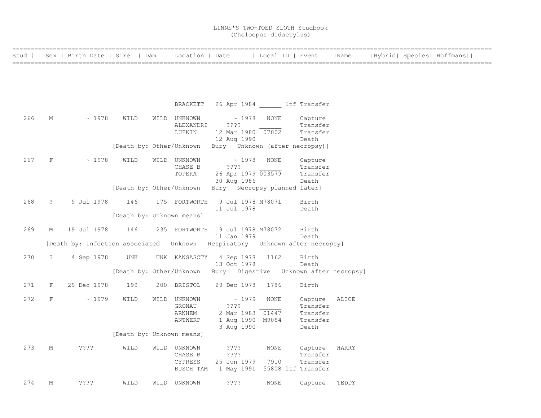|     |              | Stud #   Sex   Birth Date   Sire   Dam   Location   Date |                           |      |                     |                                   |                  | Local ID   Event                                                                              | Name  |  | Hybrid  Species  Hoffmans |
|-----|--------------|----------------------------------------------------------|---------------------------|------|---------------------|-----------------------------------|------------------|-----------------------------------------------------------------------------------------------|-------|--|---------------------------|
|     |              |                                                          |                           |      |                     |                                   |                  |                                                                                               |       |  |                           |
|     |              |                                                          |                           |      |                     |                                   |                  |                                                                                               |       |  |                           |
|     |              |                                                          |                           |      |                     |                                   |                  |                                                                                               |       |  |                           |
|     |              |                                                          |                           |      |                     |                                   |                  | BRACKETT 26 Apr 1984 ltf Transfer                                                             |       |  |                           |
| 266 | М            | ~1978                                                    | WILD                      |      | WILD UNKNOWN        |                                   | $\sim 1978$ NONE | Capture                                                                                       |       |  |                           |
|     |              |                                                          |                           |      | ALEXANDRI<br>LUFKIN | ????<br>12 Mar 1980 07002         |                  | Transfer<br>Transfer                                                                          |       |  |                           |
|     |              |                                                          |                           |      |                     | 12 Aug 1990                       |                  | Death                                                                                         |       |  |                           |
|     |              |                                                          | [Death by: Other/Unknown  |      |                     | Bury Unknown (after necropsy)]    |                  |                                                                                               |       |  |                           |
| 267 | $\mathbf{F}$ | $\sim 1978$                                              | WILD                      |      | WILD UNKNOWN        | $\sim 1978$                       | NONE             | Capture                                                                                       |       |  |                           |
|     |              |                                                          |                           |      | CHASE B             | ????                              |                  | Transfer                                                                                      |       |  |                           |
|     |              |                                                          |                           |      | TOPEKA              | 26 Apr 1979 003579<br>30 Aug 1986 |                  | Transfer<br>Death                                                                             |       |  |                           |
|     |              |                                                          | [Death by: Other/Unknown  |      |                     | Bury Necropsy planned later]      |                  |                                                                                               |       |  |                           |
| 268 | $\tilde{?}$  | 9 Jul 1978                                               | 146                       |      | 175 FORTWORTH       | 9 Jul 1978 M78071                 |                  | Birth                                                                                         |       |  |                           |
|     |              |                                                          |                           |      |                     | 11 Jul 1978                       |                  | Death                                                                                         |       |  |                           |
|     |              |                                                          | [Death by: Unknown means] |      |                     |                                   |                  |                                                                                               |       |  |                           |
| 269 | М            | 19 Jul 1978                                              | 146                       |      |                     | 235 FORTWORTH 19 Jul 1978 M78072  |                  | Birth                                                                                         |       |  |                           |
|     |              |                                                          |                           |      |                     | 11 Jan 1979                       |                  | Death<br>[Death by: Infection associated    Unknown    Respiratory    Unknown after necropsy] |       |  |                           |
|     |              |                                                          |                           |      |                     |                                   |                  |                                                                                               |       |  |                           |
| 270 | $\ddot{?}$   | 4 Sep 1978                                               | UNK                       |      |                     | UNK KANSASCTY 4 Sep 1978          | 1162             | Birth                                                                                         |       |  |                           |
|     |              |                                                          |                           |      |                     | 13 Oct 1978                       |                  | Death<br>[Death by: Other/Unknown Bury Digestive Unknown after necropsy]                      |       |  |                           |
|     |              |                                                          |                           |      |                     |                                   |                  |                                                                                               |       |  |                           |
| 271 | $\mathbf{F}$ | 29 Dec 1978                                              | 199                       |      | 200 BRISTOL         | 29 Dec 1978                       | 1786             | Birth                                                                                         |       |  |                           |
| 272 | F            | $\sim 1979$                                              | WILD                      | WILD | UNKNOWN             | $\sim$ 1979                       | NONE             | Capture                                                                                       | ALICE |  |                           |
|     |              |                                                          |                           |      | GRONAU              | ????                              |                  | Transfer                                                                                      |       |  |                           |
|     |              |                                                          |                           |      | ARNHEM              | 2 Mar 1983 01447                  |                  | Transfer                                                                                      |       |  |                           |
|     |              |                                                          |                           |      | ANTWERP             | 1 Aug 1990 M9084<br>3 Aug 1990    |                  | Transfer<br>Death                                                                             |       |  |                           |
|     |              |                                                          | [Death by: Unknown means] |      |                     |                                   |                  |                                                                                               |       |  |                           |
| 273 | М            | ????                                                     | WILD                      |      | WILD UNKNOWN        | $??\mathord{?}\mathord{?}$        | NONE             | Capture                                                                                       | HARRY |  |                           |
|     |              |                                                          |                           |      | CHASE B             | ????                              |                  | Transfer                                                                                      |       |  |                           |
|     |              |                                                          |                           |      | CYPRESS             | 25 Jun 1979                       | 7910             | Transfer                                                                                      |       |  |                           |
|     |              |                                                          |                           |      | BUSCH TAM           |                                   |                  | 1 May 1991 55808 ltf Transfer                                                                 |       |  |                           |
| 274 | М            | ? ? ? ?                                                  | WILD                      |      | WILD UNKNOWN        | ????                              | NONE             | Capture                                                                                       | TEDDY |  |                           |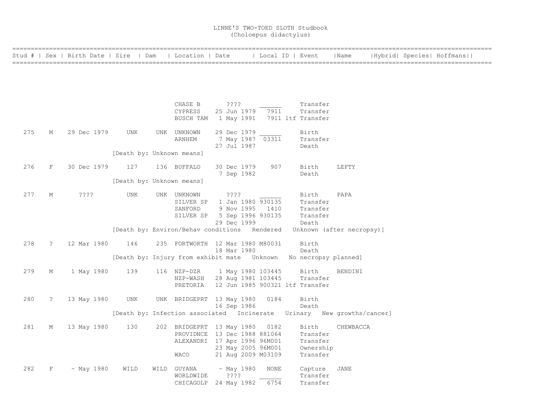|     |             | Stud #   Sex   Birth Date   Sire   Dam |                           | Location   Date                                                        |                            | Local ID   Event |                                 | Name      |  | Hybrid  Species  Hoffmans |  |
|-----|-------------|----------------------------------------|---------------------------|------------------------------------------------------------------------|----------------------------|------------------|---------------------------------|-----------|--|---------------------------|--|
|     |             |                                        |                           |                                                                        |                            |                  |                                 |           |  |                           |  |
|     |             |                                        |                           |                                                                        |                            |                  |                                 |           |  |                           |  |
|     |             |                                        |                           |                                                                        |                            |                  |                                 |           |  |                           |  |
|     |             |                                        |                           |                                                                        |                            |                  |                                 |           |  |                           |  |
|     |             |                                        |                           |                                                                        |                            |                  |                                 |           |  |                           |  |
|     |             |                                        |                           | CHASE B                                                                | $??\mathord{?}\mathord{?}$ |                  | Transfer                        |           |  |                           |  |
|     |             |                                        |                           | CYPRESS                                                                | 25 Jun 1979                | 7911             | Transfer                        |           |  |                           |  |
|     |             |                                        |                           | BUSCH TAM                                                              |                            |                  | 1 May 1991 7911 ltf Transfer    |           |  |                           |  |
|     |             |                                        |                           |                                                                        |                            |                  |                                 |           |  |                           |  |
| 275 | М           | 29 Dec 1979                            | UNK                       | UNK UNKNOWN                                                            | 29 Dec 1979                |                  | Birth                           |           |  |                           |  |
|     |             |                                        |                           | ARNHEM                                                                 | 7 May 1987 03311           |                  | Transfer                        |           |  |                           |  |
|     |             |                                        |                           |                                                                        | 27 Jul 1987                |                  | Death                           |           |  |                           |  |
|     |             |                                        | [Death by: Unknown means] |                                                                        |                            |                  |                                 |           |  |                           |  |
| 276 | F           | 30 Dec 1979                            | 127                       | 136 BUFFALO                                                            | 30 Dec 1979                | 907              | Birth                           | LEFTY     |  |                           |  |
|     |             |                                        |                           |                                                                        | 7 Sep 1982                 |                  | Death                           |           |  |                           |  |
|     |             |                                        | [Death by: Unknown means] |                                                                        |                            |                  |                                 |           |  |                           |  |
|     |             |                                        |                           |                                                                        |                            |                  |                                 |           |  |                           |  |
| 277 | М           | ????                                   | <b>UNK</b>                | UNK UNKNOWN                                                            | $??\ ??$                   |                  | Birth                           | PAPA      |  |                           |  |
|     |             |                                        |                           | SILVER SP                                                              | 1 Jan 1980 930135          |                  | Transfer                        |           |  |                           |  |
|     |             |                                        |                           | SANFORD                                                                | 9 Nov 1995 1410            |                  | Transfer                        |           |  |                           |  |
|     |             |                                        |                           | SILVER SP                                                              | 5 Sep 1996 930135          |                  | Transfer                        |           |  |                           |  |
|     |             |                                        |                           |                                                                        | 29 Dec 1999                |                  | Death                           |           |  |                           |  |
|     |             |                                        |                           | [Death by: Environ/Behav conditions Rendered                           |                            |                  | Unknown (after necropsy)]       |           |  |                           |  |
| 278 | $\tilde{z}$ | 12 Mar 1980                            | 146                       | 235 FORTWORTH 12 Mar 1980 M80031                                       |                            |                  | Birth                           |           |  |                           |  |
|     |             |                                        |                           |                                                                        | 18 Mar 1980                |                  | Death                           |           |  |                           |  |
|     |             |                                        |                           | [Death by: Injury from exhibit mate Unknown No necropsy planned]       |                            |                  |                                 |           |  |                           |  |
|     |             |                                        |                           |                                                                        |                            |                  |                                 |           |  |                           |  |
| 279 | М           | 1 May 1980                             | 139                       | 116 NZP-DZR                                                            | 1 May 1980 103445          |                  | Birth                           | BENDINI   |  |                           |  |
|     |             |                                        |                           | NZP-WASH                                                               | 28 Aug 1981 103445         |                  | Transfer                        |           |  |                           |  |
|     |             |                                        |                           | PRETORIA                                                               |                            |                  | 12 Jun 1985 900321 ltf Transfer |           |  |                           |  |
|     |             |                                        |                           |                                                                        |                            |                  |                                 |           |  |                           |  |
| 280 | $\tilde{z}$ | 13 May 1980                            | UNK                       | UNK BRIDGEPRT 13 May 1980                                              |                            | 0184             | Birth                           |           |  |                           |  |
|     |             |                                        |                           |                                                                        | 16 Sep 1986                |                  | Death                           |           |  |                           |  |
|     |             |                                        |                           | [Death by: Infection associated Incinerate Urinary New growths/cancer] |                            |                  |                                 |           |  |                           |  |
| 281 | М           | 13 May 1980                            | 130                       | 202 BRIDGEPRT 13 May 1980                                              |                            | 0182             | Birth                           | CHEWBACCA |  |                           |  |
|     |             |                                        |                           | PROVIDNCE 13 Dec 1988 881064                                           |                            |                  | Transfer                        |           |  |                           |  |
|     |             |                                        |                           | ALEXANDRI 17 Apr 1996 96M001                                           |                            |                  | Transfer                        |           |  |                           |  |
|     |             |                                        |                           |                                                                        | 23 May 2005 96M001         |                  | Ownership                       |           |  |                           |  |
|     |             |                                        |                           | WACO                                                                   | 21 Aug 2009 M03109         |                  | Transfer                        |           |  |                           |  |
|     |             |                                        |                           |                                                                        |                            |                  |                                 |           |  |                           |  |
| 282 | F           | $~\sim$ May 1980                       | WILD                      | WILD GUYANA                                                            | $~\sim$ May 1980           | NONE             | Capture                         | JANE      |  |                           |  |
|     |             |                                        |                           | WORLDWIDE                                                              | ????                       |                  | Transfer                        |           |  |                           |  |
|     |             |                                        |                           | CHICAGOLP                                                              | 24 May 1982                | 6754             | Transfer                        |           |  |                           |  |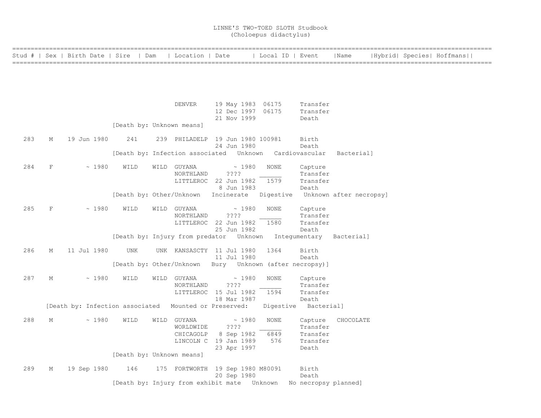| ============== |   | Stud #   Sex   Birth Date   Sire   Dam   Location   Date |                           |                          |                                                                  | Local ID   Event                  |                      | Name       |  | Hybrid  Species  Hoffmans |  |
|----------------|---|----------------------------------------------------------|---------------------------|--------------------------|------------------------------------------------------------------|-----------------------------------|----------------------|------------|--|---------------------------|--|
|                |   |                                                          |                           |                          |                                                                  |                                   |                      |            |  |                           |  |
|                |   |                                                          |                           |                          |                                                                  |                                   |                      |            |  |                           |  |
|                |   |                                                          |                           |                          |                                                                  |                                   |                      |            |  |                           |  |
|                |   |                                                          |                           |                          |                                                                  |                                   |                      |            |  |                           |  |
|                |   |                                                          |                           | DENVER                   | 19 May 1983 06175                                                |                                   | Transfer             |            |  |                           |  |
|                |   |                                                          |                           |                          | 12 Dec 1997 06175<br>21 Nov 1999                                 |                                   | Transfer<br>Death    |            |  |                           |  |
|                |   |                                                          | [Death by: Unknown means] |                          |                                                                  |                                   |                      |            |  |                           |  |
|                |   |                                                          |                           |                          |                                                                  |                                   |                      |            |  |                           |  |
| 283            | М | 19 Jun 1980                                              | 241                       |                          | 239 PHILADELP 19 Jun 1980 100981<br>24 Jun 1980                  |                                   | Birth<br>Death       |            |  |                           |  |
|                |   |                                                          |                           |                          | [Death by: Infection associated Unknown Cardiovascular           |                                   |                      | Bacterial] |  |                           |  |
|                |   |                                                          |                           |                          |                                                                  |                                   |                      |            |  |                           |  |
| 284            | F | ~1980                                                    | WILD                      | WILD GUYANA<br>NORTHLAND | $\sim 1980$<br>$??\mathord{?}\mathord{?}$                        | <b>NONE</b>                       | Capture<br>Transfer  |            |  |                           |  |
|                |   |                                                          |                           |                          | LITTLEROC 22 Jun 1982                                            | 1579                              | Transfer             |            |  |                           |  |
|                |   |                                                          |                           |                          | 8 Jun 1983                                                       |                                   | Death                |            |  |                           |  |
|                |   |                                                          |                           |                          | [Death by: Other/Unknown Incinerate                              | Digestive Unknown after necropsy] |                      |            |  |                           |  |
| 285            | F | ~1980                                                    | WILD                      | WILD GUYANA              | ~1980                                                            | <b>NONE</b>                       | Capture              |            |  |                           |  |
|                |   |                                                          |                           | NORTHLAND                | $??\ ??$                                                         |                                   | Transfer             |            |  |                           |  |
|                |   |                                                          |                           |                          | LITTLEROC 22 Jun 1982<br>25 Jun 1982                             | 1580                              | Transfer<br>Death    |            |  |                           |  |
|                |   |                                                          |                           |                          | [Death by: Injury from predator Unknown Integumentary Bacterial] |                                   |                      |            |  |                           |  |
|                |   |                                                          |                           |                          |                                                                  |                                   |                      |            |  |                           |  |
| 286            | М | 11 Jul 1980                                              | UNK                       |                          | UNK KANSASCTY 11 Jul 1980<br>11 Jul 1980                         | 1364                              | Birth<br>Death       |            |  |                           |  |
|                |   |                                                          |                           |                          | [Death by: Other/Unknown Bury Unknown (after necropsy)]          |                                   |                      |            |  |                           |  |
|                |   |                                                          |                           |                          |                                                                  |                                   |                      |            |  |                           |  |
| 287            | М | ~1980                                                    | WILD                      | WILD GUYANA<br>NORTHLAND | $\sim 1980$<br>????                                              | <b>NONE</b>                       | Capture<br>Transfer  |            |  |                           |  |
|                |   |                                                          |                           |                          | LITTLEROC 15 Jul 1982                                            | 1594                              | Transfer             |            |  |                           |  |
|                |   |                                                          |                           |                          | 18 Mar 1987                                                      |                                   | Death                |            |  |                           |  |
|                |   | [Death by: Infection associated Mounted or Preserved:    |                           |                          |                                                                  | Digestive                         | Bacterial]           |            |  |                           |  |
| 288            | M | ~1980                                                    | WILD                      | WILD GUYANA              | $\sim 1980$                                                      | <b>NONE</b>                       | Capture              | CHOCOLATE  |  |                           |  |
|                |   |                                                          |                           | WORLDWIDE                | ????                                                             |                                   | Transfer             |            |  |                           |  |
|                |   |                                                          |                           | CHICAGOLP                | 8 Sep 1982                                                       | 6849                              | Transfer             |            |  |                           |  |
|                |   |                                                          |                           |                          | LINCOLN C 19 Jan 1989<br>23 Apr 1997                             | 576                               | Transfer<br>Death    |            |  |                           |  |
|                |   |                                                          | [Death by: Unknown means] |                          |                                                                  |                                   |                      |            |  |                           |  |
| 289            | Μ | 19 Sep 1980                                              | 146                       |                          | 175 FORTWORTH 19 Sep 1980 M80091                                 |                                   | Birth                |            |  |                           |  |
|                |   |                                                          |                           |                          | 20 Sep 1980                                                      |                                   | Death                |            |  |                           |  |
|                |   |                                                          |                           |                          | [Death by: Injury from exhibit mate Unknown                      |                                   | No necropsy planned] |            |  |                           |  |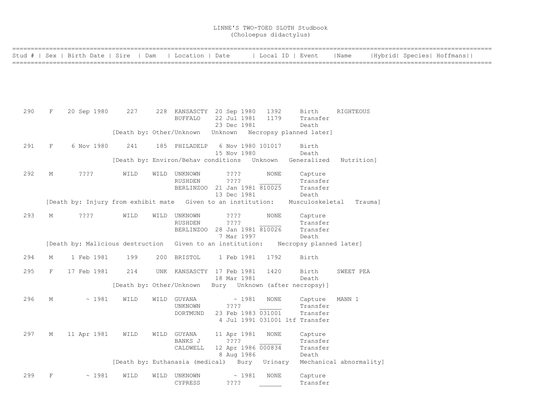|     |   | Stud #   Sex   Birth Date   Sire   Dam   Location   Date     |      |      |                                                  |                                  |             | Local ID   Event                                         | Name       |  | Hybrid  Species  Hoffmans |  |
|-----|---|--------------------------------------------------------------|------|------|--------------------------------------------------|----------------------------------|-------------|----------------------------------------------------------|------------|--|---------------------------|--|
|     |   |                                                              |      |      |                                                  |                                  |             |                                                          |            |  |                           |  |
|     |   |                                                              |      |      |                                                  |                                  |             |                                                          |            |  |                           |  |
|     |   |                                                              |      |      |                                                  |                                  |             |                                                          |            |  |                           |  |
|     |   |                                                              |      |      |                                                  |                                  |             |                                                          |            |  |                           |  |
|     |   |                                                              |      |      |                                                  |                                  |             |                                                          |            |  |                           |  |
| 290 | F | 20 Sep 1980                                                  | 227  |      | 228 KANSASCTY 20 Sep 1980 1392<br><b>BUFFALO</b> | 22 Jul 1981                      | 1179        | Birth<br>Transfer                                        | RIGHTEOUS  |  |                           |  |
|     |   |                                                              |      |      |                                                  | 23 Dec 1981                      |             | Death                                                    |            |  |                           |  |
|     |   |                                                              |      |      |                                                  |                                  |             | [Death by: Other/Unknown Unknown Necropsy planned later] |            |  |                           |  |
| 291 | F | 6 Nov 1980                                                   | 241  |      | 185 PHILADELP                                    | 6 Nov 1980 101017                |             | Birth                                                    |            |  |                           |  |
|     |   |                                                              |      |      |                                                  | 15 Nov 1980                      |             | Death                                                    |            |  |                           |  |
|     |   |                                                              |      |      | [Death by: Environ/Behav conditions Unknown      |                                  |             | Generalized                                              | Nutrition] |  |                           |  |
| 292 | М | $??\cdot?$                                                   | WILD |      | WILD UNKNOWN                                     | ????                             | <b>NONE</b> | Capture                                                  |            |  |                           |  |
|     |   |                                                              |      |      | <b>RUSHDEN</b>                                   | ????                             |             | Transfer                                                 |            |  |                           |  |
|     |   |                                                              |      |      |                                                  | BERLINZOO 21 Jan 1981 810025     |             | Transfer                                                 |            |  |                           |  |
|     |   | [Death by: Injury from exhibit mate Given to an institution: |      |      |                                                  | 13 Dec 1981                      |             | Death<br>Musculoskeletal Trauma]                         |            |  |                           |  |
|     |   |                                                              |      |      |                                                  |                                  |             |                                                          |            |  |                           |  |
| 293 | М | ????                                                         | WILD |      | WILD UNKNOWN<br>RUSHDEN                          | ????<br>????                     | <b>NONE</b> | Capture<br>Transfer                                      |            |  |                           |  |
|     |   |                                                              |      |      |                                                  | BERLINZOO 28 Jan 1981 810026     |             | Transfer                                                 |            |  |                           |  |
|     |   |                                                              |      |      |                                                  | 7 Mar 1997                       |             | Death                                                    |            |  |                           |  |
|     |   | [Death by: Malicious destruction Given to an institution:    |      |      |                                                  |                                  |             | Necropsy planned later]                                  |            |  |                           |  |
| 294 | М | 1 Feb 1981                                                   | 199  |      | 200 BRISTOL                                      | 1 Feb 1981                       | 1792        | Birth                                                    |            |  |                           |  |
|     |   |                                                              |      |      |                                                  |                                  |             |                                                          |            |  |                           |  |
| 295 | F | 17 Feb 1981                                                  | 214  |      | UNK KANSASCTY 17 Feb 1981                        | 18 Mar 1981                      | 1420        | Birth<br>Death                                           | SWEET PEA  |  |                           |  |
|     |   |                                                              |      |      |                                                  |                                  |             | [Death by: Other/Unknown Bury Unknown (after necropsy)]  |            |  |                           |  |
| 296 | М | ~1981                                                        | WILD | WILD | GUYANA                                           | $\sim 1981$                      | <b>NONE</b> | Capture                                                  | MANN 1     |  |                           |  |
|     |   |                                                              |      |      | UNKNOWN                                          | $??\mathbf{??}$                  |             | Transfer                                                 |            |  |                           |  |
|     |   |                                                              |      |      | DORTMUND                                         | 23 Feb 1983 031001               |             | Transfer                                                 |            |  |                           |  |
|     |   |                                                              |      |      |                                                  |                                  |             | 4 Jul 1991 031001 ltf Transfer                           |            |  |                           |  |
| 297 | М | 11 Apr 1981                                                  | WILD |      | WILD GUYANA                                      | 11 Apr 1981                      | NONE        | Capture                                                  |            |  |                           |  |
|     |   |                                                              |      |      | BANKS J                                          | ????                             |             | Transfer                                                 |            |  |                           |  |
|     |   |                                                              |      |      | CALDWELL                                         | 12 Apr 1986 000834<br>8 Aug 1986 |             | Transfer<br>Death                                        |            |  |                           |  |
|     |   |                                                              |      |      | [Death by: Euthanasia (medical) Bury Urinary     |                                  |             | Mechanical abnormality]                                  |            |  |                           |  |
|     |   |                                                              |      |      |                                                  |                                  |             |                                                          |            |  |                           |  |
| 299 | F | ~1981                                                        | WILD | WILD | UNKNOWN<br>CYPRESS                               | ~1981<br>????                    | NONE        | Capture<br>Transfer                                      |            |  |                           |  |
|     |   |                                                              |      |      |                                                  |                                  |             |                                                          |            |  |                           |  |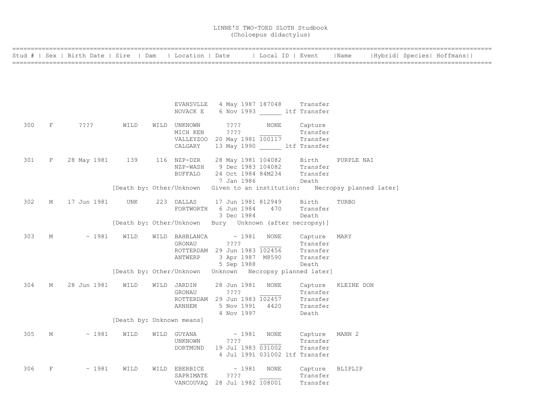|     |            |                  |                           |                        | Stud #   Sex   Birth Date   Sire   Dam   Location   Date     Local ID   Event   Name   Hybrid  Species  Hoffmans |       |                                  |            |  |  |
|-----|------------|------------------|---------------------------|------------------------|------------------------------------------------------------------------------------------------------------------|-------|----------------------------------|------------|--|--|
|     |            |                  |                           |                        |                                                                                                                  |       |                                  |            |  |  |
|     |            |                  |                           |                        |                                                                                                                  |       |                                  |            |  |  |
|     |            |                  |                           |                        |                                                                                                                  |       |                                  |            |  |  |
|     |            |                  |                           |                        |                                                                                                                  |       |                                  |            |  |  |
|     |            |                  |                           |                        | EVANSVLLE 4 May 1987 187048 Transfer                                                                             |       |                                  |            |  |  |
|     |            |                  |                           |                        | NOVACK E 6 Nov 1993 ltf Transfer                                                                                 |       |                                  |            |  |  |
| 300 | F          | ????             | WILD                      |                        |                                                                                                                  |       |                                  |            |  |  |
|     |            |                  |                           | MICH KEN               | WILD UNKNOWN ???? NONE<br>$??\; ?$                                                                               |       | Capture<br>Transfer              |            |  |  |
|     |            |                  |                           |                        | VALLEYZOO 20 May 1981 $\overline{100117}$ Transfer                                                               |       |                                  |            |  |  |
|     |            |                  |                           | CALGARY                | 13 May 1990 ltf Transfer                                                                                         |       |                                  |            |  |  |
| 301 | F          | 28 May 1981 139  |                           | 116 NZP-DZR            | 28 May 1981 104082                                                                                               |       | Birth                            | PURPLE NAI |  |  |
|     |            |                  |                           |                        | NZP-WASH 9 Dec 1983 104082 Transfer                                                                              |       |                                  |            |  |  |
|     |            |                  |                           | BUFFALO                | 24 Oct 1984 84M234                                                                                               |       | Transfer                         |            |  |  |
|     |            |                  |                           |                        | 7 Jan 1986                                                                                                       | Death |                                  |            |  |  |
|     |            |                  |                           |                        | [Death by: Other/Unknown Given to an institution: Necropsy planned later]                                        |       |                                  |            |  |  |
| 302 | М          | 17 Jun 1981      | <b>UNK</b>                | 223 DALLAS             | 17 Jun 1981 812949                                                                                               |       | Birth                            | TURBO      |  |  |
|     |            |                  |                           |                        | FORTWORTH 6 Jun 1984                                                                                             | 470   | Transfer                         |            |  |  |
|     |            |                  |                           |                        | 3 Dec 1984                                                                                                       |       | Death                            |            |  |  |
|     |            |                  |                           |                        | [Death by: Other/Unknown Bury Unknown (after necropsy)]                                                          |       |                                  |            |  |  |
| 303 | M          | $\sim 1981$      | WILD                      | WILD BAHBLANCA         | $\sim$ 1981 – NONE                                                                                               |       | Capture                          | MARY       |  |  |
|     |            |                  |                           | GRONAU                 | ????                                                                                                             |       | Transfer                         |            |  |  |
|     |            |                  |                           |                        | ROTTERDAM 29 Jun 1983 102456 Transfer                                                                            |       |                                  |            |  |  |
|     |            |                  |                           | ANTWERP                | 3 Apr 1987 M8590                                                                                                 |       | Transfer                         |            |  |  |
|     |            |                  |                           |                        | 5 Sep 1988<br>[Death by: Other/Unknown Unknown Necropsy planned later]                                           |       | Death                            |            |  |  |
|     |            |                  |                           |                        |                                                                                                                  |       |                                  |            |  |  |
| 304 | М          | 28 Jun 1981 WILD |                           | WILD JARDIN            | 28 Jun 1981                                                                                                      | NONE  | Capture KLEINE DON               |            |  |  |
|     |            |                  |                           | GRONAU                 | ????                                                                                                             |       | Transfer<br>Iransfer<br>Transfer |            |  |  |
|     |            |                  |                           |                        | ROTTERDAM 29 Jun 1983 102457                                                                                     |       |                                  |            |  |  |
|     |            |                  |                           | ARNHEM                 | 5 Nov 1991 4420<br>4 Nov 1997                                                                                    |       | Transfer<br>Death                |            |  |  |
|     |            |                  | [Death by: Unknown means] |                        |                                                                                                                  |       |                                  |            |  |  |
|     |            |                  |                           |                        |                                                                                                                  |       |                                  |            |  |  |
| 305 | М          | $\sim$ 1981      | WILD                      | WILD GUYANA<br>UNKNOWN | $\sim 1981$ NONE<br>????                                                                                         |       | Capture MANN 2<br>Transfer       |            |  |  |
|     |            |                  |                           | DORTMUND               | 19 Jul 1983 031002                                                                                               |       | Transfer                         |            |  |  |
|     |            |                  |                           |                        | 4 Jul 1991 031002 ltf Transfer                                                                                   |       |                                  |            |  |  |
|     |            |                  |                           |                        |                                                                                                                  |       |                                  |            |  |  |
| 306 | $_{\rm F}$ | ~1981            | WILD                      | WILD EBERBICE          | $\sim$ 1981 NONE<br>$??\mathrel{?}\mathrel{?}$                                                                   |       | Capture BLIPLIP<br>Transfer      |            |  |  |
|     |            |                  |                           | SAPRIMATE              | VANCOUVAQ 28 Jul 1982 108001                                                                                     |       | Transfer                         |            |  |  |
|     |            |                  |                           |                        |                                                                                                                  |       |                                  |            |  |  |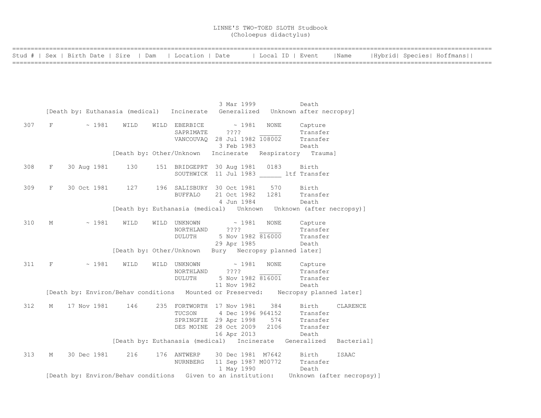|  |  |  | Stud #   Sex   Birth Date   Sire   Dam   Location   Date   Local ID   Event   Name   Hybrid  Species  Hoffmans |
|--|--|--|----------------------------------------------------------------------------------------------------------------|
|  |  |  |                                                                                                                |

|     |                                 |                  |                | 3 Mar 1999                                                                                                                                                           | Death                                                                                  |
|-----|---------------------------------|------------------|----------------|----------------------------------------------------------------------------------------------------------------------------------------------------------------------|----------------------------------------------------------------------------------------|
|     |                                 |                  |                | [Death by: Euthanasia (medical) Incinerate Generalized Unknown after necropsy]                                                                                       |                                                                                        |
| 307 | $F \sim 1981 \quad \text{WILD}$ |                  |                | WILD EBERBICE $\sim$ 1981<br>SAPRIMATE ????<br>VANCOUVAQ 28 Jul 1982 108002 Transfer<br>3 Feb 1983                                                                   | NONE Capture<br>Transfer<br>Death                                                      |
|     |                                 |                  |                | [Death by: Other/Unknown Incinerate Respiratory Trauma]                                                                                                              |                                                                                        |
| 308 | F                               | 30 Aug 1981 130  |                | 151 BRIDGEPRT 30 Aug 1981 0183 Birth<br>SOUTHWICK 11 Jul 1983 ltf Transfer                                                                                           |                                                                                        |
| 309 |                                 |                  | <b>BUFFALO</b> | F 30 Oct 1981 127 196 SALISBURY 30 Oct 1981 570 Birth<br>21 Oct 1982 1281<br>4 Jun 1984                                                                              | Transfer<br>Death                                                                      |
|     |                                 |                  |                |                                                                                                                                                                      | [Death by: Euthanasia (medical)    Unknown    Unknown    (after necropsy)]             |
| 310 | М                               | $\sim$ 1981 WILD |                | WILD UNKNOWN $\sim$ 1981<br>NORTHLAND ????<br>DULUTH 5 Nov 1982 816000<br>29 Apr 1985                                                                                | NONE Capture<br>Transfer<br>Transfer<br>Death                                          |
|     |                                 |                  |                | [Death by: Other/Unknown Bury Necropsy planned later]                                                                                                                |                                                                                        |
| 311 | $F$ and $F$                     | $\sim$ 1981 WILD | DULUTH         | WILD UNKNOWN ~ 1981<br>NORTHLAND ????<br>5 Nov 1982 816001 Transfer<br>11 Nov 1982                                                                                   | NONE Capture<br>Transfer<br>Death                                                      |
|     |                                 |                  |                |                                                                                                                                                                      | [Death by: Environ/Behav conditions Mounted or Preserved: Necropsy planned later]      |
| 312 | M 17 Nov 1981 146               |                  |                | 235 FORTWORTH 17 Nov 1981 384 Birth<br>TUCSON 4 Dec 1996 964152 Transfer<br>SPRINGFIE 29 Apr 1998 574 Transfer<br>DES MOINE 28 Oct 2009 2106 Transfer<br>16 Apr 2013 | CLARENCE<br>Death                                                                      |
|     |                                 |                  |                |                                                                                                                                                                      | [Death by: Euthanasia (medical) Incinerate Generalized Bacterial]                      |
| 313 | M                               |                  |                | 30 Dec 1981 216 176 ANTWERP 30 Dec 1981 M7642 Birth<br>NURNBERG 11 Sep 1987 M00772 Transfer<br>1 May 1990 Death                                                      | ISAAC                                                                                  |
|     |                                 |                  |                |                                                                                                                                                                      | [Death by: Environ/Behav conditions Given to an institution: Unknown (after necropsy)] |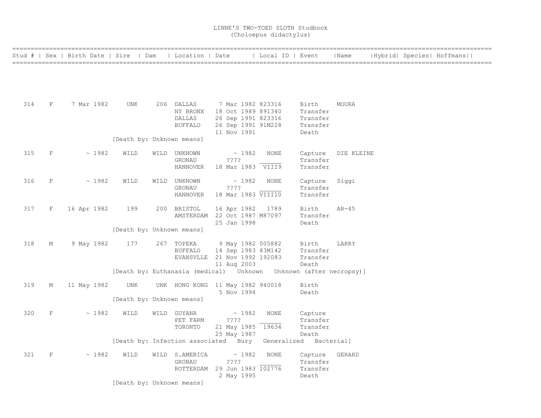|     |   | Stud #   Sex   Birth Date   Sire   Dam |                           | Location   Date                                                   |                                         | Local ID   Event       |                   | Name       |  | Hybrid  Species  Hoffmans |  |
|-----|---|----------------------------------------|---------------------------|-------------------------------------------------------------------|-----------------------------------------|------------------------|-------------------|------------|--|---------------------------|--|
|     |   |                                        |                           |                                                                   |                                         |                        |                   |            |  |                           |  |
|     |   |                                        |                           |                                                                   |                                         |                        |                   |            |  |                           |  |
|     |   |                                        |                           |                                                                   |                                         |                        |                   |            |  |                           |  |
|     |   |                                        |                           |                                                                   |                                         |                        |                   |            |  |                           |  |
| 314 | F | 7 Mar 1982                             | UNK                       | 206 DALLAS<br>NY BRONX                                            | 7 Mar 1982 823316<br>18 Oct 1989 891340 |                        | Birth<br>Transfer | MOURA      |  |                           |  |
|     |   |                                        |                           | DALLAS                                                            | 26 Sep 1991 823316                      |                        | Transfer          |            |  |                           |  |
|     |   |                                        |                           | <b>BUFFALO</b>                                                    | 26 Sep 1991 91M228                      |                        | Transfer          |            |  |                           |  |
|     |   |                                        |                           |                                                                   | 11 Nov 1991                             |                        | Death             |            |  |                           |  |
|     |   |                                        | [Death by: Unknown means] |                                                                   |                                         |                        |                   |            |  |                           |  |
| 315 | F | ~1982                                  | WILD                      | WILD UNKNOWN                                                      | $\sim 1982$                             | <b>NONE</b>            | Capture           | DIE KLEINE |  |                           |  |
|     |   |                                        |                           | GRONAU                                                            | ????                                    |                        | Transfer          |            |  |                           |  |
|     |   |                                        |                           | <b>HANNOVER</b>                                                   | 18 Mar 1983 VIII9                       |                        | Transfer          |            |  |                           |  |
| 316 | F | ~1982                                  | WILD                      | WILD UNKNOWN                                                      | ~1982                                   | NONE                   | Capture           | Siggi      |  |                           |  |
|     |   |                                        |                           | GRONAU                                                            | ????                                    |                        | Transfer          |            |  |                           |  |
|     |   |                                        |                           | HANNOVER                                                          | 18 Mar 1983 VIII10                      |                        | Transfer          |            |  |                           |  |
| 317 | F | 16 Apr 1982                            | 199                       | 200 BRISTOL                                                       | 16 Apr 1982                             | 1789                   | Birth             | $AR-45$    |  |                           |  |
|     |   |                                        |                           | AMSTERDAM 22 Oct 1987 M87097                                      |                                         |                        | Transfer          |            |  |                           |  |
|     |   |                                        |                           |                                                                   | 25 Jan 1998                             |                        | Death             |            |  |                           |  |
|     |   |                                        | [Death by: Unknown means] |                                                                   |                                         |                        |                   |            |  |                           |  |
| 318 | М | 9 May 1982                             | 177                       | 267 TOPEKA                                                        | 9 May 1982 005882                       |                        | Birth             | LARRY      |  |                           |  |
|     |   |                                        |                           | <b>BUFFALO</b>                                                    | 14 Sep 1983 83M142                      |                        | Transfer          |            |  |                           |  |
|     |   |                                        |                           | EVANSVLLE 21 Nov 1992 192083                                      |                                         |                        | Transfer          |            |  |                           |  |
|     |   |                                        |                           |                                                                   | 11 Aug 2003                             |                        | Death             |            |  |                           |  |
|     |   |                                        |                           | [Death by: Euthanasia (medical) Unknown Unknown (after necropsy)] |                                         |                        |                   |            |  |                           |  |
| 319 | М | 11 May 1982                            | UNK                       | UNK HONG KONG 11 May 1982 940018                                  |                                         |                        | Birth             |            |  |                           |  |
|     |   |                                        |                           |                                                                   | 5 Nov 1994                              |                        | Death             |            |  |                           |  |
|     |   |                                        | [Death by: Unknown means] |                                                                   |                                         |                        |                   |            |  |                           |  |
| 320 | F | ~1982                                  | WILD                      | WILD GUYANA                                                       | $\sim 1982$                             | NONE                   | Capture           |            |  |                           |  |
|     |   |                                        |                           | PET FARM                                                          | ????                                    |                        | Transfer          |            |  |                           |  |
|     |   |                                        |                           | TORONTO                                                           | 21 May 1985 19634                       |                        | Transfer          |            |  |                           |  |
|     |   |                                        |                           | [Death by: Infection associated Bury                              | 25 May 1987                             | Generalized Bacterial] | Death             |            |  |                           |  |
|     |   |                                        |                           |                                                                   |                                         |                        |                   |            |  |                           |  |
| 321 | F | ~1982                                  | WILD                      | WILD S.AMERICA                                                    | ~1982                                   | NONE                   | Capture           | GERARD     |  |                           |  |
|     |   |                                        |                           | GRONAU                                                            | ? ? ? ?                                 |                        | Transfer          |            |  |                           |  |
|     |   |                                        |                           | ROTTERDAM 29 Jun 1983 102776                                      |                                         |                        | Transfer          |            |  |                           |  |
|     |   |                                        | [Death by: Unknown means] |                                                                   | 2 May 1995                              |                        | Death             |            |  |                           |  |
|     |   |                                        |                           |                                                                   |                                         |                        |                   |            |  |                           |  |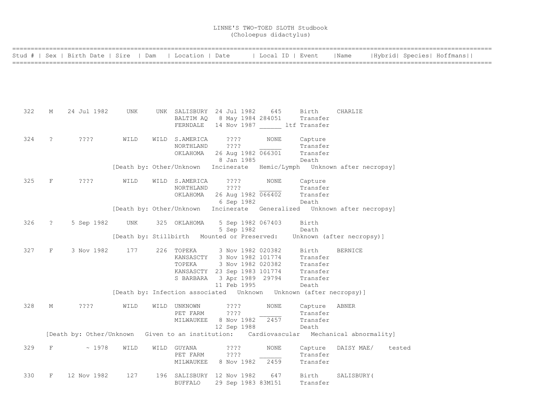|     |                      | Stud #   Sex   Birth Date   Sire   Dam |      | Location   Date             |                                                                  |             | Local ID   Event                                                           | Name           |        | Hybrid  Species  Hoffmans |
|-----|----------------------|----------------------------------------|------|-----------------------------|------------------------------------------------------------------|-------------|----------------------------------------------------------------------------|----------------|--------|---------------------------|
|     |                      |                                        |      |                             |                                                                  |             |                                                                            |                |        |                           |
|     |                      |                                        |      |                             |                                                                  |             |                                                                            |                |        |                           |
|     |                      |                                        |      |                             |                                                                  |             |                                                                            |                |        |                           |
|     |                      |                                        |      |                             |                                                                  |             |                                                                            |                |        |                           |
|     |                      |                                        |      |                             |                                                                  |             |                                                                            |                |        |                           |
| 322 | М                    | 24 Jul 1982                            | UNK  |                             | UNK SALISBURY 24 Jul 1982                                        | 645         | Birth                                                                      | CHARLIE        |        |                           |
|     |                      |                                        |      |                             | BALTIM AQ 8 May 1984 284051<br>FERNDALE 14 Nov 1987 ltf Transfer |             | Transfer                                                                   |                |        |                           |
|     |                      |                                        |      |                             |                                                                  |             |                                                                            |                |        |                           |
| 324 | $\ddot{\phantom{0}}$ | ????                                   | WILD | WILD S.AMERICA              | ????                                                             | NONE        | Capture                                                                    |                |        |                           |
|     |                      |                                        |      | NORTHLAND                   | ????                                                             |             | Transfer                                                                   |                |        |                           |
|     |                      |                                        |      |                             | OKLAHOMA 26 Aug 1982 066301<br>8 Jan 1985                        |             | Transfer<br>Death                                                          |                |        |                           |
|     |                      |                                        |      |                             |                                                                  |             | [Death by: Other/Unknown Incinerate Hemic/Lymph Unknown after necropsy]    |                |        |                           |
|     |                      |                                        |      |                             |                                                                  |             |                                                                            |                |        |                           |
| 325 | $\mathbf F$          | $??\ ??$                               | WILD | WILD S.AMERICA<br>NORTHLAND | ????<br>????                                                     | NONE        | Capture<br>Transfer                                                        |                |        |                           |
|     |                      |                                        |      | OKLAHOMA                    | 26 Aug 1982 066402                                               |             | Transfer                                                                   |                |        |                           |
|     |                      |                                        |      |                             | 6 Sep 1982                                                       |             | Death                                                                      |                |        |                           |
|     |                      |                                        |      |                             |                                                                  |             | [Death by: Other/Unknown Incinerate Generalized Unknown after necropsy]    |                |        |                           |
| 326 | $\tilde{z}$          | 5 Sep 1982                             | UNK  | 325 OKLAHOMA                | 5 Sep 1982 067403                                                |             | Birth                                                                      |                |        |                           |
|     |                      |                                        |      |                             | 5 Sep 1982                                                       |             | Death                                                                      |                |        |                           |
|     |                      |                                        |      |                             | [Death by: Stillbirth Mounted or Preserved:                      |             | Unknown (after necropsy)]                                                  |                |        |                           |
| 327 | $\mathbf{F}$         | 3 Nov 1982                             | 177  | 226 TOPEKA                  | 3 Nov 1982 020382                                                |             | Birth                                                                      | <b>BERNICE</b> |        |                           |
|     |                      |                                        |      | KANSASCTY                   | 3 Nov 1982 101774                                                |             | Transfer                                                                   |                |        |                           |
|     |                      |                                        |      | TOPEKA                      | 3 Nov 1982 020382                                                |             | Transfer                                                                   |                |        |                           |
|     |                      |                                        |      | S BARBARA                   | KANSASCTY 23 Sep 1983 101774<br>3 Apr 1989 29794                 |             | Transfer<br>Transfer                                                       |                |        |                           |
|     |                      |                                        |      |                             | 11 Feb 1995                                                      |             | Death                                                                      |                |        |                           |
|     |                      |                                        |      |                             |                                                                  |             | [Death by: Infection associated    Unknown    Unknown    (after necropsy)] |                |        |                           |
| 328 | М                    | ????                                   | WILD | WILD UNKNOWN                | $??\; ?$                                                         | <b>NONE</b> | Capture                                                                    | ABNER          |        |                           |
|     |                      |                                        |      | PET FARM                    | ????                                                             |             | Transfer                                                                   |                |        |                           |
|     |                      |                                        |      | MILWAUKEE                   | 8 Nov 1982                                                       | 2457        | Transfer                                                                   |                |        |                           |
|     |                      |                                        |      |                             | 12 Sep 1988                                                      |             | Death                                                                      |                |        |                           |
|     |                      | [Death by: Other/Unknown               |      |                             |                                                                  |             | Given to an institution: Cardiovascular Mechanical abnormality]            |                |        |                           |
| 329 | F                    | ~1978                                  | WILD | WILD GUYANA                 | ????                                                             | NONE        | Capture                                                                    | DAISY MAE/     | tested |                           |
|     |                      |                                        |      | PET FARM                    | ????                                                             |             | Transfer                                                                   |                |        |                           |
|     |                      |                                        |      | MILWAUKEE                   | 8 Nov 1982                                                       | 2459        | Transfer                                                                   |                |        |                           |
| 330 | F                    | 12 Nov 1982                            | 127  |                             | 196 SALISBURY 12 Nov 1982                                        | 647         | Birth                                                                      | SALISBURY (    |        |                           |
|     |                      |                                        |      | <b>BUFFALO</b>              | 29 Sep 1983 83M151                                               |             | Transfer                                                                   |                |        |                           |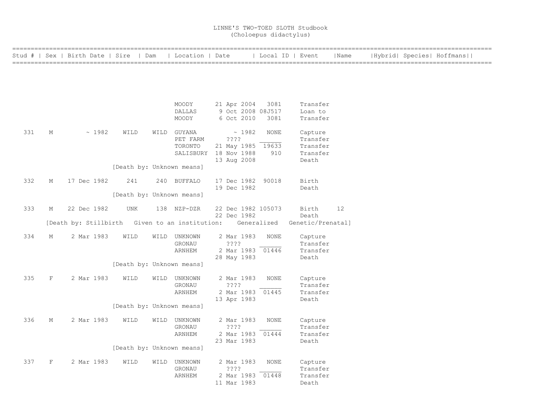|     |             | Stud #   Sex   Birth Date   Sire   Dam         |                           |      | Location   Date |                       | Local ID   Event |                   | Name |  | Hybrid  Species  Hoffmans |  |
|-----|-------------|------------------------------------------------|---------------------------|------|-----------------|-----------------------|------------------|-------------------|------|--|---------------------------|--|
|     |             |                                                |                           |      |                 |                       |                  |                   |      |  |                           |  |
|     |             |                                                |                           |      |                 |                       |                  |                   |      |  |                           |  |
|     |             |                                                |                           |      |                 |                       |                  |                   |      |  |                           |  |
|     |             |                                                |                           |      | MOODY           | 21 Apr 2004           | 3081             | Transfer          |      |  |                           |  |
|     |             |                                                |                           |      | DALLAS          | 9 Oct 2008 08J517     |                  | Loan to           |      |  |                           |  |
|     |             |                                                |                           |      | MOODY           | 6 Oct 2010            | 3081             | Transfer          |      |  |                           |  |
| 331 | М           | ~1982                                          | WILD                      |      | WILD GUYANA     | $\sim 1982$           | NONE             | Capture           |      |  |                           |  |
|     |             |                                                |                           |      | PET FARM        | ????                  |                  | Transfer          |      |  |                           |  |
|     |             |                                                |                           |      | TORONTO         | 21 May 1985 19633     |                  | Transfer          |      |  |                           |  |
|     |             |                                                |                           |      |                 | SALISBURY 18 Nov 1988 | 910              | Transfer          |      |  |                           |  |
|     |             |                                                |                           |      |                 | 13 Aug 2008           |                  | Death             |      |  |                           |  |
|     |             |                                                | [Death by: Unknown means] |      |                 |                       |                  |                   |      |  |                           |  |
| 332 | М           | 17 Dec 1982                                    | 241                       |      | 240 BUFFALO     | 17 Dec 1982           | 90018            | Birth             |      |  |                           |  |
|     |             |                                                |                           |      |                 | 19 Dec 1982           |                  | Death             |      |  |                           |  |
|     |             |                                                | [Death by: Unknown means] |      |                 |                       |                  |                   |      |  |                           |  |
| 333 | М           | 22 Dec 1982                                    | UNK                       |      | 138 NZP-DZR     | 22 Dec 1982 105073    |                  | Birth             | 12   |  |                           |  |
|     |             |                                                |                           |      |                 | 22 Dec 1982           |                  | Death             |      |  |                           |  |
|     |             | [Death by: Stillbirth Given to an institution: |                           |      |                 |                       | Generalized      | Genetic/Prenatal] |      |  |                           |  |
| 334 | М           | 2 Mar 1983                                     | WILD                      | WILD | UNKNOWN         | 2 Mar 1983            | NONE             | Capture           |      |  |                           |  |
|     |             |                                                |                           |      | GRONAU          | ????                  |                  | Transfer          |      |  |                           |  |
|     |             |                                                |                           |      | ARNHEM          | 2 Mar 1983 01446      |                  | Transfer          |      |  |                           |  |
|     |             |                                                |                           |      |                 | 28 May 1983           |                  | Death             |      |  |                           |  |
|     |             |                                                | [Death by: Unknown means] |      |                 |                       |                  |                   |      |  |                           |  |
| 335 | F           | 2 Mar 1983                                     | WILD                      |      | WILD UNKNOWN    | 2 Mar 1983            | <b>NONE</b>      | Capture           |      |  |                           |  |
|     |             |                                                |                           |      | GRONAU          | ????                  |                  | Transfer          |      |  |                           |  |
|     |             |                                                |                           |      | ARNHEM          | 2 Mar 1983 01445      |                  | Transfer          |      |  |                           |  |
|     |             |                                                |                           |      |                 | 13 Apr 1983           |                  | Death             |      |  |                           |  |
|     |             |                                                | [Death by: Unknown means] |      |                 |                       |                  |                   |      |  |                           |  |
| 336 | М           | 2 Mar 1983                                     | WILD                      |      | WILD UNKNOWN    | 2 Mar 1983            | <b>NONE</b>      | Capture           |      |  |                           |  |
|     |             |                                                |                           |      | GRONAU          | ????                  |                  | Transfer          |      |  |                           |  |
|     |             |                                                |                           |      | <b>ARNHEM</b>   | 2 Mar 1983 01444      |                  | Transfer          |      |  |                           |  |
|     |             |                                                | [Death by: Unknown means] |      |                 | 23 Mar 1983           |                  | Death             |      |  |                           |  |
|     |             |                                                |                           |      |                 |                       |                  |                   |      |  |                           |  |
| 337 | $\mathbf F$ | 2 Mar 1983                                     | WILD                      |      | WILD UNKNOWN    | 2 Mar 1983            | <b>NONE</b>      | Capture           |      |  |                           |  |
|     |             |                                                |                           |      | GRONAU          | ????                  |                  | Transfer          |      |  |                           |  |
|     |             |                                                |                           |      | <b>ARNHEM</b>   | 2 Mar 1983 01448      |                  | Transfer          |      |  |                           |  |
|     |             |                                                |                           |      |                 | 11 Mar 1983           |                  | Death             |      |  |                           |  |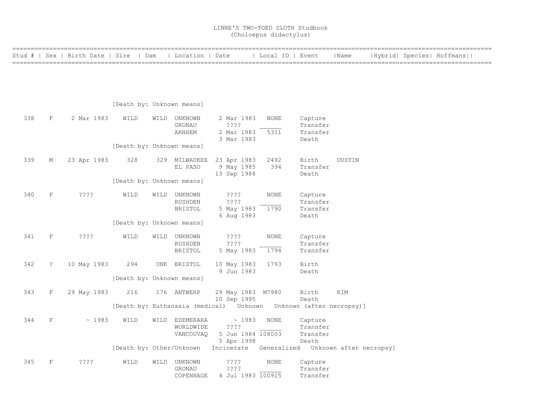|     |                      | Stud #   Sex   Birth Date   Sire | Dam                       | Location   Date  |                                                                            | Local ID   Event |          | Name   |  | Hybrid  Species  Hoffmans |
|-----|----------------------|----------------------------------|---------------------------|------------------|----------------------------------------------------------------------------|------------------|----------|--------|--|---------------------------|
|     |                      |                                  |                           |                  |                                                                            |                  |          |        |  |                           |
|     |                      |                                  |                           |                  |                                                                            |                  |          |        |  |                           |
|     |                      |                                  |                           |                  |                                                                            |                  |          |        |  |                           |
|     |                      |                                  | [Death by: Unknown means] |                  |                                                                            |                  |          |        |  |                           |
| 338 | $\rm F$              | 2 Mar 1983                       | WILD                      | WILD UNKNOWN     | 2 Mar 1983                                                                 | NONE             | Capture  |        |  |                           |
|     |                      |                                  |                           | GRONAU           | $??\mathbf{??}$                                                            |                  | Transfer |        |  |                           |
|     |                      |                                  |                           | <b>ARNHEM</b>    | 2 Mar 1983                                                                 | 5311             | Transfer |        |  |                           |
|     |                      |                                  |                           |                  | 3 Mar 1983                                                                 |                  | Death    |        |  |                           |
|     |                      |                                  | [Death by: Unknown means] |                  |                                                                            |                  |          |        |  |                           |
| 339 | М                    | 23 Apr 1983                      | 328                       | 329 MILWAUKEE    | 23 Apr 1983                                                                | 2492             | Birth    | DUSTIN |  |                           |
|     |                      |                                  |                           | EL PASO          | 9 May 1985                                                                 | 394              | Transfer |        |  |                           |
|     |                      |                                  |                           |                  | 13 Sep 1988                                                                |                  | Death    |        |  |                           |
|     |                      |                                  | [Death by: Unknown means] |                  |                                                                            |                  |          |        |  |                           |
| 340 | $\mathbf F$          | ????                             | WILD                      | WILD UNKNOWN     | ????                                                                       | <b>NONE</b>      | Capture  |        |  |                           |
|     |                      |                                  |                           | RUSHDEN          | ? ? ? ?                                                                    |                  | Transfer |        |  |                           |
|     |                      |                                  |                           | BRISTOL          | 5 May 1983                                                                 | 1790             | Transfer |        |  |                           |
|     |                      |                                  |                           |                  | 6 Aug 1983                                                                 |                  | Death    |        |  |                           |
|     |                      |                                  | [Death by: Unknown means] |                  |                                                                            |                  |          |        |  |                           |
| 341 | $\mathbf F$          | $??\mathord{?}\mathord{?}$       | WILD                      | WILD UNKNOWN     | ????                                                                       | NONE             | Capture  |        |  |                           |
|     |                      |                                  |                           | RUSHDEN          | $??\,?\,?$                                                                 |                  | Transfer |        |  |                           |
|     |                      |                                  |                           | BRISTOL          | 5 May 1983                                                                 | 1794             | Transfer |        |  |                           |
| 342 | $\ddot{\phantom{0}}$ | 10 May 1983                      | 294                       | UNK BRISTOL      | 10 May 1983                                                                | 1793             | Birth    |        |  |                           |
|     |                      |                                  |                           |                  | 9 Jun 1983                                                                 |                  | Death    |        |  |                           |
|     |                      |                                  | [Death by: Unknown means] |                  |                                                                            |                  |          |        |  |                           |
| 343 | $\mathbf{F}$         | 29 May 1983                      | 216                       | 176 ANTWERP      | 29 May 1983 M7980                                                          |                  | Birth    | KIM    |  |                           |
|     |                      |                                  |                           |                  | 10 Sep 1995                                                                |                  | Death    |        |  |                           |
|     |                      |                                  |                           |                  | [Death by: Euthanasia (medical)    Unknown    Unknown    (after necropsy)] |                  |          |        |  |                           |
| 344 | $\mathbf{F}$         | ~1983                            | WILD                      | WILD EDEMERARA   | ~1983                                                                      | <b>NONE</b>      | Capture  |        |  |                           |
|     |                      |                                  |                           | WORLDWIDE        | $??\mathbf{??}$                                                            |                  | Transfer |        |  |                           |
|     |                      |                                  |                           | <b>VANCOUVAO</b> | 5 Jun 1984 108003                                                          |                  | Transfer |        |  |                           |
|     |                      |                                  |                           |                  | 5 Apr 1998                                                                 |                  | Death    |        |  |                           |
|     |                      |                                  | [Death by: Other/Unknown  |                  | Incinerate Generalized Unknown after necropsy]                             |                  |          |        |  |                           |
| 345 | $\rm F$              | $??\,?\,?$                       | WILD                      | WILD UNKNOWN     | ????                                                                       | NONE             | Capture  |        |  |                           |
|     |                      |                                  |                           | GRONAU           | ????                                                                       |                  | Transfer |        |  |                           |
|     |                      |                                  |                           | COPENHAGE        | 4 Jul 1983 100915                                                          |                  | Transfer |        |  |                           |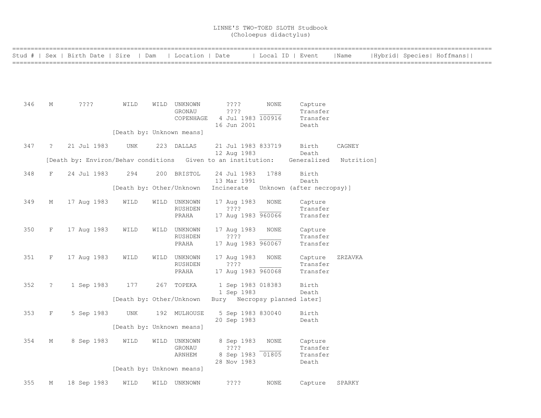|     |                | Stud #   Sex   Birth Date   Sire   Dam                       |                           |      | Location   Date |                              |             | Local ID   Event          | Name       |  | Hybrid  Species  Hoffmans |  |
|-----|----------------|--------------------------------------------------------------|---------------------------|------|-----------------|------------------------------|-------------|---------------------------|------------|--|---------------------------|--|
|     |                |                                                              |                           |      |                 |                              |             |                           |            |  |                           |  |
|     |                |                                                              |                           |      |                 |                              |             |                           |            |  |                           |  |
|     |                |                                                              |                           |      |                 |                              |             |                           |            |  |                           |  |
| 346 | М              | ????                                                         | WILD                      |      | WILD UNKNOWN    | ????                         | NONE        | Capture                   |            |  |                           |  |
|     |                |                                                              |                           |      | GRONAU          | ????                         |             | Transfer                  |            |  |                           |  |
|     |                |                                                              |                           |      | COPENHAGE       | 4 Jul 1983 100916            |             | Transfer                  |            |  |                           |  |
|     |                |                                                              |                           |      |                 | 16 Jun 2001                  |             | Death                     |            |  |                           |  |
|     |                |                                                              | [Death by: Unknown means] |      |                 |                              |             |                           |            |  |                           |  |
| 347 | $\ddot{\cdot}$ | 21 Jul 1983                                                  | UNK                       |      | 223 DALLAS      | 21 Jul 1983 833719           |             | Birth                     | CAGNEY     |  |                           |  |
|     |                |                                                              |                           |      |                 | 12 Aug 1983                  |             | Death                     |            |  |                           |  |
|     |                | [Death by: Environ/Behav conditions Given to an institution: |                           |      |                 |                              |             | Generalized               | Nutrition] |  |                           |  |
| 348 | F              | 24 Jul 1983                                                  | 294                       |      | 200 BRISTOL     | 24 Jul 1983                  | 1788        | Birth                     |            |  |                           |  |
|     |                |                                                              |                           |      |                 | 13 Mar 1991                  |             | Death                     |            |  |                           |  |
|     |                |                                                              | [Death by: Other/Unknown  |      |                 | Incinerate                   |             | Unknown (after necropsy)] |            |  |                           |  |
| 349 | М              | 17 Aug 1983                                                  | WILD                      |      | WILD UNKNOWN    | 17 Aug 1983                  | <b>NONE</b> | Capture                   |            |  |                           |  |
|     |                |                                                              |                           |      | RUSHDEN         | ????                         |             | Transfer                  |            |  |                           |  |
|     |                |                                                              |                           |      | PRAHA           | 17 Aug 1983 960066           |             | Transfer                  |            |  |                           |  |
| 350 | F              | 17 Aug 1983                                                  | WILD                      | WILD | UNKNOWN         | 17 Aug 1983                  | <b>NONE</b> | Capture                   |            |  |                           |  |
|     |                |                                                              |                           |      | RUSHDEN         | ? ? ? ?                      |             | Transfer                  |            |  |                           |  |
|     |                |                                                              |                           |      | PRAHA           | 17 Aug 1983 960067           |             | Transfer                  |            |  |                           |  |
| 351 | F              | 17 Aug 1983                                                  | WILD                      | WILD | UNKNOWN         | 17 Aug 1983                  | <b>NONE</b> | Capture                   | ZRZAVKA    |  |                           |  |
|     |                |                                                              |                           |      | RUSHDEN         | ? ? ? ?                      |             | Transfer                  |            |  |                           |  |
|     |                |                                                              |                           |      | PRAHA           | 17 Aug 1983 960068           |             | Transfer                  |            |  |                           |  |
| 352 | $\mathbf{?}$   | 1 Sep 1983                                                   | 177                       | 267  | TOPEKA          | 1 Sep 1983 018383            |             | Birth                     |            |  |                           |  |
|     |                |                                                              |                           |      |                 | 1 Sep 1983                   |             | Death                     |            |  |                           |  |
|     |                |                                                              | [Death by: Other/Unknown  |      |                 | Bury Necropsy planned later] |             |                           |            |  |                           |  |
| 353 | F              | 5 Sep 1983                                                   | UNK                       |      | 192 MULHOUSE    | 5 Sep 1983 830040            |             | Birth                     |            |  |                           |  |
|     |                |                                                              |                           |      |                 | 20 Sep 1983                  |             | Death                     |            |  |                           |  |
|     |                |                                                              | [Death by: Unknown means] |      |                 |                              |             |                           |            |  |                           |  |
| 354 | М              | 8 Sep 1983                                                   | WILD                      |      | WILD UNKNOWN    | 8 Sep 1983                   | <b>NONE</b> | Capture                   |            |  |                           |  |
|     |                |                                                              |                           |      | GRONAU          | ????                         |             | Transfer                  |            |  |                           |  |
|     |                |                                                              |                           |      | ARNHEM          | 8 Sep 1983 01805             |             | Transfer                  |            |  |                           |  |
|     |                |                                                              | [Death by: Unknown means] |      |                 | 28 Nov 1983                  |             | Death                     |            |  |                           |  |
|     |                |                                                              |                           |      |                 |                              |             |                           |            |  |                           |  |
| 355 | М              | 18 Sep 1983                                                  | WILD                      | WILD | UNKNOWN         | ? ? ? ?                      | <b>NONE</b> | Capture                   | SPARKY     |  |                           |  |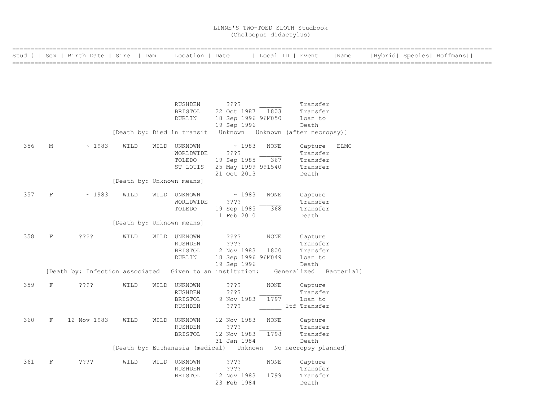|     |              | Stud #   Sex   Birth Date   Sire   Dam                   |                           | Location   Date            |                                   |             | Local ID   Event                                             | Name        | Hybrid  Species  Hoffmans |  |
|-----|--------------|----------------------------------------------------------|---------------------------|----------------------------|-----------------------------------|-------------|--------------------------------------------------------------|-------------|---------------------------|--|
|     |              |                                                          |                           |                            |                                   |             |                                                              |             |                           |  |
|     |              |                                                          |                           |                            |                                   |             |                                                              |             |                           |  |
|     |              |                                                          |                           | RUSHDEN                    | $??\mathord{?}\mathord{?}$        |             | Transfer                                                     |             |                           |  |
|     |              |                                                          |                           | BRISTOL                    | 22 Oct 1987 1803                  |             | Transfer                                                     |             |                           |  |
|     |              |                                                          |                           | DUBLIN                     | 18 Sep 1996 96M050<br>19 Sep 1996 |             | Loan to<br>Death                                             |             |                           |  |
|     |              |                                                          |                           | [Death by: Died in transit |                                   |             | Unknown Unknown (after necropsy)]                            |             |                           |  |
| 356 | М            | ~1983                                                    | WILD                      | WILD UNKNOWN               | ~1983                             | <b>NONE</b> | Capture                                                      | <b>ELMO</b> |                           |  |
|     |              |                                                          |                           | WORLDWIDE                  | $??\ ??$                          |             | Transfer                                                     |             |                           |  |
|     |              |                                                          |                           | TOLEDO<br>ST LOUIS         | 19 Sep 1985<br>25 May 1999 991540 | 367         | Transfer<br>Transfer                                         |             |                           |  |
|     |              |                                                          |                           |                            | 21 Oct 2013                       |             | Death                                                        |             |                           |  |
|     |              |                                                          | [Death by: Unknown means] |                            |                                   |             |                                                              |             |                           |  |
| 357 | $\mathbf F$  | ~1983                                                    | WILD                      | WILD UNKNOWN               | $\sim 1983$                       | <b>NONE</b> | Capture                                                      |             |                           |  |
|     |              |                                                          |                           | WORLDWIDE                  | ????                              |             | Transfer                                                     |             |                           |  |
|     |              |                                                          |                           | TOLEDO                     | 19 Sep 1985<br>1 Feb 2010         | 368         | Transfer<br>Death                                            |             |                           |  |
|     |              |                                                          | [Death by: Unknown means] |                            |                                   |             |                                                              |             |                           |  |
| 358 | F            | $??\,?\,?$                                               | WILD                      | WILD UNKNOWN               | ????                              | <b>NONE</b> | Capture                                                      |             |                           |  |
|     |              |                                                          |                           | RUSHDEN                    | ????                              |             | Transfer                                                     |             |                           |  |
|     |              |                                                          |                           | BRISTOL<br>DUBLIN          | 2 Nov 1983<br>18 Sep 1996 96M049  | 1800        | Transfer<br>Loan to                                          |             |                           |  |
|     |              |                                                          |                           |                            | 19 Sep 1996                       |             | Death                                                        |             |                           |  |
|     |              | [Death by: Infection associated Given to an institution: |                           |                            |                                   |             | Generalized Bacterial]                                       |             |                           |  |
| 359 | F            | ????                                                     | WILD                      | WILD UNKNOWN               | ????                              | <b>NONE</b> | Capture                                                      |             |                           |  |
|     |              |                                                          |                           | RUSHDEN                    | ? ? ? ?                           |             | Transfer                                                     |             |                           |  |
|     |              |                                                          |                           | BRISTOL<br>RUSHDEN         | 9 Nov 1983<br>? ? ? ?             | 1797        | Loan to<br>ltf Transfer                                      |             |                           |  |
|     |              |                                                          |                           |                            |                                   |             |                                                              |             |                           |  |
| 360 | $\rm F$      | 12 Nov 1983                                              | WILD                      | WILD UNKNOWN               | 12 Nov 1983                       | NONE        | Capture                                                      |             |                           |  |
|     |              |                                                          |                           | RUSHDEN                    | ? ? ? ?                           |             | Transfer                                                     |             |                           |  |
|     |              |                                                          |                           | BRISTOL                    | 12 Nov 1983<br>31 Jan 1984        | 1798        | Transfer<br>Death                                            |             |                           |  |
|     |              |                                                          |                           |                            |                                   |             | [Death by: Euthanasia (medical) Unknown No necropsy planned] |             |                           |  |
| 361 | $\mathbf{F}$ | ????                                                     | WILD                      | WILD UNKNOWN               | ????                              | <b>NONE</b> | Capture                                                      |             |                           |  |
|     |              |                                                          |                           | RUSHDEN                    | $??\,?\,?$                        |             | Transfer                                                     |             |                           |  |
|     |              |                                                          |                           | <b>BRISTOL</b>             | 12 Nov 1983<br>23 Feb 1984        | 1799        | Transfer<br>Death                                            |             |                           |  |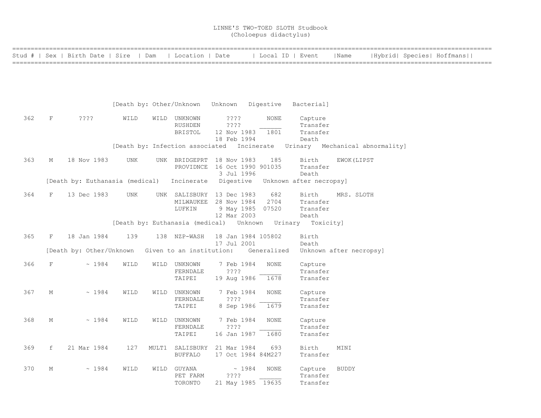|     |   | Stud #   Sex   Birth Date   Sire   Dam |            | Location   Date                            |             |             |                    | Local ID   Event                                                           | Name                    |  | Hybrid  Species  Hoffmans |
|-----|---|----------------------------------------|------------|--------------------------------------------|-------------|-------------|--------------------|----------------------------------------------------------------------------|-------------------------|--|---------------------------|
|     |   |                                        |            |                                            |             |             |                    |                                                                            |                         |  |                           |
|     |   |                                        |            |                                            |             |             |                    |                                                                            |                         |  |                           |
|     |   |                                        |            |                                            |             |             |                    |                                                                            |                         |  |                           |
|     |   |                                        |            |                                            |             |             |                    |                                                                            |                         |  |                           |
|     |   |                                        |            | [Death by: Other/Unknown Unknown Digestive |             |             |                    | Bacterial]                                                                 |                         |  |                           |
| 362 | F | ????                                   | WILD       | WILD UNKNOWN                               | ????        |             | <b>NONE</b>        | Capture                                                                    |                         |  |                           |
|     |   |                                        |            | RUSHDEN<br><b>BRISTOL</b>                  | ????        | 12 Nov 1983 | 1801               | Transfer<br>Transfer                                                       |                         |  |                           |
|     |   |                                        |            |                                            | 18 Feb 1994 |             |                    | Death                                                                      |                         |  |                           |
|     |   |                                        |            |                                            |             |             |                    | [Death by: Infection associated Incinerate Urinary Mechanical abnormality] |                         |  |                           |
| 363 | М | 18 Nov 1983                            | <b>UNK</b> | UNK BRIDGEPRT 18 Nov 1983                  |             |             | 185                | Birth                                                                      | EWOK (LIPST             |  |                           |
|     |   |                                        |            | PROVIDNCE 16 Oct 1990 901035               |             |             |                    | Transfer                                                                   |                         |  |                           |
|     |   |                                        |            |                                            |             | 3 Jul 1996  |                    | Death                                                                      |                         |  |                           |
|     |   | [Death by: Euthanasia (medical)        |            | Incinerate                                 |             | Digestive   |                    | Unknown after necropsy]                                                    |                         |  |                           |
| 364 | F | 13 Dec 1983                            | <b>UNK</b> | UNK SALISBURY 13 Dec 1983                  |             |             | 682                | Birth                                                                      | MRS. SLOTH              |  |                           |
|     |   |                                        |            | MILWAUKEE 28 Nov 1984                      |             |             | 2704               | Transfer                                                                   |                         |  |                           |
|     |   |                                        |            | LUFKIN                                     | 12 Mar 2003 |             | 9 May 1985 07520   | Transfer<br>Death                                                          |                         |  |                           |
|     |   |                                        |            | [Death by: Euthanasia (medical) Unknown    |             |             |                    | Urinary Toxicity]                                                          |                         |  |                           |
| 365 | F | 18 Jan 1984                            | 139        | 138 NZP-WASH                               |             |             | 18 Jan 1984 105802 | Birth                                                                      |                         |  |                           |
|     |   |                                        |            |                                            | 17 Jul 2001 |             |                    | Death                                                                      |                         |  |                           |
|     |   | [Death by: Other/Unknown               |            | Given to an institution:                   |             |             | Generalized        |                                                                            | Unknown after necropsy] |  |                           |
| 366 | F | ~1984                                  | WILD       | WILD UNKNOWN                               |             | 7 Feb 1984  | <b>NONE</b>        | Capture                                                                    |                         |  |                           |
|     |   |                                        |            | FERNDALE                                   | ????        |             |                    | Transfer                                                                   |                         |  |                           |
|     |   |                                        |            | TAIPEI                                     |             | 19 Aug 1986 | 1678               | Transfer                                                                   |                         |  |                           |
| 367 | М | ~1984                                  | WILD       | WILD UNKNOWN                               |             | 7 Feb 1984  | <b>NONE</b>        | Capture                                                                    |                         |  |                           |
|     |   |                                        |            | FERNDALE                                   | ? ? ? ?     |             |                    | Transfer                                                                   |                         |  |                           |
|     |   |                                        |            | TAIPEI                                     |             | 8 Sep 1986  | 1679               | Transfer                                                                   |                         |  |                           |
| 368 | М | ~1984                                  | WILD       | WILD UNKNOWN                               |             | 7 Feb 1984  | <b>NONE</b>        | Capture                                                                    |                         |  |                           |
|     |   |                                        |            | FERNDALE                                   | ? ? ? ?     |             |                    | Transfer                                                                   |                         |  |                           |
|     |   |                                        |            | TAIPEI                                     |             | 16 Jan 1987 | 1680               | Transfer                                                                   |                         |  |                           |
| 369 | f | 21 Mar 1984                            | 127        | MULT1 SALISBURY 21 Mar 1984                |             |             | 693                | Birth                                                                      | MINI                    |  |                           |
|     |   |                                        |            | <b>BUFFALO</b>                             |             |             | 17 Oct 1984 84M227 | Transfer                                                                   |                         |  |                           |
| 370 | М | ~1984                                  | WILD       | WILD GUYANA                                |             | ~1984       | <b>NONE</b>        | Capture                                                                    | <b>BUDDY</b>            |  |                           |
|     |   |                                        |            | PET FARM                                   | ????        |             |                    | Transfer                                                                   |                         |  |                           |
|     |   |                                        |            | TORONTO                                    |             |             | 21 May 1985 19635  | Transfer                                                                   |                         |  |                           |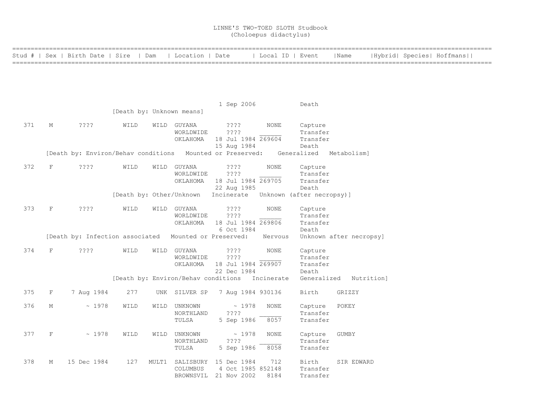|     |              | Stud #   Sex   Birth Date   Sire   Dam                    |                           |       | Location   Date                     |                                      | Local ID   Event |             | Name                    |  | Hybrid  Species  Hoffmans |  |
|-----|--------------|-----------------------------------------------------------|---------------------------|-------|-------------------------------------|--------------------------------------|------------------|-------------|-------------------------|--|---------------------------|--|
|     |              |                                                           |                           |       |                                     |                                      |                  |             |                         |  |                           |  |
|     |              |                                                           |                           |       |                                     |                                      |                  |             |                         |  |                           |  |
|     |              |                                                           |                           |       |                                     |                                      |                  |             |                         |  |                           |  |
|     |              |                                                           |                           |       |                                     |                                      |                  |             |                         |  |                           |  |
|     |              |                                                           |                           |       |                                     |                                      |                  |             |                         |  |                           |  |
|     |              |                                                           |                           |       |                                     | 1 Sep 2006                           |                  | Death       |                         |  |                           |  |
|     |              |                                                           | [Death by: Unknown means] |       |                                     |                                      |                  |             |                         |  |                           |  |
| 371 | М            | ? ? ? ?                                                   | WILD                      |       | WILD GUYANA                         | $??\ ??$                             | NONE             | Capture     |                         |  |                           |  |
|     |              |                                                           |                           |       | WORLDWIDE                           | ????                                 |                  | Transfer    |                         |  |                           |  |
|     |              |                                                           |                           |       | OKLAHOMA                            | 18 Jul 1984 269604                   |                  | Transfer    |                         |  |                           |  |
|     |              |                                                           |                           |       |                                     | 15 Aug 1984                          |                  | Death       |                         |  |                           |  |
|     |              | [Death by: Environ/Behav conditions Mounted or Preserved: |                           |       |                                     |                                      |                  | Generalized | Metabolism]             |  |                           |  |
|     |              |                                                           |                           |       |                                     |                                      |                  |             |                         |  |                           |  |
| 372 | $\rm F$      | ????                                                      | WILD                      |       | WILD GUYANA                         | ? ? ? ?                              | <b>NONE</b>      | Capture     |                         |  |                           |  |
|     |              |                                                           |                           |       | WORLDWIDE                           | ????                                 |                  | Transfer    |                         |  |                           |  |
|     |              |                                                           |                           |       | OKLAHOMA                            | 18 Jul 1984 269705                   |                  | Transfer    |                         |  |                           |  |
|     |              |                                                           |                           |       |                                     | 22 Aug 1985                          |                  | Death       |                         |  |                           |  |
|     |              |                                                           | [Death by: Other/Unknown  |       |                                     | Incinerate Unknown (after necropsy)] |                  |             |                         |  |                           |  |
| 373 | $\mathbf{F}$ | ? ? ? ?                                                   | WILD                      | WILD  | GUYANA                              | ? ? ? ?                              | <b>NONE</b>      | Capture     |                         |  |                           |  |
|     |              |                                                           |                           |       | WORLDWIDE                           | ????                                 |                  | Transfer    |                         |  |                           |  |
|     |              |                                                           |                           |       | ОКLАНОМА                            | 18 Jul 1984 269806                   |                  | Transfer    |                         |  |                           |  |
|     |              |                                                           |                           |       |                                     | 6 Oct 1984                           |                  | Death       |                         |  |                           |  |
|     |              | [Death by: Infection associated Mounted or Preserved:     |                           |       |                                     |                                      | Nervous          |             | Unknown after necropsy] |  |                           |  |
|     |              |                                                           |                           |       |                                     |                                      |                  |             |                         |  |                           |  |
| 374 | F            | ????                                                      | WILD                      |       | WILD GUYANA                         | ? ? ? ?                              | NONE             | Capture     |                         |  |                           |  |
|     |              |                                                           |                           |       | WORLDWIDE                           | ????                                 |                  | Transfer    |                         |  |                           |  |
|     |              |                                                           |                           |       | OKLAHOMA                            | 18 Jul 1984 269907                   |                  | Transfer    |                         |  |                           |  |
|     |              |                                                           |                           |       |                                     | 22 Dec 1984                          |                  | Death       |                         |  |                           |  |
|     |              |                                                           |                           |       | [Death by: Environ/Behav conditions |                                      | Incinerate       |             | Generalized Nutrition]  |  |                           |  |
| 375 | $\rm F$      | 7 Aug 1984                                                | 277                       |       | UNK SILVER SP                       | 7 Aug 1984 930136                    |                  | Birth       | GRIZZY                  |  |                           |  |
|     |              |                                                           |                           |       |                                     |                                      |                  |             |                         |  |                           |  |
| 376 | М            | ~1978                                                     | WILD                      | WILD  | UNKNOWN                             | ~1978                                | <b>NONE</b>      | Capture     | POKEY                   |  |                           |  |
|     |              |                                                           |                           |       | NORTHLAND                           | ????                                 |                  | Transfer    |                         |  |                           |  |
|     |              |                                                           |                           |       | TULSA                               | 5 Sep 1986                           | 8057             | Transfer    |                         |  |                           |  |
|     |              |                                                           |                           |       |                                     |                                      |                  |             |                         |  |                           |  |
| 377 | $\mathbf F$  | ~1978                                                     | WILD                      | WILD  | UNKNOWN                             | ~1978                                | <b>NONE</b>      | Capture     | <b>GUMBY</b>            |  |                           |  |
|     |              |                                                           |                           |       | NORTHLAND                           | ????                                 |                  | Transfer    |                         |  |                           |  |
|     |              |                                                           |                           |       | TULSA                               | 5 Sep 1986                           | 8058             | Transfer    |                         |  |                           |  |
| 378 | Μ            | 15 Dec 1984                                               | 127                       | MULT1 |                                     | SALISBURY 15 Dec 1984                | 712              | Birth       | SIR EDWARD              |  |                           |  |
|     |              |                                                           |                           |       | COLUMBUS                            | 4 Oct 1985 852148                    |                  | Transfer    |                         |  |                           |  |
|     |              |                                                           |                           |       |                                     | BROWNSVIL 21 Nov 2002                | 8184             | Transfer    |                         |  |                           |  |
|     |              |                                                           |                           |       |                                     |                                      |                  |             |                         |  |                           |  |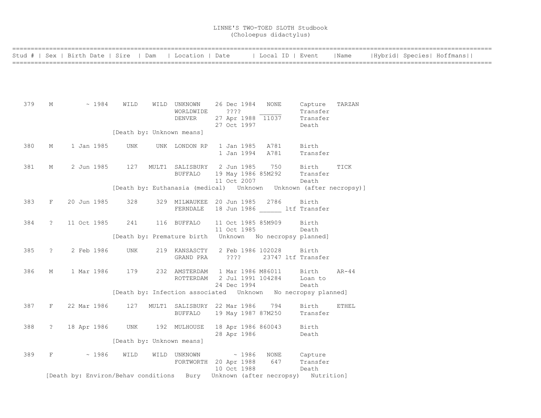|     |               | Stud #   Sex   Birth Date   Sire   Dam   Location   Date   Local ID   Event |      |                            |                                                                |      |                                                                          | Name         |  | Hybrid  Species  Hoffmans |  |
|-----|---------------|-----------------------------------------------------------------------------|------|----------------------------|----------------------------------------------------------------|------|--------------------------------------------------------------------------|--------------|--|---------------------------|--|
|     |               |                                                                             |      |                            |                                                                |      |                                                                          |              |  |                           |  |
|     |               |                                                                             |      |                            |                                                                |      |                                                                          |              |  |                           |  |
|     |               |                                                                             |      |                            |                                                                |      |                                                                          |              |  |                           |  |
|     |               |                                                                             |      |                            |                                                                |      |                                                                          |              |  |                           |  |
| 379 | М             | $\sim 1984$                                                                 | WILD | WILD UNKNOWN               | 26 Dec 1984                                                    | NONE | Capture                                                                  | TARZAN       |  |                           |  |
|     |               |                                                                             |      | WORLDWIDE                  | ? ? ? ?                                                        |      | Transfer                                                                 |              |  |                           |  |
|     |               |                                                                             |      | <b>DENVER</b>              | 27 Apr 1988 11037                                              |      | Transfer                                                                 |              |  |                           |  |
|     |               |                                                                             |      | [Death by: Unknown means]  | 27 Oct 1997                                                    |      | Death                                                                    |              |  |                           |  |
|     |               |                                                                             |      |                            |                                                                |      |                                                                          |              |  |                           |  |
| 380 | М             | 1 Jan 1985                                                                  | UNK  | UNK LONDON RP              | 1 Jan 1985                                                     | A781 | Birth                                                                    |              |  |                           |  |
|     |               |                                                                             |      |                            | 1 Jan 1994                                                     | A781 | Transfer                                                                 |              |  |                           |  |
| 381 | М             | 2 Jun 1985                                                                  | 127  |                            | MULT1 SALISBURY 2 Jun 1985                                     | 750  | Birth                                                                    | TICK         |  |                           |  |
|     |               |                                                                             |      | <b>BUFFALO</b>             | 19 May 1986 85M292                                             |      | Transfer                                                                 |              |  |                           |  |
|     |               |                                                                             |      |                            | 11 Oct 2007                                                    |      | Death                                                                    |              |  |                           |  |
|     |               |                                                                             |      |                            |                                                                |      | [Death by: Euthanasia (medical)    Unknown   Unknown   (after necropsy)] |              |  |                           |  |
|     |               |                                                                             |      |                            |                                                                |      |                                                                          |              |  |                           |  |
| 383 | F             | 20 Jun 1985                                                                 | 328  |                            | 329 MILWAUKEE 20 Jun 1985<br>FERNDALE 18 Jun 1986 ltf Transfer | 2786 | Birth                                                                    |              |  |                           |  |
|     |               |                                                                             |      |                            |                                                                |      |                                                                          |              |  |                           |  |
| 384 | $\mathcal{L}$ | 11 Oct 1985                                                                 | 241  | 116 BUFFALO                | 11 Oct 1985 85M909                                             |      | Birth                                                                    |              |  |                           |  |
|     |               |                                                                             |      |                            | 11 Oct 1985                                                    |      | Death                                                                    |              |  |                           |  |
|     |               |                                                                             |      |                            | [Death by: Premature birth    Unknown    No necropsy planned]  |      |                                                                          |              |  |                           |  |
| 385 | $\ddot{?}$    | 2 Feb 1986                                                                  | UNK  | 219 KANSASCTY              | 2 Feb 1986 102028                                              |      | Birth                                                                    |              |  |                           |  |
|     |               |                                                                             |      | GRAND PRA                  | $??\; ?$                                                       |      | 23747 ltf Transfer                                                       |              |  |                           |  |
|     |               |                                                                             |      |                            |                                                                |      |                                                                          |              |  |                           |  |
| 386 | М             | 1 Mar 1986                                                                  | 179  | 232 AMSTERDAM<br>ROTTERDAM | 1 Mar 1986 M86011<br>2 Jul 1991 104284                         |      | Birth<br>Loan to                                                         | $AR-44$      |  |                           |  |
|     |               |                                                                             |      |                            | 24 Dec 1994                                                    |      | Death                                                                    |              |  |                           |  |
|     |               |                                                                             |      |                            |                                                                |      | [Death by: Infection associated    Unknown    No necropsy planned]       |              |  |                           |  |
|     |               |                                                                             |      |                            |                                                                |      |                                                                          |              |  |                           |  |
| 387 | $_{\rm F}$    | 22 Mar 1986                                                                 | 127  |                            | MULT1 SALISBURY 22 Mar 1986<br>19 May 1987 87M250              | 794  | Birth                                                                    | <b>ETHEL</b> |  |                           |  |
|     |               |                                                                             |      | BUFFALO                    |                                                                |      | Transfer                                                                 |              |  |                           |  |
| 388 | $\ddot{?}$    | 18 Apr 1986                                                                 | UNK  | 192 MULHOUSE               | 18 Apr 1986 860043                                             |      | Birth                                                                    |              |  |                           |  |
|     |               |                                                                             |      |                            | 28 Apr 1986                                                    |      | Death                                                                    |              |  |                           |  |
|     |               |                                                                             |      | [Death by: Unknown means]  |                                                                |      |                                                                          |              |  |                           |  |
| 389 | F             | ~1986                                                                       | WILD | WILD UNKNOWN               | $\sim 1986$                                                    | NONE | Capture                                                                  |              |  |                           |  |
|     |               |                                                                             |      |                            | FORTWORTH 20 Apr 1988                                          | 647  | Transfer                                                                 |              |  |                           |  |
|     |               |                                                                             |      |                            | 10 Oct 1988                                                    |      | Death                                                                    |              |  |                           |  |
|     |               | [Death by: Environ/Behav conditions Bury                                    |      |                            |                                                                |      | Unknown (after necropsy) Nutrition]                                      |              |  |                           |  |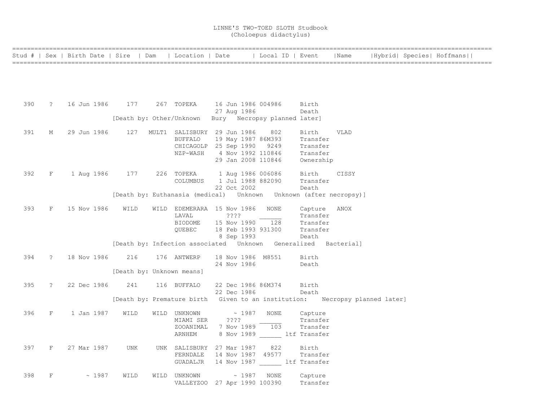|     |             | Stud #   Sex   Birth Date   Sire   Dam   Location   Date   Local ID   Event |                                                                             |                                   |                    |      |                         | Name  |  | Hybrid  Species  Hoffmans |  |
|-----|-------------|-----------------------------------------------------------------------------|-----------------------------------------------------------------------------|-----------------------------------|--------------------|------|-------------------------|-------|--|---------------------------|--|
|     |             |                                                                             |                                                                             |                                   |                    |      |                         |       |  |                           |  |
|     |             |                                                                             |                                                                             |                                   |                    |      |                         |       |  |                           |  |
|     |             |                                                                             |                                                                             |                                   |                    |      |                         |       |  |                           |  |
|     |             |                                                                             |                                                                             |                                   |                    |      |                         |       |  |                           |  |
|     |             |                                                                             |                                                                             |                                   |                    |      |                         |       |  |                           |  |
| 390 | $\ddot{?}$  | 16 Jun 1986 - 177                                                           |                                                                             | 267 TOPEKA 16 Jun 1986 004986     |                    |      | Birth                   |       |  |                           |  |
|     |             |                                                                             |                                                                             |                                   | 27 Aug 1986        |      | Death                   |       |  |                           |  |
|     |             |                                                                             | [Death by: Other/Unknown Bury Necropsy planned later]                       |                                   |                    |      |                         |       |  |                           |  |
|     |             |                                                                             |                                                                             |                                   |                    |      |                         |       |  |                           |  |
| 391 | М           | 29 Jun 1986                                                                 |                                                                             | 127 MULT1 SALISBURY 29 Jun 1986   |                    | 802  | Birth                   | VLAD  |  |                           |  |
|     |             |                                                                             |                                                                             | <b>BUFFALO</b>                    | 19 May 1987 86M393 |      | Transfer                |       |  |                           |  |
|     |             |                                                                             |                                                                             | CHICAGOLP 25 Sep 1990 9249        |                    |      | Transfer                |       |  |                           |  |
|     |             |                                                                             |                                                                             | NZP-WASH                          | 4 Nov 1992 110846  |      | Transfer                |       |  |                           |  |
|     |             |                                                                             |                                                                             |                                   | 29 Jan 2008 110846 |      | Ownership               |       |  |                           |  |
| 392 | F           | 1 Aug 1986 177                                                              |                                                                             | 226 TOPEKA 1 Aug 1986 006086      |                    |      | Birth                   | CISSY |  |                           |  |
|     |             |                                                                             |                                                                             | COLUMBUS                          | 1 Jul 1988 882090  |      | Transfer                |       |  |                           |  |
|     |             |                                                                             |                                                                             |                                   | 22 Oct 2002        |      | Death                   |       |  |                           |  |
|     |             |                                                                             | [Death by: Euthanasia (medical) Unknown Unknown (after necropsy)]           |                                   |                    |      |                         |       |  |                           |  |
|     |             |                                                                             |                                                                             |                                   |                    |      |                         |       |  |                           |  |
| 393 | F           | 15 Nov 1986                                                                 | WILD                                                                        | WILD EDEMERARA 15 Nov 1986        |                    | NONE | Capture                 | ANOX  |  |                           |  |
|     |             |                                                                             |                                                                             | LAVAL                             | ????               |      | Transfer                |       |  |                           |  |
|     |             |                                                                             |                                                                             | <b>BIODOME</b>                    | 15 Nov 1990 128    |      | Transfer                |       |  |                           |  |
|     |             |                                                                             |                                                                             | QUEBEC                            | 18 Feb 1993 931300 |      | Transfer                |       |  |                           |  |
|     |             |                                                                             |                                                                             |                                   | 8 Sep 1993         |      | Death                   |       |  |                           |  |
|     |             |                                                                             | [Death by: Infection associated  Unknown  Generalized  Bacterial]           |                                   |                    |      |                         |       |  |                           |  |
|     |             |                                                                             |                                                                             |                                   |                    |      |                         |       |  |                           |  |
| 394 | $\tilde{z}$ | 18 Nov 1986                                                                 | 216                                                                         | 176 ANTWERP                       | 18 Nov 1986 M8551  |      | Birth                   |       |  |                           |  |
|     |             |                                                                             |                                                                             |                                   | 24 Nov 1986        |      | Death                   |       |  |                           |  |
|     |             |                                                                             | [Death by: Unknown means]                                                   |                                   |                    |      |                         |       |  |                           |  |
| 395 | $\tilde{?}$ | 22 Dec 1986                                                                 |                                                                             | 241 116 BUFFALO                   | 22 Dec 1986 86M374 |      | Birth                   |       |  |                           |  |
|     |             |                                                                             |                                                                             |                                   | 22 Dec 1986        |      | Death                   |       |  |                           |  |
|     |             |                                                                             | [Death by: Premature birth Given to an institution: Necropsy planned later] |                                   |                    |      |                         |       |  |                           |  |
|     |             |                                                                             |                                                                             |                                   |                    |      |                         |       |  |                           |  |
| 396 | F           | 1 Jan 1987                                                                  | WILD                                                                        | WILD UNKNOWN                      | $\sim 1987$        | NONE | Capture                 |       |  |                           |  |
|     |             |                                                                             |                                                                             | MIAMI SER                         | $??\,?\,?$         |      | Transfer                |       |  |                           |  |
|     |             |                                                                             |                                                                             | ZOOANIMAL                         | 7 Nov 1989 103     |      | Transfer                |       |  |                           |  |
|     |             |                                                                             |                                                                             | ARNHEM                            |                    |      | 8 Nov 1989 ltf Transfer |       |  |                           |  |
|     |             |                                                                             |                                                                             |                                   |                    |      |                         |       |  |                           |  |
| 397 | F           | 27 Mar 1987                                                                 | <b>UNK</b>                                                                  | UNK SALISBURY 27 Mar 1987         |                    | 822  | Birth                   |       |  |                           |  |
|     |             |                                                                             |                                                                             | FERNDALE                          | 14 Nov 1987 49577  |      | Transfer                |       |  |                           |  |
|     |             |                                                                             |                                                                             | GUADALJR 14 Nov 1987 ltf Transfer |                    |      |                         |       |  |                           |  |
| 398 | F           | $\sim 1987$                                                                 | WILD                                                                        | WILD UNKNOWN                      | $\sim$ 1987        | NONE | Capture                 |       |  |                           |  |
|     |             |                                                                             |                                                                             | VALLEYZOO 27 Apr 1990 100390      |                    |      | Transfer                |       |  |                           |  |
|     |             |                                                                             |                                                                             |                                   |                    |      |                         |       |  |                           |  |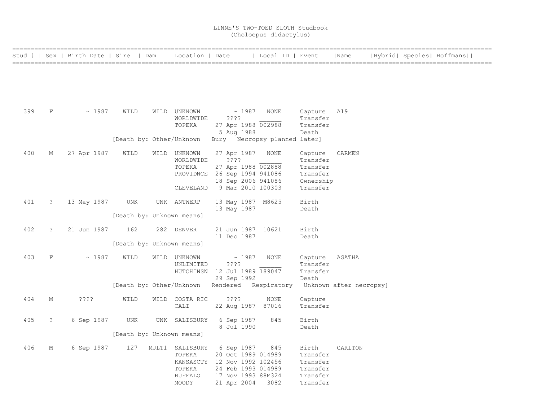|     |                      | Stud #   Sex   Birth Date   Sire   Dam |                                         | Location   Date                                                |                                                                                                                             | Local ID   Event |                                                                      | Name                              |  | Hybrid  Species  Hoffmans |  |
|-----|----------------------|----------------------------------------|-----------------------------------------|----------------------------------------------------------------|-----------------------------------------------------------------------------------------------------------------------------|------------------|----------------------------------------------------------------------|-----------------------------------|--|---------------------------|--|
|     |                      |                                        |                                         |                                                                |                                                                                                                             |                  |                                                                      |                                   |  |                           |  |
| 399 | $\rm F$              | ~1987                                  | WILD<br>[Death by: Other/Unknown        | WILD UNKNOWN<br>WORLDWIDE<br>TOPEKA                            | ~1987<br>????<br>27 Apr 1988 002988<br>5 Aug 1988<br>Bury Necropsy planned later]                                           | <b>NONE</b>      | Capture<br>Transfer<br>Transfer<br>Death                             | A19                               |  |                           |  |
| 400 | М                    | 27 Apr 1987                            | WILD                                    | WILD UNKNOWN<br>WORLDWIDE<br>TOPEKA<br>CLEVELAND               | 27 Apr 1987<br>????<br>27 Apr 1988 002888<br>PROVIDNCE 26 Sep 1994 941086<br>18 Sep 2006 941086<br>9 Mar 2010 100303        | NONE             | Capture<br>Transfer<br>Transfer<br>Transfer<br>Ownership<br>Transfer | CARMEN                            |  |                           |  |
| 401 | $\tilde{z}$          | 13 May 1987                            | UNK<br>[Death by: Unknown means]        | UNK ANTWERP                                                    | 13 May 1987 M8625<br>13 May 1987                                                                                            |                  | Birth<br>Death                                                       |                                   |  |                           |  |
| 402 | $\ddot{\phantom{0}}$ | 21 Jun 1987                            | 162<br>[Death by: Unknown means]        | 282 DENVER                                                     | 21 Jun 1987 10621<br>11 Dec 1987                                                                                            |                  | Birth<br>Death                                                       |                                   |  |                           |  |
| 403 | $\rm F$              | ~1987                                  | WILD                                    | WILD UNKNOWN<br>UNLIMITED                                      | $\sim 1987$<br>????<br>HUTCHINSN 12 Jul 1989 189047<br>29 Sep 1992<br>[Death by: Other/Unknown Rendered Respiratory         | <b>NONE</b>      | Capture<br>Transfer<br>Transfer<br>Death                             | AGATHA<br>Unknown after necropsy] |  |                           |  |
| 404 | М                    | ????                                   | WILD                                    | WILD COSTA RIC<br>CALI                                         | ????<br>22 Aug 1987 87016                                                                                                   | <b>NONE</b>      | Capture<br>Transfer                                                  |                                   |  |                           |  |
| 405 | $\tilde{S}$          | 6 Sep 1987                             | <b>UNK</b><br>[Death by: Unknown means] | UNK SALISBURY                                                  | 6 Sep 1987<br>8 Jul 1990                                                                                                    | 845              | Birth<br>Death                                                       |                                   |  |                           |  |
| 406 | М                    | 6 Sep 1987                             | 127                                     | MULT1 SALISBURY<br>TOPEKA<br>TOPEKA<br><b>BUFFALO</b><br>MOODY | 6 Sep 1987<br>20 Oct 1989 014989<br>KANSASCTY 12 Nov 1992 102456<br>24 Feb 1993 014989<br>17 Nov 1993 88M324<br>21 Apr 2004 | 845<br>3082      | Birth<br>Transfer<br>Transfer<br>Transfer<br>Transfer<br>Transfer    | CARLTON                           |  |                           |  |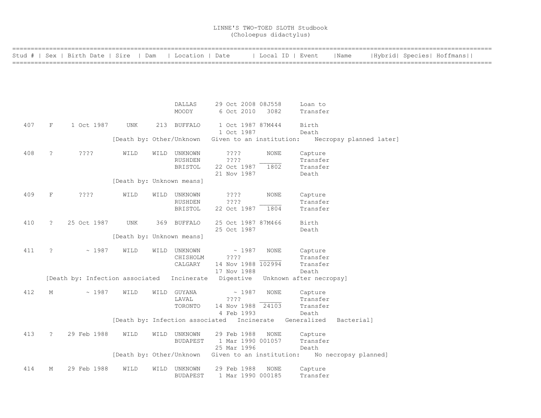|     |                      | Stud #   Sex   Birth Date   Sire   Dam |                           |      | Location   Date                 |                                   | Local ID   Event |                         | Name                 |                         | Hybrid  Species  Hoffmans |  |
|-----|----------------------|----------------------------------------|---------------------------|------|---------------------------------|-----------------------------------|------------------|-------------------------|----------------------|-------------------------|---------------------------|--|
|     |                      |                                        |                           |      |                                 |                                   |                  |                         |                      |                         |                           |  |
|     |                      |                                        |                           |      |                                 |                                   |                  |                         |                      |                         |                           |  |
|     |                      |                                        |                           |      |                                 |                                   |                  |                         |                      |                         |                           |  |
|     |                      |                                        |                           |      |                                 |                                   |                  |                         |                      |                         |                           |  |
|     |                      |                                        |                           |      |                                 |                                   |                  |                         |                      |                         |                           |  |
|     |                      |                                        |                           |      | DALLAS                          | 29 Oct 2008 08J558                |                  | Loan to                 |                      |                         |                           |  |
|     |                      |                                        |                           |      | MOODY                           | 6 Oct 2010                        | 3082             | Transfer                |                      |                         |                           |  |
|     |                      |                                        |                           |      |                                 |                                   |                  |                         |                      |                         |                           |  |
| 407 | F                    | 1 Oct 1987                             | UNK                       |      | 213 BUFFALO                     | 1 Oct 1987 87M444                 |                  | Birth                   |                      |                         |                           |  |
|     |                      |                                        |                           |      |                                 | 1 Oct 1987                        |                  | Death                   |                      |                         |                           |  |
|     |                      |                                        | [Death by: Other/Unknown  |      |                                 | Given to an institution:          |                  |                         |                      | Necropsy planned later] |                           |  |
| 408 | $\ddot{\phantom{0}}$ | ????                                   | WILD                      |      | WILD UNKNOWN                    | $??\mathrel{?}?$                  | NONE             | Capture                 |                      |                         |                           |  |
|     |                      |                                        |                           |      | <b>RUSHDEN</b>                  | ????                              |                  | Transfer                |                      |                         |                           |  |
|     |                      |                                        |                           |      | <b>BRISTOL</b>                  | 22 Oct 1987                       | 1802             | Transfer                |                      |                         |                           |  |
|     |                      |                                        |                           |      |                                 | 21 Nov 1987                       |                  | Death                   |                      |                         |                           |  |
|     |                      |                                        | [Death by: Unknown means] |      |                                 |                                   |                  |                         |                      |                         |                           |  |
| 409 | $\mathbf F$          | ????                                   | WILD                      |      |                                 |                                   | <b>NONE</b>      |                         |                      |                         |                           |  |
|     |                      |                                        |                           |      | WILD UNKNOWN<br><b>RUSHDEN</b>  | ????<br>????                      |                  | Capture<br>Transfer     |                      |                         |                           |  |
|     |                      |                                        |                           |      | <b>BRISTOL</b>                  | 22 Oct 1987                       | 1804             | Transfer                |                      |                         |                           |  |
|     |                      |                                        |                           |      |                                 |                                   |                  |                         |                      |                         |                           |  |
| 410 | $\tilde{?}$          | 25 Oct 1987                            | <b>UNK</b>                |      | 369 BUFFALO                     | 25 Oct 1987 87M466                |                  | Birth                   |                      |                         |                           |  |
|     |                      |                                        |                           |      |                                 | 25 Oct 1987                       |                  | Death                   |                      |                         |                           |  |
|     |                      |                                        | [Death by: Unknown means] |      |                                 |                                   |                  |                         |                      |                         |                           |  |
|     |                      |                                        |                           |      |                                 |                                   |                  |                         |                      |                         |                           |  |
| 411 | $\tilde{?}$          | ~1987                                  | WILD                      |      | WILD UNKNOWN                    | ~1987                             | <b>NONE</b>      | Capture                 |                      |                         |                           |  |
|     |                      |                                        |                           |      | CHISHOLM                        | ????                              |                  | Transfer                |                      |                         |                           |  |
|     |                      |                                        |                           |      | CALGARY                         | 14 Nov 1988 102994<br>17 Nov 1988 |                  | Transfer<br>Death       |                      |                         |                           |  |
|     |                      | [Death by: Infection associated        |                           |      | Incinerate                      | Digestive                         |                  | Unknown after necropsy] |                      |                         |                           |  |
|     |                      |                                        |                           |      |                                 |                                   |                  |                         |                      |                         |                           |  |
| 412 | М                    | ~1987                                  | WILD                      |      | WILD GUYANA                     | ~1987                             | NONE             | Capture                 |                      |                         |                           |  |
|     |                      |                                        |                           |      | LAVAL                           | ????                              |                  | Transfer                |                      |                         |                           |  |
|     |                      |                                        |                           |      | TORONTO                         | 14 Nov 1988 24103                 |                  | Transfer                |                      |                         |                           |  |
|     |                      |                                        |                           |      |                                 | 4 Feb 1993                        |                  | Death                   |                      |                         |                           |  |
|     |                      |                                        |                           |      | [Death by: Infection associated | Incinerate                        |                  | Generalized             | Bacterial]           |                         |                           |  |
| 413 | $\tilde{z}$          | 29 Feb 1988                            | WILD                      |      | WILD UNKNOWN                    | 29 Feb 1988                       | <b>NONE</b>      |                         |                      |                         |                           |  |
|     |                      |                                        |                           |      | <b>BUDAPEST</b>                 | 1 Mar 1990 001057                 |                  | Capture<br>Transfer     |                      |                         |                           |  |
|     |                      |                                        |                           |      |                                 | 25 Mar 1996                       |                  | Death                   |                      |                         |                           |  |
|     |                      |                                        | [Death by: Other/Unknown  |      |                                 | Given to an institution:          |                  |                         | No necropsy planned] |                         |                           |  |
|     |                      |                                        |                           |      |                                 |                                   |                  |                         |                      |                         |                           |  |
| 414 | М                    | 29 Feb 1988                            | WILD                      | WILD | UNKNOWN                         | 29 Feb 1988                       | NONE             | Capture                 |                      |                         |                           |  |
|     |                      |                                        |                           |      | <b>BUDAPEST</b>                 | 1 Mar 1990 000185                 |                  | Transfer                |                      |                         |                           |  |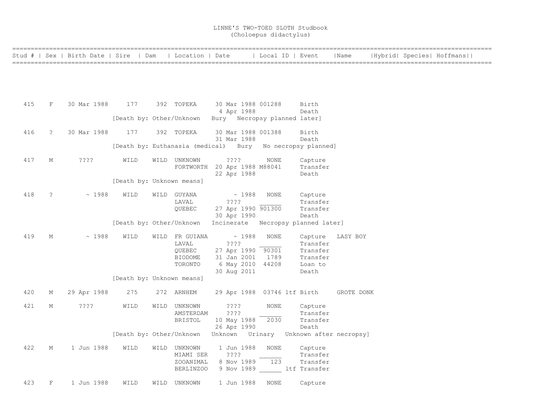|     |                     | Stud #   Sex   Birth Date   Sire   Dam   Location   Date |                                      |      |                                              |                                   | Local ID   Event             |                                             | Name                                    |  | Hybrid  Species  Hoffmans |  |
|-----|---------------------|----------------------------------------------------------|--------------------------------------|------|----------------------------------------------|-----------------------------------|------------------------------|---------------------------------------------|-----------------------------------------|--|---------------------------|--|
|     |                     |                                                          |                                      |      |                                              |                                   |                              |                                             |                                         |  |                           |  |
|     |                     |                                                          |                                      |      |                                              |                                   |                              |                                             |                                         |  |                           |  |
|     |                     |                                                          |                                      |      |                                              |                                   |                              |                                             |                                         |  |                           |  |
|     |                     |                                                          |                                      |      |                                              |                                   |                              |                                             |                                         |  |                           |  |
| 415 | F                   | 30 Mar 1988                                              | 177                                  |      | 392 TOPEKA                                   | 30 Mar 1988 001288<br>4 Apr 1988  |                              | Birth<br>Death                              |                                         |  |                           |  |
|     |                     |                                                          | [Death by: Other/Unknown             |      |                                              |                                   | Bury Necropsy planned later] |                                             |                                         |  |                           |  |
|     |                     |                                                          |                                      |      |                                              |                                   |                              |                                             |                                         |  |                           |  |
| 416 | $\ddot{\mathbf{c}}$ | 30 Mar 1988                                              | 177                                  |      | 392 TOPEKA                                   | 30 Mar 1988 001388<br>31 Mar 1988 |                              | Birth<br>Death                              |                                         |  |                           |  |
|     |                     |                                                          | [Death by: Euthanasia (medical) Bury |      |                                              |                                   |                              | No necropsy planned]                        |                                         |  |                           |  |
|     |                     |                                                          |                                      |      |                                              |                                   |                              |                                             |                                         |  |                           |  |
| 417 | М                   | $??\cdot?$                                               | WILD                                 |      | WILD UNKNOWN<br>FORTWORTH 20 Apr 1988 M88041 | $??\,?\,?$                        | NONE                         | Capture<br>Transfer                         |                                         |  |                           |  |
|     |                     |                                                          |                                      |      |                                              | 22 Apr 1988                       |                              | Death                                       |                                         |  |                           |  |
|     |                     |                                                          | [Death by: Unknown means]            |      |                                              |                                   |                              |                                             |                                         |  |                           |  |
| 418 | $\ddot{ }$          | ~1988                                                    | WILD                                 | WILD | GUYANA                                       | $\sim 1988$                       | <b>NONE</b>                  | Capture                                     |                                         |  |                           |  |
|     |                     |                                                          |                                      |      | LAVAL                                        | ? ? ? ?                           |                              | Transfer                                    |                                         |  |                           |  |
|     |                     |                                                          |                                      |      | QUEBEC                                       | 27 Apr 1990 901300                |                              | Transfer                                    |                                         |  |                           |  |
|     |                     |                                                          | [Death by: Other/Unknown             |      |                                              | 30 Apr 1990                       |                              | Death<br>Incinerate Necropsy planned later] |                                         |  |                           |  |
|     |                     |                                                          |                                      |      |                                              |                                   |                              |                                             |                                         |  |                           |  |
| 419 | М                   | ~1988                                                    | WILD                                 |      | WILD FR GUIANA<br>LAVAL                      | $\sim 1988$<br>????               | <b>NONE</b>                  | Capture<br>Transfer                         | LASY BOY                                |  |                           |  |
|     |                     |                                                          |                                      |      | QUEBEC                                       | 27 Apr 1990 90301                 |                              | Transfer                                    |                                         |  |                           |  |
|     |                     |                                                          |                                      |      | <b>BIODOME</b>                               | 31 Jan 2001                       | 1789                         | Transfer                                    |                                         |  |                           |  |
|     |                     |                                                          |                                      |      | TORONTO                                      | 6 May 2010 44208                  |                              | Loan to                                     |                                         |  |                           |  |
|     |                     |                                                          |                                      |      |                                              | 30 Aug 2011                       |                              | Death                                       |                                         |  |                           |  |
|     |                     |                                                          | [Death by: Unknown means]            |      |                                              |                                   |                              |                                             |                                         |  |                           |  |
| 420 | М                   | 29 Apr 1988                                              | 275                                  |      | 272 ARNHEM                                   |                                   | 29 Apr 1988 03746 ltf Birth  |                                             | GROTE DONK                              |  |                           |  |
| 421 | М                   | ????                                                     | WILD                                 |      | WILD UNKNOWN                                 | ????                              | NONE                         | Capture                                     |                                         |  |                           |  |
|     |                     |                                                          |                                      |      | AMSTERDAM                                    | ????                              |                              | Transfer                                    |                                         |  |                           |  |
|     |                     |                                                          |                                      |      | <b>BRISTOL</b>                               | 10 May 1988                       | 2030                         | Transfer                                    |                                         |  |                           |  |
|     |                     |                                                          |                                      |      |                                              | 26 Apr 1990                       |                              | Death                                       |                                         |  |                           |  |
|     |                     |                                                          | [Death by: Other/Unknown             |      |                                              |                                   |                              |                                             | Unknown Urinary Unknown after necropsy] |  |                           |  |
| 422 | М                   | 1 Jun 1988                                               | WILD                                 |      | WILD UNKNOWN                                 | 1 Jun 1988                        | <b>NONE</b>                  | Capture                                     |                                         |  |                           |  |
|     |                     |                                                          |                                      |      | MIAMI SER                                    | ????                              |                              | Transfer                                    |                                         |  |                           |  |
|     |                     |                                                          |                                      |      | ZOOANIMAL                                    | 8 Nov 1989                        | 123                          | Transfer                                    |                                         |  |                           |  |
|     |                     |                                                          |                                      |      | BERLINZOO                                    | 9 Nov 1989                        |                              | ltf Transfer                                |                                         |  |                           |  |
| 423 | F                   | 1 Jun 1988                                               | WILD                                 | WILD | UNKNOWN                                      | 1 Jun 1988                        | <b>NONE</b>                  | Capture                                     |                                         |  |                           |  |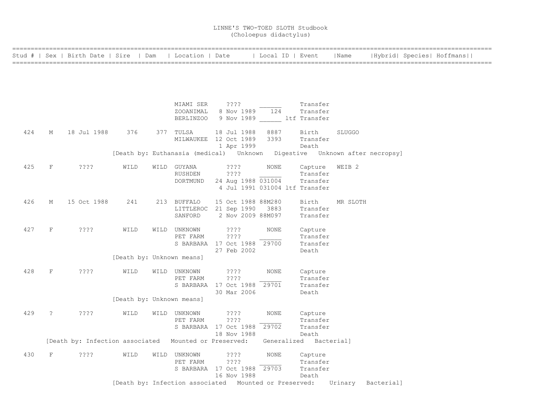|     |             | Stud #   Sex   Birth Date   Sire   Dam                |      | Location   Date           |                                                                           | Local ID   Event               |                                 | Name              | Hybrid  Species  Hoffmans |  |
|-----|-------------|-------------------------------------------------------|------|---------------------------|---------------------------------------------------------------------------|--------------------------------|---------------------------------|-------------------|---------------------------|--|
|     |             |                                                       |      |                           |                                                                           |                                |                                 |                   |                           |  |
|     |             |                                                       |      |                           |                                                                           |                                |                                 |                   |                           |  |
|     |             |                                                       |      |                           |                                                                           |                                |                                 |                   |                           |  |
|     |             |                                                       |      | MIAMI SER                 | $??\mathrel{?}?$                                                          |                                | Transfer                        |                   |                           |  |
|     |             |                                                       |      | ZOOANIMAL                 | 8 Nov 1989                                                                | 124                            | Transfer                        |                   |                           |  |
|     |             |                                                       |      | <b>BERLINZOO</b>          | 9 Nov 1989 ltf Transfer                                                   |                                |                                 |                   |                           |  |
| 424 | M           | 18 Jul 1988                                           | 376  | 377 TULSA                 | 18 Jul 1988                                                               | 8887                           | Birth                           | <b>SLUGGO</b>     |                           |  |
|     |             |                                                       |      |                           | MILWAUKEE 12 Oct 1989                                                     | 3393                           | Transfer                        |                   |                           |  |
|     |             |                                                       |      |                           | 1 Apr 1999                                                                |                                | Death                           |                   |                           |  |
|     |             |                                                       |      |                           | [Death by: Euthanasia (medical) Unknown Digestive Unknown after necropsy] |                                |                                 |                   |                           |  |
| 425 | F           | ????                                                  | WILD | WILD GUYANA               | $??\mathbf{??}$                                                           | NONE                           | Capture                         | WEIB <sub>2</sub> |                           |  |
|     |             |                                                       |      | RUSHDEN                   | $??\ ??$                                                                  |                                | Transfer                        |                   |                           |  |
|     |             |                                                       |      | DORTMUND                  | 24 Aug 1988 031004                                                        | 4 Jul 1991 031004 ltf Transfer | Transfer                        |                   |                           |  |
|     |             |                                                       |      |                           |                                                                           |                                |                                 |                   |                           |  |
| 426 | M           | 15 Oct 1988                                           | 241  | 213 BUFFALO               | 15 Oct 1988 88M280                                                        |                                | Birth                           | MR SLOTH          |                           |  |
|     |             |                                                       |      |                           | LITTLEROC 21 Sep 1990                                                     | 3883                           | Transfer                        |                   |                           |  |
|     |             |                                                       |      | SANFORD                   | 2 Nov 2009 88M097                                                         |                                | Transfer                        |                   |                           |  |
| 427 | $\mathbf F$ | ? ? ? ?                                               | WILD | WILD UNKNOWN              | $??\ ??$                                                                  | <b>NONE</b>                    | Capture                         |                   |                           |  |
|     |             |                                                       |      | PET FARM                  | $??\mathrel{?}?$                                                          |                                | Transfer                        |                   |                           |  |
|     |             |                                                       |      |                           | S BARBARA 17 Oct 1988 29700                                               |                                | Transfer                        |                   |                           |  |
|     |             |                                                       |      |                           | 27 Feb 2002                                                               |                                | Death                           |                   |                           |  |
|     |             |                                                       |      | [Death by: Unknown means] |                                                                           |                                |                                 |                   |                           |  |
| 428 | $\mathbf F$ | ????                                                  | WILD | WILD UNKNOWN              | ????                                                                      | NONE                           | Capture                         |                   |                           |  |
|     |             |                                                       |      | PET FARM                  | $??\ ??$                                                                  |                                | Transfer                        |                   |                           |  |
|     |             |                                                       |      |                           | S BARBARA 17 Oct 1988 29701                                               |                                | Transfer                        |                   |                           |  |
|     |             |                                                       |      |                           | 30 Mar 2006                                                               |                                | Death                           |                   |                           |  |
|     |             |                                                       |      | [Death by: Unknown means] |                                                                           |                                |                                 |                   |                           |  |
| 429 | $\tilde{?}$ | ????                                                  | WILD | WILD UNKNOWN              | $??\ ??$                                                                  | NONE                           | Capture                         |                   |                           |  |
|     |             |                                                       |      | PET FARM                  | ????                                                                      |                                | Transfer                        |                   |                           |  |
|     |             |                                                       |      |                           | S BARBARA 17 Oct 1988 29702                                               |                                | Transfer                        |                   |                           |  |
|     |             | [Death by: Infection associated Mounted or Preserved: |      |                           | 18 Nov 1988                                                               |                                | Death<br>Generalized Bacterial] |                   |                           |  |
|     |             |                                                       |      |                           |                                                                           |                                |                                 |                   |                           |  |
| 430 | F           | ????                                                  | WILD | WILD UNKNOWN              | $??\mathbf{??}$                                                           | <b>NONE</b>                    | Capture                         |                   |                           |  |
|     |             |                                                       |      | PET FARM                  | ????<br>S BARBARA 17 Oct 1988 29703                                       |                                | Transfer<br>Transfer            |                   |                           |  |
|     |             |                                                       |      |                           | 16 Nov 1988                                                               |                                | Death                           |                   |                           |  |
|     |             |                                                       |      |                           | [Death by: Infection associated Mounted or Preserved:                     |                                |                                 | Urinary           | Bacterial]                |  |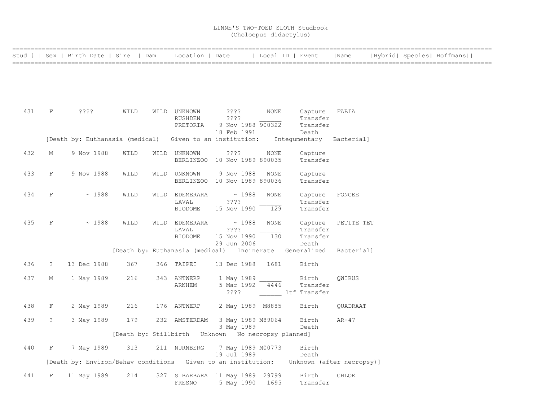|     |              | Stud #   Sex   Birth Date   Sire   Dam                                                 |      | Location   Date                                    |                                      | Local ID   Event  |                                                          | Name       |  | Hybrid  Species  Hoffmans |
|-----|--------------|----------------------------------------------------------------------------------------|------|----------------------------------------------------|--------------------------------------|-------------------|----------------------------------------------------------|------------|--|---------------------------|
|     |              |                                                                                        |      |                                                    |                                      |                   |                                                          |            |  |                           |
|     |              |                                                                                        |      |                                                    |                                      |                   |                                                          |            |  |                           |
|     |              |                                                                                        |      |                                                    |                                      |                   |                                                          |            |  |                           |
|     |              |                                                                                        |      |                                                    |                                      |                   |                                                          |            |  |                           |
| 431 | $\mathbf F$  | ????                                                                                   | WILD | WILD UNKNOWN                                       | ????                                 | <b>NONE</b>       | Capture                                                  | FABIA      |  |                           |
|     |              |                                                                                        |      | RUSHDEN                                            | ????                                 |                   | Transfer                                                 |            |  |                           |
|     |              |                                                                                        |      | PRETORIA                                           | 18 Feb 1991                          | 9 Nov 1988 900322 | Transfer<br>Death                                        |            |  |                           |
|     |              | [Death by: Euthanasia (medical) Given to an institution:                               |      |                                                    |                                      |                   | Integumentary Bacterial]                                 |            |  |                           |
|     |              |                                                                                        |      |                                                    |                                      |                   |                                                          |            |  |                           |
| 432 | М            | 9 Nov 1988                                                                             | WILD | WILD UNKNOWN                                       | ????<br>BERLINZOO 10 Nov 1989 890035 | NONE              | Capture<br>Transfer                                      |            |  |                           |
|     |              |                                                                                        |      |                                                    |                                      |                   |                                                          |            |  |                           |
| 433 | F            | 9 Nov 1988                                                                             | WILD | WILD UNKNOWN                                       | 9 Nov 1988                           | <b>NONE</b>       | Capture                                                  |            |  |                           |
|     |              |                                                                                        |      |                                                    | BERLINZOO 10 Nov 1989 890036         |                   | Transfer                                                 |            |  |                           |
| 434 | $\mathbf F$  | ~1988                                                                                  | WILD | WILD EDEMERARA                                     | $\sim 1988$                          | <b>NONE</b>       | Capture                                                  | FONCEE     |  |                           |
|     |              |                                                                                        |      | LAVAL<br>BIODOME                                   | ? ? ? ?<br>15 Nov 1990               | 129               | Transfer<br>Transfer                                     |            |  |                           |
|     |              |                                                                                        |      |                                                    |                                      |                   |                                                          |            |  |                           |
| 435 | F            | ~1988                                                                                  | WILD | WILD EDEMERARA                                     | $\sim 1988$                          | <b>NONE</b>       | Capture                                                  | PETITE TET |  |                           |
|     |              |                                                                                        |      | LAVAL<br><b>BIODOME</b>                            | ????<br>15 Nov 1990                  | 130               | Transfer<br>Transfer                                     |            |  |                           |
|     |              |                                                                                        |      |                                                    | 29 Jun 2006                          |                   | Death                                                    |            |  |                           |
|     |              |                                                                                        |      |                                                    |                                      |                   | [Death by: Euthanasia (medical)  Incinerate  Generalized | Bacterial] |  |                           |
| 436 | $\tilde{z}$  | 13 Dec 1988                                                                            | 367  | 366 TAIPEI                                         | 13 Dec 1988                          | 1681              | Birth                                                    |            |  |                           |
| 437 | М            | 1 May 1989                                                                             | 216  | 343 ANTWERP                                        | 1 May 1989                           |                   | Birth                                                    | QWIBUS     |  |                           |
|     |              |                                                                                        |      | ARNHEM                                             | 5 Mar 1992                           | 4446              | Transfer                                                 |            |  |                           |
|     |              |                                                                                        |      |                                                    | ????                                 |                   | ltf Transfer                                             |            |  |                           |
| 438 | F            | 2 May 1989                                                                             | 216  | 176 ANTWERP                                        | 2 May 1989 M8885                     |                   | Birth                                                    | OUADRAAT   |  |                           |
| 439 | $\tilde{S}$  | 3 May 1989                                                                             | 179  | 232 AMSTERDAM                                      | 3 May 1989 M89064                    |                   | Birth                                                    | $AR-47$    |  |                           |
|     |              |                                                                                        |      |                                                    | 3 May 1989                           |                   | Death                                                    |            |  |                           |
|     |              |                                                                                        |      | [Death by: Stillbirth Unknown No necropsy planned] |                                      |                   |                                                          |            |  |                           |
| 440 | $\mathbf{F}$ | 7 May 1989                                                                             | 313  | 211 NURNBERG                                       | 7 May 1989 M00773                    |                   | Birth                                                    |            |  |                           |
|     |              | [Death by: Environ/Behav conditions Given to an institution: Unknown (after necropsy)] |      |                                                    | 19 Jul 1989                          |                   | Death                                                    |            |  |                           |
|     |              |                                                                                        |      |                                                    |                                      |                   |                                                          |            |  |                           |
| 441 | F            | 11 May 1989                                                                            | 214  | 327 S BARBARA 11 May 1989 29799                    |                                      |                   | Birth                                                    | CHLOE      |  |                           |
|     |              |                                                                                        |      | FRESNO                                             | 5 May 1990                           | 1695              | Transfer                                                 |            |  |                           |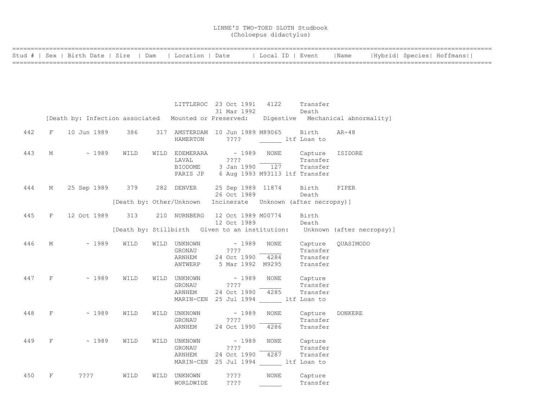|  |  | Stud #   Sex   Birth Date   Sire   Dam   Location   Date |  |  |  | Local ID   Event     Name   Hybrid  Species  Hoffmans |
|--|--|----------------------------------------------------------|--|--|--|-------------------------------------------------------|
|  |  |                                                          |  |  |  |                                                       |

|     |          |                                                            |                  | LITTLEROC 23 Oct 1991 4122 Transfer                                                          |                           | 31 Mar 1992      | Death                                        |                                                                                         |
|-----|----------|------------------------------------------------------------|------------------|----------------------------------------------------------------------------------------------|---------------------------|------------------|----------------------------------------------|-----------------------------------------------------------------------------------------|
|     |          |                                                            |                  |                                                                                              |                           |                  |                                              | [Death by: Infection associated Mounted or Preserved: Digestive Mechanical abnormality] |
| 442 | F        | 10 Jun 1989                                                | 386 38           | 317 AMSTERDAM 10 Jun 1989 M89065 Birth<br>HAMERTON                                           |                           |                  | ???? ltf Loan to                             | $AR-48$                                                                                 |
| 443 | M        |                                                            | $\sim 1989$ WILD | LAVAL ????<br>BIODOME 3 Jan 1990 $\overline{127}$<br>PARIS JP 6 Aug 1993 M93113 ltf Transfer |                           |                  | NONE Capture ISIDORE<br>Transfer<br>Transfer |                                                                                         |
| 444 |          | M 25 Sep 1989 379 282 DENVER 25 Sep 1989 11874 Birth PIPER |                  |                                                                                              |                           | 26 Oct 1989      | Death                                        |                                                                                         |
|     |          |                                                            |                  | [Death by: Other/Unknown Incinerate Unknown (after necropsy)]                                |                           |                  |                                              |                                                                                         |
| 445 | F        | 12 Oct 1989 313 210 NURNBERG 12 Oct 1989 M00774            |                  |                                                                                              |                           | 12 Oct 1989      | Birth<br>Death                               |                                                                                         |
|     |          |                                                            |                  |                                                                                              |                           |                  |                                              | [Death by: Stillbirth Given to an institution: Unknown (after necropsy)]                |
| 446 | M        | $\sim 1989$                                                | WILD             | WILD UNKNOWN ~ 1989<br>GRONAU ????<br>ARNHEM 24 Oct 1990 4284                                |                           | NONE             | Transfer<br>Transfer                         | Capture QUASIMODO                                                                       |
|     |          |                                                            |                  | ANTWERP 5 Mar 1992 M9295                                                                     |                           |                  | Transfer                                     |                                                                                         |
| 447 | F        | $\sim 1989$                                                | WILD             | WILD UNKNOWN ~ 1989<br>GRONAU ????<br>ARNHEM 24 Oct 1990 4285                                |                           |                  | NONE Capture<br>Transfer<br>Transfer         |                                                                                         |
|     |          |                                                            |                  | MARIN-CEN 25 Jul 1994 ltf Loan to                                                            |                           |                  |                                              |                                                                                         |
| 448 | F        | $\sim 1989$                                                | WILD             | WILD UNKNOWN<br>GRONAU ????<br>ARNHEM 24 Oct 1990                                            | $\sim 1989$               | NONE<br>4286     | Capture DONKERE<br>Transfer<br>Transfer      |                                                                                         |
| 449 | $F \sim$ | $\sim 1989$                                                | WILD             | WILD UNKNOWN<br>GRONAU<br>ARNHEM<br>MARIN-CEN 25 Jul 1994 ltf Loan to                        | $\sim 1989$<br>$??\,?\,?$ | 24 Oct 1990 4287 | NONE Capture<br>Transfer<br>Transfer         |                                                                                         |
| 450 | F        | ????                                                       | WILD             | WILD UNKNOWN<br>WORLDWIDE                                                                    | $??\mathbin{?}$<br>????   | <b>NONE</b>      | Capture<br>Transfer                          |                                                                                         |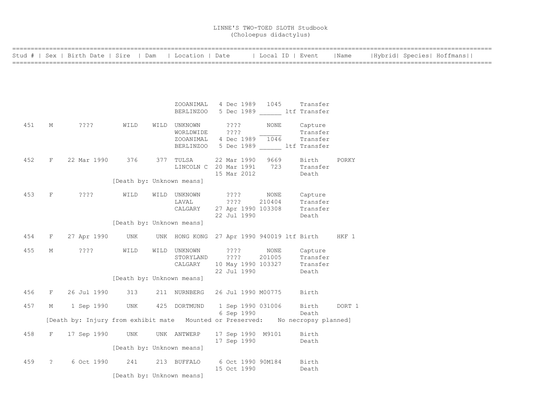|     |             | Stud #   Sex   Birth Date   Sire   Dam                                         |                           | Location   Date                            |                               | Local ID   Event |                                     | Name   |  | Hybrid  Species  Hoffmans |  |
|-----|-------------|--------------------------------------------------------------------------------|---------------------------|--------------------------------------------|-------------------------------|------------------|-------------------------------------|--------|--|---------------------------|--|
|     |             |                                                                                |                           |                                            |                               |                  |                                     |        |  |                           |  |
|     |             |                                                                                |                           |                                            |                               |                  |                                     |        |  |                           |  |
|     |             |                                                                                |                           |                                            |                               |                  |                                     |        |  |                           |  |
|     |             |                                                                                |                           | ZOOANIMAL<br><b>BERLINZOO</b>              | 4 Dec 1989 1045               |                  | Transfer<br>5 Dec 1989 ltf Transfer |        |  |                           |  |
|     |             |                                                                                |                           |                                            |                               |                  |                                     |        |  |                           |  |
| 451 | М           | ????                                                                           | WILD                      | WILD UNKNOWN<br>WORLDWIDE                  | $??\ ??$<br>????              | NONE             | Capture<br>Transfer                 |        |  |                           |  |
|     |             |                                                                                |                           | ZOOANIMAL                                  | 4 Dec 1989                    | 1046             | Transfer                            |        |  |                           |  |
|     |             |                                                                                |                           | BERLINZOO                                  |                               |                  | 5 Dec 1989 ltf Transfer             |        |  |                           |  |
| 452 | $\rm F$     | 22 Mar 1990                                                                    | 376                       | 377 TULSA                                  | 22 Mar 1990                   | 9669             | Birth                               | PORKY  |  |                           |  |
|     |             |                                                                                |                           | LINCOLN C 20 Mar 1991                      |                               | 723              | Transfer                            |        |  |                           |  |
|     |             |                                                                                | [Death by: Unknown means] |                                            | 15 Mar 2012                   |                  | Death                               |        |  |                           |  |
|     |             |                                                                                |                           |                                            |                               |                  |                                     |        |  |                           |  |
| 453 | F           | ????                                                                           | WILD                      | WILD UNKNOWN                               | $??\mathord{?}\mathord{?}$    | NONE             | Capture                             |        |  |                           |  |
|     |             |                                                                                |                           | LAVAL<br>CALGARY                           | ? ? ? ?<br>27 Apr 1990 103308 | 210404           | Transfer<br>Transfer                |        |  |                           |  |
|     |             |                                                                                |                           |                                            | 22 Jul 1990                   |                  | Death                               |        |  |                           |  |
|     |             |                                                                                | [Death by: Unknown means] |                                            |                               |                  |                                     |        |  |                           |  |
| 454 | F           | 27 Apr 1990                                                                    | UNK                       | UNK HONG KONG 27 Apr 1990 940019 ltf Birth |                               |                  |                                     | HKF 1  |  |                           |  |
| 455 | М           | $??\; ?$                                                                       | WILD                      | WILD UNKNOWN                               | $??\,?\,?$                    | NONE             | Capture                             |        |  |                           |  |
|     |             |                                                                                |                           | STORYLAND                                  | ????                          | 201005           | Transfer                            |        |  |                           |  |
|     |             |                                                                                |                           | CALGARY                                    | 10 May 1990 103327            |                  | Transfer                            |        |  |                           |  |
|     |             |                                                                                | [Death by: Unknown means] |                                            | 22 Jul 1990                   |                  | Death                               |        |  |                           |  |
|     |             |                                                                                |                           |                                            |                               |                  |                                     |        |  |                           |  |
| 456 | F           | 26 Jul 1990                                                                    | 313                       | 211 NURNBERG                               | 26 Jul 1990 M00775            |                  | Birth                               |        |  |                           |  |
| 457 | М           | 1 Sep 1990                                                                     | UNK                       | 425 DORTMUND                               | 1 Sep 1990 031006             |                  | Birth                               | DORT 1 |  |                           |  |
|     |             | [Death by: Injury from exhibit mate Mounted or Preserved: No necropsy planned] |                           |                                            | 6 Sep 1990                    |                  | Death                               |        |  |                           |  |
|     |             |                                                                                |                           |                                            |                               |                  |                                     |        |  |                           |  |
| 458 | F           | 17 Sep 1990                                                                    | UNK                       | UNK ANTWERP                                | 17 Sep 1990 M9101             |                  | Birth                               |        |  |                           |  |
|     |             |                                                                                | [Death by: Unknown means] |                                            | 17 Sep 1990                   |                  | Death                               |        |  |                           |  |
|     |             |                                                                                |                           |                                            |                               |                  |                                     |        |  |                           |  |
| 459 | $\tilde{S}$ | 6 Oct 1990                                                                     | 241                       | 213 BUFFALO                                | 6 Oct 1990 90M184             |                  | Birth                               |        |  |                           |  |
|     |             |                                                                                | [Death by: Unknown means] |                                            | 15 Oct 1990                   |                  | Death                               |        |  |                           |  |
|     |             |                                                                                |                           |                                            |                               |                  |                                     |        |  |                           |  |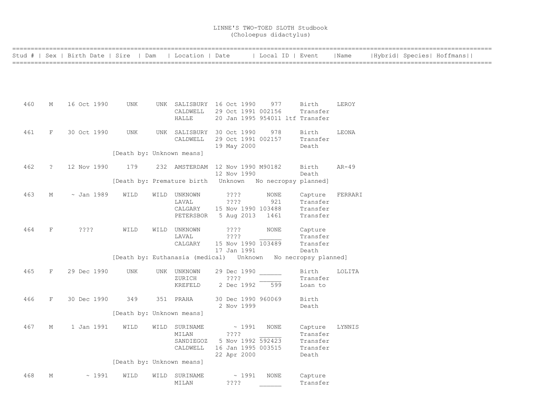| Location   Date<br>Stud #   Sex   Birth Date   Sire   Dam<br>  Local ID   Event<br>  Name<br> Hybrid  Species  Hoffmans  <br>460<br>UNK SALISBURY 16 Oct 1990<br>Birth<br>М<br>16 Oct 1990<br>UNK<br>977<br>LEROY<br>29 Oct 1991 002156<br>CALDWELL<br>Transfer<br><b>HALLE</b><br>20 Jan 1995 954011 ltf Transfer<br>461<br>30 Oct 1990<br>UNK SALISBURY 30 Oct 1990<br>F<br>UNK<br>978<br>Birth<br>LEONA<br>CALDWELL<br>29 Oct 1991 002157<br>Transfer<br>19 May 2000<br>Death<br>[Death by: Unknown means]<br>462<br>$\tilde{z}$<br>12 Nov 1990<br>179<br>232 AMSTERDAM 12 Nov 1990 M90182<br>Birth<br>AR-49<br>12 Nov 1990<br>Death |  |
|-----------------------------------------------------------------------------------------------------------------------------------------------------------------------------------------------------------------------------------------------------------------------------------------------------------------------------------------------------------------------------------------------------------------------------------------------------------------------------------------------------------------------------------------------------------------------------------------------------------------------------------------|--|
|                                                                                                                                                                                                                                                                                                                                                                                                                                                                                                                                                                                                                                         |  |
|                                                                                                                                                                                                                                                                                                                                                                                                                                                                                                                                                                                                                                         |  |
|                                                                                                                                                                                                                                                                                                                                                                                                                                                                                                                                                                                                                                         |  |
|                                                                                                                                                                                                                                                                                                                                                                                                                                                                                                                                                                                                                                         |  |
|                                                                                                                                                                                                                                                                                                                                                                                                                                                                                                                                                                                                                                         |  |
|                                                                                                                                                                                                                                                                                                                                                                                                                                                                                                                                                                                                                                         |  |
|                                                                                                                                                                                                                                                                                                                                                                                                                                                                                                                                                                                                                                         |  |
|                                                                                                                                                                                                                                                                                                                                                                                                                                                                                                                                                                                                                                         |  |
|                                                                                                                                                                                                                                                                                                                                                                                                                                                                                                                                                                                                                                         |  |
|                                                                                                                                                                                                                                                                                                                                                                                                                                                                                                                                                                                                                                         |  |
|                                                                                                                                                                                                                                                                                                                                                                                                                                                                                                                                                                                                                                         |  |
|                                                                                                                                                                                                                                                                                                                                                                                                                                                                                                                                                                                                                                         |  |
|                                                                                                                                                                                                                                                                                                                                                                                                                                                                                                                                                                                                                                         |  |
|                                                                                                                                                                                                                                                                                                                                                                                                                                                                                                                                                                                                                                         |  |
| [Death by: Premature birth    Unknown    No necropsy planned]                                                                                                                                                                                                                                                                                                                                                                                                                                                                                                                                                                           |  |
| 463<br>$\sim$ Jan 1989<br>????<br>М<br>WILD<br>WILD UNKNOWN<br>NONE<br>FERRARI<br>Capture                                                                                                                                                                                                                                                                                                                                                                                                                                                                                                                                               |  |
| LAVAL<br>????<br>921<br>Transfer                                                                                                                                                                                                                                                                                                                                                                                                                                                                                                                                                                                                        |  |
| 15 Nov 1990 103488<br>Transfer<br>CALGARY                                                                                                                                                                                                                                                                                                                                                                                                                                                                                                                                                                                               |  |
| PETERSBOR<br>5 Aug 2013<br>1461<br>Transfer                                                                                                                                                                                                                                                                                                                                                                                                                                                                                                                                                                                             |  |
| 464<br>F<br>????<br>WILD<br>WILD UNKNOWN<br>????<br><b>NONE</b><br>Capture                                                                                                                                                                                                                                                                                                                                                                                                                                                                                                                                                              |  |
| ? ? ? ?<br>LAVAL<br>Transfer                                                                                                                                                                                                                                                                                                                                                                                                                                                                                                                                                                                                            |  |
| 15 Nov 1990 103489<br>CALGARY<br>Transfer                                                                                                                                                                                                                                                                                                                                                                                                                                                                                                                                                                                               |  |
| 17 Jan 1991<br>Death<br>[Death by: Euthanasia (medical) Unknown No necropsy planned]                                                                                                                                                                                                                                                                                                                                                                                                                                                                                                                                                    |  |
|                                                                                                                                                                                                                                                                                                                                                                                                                                                                                                                                                                                                                                         |  |
| 465<br>29 Dec 1990<br>29 Dec 1990<br>F<br>UNK<br>UNK UNKNOWN<br>Birth<br>LOLITA                                                                                                                                                                                                                                                                                                                                                                                                                                                                                                                                                         |  |
| ? ? ? ?<br>Transfer<br>ZURICH                                                                                                                                                                                                                                                                                                                                                                                                                                                                                                                                                                                                           |  |
| KREFELD<br>2 Dec 1992<br>599<br>Loan to                                                                                                                                                                                                                                                                                                                                                                                                                                                                                                                                                                                                 |  |
| 466<br>F<br>349<br>30 Dec 1990 960069<br>30 Dec 1990<br>351 PRAHA<br>Birth                                                                                                                                                                                                                                                                                                                                                                                                                                                                                                                                                              |  |
| 2 Nov 1999<br>Death                                                                                                                                                                                                                                                                                                                                                                                                                                                                                                                                                                                                                     |  |
| [Death by: Unknown means]                                                                                                                                                                                                                                                                                                                                                                                                                                                                                                                                                                                                               |  |
| 467<br>1 Jan 1991<br>WILD SURINAME<br>$\sim$ 1991<br>NONE<br>LYNNIS<br>М<br>WILD<br>Capture                                                                                                                                                                                                                                                                                                                                                                                                                                                                                                                                             |  |
| ????<br>MILAN<br>Transfer                                                                                                                                                                                                                                                                                                                                                                                                                                                                                                                                                                                                               |  |
| 5 Nov 1992 592423<br>Transfer<br>SANDIEGOZ                                                                                                                                                                                                                                                                                                                                                                                                                                                                                                                                                                                              |  |
| 16 Jan 1995 003515<br>CALDWELL<br>Transfer<br>22 Apr 2000<br>Death                                                                                                                                                                                                                                                                                                                                                                                                                                                                                                                                                                      |  |
| [Death by: Unknown means]                                                                                                                                                                                                                                                                                                                                                                                                                                                                                                                                                                                                               |  |
| 468<br>М<br>WILD<br>WILD<br>NONE                                                                                                                                                                                                                                                                                                                                                                                                                                                                                                                                                                                                        |  |
| ~1991<br>~1991<br>SURINAME<br>Capture<br>????<br>Transfer<br>MILAN                                                                                                                                                                                                                                                                                                                                                                                                                                                                                                                                                                      |  |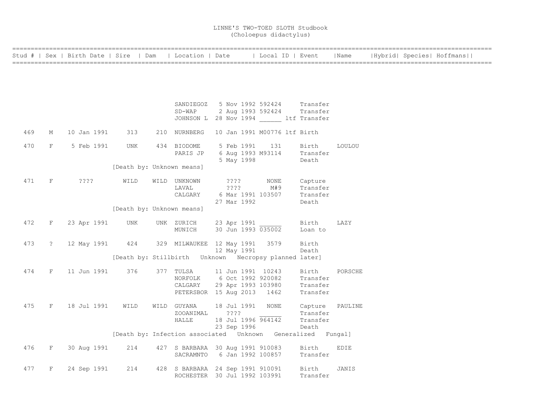|     |              | Stud #   Sex   Birth Date   Sire   Dam |                           | Location   Date                                             |                 |             | Local ID   Event             |                            | Name          |  | Hybrid  Species  Hoffmans |  |
|-----|--------------|----------------------------------------|---------------------------|-------------------------------------------------------------|-----------------|-------------|------------------------------|----------------------------|---------------|--|---------------------------|--|
|     |              |                                        |                           |                                                             |                 |             |                              |                            |               |  |                           |  |
|     |              |                                        |                           |                                                             |                 |             |                              |                            |               |  |                           |  |
|     |              |                                        |                           |                                                             |                 |             |                              |                            |               |  |                           |  |
|     |              |                                        |                           | SANDIEGOZ                                                   |                 |             | 5 Nov 1992 592424            | Transfer                   |               |  |                           |  |
|     |              |                                        |                           | SD-WAP                                                      |                 |             |                              | 2 Aug 1993 592424 Transfer |               |  |                           |  |
|     |              |                                        |                           | JOHNSON L 28 Nov 1994 ltf Transfer                          |                 |             |                              |                            |               |  |                           |  |
| 469 | М            | 10 Jan 1991                            | 313                       | 210 NURNBERG                                                |                 |             | 10 Jan 1991 M00776 ltf Birth |                            |               |  |                           |  |
| 470 | $\rm F$      | 5 Feb 1991                             | UNK                       | 434 BIODOME                                                 |                 | 5 Feb 1991  | 131                          | Birth                      | <b>LOULOU</b> |  |                           |  |
|     |              |                                        |                           | PARIS JP                                                    |                 |             | 6 Aug 1993 M93114            | Transfer                   |               |  |                           |  |
|     |              |                                        |                           |                                                             |                 | 5 May 1998  |                              | Death                      |               |  |                           |  |
|     |              |                                        | [Death by: Unknown means] |                                                             |                 |             |                              |                            |               |  |                           |  |
| 471 | F            | ????                                   | WILD                      | WILD UNKNOWN                                                | $??\ ??$        |             | NONE                         | Capture                    |               |  |                           |  |
|     |              |                                        |                           | LAVAL                                                       | $??\,?\,?$      |             | M#9                          | Transfer                   |               |  |                           |  |
|     |              |                                        |                           | CALGARY                                                     |                 |             | 6 Mar 1991 103507            | Transfer                   |               |  |                           |  |
|     |              |                                        |                           |                                                             |                 | 27 Mar 1992 |                              | Death                      |               |  |                           |  |
|     |              |                                        | [Death by: Unknown means] |                                                             |                 |             |                              |                            |               |  |                           |  |
| 472 | F            | 23 Apr 1991                            | UNK                       | UNK ZURICH                                                  |                 |             | 23 Apr 1991                  | Birth                      | LAZY          |  |                           |  |
|     |              |                                        |                           | MUNICH                                                      |                 |             | 30 Jun 1993 035002           | Loan to                    |               |  |                           |  |
| 473 | $\tilde{z}$  | 12 May 1991                            | 424                       | 329 MILWAUKEE 12 May 1991 3579                              |                 |             |                              | Birth                      |               |  |                           |  |
|     |              |                                        |                           |                                                             |                 | 12 May 1991 |                              | Death                      |               |  |                           |  |
|     |              |                                        |                           | [Death by: Stillbirth Unknown Necropsy planned later]       |                 |             |                              |                            |               |  |                           |  |
| 474 | F            | 11 Jun 1991                            | 376                       | 377 TULSA                                                   |                 |             | 11 Jun 1991 10243            | Birth                      | PORSCHE       |  |                           |  |
|     |              |                                        |                           | NORFOLK                                                     |                 |             | 6 Oct 1992 920082            | Transfer                   |               |  |                           |  |
|     |              |                                        |                           | CALGARY                                                     |                 |             | 29 Apr 1993 103980           | Transfer                   |               |  |                           |  |
|     |              |                                        |                           | PETERSBOR 15 Aug 2013                                       |                 |             | 1462                         | Transfer                   |               |  |                           |  |
| 475 | $\mathbf{F}$ | 18 Jul 1991                            | WILD                      | WILD GUYANA                                                 |                 | 18 Jul 1991 | NONE                         | Capture                    | PAULINE       |  |                           |  |
|     |              |                                        |                           | ZOOANIMAL                                                   | $??\mathbin{?}$ |             |                              | Transfer                   |               |  |                           |  |
|     |              |                                        |                           | <b>HALLE</b>                                                |                 |             | 18 Jul 1996 964142           | Transfer                   |               |  |                           |  |
|     |              |                                        |                           |                                                             |                 | 23 Sep 1996 |                              | Death                      |               |  |                           |  |
|     |              |                                        |                           | [Death by: Infection associated Unknown Generalized Fungal] |                 |             |                              |                            |               |  |                           |  |
| 476 | $\, {\rm F}$ | 30 Aug 1991                            | 214                       | 427 S BARBARA 30 Aug 1991 910083                            |                 |             |                              | Birth                      | EDIE          |  |                           |  |
|     |              |                                        |                           | SACRAMNTO                                                   |                 |             | 6 Jan 1992 100857            | Transfer                   |               |  |                           |  |
| 477 | F            | 24 Sep 1991                            | 214                       | 428 S BARBARA 24 Sep 1991 910091                            |                 |             |                              | Birth                      | JANIS         |  |                           |  |
|     |              |                                        |                           | ROCHESTER 30 Jul 1992 103991                                |                 |             |                              | Transfer                   |               |  |                           |  |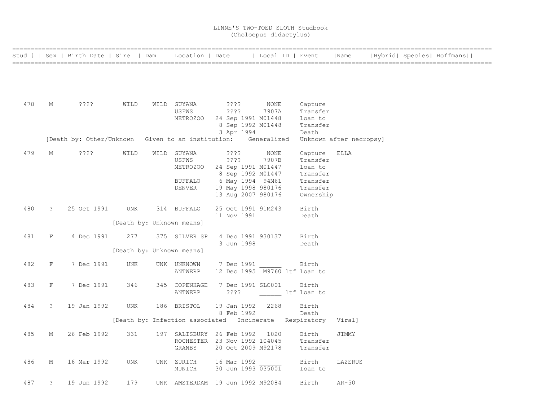|     |              | Stud #   Sex   Birth Date   Sire   Dam   Location   Date      |                           |                          |                                                                             | Local ID   Event |                       | Name                    |  | Hybrid  Species  Hoffmans |
|-----|--------------|---------------------------------------------------------------|---------------------------|--------------------------|-----------------------------------------------------------------------------|------------------|-----------------------|-------------------------|--|---------------------------|
|     |              |                                                               |                           |                          |                                                                             |                  |                       |                         |  |                           |
|     |              |                                                               |                           |                          |                                                                             |                  |                       |                         |  |                           |
| 478 |              |                                                               |                           |                          |                                                                             |                  |                       |                         |  |                           |
|     | М            | ????                                                          | WILD                      | WILD GUYANA<br>USFWS     | ????<br>$??\; ?$                                                            | NONE<br>7907A    | Capture<br>Transfer   |                         |  |                           |
|     |              |                                                               |                           | METROZOO                 | 24 Sep 1991 M01448<br>8 Sep 1992 M01448                                     |                  | Loan to<br>Transfer   |                         |  |                           |
|     |              |                                                               |                           |                          | 3 Apr 1994                                                                  |                  | Death                 |                         |  |                           |
|     |              | [Death by: Other/Unknown Given to an institution: Generalized |                           |                          |                                                                             |                  |                       | Unknown after necropsy] |  |                           |
| 479 | М            | $??\ ??$                                                      | WILD                      | WILD GUYANA<br>USFWS     | ????<br>$??\; ?$                                                            | NONE<br>7907B    | Capture<br>Transfer   | ELLA                    |  |                           |
|     |              |                                                               |                           | METROZOO                 | 24 Sep 1991 M01447<br>8 Sep 1992 M01447                                     |                  | Loan to<br>Transfer   |                         |  |                           |
|     |              |                                                               |                           | BUFFALO                  | 6 May 1994 94M61                                                            |                  | Transfer              |                         |  |                           |
|     |              |                                                               |                           | DENVER                   | 19 May 1998 980176<br>13 Aug 2007 980176                                    |                  | Transfer<br>Ownership |                         |  |                           |
| 480 | $\ddot{?}$   | 25 Oct 1991                                                   | UNK                       | 314 BUFFALO              | 25 Oct 1991 91M243                                                          |                  | Birth                 |                         |  |                           |
|     |              |                                                               | [Death by: Unknown means] |                          | 11 Nov 1991                                                                 |                  | Death                 |                         |  |                           |
|     |              |                                                               |                           |                          |                                                                             |                  |                       |                         |  |                           |
| 481 | F            | 4 Dec 1991                                                    | 277                       | 375 SILVER SP            | 4 Dec 1991 930137<br>3 Jun 1998                                             |                  | Birth<br>Death        |                         |  |                           |
|     |              |                                                               | [Death by: Unknown means] |                          |                                                                             |                  |                       |                         |  |                           |
| 482 | $\mathbf{F}$ | 7 Dec 1991                                                    | UNK                       | UNK UNKNOWN<br>ANTWERP   | 7 Dec 1991<br>12 Dec 1995 M9760 ltf Loan to                                 |                  | Birth                 |                         |  |                           |
|     |              |                                                               |                           |                          |                                                                             |                  |                       |                         |  |                           |
| 483 | F            | 7 Dec 1991                                                    | 346                       | 345 COPENHAGE<br>ANTWERP | 7 Dec 1991 SLO001<br>????                                                   | ltf Loan to      | Birth                 |                         |  |                           |
| 484 | $\tilde{ }$  | 19 Jan 1992                                                   | UNK                       | 186 BRISTOL              | 19 Jan 1992                                                                 | 2268             | Birth                 |                         |  |                           |
|     |              |                                                               |                           |                          | 8 Feb 1992<br>[Death by: Infection associated Incinerate Respiratory Viral] |                  | Death                 |                         |  |                           |
|     |              |                                                               |                           |                          |                                                                             |                  |                       |                         |  |                           |
| 485 | М            | 26 Feb 1992                                                   | 331                       |                          | 197 SALISBURY 26 Feb 1992<br>ROCHESTER 23 Nov 1992 104045                   | 1020             | Birth<br>Transfer     | JIMMY                   |  |                           |
|     |              |                                                               |                           | GRANBY                   | 20 Oct 2009 M92178                                                          |                  | Transfer              |                         |  |                           |
| 486 | М            | 16 Mar 1992                                                   | UNK                       | UNK ZURICH<br>MUNICH     | 16 Mar 1992<br>30 Jun 1993 035001                                           |                  | Birth<br>Loan to      | LAZERUS                 |  |                           |
|     |              |                                                               |                           |                          |                                                                             |                  |                       |                         |  |                           |
| 487 | ?            | 19 Jun 1992                                                   | 179                       |                          | UNK AMSTERDAM 19 Jun 1992 M92084                                            |                  | Birth                 | $AR-50$                 |  |                           |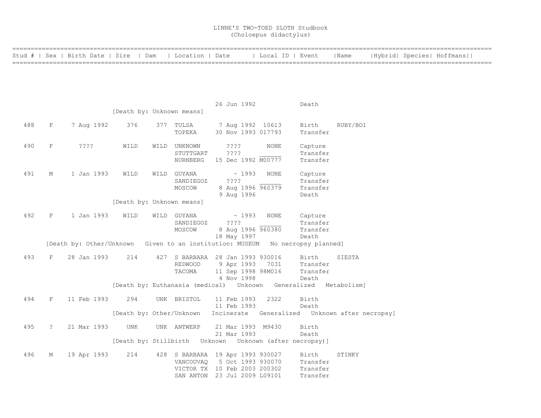|     |             |             | Stud #   Sex   Birth Date   Sire   Dam                                        | Location   Date |                                                | Local ID   Event |          | Name     |  | Hybrid  Species  Hoffmans |  |
|-----|-------------|-------------|-------------------------------------------------------------------------------|-----------------|------------------------------------------------|------------------|----------|----------|--|---------------------------|--|
|     |             |             |                                                                               |                 |                                                |                  |          |          |  |                           |  |
|     |             |             |                                                                               |                 |                                                |                  |          |          |  |                           |  |
|     |             |             |                                                                               |                 |                                                |                  |          |          |  |                           |  |
|     |             |             |                                                                               |                 |                                                |                  |          |          |  |                           |  |
|     |             |             |                                                                               |                 |                                                |                  |          |          |  |                           |  |
|     |             |             |                                                                               |                 | 26 Jun 1992                                    |                  | Death    |          |  |                           |  |
|     |             |             | [Death by: Unknown means]                                                     |                 |                                                |                  |          |          |  |                           |  |
| 488 | $\rm F$     | 7 Aug 1992  | 376                                                                           | 377 TULSA       | 7 Aug 1992 10613                               |                  | Birth    | RUBY/BO1 |  |                           |  |
|     |             |             |                                                                               | TOPEKA          | 30 Nov 1993 017793                             |                  | Transfer |          |  |                           |  |
|     |             |             |                                                                               |                 |                                                |                  |          |          |  |                           |  |
| 490 | $\rm F$     | ????        | WILD<br>WILD                                                                  | UNKNOWN         | ????                                           | NONE             | Capture  |          |  |                           |  |
|     |             |             |                                                                               | STUTTGART       | ????                                           |                  | Transfer |          |  |                           |  |
|     |             |             |                                                                               | NURNBERG        | 15 Dec 1992 M00777                             |                  | Transfer |          |  |                           |  |
|     |             |             |                                                                               |                 |                                                |                  |          |          |  |                           |  |
| 491 | М           | 1 Jan 1993  | WILD                                                                          | WILD GUYANA     | $\sim 1993$                                    | NONE             | Capture  |          |  |                           |  |
|     |             |             |                                                                               | SANDIEGOZ       | ????                                           |                  | Transfer |          |  |                           |  |
|     |             |             |                                                                               | MOSCOW          | 8 Aug 1996 960379                              |                  | Transfer |          |  |                           |  |
|     |             |             |                                                                               |                 | 9 Aug 1996                                     |                  | Death    |          |  |                           |  |
|     |             |             | [Death by: Unknown means]                                                     |                 |                                                |                  |          |          |  |                           |  |
| 492 | F           | 1 Jan 1993  | WILD                                                                          | WILD GUYANA     | $\sim 1993$                                    | NONE             | Capture  |          |  |                           |  |
|     |             |             |                                                                               | SANDIEGOZ       | ????                                           |                  | Transfer |          |  |                           |  |
|     |             |             |                                                                               | MOSCOW          | 8 Aug 1996 960380                              |                  | Transfer |          |  |                           |  |
|     |             |             |                                                                               |                 | 18 May 1997                                    |                  | Death    |          |  |                           |  |
|     |             |             | [Death by: Other/Unknown Given to an institution: MUSEUM No necropsy planned] |                 |                                                |                  |          |          |  |                           |  |
|     |             |             |                                                                               |                 |                                                |                  |          |          |  |                           |  |
| 493 | F           | 28 Jan 1993 | 214                                                                           |                 | 427 S BARBARA 28 Jan 1993 930016               |                  | Birth    | SIESTA   |  |                           |  |
|     |             |             |                                                                               | REDWOOD         | 9 Apr 1993 7031                                |                  | Transfer |          |  |                           |  |
|     |             |             |                                                                               | TACOMA          | 11 Sep 1998 98M016                             |                  | Transfer |          |  |                           |  |
|     |             |             |                                                                               |                 | 4 Nov 1998                                     |                  | Death    |          |  |                           |  |
|     |             |             | [Death by: Euthanasia (medical) Unknown Generalized Metabolism]               |                 |                                                |                  |          |          |  |                           |  |
| 494 | F           | 11 Feb 1993 | 294                                                                           | UNK BRISTOL     | 11 Feb 1993                                    | 2322             | Birth    |          |  |                           |  |
|     |             |             |                                                                               |                 | 11 Feb 1993                                    |                  | Death    |          |  |                           |  |
|     |             |             | [Death by: Other/Unknown                                                      |                 | Incinerate Generalized Unknown after necropsy] |                  |          |          |  |                           |  |
| 495 | $\tilde{z}$ | 21 Mar 1993 | UNK                                                                           | UNK ANTWERP     | 21 Mar 1993 M9430                              |                  | Birth    |          |  |                           |  |
|     |             |             |                                                                               |                 | 21 Mar 1993                                    |                  | Death    |          |  |                           |  |
|     |             |             | [Death by: Stillbirth Unknown Unknown (after necropsy)]                       |                 |                                                |                  |          |          |  |                           |  |
|     |             |             |                                                                               |                 |                                                |                  |          |          |  |                           |  |
| 496 | М           | 19 Apr 1993 | 214                                                                           |                 | 428 S BARBARA 19 Apr 1993 930027               |                  | Birth    | STINKY   |  |                           |  |
|     |             |             |                                                                               | VANCOUVAQ       | 5 Oct 1993 930070                              |                  | Transfer |          |  |                           |  |
|     |             |             |                                                                               |                 | VICTOR TX 10 Feb 2003 200302                   |                  | Transfer |          |  |                           |  |
|     |             |             |                                                                               |                 | SAN ANTON 23 Jul 2009 L09101                   |                  | Transfer |          |  |                           |  |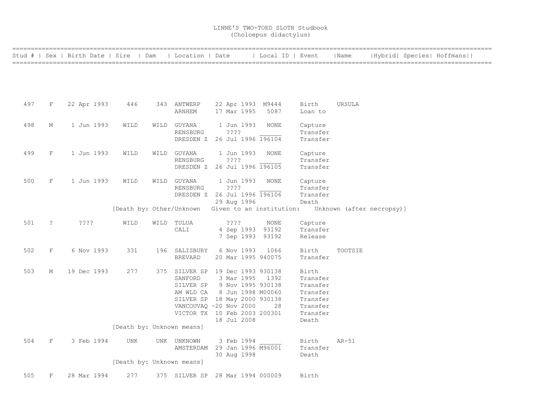|     |                     | Stud #   Sex   Birth Date   Sire   Dam |                           | Location   Date                             |             | Local ID   Event                                  |                   | Name                      |  | Hybrid  Species  Hoffmans |  |
|-----|---------------------|----------------------------------------|---------------------------|---------------------------------------------|-------------|---------------------------------------------------|-------------------|---------------------------|--|---------------------------|--|
|     |                     |                                        |                           |                                             |             |                                                   |                   |                           |  |                           |  |
|     |                     |                                        |                           |                                             |             |                                                   |                   |                           |  |                           |  |
|     |                     |                                        |                           |                                             |             |                                                   |                   |                           |  |                           |  |
|     |                     |                                        |                           |                                             |             |                                                   |                   |                           |  |                           |  |
|     |                     |                                        |                           |                                             |             |                                                   |                   |                           |  |                           |  |
| 497 | F                   | 22 Apr 1993                            | 446                       | 343 ANTWERP                                 |             | 22 Apr 1993 M9444                                 | Birth             | URSULA                    |  |                           |  |
|     |                     |                                        |                           | ARNHEM                                      | 17 Mar 1995 | 5087                                              | Loan to           |                           |  |                           |  |
| 498 | М                   | 1 Jun 1993                             | WILD                      | WILD GUYANA                                 | 1 Jun 1993  | NONE                                              | Capture           |                           |  |                           |  |
|     |                     |                                        |                           | RENSBURG                                    | ????        |                                                   | Transfer          |                           |  |                           |  |
|     |                     |                                        |                           | DRESDEN Z 26 Jul 1996 196104                |             |                                                   | Transfer          |                           |  |                           |  |
|     |                     |                                        |                           |                                             |             |                                                   |                   |                           |  |                           |  |
| 499 | F                   | 1 Jun 1993                             | WILD                      | WILD GUYANA                                 | 1 Jun 1993  | NONE                                              | Capture           |                           |  |                           |  |
|     |                     |                                        |                           | RENSBURG                                    | ????        |                                                   | Transfer          |                           |  |                           |  |
|     |                     |                                        |                           | DRESDEN Z 26 Jul 1996 196105                |             |                                                   | Transfer          |                           |  |                           |  |
|     |                     |                                        |                           |                                             |             |                                                   |                   |                           |  |                           |  |
| 500 | F                   | 1 Jun 1993                             | WILD                      | WILD GUYANA                                 | 1 Jun 1993  | NONE                                              | Capture           |                           |  |                           |  |
|     |                     |                                        |                           | RENSBURG                                    | ????        |                                                   | Transfer          |                           |  |                           |  |
|     |                     |                                        |                           | DRESDEN Z 26 Jul 1996 196106                |             |                                                   | Transfer          |                           |  |                           |  |
|     |                     |                                        |                           |                                             | 29 Aug 1996 | [Death by: Other/Unknown Given to an institution: | Death             | Unknown (after necropsy)] |  |                           |  |
|     |                     |                                        |                           |                                             |             |                                                   |                   |                           |  |                           |  |
| 501 | $\ddot{\mathbf{c}}$ | ????                                   | WILD                      | WILD TULUA                                  | ????        | NONE                                              | Capture           |                           |  |                           |  |
|     |                     |                                        |                           | CALI                                        |             | 4 Sep 1993 93192                                  | Transfer          |                           |  |                           |  |
|     |                     |                                        |                           |                                             |             | 7 Sep 1993 93192                                  | Release           |                           |  |                           |  |
|     |                     |                                        |                           |                                             |             |                                                   |                   |                           |  |                           |  |
| 502 | F                   | 6 Nov 1993                             | 331                       | 196 SALISBURY                               | 6 Nov 1993  | 1066                                              | Birth             | TOOTSIE                   |  |                           |  |
|     |                     |                                        |                           | <b>BREVARD</b>                              |             | 20 Mar 1995 940075                                | Transfer          |                           |  |                           |  |
|     |                     |                                        |                           |                                             |             |                                                   |                   |                           |  |                           |  |
| 503 | М                   | 19 Dec 1993                            | 277                       | 375 SILVER SP 19 Dec 1993 930138<br>SANFORD |             | 3 Mar 1995 1392                                   | Birth<br>Transfer |                           |  |                           |  |
|     |                     |                                        |                           | SILVER SP 9 Nov 1995 930138                 |             |                                                   | Transfer          |                           |  |                           |  |
|     |                     |                                        |                           | AM WLD CA                                   |             | 8 Jun 1998 M00060                                 | Transfer          |                           |  |                           |  |
|     |                     |                                        |                           | SILVER SP 18 May 2000 930138                |             |                                                   | Transfer          |                           |  |                           |  |
|     |                     |                                        |                           | VANCOUVAQ ~20 Nov 2000                      |             | 28                                                | Transfer          |                           |  |                           |  |
|     |                     |                                        |                           | VICTOR TX 10 Feb 2003 200301                |             |                                                   | Transfer          |                           |  |                           |  |
|     |                     |                                        |                           |                                             | 18 Jul 2008 |                                                   | Death             |                           |  |                           |  |
|     |                     |                                        | [Death by: Unknown means] |                                             |             |                                                   |                   |                           |  |                           |  |
|     |                     |                                        |                           |                                             |             |                                                   |                   |                           |  |                           |  |
| 504 | F                   | 3 Feb 1994                             | <b>UNK</b>                | UNK UNKNOWN                                 | 3 Feb 1994  |                                                   | Birth             | $AR-51$                   |  |                           |  |
|     |                     |                                        |                           | AMSTERDAM 29 Jan 1996 M96001                |             |                                                   | Transfer          |                           |  |                           |  |
|     |                     |                                        | [Death by: Unknown means] |                                             | 30 Aug 1998 |                                                   | Death             |                           |  |                           |  |
|     |                     |                                        |                           |                                             |             |                                                   |                   |                           |  |                           |  |
| 505 | F                   | 28 Mar 1994                            | 277                       | 375 SILVER SP 28 Mar 1994 000009            |             |                                                   | Birth             |                           |  |                           |  |
|     |                     |                                        |                           |                                             |             |                                                   |                   |                           |  |                           |  |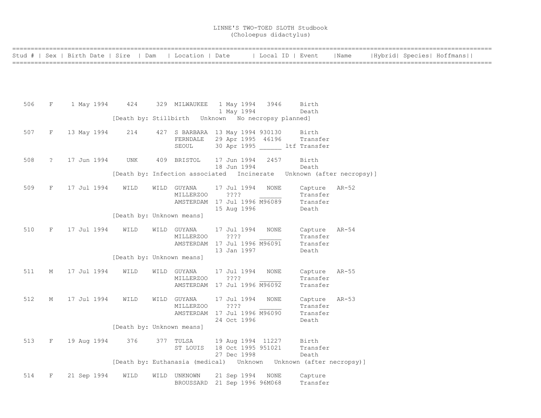|     |            | Stud #   Sex   Birth Date   Sire   Dam   Location   Date   Local ID   Event   Name |                           |                          |                                                                          |      |                           |  | Hybrid  Species  Hoffmans |
|-----|------------|------------------------------------------------------------------------------------|---------------------------|--------------------------|--------------------------------------------------------------------------|------|---------------------------|--|---------------------------|
|     |            |                                                                                    |                           |                          |                                                                          |      |                           |  |                           |
|     |            |                                                                                    |                           |                          |                                                                          |      |                           |  |                           |
|     |            |                                                                                    |                           |                          |                                                                          |      |                           |  |                           |
| 506 |            | F 1 May 1994 424 329 MILWAUKEE 1 May 1994 3946                                     |                           |                          |                                                                          |      | Birth                     |  |                           |
|     |            |                                                                                    |                           |                          | 1 May 1994                                                               |      | Death                     |  |                           |
|     |            |                                                                                    |                           |                          |                                                                          |      |                           |  |                           |
| 507 | F          | 13 May 1994                                                                        | 214                       |                          | 427 S BARBARA 13 May 1994 930130 Birth                                   |      |                           |  |                           |
|     |            |                                                                                    |                           | SEOUL                    | FERNDALE 29 Apr 1995 46196<br>30 Apr 1995 ltf Transfer                   |      | Transfer                  |  |                           |
|     |            |                                                                                    |                           |                          |                                                                          |      |                           |  |                           |
| 508 | $\ddot{?}$ | 17 Jun 1994                                                                        | UNK                       |                          | 409 BRISTOL 17 Jun 1994 2457<br>18 Jun 1994                              |      | Birth<br>Death            |  |                           |
|     |            |                                                                                    |                           |                          | [Death by: Infection associated Incinerate Unknown (after necropsy)]     |      |                           |  |                           |
| 509 | F          | 17 Jul 1994                                                                        | WILD                      | WILD GUYANA              | 17 Jul 1994                                                              | NONE | Capture AR-52             |  |                           |
|     |            |                                                                                    |                           | MILLERZ00                | ? ? ? ?                                                                  |      | Transfer                  |  |                           |
|     |            |                                                                                    |                           |                          | AMSTERDAM 17 Jul 1996 M96089<br>15 Aug 1996                              |      | Transfer<br>Death         |  |                           |
|     |            |                                                                                    | [Death by: Unknown means] |                          |                                                                          |      |                           |  |                           |
| 510 | F          | 17 Jul 1994                                                                        | WILD                      | WILD GUYANA              | 17 Jul 1994                                                              | NONE | Capture AR-54             |  |                           |
|     |            |                                                                                    |                           | MILLERZOO                | ????                                                                     |      | Transfer                  |  |                           |
|     |            |                                                                                    |                           |                          | AMSTERDAM 17 Jul 1996 M96091<br>13 Jan 1997                              |      | Transfer<br>Death         |  |                           |
|     |            |                                                                                    | [Death by: Unknown means] |                          |                                                                          |      |                           |  |                           |
| 511 | М          | 17 Jul 1994                                                                        | WILD                      | WILD GUYANA              | 17 Jul 1994                                                              | NONE | Capture AR-55             |  |                           |
|     |            |                                                                                    |                           | MILLERZOO                | $??\,?\,?$                                                               |      | Transfer                  |  |                           |
|     |            |                                                                                    |                           |                          | AMSTERDAM 17 Jul 1996 M96092                                             |      | Transfer                  |  |                           |
| 512 | М          | 17 Jul 1994                                                                        | WILD                      | WILD GUYANA<br>MILLERZOO | 17 Jul 1994<br>? ? ? ?                                                   | NONE | Capture AR-53<br>Transfer |  |                           |
|     |            |                                                                                    |                           |                          | AMSTERDAM 17 Jul 1996 M96090                                             |      | Transfer                  |  |                           |
|     |            |                                                                                    |                           |                          | 24 Oct 1996                                                              |      | Death                     |  |                           |
|     |            |                                                                                    | [Death by: Unknown means] |                          |                                                                          |      |                           |  |                           |
| 513 | F          | 19 Aug 1994                                                                        | 376                       | 377 TULSA                | 19 Aug 1994 11227 Birth<br>ST LOUIS 18 Oct 1995 951021                   |      | Transfer                  |  |                           |
|     |            |                                                                                    |                           |                          | 27 Dec 1998                                                              |      | Death                     |  |                           |
|     |            |                                                                                    |                           |                          | [Death by: Euthanasia (medical)    Unknown   Unknown   (after necropsy)] |      |                           |  |                           |
| 514 | F          | 21 Sep 1994                                                                        | WILD                      | WILD UNKNOWN             | 21 Sep 1994 NONE                                                         |      | Capture                   |  |                           |
|     |            |                                                                                    |                           |                          | BROUSSARD 21 Sep 1996 96M068                                             |      | Transfer                  |  |                           |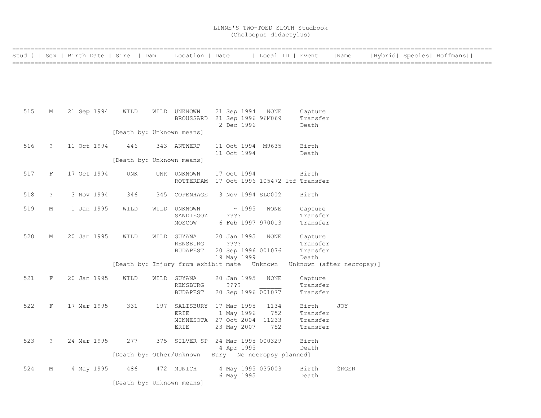|     |                      | Stud #   Sex   Birth Date   Sire   Dam |                           | Location   Date                             |                                         | Local ID   Event |                      | Name                      |  | Hybrid  Species  Hoffmans |  |
|-----|----------------------|----------------------------------------|---------------------------|---------------------------------------------|-----------------------------------------|------------------|----------------------|---------------------------|--|---------------------------|--|
|     |                      |                                        |                           |                                             |                                         |                  |                      |                           |  |                           |  |
|     |                      |                                        |                           |                                             |                                         |                  |                      |                           |  |                           |  |
|     |                      |                                        |                           |                                             |                                         |                  |                      |                           |  |                           |  |
| 515 | М                    | 21 Sep 1994                            | WILD                      | WILD UNKNOWN                                | 21 Sep 1994                             | NONE             | Capture              |                           |  |                           |  |
|     |                      |                                        |                           | BROUSSARD 21 Sep 1996 96M069                | 2 Dec 1996                              |                  | Transfer<br>Death    |                           |  |                           |  |
|     |                      |                                        | [Death by: Unknown means] |                                             |                                         |                  |                      |                           |  |                           |  |
| 516 | $\ddot{\phantom{0}}$ | 11 Oct 1994                            | 446                       | 343 ANTWERP                                 | 11 Oct 1994 M9635                       |                  | Birth                |                           |  |                           |  |
|     |                      |                                        | [Death by: Unknown means] |                                             | 11 Oct 1994                             |                  | Death                |                           |  |                           |  |
| 517 | F                    | 17 Oct 1994                            | UNK                       | UNK UNKNOWN                                 | 17 Oct 1994                             |                  | Birth                |                           |  |                           |  |
|     |                      |                                        |                           | ROTTERDAM 17 Oct 1996 105472 ltf Transfer   |                                         |                  |                      |                           |  |                           |  |
| 518 | $\ddot{\cdot}$       | 3 Nov 1994                             | 346                       | 345 COPENHAGE                               | 3 Nov 1994 SLO002                       |                  | Birth                |                           |  |                           |  |
| 519 | М                    | 1 Jan 1995                             | WILD                      | WILD UNKNOWN                                | ~1995                                   | NONE             | Capture              |                           |  |                           |  |
|     |                      |                                        |                           | SANDIEGOZ<br>MOSCOW                         | ????<br>6 Feb 1997 970013               |                  | Transfer<br>Transfer |                           |  |                           |  |
| 520 | М                    | 20 Jan 1995                            | WILD                      | WILD GUYANA                                 | 20 Jan 1995                             | NONE             | Capture              |                           |  |                           |  |
|     |                      |                                        |                           | RENSBURG<br><b>BUDAPEST</b>                 | ????<br>20 Sep 1996 001076              |                  | Transfer<br>Transfer |                           |  |                           |  |
|     |                      |                                        |                           |                                             | 19 May 1999                             |                  | Death                |                           |  |                           |  |
|     |                      |                                        |                           | [Death by: Injury from exhibit mate Unknown |                                         |                  |                      | Unknown (after necropsy)] |  |                           |  |
| 521 | F                    | 20 Jan 1995                            | WILD                      | WILD GUYANA<br>RENSBURG                     | 20 Jan 1995<br>????                     | <b>NONE</b>      | Capture<br>Transfer  |                           |  |                           |  |
|     |                      |                                        |                           | <b>BUDAPEST</b>                             | 20 Sep 1996 001077                      |                  | Transfer             |                           |  |                           |  |
| 522 | $\rm F$              | 17 Mar 1995                            | 331                       | 197 SALISBURY 17 Mar 1995                   |                                         | 1134             | Birth                | JOY                       |  |                           |  |
|     |                      |                                        |                           | ERIE<br>MINNESOTA 27 Oct 2004 11233         | 1 May 1996                              | 752              | Transfer<br>Transfer |                           |  |                           |  |
|     |                      |                                        |                           | ERIE                                        | 23 May 2007                             | 752              | Transfer             |                           |  |                           |  |
| 523 | $\tilde{S}$          | 24 Mar 1995                            | 277                       | 375 SILVER SP 24 Mar 1995 000329            |                                         |                  | Birth                |                           |  |                           |  |
|     |                      |                                        | [Death by: Other/Unknown  |                                             | 4 Apr 1995<br>Bury No necropsy planned] |                  | Death                |                           |  |                           |  |
| 524 | М                    | 4 May 1995                             | 486                       | 472 MUNICH                                  | 4 May 1995 035003                       |                  | Birth                | ŽRGER                     |  |                           |  |
|     |                      |                                        |                           |                                             | 6 May 1995                              |                  | Death                |                           |  |                           |  |
|     |                      |                                        | [Death by: Unknown means] |                                             |                                         |                  |                      |                           |  |                           |  |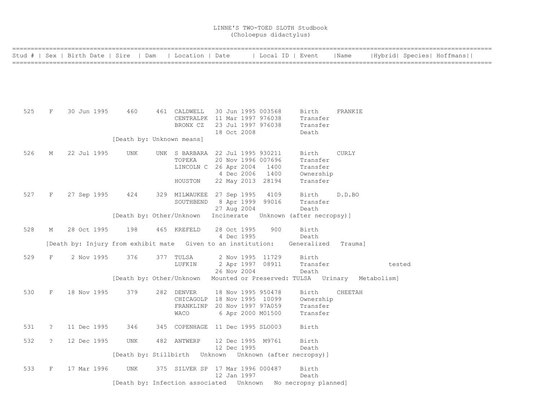|     |                      | Stud #   Sex   Birth Date   Sire   Dam                                           |                           | Location   Date                                          |             |                                          | Local ID   Event                                                                  | Name         |        | Hybrid  Species  Hoffmans |
|-----|----------------------|----------------------------------------------------------------------------------|---------------------------|----------------------------------------------------------|-------------|------------------------------------------|-----------------------------------------------------------------------------------|--------------|--------|---------------------------|
|     |                      |                                                                                  |                           |                                                          |             |                                          |                                                                                   |              |        |                           |
|     |                      |                                                                                  |                           |                                                          |             |                                          |                                                                                   |              |        |                           |
| 525 | F                    | 30 Jun 1995                                                                      | 460                       | 461 CALDWELL<br>CENTRALPK 11 Mar 1997 976038<br>BRONX CZ |             | 30 Jun 1995 003568<br>23 Jul 1997 976038 | Birth<br>Transfer<br>Transfer                                                     | FRANKIE      |        |                           |
|     |                      |                                                                                  | [Death by: Unknown means] |                                                          | 18 Oct 2008 |                                          | Death                                                                             |              |        |                           |
|     |                      |                                                                                  |                           |                                                          |             |                                          |                                                                                   |              |        |                           |
| 526 | М                    | 22 Jul 1995                                                                      | UNK                       | UNK S BARBARA 22 Jul 1995 930211                         |             |                                          | Birth                                                                             | <b>CURLY</b> |        |                           |
|     |                      |                                                                                  |                           | TOPEKA<br>LINCOLN C 26 Apr 2004                          |             | 20 Nov 1996 007696<br>1400               | Transfer<br>Transfer                                                              |              |        |                           |
|     |                      |                                                                                  |                           |                                                          | 4 Dec 2006  | 1400                                     | Ownership                                                                         |              |        |                           |
|     |                      |                                                                                  |                           | HOUSTON                                                  |             | 22 May 2013 28194                        | Transfer                                                                          |              |        |                           |
| 527 | F                    | 27 Sep 1995                                                                      | 424                       | 329 MILWAUKEE 27 Sep 1995                                |             | 4109                                     | Birth                                                                             | D.D.BO       |        |                           |
|     |                      |                                                                                  |                           | SOUTHBEND                                                |             | 8 Apr 1999 99016                         | Transfer                                                                          |              |        |                           |
|     |                      |                                                                                  |                           |                                                          | 27 Aug 2004 |                                          | Death                                                                             |              |        |                           |
|     |                      |                                                                                  |                           |                                                          |             |                                          | [Death by: Other/Unknown Incinerate Unknown (after necropsy)]                     |              |        |                           |
| 528 | М                    | 28 Oct 1995                                                                      | 198                       | 465 KREFELD                                              | 28 Oct 1995 | 900                                      | Birth                                                                             |              |        |                           |
|     |                      |                                                                                  |                           |                                                          | 4 Dec 1995  |                                          | Death                                                                             |              |        |                           |
|     |                      | [Death by: Injury from exhibit mate Given to an institution: Generalized Trauma] |                           |                                                          |             |                                          |                                                                                   |              |        |                           |
| 529 | $F^-$                | 2 Nov 1995                                                                       | 376                       | 377 TULSA                                                |             | 2 Nov 1995 11729                         | Birth                                                                             |              |        |                           |
|     |                      |                                                                                  |                           | LUFKIN                                                   |             | 2 Apr 1997 08911                         | Transfer                                                                          |              | tested |                           |
|     |                      |                                                                                  |                           |                                                          | 26 Nov 2004 |                                          | Death<br>[Death by: Other/Unknown Mounted or Preserved: TULSA Urinary Metabolism] |              |        |                           |
|     |                      |                                                                                  |                           |                                                          |             |                                          |                                                                                   |              |        |                           |
| 530 | F                    | 18 Nov 1995                                                                      | 379                       | 282 DENVER                                               |             | 18 Nov 1995 950478                       | Birth                                                                             | CHEETAH      |        |                           |
|     |                      |                                                                                  |                           | CHICAGOLP 18 Nov 1995 10099                              |             |                                          | Ownership                                                                         |              |        |                           |
|     |                      |                                                                                  |                           | FRANKLINP 20 Nov 1997 97A059<br><b>WACO</b>              |             |                                          | Transfer<br>Transfer                                                              |              |        |                           |
|     |                      |                                                                                  |                           |                                                          |             | 6 Apr 2000 M01500                        |                                                                                   |              |        |                           |
| 531 | $\ddot{\phantom{0}}$ | 11 Dec 1995                                                                      | 346                       | 345 COPENHAGE 11 Dec 1995 SLO003                         |             |                                          | Birth                                                                             |              |        |                           |
| 532 | $\tilde{S}$          | 12 Dec 1995                                                                      | UNK                       | 482 ANTWERP                                              |             | 12 Dec 1995 M9761                        | Birth                                                                             |              |        |                           |
|     |                      |                                                                                  |                           |                                                          | 12 Dec 1995 |                                          | Death<br>[Death by: Stillbirth Unknown Unknown (after necropsy)]                  |              |        |                           |
|     |                      |                                                                                  |                           |                                                          |             |                                          |                                                                                   |              |        |                           |
| 533 | F                    | 17 Mar 1996                                                                      | UNK                       | 375 SILVER SP 17 Mar 1996 000487                         | 12 Jan 1997 |                                          | Birth<br>Death                                                                    |              |        |                           |
|     |                      |                                                                                  |                           |                                                          |             |                                          | [Death by: Infection associated  Unknown  No necropsy planned]                    |              |        |                           |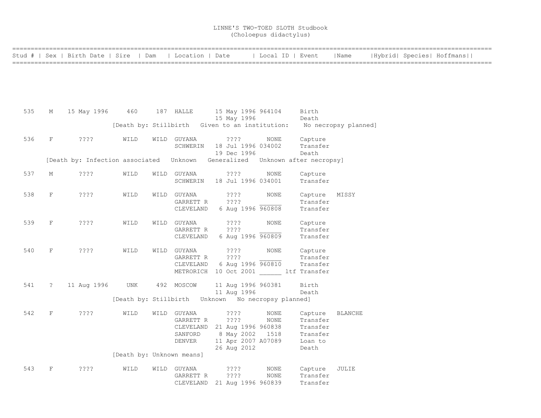|     |            | Stud #   Sex   Birth Date   Sire   Dam   Location   Date                      |                           |                          |                                                                     | Local ID   Event |                           | Name  |  | Hybrid  Species  Hoffmans |
|-----|------------|-------------------------------------------------------------------------------|---------------------------|--------------------------|---------------------------------------------------------------------|------------------|---------------------------|-------|--|---------------------------|
|     |            |                                                                               |                           |                          |                                                                     |                  |                           |       |  |                           |
|     |            |                                                                               |                           |                          |                                                                     |                  |                           |       |  |                           |
|     |            |                                                                               |                           |                          |                                                                     |                  |                           |       |  |                           |
| 535 | M          | 15 May 1996 460                                                               |                           | 187 HALLE                | 15 May 1996 964104<br>15 May 1996                                   |                  | Birth<br>Death            |       |  |                           |
|     |            |                                                                               |                           |                          | [Death by: Stillbirth Given to an institution: No necropsy planned] |                  |                           |       |  |                           |
| 536 | F          | $??\mathrel{?}\mathrel{?}$                                                    | WILD                      | WILD GUYANA              | ? ? ? ?                                                             | NONE             | Capture                   |       |  |                           |
|     |            |                                                                               |                           | SCHWERIN                 | 18 Jul 1996 034002<br>19 Dec 1996                                   |                  | Transfer<br>Death         |       |  |                           |
|     |            | [Death by: Infection associated  Unknown Generalized  Unknown after necropsy] |                           |                          |                                                                     |                  |                           |       |  |                           |
| 537 | М          | ????                                                                          | WILD                      | WILD GUYANA              | ????                                                                | NONE             | Capture                   |       |  |                           |
|     |            |                                                                               |                           | SCHWERIN                 | 18 Jul 1996 034001                                                  |                  | Transfer                  |       |  |                           |
| 538 | F          | ????                                                                          | WILD                      | WILD GUYANA<br>GARRETT R | $??\mathbin{?}$<br>????                                             | NONE             | Capture MISSY<br>Transfer |       |  |                           |
|     |            |                                                                               |                           | CLEVELAND                | 6 Aug 1996 960808                                                   |                  | Transfer                  |       |  |                           |
| 539 | F          | $??\cdot?$                                                                    | WILD                      | WILD GUYANA              | ????                                                                | <b>NONE</b>      | Capture                   |       |  |                           |
|     |            |                                                                               |                           | GARRETT R                | ????<br>CLEVELAND 6 Aug 1996 960809                                 |                  | Transfer<br>Transfer      |       |  |                           |
| 540 | F          | ????                                                                          | WILD                      | WILD GUYANA              | ????                                                                | NONE             | Capture                   |       |  |                           |
|     |            |                                                                               |                           | GARRETT R                | ????                                                                |                  | Transfer                  |       |  |                           |
|     |            |                                                                               |                           | CLEVELAND                | 6 Aug 1996 960810                                                   |                  | Transfer                  |       |  |                           |
|     |            |                                                                               |                           |                          | METRORICH 10 Oct 2001 ltf Transfer                                  |                  |                           |       |  |                           |
| 541 | $\ddot{ }$ | 11 Aug 1996                                                                   | <b>UNK</b>                | 492 MOSCOW               | 11 Aug 1996 960381<br>11 Aug 1996                                   |                  | Birth<br>Death            |       |  |                           |
|     |            |                                                                               |                           |                          | [Death by: Stillbirth Unknown No necropsy planned]                  |                  |                           |       |  |                           |
| 542 | F          | $??\mathord{?}\mathord{?}$                                                    | WILD                      | WILD GUYANA              | $??\mathbin{?}$                                                     | NONE             | Capture BLANCHE           |       |  |                           |
|     |            |                                                                               |                           | GARRETT R                | ????                                                                | NONE             | Transfer                  |       |  |                           |
|     |            |                                                                               |                           |                          | CLEVELAND 21 Aug 1996 960838                                        |                  | Transfer                  |       |  |                           |
|     |            |                                                                               |                           | SANFORD<br>DENVER        | 8 May 2002 1518<br>11 Apr 2007 A07089                               |                  | Transfer<br>Loan to       |       |  |                           |
|     |            |                                                                               |                           |                          | 26 Aug 2012                                                         |                  | Death                     |       |  |                           |
|     |            |                                                                               | [Death by: Unknown means] |                          |                                                                     |                  |                           |       |  |                           |
| 543 | F          | $??\,?\,?$                                                                    | WILD                      | WILD GUYANA              | ????                                                                | NONE             | Capture                   | JULIE |  |                           |
|     |            |                                                                               |                           | GARRETT R                | 3333                                                                | NONE             | Transfer                  |       |  |                           |
|     |            |                                                                               |                           |                          | CLEVELAND 21 Aug 1996 960839                                        |                  | Transfer                  |       |  |                           |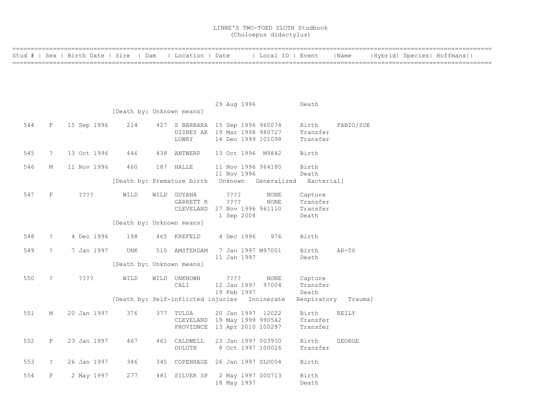|     |               | Stud #   Sex   Birth Date   Sire   Dam |                           | Location   Date                    |                                                                  | Local ID   Event           |                      | Name      |  | Hybrid  Species  Hoffmans |  |
|-----|---------------|----------------------------------------|---------------------------|------------------------------------|------------------------------------------------------------------|----------------------------|----------------------|-----------|--|---------------------------|--|
|     |               |                                        |                           |                                    |                                                                  |                            |                      |           |  |                           |  |
|     |               |                                        |                           |                                    |                                                                  |                            |                      |           |  |                           |  |
|     |               |                                        |                           |                                    |                                                                  |                            |                      |           |  |                           |  |
|     |               |                                        |                           |                                    | 29 Aug 1996                                                      |                            | Death                |           |  |                           |  |
|     |               |                                        | [Death by: Unknown means] |                                    |                                                                  |                            |                      |           |  |                           |  |
| 544 | F             | 15 Sep 1996                            | 214                       |                                    | 427 S BARBARA 15 Sep 1996 960074<br>DISNEY AK 19 Mar 1998 980727 |                            | Birth<br>Transfer    | FABIO/ZOE |  |                           |  |
|     |               |                                        |                           | LOWRY                              | 14 Dec 1999 101098                                               |                            | Transfer             |           |  |                           |  |
| 545 | $\tilde{S}$   | 13 Oct 1996                            | 446                       | 438 ANTWERP                        | 13 Oct 1996 M9842                                                |                            | Birth                |           |  |                           |  |
| 546 | М             | 11 Nov 1996                            | 460                       | 187 HALLE                          | 11 Nov 1996 964180                                               |                            | Birth                |           |  |                           |  |
|     |               |                                        |                           |                                    | 11 Nov 1996                                                      |                            | Death                |           |  |                           |  |
|     |               |                                        |                           | [Death by: Premature birth Unknown |                                                                  | Generalized                | Bacterial]           |           |  |                           |  |
| 547 | $\mathbf F$   | ????                                   | WILD                      | WILD GUYANA<br>GARRETT R           | ????<br>????                                                     | <b>NONE</b><br><b>NONE</b> | Capture<br>Transfer  |           |  |                           |  |
|     |               |                                        |                           | CLEVELAND                          | 27 Nov 1996 961110                                               |                            | Transfer             |           |  |                           |  |
|     |               |                                        | [Death by: Unknown means] |                                    | 1 Sep 2004                                                       |                            | Death                |           |  |                           |  |
| 548 | $\tilde{S}$   | 4 Dec 1996                             |                           | 465 KREFELD                        |                                                                  | 976                        | Birth                |           |  |                           |  |
|     |               |                                        | 198                       |                                    | 4 Dec 1996                                                       |                            |                      |           |  |                           |  |
| 549 | $\tilde{S}$   | 7 Jan 1997                             | UNK                       | 510 AMSTERDAM                      | 7 Jan 1997 M97001<br>11 Jan 1997                                 |                            | Birth<br>Death       | $AR-56$   |  |                           |  |
|     |               |                                        | [Death by: Unknown means] |                                    |                                                                  |                            |                      |           |  |                           |  |
| 550 | $\tilde{ }$ ? | ????                                   | WILD                      | WILD UNKNOWN                       | $??\mathbf{??}$                                                  | NONE                       | Capture              |           |  |                           |  |
|     |               |                                        |                           | CALI                               | 12 Jan 1997<br>19 Feb 1997                                       | 97004                      | Transfer<br>Death    |           |  |                           |  |
|     |               |                                        |                           |                                    | [Death by: Self-inflicted injuries Incinerate                    |                            | Respiratory          | Trauma]   |  |                           |  |
| 551 | М             | 20 Jan 1997                            | 376                       | 377 TULSA                          | 20 Jan 1997 12022                                                |                            | Birth                | REILY     |  |                           |  |
|     |               |                                        |                           |                                    | CLEVELAND 19 May 1999 990542<br>PROVIDNCE 13 Apr 2010 100287     |                            | Transfer<br>Transfer |           |  |                           |  |
| 552 | F             | 23 Jan 1997                            | 467                       | 461 CALDWELL                       | 23 Jan 1997 003930                                               |                            | Birth                | GEORGE    |  |                           |  |
|     |               |                                        |                           | DULUTH                             | 8 Oct 1997 100026                                                |                            | Transfer             |           |  |                           |  |
| 553 | $\ddot{ }$    | 26 Jan 1997                            | 346                       |                                    | 345 COPENHAGE 26 Jan 1997 SLO004                                 |                            | Birth                |           |  |                           |  |
| 554 | F             | 2 May 1997                             | 277                       | 481 SILVER SP                      | 2 May 1997 000713                                                |                            | Birth                |           |  |                           |  |
|     |               |                                        |                           |                                    | 18 May 1997                                                      |                            | Death                |           |  |                           |  |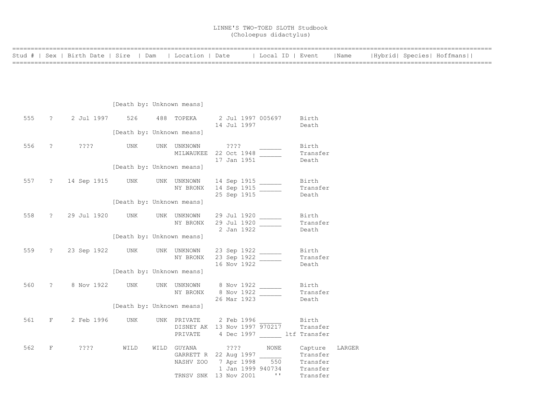|     |                | Stud #   Sex   Birth Date   Sire   Dam |                           | Location   Date                                                                     |                    | Local ID   Event       |                         | Name   |  | Hybrid  Species  Hoffmans |
|-----|----------------|----------------------------------------|---------------------------|-------------------------------------------------------------------------------------|--------------------|------------------------|-------------------------|--------|--|---------------------------|
|     |                |                                        |                           |                                                                                     |                    |                        |                         |        |  |                           |
|     |                |                                        |                           |                                                                                     |                    |                        |                         |        |  |                           |
|     |                |                                        |                           |                                                                                     |                    |                        |                         |        |  |                           |
|     |                |                                        |                           |                                                                                     |                    |                        |                         |        |  |                           |
|     |                |                                        | [Death by: Unknown means] |                                                                                     |                    |                        |                         |        |  |                           |
| 555 | $\mathbb{R}^2$ | 2 Jul 1997                             | 526                       | 488 TOPEKA                                                                          | 2 Jul 1997 005697  |                        | Birth                   |        |  |                           |
|     |                |                                        |                           |                                                                                     | 14 Jul 1997        |                        | Death                   |        |  |                           |
|     |                |                                        | [Death by: Unknown means] |                                                                                     |                    |                        |                         |        |  |                           |
| 556 | $\ddot{?}$     | ????                                   | UNK                       | UNK UNKNOWN                                                                         | 2222               |                        | Birth                   |        |  |                           |
|     |                |                                        |                           | MILWAUKEE 22 Oct 1948                                                               |                    |                        | Transfer                |        |  |                           |
|     |                |                                        |                           |                                                                                     | 17 Jan 1951        |                        | Death                   |        |  |                           |
|     |                |                                        | [Death by: Unknown means] |                                                                                     |                    |                        |                         |        |  |                           |
| 557 |                | ? 14 Sep 1915 UNK                      |                           | UNK UNKNOWN                                                                         | 14 Sep 1915 ______ |                        | Birth                   |        |  |                           |
|     |                |                                        |                           | NY BRONX                                                                            | 14 Sep 1915        |                        | Transfer                |        |  |                           |
|     |                |                                        |                           |                                                                                     | 25 Sep 1915        |                        | Death                   |        |  |                           |
|     |                |                                        | [Death by: Unknown means] |                                                                                     |                    |                        |                         |        |  |                           |
| 558 |                | ? 29 Jul 1920                          | UNK                       | UNK UNKNOWN                                                                         | 29 Jul 1920        |                        | Birth                   |        |  |                           |
|     |                |                                        |                           | NY BRONX                                                                            | 29 Jul 1920        |                        | Transfer                |        |  |                           |
|     |                |                                        |                           |                                                                                     | 2 Jan 1922         |                        | Death                   |        |  |                           |
|     |                |                                        | [Death by: Unknown means] |                                                                                     |                    |                        |                         |        |  |                           |
| 559 | $\tilde{z}$    | 23 Sep 1922 UNK                        |                           | UNK UNKNOWN                                                                         | 23 Sep 1922        |                        | Birth                   |        |  |                           |
|     |                |                                        |                           | NY BRONX                                                                            | 23 Sep 1922        |                        | Transfer                |        |  |                           |
|     |                |                                        |                           |                                                                                     | 16 Nov 1922        |                        | Death                   |        |  |                           |
|     |                |                                        | [Death by: Unknown means] |                                                                                     |                    |                        |                         |        |  |                           |
| 560 | $\tilde{?}$    | 8 Nov 1922                             | UNK                       | UNK UNKNOWN                                                                         | 8 Nov 1922 ______  |                        | Birth                   |        |  |                           |
|     |                |                                        |                           | NY BRONX                                                                            | 8 Nov 1922         |                        | Transfer                |        |  |                           |
|     |                |                                        |                           |                                                                                     | 26 Mar 1923        |                        | Death                   |        |  |                           |
|     |                |                                        | [Death by: Unknown means] |                                                                                     |                    |                        |                         |        |  |                           |
| 561 | F              | 2 Feb 1996                             | UNK                       | UNK PRIVATE                                                                         | 2 Feb 1996         |                        | Birth                   |        |  |                           |
|     |                |                                        |                           | DISNEY AK 13 Nov 1997 970217                                                        |                    |                        | Transfer                |        |  |                           |
|     |                |                                        |                           | PRIVATE                                                                             |                    |                        | 4 Dec 1997 ltf Transfer |        |  |                           |
| 562 | F              | ????                                   | WILD                      | WILD GUYANA                                                                         | ????               | NONE                   | Capture                 | LARGER |  |                           |
|     |                |                                        |                           |                                                                                     |                    |                        |                         |        |  |                           |
|     |                |                                        |                           | GARRETT R 22 Aug 1997 $\frac{1}{550}$ Transfer<br>NASHV ZOO 7 Apr 1998 550 Transfer |                    |                        |                         |        |  |                           |
|     |                |                                        |                           |                                                                                     | 1 Jan 1999 940734  |                        | Transfer                |        |  |                           |
|     |                |                                        |                           | TRNSV SNK 13 Nov 2001                                                               |                    | <b>Contract To Fax</b> | Transfer                |        |  |                           |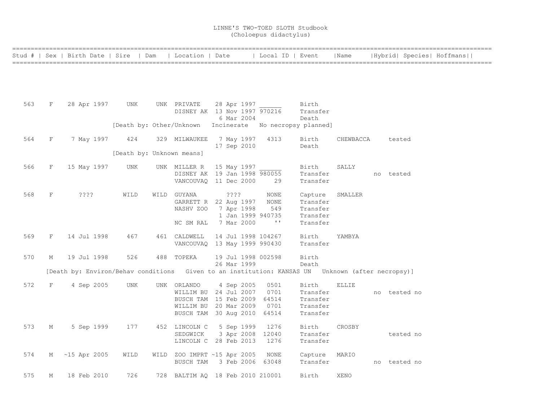|     |             | Stud #   Sex   Birth Date   Sire   Dam                                                           |      | Location   Date           |                                                          | Local ID   Event |                      | Name         |           |              | Hybrid  Species  Hoffmans |
|-----|-------------|--------------------------------------------------------------------------------------------------|------|---------------------------|----------------------------------------------------------|------------------|----------------------|--------------|-----------|--------------|---------------------------|
|     |             |                                                                                                  |      |                           |                                                          |                  |                      |              |           |              |                           |
|     |             |                                                                                                  |      |                           |                                                          |                  |                      |              |           |              |                           |
|     |             |                                                                                                  |      |                           |                                                          |                  |                      |              |           |              |                           |
|     |             |                                                                                                  |      |                           |                                                          |                  |                      |              |           |              |                           |
| 563 | F           | 28 Apr 1997                                                                                      | UNK  | UNK PRIVATE               | 28 Apr 1997                                              |                  | Birth                |              |           |              |                           |
|     |             |                                                                                                  |      |                           | DISNEY AK 13 Nov 1997 970216                             |                  | Transfer             |              |           |              |                           |
|     |             |                                                                                                  |      |                           | 6 Mar 2004                                               |                  | Death                |              |           |              |                           |
|     |             |                                                                                                  |      |                           | [Death by: Other/Unknown Incinerate No necropsy planned] |                  |                      |              |           |              |                           |
| 564 | F           | 7 May 1997                                                                                       | 424  | 329 MILWAUKEE             | 7 May 1997                                               | 4313             | Birth                | CHEWBACCA    |           | tested       |                           |
|     |             |                                                                                                  |      |                           | 17 Sep 2010                                              |                  | Death                |              |           |              |                           |
|     |             |                                                                                                  |      | [Death by: Unknown means] |                                                          |                  |                      |              |           |              |                           |
| 566 | F           | 15 May 1997                                                                                      | UNK  | UNK MILLER R              | 15 May 1997                                              |                  | Birth                | SALLY        |           |              |                           |
|     |             |                                                                                                  |      |                           | DISNEY AK 19 Jan 1998 980055                             |                  | Transfer             |              | no tested |              |                           |
|     |             |                                                                                                  |      |                           | VANCOUVAO 11 Dec 2000                                    | 29               | Transfer             |              |           |              |                           |
|     |             |                                                                                                  |      |                           |                                                          |                  |                      |              |           |              |                           |
| 568 | $\mathbf F$ | ? ? ? ?                                                                                          | WILD | WILD GUYANA               | ? ? ? ?                                                  | NONE             | Capture              | SMALLER      |           |              |                           |
|     |             |                                                                                                  |      |                           | GARRETT R 22 Aug 1997                                    | NONE             | Transfer             |              |           |              |                           |
|     |             |                                                                                                  |      | NASHV ZOO                 | 7 Apr 1998                                               | 549              | Transfer             |              |           |              |                           |
|     |             |                                                                                                  |      |                           | 1 Jan 1999 940735                                        |                  | Transfer             |              |           |              |                           |
|     |             |                                                                                                  |      | NC SM RAL                 | 7 Mar 2000                                               | $\sim$ 1.1       | Transfer             |              |           |              |                           |
| 569 | F           | 14 Jul 1998                                                                                      | 467  | 461 CALDWELL              | 14 Jul 1998 104267                                       |                  | Birth                | YAMBYA       |           |              |                           |
|     |             |                                                                                                  |      |                           | VANCOUVAQ 13 May 1999 990430                             |                  | Transfer             |              |           |              |                           |
|     |             |                                                                                                  |      |                           |                                                          |                  |                      |              |           |              |                           |
| 570 | М           | 19 Jul 1998                                                                                      | 526  | 488 TOPEKA                | 19 Jul 1998 002598                                       |                  | Birth                |              |           |              |                           |
|     |             |                                                                                                  |      |                           | 26 Mar 1999                                              |                  | Death                |              |           |              |                           |
|     |             | [Death by: Environ/Behav conditions Given to an institution: KANSAS UN Unknown (after necropsy)] |      |                           |                                                          |                  |                      |              |           |              |                           |
| 572 | F           | 4 Sep 2005                                                                                       | UNK  | UNK ORLANDO               | 4 Sep 2005                                               | 0501             | Birth                | <b>ELLIE</b> |           |              |                           |
|     |             |                                                                                                  |      |                           | WILLIM BU 24 Jul 2007                                    | 0701             | Transfer             |              |           | no tested no |                           |
|     |             |                                                                                                  |      |                           | BUSCH TAM 15 Feb 2009                                    | 64514            | Transfer             |              |           |              |                           |
|     |             |                                                                                                  |      |                           | WILLIM BU 20 Mar 2009                                    | 0701             | Transfer             |              |           |              |                           |
|     |             |                                                                                                  |      |                           | BUSCH TAM 30 Aug 2010                                    | 64514            | Transfer             |              |           |              |                           |
|     |             |                                                                                                  |      |                           |                                                          |                  |                      |              |           |              |                           |
| 573 | М           | 5 Sep 1999                                                                                       | 177  | 452 LINCOLN C             | 5 Sep 1999                                               | 1276             | Birth                | CROSBY       |           |              |                           |
|     |             |                                                                                                  |      | SEDGWICK                  | 3 Apr 2008<br>LINCOLN C 28 Feb 2013                      | 12040<br>1276    | Transfer<br>Transfer |              |           | tested no    |                           |
|     |             |                                                                                                  |      |                           |                                                          |                  |                      |              |           |              |                           |
| 574 | М           | $~15$ Apr 2005                                                                                   | WILD |                           | WILD ZOO IMPRT ~15 Apr 2005                              | NONE             | Capture              | MARIO        |           |              |                           |
|     |             |                                                                                                  |      | BUSCH TAM                 | 3 Feb 2006 63048                                         |                  | Transfer             |              |           | no tested no |                           |
|     |             |                                                                                                  |      |                           |                                                          |                  |                      |              |           |              |                           |
| 575 | М           | 18 Feb 2010                                                                                      | 726  |                           | 728 BALTIM AQ 18 Feb 2010 210001                         |                  | Birth                | <b>XENO</b>  |           |              |                           |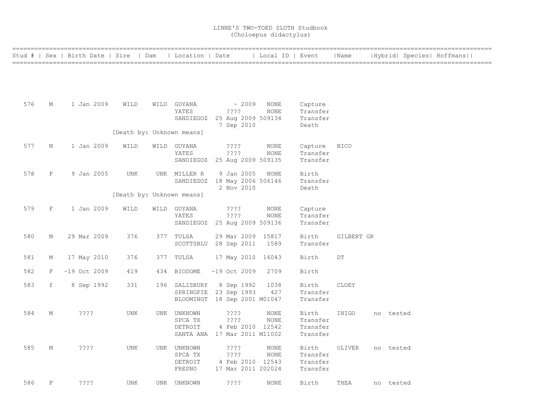|     |              | Stud #   Sex   Birth Date   Sire   Dam |            | Location   Date           |                                            | Local ID   Event           |                      | Name        |           | Hybrid  Species  Hoffmans |  |
|-----|--------------|----------------------------------------|------------|---------------------------|--------------------------------------------|----------------------------|----------------------|-------------|-----------|---------------------------|--|
|     |              |                                        |            |                           |                                            |                            |                      |             |           |                           |  |
|     |              |                                        |            |                           |                                            |                            |                      |             |           |                           |  |
|     |              |                                        |            |                           |                                            |                            |                      |             |           |                           |  |
| 576 | М            | 1 Jan 2009                             | WILD       | WILD GUYANA               | $\sim 2009$                                | NONE                       | Capture              |             |           |                           |  |
|     |              |                                        |            | YATES<br>SANDIEGOZ        | ? ? ? ?<br>25 Aug 2009 509134              | NONE                       | Transfer<br>Transfer |             |           |                           |  |
|     |              |                                        |            |                           | 7 Sep 2010                                 |                            | Death                |             |           |                           |  |
|     |              |                                        |            | [Death by: Unknown means] |                                            |                            |                      |             |           |                           |  |
| 577 | М            | 1 Jan 2009                             | WILD       | WILD GUYANA<br>YATES      | ????<br>? ? ? ?                            | <b>NONE</b><br><b>NONE</b> | Capture<br>Transfer  | <b>NICO</b> |           |                           |  |
|     |              |                                        |            | SANDIEGOZ                 | 25 Aug 2009 509135                         |                            | Transfer             |             |           |                           |  |
| 578 | $\mathbf F$  | 9 Jan 2005                             | <b>UNK</b> | UNK MILLER R              | 9 Jan 2005                                 | NONE                       | Birth                |             |           |                           |  |
|     |              |                                        |            |                           | SANDIEGOZ 18 May 2006 506146<br>2 Nov 2010 |                            | Transfer<br>Death    |             |           |                           |  |
|     |              |                                        |            | [Death by: Unknown means] |                                            |                            |                      |             |           |                           |  |
| 579 | $\mathbf{F}$ | 1 Jan 2009                             | WILD       | WILD GUYANA               | ????                                       | NONE                       | Capture              |             |           |                           |  |
|     |              |                                        |            | YATES                     | ????                                       | <b>NONE</b>                | Transfer             |             |           |                           |  |
|     |              |                                        |            | SANDIEGOZ                 | 25 Aug 2009 509136                         |                            | Transfer             |             |           |                           |  |
| 580 | М            | 29 Mar 2009                            | 376        | 377 TULSA                 | 29 Mar 2009 15817                          | 1589                       | Birth                | GILBERT GR  |           |                           |  |
|     |              |                                        |            |                           | SCOTTSBLU 28 Sep 2011                      |                            | Transfer             |             |           |                           |  |
| 581 | Μ            | 17 May 2010                            | 376        | 377 TULSA                 | 17 May 2010 16043                          |                            | Birth                | DT          |           |                           |  |
| 582 | F            | $~19$ Oct 2009                         | 419        | 434 BIODOME               | $~19$ Oct 2009                             | 2709                       | Birth                |             |           |                           |  |
| 583 | f            | 8 Sep 1992                             | 331        | 196 SALISBURY             | 8 Sep 1992                                 | 1038                       | Birth                | CLOEY       |           |                           |  |
|     |              |                                        |            | SPRINGFIE                 | 23 Sep 1993                                | 427                        | Transfer             |             |           |                           |  |
|     |              |                                        |            |                           | BLOOMINGT 18 Sep 2001 M01047               |                            | Transfer             |             |           |                           |  |
| 584 | М            | ????                                   | UNK        | UNK UNKNOWN               | ????                                       | NONE                       | Birth                | INIGO       | no tested |                           |  |
|     |              |                                        |            | SPCA TX<br>DETROIT        | ????<br>4 Feb 2010 12542                   | NONE                       | Transfer<br>Transfer |             |           |                           |  |
|     |              |                                        |            |                           | SANTA ANA 17 Mar 2011 M11002               |                            | Transfer             |             |           |                           |  |
| 585 | М            | ????                                   | <b>UNK</b> | UNK UNKNOWN               | ????                                       | NONE                       | Birth                | OLIVER      | no tested |                           |  |
|     |              |                                        |            | SPCA TX                   | ????                                       | <b>NONE</b>                | Transfer             |             |           |                           |  |
|     |              |                                        |            | DETROIT<br>FRESNO         | 4 Feb 2010 12543<br>17 Mar 2011 202024     |                            | Transfer<br>Transfer |             |           |                           |  |
| 586 | $\mathbf{F}$ |                                        |            |                           |                                            |                            |                      |             |           |                           |  |
|     |              | ????                                   | <b>UNK</b> | UNK UNKNOWN               | ????                                       | <b>NONE</b>                | Birth                | THEA        | no tested |                           |  |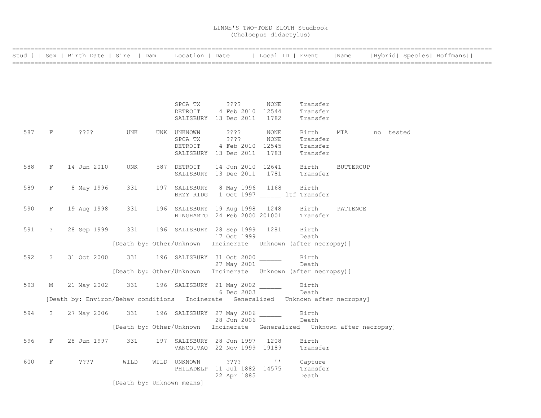|     |               | Stud #   Sex   Birth Date   Sire   Dam                                             |                           | Location   Date                |                   |              | Local ID   Event                                                        | Name             |           | Hybrid  Species  Hoffmans |  |
|-----|---------------|------------------------------------------------------------------------------------|---------------------------|--------------------------------|-------------------|--------------|-------------------------------------------------------------------------|------------------|-----------|---------------------------|--|
|     |               |                                                                                    |                           |                                |                   |              |                                                                         |                  |           |                           |  |
|     |               |                                                                                    |                           |                                |                   |              |                                                                         |                  |           |                           |  |
|     |               |                                                                                    |                           |                                |                   |              |                                                                         |                  |           |                           |  |
|     |               |                                                                                    |                           |                                |                   |              |                                                                         |                  |           |                           |  |
|     |               |                                                                                    |                           | SPCA TX                        | ????              | NONE         | Transfer                                                                |                  |           |                           |  |
|     |               |                                                                                    |                           | DETROIT                        | 4 Feb 2010 12544  |              | Transfer                                                                |                  |           |                           |  |
|     |               |                                                                                    |                           | SALISBURY 13 Dec 2011          |                   | 1782         | Transfer                                                                |                  |           |                           |  |
| 587 | F             | ????                                                                               | UNK                       | UNK UNKNOWN                    | ????              | NONE         | Birth                                                                   | MIA              | no tested |                           |  |
|     |               |                                                                                    |                           | SPCA TX                        | ????              | NONE         | Transfer                                                                |                  |           |                           |  |
|     |               |                                                                                    |                           | DETROIT                        | 4 Feb 2010 12545  |              | Transfer                                                                |                  |           |                           |  |
|     |               |                                                                                    |                           | SALISBURY 13 Dec 2011          |                   | 1783         | Transfer                                                                |                  |           |                           |  |
| 588 | $\mathbf{F}$  | 14 Jun 2010                                                                        | UNK                       | 587 DETROIT                    | 14 Jun 2010 12641 |              | Birth                                                                   | <b>BUTTERCUP</b> |           |                           |  |
|     |               |                                                                                    |                           | SALISBURY 13 Dec 2011          |                   | 1781         | Transfer                                                                |                  |           |                           |  |
|     |               |                                                                                    |                           |                                |                   |              |                                                                         |                  |           |                           |  |
| 589 | F             | 8 May 1996                                                                         | 331                       | 197 SALISBURY<br>BRZY RIDG     | 8 May 1996        | 1168         | Birth<br>1 Oct 1997 ltf Transfer                                        |                  |           |                           |  |
|     |               |                                                                                    |                           |                                |                   |              |                                                                         |                  |           |                           |  |
| 590 | $\rm F$       | 19 Aug 1998                                                                        | 331                       | 196 SALISBURY 19 Aug 1998      |                   | 1248         | Birth                                                                   | PATIENCE         |           |                           |  |
|     |               |                                                                                    |                           | BINGHAMTO 24 Feb 2000 201001   |                   |              | Transfer                                                                |                  |           |                           |  |
| 591 | $\tilde{z}$   | 28 Sep 1999                                                                        | 331                       | 196 SALISBURY 28 Sep 1999 1281 |                   |              | Birth                                                                   |                  |           |                           |  |
|     |               |                                                                                    |                           |                                | 17 Oct 1999       |              | Death                                                                   |                  |           |                           |  |
|     |               |                                                                                    |                           |                                |                   |              | [Death by: Other/Unknown Incinerate Unknown (after necropsy)]           |                  |           |                           |  |
|     |               |                                                                                    |                           |                                |                   |              |                                                                         |                  |           |                           |  |
| 592 | $\mathcal{L}$ | 31 Oct 2000                                                                        | 331                       | 196 SALISBURY 31 Oct 2000      |                   |              | Birth<br>Death                                                          |                  |           |                           |  |
|     |               |                                                                                    |                           |                                | 27 May 2001       |              | [Death by: Other/Unknown Incinerate Unknown (after necropsy)]           |                  |           |                           |  |
|     |               |                                                                                    |                           |                                |                   |              |                                                                         |                  |           |                           |  |
| 593 | М             | 21 May 2002                                                                        | 331                       | 196 SALISBURY 21 May 2002      |                   |              | Birth                                                                   |                  |           |                           |  |
|     |               |                                                                                    |                           |                                | 6 Dec 2003        |              | Death                                                                   |                  |           |                           |  |
|     |               | [Death by: Environ/Behav conditions Incinerate Generalized Unknown after necropsy] |                           |                                |                   |              |                                                                         |                  |           |                           |  |
| 594 | $\tilde{z}$   | 27 May 2006                                                                        | 331                       | 196 SALISBURY 27 May 2006      |                   |              | Birth                                                                   |                  |           |                           |  |
|     |               |                                                                                    |                           |                                | 28 Jun 2006       |              | Death                                                                   |                  |           |                           |  |
|     |               |                                                                                    |                           |                                |                   |              | [Death by: Other/Unknown Incinerate Generalized Unknown after necropsy] |                  |           |                           |  |
| 596 | F             | 28 Jun 1997                                                                        | 331                       | 197 SALISBURY 28 Jun 1997      |                   | 1208         | Birth                                                                   |                  |           |                           |  |
|     |               |                                                                                    |                           | VANCOUVAQ 22 Nov 1999 19189    |                   |              | Transfer                                                                |                  |           |                           |  |
| 600 | $\rm F$       | ????                                                                               | WILD                      | WILD UNKNOWN                   | ????              | $\mathbf{I}$ | Capture                                                                 |                  |           |                           |  |
|     |               |                                                                                    |                           | PHILADELP 11 Jul 1882 14575    |                   |              | Transfer                                                                |                  |           |                           |  |
|     |               |                                                                                    |                           |                                | 22 Apr 1885       |              | Death                                                                   |                  |           |                           |  |
|     |               |                                                                                    | [Death by: Unknown means] |                                |                   |              |                                                                         |                  |           |                           |  |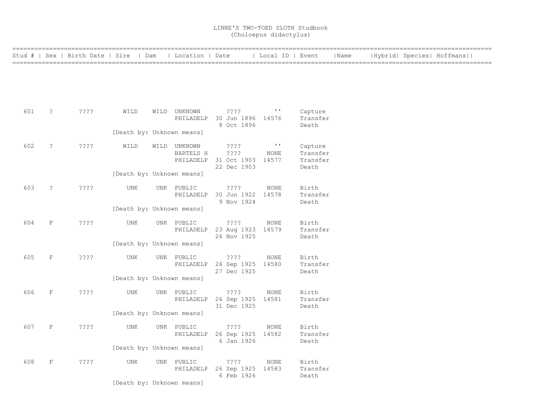|     |                      | Stud #   Sex   Birth Date   Sire   Dam   Location   Date |                           |                         |                                                 | Local ID   Event |                      | Name |  | Hybrid  Species  Hoffmans |  |
|-----|----------------------|----------------------------------------------------------|---------------------------|-------------------------|-------------------------------------------------|------------------|----------------------|------|--|---------------------------|--|
|     |                      |                                                          |                           |                         |                                                 |                  |                      |      |  |                           |  |
|     |                      |                                                          |                           |                         |                                                 |                  |                      |      |  |                           |  |
|     |                      |                                                          |                           |                         |                                                 |                  |                      |      |  |                           |  |
|     |                      |                                                          |                           |                         |                                                 |                  |                      |      |  |                           |  |
| 601 | $\tilde{ }$ ?        | ????                                                     | WILD                      | WILD UNKNOWN            | $????$ $"$<br>PHILADELP 30 Jun 1896 14576       |                  | Capture<br>Transfer  |      |  |                           |  |
|     |                      |                                                          |                           |                         | 8 Oct 1896                                      |                  | Death                |      |  |                           |  |
|     |                      |                                                          | [Death by: Unknown means] |                         |                                                 |                  |                      |      |  |                           |  |
| 602 | $\ddot{\phantom{0}}$ | $??\mathrel{?}?$                                         | WILD                      | WILD UNKNOWN            | ????                                            | $\sim 100$       | Capture              |      |  |                           |  |
|     |                      |                                                          |                           | BARTELS H               | $??\mathrel{?}?$<br>PHILADELP 31 Oct 1903 14577 | NONE             | Transfer<br>Transfer |      |  |                           |  |
|     |                      |                                                          |                           |                         | 22 Dec 1903                                     |                  | Death                |      |  |                           |  |
|     |                      |                                                          | [Death by: Unknown means] |                         |                                                 |                  |                      |      |  |                           |  |
| 603 | $\ddot{ }$           | ????                                                     | UNK                       | UNK PUBLIC              | ????                                            | <b>NONE</b>      | Birth                |      |  |                           |  |
|     |                      |                                                          |                           | PHILADELP               | 30 Jun 1922 14578<br>9 Nov 1924                 |                  | Transfer<br>Death    |      |  |                           |  |
|     |                      |                                                          | [Death by: Unknown means] |                         |                                                 |                  |                      |      |  |                           |  |
| 604 | $\mathbf{F}$         | ? ? ? ?                                                  | UNK                       | UNK PUBLIC              | ????                                            | NONE             | Birth                |      |  |                           |  |
|     |                      |                                                          |                           |                         | PHILADELP 23 Aug 1923 14579<br>26 Nov 1925      |                  | Transfer<br>Death    |      |  |                           |  |
|     |                      |                                                          | [Death by: Unknown means] |                         |                                                 |                  |                      |      |  |                           |  |
| 605 | $\mathbf{F}$         | ? ? ? ?                                                  | <b>UNK</b>                | UNK PUBLIC              | ????                                            | NONE             | Birth                |      |  |                           |  |
|     |                      |                                                          |                           |                         | PHILADELP 26 Sep 1925 14580                     |                  | Transfer             |      |  |                           |  |
|     |                      |                                                          | [Death by: Unknown means] |                         | 27 Dec 1925                                     |                  | Death                |      |  |                           |  |
| 606 | F                    | ????                                                     | UNK                       | UNK PUBLIC              | $??\mathbin{?}$                                 | NONE             | Birth                |      |  |                           |  |
|     |                      |                                                          |                           |                         | PHILADELP 26 Sep 1925 14581                     |                  | Transfer             |      |  |                           |  |
|     |                      |                                                          | [Death by: Unknown means] |                         | 31 Dec 1925                                     |                  | Death                |      |  |                           |  |
|     |                      |                                                          |                           |                         |                                                 |                  |                      |      |  |                           |  |
| 607 | $\mathbf F$          | ????                                                     | UNK                       | UNK PUBLIC<br>PHILADELP | ????<br>26 Sep 1925 14582                       | NONE             | Birth<br>Transfer    |      |  |                           |  |
|     |                      |                                                          |                           |                         | 6 Jan 1926                                      |                  | Death                |      |  |                           |  |
|     |                      |                                                          | [Death by: Unknown means] |                         |                                                 |                  |                      |      |  |                           |  |
| 608 | $\mathbf{F}$         | ????                                                     | <b>UNK</b>                | UNK PUBLIC              | $??\; ?$                                        | NONE             | Birth                |      |  |                           |  |
|     |                      |                                                          |                           |                         | PHILADELP 26 Sep 1925 14583<br>6 Feb 1926       |                  | Transfer<br>Death    |      |  |                           |  |
|     |                      |                                                          | [Death by: Unknown means] |                         |                                                 |                  |                      |      |  |                           |  |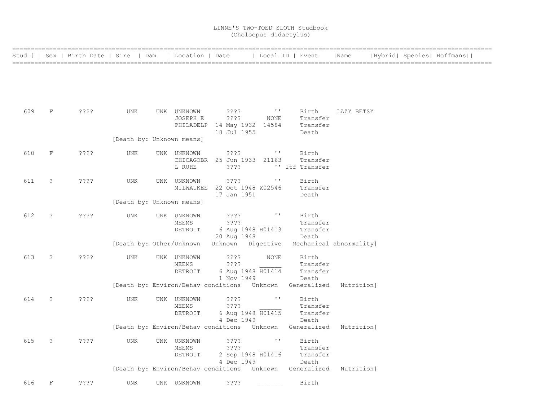|     |                      | Stud #   Sex   Birth Date   Sire   Dam |                           | Location   Date                        |                                                                       |                    | Local ID   Event                                                      | Name                    | Hybrid  Species  Hoffmans |  |  |
|-----|----------------------|----------------------------------------|---------------------------|----------------------------------------|-----------------------------------------------------------------------|--------------------|-----------------------------------------------------------------------|-------------------------|---------------------------|--|--|
|     |                      |                                        |                           |                                        |                                                                       |                    |                                                                       |                         |                           |  |  |
| 609 | $\mathbf F$          | ????                                   | UNK                       | UNK UNKNOWN<br>JOSEPH E                | ????<br>$??\mathbin{?}$<br>PHILADELP 14 May 1932 14584<br>18 Jul 1955 | $\sim$ 1.1<br>NONE | Birth<br>Transfer<br>Transfer<br>Death                                | LAZY BETSY              |                           |  |  |
|     |                      |                                        | [Death by: Unknown means] |                                        |                                                                       |                    |                                                                       |                         |                           |  |  |
| 610 | $\mathbf F$          | ? ? ? ?                                | UNK                       | UNK UNKNOWN<br>L RUHE                  | ????<br>CHICAGOBR 25 Jun 1933 21163<br>$??\ ??$                       | $\mathbf{v}$       | Birth<br>Transfer<br>'' ltf Transfer                                  |                         |                           |  |  |
| 611 | $\ddot{\phantom{0}}$ | ????                                   | UNK                       | UNK UNKNOWN                            | ????<br>MILWAUKEE 22 Oct 1948 X02546<br>17 Jan 1951                   | $\mathbf{I}$       | Birth<br>Transfer<br>Death                                            |                         |                           |  |  |
|     |                      |                                        | [Death by: Unknown means] |                                        |                                                                       |                    |                                                                       |                         |                           |  |  |
| 612 | $\tilde{ }$          | ? ? ? ?                                | UNK                       | UNK UNKNOWN<br>MEEMS<br>DETROIT        | $??\cdot?$<br>????<br>6 Aug 1948 H01413                               | $\mathbf{H}$       | Birth<br>Transfer<br>Transfer                                         |                         |                           |  |  |
|     |                      |                                        |                           |                                        | 20 Aug 1948<br>[Death by: Other/Unknown  Unknown  Digestive           |                    | Death                                                                 | Mechanical abnormality] |                           |  |  |
| 613 | $\tilde{ }$ ?        | ? ? ? ?                                | UNK                       | UNK UNKNOWN<br>MEEMS<br>DETROIT        | ????<br>$??\cdot?$<br>6 Aug 1948 H01414<br>1 Nov 1949                 | <b>NONE</b>        | Birth<br>Transfer<br>Transfer<br>Death                                |                         |                           |  |  |
|     |                      |                                        |                           |                                        |                                                                       |                    | [Death by: Environ/Behav conditions Unknown Generalized Nutrition]    |                         |                           |  |  |
| 614 | $\tilde{?}$          | ? ? ? ?                                | UNK                       | UNK UNKNOWN<br>MEEMS<br>DETROIT        | ????<br>????<br>6 Aug 1948 H01415<br>4 Dec 1949                       | $\mathbf{I}$       | Birth<br>Transfer<br>Transfer<br>Death                                |                         |                           |  |  |
|     |                      |                                        |                           |                                        |                                                                       |                    | [Death by: Environ/Behav conditions Unknown Generalized Nutrition]    |                         |                           |  |  |
| 615 | $\tilde{?}$          | ????                                   | UNK                       | UNK UNKNOWN<br><b>MEEMS</b><br>DETROIT | ????<br>????<br>2 Sep 1948 H01416<br>4 Dec 1949                       | $\sim$ 1.1 $\,$    | Birth<br>Transfer<br>Transfer<br>Death                                |                         |                           |  |  |
|     |                      |                                        |                           |                                        |                                                                       |                    | [Death by: Environ/Behav conditions  Unknown  Generalized  Nutrition] |                         |                           |  |  |
| 616 | F                    | ????                                   | UNK                       | UNK UNKNOWN                            | ????                                                                  |                    | Birth                                                                 |                         |                           |  |  |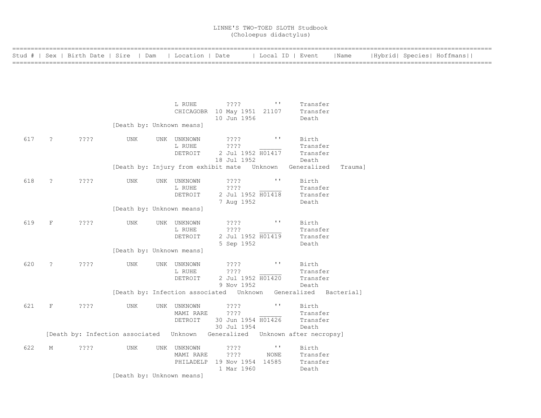| =============== |                      | Stud #   Sex   Birth Date   Sire   Dam                                        |                           | Location   Date          |                                                            | Local ID   Event         |                        | Name    |  | Hybrid  Species  Hoffmans |
|-----------------|----------------------|-------------------------------------------------------------------------------|---------------------------|--------------------------|------------------------------------------------------------|--------------------------|------------------------|---------|--|---------------------------|
|                 |                      |                                                                               |                           |                          |                                                            |                          |                        |         |  |                           |
|                 |                      |                                                                               |                           |                          |                                                            |                          |                        |         |  |                           |
|                 |                      |                                                                               |                           | L RUHE                   | ? ? ? ?                                                    | $\sim 100$               | Transfer               |         |  |                           |
|                 |                      |                                                                               |                           |                          | CHICAGOBR 10 May 1951 21107                                |                          | Transfer               |         |  |                           |
|                 |                      |                                                                               | [Death by: Unknown means] |                          | 10 Jun 1956                                                |                          | Death                  |         |  |                           |
| 617             | $\ddot{\phantom{0}}$ | ????                                                                          | <b>UNK</b>                | UNK UNKNOWN              | ????                                                       | $\mathbf{I}$             | Birth                  |         |  |                           |
|                 |                      |                                                                               |                           | L RUHE<br>DETROIT        | ????<br>2 Jul 1952 H01417                                  |                          | Transfer<br>Transfer   |         |  |                           |
|                 |                      |                                                                               |                           |                          | 18 Jul 1952<br>[Death by: Injury from exhibit mate Unknown |                          | Death<br>Generalized   | Trauma] |  |                           |
| 618             | $\tilde{z}$          | ????                                                                          | UNK                       | UNK UNKNOWN              | ????                                                       | $\mathbf{I}$             | Birth                  |         |  |                           |
|                 |                      |                                                                               |                           | L RUHE<br>DETROIT        | ????<br>2 Jul 1952 H01418                                  |                          | Transfer<br>Transfer   |         |  |                           |
|                 |                      |                                                                               |                           |                          | 7 Aug 1952                                                 |                          | Death                  |         |  |                           |
|                 |                      |                                                                               | [Death by: Unknown means] |                          |                                                            |                          |                        |         |  |                           |
| 619             | F                    | $??\mathrel{?}?$                                                              | UNK                       | UNK UNKNOWN<br>L RUHE    | ????<br>????                                               | $\mathbf{r}$             | Birth<br>Transfer      |         |  |                           |
|                 |                      |                                                                               |                           | DETROIT                  | 2 Jul 1952 H01419<br>5 Sep 1952                            |                          | Transfer<br>Death      |         |  |                           |
|                 |                      |                                                                               | [Death by: Unknown means] |                          |                                                            |                          |                        |         |  |                           |
| 620             | $\tilde{z}$          | ????                                                                          | <b>UNK</b>                | UNK UNKNOWN<br>L RUHE    | ????<br>????                                               | $\mathbf{I}$             | Birth<br>Transfer      |         |  |                           |
|                 |                      |                                                                               |                           | DETROIT                  | 2 Jul 1952 H01420<br>9 Nov 1952                            |                          | Transfer<br>Death      |         |  |                           |
|                 |                      |                                                                               |                           |                          | [Death by: Infection associated Unknown                    |                          | Generalized Bacterial] |         |  |                           |
| 621             | F                    | ????                                                                          | UNK                       | UNK UNKNOWN<br>MAMI RARE | $??\mathbin{?}$<br>????                                    | $\mathbf{I}$             | Birth<br>Transfer      |         |  |                           |
|                 |                      |                                                                               |                           | DETROIT                  | 30 Jun 1954 H01426                                         |                          | Transfer               |         |  |                           |
|                 |                      | [Death by: Infection associated  Unknown Generalized  Unknown after necropsy] |                           |                          | 30 Jul 1954                                                |                          | Death                  |         |  |                           |
| 622             | М                    | $??\mathbf{??}$                                                               | UNK                       | UNK UNKNOWN              | ????                                                       | $\mathbf{L}(\mathbf{I})$ | Birth                  |         |  |                           |
|                 |                      |                                                                               |                           | MAMI RARE                | ????<br>PHILADELP 19 Nov 1954 14585                        | <b>NONE</b>              | Transfer<br>Transfer   |         |  |                           |
|                 |                      |                                                                               | [Death by: Unknown means] |                          | 1 Mar 1960                                                 |                          | Death                  |         |  |                           |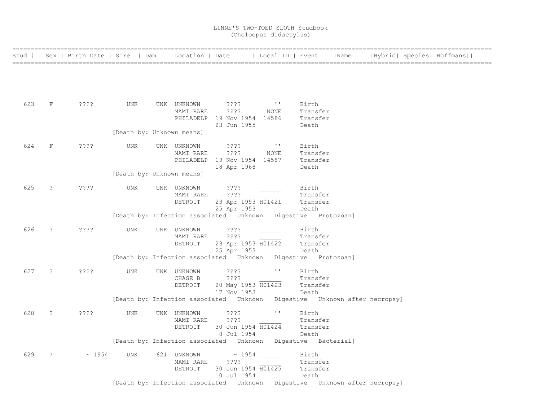|     |                | Stud #   Sex   Birth Date   Sire   Dam   Location   Date   Local ID   Event |                           |                                     |                                                                                    |                                                        |                                        | Name |  | Hybrid  Species  Hoffmans |  |
|-----|----------------|-----------------------------------------------------------------------------|---------------------------|-------------------------------------|------------------------------------------------------------------------------------|--------------------------------------------------------|----------------------------------------|------|--|---------------------------|--|
|     |                |                                                                             |                           |                                     |                                                                                    |                                                        |                                        |      |  |                           |  |
| 623 | $F$ and $F$    | ????                                                                        | UNK                       | UNK UNKNOWN ????<br>MAMI RARE       | ????<br>PHILADELP 19 Nov 1954 14586<br>23 Jun 1955                                 | $\mathbf{r}$ and $\mathbf{r}$ and $\mathbf{r}$<br>NONE | Birth<br>Transfer<br>Transfer<br>Death |      |  |                           |  |
|     |                |                                                                             | [Death by: Unknown means] |                                     |                                                                                    |                                                        |                                        |      |  |                           |  |
| 624 | F              | $??\ ??$                                                                    | UNK                       | UNK UNKNOWN<br>MAMI RARE            | ? ? ? ?<br>????<br>PHILADELP 19 Nov 1954 14587<br>18 Apr 1968                      | <b>Controller</b><br>NONE                              | Birth<br>Transfer<br>Transfer<br>Death |      |  |                           |  |
|     |                |                                                                             | [Death by: Unknown means] |                                     |                                                                                    |                                                        |                                        |      |  |                           |  |
| 625 | $\ddot{\cdot}$ | ????                                                                        | UNK                       | UNK UNKNOWN<br>MAMI RARE<br>DETROIT | ????<br>$??\ ?$<br>23 Apr 1953 H01421<br>25 Apr 1953                               |                                                        | Birth<br>Transfer<br>Transfer<br>Death |      |  |                           |  |
|     |                |                                                                             |                           |                                     | [Death by: Infection associated Unknown Digestive Protozoan]                       |                                                        |                                        |      |  |                           |  |
| 626 | $\tilde{ }$    | ????                                                                        | UNK                       | UNK UNKNOWN<br>MAMI RARE<br>DETROIT | ????<br>? ? ? ?<br>23 Apr 1953 H01422<br>25 Apr 1953                               |                                                        | Birth<br>Transfer<br>Transfer<br>Death |      |  |                           |  |
|     |                |                                                                             |                           |                                     | [Death by: Infection associated  Unknown  Digestive  Protozoan]                    |                                                        |                                        |      |  |                           |  |
| 627 | $\tilde{z}$    | ????                                                                        | UNK                       | UNK UNKNOWN<br>CHASE B<br>DETROIT   | 2222<br>????<br>20 May 1953 H01423<br>17 Nov 1953                                  | $\sim 100$                                             | Birth<br>Transfer<br>Transfer<br>Death |      |  |                           |  |
|     |                |                                                                             |                           |                                     | [Death by: Infection associated Unknown Digestive Unknown after necropsy]          |                                                        |                                        |      |  |                           |  |
| 628 | $\ddot{?}$     | $??\mathrel{?}?$                                                            | UNK                       | UNK UNKNOWN<br>MAMI RARE<br>DETROIT | ????<br>????<br>30 Jun 1954 H01424<br>8 Jul 1954                                   | $\mathbf{I}$                                           | Birth<br>Transfer<br>Transfer<br>Death |      |  |                           |  |
|     |                |                                                                             |                           |                                     | [Death by: Infection associated  Unknown  Digestive  Bacterial]                    |                                                        |                                        |      |  |                           |  |
| 629 | $\ddot{?}$     | $\sim 1954$                                                                 | UNK                       | 621 UNKNOWN<br>MAMI RARE<br>DETROIT | $\sim 1954$<br>$??\mathord{?}\mathord{?}$<br>30 Jun 1954 H01425<br>10 Jul 1954     |                                                        | Birth<br>Transfer<br>Transfer<br>Death |      |  |                           |  |
|     |                |                                                                             |                           |                                     | [Death by: Infection associated    Unknown    Digestive    Unknown after necropsy] |                                                        |                                        |      |  |                           |  |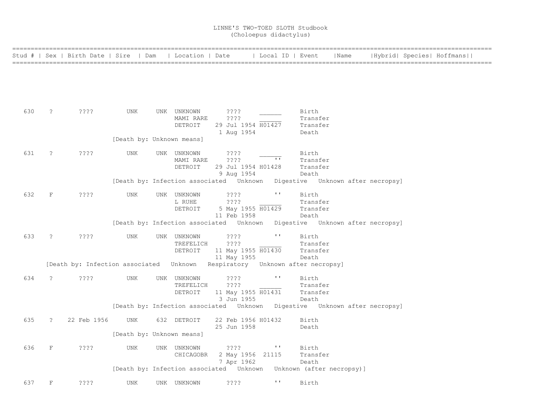|     |                      | Stud #   Sex   Birth Date   Sire   Dam                                      |                           | Location   Date          |                                  | Local ID   Event                                                             |                      | Name | Hybrid  Species  Hoffmans |
|-----|----------------------|-----------------------------------------------------------------------------|---------------------------|--------------------------|----------------------------------|------------------------------------------------------------------------------|----------------------|------|---------------------------|
|     |                      |                                                                             |                           |                          |                                  |                                                                              |                      |      |                           |
|     |                      |                                                                             |                           |                          |                                  |                                                                              |                      |      |                           |
|     |                      |                                                                             |                           |                          |                                  |                                                                              |                      |      |                           |
|     |                      |                                                                             |                           |                          |                                  |                                                                              |                      |      |                           |
| 630 | $\tilde{ }$          | ????                                                                        | UNK                       | UNK UNKNOWN<br>MAMI RARE | ????<br>????                     |                                                                              | Birth<br>Transfer    |      |                           |
|     |                      |                                                                             |                           | DETROIT                  | 29 Jul 1954 H01427               |                                                                              | Transfer             |      |                           |
|     |                      |                                                                             | [Death by: Unknown means] |                          | 1 Aug 1954                       |                                                                              | Death                |      |                           |
| 631 | $\ddot{\phantom{0}}$ |                                                                             |                           |                          |                                  |                                                                              | Birth                |      |                           |
|     |                      | ????                                                                        | UNK                       | UNK UNKNOWN<br>MAMI RARE | $??\mathbin{?}$<br>????          | $\mathbf{I}$                                                                 | Transfer             |      |                           |
|     |                      |                                                                             |                           | DETROIT                  | 29 Jul 1954 H01428<br>9 Aug 1954 |                                                                              | Transfer<br>Death    |      |                           |
|     |                      |                                                                             |                           |                          |                                  | [Death by: Infection associated  Unknown  Digestive  Unknown after necropsy] |                      |      |                           |
| 632 | $\mathbf{F}$         | ????                                                                        | UNK                       | UNK UNKNOWN              | $??\mathrel{?}?$                 | $\mathbf{r}$                                                                 | Birth                |      |                           |
|     |                      |                                                                             |                           | L RUHE                   | ????                             |                                                                              | Transfer             |      |                           |
|     |                      |                                                                             |                           | DETROIT                  | 5 May 1955 H01429<br>11 Feb 1958 |                                                                              | Transfer<br>Death    |      |                           |
|     |                      |                                                                             |                           |                          |                                  | [Death by: Infection associated Unknown Digestive Unknown after necropsy]    |                      |      |                           |
| 633 | $\ddot{ }$           | $??\cdot?$                                                                  | UNK                       | UNK UNKNOWN              | ????                             | $\mathbf{H}$                                                                 | Birth                |      |                           |
|     |                      |                                                                             |                           | TREFELICH<br>DETROIT     | ????<br>11 May 1955 H01430       |                                                                              | Transfer<br>Transfer |      |                           |
|     |                      |                                                                             |                           |                          | 11 May 1955                      |                                                                              | Death                |      |                           |
|     |                      | [Death by: Infection associated Unknown Respiratory Unknown after necropsy] |                           |                          |                                  |                                                                              |                      |      |                           |
| 634 | $\tilde{?}$          | $??\,?\,?$                                                                  | UNK                       | UNK UNKNOWN              | ????                             | $\mathbf{r}$                                                                 | Birth                |      |                           |
|     |                      |                                                                             |                           | TREFELICH<br>DETROIT     | ????                             |                                                                              | Transfer<br>Transfer |      |                           |
|     |                      |                                                                             |                           |                          | 11 May 1955 H01431<br>3 Jun 1955 |                                                                              | Death                |      |                           |
|     |                      |                                                                             |                           |                          |                                  | [Death by: Infection associated Unknown Digestive Unknown after necropsy]    |                      |      |                           |
| 635 | $\tilde{S}$          | 22 Feb 1956                                                                 | UNK                       | 632 DETROIT              | 22 Feb 1956 H01432               |                                                                              | Birth                |      |                           |
|     |                      |                                                                             | [Death by: Unknown means] |                          | 25 Jun 1958                      |                                                                              | Death                |      |                           |
|     |                      |                                                                             |                           |                          |                                  |                                                                              |                      |      |                           |
| 636 | $\mathbf F$          | ????                                                                        | <b>UNK</b>                | UNK UNKNOWN              | ????                             | $\mathbf{L} \cdot \mathbf{L}$                                                | Birth                |      |                           |
|     |                      |                                                                             |                           | CHICAGOBR                | 7 Apr 1962                       | 2 May 1956 21115                                                             | Transfer<br>Death    |      |                           |
|     |                      |                                                                             |                           |                          |                                  | [Death by: Infection associated    Unknown    Unknown    (after necropsy)]   |                      |      |                           |
| 637 | $\mathbf F$          | ????                                                                        | <b>UNK</b>                | UNK UNKNOWN              | ????                             | $\mathbf{I}$ . $\mathbf{I}$                                                  | Birth                |      |                           |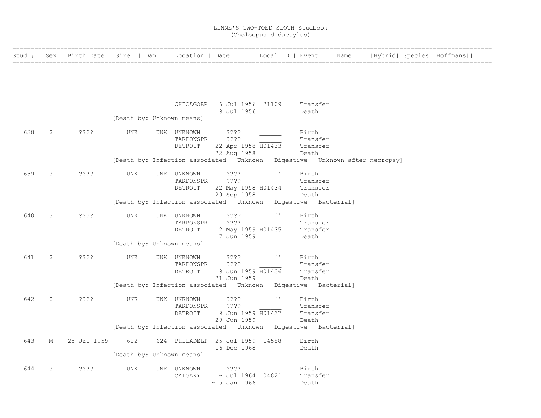| ---------------- |                |                                                          |                           |                          |                                                                                    |                       |                      |      |  |                           |
|------------------|----------------|----------------------------------------------------------|---------------------------|--------------------------|------------------------------------------------------------------------------------|-----------------------|----------------------|------|--|---------------------------|
|                  |                | Stud #   Sex   Birth Date   Sire   Dam   Location   Date |                           |                          |                                                                                    | Local ID   Event      |                      | Name |  | Hybrid  Species  Hoffmans |
|                  |                |                                                          |                           |                          |                                                                                    |                       |                      |      |  |                           |
|                  |                |                                                          |                           |                          |                                                                                    |                       |                      |      |  |                           |
|                  |                |                                                          |                           |                          |                                                                                    |                       |                      |      |  |                           |
|                  |                |                                                          |                           |                          | CHICAGOBR 6 Jul 1956 21109<br>9 Jul 1956                                           |                       | Transfer<br>Death    |      |  |                           |
|                  |                |                                                          | [Death by: Unknown means] |                          |                                                                                    |                       |                      |      |  |                           |
| 638              | $\ddot{\cdot}$ | $??\mathrel{?}\mathrel{?}$                               | UNK                       | UNK UNKNOWN              | ????                                                                               |                       | Birth                |      |  |                           |
|                  |                |                                                          |                           | TARPONSPR<br>DETROIT     | ????<br>22 Apr 1958 H01433                                                         |                       | Transfer<br>Transfer |      |  |                           |
|                  |                |                                                          |                           |                          | 22 Aug 1958                                                                        |                       | Death                |      |  |                           |
|                  |                |                                                          |                           |                          | [Death by: Infection associated    Unknown    Digestive    Unknown after necropsy] |                       |                      |      |  |                           |
| 639              | $\tilde{z}$    | ????                                                     | UNK                       | UNK UNKNOWN<br>TARPONSPR | ????<br>$??\cdot?$                                                                 | $\sim 100$            | Birth<br>Transfer    |      |  |                           |
|                  |                |                                                          |                           | DETROIT                  | 22 May 1958 H01434<br>29 Sep 1958                                                  |                       | Transfer<br>Death    |      |  |                           |
|                  |                |                                                          |                           |                          | [Death by: Infection associated Unknown Digestive Bacterial]                       |                       |                      |      |  |                           |
| 640              | $\tilde{S}$    | ????                                                     | UNK                       | UNK UNKNOWN              | $??\mathrel{?}?$                                                                   | $\mathbf{I}$          | Birth                |      |  |                           |
|                  |                |                                                          |                           | TARPONSPR<br>DETROIT     | ????<br>2 May 1959 H01435                                                          |                       | Transfer<br>Transfer |      |  |                           |
|                  |                |                                                          | [Death by: Unknown means] |                          | 7 Jun 1959                                                                         |                       | Death                |      |  |                           |
| 641              |                |                                                          |                           |                          | $??\ ??$                                                                           | $\sim 100$            |                      |      |  |                           |
|                  | $\tilde{z}$    | ????                                                     | UNK                       | UNK UNKNOWN<br>TARPONSPR | ????                                                                               |                       | Birth<br>Transfer    |      |  |                           |
|                  |                |                                                          |                           | DETROIT                  | 9 Jun 1959 H01436<br>21 Jun 1959                                                   |                       | Transfer<br>Death    |      |  |                           |
|                  |                |                                                          |                           |                          | [Death by: Infection associated Unknown Digestive Bacterial]                       |                       |                      |      |  |                           |
| 642              | $\tilde{ }$    | ????                                                     | UNK                       | UNK UNKNOWN<br>TARPONSPR | ????<br>????                                                                       | $\mathbf{H}^{\prime}$ | Birth<br>Transfer    |      |  |                           |
|                  |                |                                                          |                           | DETROIT                  | 9 Jun 1959 H01437                                                                  |                       | Transfer             |      |  |                           |
|                  |                |                                                          |                           |                          | 29 Jun 1959<br>[Death by: Infection associated Unknown Digestive Bacterial]        |                       | Death                |      |  |                           |
| 643              | М              | 25 Jul 1959                                              | 622                       |                          | 624 PHILADELP 25 Jul 1959 14588                                                    |                       | Birth                |      |  |                           |
|                  |                |                                                          | [Death by: Unknown means] |                          | 16 Dec 1968                                                                        |                       | Death                |      |  |                           |
|                  |                |                                                          |                           |                          |                                                                                    |                       |                      |      |  |                           |
| 644              | $\tilde{S}$    | $??\cdot?$                                               | <b>UNK</b>                | UNK UNKNOWN<br>CALGARY   | $??\$<br>$\sim$ Jul 1964 104821                                                    |                       | Birth<br>Transfer    |      |  |                           |
|                  |                |                                                          |                           |                          | $~15$ Jan 1966                                                                     |                       | Death                |      |  |                           |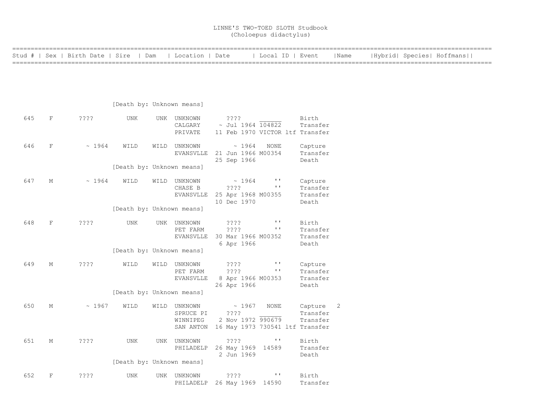| ============= |              |                                        |                           |                                           |                                   |                                               |                                 |      |  |                           |  |
|---------------|--------------|----------------------------------------|---------------------------|-------------------------------------------|-----------------------------------|-----------------------------------------------|---------------------------------|------|--|---------------------------|--|
|               |              | Stud #   Sex   Birth Date   Sire   Dam |                           | Location   Date                           |                                   | Local ID   Event                              |                                 | Name |  | Hybrid  Species  Hoffmans |  |
|               |              |                                        |                           |                                           |                                   |                                               |                                 |      |  |                           |  |
|               |              |                                        |                           |                                           |                                   |                                               |                                 |      |  |                           |  |
|               |              |                                        |                           |                                           |                                   |                                               |                                 |      |  |                           |  |
|               |              |                                        |                           |                                           |                                   |                                               |                                 |      |  |                           |  |
|               |              |                                        | [Death by: Unknown means] |                                           |                                   |                                               |                                 |      |  |                           |  |
|               |              |                                        |                           |                                           |                                   |                                               |                                 |      |  |                           |  |
| 645           | $\mathbf{F}$ | ????                                   | UNK                       | UNK UNKNOWN<br>CALGARY                    | ????<br>$~\sim$ Jul 1964 104822   |                                               | Birth<br>Transfer               |      |  |                           |  |
|               |              |                                        |                           | PRIVATE                                   |                                   |                                               | 11 Feb 1970 VICTOR ltf Transfer |      |  |                           |  |
|               |              |                                        |                           |                                           |                                   |                                               |                                 |      |  |                           |  |
| 646           | F            | ~1964                                  | WILD                      | WILD UNKNOWN                              | ~1964                             | NONE                                          | Capture                         |      |  |                           |  |
|               |              |                                        |                           | EVANSVLLE                                 | 21 Jun 1966 M00354<br>25 Sep 1966 |                                               | Transfer<br>Death               |      |  |                           |  |
|               |              |                                        | [Death by: Unknown means] |                                           |                                   |                                               |                                 |      |  |                           |  |
|               |              |                                        |                           |                                           |                                   |                                               |                                 |      |  |                           |  |
| 647           | M            | ~1964                                  | WILD                      | WILD UNKNOWN<br>CHASE B                   | $\sim 1964$<br>????               | $\mathbf{L}$<br>$\mathbf{I} \cdot \mathbf{I}$ | Capture<br>Transfer             |      |  |                           |  |
|               |              |                                        |                           | EVANSVLLE                                 | 25 Apr 1968 M00355                |                                               | Transfer                        |      |  |                           |  |
|               |              |                                        |                           |                                           | 10 Dec 1970                       |                                               | Death                           |      |  |                           |  |
|               |              |                                        | [Death by: Unknown means] |                                           |                                   |                                               |                                 |      |  |                           |  |
| 648           | $\mathbf{F}$ | ????                                   | UNK                       | UNK UNKNOWN                               | $??\mathbf{??}$                   | $\mathbf{r}$                                  | Birth                           |      |  |                           |  |
|               |              |                                        |                           | PET FARM                                  | ????                              | $\mathbf{r}$                                  | Transfer                        |      |  |                           |  |
|               |              |                                        |                           | EVANSVLLE                                 | 30 Mar 1966 M00352                |                                               | Transfer                        |      |  |                           |  |
|               |              |                                        | [Death by: Unknown means] |                                           | 6 Apr 1966                        |                                               | Death                           |      |  |                           |  |
|               |              |                                        |                           |                                           |                                   |                                               |                                 |      |  |                           |  |
| 649           | М            | $??\mathbin{?}$                        | WILD                      | WILD UNKNOWN                              | ????                              | $\sim 100$                                    | Capture                         |      |  |                           |  |
|               |              |                                        |                           | PET FARM<br>EVANSVLLE                     | ????<br>8 Apr 1966 M00353         | $\mathbf{I}$ . $\mathbf{I}$                   | Transfer<br>Transfer            |      |  |                           |  |
|               |              |                                        |                           |                                           | 26 Apr 1966                       |                                               | Death                           |      |  |                           |  |
|               |              |                                        | [Death by: Unknown means] |                                           |                                   |                                               |                                 |      |  |                           |  |
| 650           | М            | ~1967                                  | WILD                      | WILD UNKNOWN                              | $\sim 1967$                       | NONE                                          | Capture 2                       |      |  |                           |  |
|               |              |                                        |                           | SPRUCE PI                                 | ????                              |                                               | Transfer                        |      |  |                           |  |
|               |              |                                        |                           | WINNIPEG                                  | 2 Nov 1972 990679                 |                                               | Transfer                        |      |  |                           |  |
|               |              |                                        |                           | SAN ANTON 16 May 1973 730541 ltf Transfer |                                   |                                               |                                 |      |  |                           |  |
| 651           | М            | $??\,?\,?$                             | UNK                       | UNK UNKNOWN                               | $??\ ??$                          | $\sim 100$                                    | Birth                           |      |  |                           |  |
|               |              |                                        |                           | PHILADELP 26 May 1969 14589               |                                   |                                               | Transfer                        |      |  |                           |  |
|               |              |                                        | [Death by: Unknown means] |                                           | 2 Jun 1969                        |                                               | Death                           |      |  |                           |  |
|               |              |                                        |                           |                                           |                                   |                                               |                                 |      |  |                           |  |
| 652           | $\mathbf{F}$ | ????                                   | <b>UNK</b>                | UNK UNKNOWN                               | $??\mathbin{?}$                   | $\mathbf{L}$                                  | Birth                           |      |  |                           |  |
|               |              |                                        |                           | PHILADELP                                 | 26 May 1969 14590                 |                                               | Transfer                        |      |  |                           |  |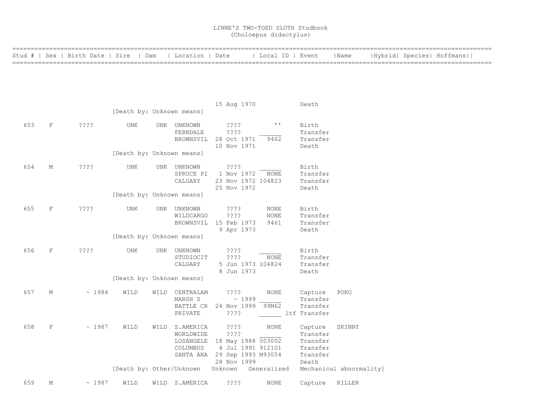| ============ |             |                                        |                           |      |                                  |                              |                       |              |                         |                           |  |
|--------------|-------------|----------------------------------------|---------------------------|------|----------------------------------|------------------------------|-----------------------|--------------|-------------------------|---------------------------|--|
|              |             | Stud #   Sex   Birth Date   Sire   Dam |                           |      | Location   Date                  |                              | Local ID   Event      |              | Name                    | Hybrid  Species  Hoffmans |  |
|              |             |                                        |                           |      |                                  |                              |                       |              |                         |                           |  |
|              |             |                                        |                           |      |                                  |                              |                       |              |                         |                           |  |
|              |             |                                        |                           |      |                                  |                              |                       |              |                         |                           |  |
|              |             |                                        |                           |      |                                  |                              |                       |              |                         |                           |  |
|              |             |                                        |                           |      |                                  |                              |                       |              |                         |                           |  |
|              |             |                                        |                           |      |                                  | 15 Aug 1970                  |                       | Death        |                         |                           |  |
|              |             |                                        | [Death by: Unknown means] |      |                                  |                              |                       |              |                         |                           |  |
|              |             |                                        |                           |      |                                  |                              |                       |              |                         |                           |  |
| 653          | $\rm F$     | ????                                   | UNK                       |      | UNK UNKNOWN                      | ????                         | $\mathbf{H}^{\prime}$ | Birth        |                         |                           |  |
|              |             |                                        |                           |      | FERNDALE                         | ????                         |                       | Transfer     |                         |                           |  |
|              |             |                                        |                           |      |                                  | BROWNSVIL 28 Oct 1971        | 9462                  | Transfer     |                         |                           |  |
|              |             |                                        |                           |      |                                  | 10 Nov 1971                  |                       | Death        |                         |                           |  |
|              |             |                                        | [Death by: Unknown means] |      |                                  |                              |                       |              |                         |                           |  |
| 654          | М           | ????                                   | <b>UNK</b>                |      | UNK UNKNOWN                      | ????                         |                       | Birth        |                         |                           |  |
|              |             |                                        |                           |      | SPRUCE PI                        | 1 Nov 1972 NONE              |                       | Transfer     |                         |                           |  |
|              |             |                                        |                           |      | CALGARY                          | 23 Nov 1972 104823           |                       | Transfer     |                         |                           |  |
|              |             |                                        |                           |      |                                  | 25 Nov 1972                  |                       | Death        |                         |                           |  |
|              |             |                                        | [Death by: Unknown means] |      |                                  |                              |                       |              |                         |                           |  |
|              |             |                                        |                           |      |                                  |                              |                       |              |                         |                           |  |
| 655          | $\rm F$     | $??\,?\,?$                             | UNK                       |      | UNK UNKNOWN                      | $??\ ??$                     | NONE                  | Birth        |                         |                           |  |
|              |             |                                        |                           |      | WILDCARGO                        | ????                         | <b>NONE</b>           | Transfer     |                         |                           |  |
|              |             |                                        |                           |      |                                  | BROWNSVIL 15 Feb 1973        | 9461                  | Transfer     |                         |                           |  |
|              |             |                                        |                           |      |                                  | 9 Apr 1973                   |                       | Death        |                         |                           |  |
|              |             |                                        | [Death by: Unknown means] |      |                                  |                              |                       |              |                         |                           |  |
|              |             |                                        |                           |      |                                  |                              |                       |              |                         |                           |  |
| 656          | $\mathbf F$ | ????                                   | UNK                       |      | UNK UNKNOWN                      | $??\,?\,?$                   |                       | Birth        |                         |                           |  |
|              |             |                                        |                           |      | STUDIOCIT                        | ????                         | NONE                  | Transfer     |                         |                           |  |
|              |             |                                        |                           |      | CALGARY                          | 5 Jun 1973 104824            |                       | Transfer     |                         |                           |  |
|              |             |                                        | [Death by: Unknown means] |      |                                  | 8 Jun 1973                   |                       | Death        |                         |                           |  |
|              |             |                                        |                           |      |                                  |                              |                       |              |                         |                           |  |
| 657          | М           | ~1984                                  | WILD                      | WILD | CENTRALAM                        | ????                         | NONE                  | Capture      | POKO                    |                           |  |
|              |             |                                        |                           |      | MARSH S                          | ~1999                        |                       | Transfer     |                         |                           |  |
|              |             |                                        |                           |      |                                  | BATTLE CR 24 Nov 1999 99M62  |                       | Transfer     |                         |                           |  |
|              |             |                                        |                           |      | PRIVATE                          | ? ? ? ?                      |                       | ltf Transfer |                         |                           |  |
|              |             |                                        |                           |      |                                  |                              |                       |              |                         |                           |  |
| 658          | $\rm F$     | ~1987                                  | WILD                      |      | WILD S.AMERICA                   | ????                         | <b>NONE</b>           | Capture      | SKINNY                  |                           |  |
|              |             |                                        |                           |      | WORLDWIDE                        | ????                         |                       | Transfer     |                         |                           |  |
|              |             |                                        |                           |      |                                  | LOSANGELE 18 May 1988 003002 |                       | Transfer     |                         |                           |  |
|              |             |                                        |                           |      | COLUMBUS                         | 4 Jul 1991 912101            |                       | Transfer     |                         |                           |  |
|              |             |                                        |                           |      |                                  | SANTA ANA 29 Sep 1993 M93054 |                       | Transfer     |                         |                           |  |
|              |             |                                        |                           |      |                                  | 28 Nov 1999                  |                       | Death        |                         |                           |  |
|              |             |                                        |                           |      | [Death by: Other/Unknown Unknown |                              | Generalized           |              | Mechanical abnormality] |                           |  |
| 659          | М           | ~1987                                  | WILD                      |      | WILD S.AMERICA                   | ????                         | <b>NONE</b>           | Capture      | KILLER                  |                           |  |
|              |             |                                        |                           |      |                                  |                              |                       |              |                         |                           |  |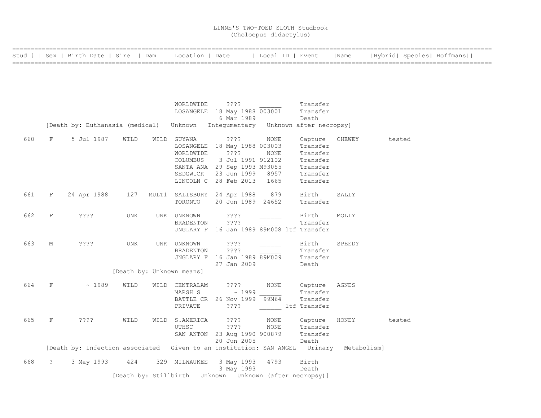|  |  | Stud #   Sex   Birth Date   Sire   Dam   Location   Date | Local ID   Event   Name   Hybrid  Species  Hoffmans |  |  |  |
|--|--|----------------------------------------------------------|-----------------------------------------------------|--|--|--|
|  |  |                                                          |                                                     |  |  |  |

|     |                   |             |                                  |                  | $\begin{array}{ccc}\n & \cdots \\  \text{LOSANGELE} & 18 \text{ May } 1988 \overline{003001} & \text{Transfer} \\  \text{6 Mar } 1989 & & \cdots\n \end{array}$<br>[Death by: Euthanasia (medical) Unknown Intequmentary Unknown after necropsy]      |                                                            |        |
|-----|-------------------|-------------|----------------------------------|------------------|-------------------------------------------------------------------------------------------------------------------------------------------------------------------------------------------------------------------------------------------------------|------------------------------------------------------------|--------|
| 660 | F                 | 5 Jul 1987  | WILD                             |                  | WILD GUYANA 2??? NONE<br>LOSANGELE 18 May 1988 003003<br>WORLDWIDE<br>2222 NONE Transfer<br>COLUMBUS 3 Jul 1991 912102 Transfer<br>SANTA ANA 29 Sep 1993 M93055 Transfer<br>SEDGWICK 23 Jun 1999 8957 Transfer<br>LINCOLN C 28 Feb 2013 1665 Transfer | Capture CHEWEY<br>Transfer                                 | tested |
| 661 | $F \sim$          |             |                                  |                  | 24 Apr 1988 127 MULT1 SALISBURY 24 Apr 1988 879 Birth SALLY<br>TORONTO 20 Jun 1989 24652                                                                                                                                                              | Transfer                                                   |        |
| 662 | F                 | ? ? ? ?     | UNK                              | UNK UNKNOWN ???? | BRADENTON ????<br>JNGLARY F 16 Jan 1989 89M008 ltf Transfer                                                                                                                                                                                           | Birth MOLLY<br>Transfer                                    |        |
| 663 | М                 | ????        | UNK<br>[Death by: Unknown means] | UNK UNKNOWN ???? | BRADENTON ????<br>JNGLARY F 16 Jan 1989 89M009<br>27 Jan 2009                                                                                                                                                                                         | Birth SPEEDY<br>Transfer<br>Transfer<br>Death              |        |
| 664 | F                 | $\sim 1989$ | WILD                             | PRIVATE          | WILD CENTRALAM ????<br>MARSH S $\sim 1999$<br>BATTLE CR 26 Nov 1999 99M64<br>? ? ? ?                                                                                                                                                                  | NONE Capture AGNES<br>Transfer<br>Transfer<br>ltf Transfer |        |
| 665 | F                 | ? ? ? ?     | WILD                             |                  | WILD S.AMERICA ????<br>S.AMERICA ???? NONE Capture HONEY tested<br>UTHSC ???? NONE Transfer<br>SAN ANTON 23 Aug 1990 900879 Transfer<br>20 Jun 2005 Death                                                                                             |                                                            |        |
|     |                   |             |                                  |                  | [Death by: Infection associated Given to an institution: SAN ANGEL Urinary Metabolism]                                                                                                                                                                |                                                            |        |
| 668 | $\ddot{\text{?}}$ |             |                                  |                  | 3 May 1993 424 329 MILWAUKEE 3 May 1993 4793 Birth<br>3 May 1993 Death                                                                                                                                                                                |                                                            |        |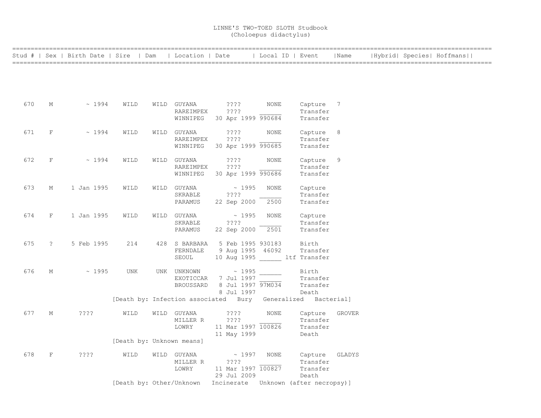|     |                      | Stud #   Sex   Birth Date   Sire   Dam |                           | Location   Date |             |             |                    | Local ID   Event                                                     | Name           |  | Hybrid  Species  Hoffmans |  |
|-----|----------------------|----------------------------------------|---------------------------|-----------------|-------------|-------------|--------------------|----------------------------------------------------------------------|----------------|--|---------------------------|--|
|     |                      |                                        |                           |                 |             |             |                    |                                                                      |                |  |                           |  |
|     |                      |                                        |                           |                 |             |             |                    |                                                                      |                |  |                           |  |
|     |                      |                                        |                           |                 |             |             |                    |                                                                      |                |  |                           |  |
| 670 | М                    | ~1994                                  | WILD                      | WILD GUYANA     | $??\ ??$    |             | NONE               | Capture 7                                                            |                |  |                           |  |
|     |                      |                                        |                           | RAREIMPEX       | ????        |             |                    | Transfer                                                             |                |  |                           |  |
|     |                      |                                        |                           | WINNIPEG        |             |             | 30 Apr 1999 990684 | Transfer                                                             |                |  |                           |  |
| 671 | F                    | ~1994                                  | WILD                      | WILD GUYANA     | ????        |             | <b>NONE</b>        | Capture                                                              | 8 <sup>8</sup> |  |                           |  |
|     |                      |                                        |                           | RAREIMPEX       | ????        |             |                    | Transfer                                                             |                |  |                           |  |
|     |                      |                                        |                           | WINNIPEG        |             |             | 30 Apr 1999 990685 | Transfer                                                             |                |  |                           |  |
| 672 | F                    | ~1994                                  | WILD                      | WILD GUYANA     | ????        |             | <b>NONE</b>        | Capture                                                              | 9              |  |                           |  |
|     |                      |                                        |                           | RAREIMPEX       | ? ? ? ?     |             |                    | Transfer                                                             |                |  |                           |  |
|     |                      |                                        |                           | WINNIPEG        |             |             | 30 Apr 1999 990686 | Transfer                                                             |                |  |                           |  |
| 673 | М                    | 1 Jan 1995                             | WILD                      | WILD GUYANA     |             | ~1995       | <b>NONE</b>        | Capture                                                              |                |  |                           |  |
|     |                      |                                        |                           | SKRABLE         | ????        |             |                    | Transfer                                                             |                |  |                           |  |
|     |                      |                                        |                           | PARAMUS         | 22 Sep 2000 |             | 2500               | Transfer                                                             |                |  |                           |  |
| 674 | F                    | 1 Jan 1995                             | WILD                      | WILD GUYANA     |             | $\sim 1995$ | <b>NONE</b>        | Capture                                                              |                |  |                           |  |
|     |                      |                                        |                           | SKRABLE         | ????        |             |                    | Transfer                                                             |                |  |                           |  |
|     |                      |                                        |                           | PARAMUS         | 22 Sep 2000 |             | 2501               | Transfer                                                             |                |  |                           |  |
| 675 | $\ddot{\phantom{0}}$ | 5 Feb 1995                             | 214                       | 428 S BARBARA   |             |             | 5 Feb 1995 930183  | Birth                                                                |                |  |                           |  |
|     |                      |                                        |                           | FERNDALE        |             |             | 9 Aug 1995 46092   | Transfer                                                             |                |  |                           |  |
|     |                      |                                        |                           | SEOUL           |             |             |                    | 10 Aug 1995 ltf Transfer                                             |                |  |                           |  |
| 676 | М                    | ~1995                                  | UNK                       | UNK UNKNOWN     |             | $\sim 1995$ |                    | Birth                                                                |                |  |                           |  |
|     |                      |                                        |                           | EXOTICCAR       |             | 7 Jul 1997  |                    | Transfer                                                             |                |  |                           |  |
|     |                      |                                        |                           | BROUSSARD       |             | 8 Jul 1997  | 8 Jul 1997 97M034  | Transfer                                                             |                |  |                           |  |
|     |                      |                                        |                           |                 |             |             |                    | Death<br>[Death by: Infection associated Bury Generalized Bacterial] |                |  |                           |  |
| 677 | М                    | ????                                   | WILD                      | WILD GUYANA     | $??\ ??$    |             | NONE               | Capture                                                              | <b>GROVER</b>  |  |                           |  |
|     |                      |                                        |                           | MILLER R        | ????        |             |                    | Transfer                                                             |                |  |                           |  |
|     |                      |                                        |                           | LOWRY           |             |             | 11 Mar 1997 100826 | Transfer                                                             |                |  |                           |  |
|     |                      |                                        |                           |                 | 11 May 1999 |             |                    | Death                                                                |                |  |                           |  |
|     |                      |                                        | [Death by: Unknown means] |                 |             |             |                    |                                                                      |                |  |                           |  |
| 678 | F                    | ? ? ? ?                                | WILD                      | WILD GUYANA     |             | ~1997       | NONE               | Capture                                                              | GLADYS         |  |                           |  |
|     |                      |                                        |                           | MILLER R        | ????        |             |                    | Transfer                                                             |                |  |                           |  |
|     |                      |                                        |                           | LOWRY           |             |             | 11 Mar 1997 100827 | Transfer                                                             |                |  |                           |  |
|     |                      |                                        |                           |                 | 29 Jul 2009 |             |                    | Death                                                                |                |  |                           |  |
|     |                      |                                        | [Death by: Other/Unknown  |                 | Incinerate  |             |                    | Unknown (after necropsy)]                                            |                |  |                           |  |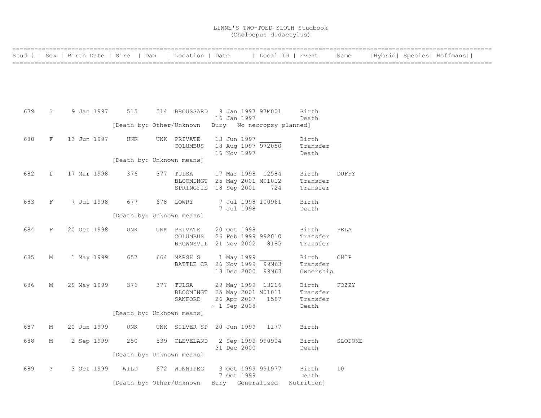|  |  |  | Stud #   Sex   Birth Date   Sire   Dam   Location   Date   Local ID   Event   Name   Hybrid  Species  Hoffmans |
|--|--|--|----------------------------------------------------------------------------------------------------------------|
|  |  |  |                                                                                                                |

| 679 | $\mathcal{P}$ |  | 9 Jan 1997  | 515                          |     | 514 BROUSSARD 9 Jan 1997 97M001 |  |                   |                   | Birth                                 |                 |
|-----|---------------|--|-------------|------------------------------|-----|---------------------------------|--|-------------------|-------------------|---------------------------------------|-----------------|
|     |               |  |             |                              |     |                                 |  | 16 Jan 1997       |                   | Death                                 |                 |
|     |               |  |             | [Death by: Other/Unknown     |     |                                 |  |                   |                   | Bury No necropsy planned]             |                 |
| 680 | F             |  | 13 Jun 1997 | UNK                          |     | UNK PRIVATE                     |  |                   | 13 Jun 1997       | Birth                                 |                 |
|     |               |  |             |                              |     | COLUMBUS                        |  |                   |                   | 18 Aug 1997 972050 Transfer           |                 |
|     |               |  |             |                              |     |                                 |  | 16 Nov 1997       |                   | Death                                 |                 |
|     |               |  |             | [Death by: Unknown means]    |     |                                 |  |                   |                   |                                       |                 |
| 682 | f             |  | 17 Mar 1998 | 376                          | 377 | TULSA                           |  |                   | 17 Mar 1998 12584 | Birth DUFFY                           |                 |
|     |               |  |             |                              |     |                                 |  |                   |                   | BLOOMINGT 25 May 2001 M01012 Transfer |                 |
|     |               |  |             |                              |     | SPRINGFIE 18 Sep 2001 724       |  |                   |                   | Transfer                              |                 |
| 683 | F             |  |             | 7 Jul 1998 677 678 LOWRY     |     |                                 |  |                   | 7 Jul 1998 100961 | Birth                                 |                 |
|     |               |  |             |                              |     |                                 |  | 7 Jul 1998        |                   | Death                                 |                 |
|     |               |  |             | [Death by: Unknown means]    |     |                                 |  |                   |                   |                                       |                 |
| 684 | F             |  | 20 Oct 1998 | UNK                          |     | UNK PRIVATE                     |  | 20 Oct 1998       |                   | Birth                                 | PELA            |
|     |               |  |             |                              |     | COLUMBUS 26 Feb 1999 992010     |  |                   |                   | Transfer                              |                 |
|     |               |  |             |                              |     | BROWNSVIL 21 Nov 2002 8185      |  |                   |                   | Transfer                              |                 |
| 685 | М             |  | 1 May 1999  | 657                          |     | 664 MARSH S 1 May 1999          |  |                   |                   | Birth                                 | CHIP            |
|     |               |  |             |                              |     | BATTLE CR 26 Nov 1999 99M63     |  |                   |                   | Transfer                              |                 |
|     |               |  |             |                              |     |                                 |  |                   | 13 Dec 2000 99M63 | Ownership                             |                 |
| 686 | М             |  | 29 May 1999 | 376                          |     | 377 TULSA 29 May 1999 13216     |  |                   |                   | Birth FOZZY                           |                 |
|     |               |  |             |                              |     |                                 |  |                   |                   | BLOOMINGT 25 May 2001 M01011 Transfer |                 |
|     |               |  |             |                              |     | SANFORD 26 Apr 2007 1587        |  |                   |                   | Transfer                              |                 |
|     |               |  |             |                              |     |                                 |  | $\sim 1$ Sep 2008 |                   | Death                                 |                 |
|     |               |  |             | [Death by: Unknown means]    |     |                                 |  |                   |                   |                                       |                 |
| 687 | М             |  | 20 Jun 1999 | UNK                          |     | UNK SILVER SP 20 Jun 1999 1177  |  |                   |                   | Birth                                 |                 |
|     |               |  |             |                              |     |                                 |  |                   |                   |                                       |                 |
| 688 | М             |  | 2 Sep 1999  | 250                          |     | 539 CLEVELAND 2 Sep 1999 990904 |  |                   |                   | Birth                                 | SLOPOKE         |
|     |               |  |             |                              |     |                                 |  | 31 Dec 2000       |                   | Death                                 |                 |
|     |               |  |             | [Death by: Unknown means]    |     |                                 |  |                   |                   |                                       |                 |
| 689 | $\tilde{S}$   |  |             | 3 Oct 1999 WILD 672 WINNIPEG |     |                                 |  |                   |                   | 3 Oct 1999 991977 Birth               | 10 <sup>°</sup> |
|     |               |  |             |                              |     |                                 |  |                   | 7 Oct 1999        | Death                                 |                 |
|     |               |  |             |                              |     | [Death by: Other/Unknown        |  |                   |                   | Bury Generalized Nutrition]           |                 |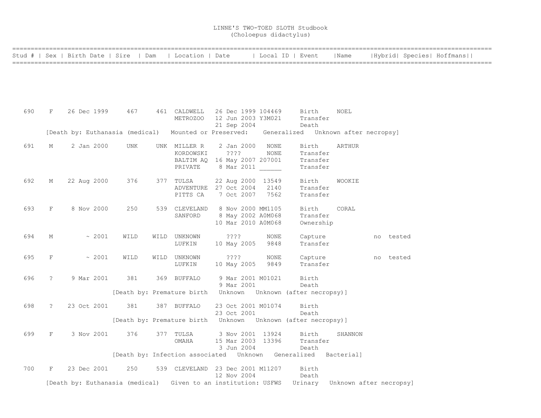==================================================================================================================================

|     |             | Stud #   Sex   Birth Date   Sire | Dam                             | Location   Date                  |                                   |             | Local ID   Event                                                                   | Name    |                         | Hybrid  Species  Hoffmans |
|-----|-------------|----------------------------------|---------------------------------|----------------------------------|-----------------------------------|-------------|------------------------------------------------------------------------------------|---------|-------------------------|---------------------------|
|     |             |                                  |                                 |                                  |                                   |             |                                                                                    |         |                         |                           |
|     |             |                                  |                                 |                                  |                                   |             |                                                                                    |         |                         |                           |
| 690 | $_{\rm F}$  | 26 Dec 1999                      | 467                             | 461 CALDWELL                     | 26 Dec 1999 104469                |             | Birth                                                                              | NOEL    |                         |                           |
|     |             |                                  |                                 | METROZOO                         | 12 Jun 2003 Y3M021<br>21 Sep 2004 |             | Transfer<br>Death                                                                  |         |                         |                           |
|     |             |                                  | [Death by: Euthanasia (medical) |                                  | Mounted or Preserved:             |             | Generalized Unknown after necropsy]                                                |         |                         |                           |
| 691 | М           | 2 Jan 2000                       | <b>UNK</b>                      | UNK MILLER R                     | 2 Jan 2000                        | NONE        | Birth                                                                              | ARTHUR  |                         |                           |
|     |             |                                  |                                 | KORDOWSKI                        | ????                              | <b>NONE</b> | Transfer                                                                           |         |                         |                           |
|     |             |                                  |                                 |                                  | BALTIM AQ 16 May 2007 207001      |             | Transfer                                                                           |         |                         |                           |
|     |             |                                  |                                 | PRIVATE                          | 8 Mar 2011                        |             | Transfer                                                                           |         |                         |                           |
| 692 | М           | 22 Aug 2000                      | 376                             | 377 TULSA                        | 22 Aug 2000 13549                 |             | Birth                                                                              | WOOKIE  |                         |                           |
|     |             |                                  |                                 | ADVENTURE                        | 27 Oct 2004                       | 2140        | Transfer                                                                           |         |                         |                           |
|     |             |                                  |                                 | PITTS CA                         | 7 Oct 2007                        | 7562        | Transfer                                                                           |         |                         |                           |
| 693 | F           | 8 Nov 2000                       | 250                             | 539 CLEVELAND                    | 8 Nov 2000 MM1105                 |             | Birth                                                                              | CORAL   |                         |                           |
|     |             |                                  |                                 | SANFORD                          | 8 May 2002 A0M068                 |             | Transfer                                                                           |         |                         |                           |
|     |             |                                  |                                 |                                  | 10 Mar 2010 A0M068                |             | Ownership                                                                          |         |                         |                           |
| 694 | М           | $~\sim~2001$                     | WILD                            | WILD<br>UNKNOWN                  | ????                              | NONE        | Capture                                                                            |         | no tested               |                           |
|     |             |                                  |                                 | LUFKIN                           | 10 May 2005                       | 9848        | Transfer                                                                           |         |                         |                           |
| 695 | F           | ~2001                            | WILD                            | UNKNOWN<br>WILD                  | $??\,?\$                          | <b>NONE</b> | Capture                                                                            |         | no tested               |                           |
|     |             |                                  |                                 | LUFKIN                           | 10 May 2005                       | 9849        | Transfer                                                                           |         |                         |                           |
| 696 | $\tilde{?}$ | 9 Mar 2001                       | 381                             | 369 BUFFALO                      | 9 Mar 2001 M01021                 |             | Birth                                                                              |         |                         |                           |
|     |             |                                  |                                 |                                  | 9 Mar 2001                        |             | Death                                                                              |         |                         |                           |
|     |             |                                  |                                 |                                  |                                   |             |                                                                                    |         |                         |                           |
| 698 | ?           | 23 Oct 2001                      | 381                             | 387 BUFFALO                      | 23 Oct 2001 M01074                |             | Birth                                                                              |         |                         |                           |
|     |             |                                  |                                 |                                  | 23 Oct 2001                       |             | Death<br>[Death by: Premature birth    Unknown    Unknown    (after necropsy)    ] |         |                         |                           |
|     |             |                                  |                                 |                                  |                                   |             |                                                                                    |         |                         |                           |
| 699 | F           | 3 Nov 2001                       | 376                             | 377 TULSA                        | 3 Nov 2001 13924                  |             | Birth                                                                              | SHANNON |                         |                           |
|     |             |                                  |                                 | OMAHA                            | 15 Mar 2003 13396<br>3 Jun 2004   |             | Transfer<br>Death                                                                  |         |                         |                           |
|     |             |                                  |                                 |                                  |                                   |             | [Death by: Infection associated Unknown Generalized Bacterial]                     |         |                         |                           |
| 700 | F           | 23 Dec 2001                      | 250                             | 539 CLEVELAND 23 Dec 2001 M11207 |                                   |             | Birth                                                                              |         |                         |                           |
|     |             |                                  |                                 |                                  | 12 Nov 2004                       |             | Death                                                                              |         |                         |                           |
|     |             |                                  | [Death by: Euthanasia (medical) |                                  | Given to an institution: USFWS    |             | Urinary                                                                            |         | Unknown after necropsy] |                           |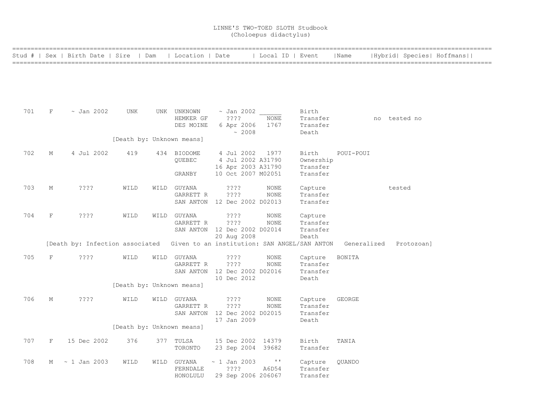|     |             | Stud #   Sex   Birth Date   Sire   Dam                                       |      | Location   Date           |                              | Local ID   Event |           | Name          |              | Hybrid  Species  Hoffmans |
|-----|-------------|------------------------------------------------------------------------------|------|---------------------------|------------------------------|------------------|-----------|---------------|--------------|---------------------------|
|     |             |                                                                              |      |                           |                              |                  |           |               |              |                           |
|     |             |                                                                              |      |                           |                              |                  |           |               |              |                           |
|     |             |                                                                              |      |                           |                              |                  |           |               |              |                           |
|     |             |                                                                              |      |                           |                              |                  |           |               |              |                           |
|     |             |                                                                              |      |                           |                              |                  |           |               |              |                           |
| 701 | F           | $\sim$ Jan 2002                                                              | UNK  | UNK UNKNOWN               | ~ Jan 2002                   |                  | Birth     |               |              |                           |
|     |             |                                                                              |      | HEMKER GF                 | $??\mathbf{??}$              | NONE             | Transfer  |               | no tested no |                           |
|     |             |                                                                              |      | DES MOINE                 | 6 Apr 2006                   | 1767             | Transfer  |               |              |                           |
|     |             |                                                                              |      |                           | ~2008                        |                  | Death     |               |              |                           |
|     |             |                                                                              |      | [Death by: Unknown means] |                              |                  |           |               |              |                           |
| 702 | М           | 4 Jul 2002                                                                   | 419  | 434 BIODOME               | 4 Jul 2002                   | 1977             | Birth     | POUI-POUI     |              |                           |
|     |             |                                                                              |      | QUEBEC                    | 4 Jul 2002 A31790            |                  | Ownership |               |              |                           |
|     |             |                                                                              |      |                           | 16 Apr 2003 A31790           |                  | Transfer  |               |              |                           |
|     |             |                                                                              |      | GRANBY                    | 10 Oct 2007 M02051           |                  | Transfer  |               |              |                           |
| 703 | М           | ????                                                                         | WILD | WILD GUYANA               | $??\mathbf{??}$              | NONE             | Capture   |               |              | tested                    |
|     |             |                                                                              |      | GARRETT R                 | ????                         | NONE             | Transfer  |               |              |                           |
|     |             |                                                                              |      |                           | SAN ANTON 12 Dec 2002 D02013 |                  | Transfer  |               |              |                           |
| 704 | $\mathbf F$ | ????                                                                         | WILD | WILD GUYANA               | $??\mathrel{?}?$             | NONE             | Capture   |               |              |                           |
|     |             |                                                                              |      | GARRETT R                 | ????                         | NONE             | Transfer  |               |              |                           |
|     |             |                                                                              |      |                           | SAN ANTON 12 Dec 2002 D02014 |                  | Transfer  |               |              |                           |
|     |             |                                                                              |      |                           | 20 Aug 2008                  |                  | Death     |               |              |                           |
|     |             | [Death by: Infection associated Given to an institution: SAN ANGEL/SAN ANTON |      |                           |                              |                  |           | Generalized   |              | Protozoan]                |
| 705 | F           | ????                                                                         | WILD | WILD GUYANA               | ????                         | NONE             | Capture   | BONITA        |              |                           |
|     |             |                                                                              |      | GARRETT R                 | ????                         | <b>NONE</b>      | Transfer  |               |              |                           |
|     |             |                                                                              |      |                           | SAN ANTON 12 Dec 2002 D02016 |                  | Transfer  |               |              |                           |
|     |             |                                                                              |      |                           | 10 Dec 2012                  |                  | Death     |               |              |                           |
|     |             |                                                                              |      | [Death by: Unknown means] |                              |                  |           |               |              |                           |
| 706 | М           | ????                                                                         | WILD | WILD GUYANA               | $??\mathbin{?}$              | NONE             | Capture   | <b>GEORGE</b> |              |                           |
|     |             |                                                                              |      | GARRETT R                 | ????                         | NONE             | Transfer  |               |              |                           |
|     |             |                                                                              |      |                           | SAN ANTON 12 Dec 2002 D02015 |                  | Transfer  |               |              |                           |
|     |             |                                                                              |      |                           | 17 Jan 2009                  |                  | Death     |               |              |                           |
|     |             |                                                                              |      | [Death by: Unknown means] |                              |                  |           |               |              |                           |
| 707 | F           | 15 Dec 2002                                                                  | 376  | 377 TULSA                 | 15 Dec 2002 14379            |                  | Birth     | TANIA         |              |                           |
|     |             |                                                                              |      | TORONTO                   | 23 Sep 2004 39682            |                  | Transfer  |               |              |                           |
| 708 | M           | $\sim$ 1 Jan 2003                                                            | WILD | WILD GUYANA               | $\sim$ 1 Jan 2003            | $\mathbf{I}$     | Capture   | QUANDO        |              |                           |
|     |             |                                                                              |      | FERNDALE                  | ????                         | A6D54            | Transfer  |               |              |                           |
|     |             |                                                                              |      | HONOLULU                  | 29 Sep 2006 206067           |                  | Transfer  |               |              |                           |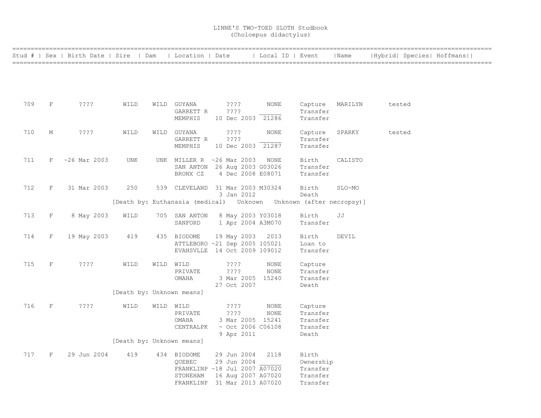|     |             | Stud #   Sex   Birth Date   Sire   Dam |                           |           | Location   Date                  |                           | Local ID   Event                                                         |                      | Name    | Hybrid  Species  Hoffmans |
|-----|-------------|----------------------------------------|---------------------------|-----------|----------------------------------|---------------------------|--------------------------------------------------------------------------|----------------------|---------|---------------------------|
|     |             |                                        |                           |           |                                  |                           |                                                                          |                      |         |                           |
|     |             |                                        |                           |           |                                  |                           |                                                                          |                      |         |                           |
|     |             |                                        |                           |           |                                  |                           |                                                                          |                      |         |                           |
| 709 | F           | ????                                   | WILD                      |           | WILD GUYANA                      | $??\,?\,?$                | NONE                                                                     | Capture              | MARILYN | tested                    |
|     |             |                                        |                           |           | GARRETT R<br>MEMPHIS             | ????<br>10 Dec 2003 21286 |                                                                          | Transfer<br>Transfer |         |                           |
|     |             |                                        |                           |           |                                  |                           |                                                                          |                      |         |                           |
| 710 | М           | ????                                   | WILD                      |           | WILD GUYANA<br>GARRETT R         | $??\,?\,?$<br>? ? ? ?     | NONE                                                                     | Capture<br>Transfer  | SPARKY  | tested                    |
|     |             |                                        |                           |           | MEMPHIS                          | 10 Dec 2003 21287         |                                                                          | Transfer             |         |                           |
| 711 | F           | $~26$ Mar 2003                         | UNK                       |           | UNK MILLER R ~26 Mar 2003        |                           | NONE                                                                     | Birth                | CALISTO |                           |
|     |             |                                        |                           |           | SAN ANTON 26 Aug 2003 G03026     |                           |                                                                          | Transfer             |         |                           |
|     |             |                                        |                           |           | BRONX CZ                         | 4 Dec 2008 E08071         |                                                                          | Transfer             |         |                           |
|     |             |                                        |                           |           |                                  |                           |                                                                          |                      |         |                           |
| 712 | F           | 31 Mar 2003                            | 250                       |           | 539 CLEVELAND 31 Mar 2003 M30324 |                           |                                                                          | Birth                | SLO-MO  |                           |
|     |             |                                        |                           |           |                                  | 3 Jan 2012                | [Death by: Euthanasia (medical)    Unknown   Unknown   (after necropsy)] | Death                |         |                           |
|     |             |                                        |                           |           |                                  |                           |                                                                          |                      |         |                           |
| 713 | F           | 8 May 2003                             | WILD                      |           | 705 SAN ANTON                    | 8 May 2003 Y03018         |                                                                          | Birth                | JJ      |                           |
|     |             |                                        |                           |           | SANFORD                          | 1 Apr 2004 A3M070         |                                                                          | Transfer             |         |                           |
| 714 | F           | 19 May 2003                            | 419                       |           | 435 BIODOME                      | 19 May 2003               | 2013                                                                     | Birth                | DEVIL   |                           |
|     |             |                                        |                           |           | ATTLEBORO ~21 Sep 2005 105021    |                           |                                                                          | Loan to              |         |                           |
|     |             |                                        |                           |           | EVANSVLLE 14 Oct 2009 109012     |                           |                                                                          | Transfer             |         |                           |
| 715 | $\mathbf F$ | ????                                   | WILD                      | WILD WILD |                                  | ????                      | NONE                                                                     | Capture              |         |                           |
|     |             |                                        |                           |           | PRIVATE                          | ? ? ? ?                   | <b>NONE</b>                                                              | Transfer             |         |                           |
|     |             |                                        |                           |           | OMAHA                            | 3 Mar 2005 15240          |                                                                          | Transfer             |         |                           |
|     |             |                                        |                           |           |                                  | 27 Oct 2007               |                                                                          | Death                |         |                           |
|     |             |                                        | [Death by: Unknown means] |           |                                  |                           |                                                                          |                      |         |                           |
| 716 | F           | ????                                   | WILD                      | WILD WILD |                                  | ????                      | NONE                                                                     | Capture              |         |                           |
|     |             |                                        |                           |           | PRIVATE                          | ????                      | NONE                                                                     | Transfer             |         |                           |
|     |             |                                        |                           |           | OMAHA                            | 3 Mar 2005 15241          |                                                                          | Transfer             |         |                           |
|     |             |                                        |                           |           | CENTRALPK                        | $\sim$ Oct 2006 C06108    |                                                                          | Transfer             |         |                           |
|     |             |                                        |                           |           |                                  | 9 Apr 2011                |                                                                          | Death                |         |                           |
|     |             |                                        | [Death by: Unknown means] |           |                                  |                           |                                                                          |                      |         |                           |
| 717 | F           | 29 Jun 2004                            | 419                       |           | 434 BIODOME                      | 29 Jun 2004               | 2118                                                                     | Birth                |         |                           |
|     |             |                                        |                           |           | QUEBEC                           | 29 Jun 2004               |                                                                          | Ownership            |         |                           |
|     |             |                                        |                           |           | FRANKLINP ~18 Jul 2007 A07020    |                           |                                                                          | Transfer             |         |                           |
|     |             |                                        |                           |           | STONEHAM                         | 16 Aug 2007 A07020        |                                                                          | Transfer             |         |                           |
|     |             |                                        |                           |           | FRANKLINP 31 Mar 2013 A07020     |                           |                                                                          | Transfer             |         |                           |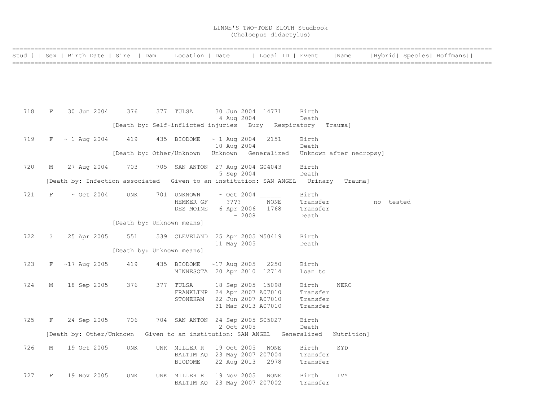|     |             |                     | Stud #   Sex   Birth Date   Sire   Dam   Location   Date                   |                                  |                                          |             | Local ID   Event    |                      | Name                    |           | Hybrid  Species  Hoffmans |
|-----|-------------|---------------------|----------------------------------------------------------------------------|----------------------------------|------------------------------------------|-------------|---------------------|----------------------|-------------------------|-----------|---------------------------|
|     |             |                     |                                                                            |                                  |                                          |             |                     |                      |                         |           |                           |
|     |             |                     |                                                                            |                                  |                                          |             |                     |                      |                         |           |                           |
|     |             |                     |                                                                            |                                  |                                          |             |                     |                      |                         |           |                           |
| 718 | F           | 30 Jun 2004         | 376                                                                        | 377 TULSA                        | 30 Jun 2004 14771                        |             |                     | Birth                |                         |           |                           |
|     |             |                     | [Death by: Self-inflicted injuries Bury Respiratory Trauma]                |                                  | 4 Aug 2004                               |             |                     | Death                |                         |           |                           |
|     |             |                     |                                                                            |                                  |                                          |             |                     |                      |                         |           |                           |
| 719 |             | $F \sim 1$ Aug 2004 | 419                                                                        | 435 BIODOME                      | $\sim$ 1 Aug 2004<br>10 Aug 2004         |             | 2151                | Birth<br>Death       |                         |           |                           |
|     |             |                     | [Death by: Other/Unknown                                                   |                                  |                                          |             | Unknown Generalized |                      | Unknown after necropsy] |           |                           |
| 720 | М           | 27 Aug 2004         | 703                                                                        | 705 SAN ANTON 27 Aug 2004 G04043 |                                          |             |                     | Birth                |                         |           |                           |
|     |             |                     |                                                                            |                                  | 5 Sep 2004                               |             |                     | Death                |                         |           |                           |
|     |             |                     | [Death by: Infection associated Given to an institution: SAN ANGEL Urinary |                                  |                                          |             |                     |                      | Trauma]                 |           |                           |
| 721 | F           | $\sim$ Oct 2004     | UNK                                                                        | 701 UNKNOWN                      | $\sim$ Oct 2004                          |             |                     | Birth                |                         |           |                           |
|     |             |                     |                                                                            | HEMKER GF<br>DES MOINE           | $??\,?\,?$<br>6 Apr 2006                 |             | <b>NONE</b><br>1768 | Transfer<br>Transfer |                         | no tested |                           |
|     |             |                     | [Death by: Unknown means]                                                  |                                  |                                          | $\sim 2008$ |                     | Death                |                         |           |                           |
|     |             |                     |                                                                            |                                  |                                          |             |                     |                      |                         |           |                           |
| 722 | $\ddot{?}$  | 25 Apr 2005         | 551                                                                        | 539 CLEVELAND 25 Apr 2005 M50419 | 11 May 2005                              |             |                     | Birth<br>Death       |                         |           |                           |
|     |             |                     | [Death by: Unknown means]                                                  |                                  |                                          |             |                     |                      |                         |           |                           |
| 723 | $F$ and $F$ | $~17$ Aug 2005      | 419                                                                        | 435 BIODOME                      | $~17$ Aug 2005                           |             | 2250                | Birth                |                         |           |                           |
|     |             |                     |                                                                            | MINNESOTA 20 Apr 2010 12714      |                                          |             |                     | Loan to              |                         |           |                           |
| 724 | М           | 18 Sep 2005         | 376                                                                        | 377 TULSA                        | 18 Sep 2005 15098                        |             |                     | Birth                | <b>NERO</b>             |           |                           |
|     |             |                     |                                                                            | FRANKLINP 24 Apr 2007 A07010     |                                          |             |                     | Transfer             |                         |           |                           |
|     |             |                     |                                                                            | STONEHAM                         | 22 Jun 2007 A07010<br>31 Mar 2013 A07010 |             |                     | Transfer<br>Transfer |                         |           |                           |
|     |             |                     |                                                                            |                                  |                                          |             |                     |                      |                         |           |                           |
| 725 | F           | 24 Sep 2005         | 706                                                                        | 704 SAN ANTON 24 Sep 2005 S05027 | 2 Oct 2005                               |             |                     | Birth<br>Death       |                         |           |                           |
|     |             |                     | [Death by: Other/Unknown Given to an institution: SAN ANGEL Generalized    |                                  |                                          |             |                     |                      | Nutrition]              |           |                           |
| 726 | M           | 19 Oct 2005         | <b>UNK</b>                                                                 | UNK MILLER R                     | 19 Oct 2005                              |             | NONE                | Birth                | SYD                     |           |                           |
|     |             |                     |                                                                            | BALTIM AQ 23 May 2007 207004     |                                          |             |                     | Transfer             |                         |           |                           |
|     |             |                     |                                                                            | BIODOME                          | 22 Aug 2013                              |             | 2978                | Transfer             |                         |           |                           |
| 727 | F           | 19 Nov 2005         | <b>UNK</b>                                                                 | UNK MILLER R                     | 19 Nov 2005                              |             | NONE                | Birth                | <b>IVY</b>              |           |                           |
|     |             |                     |                                                                            | BALTIM AQ 23 May 2007 207002     |                                          |             |                     | Transfer             |                         |           |                           |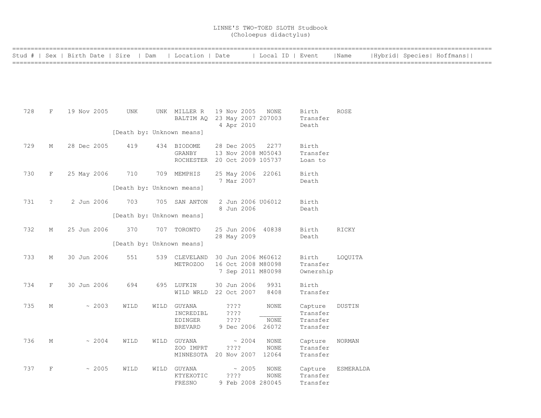|     |            | Stud #   Sex   Birth Date   Sire   Dam |      | Location   Date                                       |                                                               | Local ID   Event             |                                             | Name          |  | Hybrid  Species  Hoffmans |
|-----|------------|----------------------------------------|------|-------------------------------------------------------|---------------------------------------------------------------|------------------------------|---------------------------------------------|---------------|--|---------------------------|
|     |            |                                        |      |                                                       |                                                               |                              |                                             |               |  |                           |
| 728 | F          | 19 Nov 2005                            | UNK  | UNK MILLER R                                          | 19 Nov 2005<br>BALTIM AQ 23 May 2007 207003<br>4 Apr 2010     | NONE                         | Birth<br>Transfer<br>Death                  | <b>ROSE</b>   |  |                           |
|     |            |                                        |      | [Death by: Unknown means]                             |                                                               |                              |                                             |               |  |                           |
| 729 | М          | 28 Dec 2005                            | 419  | 434 BIODOME<br>GRANBY<br>ROCHESTER                    | 28 Dec 2005<br>13 Nov 2008 M05043<br>20 Oct 2009 105737       | 2277                         | Birth<br>Transfer<br>Loan to                |               |  |                           |
| 730 | F          | 25 May 2006                            | 710  | 709 MEMPHIS                                           | 25 May 2006 22061<br>7 Mar 2007                               |                              | Birth<br>Death                              |               |  |                           |
|     |            |                                        |      | [Death by: Unknown means]                             |                                                               |                              |                                             |               |  |                           |
| 731 | $\ddot{ }$ | 2 Jun 2006                             | 703  | 705 SAN ANTON                                         | 2 Jun 2006 U06012<br>8 Jun 2006                               |                              | Birth<br>Death                              |               |  |                           |
|     |            |                                        |      | [Death by: Unknown means]                             |                                                               |                              |                                             |               |  |                           |
| 732 | М          | 25 Jun 2006                            | 370  | 707 TORONTO                                           | 25 Jun 2006 40838<br>28 May 2009                              |                              | Birth<br>Death                              | RICKY         |  |                           |
|     |            |                                        |      | [Death by: Unknown means]                             |                                                               |                              |                                             |               |  |                           |
| 733 | М          | 30 Jun 2006                            | 551  | 539 CLEVELAND<br>METROZOO                             | 30 Jun 2006 M60612<br>16 Oct 2008 M80098<br>7 Sep 2011 M80098 |                              | Birth<br>Transfer<br>Ownership              | LOQUITA       |  |                           |
| 734 | F          | 30 Jun 2006                            | 694  | 695 LUFKIN<br>WILD WRLD                               | 30 Jun 2006<br>22 Oct 2007                                    | 9931<br>8408                 | Birth<br>Transfer                           |               |  |                           |
| 735 | М          | ~2003                                  | WILD | WILD GUYANA<br>INCREDIBL<br>EDINGER<br><b>BREVARD</b> | $??\; ?$<br>????<br>????<br>9 Dec 2006                        | <b>NONE</b><br>NONE<br>26072 | Capture<br>Transfer<br>Transfer<br>Transfer | DUSTIN        |  |                           |
| 736 | М          | ~2004                                  | WILD | WILD GUYANA<br>ZOO IMPRT                              | ~2004<br>????<br>MINNESOTA 20 Nov 2007                        | NONE<br><b>NONE</b><br>12064 | Capture<br>Transfer<br>Transfer             | <b>NORMAN</b> |  |                           |
| 737 | $\rm F$    | ~2005                                  | WILD | WILD GUYANA<br>KTYEXOTIC<br>FRESNO                    | ~2005<br>????<br>9 Feb 2008 280045                            | NONE<br>NONE                 | Capture<br>Transfer<br>Transfer             | ESMERALDA     |  |                           |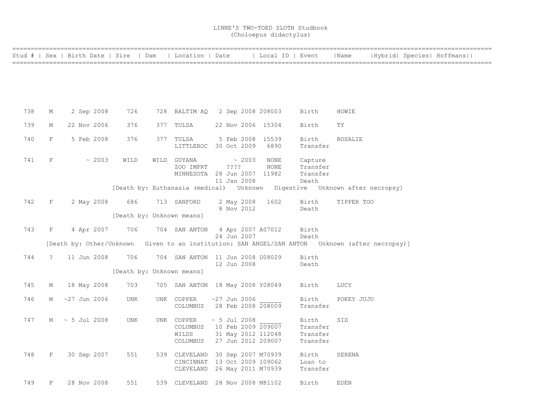|     |                | Stud #   Sex   Birth Date   Sire   Dam   Location   Date   Local ID   Event                     |                           |                                                                                                  |                  |                            |                          |                                           | Name        |  | Hybrid  Species  Hoffmans |  |
|-----|----------------|-------------------------------------------------------------------------------------------------|---------------------------|--------------------------------------------------------------------------------------------------|------------------|----------------------------|--------------------------|-------------------------------------------|-------------|--|---------------------------|--|
|     |                |                                                                                                 |                           |                                                                                                  |                  |                            |                          |                                           |             |  |                           |  |
|     |                |                                                                                                 |                           |                                                                                                  |                  |                            |                          |                                           |             |  |                           |  |
|     |                |                                                                                                 |                           |                                                                                                  |                  |                            |                          |                                           |             |  |                           |  |
| 738 | М              | 2 Sep 2008                                                                                      | 726                       | 728 BALTIM AQ 2 Sep 2008 208003                                                                  |                  |                            |                          | Birth                                     | HOWIE       |  |                           |  |
| 739 | М              | 22 Nov 2006                                                                                     | 376                       | 377 TULSA                                                                                        |                  |                            | 22 Nov 2006 15304        | Birth                                     | TY          |  |                           |  |
| 740 | F              | 5 Feb 2008                                                                                      | 376                       | 377 TULSA<br>LITTLEROC 30 Oct 2009                                                               |                  |                            | 5 Feb 2008 15539<br>6890 | Birth<br>Transfer                         | ROSALIE     |  |                           |  |
| 741 | F              | $\sim 2003$                                                                                     | WILD                      | WILD GUYANA<br>ZOO IMPRT<br>MINNESOTA 28 Jun 2007 11982                                          | $??\mathrel{?}?$ | $\sim 2003$<br>11 Jan 2008 | NONE<br>NONE             | Capture<br>Transfer<br>Transfer<br>Death  |             |  |                           |  |
|     |                |                                                                                                 |                           | [Death by: Euthanasia (medical) Unknown Digestive Unknown after necropsy]                        |                  |                            |                          |                                           |             |  |                           |  |
| 742 | F              | 2 May 2008                                                                                      | 686 -                     | 713 SANFORD                                                                                      |                  | 8 Nov 2012                 | 2 May 2008 1602          | Birth<br>Death                            | TIPPER TOO  |  |                           |  |
|     |                |                                                                                                 | [Death by: Unknown means] |                                                                                                  |                  |                            |                          |                                           |             |  |                           |  |
| 743 | $F^-$          | 4 Apr 2007                                                                                      | 706                       | 704 SAN ANTON 4 Apr 2007 A07012                                                                  |                  | 24 Jun 2007                |                          | Birth<br>Death                            |             |  |                           |  |
|     |                | [Death by: Other/Unknown Given to an institution: SAN ANGEL/SAN ANTON Unknown (after necropsy)] |                           |                                                                                                  |                  |                            |                          |                                           |             |  |                           |  |
| 744 | $\overline{?}$ | 11 Jun 2008                                                                                     | 706                       | 704 SAN ANTON 11 Jun 2008 U08029                                                                 |                  | 12 Jun 2008                |                          | Birth<br>Death                            |             |  |                           |  |
|     |                |                                                                                                 | [Death by: Unknown means] |                                                                                                  |                  |                            |                          |                                           |             |  |                           |  |
| 745 | М              | 18 May 2008                                                                                     | 703                       | 705 SAN ANTON 18 May 2008 Y08049                                                                 |                  |                            |                          | Birth                                     | LUCY        |  |                           |  |
| 746 | M              | $~27$ Jun 2006                                                                                  | UNK                       | UNK COPPER<br>COLUMBUS 28 Feb 2008 208009                                                        |                  | $~27$ Jun 2006             |                          | Birth<br>Transfer                         | POKEY JUJU  |  |                           |  |
| 747 |                | $M \sim 5$ Jul 2008                                                                             | UNK                       | UNK COPPER<br>COLUMBUS 10 Feb 2009 209007<br>WILDS<br>COLUMBUS 27 Jun 2012 209007                |                  | $\sim$ 5 Jul 2008          | 31 May 2012 112048       | Birth<br>Transfer<br>Transfer<br>Transfer | SID         |  |                           |  |
| 748 | F              | 30 Sep 2007                                                                                     | 551                       | 539 CLEVELAND 30 Sep 2007 M70939<br>CINCINNAT 13 Oct 2009 109062<br>CLEVELAND 26 May 2011 M70939 |                  |                            |                          | Birth<br>Loan to<br>Transfer              | SERENA      |  |                           |  |
| 749 | F              | 28 Nov 2008                                                                                     | 551                       | 539 CLEVELAND 28 Nov 2008 M81102                                                                 |                  |                            |                          | Birth                                     | <b>EDEN</b> |  |                           |  |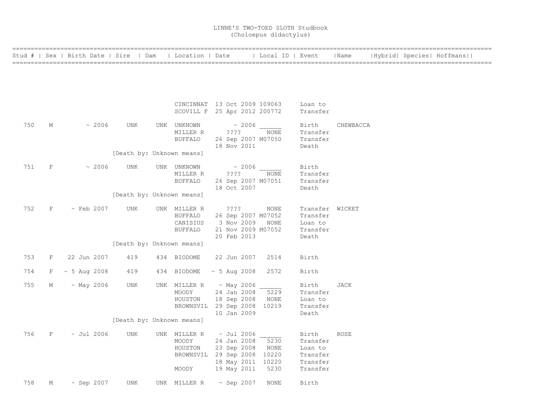|     |              | Stud #   Sex   Birth Date   Sire   Dam |                           |                                | Location   Date                              |                                                                                                      | Local ID   Event                       |                                                                  | Name        |  | Hybrid  Species  Hoffmans |
|-----|--------------|----------------------------------------|---------------------------|--------------------------------|----------------------------------------------|------------------------------------------------------------------------------------------------------|----------------------------------------|------------------------------------------------------------------|-------------|--|---------------------------|
|     |              |                                        |                           |                                |                                              |                                                                                                      |                                        |                                                                  |             |  |                           |
|     |              |                                        |                           |                                |                                              | CINCINNAT 13 Oct 2009 109063<br>SCOVILL F 25 Apr 2012 200772                                         |                                        | Loan to<br>Transfer                                              |             |  |                           |
| 750 | М            | ~2006                                  | <b>UNK</b>                | UNK UNKNOWN                    | MILLER R<br><b>BUFFALO</b>                   | $\sim 2006$<br>$??\mathrel{?}?$<br>26 Sep 2007 M07050<br>18 Nov 2011                                 | NONE                                   | Birth<br>Transfer<br>Transfer<br>Death                           | CHEWBACCA   |  |                           |
|     |              |                                        | [Death by: Unknown means] |                                |                                              |                                                                                                      |                                        |                                                                  |             |  |                           |
| 751 | $\mathbf F$  | $~\sim~2006$                           | UNK                       | UNK UNKNOWN                    | MILLER R<br><b>BUFFALO</b>                   | $\sim 2006$<br>????<br>26 Sep 2007 M07051<br>18 Oct 2007                                             | <b>NONE</b>                            | Birth<br>Transfer<br>Transfer<br>Death                           |             |  |                           |
|     |              |                                        | [Death by: Unknown means] |                                |                                              |                                                                                                      |                                        |                                                                  |             |  |                           |
| 752 | F            | $\sim$ Feb 2007                        | UNK                       | UNK MILLER R                   | <b>BUFFALO</b><br>CANISIUS<br><b>BUFFALO</b> | ????<br>26 Sep 2007 M07052<br>3 Nov 2009<br>21 Nov 2009 M07052<br>20 Feb 2013                        | NONE<br>NONE                           | Transfer WICKET<br>Transfer<br>Loan to<br>Transfer<br>Death      |             |  |                           |
|     |              |                                        | [Death by: Unknown means] |                                |                                              |                                                                                                      |                                        |                                                                  |             |  |                           |
| 753 | F            | 22 Jun 2007                            | 419                       | 434 BIODOME                    |                                              | 22 Jun 2007                                                                                          | 2514                                   | Birth                                                            |             |  |                           |
| 754 | F            | $~\sim$ 5 Aug 2008                     | 419                       | 434 BIODOME                    |                                              | $\sim 5$ Aug 2008                                                                                    | 2572                                   | Birth                                                            |             |  |                           |
| 755 | М            | $~\sim$ May 2006                       | UNK                       | UNK MILLER R<br>MOODY          | HOUSTON                                      | ~ May 2006<br>24 Jan 2008<br>18 Sep 2008<br>BROWNSVIL 29 Sep 2008<br>10 Jan 2009                     | 5229<br>NONE<br>10219                  | Birth<br>Transfer<br>Loan to<br>Transfer<br>Death                | JACK        |  |                           |
|     |              |                                        | [Death by: Unknown means] |                                |                                              |                                                                                                      |                                        |                                                                  |             |  |                           |
| 756 | $\mathbf{F}$ | $~\sim$ Jul 2006                       | <b>UNK</b>                | UNK MILLER R<br>MOODY<br>MOODY | HOUSTON                                      | $\sim$ Jul 2006<br>24 Jan 2008<br>23 Sep 2008<br>BROWNSVIL 29 Sep 2008<br>18 May 2011<br>19 May 2011 | 5230<br>NONE<br>10220<br>10220<br>5230 | Birth<br>Transfer<br>Loan to<br>Transfer<br>Transfer<br>Transfer | <b>ROSE</b> |  |                           |
| 758 | М            | $\sim$ Sep 2007                        | <b>UNK</b>                | UNK MILLER R                   |                                              | $\sim$ Sep 2007                                                                                      | <b>NONE</b>                            | Birth                                                            |             |  |                           |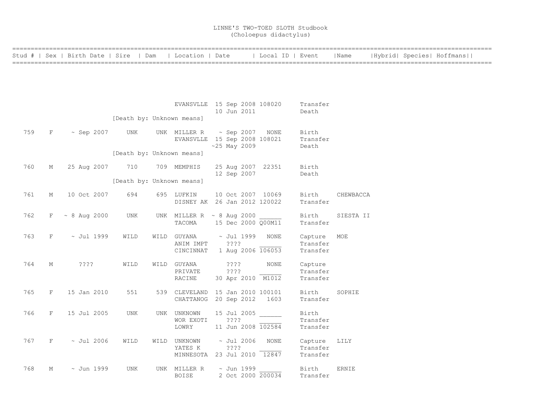|     |         | Stud #   Sex   Birth Date   Sire   Dam |                           | Location   Date                                                |                                      | Local ID   Event |                     | Name      |  | Hybrid  Species  Hoffmans |  |
|-----|---------|----------------------------------------|---------------------------|----------------------------------------------------------------|--------------------------------------|------------------|---------------------|-----------|--|---------------------------|--|
|     |         |                                        |                           |                                                                |                                      |                  |                     |           |  |                           |  |
|     |         |                                        |                           |                                                                |                                      |                  |                     |           |  |                           |  |
|     |         |                                        |                           |                                                                |                                      |                  |                     |           |  |                           |  |
|     |         |                                        |                           |                                                                |                                      |                  |                     |           |  |                           |  |
|     |         |                                        |                           | EVANSVLLE 15 Sep 2008 108020                                   |                                      |                  | Transfer            |           |  |                           |  |
|     |         |                                        | [Death by: Unknown means] |                                                                | 10 Jun 2011                          |                  | Death               |           |  |                           |  |
|     |         |                                        |                           |                                                                |                                      |                  |                     |           |  |                           |  |
| 759 | F       | $\sim$ Sep 2007                        | UNK                       | UNK MILLER R                                                   | $\sim$ Sep 2007                      | NONE             | Birth               |           |  |                           |  |
|     |         |                                        |                           | EVANSVLLE 15 Sep 2008 108021                                   | $~25$ May 2009                       |                  | Transfer<br>Death   |           |  |                           |  |
|     |         |                                        | [Death by: Unknown means] |                                                                |                                      |                  |                     |           |  |                           |  |
| 760 | М       |                                        | 710                       | 709 MEMPHIS                                                    |                                      |                  | Birth               |           |  |                           |  |
|     |         | 25 Aug 2007                            |                           |                                                                | 25 Aug 2007 22351<br>12 Sep 2007     |                  | Death               |           |  |                           |  |
|     |         |                                        | [Death by: Unknown means] |                                                                |                                      |                  |                     |           |  |                           |  |
| 761 | М       | 10 Oct 2007                            | 694                       | 695 LUFKIN                                                     | 10 Oct 2007 10069                    |                  | Birth               | CHEWBACCA |  |                           |  |
|     |         |                                        |                           | DISNEY AK 26 Jan 2012 120022                                   |                                      |                  | Transfer            |           |  |                           |  |
|     |         |                                        |                           |                                                                |                                      |                  |                     |           |  |                           |  |
| 762 | F       | $\sim 8$ Aug 2000                      | UNK                       | UNK MILLER R $\sim$ 8 Aug 2000<br>TACOMA                       | 15 Dec 2000 Q00M11                   |                  | Birth<br>Transfer   | SIESTA II |  |                           |  |
|     |         |                                        |                           |                                                                |                                      |                  |                     |           |  |                           |  |
| 763 | F       | $\sim$ Jul 1999                        | WILD                      | WILD GUYANA<br>ANIM IMPT                                       | $\sim$ Jul 1999<br>????              | NONE             | Capture<br>Transfer | MOE       |  |                           |  |
|     |         |                                        |                           | CINCINNAT                                                      | 1 Aug 2006 106053                    |                  | Transfer            |           |  |                           |  |
|     |         |                                        |                           |                                                                |                                      |                  |                     |           |  |                           |  |
| 764 | М       | $??\; ?$                               | WILD                      | WILD GUYANA<br>PRIVATE                                         | $??\mathord{?}\mathord{?}$<br>????   | <b>NONE</b>      | Capture<br>Transfer |           |  |                           |  |
|     |         |                                        |                           | RACINE                                                         | 30 Apr 2010 M1012                    |                  | Transfer            |           |  |                           |  |
| 765 |         |                                        |                           |                                                                |                                      |                  |                     |           |  |                           |  |
|     | F       | 15 Jan 2010                            | 551                       | 539 CLEVELAND 15 Jan 2010 100101<br>CHATTANOG 20 Sep 2012 1603 |                                      |                  | Birth<br>Transfer   | SOPHIE    |  |                           |  |
|     |         |                                        |                           |                                                                |                                      |                  |                     |           |  |                           |  |
| 766 | $\rm F$ | 15 Jul 2005                            | UNK                       | UNK UNKNOWN<br>WOR EXOTI                                       | 15 Jul 2005<br>????                  |                  | Birth<br>Transfer   |           |  |                           |  |
|     |         |                                        |                           | LOWRY                                                          | 11 Jun 2008 102584                   |                  | Transfer            |           |  |                           |  |
|     |         |                                        |                           |                                                                |                                      |                  |                     |           |  |                           |  |
| 767 | F       | $\sim$ Jul 2006                        | WILD                      | WILD UNKNOWN<br>YATES K                                        | $\sim$ Jul 2006<br>????              | NONE             | Capture<br>Transfer | LILY      |  |                           |  |
|     |         |                                        |                           | MINNESOTA                                                      | 23 Jul 2010 12847                    |                  | Transfer            |           |  |                           |  |
| 768 | М       |                                        |                           |                                                                |                                      |                  |                     |           |  |                           |  |
|     |         | $\sim$ Jun 1999                        | <b>UNK</b>                | UNK MILLER R<br><b>BOISE</b>                                   | $\sim$ Jun 1999<br>2 Oct 2000 200034 |                  | Birth<br>Transfer   | ERNIE     |  |                           |  |
|     |         |                                        |                           |                                                                |                                      |                  |                     |           |  |                           |  |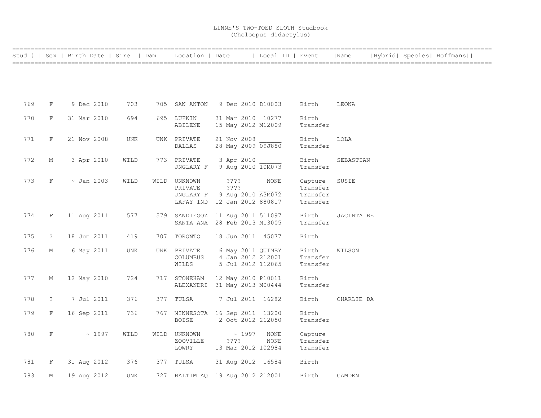|     |                      | Stud #   Sex   Birth Date   Sire   Dam |            | Location   Date                  |                 | Local ID   Event   |                     | Name       |  | Hybrid  Species  Hoffmans |  |
|-----|----------------------|----------------------------------------|------------|----------------------------------|-----------------|--------------------|---------------------|------------|--|---------------------------|--|
|     |                      |                                        |            |                                  |                 |                    |                     |            |  |                           |  |
|     |                      |                                        |            |                                  |                 |                    |                     |            |  |                           |  |
|     |                      |                                        |            |                                  |                 |                    |                     |            |  |                           |  |
| 769 | $\mathbf{F}$         | 9 Dec 2010                             | 703        | 705 SAN ANTON                    |                 | 9 Dec 2010 D10003  | Birth               | LEONA      |  |                           |  |
| 770 | F                    | 31 Mar 2010                            | 694        | 695 LUFKIN                       |                 | 31 Mar 2010 10277  | Birth               |            |  |                           |  |
|     |                      |                                        |            | ABILENE                          |                 | 15 May 2012 M12009 | Transfer            |            |  |                           |  |
| 771 | F                    | 21 Nov 2008                            | <b>UNK</b> | UNK PRIVATE                      | 21 Nov 2008     |                    | Birth               | LOLA       |  |                           |  |
|     |                      |                                        |            | DALLAS                           |                 | 28 May 2009 09J880 | Transfer            |            |  |                           |  |
| 772 | М                    | 3 Apr 2010                             | WILD       | 773 PRIVATE                      | 3 Apr 2010      |                    | Birth               | SEBASTIAN  |  |                           |  |
|     |                      |                                        |            | JNGLARY F                        |                 | 9 Aug 2010 10M073  | Transfer            |            |  |                           |  |
| 773 | F                    | $\sim$ Jan 2003                        | WILD       | WILD UNKNOWN<br>PRIVATE          | ? ? ? ?<br>???? | NONE               | Capture<br>Transfer | SUSIE      |  |                           |  |
|     |                      |                                        |            | JNGLARY F                        |                 | 9 Aug 2010 A3M072  | Transfer            |            |  |                           |  |
|     |                      |                                        |            | LAFAY IND 12 Jan 2012 880817     |                 |                    | Transfer            |            |  |                           |  |
| 774 | F                    | 11 Aug 2011                            | 577        | 579 SANDIEGOZ 11 Aug 2011 511097 |                 |                    | Birth               | JACINTA BE |  |                           |  |
|     |                      |                                        |            | SANTA ANA 28 Feb 2013 M13005     |                 |                    | Transfer            |            |  |                           |  |
| 775 | $\ddot{\phantom{0}}$ | 18 Jun 2011                            | 419        | 707 TORONTO                      |                 | 18 Jun 2011 45077  | Birth               |            |  |                           |  |
| 776 | М                    | 6 May 2011                             | UNK        | UNK PRIVATE                      |                 | 6 May 2011 QUIMBY  | Birth               | WILSON     |  |                           |  |
|     |                      |                                        |            | COLUMBUS                         |                 | 4 Jan 2012 212001  | Transfer            |            |  |                           |  |
|     |                      |                                        |            | WILDS                            |                 | 5 Jul 2012 112065  | Transfer            |            |  |                           |  |
| 777 | М                    | 12 May 2010                            | 724        | 717 STONEHAM                     |                 | 12 May 2010 P10011 | Birth               |            |  |                           |  |
|     |                      |                                        |            | ALEXANDRI 31 May 2013 M00444     |                 |                    | Transfer            |            |  |                           |  |
| 778 | $\ddot{?}$           | 7 Jul 2011                             | 376        | 377 TULSA                        |                 | 7 Jul 2011 16282   | Birth               | CHARLIE DA |  |                           |  |
| 779 | F                    | 16 Sep 2011                            | 736        | 767 MINNESOTA 16 Sep 2011 13200  |                 |                    | Birth               |            |  |                           |  |
|     |                      |                                        |            | <b>BOISE</b>                     |                 | 2 Oct 2012 212050  | Transfer            |            |  |                           |  |
| 780 | $\mathbf F$          | ~1997                                  | WILD       | WILD UNKNOWN                     | $\sim 1997$     | NONE               | Capture             |            |  |                           |  |
|     |                      |                                        |            | ZOOVILLE                         | ????            | NONE               | Transfer            |            |  |                           |  |
|     |                      |                                        |            | LOWRY                            |                 | 13 Mar 2012 102984 | Transfer            |            |  |                           |  |
| 781 | F                    | 31 Aug 2012                            | 376        | 377 TULSA                        |                 | 31 Aug 2012 16584  | Birth               |            |  |                           |  |
| 783 | М                    | 19 Aug 2012                            | <b>UNK</b> | 727 BALTIM AQ 19 Aug 2012 212001 |                 |                    | Birth               | CAMDEN     |  |                           |  |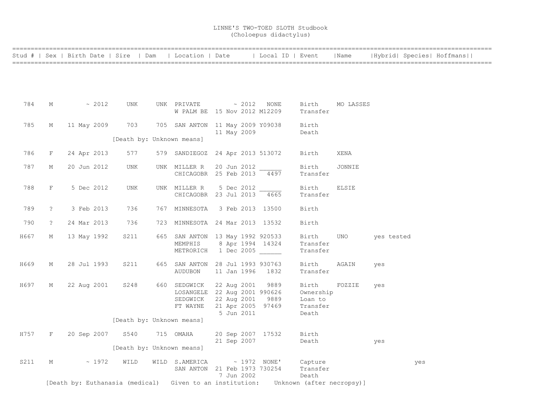|      |                | Stud #   Sex   Birth Date   Sire   Dam                                             |                           | Location   Date                             |             | Local ID   Event  |                   | Name         |            |     | Hybrid  Species  Hoffmans |  |
|------|----------------|------------------------------------------------------------------------------------|---------------------------|---------------------------------------------|-------------|-------------------|-------------------|--------------|------------|-----|---------------------------|--|
|      |                |                                                                                    |                           |                                             |             |                   |                   |              |            |     |                           |  |
|      |                |                                                                                    |                           |                                             |             |                   |                   |              |            |     |                           |  |
|      |                |                                                                                    |                           |                                             |             |                   |                   |              |            |     |                           |  |
|      |                |                                                                                    |                           |                                             |             |                   |                   |              |            |     |                           |  |
| 784  | М              | $\sim 2012$                                                                        | UNK                       | UNK PRIVATE $\sim 2012$ NONE                |             |                   | Birth             | MO LASSES    |            |     |                           |  |
|      |                |                                                                                    |                           | W PALM BE 15 Nov 2012 M12209                |             |                   | Transfer          |              |            |     |                           |  |
| 785  | М              | 11 May 2009                                                                        | 703                       | 705 SAN ANTON 11 May 2009 Y09038            |             |                   | Birth             |              |            |     |                           |  |
|      |                |                                                                                    |                           |                                             | 11 May 2009 |                   | Death             |              |            |     |                           |  |
|      |                |                                                                                    | [Death by: Unknown means] |                                             |             |                   |                   |              |            |     |                           |  |
|      |                |                                                                                    |                           |                                             |             |                   |                   |              |            |     |                           |  |
| 786  | F              | 24 Apr 2013                                                                        | 577                       | 579 SANDIEGOZ 24 Apr 2013 513072            |             |                   | Birth             | XENA         |            |     |                           |  |
| 787  | М              | 20 Jun 2012                                                                        | UNK                       | UNK MILLER R                                | 20 Jun 2012 |                   | Birth             | JONNIE       |            |     |                           |  |
|      |                |                                                                                    |                           | CHICAGOBR 25 Feb 2013 4497                  |             |                   | Transfer          |              |            |     |                           |  |
| 788  | $F^-$          | 5 Dec 2012                                                                         | UNK                       | UNK MILLER R                                | 5 Dec 2012  |                   | Birth             | <b>ELSIE</b> |            |     |                           |  |
|      |                |                                                                                    |                           | CHICAGOBR 23 Jul 2013                       |             | 4665              | Transfer          |              |            |     |                           |  |
|      |                |                                                                                    |                           |                                             |             |                   |                   |              |            |     |                           |  |
| 789  | $\tilde{ }$    | 3 Feb 2013                                                                         | 736                       | 767 MINNESOTA                               |             | 3 Feb 2013 13500  | Birth             |              |            |     |                           |  |
| 790  | $\ddot{\cdot}$ | 24 Mar 2013                                                                        | 736                       | 723 MINNESOTA 24 Mar 2013 13532             |             |                   | Birth             |              |            |     |                           |  |
|      |                |                                                                                    |                           |                                             |             |                   |                   |              |            |     |                           |  |
| H667 | М              | 13 May 1992                                                                        | S211                      | 665 SAN ANTON 13 May 1992 920533<br>MEMPHIS |             | 8 Apr 1994 14324  | Birth<br>Transfer | UNO          | yes tested |     |                           |  |
|      |                |                                                                                    |                           | METRORICH                                   |             | 1 Dec 2005        | Transfer          |              |            |     |                           |  |
|      |                |                                                                                    |                           |                                             |             |                   |                   |              |            |     |                           |  |
| H669 | М              | 28 Jul 1993                                                                        | S211                      | 665 SAN ANTON 28 Jul 1993 930763            |             |                   | Birth             | AGAIN        | yes        |     |                           |  |
|      |                |                                                                                    |                           | AUDUBON                                     | 11 Jan 1996 | 1832              | Transfer          |              |            |     |                           |  |
| H697 | М              | 22 Aug 2001                                                                        | S248                      | 660 SEDGWICK                                | 22 Aug 2001 | 9889              | Birth             | FOZZIE       | yes        |     |                           |  |
|      |                |                                                                                    |                           | LOSANGELE 22 Aug 2001 990626                |             |                   | Ownership         |              |            |     |                           |  |
|      |                |                                                                                    |                           | SEDGWICK                                    | 22 Aug 2001 | 9889              | Loan to           |              |            |     |                           |  |
|      |                |                                                                                    |                           | FT WAYNE                                    | 5 Jun 2011  | 21 Apr 2005 97469 | Transfer<br>Death |              |            |     |                           |  |
|      |                |                                                                                    | [Death by: Unknown means] |                                             |             |                   |                   |              |            |     |                           |  |
|      |                |                                                                                    |                           |                                             |             |                   |                   |              |            |     |                           |  |
| H757 | F              | 20 Sep 2007                                                                        | S540                      | 715 OMAHA                                   | 21 Sep 2007 | 20 Sep 2007 17532 | Birth<br>Death    |              |            |     |                           |  |
|      |                |                                                                                    | [Death by: Unknown means] |                                             |             |                   |                   |              | yes        |     |                           |  |
|      |                |                                                                                    |                           |                                             |             |                   |                   |              |            |     |                           |  |
| S211 | М              | ~1972                                                                              | WILD                      | WILD S.AMERICA                              |             | $\sim$ 1972 NONE' | Capture           |              |            | yes |                           |  |
|      |                |                                                                                    |                           | SAN ANTON 21 Feb 1973 730254                | 7 Jun 2002  |                   | Transfer<br>Death |              |            |     |                           |  |
|      |                | [Death by: Euthanasia (medical) Given to an institution: Unknown (after necropsy)] |                           |                                             |             |                   |                   |              |            |     |                           |  |
|      |                |                                                                                    |                           |                                             |             |                   |                   |              |            |     |                           |  |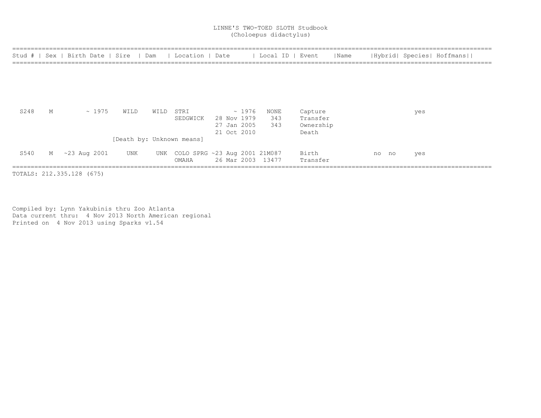## LINNE'S TWO-TOED SLOTH Studbook (Choloepus didactylus)

| Stud # I | Sex | Birth Date   Sire |      | Dam  | Location   Date                   |             |             | Local ID   Event  |           | Name |    |    |     | Hybrid  Species  Hoffmans |
|----------|-----|-------------------|------|------|-----------------------------------|-------------|-------------|-------------------|-----------|------|----|----|-----|---------------------------|
|          |     |                   |      |      |                                   |             |             |                   |           |      |    |    |     |                           |
|          |     |                   |      |      |                                   |             |             |                   |           |      |    |    |     |                           |
|          |     |                   |      |      |                                   |             |             |                   |           |      |    |    |     |                           |
|          |     |                   |      |      |                                   |             |             |                   |           |      |    |    |     |                           |
| S248     | М   | $\sim 1975$       | WILD | WILD | STRI                              |             | $\sim 1976$ | NONE              | Capture   |      |    |    | yes |                           |
|          |     |                   |      |      | SEDGWICK                          |             | 28 Nov 1979 | 343               | Transfer  |      |    |    |     |                           |
|          |     |                   |      |      |                                   |             | 27 Jan 2005 | 343               | Ownership |      |    |    |     |                           |
|          |     |                   |      |      |                                   | 21 Oct 2010 |             |                   | Death     |      |    |    |     |                           |
|          |     |                   |      |      | [Death by: Unknown means]         |             |             |                   |           |      |    |    |     |                           |
| S540     |     | M ~23 Aug 2001    | UNK  |      | UNK COLO SPRG ~23 Aug 2001 21M087 |             |             |                   | Birth     |      | no | no | yes |                           |
|          |     |                   |      |      | OMAHA                             |             |             | 26 Mar 2003 13477 | Transfer  |      |    |    |     |                           |

Compiled by: Lynn Yakubinis thru Zoo Atlanta Data current thru: 4 Nov 2013 North American regional Printed on 4 Nov 2013 using Sparks v1.54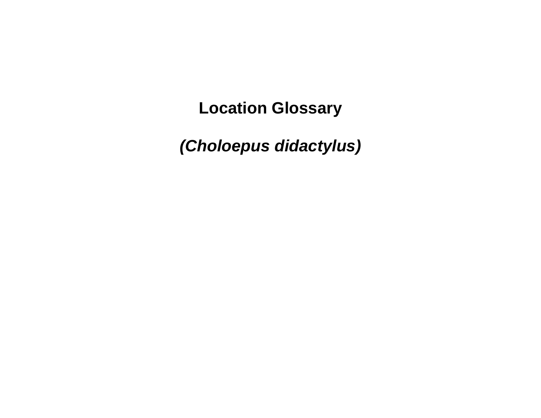**Location Glossary**

*(Choloepus didactylus)*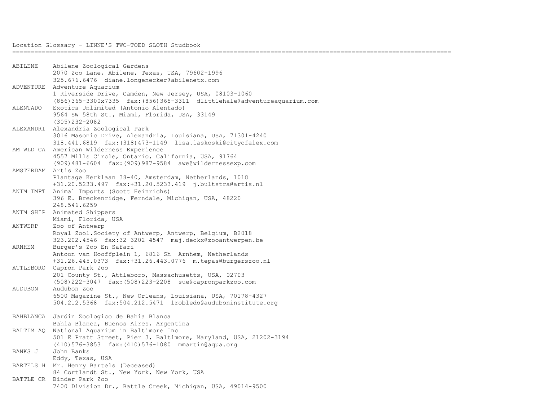| ABILENE             | Abilene Zoological Gardens                                              |
|---------------------|-------------------------------------------------------------------------|
|                     | 2070 Zoo Lane, Abilene, Texas, USA, 79602-1996                          |
|                     | 325.676.6476 diane.longenecker@abilenetx.com                            |
| ADVENTURE           | Adventure Aquarium                                                      |
|                     | 1 Riverside Drive, Camden, New Jersey, USA, 08103-1060                  |
|                     | (856)365-3300x7335 fax: (856)365-3311 dlittlehale@adventureaquarium.com |
| ALENTADO            | Exotics Unlimited (Antonio Alentado)                                    |
|                     | 9564 SW 58th St., Miami, Florida, USA, 33149                            |
|                     | $(305)$ 232-2082                                                        |
|                     |                                                                         |
| ALEXANDRI           | Alexandria Zoological Park                                              |
|                     | 3016 Masonic Drive, Alexandria, Louisiana, USA, 71301-4240              |
|                     | 318.441.6819 fax: (318) 473-1149 lisa.laskoski@cityofalex.com           |
|                     | AM WLD CA American Wilderness Experience                                |
|                     | 4557 Mills Circle, Ontario, California, USA, 91764                      |
|                     | (909)481-6604 fax: (909)987-9584 awe@wildernessexp.com                  |
| AMSTERDAM Artis Zoo |                                                                         |
|                     | Plantage Kerklaan 38-40, Amsterdam, Netherlands, 1018                   |
|                     | +31.20.5233.497 fax:+31.20.5233.419 j.bultstra@artis.nl                 |
| ANIM IMPT           | Animal Imports (Scott Heinrichs)                                        |
|                     | 396 E. Breckenridge, Ferndale, Michigan, USA, 48220                     |
|                     | 248.546.6259                                                            |
|                     | ANIM SHIP Animated Shippers                                             |
|                     | Miami, Florida, USA                                                     |
| ANTWERP             | Zoo of Antwerp                                                          |
|                     | Royal Zool. Society of Antwerp, Antwerp, Belgium, B2018                 |
|                     | 323.202.4546 fax:32 3202 4547 maj.deckx@zooantwerpen.be                 |
| ARNHEM              | Burger's Zoo En Safari                                                  |
|                     | Antoon van Hooffplein 1, 6816 Sh Arnhem, Netherlands                    |
|                     | +31.26.445.0373 fax:+31.26.443.0776 m.tepas@burgerszoo.nl               |
| ATTLEBORO           | Capron Park Zoo                                                         |
|                     | 201 County St., Attleboro, Massachusetts, USA, 02703                    |
|                     | $(508)$ 222-3047 fax: $(508)$ 223-2208 sue@capronparkzoo.com            |
| AUDUBON             | Audubon Zoo                                                             |
|                     | 6500 Magazine St., New Orleans, Louisiana, USA, 70178-4327              |
|                     | 504.212.5368 fax:504.212.5471 lrobledo@auduboninstitute.org             |
|                     |                                                                         |
|                     |                                                                         |
| BAHBLANCA           | Jardin Zoologico de Bahia Blanca                                        |
|                     | Bahia Blanca, Buenos Aires, Argentina                                   |
| BALTIM AO           | National Aquarium in Baltimore Inc                                      |
|                     | 501 E Pratt Street, Pier 3, Baltimore, Maryland, USA, 21202-3194        |
|                     | $(410) 576 - 3853$ fax: $(410) 576 - 1080$ mmartin@aqua.org             |
| BANKS J             | John Banks                                                              |
|                     | Eddy, Texas, USA                                                        |
|                     | BARTELS H Mr. Henry Bartels (Deceased)                                  |
|                     | 84 Cortlandt St., New York, New York, USA                               |
|                     | BATTLE CR Binder Park Zoo                                               |
|                     | 7400 Division Dr., Battle Creek, Michigan, USA, 49014-9500              |

=======================================================================================================================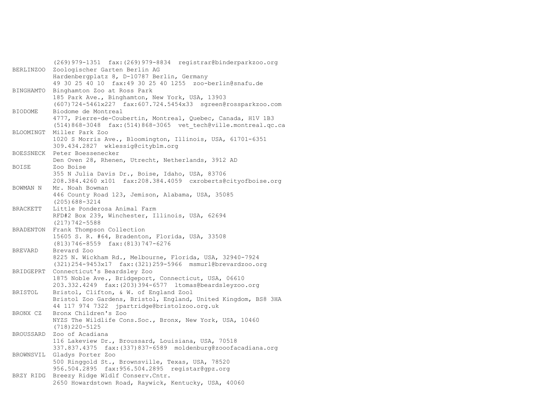(269)979-1351 fax:(269)979-8834 registrar@binderparkzoo.org BERLINZOO Zoologischer Garten Berlin AG Hardenbergplatz 8, D-10787 Berlin, Germany 49 30 25 40 10 fax:49 30 25 40 1255 zoo-berlin@snafu.de BINGHAMTO Binghamton Zoo at Ross Park 185 Park Ave., Binghamton, New York, USA, 13903 (607)724-5461x227 fax:607.724.5454x33 sgreen@rossparkzoo.com BIODOME Biodome de Montreal 4777, Pierre-de-Coubertin, Montreal, Quebec, Canada, H1V 1B3 (514)868-3048 fax:(514)868-3065 vet\_tech@ville.montreal.qc.ca BLOOMINGT Miller Park Zoo 1020 S Morris Ave., Bloomington, Illinois, USA, 61701-6351 309.434.2827 wklessig@cityblm.org BOESSNECK Peter Boessenecker Den Oven 28, Rhenen, Utrecht, Netherlands, 3912 AD BOISE Zoo Boise 355 N Julia Davis Dr., Boise, Idaho, USA, 83706 208.384.4260 x101 fax:208.384.4059 cxroberts@cityofboise.org BOWMAN N Mr. Noah Bowman 446 County Road 123, Jemison, Alabama, USA, 35085 (205)688-3214 BRACKETT Little Ponderosa Animal Farm RFD#2 Box 239, Winchester, Illinois, USA, 62694 (217)742-5588 BRADENTON Frank Thompson Collection 15605 S. R. #64, Bradenton, Florida, USA, 33508 (813)746-8559 fax:(813)747-6276 BREVARD Brevard Zoo 8225 N. Wickham Rd., Melbourne, Florida, USA, 32940-7924 (321)254-9453x17 fax:(321)259-5966 msmurl@brevardzoo.org BRIDGEPRT Connecticut's Beardsley Zoo 1875 Noble Ave., Bridgeport, Connecticut, USA, 06610 203.332.4249 fax:(203)394-6577 ltomas@beardsleyzoo.org BRISTOL Bristol, Clifton, & W. of England Zool Bristol Zoo Gardens, Bristol, England, United Kingdom, BS8 3HA 44 117 974 7322 jpartridge@bristolzoo.org.uk BRONX CZ Bronx Children's Zoo NYZS The Wildlife Cons.Soc., Bronx, New York, USA, 10460 (718)220-5125 BROUSSARD Zoo of Acadiana 116 Lakeview Dr., Broussard, Louisiana, USA, 70518 337.837.4375 fax:(337)837-6589 moldenburg@zooofacadiana.org BROWNSVIL Gladys Porter Zoo 500 Ringgold St., Brownsville, Texas, USA, 78520 956.504.2895 fax:956.504.2895 registar@gpz.org BRZY RIDG Breezy Ridge Wldlf Conserv.Cntr. 2650 Howardstown Road, Raywick, Kentucky, USA, 40060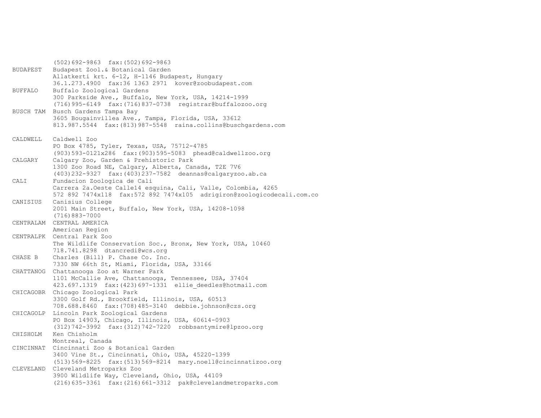(502)692-9863 fax:(502)692-9863 BUDAPEST Budapest Zool.& Botanical Garden Allatkerti krt. 6-12, H-1146 Budapest, Hungary 36.1.273.4900 fax:36 1363 2971 kover@zoobudapest.com BUFFALO Buffalo Zoological Gardens 300 Parkside Ave., Buffalo, New York, USA, 14214-1999 (716)995-6149 fax:(716)837-0738 registrar@buffalozoo.org BUSCH TAM Busch Gardens Tampa Bay 3605 Bougainvillea Ave., Tampa, Florida, USA, 33612 813.987.5544 fax:(813)987-5548 raina.collins@buschgardens.com CALDWELL Caldwell Zoo PO Box 4785, Tyler, Texas, USA, 75712-4785 (903)593-0121x286 fax:(903)595-5083 phead@caldwellzoo.org CALGARY Calgary Zoo, Garden & Prehistoric Park 1300 Zoo Road NE, Calgary, Alberta, Canada, T2E 7V6 (403)232-9327 fax:(403)237-7582 deannas@calgaryzoo.ab.ca CALI Fundacion Zoologica de Cali Carrera 2a.Oeste Calle14 esquina, Cali, Valle, Colombia, 4265 572 892 7474x118 fax:572 892 7474x105 adrigiron@zoologicodecali.com.co CANISIUS Canisius College 2001 Main Street, Buffalo, New York, USA, 14208-1098 (716)883-7000 CENTRALAM CENTRAL AMERICA American Region CENTRALPK Central Park Zoo The Wildlife Conservation Soc., Bronx, New York, USA, 10460 718.741.8298 dtancredi@wcs.org CHASE B Charles (Bill) P. Chase Co. Inc. 7330 NW 66th St, Miami, Florida, USA, 33166 CHATTANOG Chattanooga Zoo at Warner Park 1101 McCallie Ave, Chattanooga, Tennessee, USA, 37404 423.697.1319 fax:(423)697-1331 ellie\_deedles@hotmail.com CHICAGOBR Chicago Zoological Park 3300 Golf Rd., Brookfield, Illinois, USA, 60513 708.688.8460 fax:(708)485-3140 debbie.johnson@czs.org CHICAGOLP Lincoln Park Zoological Gardens PO Box 14903, Chicago, Illinois, USA, 60614-0903 (312)742-3992 fax:(312)742-7220 robbsantymire@lpzoo.org CHISHOLM Ken Chisholm Montreal, Canada CINCINNAT Cincinnati Zoo & Botanical Garden 3400 Vine St., Cincinnati, Ohio, USA, 45220-1399 (513)569-8225 fax:(513)569-8214 mary.noell@cincinnatizoo.org CLEVELAND Cleveland Metroparks Zoo 3900 Wildlife Way, Cleveland, Ohio, USA, 44109 (216)635-3361 fax:(216)661-3312 pak@clevelandmetroparks.com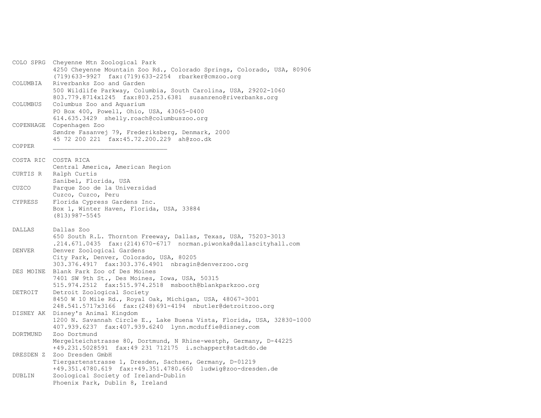COLO SPRG Cheyenne Mtn Zoological Park 4250 Cheyenne Mountain Zoo Rd., Colorado Springs, Colorado, USA, 80906 (719)633-9927 fax:(719)633-2254 rbarker@cmzoo.org COLUMBIA Riverbanks Zoo and Garden 500 Wildlife Parkway, Columbia, South Carolina, USA, 29202-1060 803.779.8714x1245 fax:803.253.6381 susanreno@riverbanks.org COLUMBUS Columbus Zoo and Aquarium PO Box 400, Powell, Ohio, USA, 43065-0400 614.635.3429 shelly.roach@columbuszoo.org COPENHAGE Copenhagen Zoo Søndre Fasanvej 79, Frederiksberg, Denmark, 2000 45 72 200 221 fax:45.72.200.229 ah@zoo.dk COPPER \_\_\_\_\_\_\_\_\_\_\_\_\_\_\_\_\_\_\_\_\_\_\_\_\_\_\_\_\_\_\_ COSTA RIC COSTA RICA Central America, American Region CURTIS R Ralph Curtis Sanibel, Florida, USA CUZCO Parque Zoo de la Universidad Cuzco, Cuzco, Peru CYPRESS Florida Cypress Gardens Inc. Box 1, Winter Haven, Florida, USA, 33884 (813)987-5545 DALLAS Dallas Zoo 650 South R.L. Thornton Freeway, Dallas, Texas, USA, 75203-3013 .214.671.0435 fax:(214)670-6717 norman.piwonka@dallascityhall.com DENVER Denver Zoological Gardens City Park, Denver, Colorado, USA, 80205 303.376.4917 fax:303.376.4901 nbragin@denverzoo.org DES MOINE Blank Park Zoo of Des Moines 7401 SW 9th St., Des Moines, Iowa, USA, 50315 515.974.2512 fax:515.974.2518 msbooth@blankparkzoo.org DETROIT Detroit Zoological Society 8450 W 10 Mile Rd., Royal Oak, Michigan, USA, 48067-3001 248.541.5717x3166 fax:(248)691-4194 nbutler@detroitzoo.org DISNEY AK Disney's Animal Kingdom 1200 N. Savannah Circle E., Lake Buena Vista, Florida, USA, 32830-1000 407.939.6237 fax:407.939.6240 lynn.mcduffie@disney.com DORTMUND Zoo Dortmund Mergelteichstrasse 80, Dortmund, N Rhine-westph, Germany, D-44225 +49.231.5028591 fax:49 231 712175 i.schappert@stadtdo.de DRESDEN Z Zoo Dresden GmbH Tiergartenstrasse 1, Dresden, Sachsen, Germany, D-01219 +49.351.4780.619 fax:+49.351.4780.660 ludwig@zoo-dresden.de DUBLIN Zoological Society of Ireland-Dublin Phoenix Park, Dublin 8, Ireland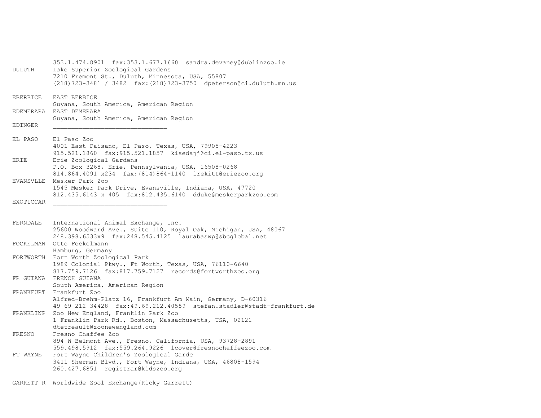353.1.474.8901 fax:353.1.677.1660 sandra.devaney@dublinzoo.ie DULUTH Lake Superior Zoological Gardens 7210 Fremont St., Duluth, Minnesota, USA, 55807 (218)723-3481 / 3482 fax:(218)723-3750 dpeterson@ci.duluth.mn.us EBERBICE EAST BERBICE Guyana, South America, American Region EDEMERARA EAST DEMERARA Guyana, South America, American Region EDINGER EL PASO El Paso Zoo 4001 East Paisano, El Paso, Texas, USA, 79905-4223 915.521.1860 fax:915.521.1857 kisedajj@ci.el-paso.tx.us ERIE Erie Zoological Gardens P.O. Box 3268, Erie, Pennsylvania, USA, 16508-0268 814.864.4091 x234 fax:(814)864-1140 lrekitt@eriezoo.org EVANSVLLE Mesker Park Zoo 1545 Mesker Park Drive, Evansville, Indiana, USA, 47720 812.435.6143 x 405 fax:812.435.6140 dduke@meskerparkzoo.com EXOTICCAR FERNDALE International Animal Exchange, Inc. 25600 Woodward Ave., Suite 110, Royal Oak, Michigan, USA, 48067 248.398.6533x9 fax:248.545.4125 laurabaswp@sbcglobal.net FOCKELMAN Otto Fockelmann Hamburg, Germany FORTWORTH Fort Worth Zoological Park 1989 Colonial Pkwy., Ft Worth, Texas, USA, 76110-6640 817.759.7126 fax:817.759.7127 records@fortworthzoo.org FR GUIANA FRENCH GUIANA South America, American Region FRANKFURT Frankfurt Zoo Alfred-Brehm-Platz 16, Frankfurt Am Main, Germany, D-60316 49 69 212 34428 fax:49.69.212.40559 stefan.stadler@stadt-frankfurt.de FRANKLINP Zoo New England, Franklin Park Zoo 1 Franklin Park Rd., Boston, Massachusetts, USA, 02121 dtetreault@zoonewengland.com FRESNO Fresno Chaffee Zoo 894 W Belmont Ave., Fresno, California, USA, 93728-2891 559.498.5912 fax:559.264.9226 lcover@fresnochaffeezoo.com FT WAYNE Fort Wayne Children's Zoological Garde 3411 Sherman Blvd., Fort Wayne, Indiana, USA, 46808-1594 260.427.6851 registrar@kidszoo.org

GARRETT R Worldwide Zool Exchange(Ricky Garrett)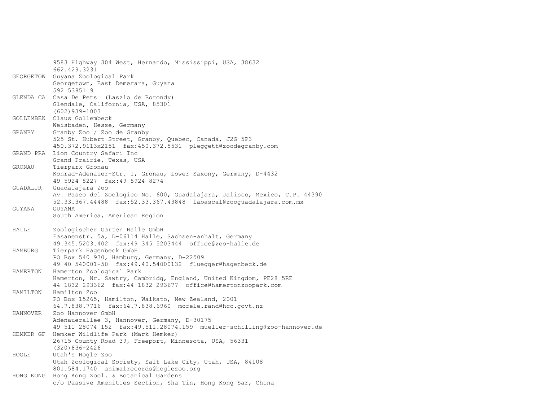|           | 9583 Highway 304 West, Hernando, Mississippi, USA, 38632                                             |
|-----------|------------------------------------------------------------------------------------------------------|
|           | 662.429.3231                                                                                         |
| GEORGETOW | Guyana Zoological Park                                                                               |
|           | Georgetown, East Demerara, Guyana<br>592 53851 9                                                     |
|           | GLENDA CA Casa De Pets (Laszlo de Borondy)                                                           |
|           | Glendale, California, USA, 85301<br>$(602)$ 939-1003                                                 |
| GOLLEMBEK | Claus Gollembeck                                                                                     |
|           | Weisbaden, Hesse, Germany                                                                            |
| GRANBY    | Granby Zoo / Zoo de Granby                                                                           |
|           | 525 St. Hubert Street, Granby, Quebec, Canada, J2G 5P3                                               |
|           | 450.372.9113x2151 fax:450.372.5531 pleggett@zoodegranby.com                                          |
|           | GRAND PRA Lion Country Safari Inc                                                                    |
|           | Grand Prairie, Texas, USA                                                                            |
| GRONAU    | Tierpark Gronau                                                                                      |
|           | Konrad-Adenauer-Str. 1, Gronau, Lower Saxony, Germany, D-4432                                        |
|           | 49 5924 8227 fax:49 5924 8274                                                                        |
| GUADALJR  | Guadalajara Zoo                                                                                      |
|           | Av. Paseo del Zoologico No. 600, Guadalajara, Jalisco, Mexico, C.P. 44390                            |
|           | 52.33.367.44488 fax:52.33.367.43848 labascal@zooquadalajara.com.mx                                   |
| GUYANA    | GUYANA                                                                                               |
|           | South America, American Region                                                                       |
| HALLE     | Zoologischer Garten Halle GmbH                                                                       |
|           |                                                                                                      |
|           | Fasanenstr. 5a, D-06114 Halle, Sachsen-anhalt, Germany                                               |
|           | 49.345.5203.402 fax:49 345 5203444 office@zoo-halle.de                                               |
| HAMBURG   | Tierpark Hagenbeck GmbH                                                                              |
|           | PO Box 540 930, Hamburg, Germany, D-22509                                                            |
|           | 49 40 540001-50 fax:49.40.54000132 fluegger@hagenbeck.de                                             |
| HAMERTON  | Hamerton Zoological Park                                                                             |
|           | Hamerton, Nr. Sawtry, Cambridg, England, United Kingdom, PE28 5RE                                    |
|           | 44 1832 293362 fax: 44 1832 293677 office@hamertonzoopark.com                                        |
| HAMILTON  | Hamilton Zoo                                                                                         |
|           | PO Box 15265, Hamilton, Waikato, New Zealand, 2001                                                   |
|           | 64.7.838.7716    fax:64.7.838.6960    morele.rand@hcc.govt.nz                                        |
| HANNOVER  | Zoo Hannover GmbH                                                                                    |
|           | Adenauerallee 3, Hannover, Germany, D-30175                                                          |
|           | 49 511 28074 152 fax:49.511.28074.159 mueller-schilling@zoo-hannover.de                              |
| HEMKER GF | Hemker Wildlife Park (Mark Hemker)                                                                   |
|           | 26715 County Road 39, Freeport, Minnesota, USA, 56331                                                |
|           | $(320)836 - 2426$                                                                                    |
| HOGLE     | Utah's Hogle Zoo                                                                                     |
|           | Utah Zoological Society, Salt Lake City, Utah, USA, 84108<br>801.584.1740 animalrecords@hoglezoo.org |
|           | HONG KONG Hong Kong Zool. & Botanical Gardens                                                        |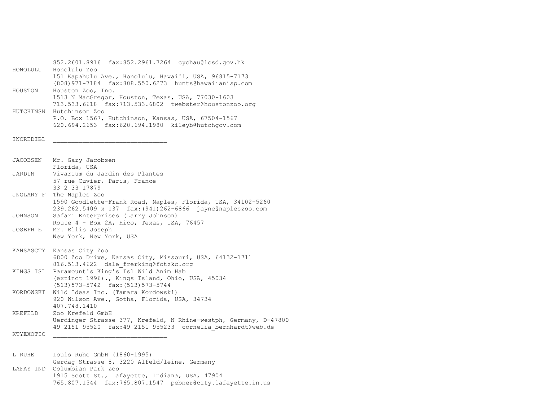852.2601.8916 fax:852.2961.7264 cychau@lcsd.gov.hk HONOLULU Honolulu Zoo 151 Kapahulu Ave., Honolulu, Hawai'i, USA, 96815-7173 (808)971-7184 fax:808.550.6273 hunts@hawaiianisp.com HOUSTON Houston Zoo, Inc. 1513 N MacGregor, Houston, Texas, USA, 77030-1603 713.533.6618 fax:713.533.6802 twebster@houstonzoo.org HUTCHINSN Hutchinson Zoo P.O. Box 1567, Hutchinson, Kansas, USA, 67504-1567 620.694.2653 fax:620.694.1980 kileyb@hutchgov.com INCREDIBL \_\_\_\_\_\_\_\_\_\_\_\_\_\_\_\_\_\_\_\_\_\_\_\_\_\_\_\_\_\_\_ JACOBSEN Mr. Gary Jacobsen Florida, USA JARDIN Vivarium du Jardin des Plantes 57 rue Cuvier, Paris, France 33 2 33 17879 JNGLARY F The Naples Zoo 1590 Goodlette-Frank Road, Naples, Florida, USA, 34102-5260 239.262.5409 x 137 fax:(941)262-6866 jayne@napleszoo.com JOHNSON L Safari Enterprises (Larry Johnson) Route 4 - Box 2A, Hico, Texas, USA, 76457 JOSEPH E Mr. Ellis Joseph New York, New York, USA KANSASCTY Kansas City Zoo 6800 Zoo Drive, Kansas City, Missouri, USA, 64132-1711 816.513.4622 dale frerking@fotzkc.org KINGS ISL Paramount's King's Isl Wild Anim Hab (extinct 1996)., Kings Island, Ohio, USA, 45034 (513)573-5742 fax:(513)573-5744 KORDOWSKI Wild Ideas Inc. (Tamara Kordowski) 920 Wilson Ave., Gotha, Florida, USA, 34734 407.748.1410 KREFELD Zoo Krefeld GmbH Uerdinger Strasse 377, Krefeld, N Rhine-westph, Germany, D-47800 49 2151 95520 fax:49 2151 955233 cornelia\_bernhardt@web.de KTYEXOTIC L RUHE Louis Ruhe GmbH (1860-1995) Gerdag Strasse 8, 3220 Alfeld/leine, Germany LAFAY IND Columbian Park Zoo

 1915 Scott St., Lafayette, Indiana, USA, 47904 765.807.1544 fax:765.807.1547 pebner@city.lafayette.in.us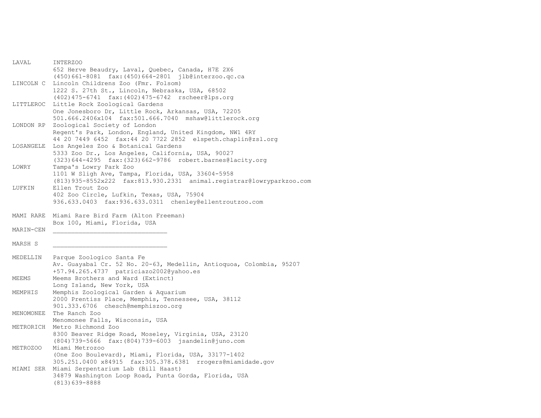| LAVAL     | INTERZOO                                                                                                           |
|-----------|--------------------------------------------------------------------------------------------------------------------|
|           | 652 Herve Beaudry, Laval, Quebec, Canada, H7E 2X6                                                                  |
|           | $(450)661-8081$ fax: $(450)664-2801$ jlb@interzoo.qc.ca                                                            |
|           | LINCOLN C Lincoln Childrens Zoo (Fmr. Folsom)                                                                      |
|           | 1222 S. 27th St., Lincoln, Nebraska, USA, 68502                                                                    |
|           | (402) 475-6741 fax: (402) 475-6742 rscheer@lps.org                                                                 |
|           | LITTLEROC Little Rock Zoological Gardens                                                                           |
|           | One Jonesboro Dr, Little Rock, Arkansas, USA, 72205                                                                |
|           |                                                                                                                    |
|           |                                                                                                                    |
| LONDON RP | Zoological Society of London                                                                                       |
|           | Regent's Park, London, England, United Kingdom, NW1 4RY                                                            |
|           | 44 20 7449 6452 fax:44 20 7722 2852 elspeth.chaplin@zsl.org                                                        |
| LOSANGELE | Los Angeles Zoo & Botanical Gardens                                                                                |
|           | 5333 Zoo Dr., Los Angeles, California, USA, 90027                                                                  |
|           | (323) 644-4295 fax: (323) 662-9786 robert.barnes@lacity.org                                                        |
| LOWRY     | Tampa's Lowry Park Zoo                                                                                             |
|           | 1101 W Sligh Ave, Tampa, Florida, USA, 33604-5958                                                                  |
|           | (813) 935-8552x222 fax: 813. 930. 2331 animal. registrar@lowryparkzoo.com                                          |
| LUFKIN    | Ellen Trout Zoo                                                                                                    |
|           | 402 Zoo Circle, Lufkin, Texas, USA, 75904                                                                          |
|           | 936.633.0403 fax:936.633.0311 chenley@ellentroutzoo.com                                                            |
|           |                                                                                                                    |
|           | MAMI RARE Miami Rare Bird Farm (Alton Freeman)                                                                     |
|           | Box 100, Miami, Florida, USA                                                                                       |
| MARIN-CEN |                                                                                                                    |
|           |                                                                                                                    |
| MARSH S   |                                                                                                                    |
|           |                                                                                                                    |
| MEDELLIN  | Parque Zoologico Santa Fe                                                                                          |
|           | Av. Guayabal Cr. 52 No. 20-63, Medellin, Antioquoa, Colombia, 95207                                                |
|           | +57.94.265.4737 patriciazo2002@yahoo.es                                                                            |
|           | Meems Brothers and Ward (Extinct)                                                                                  |
| MEEMS     |                                                                                                                    |
|           | Long Island, New York, USA                                                                                         |
| MEMPHIS   | Memphis Zoological Garden & Aquarium                                                                               |
|           | 2000 Prentiss Place, Memphis, Tennessee, USA, 38112                                                                |
|           | 901.333.6706 chesch@memphiszoo.org                                                                                 |
| MENOMONEE | The Ranch Zoo                                                                                                      |
|           | Menomonee Falls, Wisconsin, USA                                                                                    |
|           | METRORICH Metro Richmond Zoo                                                                                       |
|           | 8300 Beaver Ridge Road, Moseley, Virginia, USA, 23120                                                              |
|           | (804) 739-5666 fax: (804) 739-6003 jsandelin@juno.com                                                              |
| METROZOO  | Miami Metrozoo                                                                                                     |
|           |                                                                                                                    |
|           |                                                                                                                    |
|           | (One Zoo Boulevard), Miami, Florida, USA, 33177-1402<br>305.251.0400 x84915 fax:305.378.6381 rrogers@miamidade.gov |
|           |                                                                                                                    |
|           | MIAMI SER Miami Serpentarium Lab (Bill Haast)<br>34879 Washington Loop Road, Punta Gorda, Florida, USA             |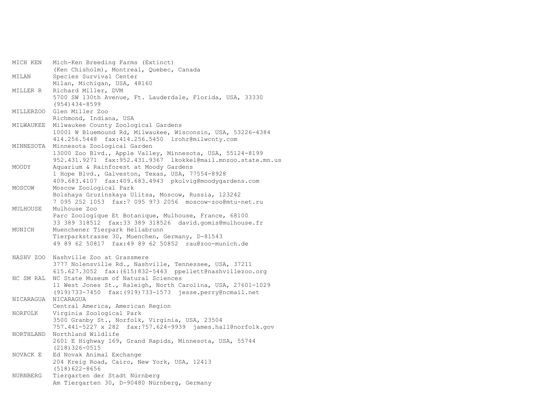| MICH KEN  | Mich-Ken Breeding Farms (Extinct)                            |
|-----------|--------------------------------------------------------------|
|           | (Ken Chisholm), Montreal, Quebec, Canada                     |
| MILAN     | Species Survival Center                                      |
|           | Milan, Michigan, USA, 48160                                  |
| MILLER R  | Richard Miller, DVM                                          |
|           | 5700 SW 130th Avenue, Ft. Lauderdale, Florida, USA, 33330    |
|           | $(954)$ 434-8599                                             |
| MILLERZOO | Glen Miller Zoo                                              |
|           | Richmond, Indiana, USA                                       |
| MILWAUKEE | Milwaukee County Zoological Gardens                          |
|           | 10001 W Bluemound Rd, Milwaukee, Wisconsin, USA, 53226-4384  |
|           | 414.256.5448 fax:414.256.5450 lrohr@milwcnty.com             |
| MINNESOTA | Minnesota Zoological Garden                                  |
|           | 13000 Zoo Blvd., Apple Valley, Minnesota, USA, 55124-8199    |
|           | 952.431.9271 fax:952.431.9367 lkokkel@mail.mnzoo.state.mn.us |
| MOODY     | Aquarium & Rainforest at Moody Gardens                       |
|           | 1 Hope Blvd., Galveston, Texas, USA, 77554-8928              |
|           | 409.683.4107 fax:409.683.4943 pkolvig@moodygardens.com       |
| MOSCOW    | Moscow Zoological Park                                       |
|           | Bolshaya Gruzinskaya Ulitsa, Moscow, Russia, 123242          |
|           | 7 095 252 1053 fax: 7 095 973 2056 moscow-zoo@mtu-net.ru     |
| MULHOUSE  | Mulhouse Zoo                                                 |
|           | Parc Zoologique Et Botanique, Mulhouse, France, 68100        |
|           | 33 389 318512 fax:33 389 318526 david.gomis@mulhouse.fr      |
| MUNICH    | Muenchener Tierpark Hellabrunn                               |
|           | Tierparkstrasse 30, Muenchen, Germany, D-81543               |
|           | 49 89 62 50817 fax:49 89 62 50852 rau@zoo-munich.de          |
|           |                                                              |
|           | NASHV ZOO Nashville Zoo at Grassmere                         |
|           | 3777 Nolensville Rd., Nashville, Tennessee, USA, 37211       |
|           | 615.627.3052 fax: (615) 832-5443 ppellett@nashvillezoo.org   |
| NC SM RAL | NC State Museum of Natural Sciences                          |
|           | 11 West Jones St., Raleigh, North Carolina, USA, 27601-1029  |
|           | (919) 733-7450 fax: (919) 733-1573 jesse.perry@ncmail.net    |
| NICARAGUA | NICARAGUA                                                    |
|           | Central America, American Region                             |
| NORFOLK   | Virginia Zoological Park                                     |
|           | 3500 Granby St., Norfolk, Virginia, USA, 23504               |
|           | 757.441-5227 x 282 fax:757.624-9939 james.hall@norfolk.gov   |
| NORTHLAND | Northland Wildlife                                           |
|           | 2601 E Highway 169, Grand Rapids, Minnesota, USA, 55744      |
|           | $(218)326 - 0515$                                            |
| NOVACK E  | Ed Novak Animal Exchange                                     |
|           | 204 Kreig Road, Cairo, New York, USA, 12413                  |
|           | $(518)622 - 8656$                                            |
| NURNBERG  | Tiergarten der Stadt Nürnberg                                |
|           | Am Tiergarten 30, D-90480 Nürnberg, Germany                  |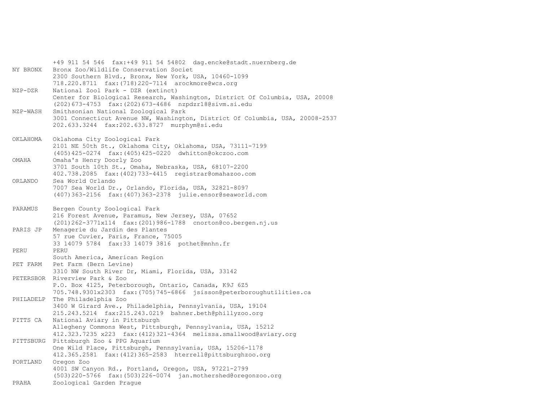+49 911 54 546 fax:+49 911 54 54802 dag.encke@stadt.nuernberg.de NY BRONX Bronx Zoo/Wildlife Conservation Societ 2300 Southern Blvd., Bronx, New York, USA, 10460-1099 718.220.8711 fax:(718)220-7114 arockmore@wcs.org NZP-DZR National Zool Park - DZR (extinct) Center for Biological Research, Washington, District Of Columbia, USA, 20008 (202)673-4753 fax:(202)673-4686 nzpdzr18@sivm.si.edu NZP-WASH Smithsonian National Zoological Park 3001 Connecticut Avenue NW, Washington, District Of Columbia, USA, 20008-2537 202.633.3244 fax:202.633.8727 murphym@si.edu OKLAHOMA Oklahoma City Zoological Park 2101 NE 50th St., Oklahoma City, Oklahoma, USA, 73111-7199 (405)425-0274 fax:(405)425-0220 dwhitton@okczoo.com OMAHA Omaha's Henry Doorly Zoo 3701 South 10th St., Omaha, Nebraska, USA, 68107-2200 402.738.2085 fax:(402)733-4415 registrar@omahazoo.com ORLANDO Sea World Orlando 7007 Sea World Dr., Orlando, Florida, USA, 32821-8097 (407)363-2156 fax:(407)363-2378 julie.ensor@seaworld.com PARAMUS Bergen County Zoological Park 216 Forest Avenue, Paramus, New Jersey, USA, 07652 (201)262-3771x114 fax:(201)986-1788 cnorton@co.bergen.nj.us PARIS JP Menagerie du Jardin des Plantes 57 rue Cuvier, Paris, France, 75005 33 14079 5784 fax:33 14079 3816 pothet@mnhn.fr PERU PERU South America, American Region PET FARM Pet Farm (Bern Levine) 3310 NW South River Dr, Miami, Florida, USA, 33142 PETERSBOR Riverview Park & Zoo P.O. Box 4125, Peterborough, Ontario, Canada, K9J 6Z5 705.748.9301x2303 fax:(705)745-6866 jsisson@peterboroughutilities.ca PHILADELP The Philadelphia Zoo 3400 W Girard Ave., Philadelphia, Pennsylvania, USA, 19104 215.243.5214 fax:215.243.0219 bahner.beth@phillyzoo.org PITTS CA National Aviary in Pittsburgh Allegheny Commons West, Pittsburgh, Pennsylvania, USA, 15212 412.323.7235 x223 fax:(412)321-4364 melissa.smallwood@aviary.org PITTSBURG Pittsburgh Zoo & PPG Aquarium One Wild Place, Pittsburgh, Pennsylvania, USA, 15206-1178 412.365.2581 fax:(412)365-2583 hterrell@pittsburghzoo.org PORTLAND Oregon Zoo 4001 SW Canyon Rd., Portland, Oregon, USA, 97221-2799 (503)220-5766 fax:(503)226-0074 jan.mothershed@oregonzoo.org PRAHA Zoological Garden Prague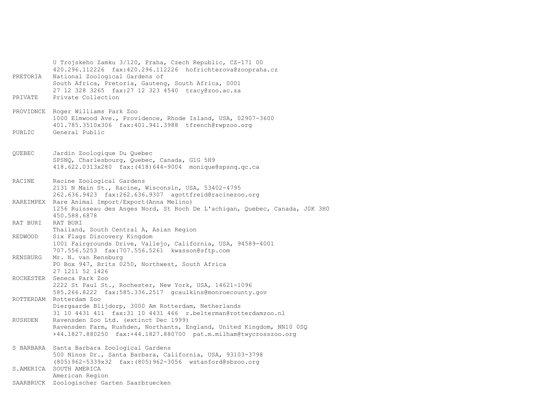U Trojskeho Zamku 3/120, Praha, Czech Republic, CZ-171 00 420.296.112226 fax:420.296.112226 hofrichterova@zoopraha.cz PRETORIA National Zoological Gardens of South Africa, Pretoria, Gauteng, South Africa, 0001 27 12 328 3265 fax:27 12 323 4540 tracy@zoo.ac.za PRIVATE Private Collection PROVIDNCE Roger Williams Park Zoo 1000 Elmwood Ave., Providence, Rhode Island, USA, 02907-3600 401.785.3510x306 fax:401.941.3988 tfrench@rwpzoo.org PUBLIC General Public QUEBEC Jardin Zoologique Du Quebec SPSNQ, Charlesbourg, Quebec, Canada, G1G 5H9 418.622.0313x280 fax:(418)644-9004 monique@spsnq.qc.ca RACINE Racine Zoological Gardens 2131 N Main St., Racine, Wisconsin, USA, 53402-4795 262.636.9423 fax:262.636.9307 agottfreid@racinezoo.org RAREIMPEX Rare Animal Import/Export(Anna Melino) 1256 Ruisseau des Anges Nord, St Roch De L'achigan, Quebec, Canada, J0K 3H0 450.588.6878 RAT BURI RAT BURI Thailand, South Central A, Asian Region REDWOOD Six Flags Discovery Kingdom 1001 Fairgrounds Drive, Vallejo, California, USA, 94589-4001 707.556.5253 fax:707.556.5261 kwasson@sftp.com RENSBURG Mr. N. van Rensburg PO Box 947, Brits 0250, Northwest, South Africa 27 1211 52 1426 ROCHESTER Seneca Park Zoo 2222 St Paul St., Rochester, New York, USA, 14621-1096 585.266.8222 fax:585.336.2517 gcaulkins@monroecounty.gov ROTTERDAM Rotterdam Zoo Diergaarde Blijdorp, 3000 Am Rotterdam, Netherlands 31 10 4431 411 fax:31 10 4431 466 r.belterman@rotterdamzoo.nl RUSHDEN Ravensden Zoo Ltd. (extinct Dec 1999) Ravensden Farm, Rushden, Northants, England, United Kingdom, NN10 0SQ +44.1827.880250 fax:+44.1827.880700 pat.m.milham@twycrosszoo.org S BARBARA Santa Barbara Zoological Gardens 500 Ninos Dr., Santa Barbara, California, USA, 93103-3798 (805)962-5339x32 fax:(805)962-3056 wstanford@sbzoo.org S.AMERICA SOUTH AMERICA American Region SAARBRUCK Zoologischer Garten Saarbruecken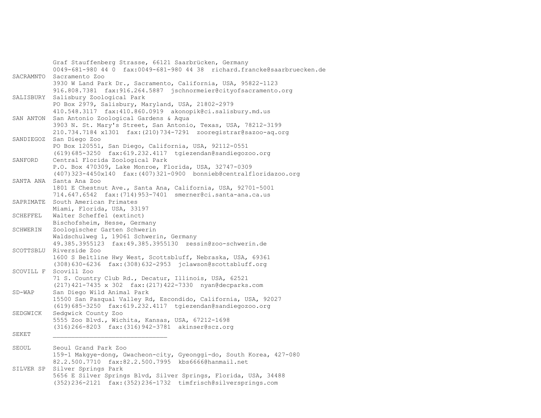Graf Stauffenberg Strasse, 66121 Saarbrücken, Germany 0049-681-980 44 0 fax:0049-681-980 44 38 richard.francke@saarbruecken.de SACRAMNTO Sacramento Zoo 3930 W Land Park Dr., Sacramento, California, USA, 95822-1123 916.808.7381 fax:916.264.5887 jschnormeier@cityofsacramento.org SALISBURY Salisbury Zoological Park PO Box 2979, Salisbury, Maryland, USA, 21802-2979 410.548.3117 fax:410.860.0919 akonopik@ci.salisbury.md.us SAN ANTON San Antonio Zoological Gardens & Aqua 3903 N. St. Mary's Street, San Antonio, Texas, USA, 78212-3199 210.734.7184 x1301 fax:(210)734-7291 zooregistrar@sazoo-aq.org SANDIEGOZ San Diego Zoo PO Box 120551, San Diego, California, USA, 92112-0551 (619)685-3250 fax:619.232.4117 tgiezendan@sandiegozoo.org SANFORD Central Florida Zoological Park P.O. Box 470309, Lake Monroe, Florida, USA, 32747-0309 (407)323-4450x140 fax:(407)321-0900 bonnieb@centralfloridazoo.org SANTA ANA Santa Ana Zoo 1801 E Chestnut Ave., Santa Ana, California, USA, 92701-5001 714.647.6542 fax:(714)953-7401 smerner@ci.santa-ana.ca.us SAPRIMATE South American Primates Miami, Florida, USA, 33197 SCHEFFEL Walter Scheffel (extinct) Bischofsheim, Hesse, Germany SCHWERIN Zoologischer Garten Schwerin Waldschulweg 1, 19061 Schwerin, Germany 49.385.3955123 fax:49.385.3955130 zessin@zoo-schwerin.de SCOTTSBLU Riverside Zoo 1600 S Beltline Hwy West, Scottsbluff, Nebraska, USA, 69361 (308)630-6236 fax:(308)632-2953 jclawson@scottsbluff.org SCOVILL F Scovill Zoo 71 S. Country Club Rd., Decatur, Illinois, USA, 62521 (217)421-7435 x 302 fax:(217)422-7330 nyan@decparks.com SD-WAP San Diego Wild Animal Park 15500 San Pasqual Valley Rd, Escondido, California, USA, 92027 (619)685-3250 fax:619.232.4117 tgiezendan@sandiegozoo.org SEDGWICK Sedgwick County Zoo 5555 Zoo Blvd., Wichita, Kansas, USA, 67212-1698 (316)266-8203 fax:(316)942-3781 akinser@scz.org  $SEKET$ SEOUL Seoul Grand Park Zoo 159-1 Makgye-dong, Gwacheon-city, Gyeonggi-do, South Korea, 427-080 82.2.500.7710 fax:82.2.500.7995 kbs6666@hanmail.net SILVER SP Silver Springs Park 5656 E Silver Springs Blvd, Silver Springs, Florida, USA, 34488 (352)236-2121 fax:(352)236-1732 timfrisch@silversprings.com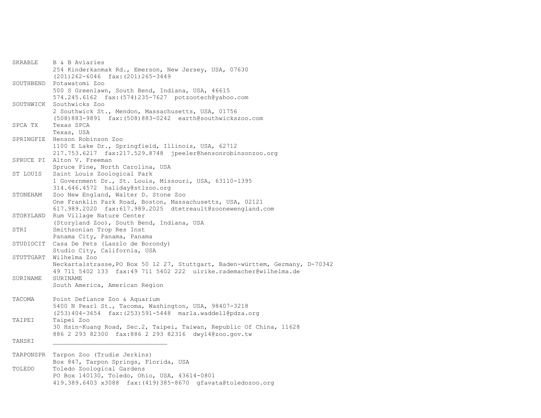| SKRABLE   | B & B Aviaries                                                                                                           |
|-----------|--------------------------------------------------------------------------------------------------------------------------|
|           | 254 Kinderkanmak Rd., Emerson, New Jersey, USA, 07630<br>(201) 262-6046 fax: (201) 265-3449                              |
|           | SOUTHBEND Potawatomi Zoo                                                                                                 |
|           | 500 S Greenlawn, South Bend, Indiana, USA, 46615                                                                         |
|           | 574.245.6162 fax: (574) 235-7627 potzootech@yahoo.com<br>SOUTHWICK Southwicks Zoo                                        |
|           | 2 Southwick St., Mendon, Massachusetts, USA, 01756                                                                       |
|           | (508) 883-9891 fax: (508) 883-0242 earth@southwickszoo.com                                                               |
| SPCA TX   | Texas SPCA                                                                                                               |
|           | Texas, USA<br>SPRINGFIE Henson Robinson Zoo                                                                              |
|           | 1100 E Lake Dr., Springfield, Illinois, USA, 62712                                                                       |
|           | 217.753.6217 fax:217.529.8748 jpeeler@hensonrobinsonzoo.org                                                              |
|           | SPRUCE PI Alton V. Freeman                                                                                               |
| ST LOUIS  | Spruce Pine, North Carolina, USA<br>Saint Louis Zoological Park                                                          |
|           | 1 Government Dr., St. Louis, Missouri, USA, 63110-1395                                                                   |
|           | 314.646.4572 haliday@stlzoo.org                                                                                          |
| STONEHAM  | Zoo New England, Walter D. Stone Zoo                                                                                     |
|           | One Franklin Park Road, Boston, Massachusetts, USA, 02121<br>617.989.2020 fax: 617.989.2025 dtetreault@zoonewengland.com |
|           | STORYLAND Rum Village Nature Center                                                                                      |
|           | (Storyland Zoo), South Bend, Indiana, USA                                                                                |
| STRI      | Smithsonian Trop Res Inst                                                                                                |
|           | Panama City, Panama, Panama<br>STUDIOCIT Casa De Pets (Laszlo de Borondy)                                                |
|           | Studio City, California, USA                                                                                             |
|           | STUTTGART Wilhelma Zoo                                                                                                   |
|           | Neckartalstrasse, PO Box 50 12 27, Stuttgart, Baden-württem, Germany, D-70342                                            |
| SURINAME  | 49 711 5402 133 fax:49 711 5402 222 ulrike.rademacher@wilhelma.de<br>SURINAME                                            |
|           | South America, American Region                                                                                           |
|           |                                                                                                                          |
| TACOMA    | Point Defiance Zoo & Aquarium                                                                                            |
|           | 5400 N Pearl St., Tacoma, Washington, USA, 98407-3218<br>(253) 404-3654 fax: (253) 591-5448 marla.waddell@pdza.org       |
| TAIPEI    | Taipei Zoo                                                                                                               |
|           | 30 Hsin-Kuang Road, Sec.2, Taipei, Taiwan, Republic Of China, 11628                                                      |
|           | 886 2 293 82300 fax:886 2 293 82316 dwy14@zoo.gov.tw                                                                     |
| TANSKI    |                                                                                                                          |
| TARPONSPR | Tarpon Zoo (Trudie Jerkins)                                                                                              |
|           | Box 847, Tarpon Springs, Florida, USA                                                                                    |
| TOLEDO    | Toledo Zoological Gardens                                                                                                |
|           | PO Box 140130, Toledo, Ohio, USA, 43614-0801<br>419.389.6403 x3088 fax: (419) 385-8670 qfavata@dtoledozoo.org            |
|           |                                                                                                                          |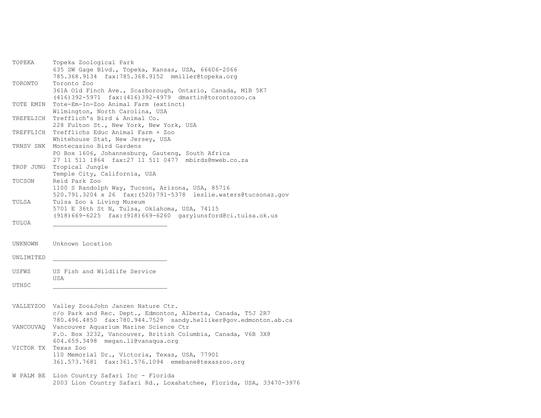| TOPEKA    | Topeka Zoological Park                                                 |
|-----------|------------------------------------------------------------------------|
|           | 635 SW Gage Blvd., Topeka, Kansas, USA, 66606-2066                     |
|           | 785.368.9134 fax:785.368.9152 mmiller@topeka.org                       |
| TORONTO   | Toronto Zoo                                                            |
|           | 361A Old Finch Ave., Scarborough, Ontario, Canada, M1B 5K7             |
|           | $(416)$ 392-5971 fax: $(416)$ 392-4979 dmartin@torontozoo.ca           |
| TOTE EMIN | Tote-Em-In-Zoo Animal Farm (extinct)                                   |
|           | Wilmington, North Carolina, USA                                        |
| TREFELICH | Trefflich's Bird & Animal Co.                                          |
|           |                                                                        |
|           | 228 Fulton St., New York, New York, USA                                |
| TREFFLICH | Trefflichs Educ Animal Farm + Zoo                                      |
|           | Whitehouse Stat, New Jersey, USA                                       |
| TRNSV SNK | Montecasino Bird Gardens                                               |
|           | PO Box 1606, Johannesburg, Gauteng, South Africa                       |
|           | 27 11 511 1864 fax: 27 11 511 0477 mbirds@mweb.co.za                   |
| TROP JUNG | Tropical Jungle                                                        |
|           | Temple City, California, USA                                           |
| TUCSON    | Reid Park Zoo                                                          |
|           | 1100 S Randolph Way, Tucson, Arizona, USA, 85716                       |
|           | 520.791.3204 x 26 fax: (520) 791-5378 leslie.waters@tucsonaz.gov       |
| TULSA     | Tulsa Zoo & Living Museum                                              |
|           | 5701 E 36th St N, Tulsa, Oklahoma, USA, 74115                          |
|           | $(918) 669 - 6225$ fax: $(918) 669 - 6260$ garylunsford@ci.tulsa.ok.us |
| TULUA     |                                                                        |
|           |                                                                        |
|           |                                                                        |
|           |                                                                        |
| UNKNOWN   | Unknown Location                                                       |
|           |                                                                        |
| UNLIMITED |                                                                        |
|           |                                                                        |
| USFWS     | US Fish and Wildlife Service                                           |
|           | USA                                                                    |
| UTHSC     |                                                                        |
|           |                                                                        |
|           |                                                                        |
|           | VALLEYZOO Valley Zoo&John Janzen Nature Ctr.                           |
|           | c/o Park and Rec. Dept., Edmonton, Alberta, Canada, T5J 2R7            |
|           | 780.496.4850 fax:780.944.7529 sandy.helliker@gov.edmonton.ab.ca        |
| VANCOUVAQ | Vancouver Aquarium Marine Science Ctr                                  |
|           | P.O. Box 3232, Vancouver, British Columbia, Canada, V6B 3X8            |
|           | 604.659.3498 megan.li@vanaqua.org                                      |
|           | VICTOR TX Texas Zoo                                                    |
|           |                                                                        |
|           | 110 Memorial Dr., Victoria, Texas, USA, 77901                          |
|           | 361.573.7681 fax:361.576.1094 emebane@texaszoo.org                     |
|           |                                                                        |
|           | W PALM BE Lion Country Safari Inc - Florida                            |
|           | 2003 Lion Country Safari Rd., Loxahatchee, Florida, USA, 33470-3976    |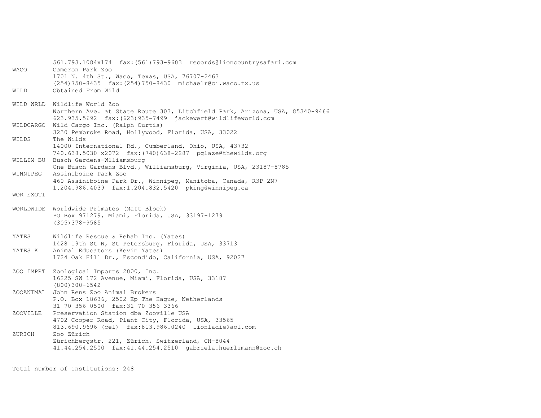561.793.1084x174 fax:(561)793-9603 records@lioncountrysafari.com WACO Cameron Park Zoo 1701 N. 4th St., Waco, Texas, USA, 76707-2463 (254)750-8435 fax:(254)750-8430 michaelr@ci.waco.tx.us WILD Obtained From Wild WILD WRLD Wildlife World Zoo Northern Ave. at State Route 303, Litchfield Park, Arizona, USA, 85340-9466 623.935.5692 fax:(623)935-7499 jackewert@wildlifeworld.com WILDCARGO Wild Cargo Inc. (Ralph Curtis) 3230 Pembroke Road, Hollywood, Florida, USA, 33022 WILDS The Wilds 14000 International Rd., Cumberland, Ohio, USA, 43732 740.638.5030 x2072 fax:(740)638-2287 pglaze@thewilds.org WILLIM BU Busch Gardens-Wlliamsburg One Busch Gardens Blvd., Williamsburg, Virginia, USA, 23187-8785 WINNIPEG Assiniboine Park Zoo 460 Assiniboine Park Dr., Winnipeg, Manitoba, Canada, R3P 2N7 1.204.986.4039 fax:1.204.832.5420 pking@winnipeg.ca WOR EXOTI WORLDWIDE Worldwide Primates (Matt Block) PO Box 971279, Miami, Florida, USA, 33197-1279 (305)378-9585 YATES Wildlife Rescue & Rehab Inc. (Yates) 1428 19th St N, St Petersburg, Florida, USA, 33713 YATES K Animal Educators (Kevin Yates) 1724 Oak Hill Dr., Escondido, California, USA, 92027 ZOO IMPRT Zoological Imports 2000, Inc. 16225 SW 172 Avenue, Miami, Florida, USA, 33187 (800)300-6542 ZOOANIMAL John Rens Zoo Animal Brokers P.O. Box 18636, 2502 Ep The Hague, Netherlands 31 70 356 0500 fax:31 70 356 3366 ZOOVILLE Preservation Station dba Zooville USA 4702 Cooper Road, Plant City, Florida, USA, 33565 813.690.9696 (cel) fax:813.986.0240 lionladie@aol.com ZURICH Zoo Zürich Zürichbergstr. 221, Zürich, Switzerland, CH-8044 41.44.254.2500 fax:41.44.254.2510 gabriela.huerlimann@zoo.ch

Total number of institutions: 248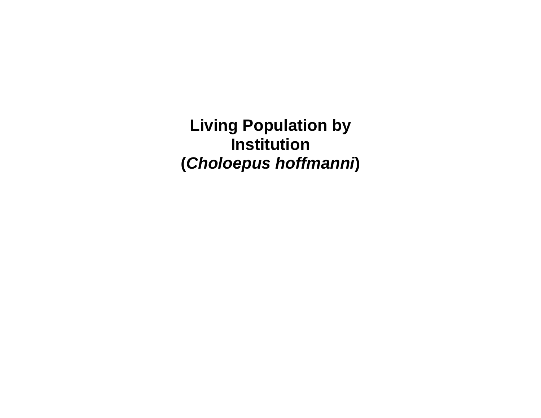**Living Population by Institution (***Choloepus hoffmanni***)**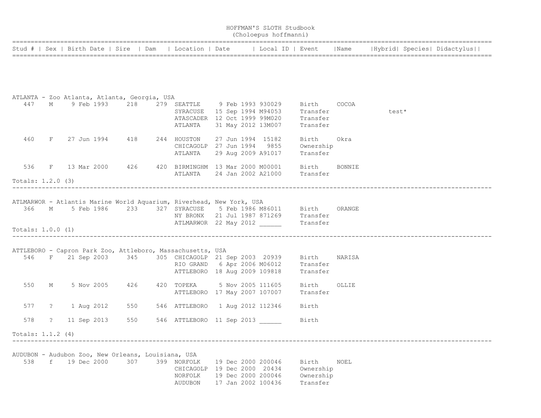|                     |            |                                                                                                                                          |     |                                   |                                                                                                              | HOFFMAN'S SLOTH Studbook<br>(Choloepus hoffmanni) |                                             |       |                                                                                                                    |
|---------------------|------------|------------------------------------------------------------------------------------------------------------------------------------------|-----|-----------------------------------|--------------------------------------------------------------------------------------------------------------|---------------------------------------------------|---------------------------------------------|-------|--------------------------------------------------------------------------------------------------------------------|
|                     |            |                                                                                                                                          |     |                                   |                                                                                                              |                                                   |                                             |       | Stud #   Sex   Birth Date   Sire   Dam   Location   Date   Local ID   Event   Name   Hybrid   Species   Didactylus |
|                     |            |                                                                                                                                          |     |                                   |                                                                                                              |                                                   |                                             |       |                                                                                                                    |
|                     |            | ATLANTA - Zoo Atlanta, Atlanta, Georgia, USA                                                                                             |     |                                   |                                                                                                              |                                                   |                                             |       |                                                                                                                    |
|                     |            | 447 M 9 Feb 1993 218 279 SEATTLE 9 Feb 1993 930029 Birth COCOA                                                                           |     | ATLANTA                           | SYRACUSE 15 Sep 1994 M94053 Transfer<br>ATASCADER 12 Oct 1999 99M020 Transfer<br>31 May 2012 13M007 Transfer |                                                   |                                             |       | test*                                                                                                              |
|                     |            | 460 F 27 Jun 1994 418 244 HOUSTON                                                                                                        |     | ATLANTA                           | 27 Jun 1994 15182<br>CHICAGOLP 27 Jun 1994 9855<br>29 Aug 2009 A91017                                        |                                                   | Birth<br>Ownership<br>Transfer              | Okra  |                                                                                                                    |
|                     |            | 536 F 13 Mar 2000 426 420 BIRMINGHM 13 Mar 2000 M00001 Birth BONNIE                                                                      |     |                                   | ATLANTA 24 Jan 2002 A21000 Transfer                                                                          |                                                   |                                             |       |                                                                                                                    |
| Totals: 1.2.0 (3)   |            |                                                                                                                                          |     |                                   |                                                                                                              |                                                   |                                             |       |                                                                                                                    |
|                     |            | ATLMARWOR - Atlantis Marine World Aquarium, Riverhead, New York, USA<br>366 M 5 Feb 1986 233 327 SYRACUSE 5 Feb 1986 M86011 Birth ORANGE |     |                                   | NY BRONX 21 Jul 1987 871269 Transfer                                                                         |                                                   |                                             |       |                                                                                                                    |
| Totals: $1.0.0$ (1) |            |                                                                                                                                          |     |                                   |                                                                                                              |                                                   |                                             |       |                                                                                                                    |
|                     |            | ATTLEBORO - Capron Park Zoo, Attleboro, Massachusetts, USA<br>546 F 21 Sep 2003 345 305 CHICAGOLP 21 Sep 2003 20939 Birth NARISA         |     |                                   | RIO GRAND 6 Apr 2006 M06012 Transfer<br>ATTLEBORO 18 Aug 2009 109818                                         |                                                   | Transfer                                    |       |                                                                                                                    |
|                     |            | 550 M 5 Nov 2005 426                                                                                                                     |     |                                   | 420 TOPEKA 5 Nov 2005 111605<br>ATTLEBORO 17 May 2007 107007 Transfer                                        |                                                   | Birth                                       | OLLIE |                                                                                                                    |
| 577                 |            | ? 1 Aug 2012                                                                                                                             | 550 |                                   | 546 ATTLEBORO 1 Aug 2012 112346                                                                              |                                                   | Birth                                       |       |                                                                                                                    |
| 578                 | $\ddot{?}$ | 11 Sep 2013                                                                                                                              |     |                                   | 550 546 ATTLEBORO 11 Sep 2013                                                                                |                                                   | Birth                                       |       |                                                                                                                    |
| Totals: 1.1.2 (4)   |            |                                                                                                                                          |     |                                   |                                                                                                              |                                                   |                                             |       |                                                                                                                    |
| 538                 | f          | AUDUBON - Audubon Zoo, New Orleans, Louisiana, USA<br>19 Dec 2000                                                                        | 307 | 399 NORFOLK<br>NORFOLK<br>AUDUBON | 19 Dec 2000 200046<br>CHICAGOLP 19 Dec 2000 20434<br>19 Dec 2000 200046<br>17 Jan 2002 100436                |                                                   | Birth<br>Ownership<br>Ownership<br>Transfer | NOEL  |                                                                                                                    |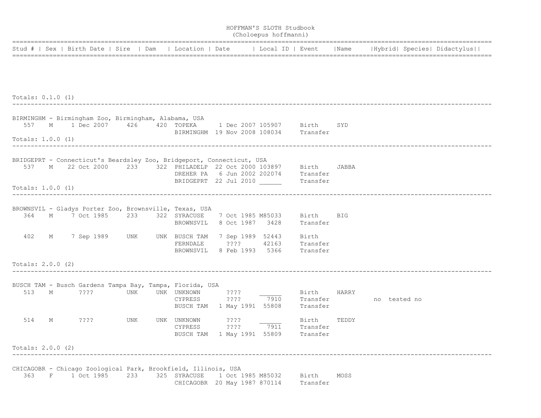|                     |   |                                                                                                                                                                            |     |                                                          |                         | HOFFMAN'S SLOTH Studbook<br>(Choloepus hoffmanni)                  |                               |            |                         |  |
|---------------------|---|----------------------------------------------------------------------------------------------------------------------------------------------------------------------------|-----|----------------------------------------------------------|-------------------------|--------------------------------------------------------------------|-------------------------------|------------|-------------------------|--|
|                     |   | Stud #   Sex   Birth Date   Sire   Dam   Location   Date   Local ID   Event   Name   Hybrid   Species   Didactylus                                                         |     |                                                          |                         |                                                                    |                               |            |                         |  |
| Totals: $0.1.0$ (1) |   |                                                                                                                                                                            |     |                                                          |                         |                                                                    |                               |            |                         |  |
| Totals: $1.0.0$ (1) |   | BIRMINGHM - Birmingham Zoo, Birmingham, Alabama, USA<br>557 M 1 Dec 2007 426 420 TOPEKA 1 Dec 2007 105907 Birth                                                            |     |                                                          |                         | BIRMINGHM 19 Nov 2008 108034 Transfer                              |                               | SYD        |                         |  |
| Totals: 1.0.0 (1)   |   | BRIDGEPRT - Connecticut's Beardsley Zoo, Bridgeport, Connecticut, USA<br>537 M 22 Oct 2000 233 322 PHILADELP 22 Oct 2000 103897 Birth JABBA                                |     | BRIDGEPRT 22 Jul 2010                                    |                         | DREHER PA 6 Jun 2002 202074 Transfer                               | Transfer                      |            |                         |  |
|                     |   | BROWNSVIL - Gladys Porter Zoo, Brownsville, Texas, USA<br>364 M 7 Oct 1985 233 322 SYRACUSE 7 Oct 1985 M85033 Birth<br>402 M 7 Sep 1989 UNK UNK BUSCH TAM 7 Sep 1989 52443 |     |                                                          |                         | BROWNSVIL 8 Oct 1987 3428 Transfer                                 | Birth                         | <b>BIG</b> |                         |  |
| Totals: 2.0.0 (2)   |   |                                                                                                                                                                            |     |                                                          |                         | FERNDALE ???? 42163 Transfer<br>BROWNSVIL 8 Feb 1993 5366 Transfer |                               |            |                         |  |
| 513                 |   | BUSCH TAM - Busch Gardens Tampa Bay, Tampa, Florida, USA<br>M ????                                                                                                         |     | UNK UNK UNKNOWN<br>CYPRESS<br>BUSCH TAM 1 May 1991 55808 | ????<br>????            | and a string<br>7910                                               | Birth HARRY<br>Transfer       |            | Transfer - no tested no |  |
| 514                 | М | ????                                                                                                                                                                       | UNK | UNK UNKNOWN<br>CYPRESS                                   | ????<br>$??\mathbin{?}$ | 7911<br>BUSCH TAM 1 May 1991 55809                                 | Birth<br>Transfer<br>Transfer | TEDDY      |                         |  |
| Totals: 2.0.0 (2)   |   |                                                                                                                                                                            |     |                                                          |                         |                                                                    |                               |            |                         |  |
|                     |   | CHICAGOBR - Chicago Zoological Park, Brookfield, Illinois, USA<br>363 F 1 Oct 1985 233 325 SYRACUSE 1 Oct 1985 M85032                                                      |     |                                                          |                         | CHICAGOBR 20 May 1987 870114                                       | Birth<br>Transfer             | MOSS       |                         |  |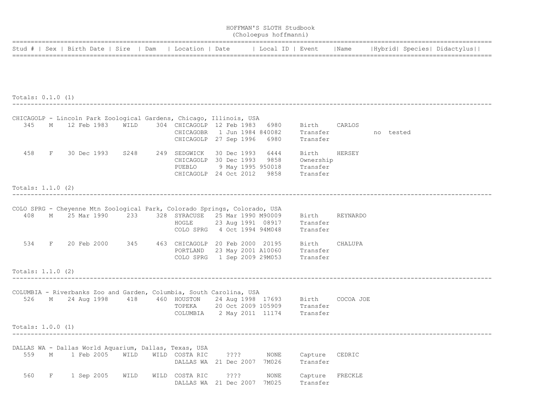|                     |   |                                                                                                                                               |      |                                         |                     | HOFFMAN'S SLOTH Studbook<br>(Choloepus hoffmanni) |                                                                                                               |         |  |                             |
|---------------------|---|-----------------------------------------------------------------------------------------------------------------------------------------------|------|-----------------------------------------|---------------------|---------------------------------------------------|---------------------------------------------------------------------------------------------------------------|---------|--|-----------------------------|
|                     |   | Stud #   Sex   Birth Date   Sire   Dam                                                                                                        |      | Location   Date   Local ID   Event      |                     |                                                   |                                                                                                               | Name    |  | Hybrid  Species  Didactylus |
|                     |   |                                                                                                                                               |      |                                         |                     |                                                   |                                                                                                               |         |  |                             |
|                     |   |                                                                                                                                               |      |                                         |                     |                                                   |                                                                                                               |         |  |                             |
| Totals: $0.1.0$ (1) |   |                                                                                                                                               |      |                                         |                     |                                                   |                                                                                                               |         |  |                             |
|                     |   | CHICAGOLP - Lincoln Park Zoological Gardens, Chicago, Illinois, USA                                                                           |      |                                         |                     |                                                   |                                                                                                               |         |  |                             |
| 345                 |   | M 12 Feb 1983 WILD                                                                                                                            |      | CHICAGOLP 27 Sep 1996 6980              |                     |                                                   | 304 CHICAGOLP 12 Feb 1983 6980 Birth CARLOS<br>CHICAGOBR 1 Jun 1984 840082 Transfer no tested<br>Transfer     |         |  |                             |
|                     |   | 458 F 30 Dec 1993 S248 249 SEDGWICK 30 Dec 1993 6444                                                                                          |      | CHICAGOLP 24 Oct 2012 9858              |                     |                                                   | Birth<br>CHICAGOLP 30 Dec 1993 9858 Ownership<br>PUEBLO 9 May 1995 950018 Transfer<br>Transfer                | HERSEY  |  |                             |
| Totals: $1.1.0$ (2) |   |                                                                                                                                               |      |                                         |                     |                                                   |                                                                                                               |         |  |                             |
|                     |   |                                                                                                                                               |      |                                         |                     |                                                   |                                                                                                               |         |  |                             |
| 408                 |   | COLO SPRG - Cheyenne Mtn Zoological Park, Colorado Springs, Colorado, USA<br>M 25 Mar 1990 233 328 SYRACUSE 25 Mar 1990 M90009 Birth REYNARDO |      | HOGLE                                   |                     |                                                   | 23 Aug 1991 08917 Transfer<br>COLO SPRG 4 Oct 1994 94M048 Transfer                                            |         |  |                             |
|                     |   | 534 F 20 Feb 2000 345 463 CHICAGOLP 20 Feb 2000 20195 Birth                                                                                   |      |                                         |                     |                                                   | PORTLAND 23 May 2001 A10060 Transfer<br>COLO SPRG 1 Sep 2009 29M053 Transfer                                  | CHALUPA |  |                             |
| Totals: $1.1.0$ (2) |   |                                                                                                                                               |      |                                         |                     |                                                   |                                                                                                               |         |  |                             |
|                     |   | COLUMBIA - Riverbanks Zoo and Garden, Columbia, South Carolina, USA                                                                           |      |                                         |                     |                                                   |                                                                                                               |         |  |                             |
|                     |   | 526 M 24 Aug 1998 418 460 HOUSTON                                                                                                             |      |                                         |                     |                                                   | 24 Aug 1998 17693 Birth COCOA JOE<br>TOPEKA 20 Oct 2009 105909 Transfer<br>COLUMBIA 2 May 2011 11174 Transfer |         |  |                             |
| Totals: 1.0.0 (1)   |   |                                                                                                                                               |      |                                         |                     |                                                   |                                                                                                               |         |  |                             |
|                     |   |                                                                                                                                               |      |                                         |                     |                                                   |                                                                                                               |         |  |                             |
| 559                 | М | DALLAS WA - Dallas World Aquarium, Dallas, Texas, USA<br>1 Feb 2005                                                                           | WILD | WILD COSTA RIC<br>DALLAS WA 21 Dec 2007 | ????                | NONE<br>7M026                                     | Capture<br>Transfer                                                                                           | CEDRIC  |  |                             |
| 560                 | F | 1 Sep 2005                                                                                                                                    | WILD | WILD COSTA RIC<br>DALLAS WA             | ????<br>21 Dec 2007 | NONE<br>7M025                                     | Capture<br>Transfer                                                                                           | FRECKLE |  |                             |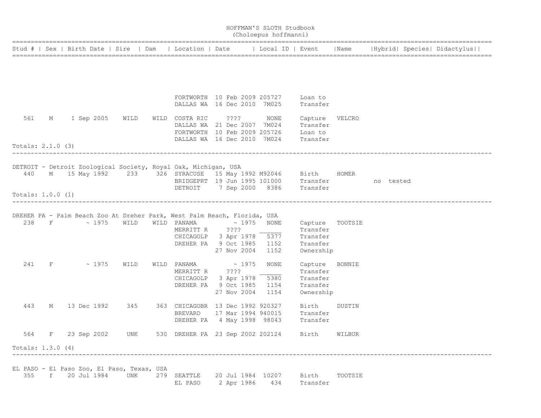|                     |     |   |  |                    |                                                   |                                                                                                                                                                |  |                            | HOFFMAN'S SLOTH Studbook<br>(Choloepus hoffmanni)                                   |                                                                  |         |  |                                                                                                                    |
|---------------------|-----|---|--|--------------------|---------------------------------------------------|----------------------------------------------------------------------------------------------------------------------------------------------------------------|--|----------------------------|-------------------------------------------------------------------------------------|------------------------------------------------------------------|---------|--|--------------------------------------------------------------------------------------------------------------------|
|                     |     |   |  |                    |                                                   |                                                                                                                                                                |  |                            |                                                                                     |                                                                  |         |  | Stud #   Sex   Birth Date   Sire   Dam   Location   Date   Local ID   Event   Name   Hybrid   Species   Didactylus |
|                     |     |   |  |                    |                                                   |                                                                                                                                                                |  |                            |                                                                                     |                                                                  |         |  |                                                                                                                    |
|                     |     |   |  |                    |                                                   | DALLAS WA 16 Dec 2010 7M025                                                                                                                                    |  |                            | FORTWORTH 10 Feb 2009 205727 Loan to                                                | Transfer                                                         |         |  |                                                                                                                    |
| 561                 |     |   |  |                    | M 1 Sep 2005 WILD                                 | WILD COSTA RIC<br>DALLAS WA 21 Dec 2007 7M024                                                                                                                  |  | 2222                       | NONE<br>FORTWORTH 10 Feb 2009 205726 Loan to                                        | Capture VELCRO<br>Transfer                                       |         |  |                                                                                                                    |
| Totals: $2.1.0$ (3) |     |   |  |                    |                                                   |                                                                                                                                                                |  |                            | DALLAS WA 16 Dec 2010 7M024 Transfer                                                |                                                                  |         |  |                                                                                                                    |
|                     |     |   |  |                    |                                                   | DETROIT - Detroit Zoological Society, Royal Oak, Michigan, USA<br>440 M 15 May 1992 233 326 SYRACUSE 15 May 1992 M92046 Birth HOMER                            |  |                            | BRIDGEPRT 19 Jun 1995 101000 Transfer ho tested<br>DETROIT 7 Sep 2000 8386 Transfer |                                                                  |         |  |                                                                                                                    |
| Totals: 1.0.0 (1)   |     |   |  |                    |                                                   |                                                                                                                                                                |  |                            |                                                                                     |                                                                  |         |  |                                                                                                                    |
|                     | 238 |   |  | F ~ 1975 WILD      |                                                   | DREHER PA - Palm Beach Zoo At Dreher Park, West Palm Beach, Florida, USA<br>WILD PANAMA<br>MERRITT R ????<br>CHICAGOLP 3 Apr 1978<br>DREHER PA 9 Oct 1985 1152 |  | $\sim 1975$                | NONE<br>5377<br>27 Nov 2004 1152                                                    | Capture TOOTSIE<br>Transfer<br>Transfer<br>Transfer<br>Ownership |         |  |                                                                                                                    |
| 241                 |     |   |  | $F \sim 1975$ WILD |                                                   | WILD PANAMA<br>MERRITT R ????<br>CHICAGOLP 3 Apr 1978<br>DREHER PA 9 Oct 1985 1154                                                                             |  | $\sim 1975$<br>27 Nov 2004 | NONE<br>5380<br>1154                                                                | Capture<br>Transfer<br>Transfer<br>Transfer<br>Ownership         | BONNIE  |  |                                                                                                                    |
| 443                 |     | Μ |  | 13 Dec 1992 345    |                                                   | 363 CHICAGOBR 13 Dec 1992 920327<br><b>BREVARD</b>                                                                                                             |  |                            | 17 Mar 1994 940015<br>DREHER PA 4 May 1998 98043 Transfer                           | Birth<br>Transfer                                                | DUSTIN  |  |                                                                                                                    |
|                     |     |   |  | 564 F 23 Sep 2002  | UNK                                               | 530 DREHER PA 23 Sep 2002 202124 Birth                                                                                                                         |  |                            |                                                                                     |                                                                  | WILBUR  |  |                                                                                                                    |
| Totals: 1.3.0 (4)   |     |   |  |                    |                                                   |                                                                                                                                                                |  |                            |                                                                                     |                                                                  |         |  |                                                                                                                    |
|                     | 355 |   |  | f 20 Jul 1984      | EL PASO - El Paso Zoo, El Paso, Texas, USA<br>UNK | 279 SEATTLE<br>EL PASO                                                                                                                                         |  | 2 Apr 1986                 | 20 Jul 1984 10207<br>434                                                            | Birth<br>Transfer                                                | TOOTSIE |  |                                                                                                                    |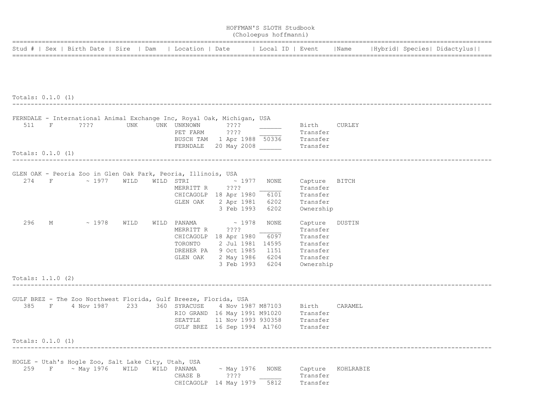|                     |   |                                                                                     |      |             |                                         | HOFFMAN'S SLOTH Studbook<br>(Choloepus hoffmanni) |                           |           |                             |  |
|---------------------|---|-------------------------------------------------------------------------------------|------|-------------|-----------------------------------------|---------------------------------------------------|---------------------------|-----------|-----------------------------|--|
|                     |   | Stud #   Sex   Birth Date   Sire   Dam                                              |      |             | Location   Date       Local ID   Event  |                                                   |                           | Name      | Hybrid  Species  Didactylus |  |
|                     |   |                                                                                     |      |             |                                         |                                                   |                           |           |                             |  |
|                     |   |                                                                                     |      |             |                                         |                                                   |                           |           |                             |  |
|                     |   |                                                                                     |      |             |                                         |                                                   |                           |           |                             |  |
| Totals: $0.1.0$ (1) |   |                                                                                     |      |             |                                         |                                                   |                           |           |                             |  |
|                     |   | FERNDALE - International Animal Exchange Inc, Royal Oak, Michigan, USA              |      |             |                                         |                                                   |                           |           |                             |  |
| 511                 |   | F ????                                                                              | UNK  |             | UNK UNKNOWN ???? ______                 |                                                   | Birth CURLEY              |           |                             |  |
|                     |   |                                                                                     |      |             | PET FARM ????                           |                                                   | Transfer                  |           |                             |  |
|                     |   |                                                                                     |      |             | BUSCH TAM 1 Apr 1988 50336 Transfer     |                                                   |                           |           |                             |  |
| Totals: $0.1.0$ (1) |   |                                                                                     |      |             | FERNDALE 20 May 2008 ________ Transfer  |                                                   |                           |           |                             |  |
|                     |   |                                                                                     |      |             |                                         |                                                   |                           |           |                             |  |
|                     |   | GLEN OAK - Peoria Zoo in Glen Oak Park, Peoria, Illinois, USA<br>$F \sim 1977$ WILD |      |             |                                         |                                                   |                           |           |                             |  |
| 274                 |   |                                                                                     |      |             | WILD STRI $\sim$ 1977<br>MERRITT R ???? | NONE                                              | Capture BITCH<br>Transfer |           |                             |  |
|                     |   |                                                                                     |      |             | CHICAGOLP 18 Apr 1980 6101              |                                                   | Iransier<br>Transfer      |           |                             |  |
|                     |   |                                                                                     |      |             | GLEN OAK 2 Apr 1981                     | 6202                                              | Transfer                  |           |                             |  |
|                     |   |                                                                                     |      |             | 3 Feb 1993                              | 6202                                              | Ownership                 |           |                             |  |
| 296                 |   | $M \sim 1978$                                                                       | WILD |             | WILD PANAMA $\sim 1978$                 | NONE                                              | Capture DUSTIN            |           |                             |  |
|                     |   |                                                                                     |      |             | MERRITT R ????                          |                                                   | Transfer                  |           |                             |  |
|                     |   |                                                                                     |      |             | CHICAGOLP 18 Apr 1980 6097              |                                                   | Transfer                  |           |                             |  |
|                     |   |                                                                                     |      |             | TORONTO 2 Jul 1981 14595                |                                                   | Transfer                  |           |                             |  |
|                     |   |                                                                                     |      |             | DREHER PA 9 Oct 1985 1151               |                                                   | Transfer                  |           |                             |  |
|                     |   |                                                                                     |      |             | GLEN OAK 2 May 1986 6204 Transfer       |                                                   |                           |           |                             |  |
|                     |   |                                                                                     |      |             | 3 Feb 1993 6204                         |                                                   | Ownership                 |           |                             |  |
| Totals: $1.1.0$ (2) |   |                                                                                     |      |             |                                         |                                                   |                           |           |                             |  |
|                     |   |                                                                                     |      |             |                                         |                                                   |                           |           |                             |  |
|                     |   | GULF BREZ - The Zoo Northwest Florida, Gulf Breeze, Florida, USA                    |      |             |                                         |                                                   |                           |           |                             |  |
| 385                 |   | F 4 Nov 1987 233 360 SYRACUSE 4 Nov 1987 M87103 Birth CARAMEL                       |      |             | RIO GRAND 16 May 1991 M91020 Transfer   |                                                   |                           |           |                             |  |
|                     |   |                                                                                     |      | SEATTLE     | 11 Nov 1993 930358 Transfer             |                                                   |                           |           |                             |  |
|                     |   |                                                                                     |      |             | GULF BREZ 16 Sep 1994 A1760             |                                                   | Transfer                  |           |                             |  |
| Totals: 0.1.0 (1)   |   |                                                                                     |      |             |                                         |                                                   |                           |           |                             |  |
|                     |   |                                                                                     |      |             |                                         |                                                   |                           |           |                             |  |
|                     |   | HOGLE - Utah's Hogle Zoo, Salt Lake City, Utah, USA                                 |      |             |                                         |                                                   |                           |           |                             |  |
| 259                 | F | ~ May 1976                                                                          | WILD | WILD PANAMA | $~\sim$ May 1976                        | NONE                                              | Capture                   | KOHLRABIE |                             |  |
|                     |   |                                                                                     |      | CHASE B     | $??\mathord{?}\mathord{?}$              |                                                   | Transfer                  |           |                             |  |
|                     |   |                                                                                     |      | CHICAGOLP   | 14 May 1979                             | 5812                                              | Transfer                  |           |                             |  |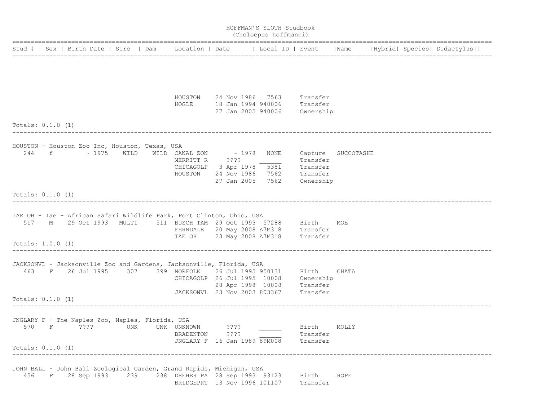|                            |             |             |                                  |                                                  |                                                                                                                                                           |                                                         | HOFFMAN'S SLOTH Studbook<br>(Choloepus hoffmanni) |                                               |                    |  |                             |
|----------------------------|-------------|-------------|----------------------------------|--------------------------------------------------|-----------------------------------------------------------------------------------------------------------------------------------------------------------|---------------------------------------------------------|---------------------------------------------------|-----------------------------------------------|--------------------|--|-----------------------------|
|                            |             |             | Stud #   Sex   Birth Date   Sire | Dam                                              | Location   Date   Local ID   Event                                                                                                                        |                                                         |                                                   |                                               | Name               |  | Hybrid  Species  Didactylus |
|                            |             |             |                                  |                                                  |                                                                                                                                                           |                                                         |                                                   |                                               |                    |  |                             |
|                            |             |             |                                  |                                                  |                                                                                                                                                           |                                                         |                                                   |                                               |                    |  |                             |
|                            |             |             |                                  |                                                  | HOUSTON<br>HOGLE                                                                                                                                          | 18 Jan 1994 940006                                      | 24 Nov 1986 7563<br>27 Jan 2005 940006            | Transfer<br>Transfer<br>Ownership             |                    |  |                             |
| Totals: $0.1.0$ (1)        |             |             |                                  |                                                  |                                                                                                                                                           |                                                         |                                                   |                                               |                    |  |                             |
| 244                        | f           |             | $\sim$ 1975 WILD                 | HOUSTON - Houston Zoo Inc, Houston, Texas, USA   | WILD CANAL ZON<br>MERRITT R<br>CHICAGOLP 3 Apr 1978<br>HOUSTON                                                                                            | $\sim 1978$<br>$??\,?\,?$<br>24 Nov 1986<br>27 Jan 2005 | NONE<br>5381<br>7562<br>7562                      | Transfer<br>Transfer<br>Transfer<br>Ownership | Capture SUCCOTASHE |  |                             |
| Totals: $0.1.0$ (1)        |             |             |                                  |                                                  |                                                                                                                                                           |                                                         |                                                   |                                               |                    |  |                             |
| 517<br>Totals: 1.0.0 (1)   | M           |             | 29 Oct 1993 MULT1                |                                                  | IAE OH - Iae - African Safari Wildlife Park, Port Clinton, Ohio, USA<br>511 BUSCH TAM 29 Oct 1993 57288<br>IAE OH                                         | 23 May 2008 A7M318                                      | FERNDALE 20 May 2008 A7M318 Transfer              | Birth<br>Transfer                             | MOE                |  |                             |
|                            |             |             |                                  |                                                  | ___________________________________                                                                                                                       |                                                         |                                                   |                                               |                    |  |                             |
| 463<br>Totals: $0.1.0$ (1) | $F$ and $F$ | 26 Jul 1995 | 307                              |                                                  | JACKSONVL - Jacksonville Zoo and Gardens, Jacksonville, Florida, USA<br>399 NORFOLK<br>CHICAGOLP 26 Jul 1995 10008<br>JACKSONVL 23 Nov 2003 803367        | 26 Jul 1995 950131<br>28 Apr 1998 10008                 |                                                   | Birth<br>Ownership<br>Transfer<br>Transfer    | CHATA              |  |                             |
|                            |             |             |                                  |                                                  |                                                                                                                                                           |                                                         |                                                   |                                               |                    |  |                             |
| 570<br>Totals: $0.1.0$ (1) | F           | $??\,?\,?$  | UNK                              | JNGLARY F - The Naples Zoo, Naples, Florida, USA | UNK UNKNOWN<br>BRADENTON ????<br>JNGLARY F 16 Jan 1989 89M008                                                                                             | $??\ ??$                                                |                                                   | Birth<br>Transfer<br>Transfer                 | MOLLY              |  |                             |
|                            |             |             |                                  |                                                  |                                                                                                                                                           |                                                         |                                                   |                                               |                    |  |                             |
| 456                        |             |             |                                  |                                                  | JOHN BALL - John Ball Zoological Garden, Grand Rapids, Michigan, USA<br>F 28 Sep 1993 239 238 DREHER PA 28 Sep 1993 93123<br>BRIDGEPRT 13 Nov 1996 101107 |                                                         |                                                   | Birth<br>Transfer                             | HOPE               |  |                             |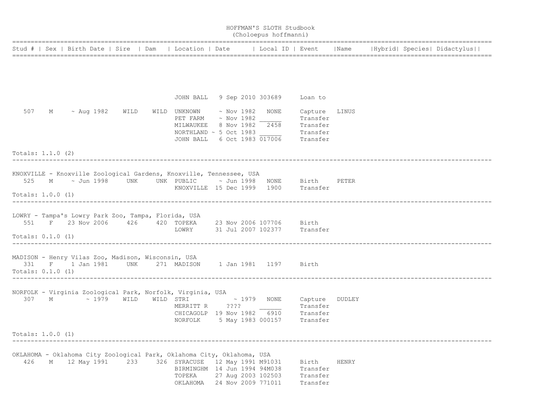|                            |   |                       |     |                                                                                                                                                                                                                                                                    |  | HOFFMAN'S SLOTH Studbook<br>(Choloepus hoffmanni)              |                                             |       |  |                                                                                                                    |
|----------------------------|---|-----------------------|-----|--------------------------------------------------------------------------------------------------------------------------------------------------------------------------------------------------------------------------------------------------------------------|--|----------------------------------------------------------------|---------------------------------------------|-------|--|--------------------------------------------------------------------------------------------------------------------|
|                            |   |                       |     |                                                                                                                                                                                                                                                                    |  |                                                                |                                             |       |  | Stud #   Sex   Birth Date   Sire   Dam   Location   Date   Local ID   Event   Name   Hybrid   Species   Didactylus |
|                            |   |                       |     |                                                                                                                                                                                                                                                                    |  |                                                                |                                             |       |  |                                                                                                                    |
|                            |   |                       |     |                                                                                                                                                                                                                                                                    |  | JOHN BALL 9 Sep 2010 303689 Loan to                            |                                             |       |  |                                                                                                                    |
|                            |   | 507 M ~ Aug 1982 WILD |     | WILD UNKNOWN ~ Nov 1982 NONE<br>PET FARM ~ Nov 1982<br>MILWAUKEE 8 Nov 1982 2458 Transfer<br>$\begin{tabular}{lllll} \textsc{NORMAL} $\sim$& 5 Oct& 1983 & \textsc{``Transfer} \\ \textsc{John BALL} & 6 Oct& 1983& 017006 & \textsc{``Transfer} \\ \end{tabular}$ |  |                                                                | Capture LINUS<br>Transfer                   |       |  |                                                                                                                    |
| Totals: $1.1.0$ (2)        |   |                       |     |                                                                                                                                                                                                                                                                    |  |                                                                |                                             |       |  |                                                                                                                    |
| Totals: 1.0.0 (1)          |   |                       |     | KNOXVILLE - Knoxville Zoological Gardens, Knoxville, Tennessee, USA<br>525 M $\sim$ Jun 1998 UNK UNK PUBLIC $\sim$ Jun 1998 NONE Birth PETER<br>KNOXVILLE 15 Dec 1999 1900 Transfer                                                                                |  |                                                                |                                             |       |  |                                                                                                                    |
|                            |   |                       |     |                                                                                                                                                                                                                                                                    |  |                                                                |                                             |       |  |                                                                                                                    |
| Totals: $0.1.0$ (1)        |   |                       |     | LOWRY - Tampa's Lowry Park Zoo, Tampa, Florida, USA<br>551 F 23 Nov 2006 426 420 TOPEKA 23 Nov 2006 107706 Birth<br>LOWRY 31 Jul 2007 102377 Transfer                                                                                                              |  |                                                                |                                             |       |  |                                                                                                                    |
| 331<br>Totals: $0.1.0$ (1) |   |                       |     | MADISON - Henry Vilas Zoo, Madison, Wisconsin, USA<br>F 1 Jan 1981 UNK 271 MADISON 1 Jan 1981 1197 Birth                                                                                                                                                           |  |                                                                |                                             |       |  |                                                                                                                    |
|                            |   |                       |     | NORFOLK - Virginia Zoological Park, Norfolk, Virginia, USA<br>307 M $\sim$ 1979 WILD WILD STRI $\sim$ 1979 NONE<br>MERRITT R ????<br>CHICAGOLP 19 Nov 1982<br>NORFOLK 5 May 1983 000157 Transfer                                                                   |  |                                                                | Capture DUDLEY<br>Transfer<br>6910 Transfer |       |  |                                                                                                                    |
| Totals: 1.0.0 (1)          |   |                       |     |                                                                                                                                                                                                                                                                    |  |                                                                |                                             |       |  |                                                                                                                    |
| 426                        | Μ | 12 May 1991           | 233 | OKLAHOMA - Oklahoma City Zoological Park, Oklahoma City, Oklahoma, USA<br>326 SYRACUSE<br>BIRMINGHM 14 Jun 1994 94M038<br>TOPEKA<br>ОКLАНОМА                                                                                                                       |  | 12 May 1991 M91031<br>27 Aug 2003 102503<br>24 Nov 2009 771011 | Birth<br>Transfer<br>Transfer<br>Transfer   | HENRY |  |                                                                                                                    |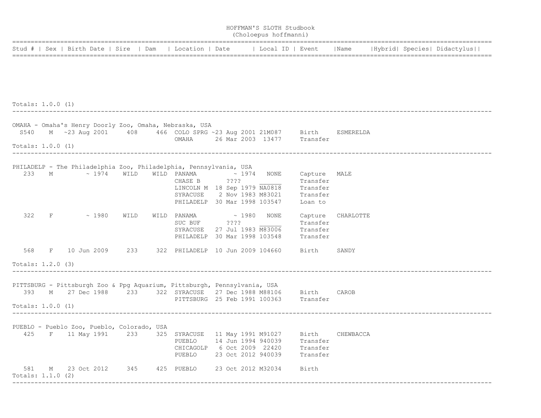|                   |   |                                                                                                                                         |      |                                        |                                          | HOFFMAN'S SLOTH Studbook<br>(Choloepus hoffmanni) |                          |                   |  |                                    |
|-------------------|---|-----------------------------------------------------------------------------------------------------------------------------------------|------|----------------------------------------|------------------------------------------|---------------------------------------------------|--------------------------|-------------------|--|------------------------------------|
|                   |   | Stud #   Sex   Birth Date   Sire   Dam                                                                                                  |      | Location   Date       Local ID   Event |                                          |                                                   |                          |                   |  | Name   Hybrid  Species  Didactylus |
|                   |   |                                                                                                                                         |      |                                        |                                          |                                                   |                          |                   |  |                                    |
|                   |   |                                                                                                                                         |      |                                        |                                          |                                                   |                          |                   |  |                                    |
|                   |   |                                                                                                                                         |      |                                        |                                          |                                                   |                          |                   |  |                                    |
| Totals: 1.0.0 (1) |   |                                                                                                                                         |      |                                        |                                          |                                                   |                          |                   |  |                                    |
|                   |   | OMAHA - Omaha's Henry Doorly Zoo, Omaha, Nebraska, USA                                                                                  |      |                                        |                                          |                                                   |                          |                   |  |                                    |
|                   |   | S540 M ~23 Aug 2001 408 466 COLO SPRG ~23 Aug 2001 21M087 Birth                                                                         |      |                                        |                                          |                                                   |                          | ESMERELDA         |  |                                    |
| Totals: 1.0.0 (1) |   |                                                                                                                                         |      | OMAHA                                  |                                          | 26 Mar 2003 13477 Transfer                        |                          |                   |  |                                    |
|                   |   |                                                                                                                                         |      |                                        |                                          |                                                   |                          |                   |  |                                    |
| 233               |   | PHILADELP - The Philadelphia Zoo, Philadelphia, Pennsylvania, USA<br>M ~ 1974 WILD                                                      |      | WILD PANAMA $\sim 1974$ NONE           |                                          |                                                   |                          |                   |  |                                    |
|                   |   |                                                                                                                                         |      | CHASE B ????                           |                                          |                                                   | Capture MALE<br>Transfer |                   |  |                                    |
|                   |   |                                                                                                                                         |      |                                        |                                          | LINCOLN M 18 Sep 1979 NA0818                      | Transfer                 |                   |  |                                    |
|                   |   |                                                                                                                                         |      |                                        |                                          | SYRACUSE 2 Nov 1983 M83021 Transfer               |                          |                   |  |                                    |
|                   |   |                                                                                                                                         |      |                                        |                                          | PHILADELP 30 Mar 1998 103547 Loan to              |                          |                   |  |                                    |
| 322               |   | $F \sim 1980$                                                                                                                           | WILD | WILD PANAMA $\sim 1980$ NONE           |                                          |                                                   |                          | Capture CHARLOTTE |  |                                    |
|                   |   |                                                                                                                                         |      | SUC BUF ????                           |                                          |                                                   | Transfer                 |                   |  |                                    |
|                   |   |                                                                                                                                         |      |                                        |                                          | SYRACUSE 27 Jul 1983 M83006                       | Transfer                 |                   |  |                                    |
|                   |   |                                                                                                                                         |      |                                        |                                          | PHILADELP 30 Mar 1998 103548                      | Transfer                 |                   |  |                                    |
|                   |   | 568 F 10 Jun 2009 233 322 PHILADELP 10 Jun 2009 104660 Birth                                                                            |      |                                        |                                          |                                                   |                          | SANDY             |  |                                    |
| Totals: 1.2.0 (3) |   |                                                                                                                                         |      |                                        |                                          |                                                   |                          |                   |  |                                    |
|                   |   |                                                                                                                                         |      |                                        |                                          |                                                   |                          |                   |  |                                    |
|                   |   | PITTSBURG - Pittsburgh Zoo & Ppg Aquarium, Pittsburgh, Pennsylvania, USA<br>393 M 27 Dec 1988 233 322 SYRACUSE 27 Dec 1988 M88106 Birth |      |                                        |                                          |                                                   |                          | CAROB             |  |                                    |
|                   |   |                                                                                                                                         |      |                                        |                                          | PITTSBURG 25 Feb 1991 100363 Transfer             |                          |                   |  |                                    |
| Totals: 1.0.0 (1) |   |                                                                                                                                         |      |                                        |                                          |                                                   |                          |                   |  |                                    |
|                   |   |                                                                                                                                         |      |                                        |                                          |                                                   |                          |                   |  |                                    |
|                   |   | PUEBLO - Pueblo Zoo, Pueblo, Colorado, USA                                                                                              |      |                                        |                                          |                                                   |                          |                   |  |                                    |
| 425               | F | 11 May 1991                                                                                                                             | 233  | 325 SYRACUSE<br>PUEBLO                 | 11 May 1991 M91027<br>14 Jun 1994 940039 |                                                   | Birth<br>Transfer        | CHEWBACCA         |  |                                    |
|                   |   |                                                                                                                                         |      | CHICAGOLP                              | 6 Oct 2009 22420                         |                                                   | Transfer                 |                   |  |                                    |
|                   |   |                                                                                                                                         |      | PUEBLO                                 | 23 Oct 2012 940039                       |                                                   | Transfer                 |                   |  |                                    |
| 581               | М | 23 Oct 2012                                                                                                                             | 345  | 425 PUEBLO                             | 23 Oct 2012 M32034                       |                                                   | Birth                    |                   |  |                                    |
| Totals: 1.1.0 (2) |   |                                                                                                                                         |      |                                        |                                          |                                                   |                          |                   |  |                                    |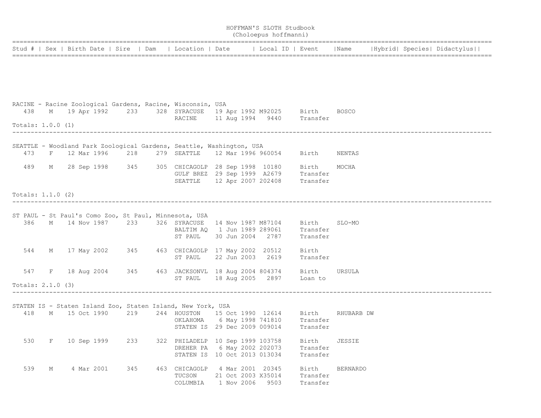|                     |   |                                                                                                                                                                                   |     |                                                                                                 |  | HOFFMAN'S SLOTH Studbook<br>(Choloepus hoffmanni)                                                                   |                               |                 |  |  |
|---------------------|---|-----------------------------------------------------------------------------------------------------------------------------------------------------------------------------------|-----|-------------------------------------------------------------------------------------------------|--|---------------------------------------------------------------------------------------------------------------------|-------------------------------|-----------------|--|--|
|                     |   | Stud #   Sex   Birth Date   Sire   Dam   Location   Date   Local ID   Event   Name   Hybrid   Species   Didactylus                                                                |     |                                                                                                 |  |                                                                                                                     |                               |                 |  |  |
|                     |   |                                                                                                                                                                                   |     |                                                                                                 |  |                                                                                                                     |                               |                 |  |  |
| 438                 |   | RACINE - Racine Zoological Gardens, Racine, Wisconsin, USA<br>M 19 Apr 1992 233 328 SYRACUSE 19 Apr 1992 M92025 Birth<br>M 19 Apr 1992 233 328 SYRACUSE 11 Aug 1994 9440 Transfer |     |                                                                                                 |  |                                                                                                                     |                               | <b>BOSCO</b>    |  |  |
| Totals: 1.0.0 (1)   |   |                                                                                                                                                                                   |     |                                                                                                 |  |                                                                                                                     |                               |                 |  |  |
| 473                 | F | SEATTLE - Woodland Park Zoological Gardens, Seattle, Washington, USA<br>12 Mar 1996 218                                                                                           |     | 279 SEATTLE 12 Mar 1996 960054                                                                  |  |                                                                                                                     | Birth                         | NENTAS          |  |  |
| 489                 |   | M 28 Sep 1998 345 305 CHICAGOLP 28 Sep 1998 10180 Birth                                                                                                                           |     | SEATTLE 12 Apr 2007 202408                                                                      |  | GULF BREZ 29 Sep 1999 A2679 Transfer                                                                                | Transfer                      | MOCHA           |  |  |
| Totals: $1.1.0$ (2) |   |                                                                                                                                                                                   |     |                                                                                                 |  |                                                                                                                     |                               |                 |  |  |
| 386                 |   | ST PAUL - St Paul's Como Zoo, St Paul, Minnesota, USA<br>M 14 Nov 1987 233 326 SYRACUSE 14 Nov 1987 M87104                                                                        |     | ST PAUL                                                                                         |  | BALTIM AQ 1 Jun 1989 289061 Transfer<br>30 Jun 2004 2787                                                            | Birth<br>Transfer             | SLO-MO          |  |  |
|                     |   | 544 M 17 May 2002 345 463 CHICAGOLP 17 May 2002 20512                                                                                                                             |     | ST PAUL                                                                                         |  | 22 Jun 2003 2619                                                                                                    | Birth<br>Transfer             |                 |  |  |
| 547                 |   | F 18 Aug 2004 345 463 JACKSONVL 18 Aug 2004 804374                                                                                                                                |     |                                                                                                 |  | ST PAUL 18 Aug 2005 2897 Loan to                                                                                    | Birth                         | URSULA          |  |  |
| Totals: $2.1.0$ (3) |   |                                                                                                                                                                                   |     |                                                                                                 |  |                                                                                                                     |                               |                 |  |  |
| 418                 |   | STATEN IS - Staten Island Zoo, Staten Island, New York, USA<br>M 15 Oct 1990                                                                                                      | 219 |                                                                                                 |  | 244 HOUSTON 15 Oct 1990 12614 Birth<br>OKLAHOMA 6 May 1998 741810 Transfer<br>STATEN IS 29 Dec 2009 009014 Transfer |                               | RHUBARB DW      |  |  |
| 530                 | F | 10 Sep 1999                                                                                                                                                                       | 233 | 322 PHILADELP 10 Sep 1999 103758<br>DREHER PA 6 May 2002 202073<br>STATEN IS 10 Oct 2013 013034 |  |                                                                                                                     | Birth<br>Transfer<br>Transfer | JESSIE          |  |  |
| 539                 | М | 4 Mar 2001                                                                                                                                                                        | 345 | 463 CHICAGOLP<br>TUCSON<br>COLUMBIA                                                             |  | 4 Mar 2001 20345<br>21 Oct 2003 X35014<br>1 Nov 2006 9503                                                           | Birth<br>Transfer<br>Transfer | <b>BERNARDO</b> |  |  |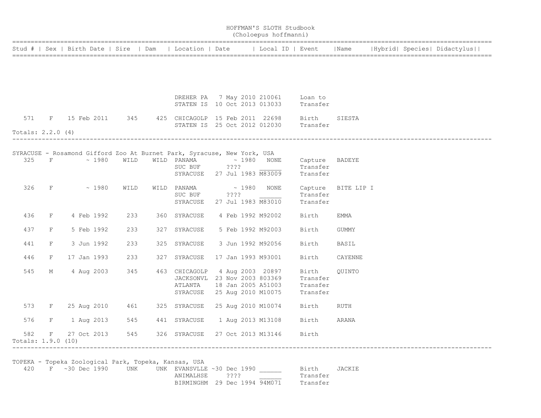|                           |             |                |      |                                                                                                                                           |                            | HOFFMAN'S SLOTH Studbook<br>(Choloepus hoffmanni) |                                                                                          |         |  |                             |  |
|---------------------------|-------------|----------------|------|-------------------------------------------------------------------------------------------------------------------------------------------|----------------------------|---------------------------------------------------|------------------------------------------------------------------------------------------|---------|--|-----------------------------|--|
|                           |             |                |      |                                                                                                                                           |                            |                                                   | Stud #   Sex   Birth Date   Sire   Dam   Location   Date     Local ID   Event   Name     |         |  | Hybrid  Species  Didactylus |  |
|                           |             |                |      |                                                                                                                                           |                            |                                                   |                                                                                          |         |  |                             |  |
|                           |             |                |      | DREHER PA 7 May 2010 210061 Loan to                                                                                                       |                            |                                                   | STATEN IS 10 Oct 2013 013033 Transfer                                                    |         |  |                             |  |
|                           |             |                |      | 571 F 15 Feb 2011 345 425 CHICAGOLP 15 Feb 2011 22698 Birth                                                                               |                            |                                                   |                                                                                          | SIESTA  |  |                             |  |
| Totals: $2.2.0$ (4)       |             |                |      |                                                                                                                                           |                            |                                                   | STATEN IS 25 Oct 2012 012030 Transfer                                                    |         |  |                             |  |
|                           |             |                |      | SYRACUSE - Rosamond Gifford Zoo At Burnet Park, Syracuse, New York, USA<br>325 F $\sim$ 1980 WILD WILD PANAMA $\sim$ 1980 NONE<br>SUC BUF | ????                       |                                                   | Capture BADEYE<br>Transfer<br>SYRACUSE 27 Jul 1983 M83009 Transfer                       |         |  |                             |  |
|                           |             | $326$ F ~ 1980 | WILD | WILD PANAMA $\sim 1980$ NONE<br>SUC BUF<br>SYRACUSE                                                                                       | $??\mathord{?}\mathord{?}$ | 27 Jul 1983 M83010                                | Capture BITE LIP I<br>Transfer<br>Transfer                                               |         |  |                             |  |
| 436                       |             | F 4 Feb 1992   | 233  | 360 SYRACUSE                                                                                                                              |                            | 4 Feb 1992 M92002                                 | Birth                                                                                    | EMMA    |  |                             |  |
| 437                       | $F \sim$    | 5 Feb 1992     | 233  | 327 SYRACUSE                                                                                                                              |                            | 5 Feb 1992 M92003                                 | Birth                                                                                    | GUMMY   |  |                             |  |
| 441                       | F           | 3 Jun 1992     | 233  | 325 SYRACUSE                                                                                                                              |                            | 3 Jun 1992 M92056                                 | Birth                                                                                    | BASIL   |  |                             |  |
| 446                       | F           | 17 Jan 1993    | 233  | 327 SYRACUSE                                                                                                                              |                            | 17 Jan 1993 M93001                                | Birth                                                                                    | CAYENNE |  |                             |  |
| 545                       | M           | 4 Aug 2003     | 345  | 463 CHICAGOLP<br>JACKSONVL 23 Nov 2003 803369<br>ATLANTA                                                                                  |                            | 4 Aug 2003 20897                                  | Birth<br>Transfer<br>18 Jan 2005 A51003 Transfer<br>SYRACUSE 25 Aug 2010 M10075 Transfer | QUINTO  |  |                             |  |
|                           |             |                |      | 573 F 25 Aug 2010 461 325 SYRACUSE 25 Aug 2010 M10074                                                                                     |                            |                                                   | Birth                                                                                    | RUTH    |  |                             |  |
| 576                       | F           | 1 Aug 2013     | 545  | 441 SYRACUSE  1 Aug 2013 M13108                                                                                                           |                            |                                                   | Birth                                                                                    | ARANA   |  |                             |  |
| 582<br>Totals: 1.9.0 (10) | $F$ and $F$ | 27 Oct 2013    |      | 545 326 SYRACUSE                                                                                                                          |                            | 27 Oct 2013 M13146                                | Birth                                                                                    |         |  |                             |  |

TOPEKA - Topeka Zoological Park, Topeka, Kansas, USA

420 F ~30 Dec 1990 UNK UNK EVANSVLLE ~30 Dec 1990 Birth JACKIE ANIMALHSE 2??? Transfer BIRMINGHM 29 Dec 1994 94M071 Transfer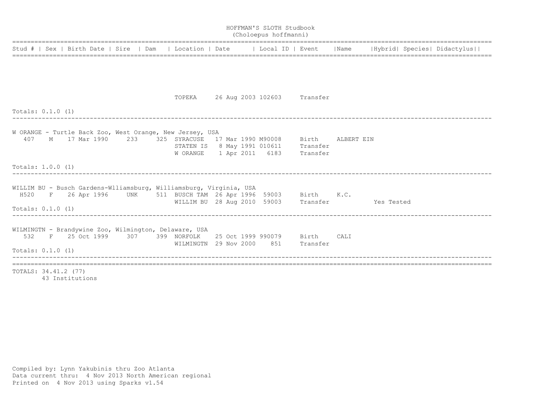|                                                                                                                    |                                                                           |  | HOFFMAN'S SLOTH Studbook<br>(Choloepus hoffmanni) |  |  |  |
|--------------------------------------------------------------------------------------------------------------------|---------------------------------------------------------------------------|--|---------------------------------------------------|--|--|--|
| Stud #   Sex   Birth Date   Sire   Dam   Location   Date   Local ID   Event   Name   Hybrid   Species   Didactylus |                                                                           |  |                                                   |  |  |  |
|                                                                                                                    |                                                                           |  |                                                   |  |  |  |
|                                                                                                                    |                                                                           |  |                                                   |  |  |  |
|                                                                                                                    | TOPEKA 26 Aug 2003 102603 Transfer                                        |  |                                                   |  |  |  |
| Totals: 0.1.0 (1)                                                                                                  |                                                                           |  |                                                   |  |  |  |
| W ORANGE - Turtle Back Zoo, West Orange, New Jersey, USA                                                           |                                                                           |  |                                                   |  |  |  |
| 407 M 17 Mar 1990 233 325 SYRACUSE 17 Mar 1990 M90008 Birth ALBERT EIN                                             |                                                                           |  |                                                   |  |  |  |
|                                                                                                                    | STATEN IS 8 May 1991 010611 Transfer<br>W ORANGE 1 Apr 2011 6183 Transfer |  |                                                   |  |  |  |
|                                                                                                                    |                                                                           |  |                                                   |  |  |  |
| Totals: 1.0.0 (1)                                                                                                  |                                                                           |  |                                                   |  |  |  |
| WILLIM BU - Busch Gardens-Wlliamsburg, Williamsburg, Virginia, USA                                                 |                                                                           |  |                                                   |  |  |  |
| H520 F 26 Apr 1996 UNK 511 BUSCH TAM 26 Apr 1996 59003 Birth K.C.                                                  |                                                                           |  |                                                   |  |  |  |
| Totals: 0.1.0 (1)                                                                                                  | WILLIM BU 28 Aug 2010 59003 Transfer Yes Tested                           |  |                                                   |  |  |  |
| WILMINGTN - Brandywine Zoo, Wilmington, Delaware, USA                                                              |                                                                           |  |                                                   |  |  |  |
| 532 F 25 Oct 1999 307 399 NORFOLK 25 Oct 1999 990079 Birth CALI                                                    |                                                                           |  |                                                   |  |  |  |
|                                                                                                                    | WILMINGTN 29 Nov 2000 851 Transfer                                        |  |                                                   |  |  |  |
| Totals: $0.1.0$ (1)                                                                                                |                                                                           |  |                                                   |  |  |  |
|                                                                                                                    |                                                                           |  |                                                   |  |  |  |
| TOTALS: 34.41.2 (77)                                                                                               |                                                                           |  |                                                   |  |  |  |

43 Institutions

Compiled by: Lynn Yakubinis thru Zoo Atlanta Data current thru: 4 Nov 2013 North American regional Printed on 4 Nov 2013 using Sparks v1.54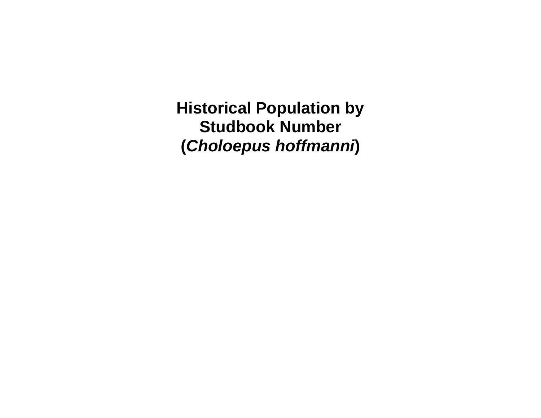**Historical Population by Studbook Number (***Choloepus hoffmanni***)**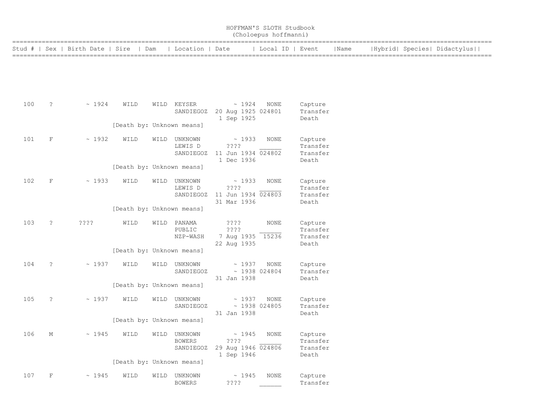|          |             |                         |      |      |                           |                    | HOFFMAN'S SLOTH Studbook<br>(Choloepus hoffmanni) |          |      |  |                             |
|----------|-------------|-------------------------|------|------|---------------------------|--------------------|---------------------------------------------------|----------|------|--|-----------------------------|
| Stud # I |             | Sex   Birth Date   Sire |      | Dam  | Location   Date           |                    | Local ID   Event                                  |          | Name |  | Hybrid  Species  Didactylus |
|          |             |                         |      |      |                           |                    |                                                   |          |      |  |                             |
|          |             |                         |      |      |                           |                    |                                                   |          |      |  |                             |
|          |             |                         |      |      |                           |                    |                                                   |          |      |  |                             |
| 100      | $\tilde{ }$ | $\sim 1924$             | WILD | WILD | KEYSER                    | $\sim 1924$        | NONE                                              | Capture  |      |  |                             |
|          |             |                         |      |      | SANDIEGOZ                 | 20 Aug 1925 024801 |                                                   | Transfer |      |  |                             |
|          |             |                         |      |      |                           | 1 Sep 1925         |                                                   | Death    |      |  |                             |
|          |             |                         |      |      | [Death by: Unknown means] |                    |                                                   |          |      |  |                             |
| 101      | F           | $\sim 1932$             | WILD | WILD | UNKNOWN                   | $\sim 1933$        | NONE                                              | Capture  |      |  |                             |
|          |             |                         |      |      | LEWIS D                   | ????               |                                                   | Transfer |      |  |                             |
|          |             |                         |      |      | SANDIEGOZ                 | 11 Jun 1934 024802 |                                                   | Transfer |      |  |                             |
|          |             |                         |      |      |                           | 1 Dec 1936         |                                                   | Death    |      |  |                             |
|          |             |                         |      |      | [Death by: Unknown means] |                    |                                                   |          |      |  |                             |
| 102      | F           | ~1933                   | WILD | WILD | UNKNOWN                   | $\sim 1933$        | <b>NONE</b>                                       | Capture  |      |  |                             |

|     |             |                  |                           |      | LEWIS D<br>SANDIEGOZ         | ????<br>11 Jun 1934 024803<br>31 Mar 1936                       |                            | Transfer<br>Transfer<br>Death            |
|-----|-------------|------------------|---------------------------|------|------------------------------|-----------------------------------------------------------------|----------------------------|------------------------------------------|
|     |             |                  | [Death by: Unknown means] |      |                              |                                                                 |                            |                                          |
| 103 | ?           | $??\mathrel{?}?$ | WILD                      | WILD | PANAMA<br>PUBLIC<br>NZP-WASH | $??\; ?$<br>$??\mathrel{?}?$<br>7 Aug 1935 15236<br>22 Aug 1935 | NONE                       | Capture<br>Transfer<br>Transfer<br>Death |
|     |             |                  | [Death by: Unknown means] |      |                              |                                                                 |                            |                                          |
| 104 | $\cdot$     | $\sim 1937$      | WILD                      | WILD | UNKNOWN<br>SANDIEGOZ         | $\sim 1937$<br>31 Jan 1938                                      | NONE<br>$\sim$ 1938 024804 | Capture<br>Transfer<br>Death             |
|     |             |                  | [Death by: Unknown means] |      |                              |                                                                 |                            |                                          |
| 105 | $\tilde{ }$ | ~1937            | WILD                      | WILD | UNKNOWN<br>SANDIEGOZ         | ~1937<br>$\sim$ 1938 024805<br>31 Jan 1938                      | NONE                       | Capture<br>Transfer<br>Death             |
|     |             |                  | [Death by: Unknown means] |      |                              |                                                                 |                            |                                          |

| 106 | Μ | $\sim 1945$ | WILD | WILD | UNKNOWN<br><b>BOWERS</b><br>SANDIEGOZ | $\sim 1945$<br>????<br>29 Aug 1946 024806<br>1 Sep 1946 | NONE        | Capture<br>Transfer<br>Transfer<br>Death |
|-----|---|-------------|------|------|---------------------------------------|---------------------------------------------------------|-------------|------------------------------------------|
|     |   |             |      |      | [Death by: Unknown means]             |                                                         |             |                                          |
| 107 | F | $\sim 1945$ | WILD | WILD | UNKNOWN<br><b>BOWERS</b>              | $\sim 1945$<br>????                                     | <b>NONE</b> | Capture<br>Transfer                      |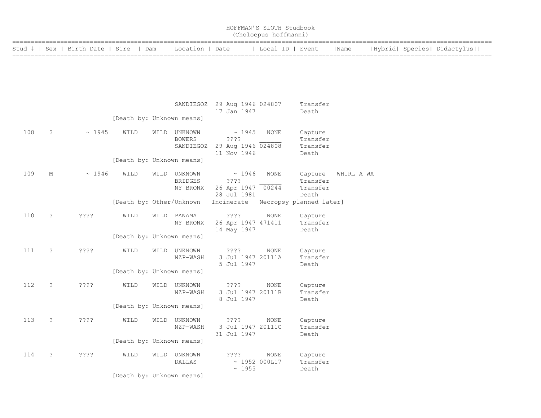|        |                      |                         |                           |      |                                            |                                                     | HOFFMAN'S SLOTH Studbook<br>(Choloepus hoffmanni) |                                          |            |  |                                                       |
|--------|----------------------|-------------------------|---------------------------|------|--------------------------------------------|-----------------------------------------------------|---------------------------------------------------|------------------------------------------|------------|--|-------------------------------------------------------|
| Stud # | Sex                  | Birth Date   Sire   Dam |                           |      | Location   Date                            |                                                     | Local ID   Event                                  |                                          | Name       |  | Hybrid  Species  Didactylus  <br>-------------------- |
|        |                      |                         |                           |      |                                            |                                                     |                                                   |                                          |            |  |                                                       |
|        |                      |                         |                           |      | SANDIEGOZ                                  | 29 Aug 1946 024807<br>17 Jan 1947                   |                                                   | Transfer<br>Death                        |            |  |                                                       |
|        |                      |                         | [Death by: Unknown means] |      |                                            |                                                     |                                                   |                                          |            |  |                                                       |
| 108    | $\cdot$              | ~1945                   | WILD                      | WILD | UNKNOWN<br><b>BOWERS</b><br>SANDIEGOZ      | ~1945<br>????<br>29 Aug 1946 024808<br>11 Nov 1946  | <b>NONE</b>                                       | Capture<br>Transfer<br>Transfer          |            |  |                                                       |
|        |                      |                         | [Death by: Unknown means] |      |                                            |                                                     |                                                   | Death                                    |            |  |                                                       |
| 109    | $M_{\odot}$          | ~1946                   | WILD                      |      | WILD UNKNOWN<br><b>BRIDGES</b><br>NY BRONX | ~1946<br>????<br>26 Apr 1947 00244<br>28 Jul 1981   | <b>NONE</b>                                       | Capture<br>Transfer<br>Transfer<br>Death | WHIRL A WA |  |                                                       |
|        |                      |                         | [Death by: Other/Unknown  |      |                                            | Incinerate                                          |                                                   | Necropsy planned later]                  |            |  |                                                       |
| 110    | $\ddot{\phantom{0}}$ | ????                    | WILD                      | WILD | PANAMA<br>NY BRONX                         | ????<br>26 Apr 1947 471411<br>14 May 1947           | <b>NONE</b>                                       | Capture<br>Transfer<br>Death             |            |  |                                                       |
|        |                      |                         | [Death by: Unknown means] |      |                                            |                                                     |                                                   |                                          |            |  |                                                       |
| 111    | $\ddot{\cdot}$       | ????                    | WILD                      | WILD | UNKNOWN<br>NZP-WASH                        | ????<br>3 Jul 1947 20111A<br>5 Jul 1947             | <b>NONE</b>                                       | Capture<br>Transfer<br>Death             |            |  |                                                       |
|        |                      |                         | [Death by: Unknown means] |      |                                            |                                                     |                                                   |                                          |            |  |                                                       |
| 112    | $\ddot{\phantom{0}}$ | ????                    | WILD                      |      | WILD UNKNOWN<br>NZP-WASH                   | $??\mathrel{?}?$<br>3 Jul 1947 20111B<br>8 Jul 1947 | NONE                                              | Capture<br>Transfer<br>Death             |            |  |                                                       |
|        |                      |                         | [Death by: Unknown means] |      |                                            |                                                     |                                                   |                                          |            |  |                                                       |
| 113    | $\tilde{S}$          | ????                    | WILD                      |      | WILD UNKNOWN<br>NZP-WASH                   | ????<br>3 Jul 1947 20111C<br>31 Jul 1947            | <b>NONE</b>                                       | Capture<br>Transfer<br>Death             |            |  |                                                       |
|        |                      |                         | [Death by: Unknown means] |      |                                            |                                                     |                                                   |                                          |            |  |                                                       |
| 114    | $\ddot{\cdot}$       | ????                    | WILD                      | WILD | UNKNOWN<br><b>DALLAS</b>                   | ????<br>~1955                                       | NONE<br>$\sim$ 1952 000L17                        | Capture<br>Transfer<br>Death             |            |  |                                                       |
|        |                      |                         | [Death by: Unknown means] |      |                                            |                                                     |                                                   |                                          |            |  |                                                       |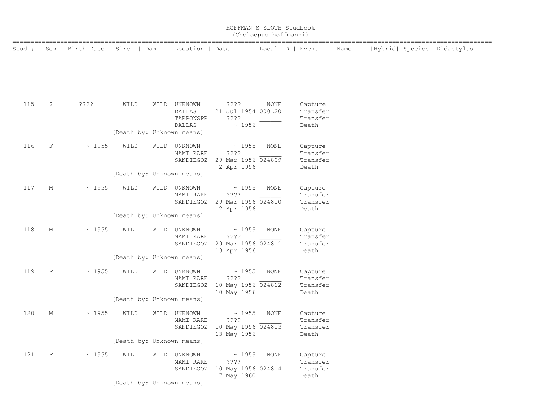|     | HOFFMAN'S SLOTH Studbook<br>(Choloepus hoffmanni) |                                        |                                                                |      |                                               |                                                                     |                  |                                          |      |  |  |                             |  |
|-----|---------------------------------------------------|----------------------------------------|----------------------------------------------------------------|------|-----------------------------------------------|---------------------------------------------------------------------|------------------|------------------------------------------|------|--|--|-----------------------------|--|
|     |                                                   | Stud #   Sex   Birth Date   Sire   Dam |                                                                |      | Location   Date                               |                                                                     | Local ID   Event |                                          | Name |  |  | Hybrid  Species  Didactylus |  |
|     |                                                   |                                        |                                                                |      |                                               |                                                                     |                  |                                          |      |  |  |                             |  |
| 115 | ?                                                 | ????                                   | WILD                                                           |      | WILD UNKNOWN<br>DALLAS<br>TARPONSPR<br>DALLAS | ????<br>21 Jul 1954 000L20<br>????<br>~1956                         | NONE             | Capture<br>Transfer<br>Transfer<br>Death |      |  |  |                             |  |
| 116 | F                                                 | ~1955                                  | [Death by: Unknown means]<br>WILD                              | WILD | UNKNOWN<br>MAMI RARE<br>SANDIEGOZ             | $\sim$ 1955<br>????<br>29 Mar 1956 024809<br>2 Apr 1956             | NONE             | Capture<br>Transfer<br>Transfer<br>Death |      |  |  |                             |  |
| 117 | М                                                 | ~1955                                  | [Death by: Unknown means]<br>WILD                              | WILD | UNKNOWN<br>MAMI RARE                          | $\sim 1955$<br>????<br>SANDIEGOZ 29 Mar 1956 024810<br>2 Apr 1956   | NONE             | Capture<br>Transfer<br>Transfer<br>Death |      |  |  |                             |  |
| 118 | М                                                 | ~1955                                  | [Death by: Unknown means]<br>WILD<br>[Death by: Unknown means] | WILD | UNKNOWN<br>MAMI RARE                          | $\sim 1955$<br>????<br>SANDIEGOZ 29 Mar 1956 024811<br>13 Apr 1956  | NONE             | Capture<br>Transfer<br>Transfer<br>Death |      |  |  |                             |  |
| 119 | F                                                 | ~1955                                  | WILD<br>[Death by: Unknown means]                              |      | WILD UNKNOWN<br>MAMI RARE<br>SANDIEGOZ        | $\sim 1955$<br>????<br>10 May 1956 024812<br>10 May 1956            | NONE             | Capture<br>Transfer<br>Transfer<br>Death |      |  |  |                             |  |
| 120 | М                                                 | ~1955                                  | WILD<br>[Death by: Unknown means]                              |      | WILD UNKNOWN<br>MAMI RARE                     | ~1955<br>????<br>SANDIEGOZ 10 May 1956 024813<br>13 May 1956        | NONE             | Capture<br>Transfer<br>Transfer<br>Death |      |  |  |                             |  |
| 121 | $\mathbf{F}$                                      | ~1955                                  | WILD<br>[Death by: Unknown means]                              |      | WILD UNKNOWN<br>MAMI RARE<br>SANDIEGOZ        | $\sim 1955$<br>$??\mathrel{?}?$<br>10 May 1956 024814<br>7 May 1960 | NONE             | Capture<br>Transfer<br>Transfer<br>Death |      |  |  |                             |  |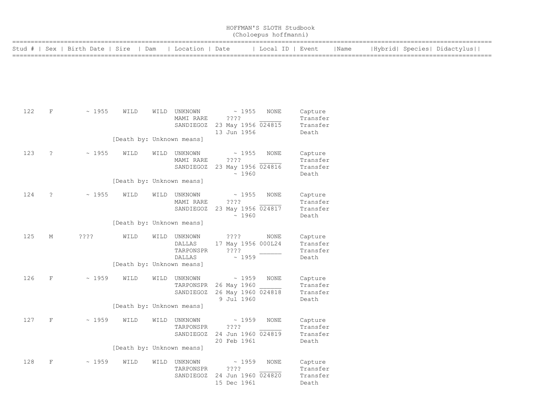|     |                      |                                  |                           |      |                                                 |                                                                          | HOFFMAN'S SLOTH Studbook<br>(Choloepus hoffmanni) |                                          |      |  |                             |
|-----|----------------------|----------------------------------|---------------------------|------|-------------------------------------------------|--------------------------------------------------------------------------|---------------------------------------------------|------------------------------------------|------|--|-----------------------------|
|     |                      | Stud #   Sex   Birth Date   Sire | Dam                       |      | Location   Date                                 |                                                                          | Local ID   Event                                  |                                          | Name |  | Hybrid  Species  Didactylus |
|     |                      |                                  |                           |      |                                                 |                                                                          |                                                   |                                          |      |  |                             |
| 122 | $\mathbf F$          | ~1955                            | WILD                      |      | WILD UNKNOWN<br>MAMI RARE<br>SANDIEGOZ          | $\sim 1955$<br>????<br>23 May 1956 024815<br>13 Jun 1956                 | NONE                                              | Capture<br>Transfer<br>Transfer<br>Death |      |  |                             |
|     |                      |                                  | [Death by: Unknown means] |      |                                                 |                                                                          |                                                   |                                          |      |  |                             |
| 123 | $\ddot{\cdot}$       | ~1955                            | WILD                      |      | WILD UNKNOWN<br>MAMI RARE<br>SANDIEGOZ          | $\sim 1955$<br>????<br>23 May 1956 024816<br>~1960                       | NONE                                              | Capture<br>Transfer<br>Transfer<br>Death |      |  |                             |
|     |                      |                                  | [Death by: Unknown means] |      |                                                 |                                                                          |                                                   |                                          |      |  |                             |
| 124 | $\ddot{\phantom{0}}$ | ~1955                            | WILD                      |      | WILD UNKNOWN<br>MAMI RARE<br>SANDIEGOZ          | ~1955<br>????<br>23 May 1956 024817<br>~1960                             | NONE                                              | Capture<br>Transfer<br>Transfer<br>Death |      |  |                             |
|     |                      |                                  | [Death by: Unknown means] |      |                                                 |                                                                          |                                                   |                                          |      |  |                             |
| 125 | М                    | ????                             | WILD                      | WILD | UNKNOWN<br>DALLAS<br>TARPONSPR<br><b>DALLAS</b> | ? ? ? ?<br>17 May 1956 000L24<br>????<br>~1959                           | NONE                                              | Capture<br>Transfer<br>Transfer<br>Death |      |  |                             |
|     |                      |                                  | [Death by: Unknown means] |      |                                                 |                                                                          |                                                   |                                          |      |  |                             |
| 126 | $\mathbf F$          | ~1959                            | WILD                      |      | WILD UNKNOWN<br>TARPONSPR                       | $\sim 1959$<br>26 May 1960<br>SANDIEGOZ 26 May 1960 024818<br>9 Jul 1960 | NONE                                              | Capture<br>Transfer<br>Transfer<br>Death |      |  |                             |
|     |                      |                                  | [Death by: Unknown means] |      |                                                 |                                                                          |                                                   |                                          |      |  |                             |
| 127 | F                    | $~\sim~1959$                     | WILD                      |      | WILD UNKNOWN<br>TARPONSPR                       | $\sim 1959$<br>? ? ? ?<br>SANDIEGOZ 24 Jun 1960 024819<br>20 Feb 1961    | NONE                                              | Capture<br>Transfer<br>Transfer<br>Death |      |  |                             |
|     |                      |                                  | [Death by: Unknown means] |      |                                                 |                                                                          |                                                   |                                          |      |  |                             |
| 128 | $\mathbf{F}$         | ~1959                            | WILD                      |      | WILD UNKNOWN<br>TARPONSPR                       | $\sim 1959$<br>? ? ? ?<br>SANDIEGOZ 24 Jun 1960 024820<br>15 Dec 1961    | NONE                                              | Capture<br>Transfer<br>Transfer<br>Death |      |  |                             |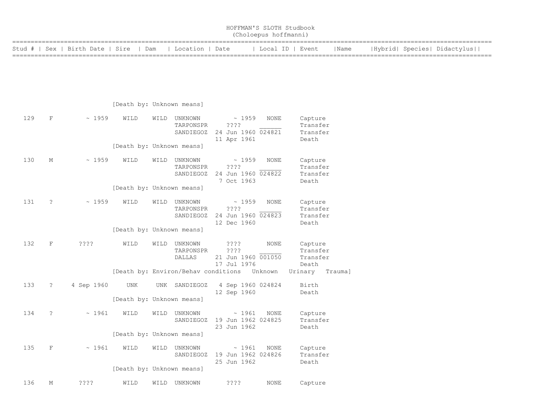|                                                                                                                  | HOFFMAN'S SLOTH Studbook<br>(Choloepus hoffmanni) |  |  |  |  |  |  |
|------------------------------------------------------------------------------------------------------------------|---------------------------------------------------|--|--|--|--|--|--|
| Stud #   Sex   Birth Date   Sire   Dam   Location   Date   Local ID   Event   Name   Hybrid  Species  Didactylus |                                                   |  |  |  |  |  |  |
|                                                                                                                  |                                                   |  |  |  |  |  |  |
|                                                                                                                  |                                                   |  |  |  |  |  |  |
|                                                                                                                  |                                                   |  |  |  |  |  |  |
|                                                                                                                  |                                                   |  |  |  |  |  |  |

|  | [Death by: Unknown means] |  |
|--|---------------------------|--|

| 129 | $\mathbf F$          | ~1959      | WILD                      | WILD | UNKNOWN<br>TARPONSPR<br>SANDIEGOZ     | ~1959<br>????<br>24 Jun 1960 024821<br>11 Apr 1961       | <b>NONE</b> | Capture<br>Transfer<br>Transfer<br>Death |
|-----|----------------------|------------|---------------------------|------|---------------------------------------|----------------------------------------------------------|-------------|------------------------------------------|
|     |                      |            | [Death by: Unknown means] |      |                                       |                                                          |             |                                          |
| 130 | М                    | ~1959      | WILD                      | WILD | UNKNOWN<br>TARPONSPR<br>SANDIEGOZ     | ~1959<br>????<br>24 Jun 1960 024822<br>7 Oct 1963        | <b>NONE</b> | Capture<br>Transfer<br>Transfer<br>Death |
|     |                      |            | [Death by: Unknown means] |      |                                       |                                                          |             |                                          |
| 131 | ?                    | ~1959      | WILD                      | WILD | UNKNOWN<br>TARPONSPR<br>SANDIEGOZ     | $\sim 1959$<br>????<br>24 Jun 1960 024823<br>12 Dec 1960 | <b>NONE</b> | Capture<br>Transfer<br>Transfer<br>Death |
|     |                      |            | [Death by: Unknown means] |      |                                       |                                                          |             |                                          |
| 132 | $\mathbf F$          | $??\ ??$   | WILD                      | WILD | UNKNOWN<br>TARPONSPR<br><b>DALLAS</b> | ????<br>????<br>21 Jun 1960 001050<br>17 Jul 1976        | <b>NONE</b> | Capture<br>Transfer<br>Transfer<br>Death |
|     |                      |            |                           |      | [Death by: Environ/Behav conditions   |                                                          | Unknown     | Urinary<br>Trauma]                       |
| 133 | $\ddot{\phantom{0}}$ | 4 Sep 1960 | UNK                       | UNK  | SANDIEGOZ                             | 4 Sep 1960 024824<br>12 Sep 1960                         |             | Birth<br>Death                           |
|     |                      |            | [Death by: Unknown means] |      |                                       |                                                          |             |                                          |
| 134 | ?                    | ~1961      | WILD                      | WILD | UNKNOWN<br>SANDIEGOZ                  | ~1961<br>19 Jun 1962 024825<br>23 Jun 1962               | <b>NONE</b> | Capture<br>Transfer<br>Death             |
|     |                      |            | [Death by: Unknown means] |      |                                       |                                                          |             |                                          |
| 135 | $\mathbf F$          | ~1961      | WILD                      | WILD | UNKNOWN<br>SANDIEGOZ                  | ~1961<br>19 Jun 1962 024826<br>25 Jun 1962               | <b>NONE</b> | Capture<br>Transfer<br>Death             |
|     |                      |            | [Death by: Unknown means] |      |                                       |                                                          |             |                                          |
| 136 | М                    | ????       | WILD                      | WILD | UNKNOWN                               | ????                                                     | <b>NONE</b> | Capture                                  |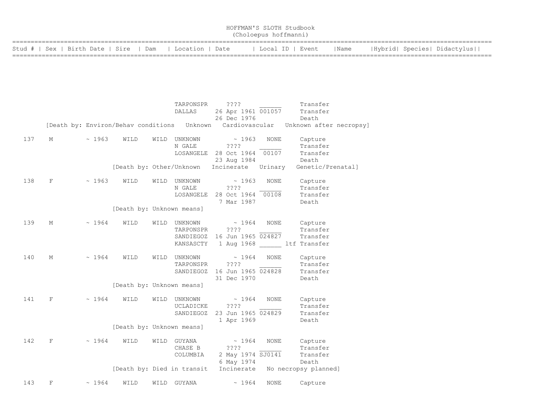| HOFFMAN'S SLOTH Studbook<br>(Choloepus hoffmanni)        |  |                  |      |                             |  |  |  |  |  |  |
|----------------------------------------------------------|--|------------------|------|-----------------------------|--|--|--|--|--|--|
| Stud #   Sex   Birth Date   Sire   Dam   Location   Date |  | Local ID   Event | Name | Hybrid  Species  Didactylus |  |  |  |  |  |  |

|     |              |       |                           |      | TARPONSPR                                   | ????                         |                | Transfer                |
|-----|--------------|-------|---------------------------|------|---------------------------------------------|------------------------------|----------------|-------------------------|
|     |              |       |                           |      | <b>DALLAS</b>                               | 26 Apr 1961 001057           |                | Transfer                |
|     |              |       |                           |      |                                             | 26 Dec 1976                  |                | Death                   |
|     |              |       |                           |      | [Death by: Environ/Behav conditions Unknown |                              | Cardiovascular | Unknown after necropsy] |
|     |              |       |                           |      |                                             |                              |                |                         |
| 137 | М            | ~1963 | WILD                      |      | WILD UNKNOWN                                | $\sim 1963$                  | NONE           | Capture                 |
|     |              |       |                           |      | N GALE                                      | ????                         |                | Transfer                |
|     |              |       |                           |      | LOSANGELE                                   | 28 Oct 1964 00107            |                | Transfer                |
|     |              |       |                           |      |                                             | 23 Aug 1984                  |                | Death                   |
|     |              |       | [Death by: Other/Unknown  |      |                                             | Incinerate                   | Urinary        | Genetic/Prenatal]       |
|     |              |       |                           |      |                                             |                              |                |                         |
| 138 | $\mathbf{F}$ | ~1963 | WILD                      |      | WILD UNKNOWN                                | $\sim 1963$                  | <b>NONE</b>    | Capture                 |
|     |              |       |                           |      | N GALE                                      | $??\,?\,?$                   |                | Transfer                |
|     |              |       |                           |      | LOSANGELE                                   | 28 Oct 1964 00108            |                | Transfer                |
|     |              |       |                           |      |                                             | 7 Mar 1987                   |                | Death                   |
|     |              |       | [Death by: Unknown means] |      |                                             |                              |                |                         |
|     |              |       |                           |      |                                             |                              |                |                         |
| 139 | М            | ~1964 | WILD                      |      | WILD UNKNOWN                                | $\sim 1964$                  | NONE           | Capture<br>Transfer     |
|     |              |       |                           |      | TARPONSPR                                   | $??\,?\,?$                   |                | Transfer                |
|     |              |       |                           |      |                                             | SANDIEGOZ 16 Jun 1965 024827 |                |                         |
|     |              |       |                           |      | KANSASCTY                                   |                              |                | 1 Aug 1968 ltf Transfer |
| 140 | М            | ~1964 | WILD                      | WILD | UNKNOWN                                     | $\sim 1964$                  | <b>NONE</b>    | Capture                 |
|     |              |       |                           |      | TARPONSPR                                   | 2222                         |                | Transfer                |
|     |              |       |                           |      |                                             | SANDIEGOZ 16 Jun 1965 024828 |                | Transfer                |
|     |              |       |                           |      |                                             | 31 Dec 1970                  |                | Death                   |
|     |              |       | [Death by: Unknown means] |      |                                             |                              |                |                         |
|     |              |       |                           |      |                                             |                              |                |                         |
| 141 | $\mathbf{F}$ | ~1964 | WILD                      |      | WILD UNKNOWN                                | $\sim 1964$                  | <b>NONE</b>    | Capture                 |
|     |              |       |                           |      | UCLADICKE                                   | ????                         |                | Transfer                |
|     |              |       |                           |      | SANDIEGOZ                                   | 23 Jun 1965 024829           |                | Transfer                |
|     |              |       |                           |      |                                             | 1 Apr 1969                   |                | Death                   |
|     |              |       | [Death by: Unknown means] |      |                                             |                              |                |                         |
|     |              |       |                           |      |                                             |                              |                |                         |
| 142 | F            | ~1964 | WILD                      |      | WILD GUYANA                                 | $\sim 1964$                  | <b>NONE</b>    | Capture                 |
|     |              |       |                           |      | CHASE B                                     | ????                         |                | Transfer                |
|     |              |       |                           |      | COLUMBIA                                    | 2 May 1974 SJ0141            |                | Transfer                |
|     |              |       |                           |      |                                             | 6 May 1974                   |                | Death                   |
|     |              |       |                           |      | [Death by: Died in transit                  | Incinerate                   |                | No necropsy planned]    |
|     |              |       |                           |      |                                             |                              |                |                         |
| 143 | $_{\rm F}$   | ~1964 | WILD                      |      | WILD GUYANA                                 | $\sim 1964$                  | NONE           | Capture                 |
|     |              |       |                           |      |                                             |                              |                |                         |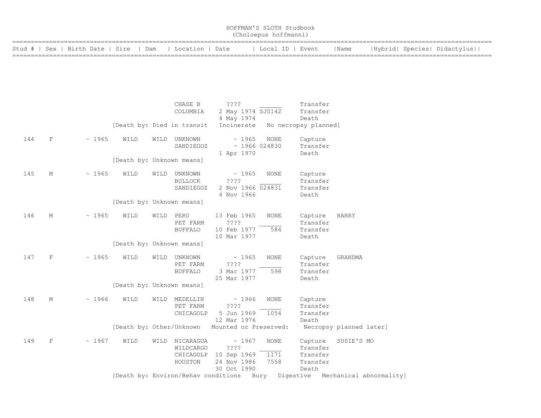| HOFFMAN'S SLOTH Studbook<br>(Choloepus hoffmanni)        |  |                  |      |                             |  |  |  |  |  |  |
|----------------------------------------------------------|--|------------------|------|-----------------------------|--|--|--|--|--|--|
| Stud #   Sex   Birth Date   Sire   Dam   Location   Date |  | Local ID   Event | Name | Hybrid  Species  Didactylus |  |  |  |  |  |  |

|     |            |       |                            |      | CHASE B<br>COLUMBIA                                 | ? ? ? ?<br>2 May 1974 SJ0142<br>4 May 1974                 |                                    | Transfer<br>Transfer<br>Death                        |                                                                            |
|-----|------------|-------|----------------------------|------|-----------------------------------------------------|------------------------------------------------------------|------------------------------------|------------------------------------------------------|----------------------------------------------------------------------------|
|     |            |       | [Death by: Died in transit |      |                                                     | Incinerate                                                 |                                    | No necropsy planned]                                 |                                                                            |
| 144 | $_{\rm F}$ | ~1965 | WILD                       |      | WILD UNKNOWN<br>SANDIEGOZ                           | ~1965<br>1 Apr 1970                                        | <b>NONE</b><br>$~\sim$ 1966 024830 | Capture<br>Transfer<br>Death                         |                                                                            |
|     |            |       | [Death by: Unknown means]  |      |                                                     |                                                            |                                    |                                                      |                                                                            |
| 145 | М          | ~1965 | WILD                       | WILD | UNKNOWN<br><b>BULLOCK</b><br>SANDIEGOZ              | ~1965<br>????<br>2 Nov 1966 024831<br>4 Nov 1966           | <b>NONE</b>                        | Capture<br>Transfer<br>Transfer<br>Death             |                                                                            |
|     |            |       | [Death by: Unknown means]  |      |                                                     |                                                            |                                    |                                                      |                                                                            |
| 146 | М          | ~1965 | WILD                       | WILD | PERU<br>PET FARM<br><b>BUFFALO</b>                  | 13 Feb 1965<br>????<br>10 Feb 1977<br>10 Mar 1977          | <b>NONE</b><br>584                 | Capture<br>Transfer<br>Transfer<br>Death             | HARRY                                                                      |
|     |            |       | [Death by: Unknown means]  |      |                                                     |                                                            |                                    |                                                      |                                                                            |
| 147 | F          | ~1965 | WILD                       | WILD | UNKNOWN<br>PET FARM<br><b>BUFFALO</b>               | ~1965<br>????<br>3 Mar 1977<br>25 Mar 1977                 | <b>NONE</b><br>598                 | Capture<br>Transfer<br>Transfer<br>Death             | GRANDMA                                                                    |
|     |            |       | [Death by: Unknown means]  |      |                                                     |                                                            |                                    |                                                      |                                                                            |
| 148 | М          | ~1966 | WILD                       | WILD | MEDELLIN<br>PET FARM<br>CHICAGOLP                   | ~1966<br>????<br>5 Jun 1969 1054<br>12 Mar 1976            | <b>NONE</b>                        | Capture<br>Transfer<br>Transfer<br>Death             |                                                                            |
|     |            |       | [Death by: Other/Unknown   |      |                                                     | Mounted or Preserved:                                      |                                    |                                                      | Necropsy planned later]                                                    |
| 149 | F          | ~1967 | WILD                       |      | WILD NICARAGUA<br>WILDCARGO<br>CHICAGOLP<br>HOUSTON | ~1967<br>????<br>10 Sep 1969<br>24 Nov 1986<br>30 Oct 1990 | NONE<br>1171<br>7558               | Capture<br>Transfer<br>Transfer<br>Transfer<br>Death | SUSIE'S MO                                                                 |
|     |            |       |                            |      |                                                     |                                                            |                                    |                                                      | [Death by: Environ/Behav conditions Bury Digestive Mechanical abnormality] |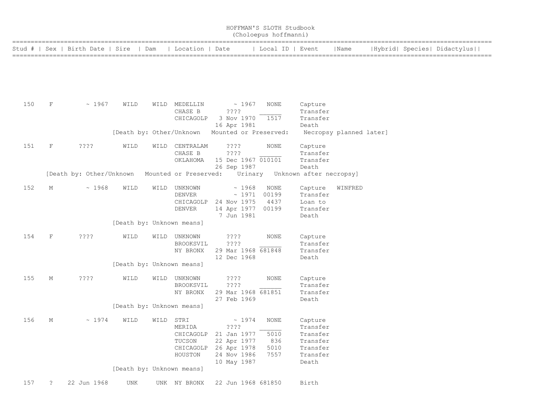|     |             |                                  |                           |      |                                                        |                                                                                                              | HOFFMAN'S SLOTH Studbook<br>(Choloepus hoffmanni) |                                                                              |                         |  |                             |
|-----|-------------|----------------------------------|---------------------------|------|--------------------------------------------------------|--------------------------------------------------------------------------------------------------------------|---------------------------------------------------|------------------------------------------------------------------------------|-------------------------|--|-----------------------------|
|     |             | Stud #   Sex   Birth Date   Sire |                           | Dam  | Location   Date                                        |                                                                                                              | Local ID   Event                                  |                                                                              | Name                    |  | Hybrid  Species  Didactylus |
|     |             |                                  |                           |      |                                                        |                                                                                                              |                                                   |                                                                              |                         |  |                             |
| 150 | $\mathbf F$ | ~1967                            | WILD                      |      | WILD MEDELLIN<br>CHASE B<br>CHICAGOLP                  | ~1967<br>????<br>3 Nov 1970<br>16 Apr 1981                                                                   | <b>NONE</b><br>1517                               | Capture<br>Transfer<br>Transfer<br>Death                                     |                         |  |                             |
|     |             |                                  | [Death by: Other/Unknown  |      |                                                        | Mounted or Preserved:                                                                                        |                                                   |                                                                              | Necropsy planned later] |  |                             |
| 151 | $\mathbf F$ | ????                             | WILD                      | WILD | CENTRALAM<br>CHASE B<br>OKLAHOMA                       | ????<br>? ? ? ?<br>15 Dec 1967 010101<br>26 Sep 1987                                                         | NONE                                              | Capture<br>Transfer<br>Transfer<br>Death                                     |                         |  |                             |
|     |             | [Death by: Other/Unknown         |                           |      | Mounted or Preserved:                                  | Urinary                                                                                                      |                                                   | Unknown after necropsy]                                                      |                         |  |                             |
| 152 | М           | ~1968                            | WILD                      | WILD | UNKNOWN<br><b>DENVER</b><br>CHICAGOLP<br><b>DENVER</b> | ~1968<br>~1971<br>24 Nov 1975<br>14 Apr 1977 00199<br>7 Jun 1981                                             | <b>NONE</b><br>00199<br>4437                      | Capture<br>Transfer<br>Loan to<br>Transfer<br>Death                          | WINFRED                 |  |                             |
|     |             |                                  | [Death by: Unknown means] |      |                                                        |                                                                                                              |                                                   |                                                                              |                         |  |                             |
| 154 | $\mathbf F$ | ????                             | WILD                      | WILD | UNKNOWN<br>BROOKSVIL<br>NY BRONX                       | ? ? ? ?<br>????<br>29 Mar 1968 681848<br>12 Dec 1968                                                         | <b>NONE</b>                                       | Capture<br>Transfer<br>Transfer<br>Death                                     |                         |  |                             |
|     |             |                                  | [Death by: Unknown means] |      |                                                        |                                                                                                              |                                                   |                                                                              |                         |  |                             |
| 155 | М           | ????                             | WILD                      |      | WILD UNKNOWN<br>BROOKSVIL<br>NY BRONX                  | 3333.<br>$??\cdot?$<br>29 Mar 1968 681851<br>27 Feb 1969                                                     | <b>NONE</b>                                       | Capture<br>Transfer<br>Transfer                                              |                         |  |                             |
|     |             |                                  | [Death by: Unknown means] |      |                                                        |                                                                                                              |                                                   | Death                                                                        |                         |  |                             |
| 156 | М           | ~1974                            | WILD                      | WILD | STRI<br>MERIDA<br>TUCSON<br>HOUSTON                    | ~1974<br>????<br>CHICAGOLP 21 Jan 1977<br>22 Apr 1977<br>CHICAGOLP 26 Apr 1978<br>24 Nov 1986<br>10 May 1987 | NONE<br>5010<br>836<br>5010<br>7557               | Capture<br>Transfer<br>Transfer<br>Transfer<br>Transfer<br>Transfer<br>Death |                         |  |                             |
|     |             |                                  | [Death by: Unknown means] |      |                                                        |                                                                                                              |                                                   |                                                                              |                         |  |                             |
| 157 | ?           | 22 Jun 1968                      | UNK                       |      | UNK NY BRONX                                           | 22 Jun 1968 681850                                                                                           |                                                   | Birth                                                                        |                         |  |                             |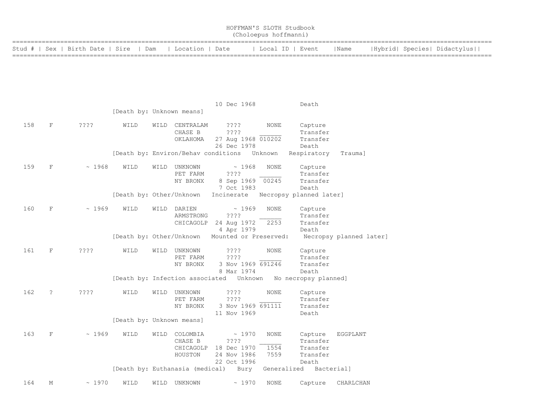|        |                      |                         |                                 |      |                          |                                                                    | HOFFMAN'S SLOTH Studbook<br>(Choloepus hoffmanni) |                                 |                         |  |                             |  |
|--------|----------------------|-------------------------|---------------------------------|------|--------------------------|--------------------------------------------------------------------|---------------------------------------------------|---------------------------------|-------------------------|--|-----------------------------|--|
| Stud # |                      | Sex   Birth Date   Sire |                                 | Dam  | Location   Date          |                                                                    | Local ID   Event                                  |                                 | Name                    |  | Hybrid  Species  Didactylus |  |
|        |                      |                         |                                 |      |                          |                                                                    |                                                   |                                 |                         |  |                             |  |
|        |                      |                         |                                 |      |                          |                                                                    |                                                   |                                 |                         |  |                             |  |
|        |                      |                         |                                 |      |                          |                                                                    |                                                   |                                 |                         |  |                             |  |
|        |                      |                         | [Death by: Unknown means]       |      |                          | 10 Dec 1968                                                        |                                                   | Death                           |                         |  |                             |  |
| 158    | $\mathbf F$          | ? ? ? ?                 | WILD                            | WILD | CENTRALAM                | ????                                                               | NONE                                              | Capture                         |                         |  |                             |  |
|        |                      |                         |                                 |      | CHASE B<br>OKLAHOMA      | ????<br>27 Aug 1968 010202                                         |                                                   | Transfer<br>Transfer            |                         |  |                             |  |
|        |                      |                         |                                 |      |                          | 26 Dec 1978<br>[Death by: Environ/Behav conditions Unknown         |                                                   | Death<br>Respiratory            | Trauma]                 |  |                             |  |
| 159    | $\mathbf F$          | ~1968                   | WILD                            | WILD | UNKNOWN<br>PET FARM      | ~1968<br>????                                                      | NONE                                              | Capture<br>Transfer             |                         |  |                             |  |
|        |                      |                         |                                 |      | NY BRONX                 | 8 Sep 1969 00245<br>7 Oct 1983                                     |                                                   | Transfer<br>Death               |                         |  |                             |  |
|        |                      |                         | [Death by: Other/Unknown        |      |                          | Incinerate                                                         |                                                   | Necropsy planned later]         |                         |  |                             |  |
| 160    | $\mathbf F$          | ~1969                   | WILD                            | WILD | DARIEN<br>ARMSTRONG      | ~1969<br>????                                                      | NONE                                              | Capture<br>Transfer             |                         |  |                             |  |
|        |                      |                         |                                 |      | CHICAGOLP                | 24 Aug 1972<br>4 Apr 1979                                          | 2253                                              | Transfer<br>Death               |                         |  |                             |  |
|        |                      |                         | [Death by: Other/Unknown        |      |                          | Mounted or Preserved:                                              |                                                   |                                 | Necropsy planned later] |  |                             |  |
| 161    | F                    | $??\,?\,?$              | WILD                            | WILD | UNKNOWN<br>PET FARM      | ????<br>????                                                       | NONE                                              | Capture<br>Transfer             |                         |  |                             |  |
|        |                      |                         |                                 |      | NY BRONX                 | 3 Nov 1969 691246<br>8 Mar 1974                                    |                                                   | Transfer<br>Death               |                         |  |                             |  |
|        |                      |                         |                                 |      |                          | [Death by: Infection associated    Unknown    No necropsy planned] |                                                   |                                 |                         |  |                             |  |
| 162    | $\ddot{\phantom{0}}$ | ????                    | WILD                            |      | WILD UNKNOWN<br>PET FARM | $??\,?\,?$<br>????                                                 | NONE                                              | Capture<br>Transfer             |                         |  |                             |  |
|        |                      |                         |                                 |      | NY BRONX                 | 3 Nov 1969 691111<br>11 Nov 1969                                   |                                                   | Transfer<br>Death               |                         |  |                             |  |
|        |                      |                         | [Death by: Unknown means]       |      |                          |                                                                    |                                                   |                                 |                         |  |                             |  |
| 163    | $\mathbf F$          | ~1969                   | WILD                            | WILD | COLOMBIA<br>CHASE B      | ~1970<br>? ? ? ?                                                   | NONE                                              | Capture<br>Transfer             | EGGPLANT                |  |                             |  |
|        |                      |                         |                                 |      | CHICAGOLP<br>HOUSTON     | 18 Dec 1970<br>24 Nov 1986                                         | 1554<br>7559                                      | Transfer<br>Transfer            |                         |  |                             |  |
|        |                      |                         | [Death by: Euthanasia (medical) |      |                          | 22 Oct 1996<br>Bury                                                |                                                   | Death<br>Generalized Bacterial] |                         |  |                             |  |
| 164    | М                    | ~1970                   | WILD                            | WILD | UNKNOWN                  | ~1970                                                              | NONE                                              | Capture                         | CHARLCHAN               |  |                             |  |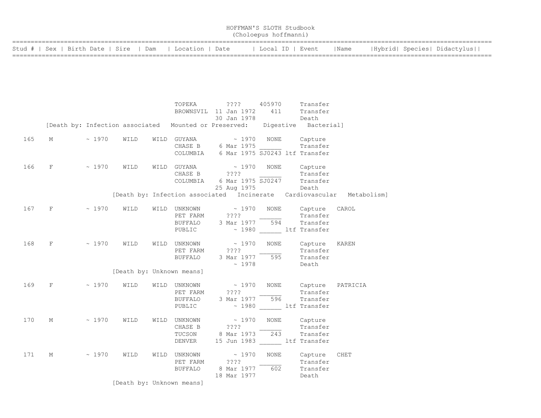| HOFFMAN'S SLOTH Studbook<br>(Choloepus hoffmanni)        |  |                  |      |                             |  |  |  |  |  |  |
|----------------------------------------------------------|--|------------------|------|-----------------------------|--|--|--|--|--|--|
| Stud #   Sex   Birth Date   Sire   Dam   Location   Date |  | Local ID   Event | Name | Hybrid  Species  Didactylus |  |  |  |  |  |  |

|     |   |             |      |      | TOPEKA<br>BROWNSVIL                                                          | $??\mathbf{??}$<br>11 Jan 1972                   | 405970<br>411                                        | Transfer<br>Transfer                                        |                                                                       |
|-----|---|-------------|------|------|------------------------------------------------------------------------------|--------------------------------------------------|------------------------------------------------------|-------------------------------------------------------------|-----------------------------------------------------------------------|
|     |   |             |      |      |                                                                              | 30 Jan 1978                                      |                                                      | Death                                                       |                                                                       |
|     |   |             |      |      | [Death by: Infection associated Mounted or Preserved: Digestive Bacterial]   |                                                  |                                                      |                                                             |                                                                       |
| 165 | М | ~1970       | WILD |      | WILD GUYANA<br>CHASE B 6 Mar 1975<br>COLUMBIA 6 Mar 1975 SJ0243 ltf Transfer | $\sim 1970$                                      | NONE                                                 | Capture<br>Transfer                                         |                                                                       |
| 166 | F | $\sim 1970$ | WILD |      | WILD GUYANA<br>CHASE B<br>COLUMBIA                                           | ????                                             | $\sim 1970$ NONE<br>6 Mar 1975 SJ0247<br>25 Aug 1975 | Capture<br>Transfer<br>Transfer<br>Death                    |                                                                       |
|     |   |             |      |      |                                                                              |                                                  |                                                      |                                                             | [Death by: Infection associated Incinerate Cardiovascular Metabolism] |
| 167 | F | ~1970       | WILD |      | WILD UNKNOWN<br>PET FARM<br>BUFFALO 3 Mar 1977 594<br>PUBLIC                 | $\sim 1970$<br>????                              | NONE                                                 | Capture<br>Transfer<br>Transfer<br>~ 1980 ltf Transfer      | CAROL                                                                 |
| 168 | F | $\sim 1970$ | WILD | WILD | UNKNOWN<br>PET FARM<br><b>BUFFALO</b>                                        | $\sim 1970$<br>$??\; ?$<br>3 Mar 1977<br>~1978   | NONE<br>595                                          | Capture<br>Transfer<br>Transfer<br>Death                    | KAREN                                                                 |
|     |   |             |      |      | [Death by: Unknown means]                                                    |                                                  |                                                      |                                                             |                                                                       |
| 169 | F | ~1970       | WILD |      | WILD UNKNOWN<br>PET FARM<br>BUFFALO 3 Mar 1977<br>PUBLIC                     | $\sim 1970$<br>????                              | NONE<br>596                                          | Capture<br>Transfer<br>Transfer<br>~ 1980 ltf Transfer      | PATRICIA                                                              |
| 170 | М | $\sim 1970$ | WILD | WILD | UNKNOWN<br>CHASE B<br>TUCSON<br>DENVER                                       | $\sim 1970$<br>????<br>8 Mar 1973                | NONE<br>243                                          | Capture<br>Transfer<br>Transfer<br>15 Jun 1983 ltf Transfer |                                                                       |
| 171 | М | ~1970       | WILD | WILD | UNKNOWN<br>PET FARM<br><b>BUFFALO</b>                                        | $\sim 1970$<br>????<br>8 Mar 1977<br>18 Mar 1977 | <b>NONE</b><br>602                                   | Capture<br>Transfer<br>Transfer<br>Death                    | CHET                                                                  |
|     |   |             |      |      | [Death by: Unknown means]                                                    |                                                  |                                                      |                                                             |                                                                       |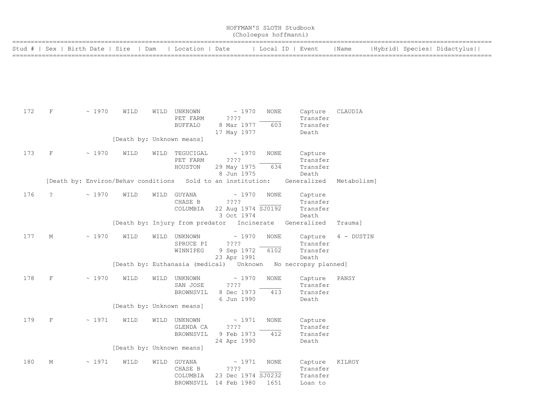| HOFFMAN'S SLOTH Studbook<br>(Choloepus hoffmanni) |         |                         |                                   |      |                                            |                                                                                                 |                     |                                                         |             |  |                             |
|---------------------------------------------------|---------|-------------------------|-----------------------------------|------|--------------------------------------------|-------------------------------------------------------------------------------------------------|---------------------|---------------------------------------------------------|-------------|--|-----------------------------|
| Stud #                                            |         | Sex   Birth Date   Sire | Dam                               |      | Location   Date                            |                                                                                                 | Local ID   Event    |                                                         | Name        |  | Hybrid  Species  Didactylus |
|                                                   |         |                         |                                   |      |                                            |                                                                                                 |                     |                                                         |             |  |                             |
| 172                                               | F       | ~1970                   | WILD<br>[Death by: Unknown means] |      | WILD UNKNOWN<br>PET FARM<br><b>BUFFALO</b> | ~1970<br>????<br>8 Mar 1977<br>17 May 1977                                                      | NONE<br>603         | Capture<br>Transfer<br>Transfer<br>Death                | CLAUDIA     |  |                             |
| 173                                               | F       | ~1970                   | WILD                              |      | WILD TEGUCIGAL<br>PET FARM<br>HOUSTON      | ~1970<br>????<br>29 May 1975<br>8 Jun 1975                                                      | <b>NONE</b><br>634  | Capture<br>Transfer<br>Transfer<br>Death                |             |  |                             |
|                                                   |         |                         |                                   |      |                                            | [Death by: Environ/Behav conditions Sold to an institution:                                     |                     | Generalized                                             | Metabolism] |  |                             |
| 176                                               | ?       | ~1970                   | WILD                              |      | WILD GUYANA<br>CHASE B<br>COLUMBIA         | ~1970<br>????<br>22 Aug 1974 SJ0192<br>3 Oct 1974<br>[Death by: Injury from predator Incinerate | NONE                | Capture<br>Transfer<br>Transfer<br>Death<br>Generalized | Trauma]     |  |                             |
| 177                                               | М       | ~1970                   | WILD                              | WILD | UNKNOWN<br>SPRUCE PI<br>WINNIPEG           | ~1970<br>????<br>9 Sep 1972<br>23 Apr 1991                                                      | <b>NONE</b><br>6102 | Capture<br>Transfer<br>Transfer<br>Death                | 4 - DUSTIN  |  |                             |
|                                                   |         |                         |                                   |      |                                            | [Death by: Euthanasia (medical) Unknown                                                         |                     | No necropsy planned]                                    |             |  |                             |
| 178                                               | $\rm F$ | ~1970                   | WILD                              | WILD | UNKNOWN<br>SAN JOSE<br>BROWNSVIL           | ~1970<br>????<br>8 Dec 1973<br>6 Jun 1990                                                       | <b>NONE</b><br>413  | Capture<br>Transfer<br>Transfer<br>Death                | PANSY       |  |                             |
|                                                   |         |                         | [Death by: Unknown means]         |      |                                            |                                                                                                 |                     |                                                         |             |  |                             |
| 179                                               | F       | ~1971                   | WILD                              | WILD | UNKNOWN<br>GLENDA CA<br>BROWNSVIL          | ~1971<br>? ? ? ?<br>9 Feb 1973<br>24 Apr 1990                                                   | <b>NONE</b><br>412  | Capture<br>Transfer<br>Transfer<br>Death                |             |  |                             |
|                                                   |         |                         | [Death by: Unknown means]         |      |                                            |                                                                                                 |                     |                                                         |             |  |                             |
| 180                                               | М       | ~1971                   | WILD                              |      | WILD GUYANA<br>CHASE B<br>COLUMBIA         | ~1971<br>? ? ? ?<br>23 Dec 1974 SJ0232<br>BROWNSVIL 14 Feb 1980                                 | NONE<br>1651        | Capture<br>Transfer<br>Transfer<br>Loan to              | KILROY      |  |                             |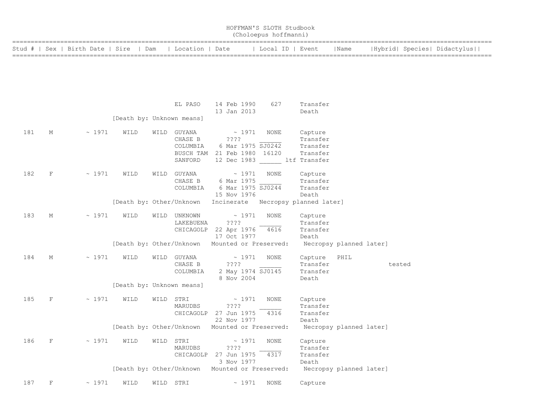|        |             |                         |                           |      |                       |                                        | HOFFMAN'S SLOTH Studbook<br>(Choloepus hoffmanni) |                         |      |                             |
|--------|-------------|-------------------------|---------------------------|------|-----------------------|----------------------------------------|---------------------------------------------------|-------------------------|------|-----------------------------|
| Stud # |             | Sex   Birth Date   Sire | Dam                       |      | Location   Date       |                                        | Local ID   Event                                  |                         | Name | Hybrid  Species  Didactylus |
|        |             |                         |                           |      |                       |                                        |                                                   |                         |      |                             |
|        |             |                         |                           |      |                       |                                        |                                                   |                         |      |                             |
|        |             |                         |                           |      |                       |                                        |                                                   |                         |      |                             |
|        |             |                         |                           |      | EL PASO               | 14 Feb 1990<br>13 Jan 2013             | 627                                               | Transfer<br>Death       |      |                             |
|        |             |                         | [Death by: Unknown means] |      |                       |                                        |                                                   |                         |      |                             |
| 181    | М           | ~1971                   | WILD                      | WILD | GUYANA                | $\sim 1971$                            | NONE                                              | Capture                 |      |                             |
|        |             |                         |                           |      | CHASE B               | ????                                   |                                                   | Transfer                |      |                             |
|        |             |                         |                           |      | COLUMBIA<br>BUSCH TAM | 6 Mar 1975 SJ0242<br>21 Feb 1980 16120 |                                                   | Transfer<br>Transfer    |      |                             |
|        |             |                         |                           |      | SANFORD               |                                        | 12 Dec 1983 ltf Transfer                          |                         |      |                             |
|        |             |                         |                           |      |                       |                                        |                                                   |                         |      |                             |
| 182    | F           | ~1971                   | WILD                      |      | WILD GUYANA           | ~1971                                  | <b>NONE</b>                                       | Capture                 |      |                             |
|        |             |                         |                           |      | CHASE B               | 6 Mar 1975                             |                                                   | Transfer                |      |                             |
|        |             |                         |                           |      | COLUMBIA              | 6 Mar 1975 SJ0244                      |                                                   | Transfer                |      |                             |
|        |             |                         |                           |      |                       | 15 Nov 1976                            |                                                   | Death                   |      |                             |
|        |             |                         | [Death by: Other/Unknown  |      |                       | Incinerate                             | Necropsy planned later]                           |                         |      |                             |
| 183    | М           | ~1971                   | WILD                      |      | WILD UNKNOWN          | ~1971                                  | <b>NONE</b>                                       | Capture                 |      |                             |
|        |             |                         |                           |      | LAKEBUENA             | ????                                   |                                                   | Transfer                |      |                             |
|        |             |                         |                           |      |                       | CHICAGOLP 22 Apr 1976                  | 4616                                              | Transfer                |      |                             |
|        |             |                         |                           |      |                       | 17 Oct 1977                            |                                                   | Death                   |      |                             |
|        |             |                         | [Death by: Other/Unknown  |      |                       | Mounted or Preserved:                  |                                                   | Necropsy planned later] |      |                             |
| 184    | М           | ~1971                   | WILD                      |      | WILD GUYANA           | ~1971                                  | NONE                                              | Capture                 | PHIL |                             |
|        |             |                         |                           |      | CHASE B               | ????                                   |                                                   | Transfer                |      | tested                      |
|        |             |                         |                           |      | COLUMBIA              | 2 May 1974 SJ0145                      |                                                   | Transfer                |      |                             |
|        |             |                         |                           |      |                       | 8 Nov 2004                             |                                                   | Death                   |      |                             |
|        |             |                         | [Death by: Unknown means] |      |                       |                                        |                                                   |                         |      |                             |
| 185    | F           | ~1971                   | WILD                      |      | WILD STRI             | ~1971                                  | NONE                                              | Capture                 |      |                             |
|        |             |                         |                           |      | MARUDBS               | ????                                   |                                                   | Transfer                |      |                             |
|        |             |                         |                           |      | CHICAGOLP             | 27 Jun 1975                            | 4316                                              | Transfer                |      |                             |
|        |             |                         |                           |      |                       | 22 Nov 1977                            |                                                   | Death                   |      |                             |
|        |             |                         | [Death by: Other/Unknown  |      |                       | Mounted or Preserved:                  |                                                   | Necropsy planned later] |      |                             |
| 186    | F           | ~1971                   | WILD                      |      | WILD STRI             | $~\sim~1971$                           | NONE                                              | Capture                 |      |                             |
|        |             |                         |                           |      | MARUDBS               | ????                                   |                                                   | Transfer                |      |                             |
|        |             |                         |                           |      | CHICAGOLP             | 27 Jun 1975                            | 4317                                              | Transfer                |      |                             |
|        |             |                         |                           |      |                       | 3 Nov 1977                             |                                                   | Death                   |      |                             |
|        |             |                         | [Death by: Other/Unknown  |      |                       | Mounted or Preserved:                  |                                                   | Necropsy planned later] |      |                             |
| 187    | $\mathbf F$ | ~1971                   | WILD                      |      | WILD STRI             | ~1971                                  | NONE                                              | Capture                 |      |                             |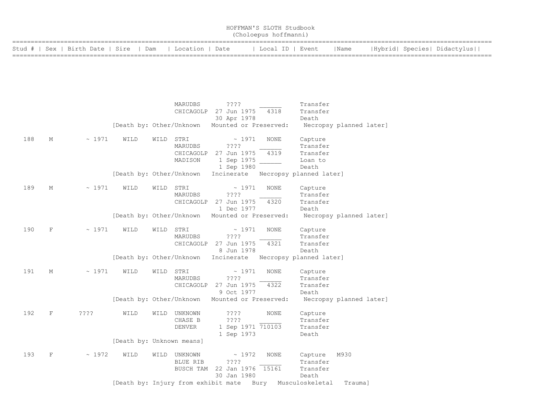| HOFFMAN'S SLOTH Studbook<br>(Choloepus hoffmanni)        |  |                  |      |                             |  |  |  |  |  |  |
|----------------------------------------------------------|--|------------------|------|-----------------------------|--|--|--|--|--|--|
| Stud #   Sex   Birth Date   Sire   Dam   Location   Date |  | Local ID   Event | Name | Hybrid  Species  Didactylus |  |  |  |  |  |  |

|     |             |             |      | MARUDBS                   | ????                                     | Transfer                   |
|-----|-------------|-------------|------|---------------------------|------------------------------------------|----------------------------|
|     |             |             |      | CHICAGOLP                 | 27 Jun 1975<br>4318                      | Transfer                   |
|     |             |             |      |                           | 30 Apr 1978                              | Death                      |
|     |             |             |      | [Death by: Other/Unknown  | Mounted or Preserved:                    | Necropsy planned later]    |
| 188 | М           | $\sim 1971$ | WILD | STRI<br>WILD              | $\sim 1971$<br>NONE                      | Capture                    |
|     |             |             |      | MARUDBS                   | ????                                     | Transfer                   |
|     |             |             |      | CHICAGOLP                 | 27 Jun 1975<br>4319                      | Transfer                   |
|     |             |             |      | MADISON                   | 1 Sep 1975                               | Loan to                    |
|     |             |             |      |                           | 1 Sep 1980                               | Death                      |
|     |             |             |      | [Death by: Other/Unknown  | Incinerate                               | Necropsy planned later]    |
| 189 | М           | ~1971       | WILD | STRI<br>WILD              | $\sim 1971$<br><b>NONE</b>               | Capture                    |
|     |             |             |      | MARUDBS                   | ????                                     | Transfer                   |
|     |             |             |      | CHICAGOLP                 | 27 Jun 1975<br>4320                      | Transfer                   |
|     |             |             |      |                           | 1 Dec 1977                               | Death                      |
|     |             |             |      | [Death by: Other/Unknown  | Mounted or Preserved:                    | Necropsy planned later]    |
| 190 | F           | ~1971       | WILD | STRI<br>WILD              | ~1971<br><b>NONE</b>                     | Capture                    |
|     |             |             |      | MARUDBS                   | ????                                     | Transfer                   |
|     |             |             |      | CHICAGOLP                 | 27 Jun 1975<br>4321                      | Transfer                   |
|     |             |             |      |                           | 8 Jun 1978                               | Death                      |
|     |             |             |      | [Death by: Other/Unknown  | Incinerate                               | Necropsy planned later]    |
| 191 | Μ           | ~1971       | WILD | STRI<br>WILD              | ~1971<br>NONE                            | Capture                    |
|     |             |             |      | MARUDBS                   | ????                                     | Transfer                   |
|     |             |             |      | CHICAGOLP                 | 4322<br>27 Jun 1975                      | Transfer                   |
|     |             |             |      |                           | 9 Oct 1977                               | Death                      |
|     |             |             |      | [Death by: Other/Unknown  | Mounted or Preserved:                    | Necropsy planned later]    |
| 192 | $\mathbf F$ | ????        | WILD | <b>UNKNOWN</b><br>WILD    | ????<br><b>NONE</b>                      | Capture                    |
|     |             |             |      | CHASE B                   | ????                                     | Transfer                   |
|     |             |             |      | <b>DENVER</b>             | 1 Sep 1971 710103                        | Transfer                   |
|     |             |             |      |                           | 1 Sep 1973                               | Death                      |
|     |             |             |      | [Death by: Unknown means] |                                          |                            |
| 193 | F           | ~1972       | WILD | WILD<br>UNKNOWN           | ~1972<br><b>NONE</b>                     | Capture<br>M930            |
|     |             |             |      | BLUE RIB                  | ????                                     | Transfer                   |
|     |             |             |      | BUSCH TAM                 | 22 Jan 1976 15161                        | Transfer                   |
|     |             |             |      |                           | 30 Jan 1980                              | Death                      |
|     |             |             |      |                           | [Death by: Injury from exhibit mate Bury | Musculoskeletal<br>Trauma] |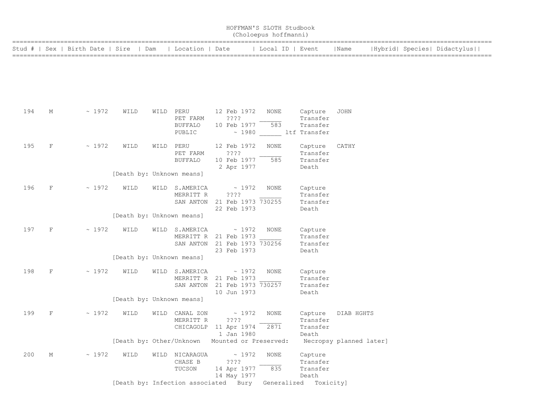|     |             |                                        |                                   |                                                   |                                                                                     | HOFFMAN'S SLOTH Studbook<br>(Choloepus hoffmanni) |                                                        |                         |                             |
|-----|-------------|----------------------------------------|-----------------------------------|---------------------------------------------------|-------------------------------------------------------------------------------------|---------------------------------------------------|--------------------------------------------------------|-------------------------|-----------------------------|
|     |             | Stud #   Sex   Birth Date   Sire   Dam |                                   | Location   Date                                   |                                                                                     | Local ID   Event                                  |                                                        | Name                    | Hybrid  Species  Didactylus |
|     |             |                                        |                                   |                                                   |                                                                                     |                                                   |                                                        |                         |                             |
| 194 | М           | ~1972                                  | WILD                              | WILD PERU<br>PET FARM<br><b>BUFFALO</b><br>PUBLIC | 12 Feb 1972<br>????<br>10 Feb 1977                                                  | NONE<br>583                                       | Capture<br>Transfer<br>Transfer<br>~ 1980 ltf Transfer | <b>JOHN</b>             |                             |
| 195 | $\mathbf F$ | ~1972                                  | WILD<br>[Death by: Unknown means] | WILD PERU<br>PET FARM<br><b>BUFFALO</b>           | 12 Feb 1972<br>$??\,?\,?$<br>10 Feb 1977<br>2 Apr 1977                              | <b>NONE</b><br>585                                | Capture<br>Transfer<br>Transfer<br>Death               | CATHY                   |                             |
| 196 | F           | ~1972                                  | WILD<br>[Death by: Unknown means] | WILD S.AMERICA<br>MERRITT R                       | $\sim 1972$<br>????<br>SAN ANTON 21 Feb 1973 730255<br>22 Feb 1973                  | <b>NONE</b>                                       | Capture<br>Transfer<br>Transfer<br>Death               |                         |                             |
| 197 | F           | $\sim 1972$                            | WILD                              | WILD S.AMERICA                                    | $\sim 1972$<br>MERRITT R 21 Feb 1973<br>SAN ANTON 21 Feb 1973 730256<br>23 Feb 1973 | NONE                                              | Capture<br>Transfer<br>Transfer<br>Death               |                         |                             |
| 198 | F           | ~1972                                  | [Death by: Unknown means]<br>WILD | WILD S.AMERICA<br>SAN ANTON                       | $\sim 1972$<br>MERRITT R 21 Feb 1973<br>21 Feb 1973 730257<br>10 Jun 1973           | <b>NONE</b>                                       | Capture<br>Transfer<br>Transfer<br>Death               |                         |                             |
| 199 | F           | ~1972                                  | [Death by: Unknown means]<br>WILD | WILD CANAL ZON<br>MERRITT R                       | $\sim 1972$<br>????<br>CHICAGOLP 11 Apr 1974<br>1 Jan 1980                          | <b>NONE</b><br>2871                               | Capture<br>Transfer<br>Transfer<br>Death               | DIAB HGHTS              |                             |
| 200 | М           | ~1972                                  | [Death by: Other/Unknown<br>WILD  | WILD NICARAGUA<br>CHASE B<br>TUCSON               | Mounted or Preserved:<br>~1972<br>????<br>14 Apr 1977<br>14 May 1977                | <b>NONE</b><br>835                                | Capture<br>Transfer<br>Transfer<br>Death               | Necropsy planned later] |                             |

[Death by: Infection associated Bury Generalized Toxicity]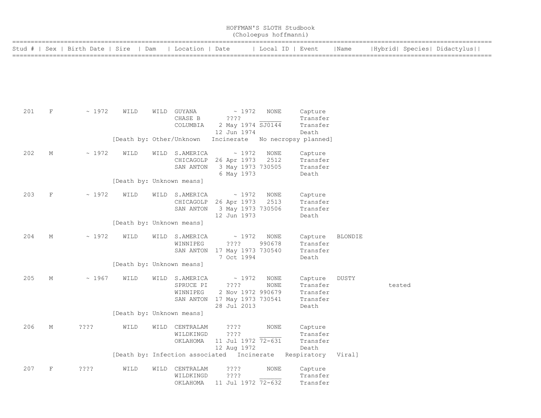|        |   |                         |                           |                                          | HOFFMAN'S SLOTH Studbook                                                                    | (Choloepus hoffmanni) |                                             |                |                             |
|--------|---|-------------------------|---------------------------|------------------------------------------|---------------------------------------------------------------------------------------------|-----------------------|---------------------------------------------|----------------|-----------------------------|
| Stud # |   | Sex   Birth Date   Sire | Dam                       | Location   Date                          |                                                                                             |                       | Local ID   Event                            | Name           | Hybrid  Species  Didactylus |
|        |   |                         |                           |                                          |                                                                                             |                       |                                             |                |                             |
| 201    | F | ~1972                   | WILD                      | WILD GUYANA<br>CHASE B<br>COLUMBIA       | $\sim 1972$<br>????<br>2 May 1974 SJ0144<br>12 Jun 1974                                     | NONE                  | Capture<br>Transfer<br>Transfer<br>Death    |                |                             |
|        |   |                         | [Death by: Other/Unknown  |                                          | Incinerate No necropsy planned]                                                             |                       |                                             |                |                             |
| 202    | М | $\sim 1972$             | WILD                      | WILD S.AMERICA<br>SAN ANTON              | $\sim 1972$<br>CHICAGOLP 26 Apr 1973<br>3 May 1973 730505<br>6 May 1973                     | NONE<br>2512          | Capture<br>Transfer<br>Transfer<br>Death    |                |                             |
|        |   |                         | [Death by: Unknown means] |                                          |                                                                                             |                       |                                             |                |                             |
| 203    | F | $\sim 1972$             | WILD                      | WILD S.AMERICA<br>CHICAGOLP<br>SAN ANTON | $\sim 1972$<br>26 Apr 1973<br>3 May 1973 730506<br>12 Jun 1973                              | NONE<br>2513          | Capture<br>Transfer<br>Transfer<br>Death    |                |                             |
|        |   |                         | [Death by: Unknown means] |                                          |                                                                                             |                       |                                             |                |                             |
| 204    | М | ~1972                   | WILD                      | WILD S.AMERICA<br>WINNIPEG               | $\sim 1972$<br>$??\ ??$<br>SAN ANTON 17 May 1973 730540<br>7 Oct 1994                       | NONE<br>990678        | Capture<br>Transfer<br>Transfer<br>Death    | <b>BLONDIE</b> |                             |
|        |   |                         | [Death by: Unknown means] |                                          |                                                                                             |                       |                                             |                |                             |
| 205    | М | $~\sim~1967$            | WILD                      | WILD S.AMERICA<br>SPRUCE PI<br>WINNIPEG  | $\sim 1972$<br>$??\ ??$<br>2 Nov 1972 990679<br>SAN ANTON 17 May 1973 730541<br>28 Jul 2013 | NONE<br>NONE          | Capture<br>Transfer<br>Transfer<br>Transfer | DUSTY          | tested                      |
|        |   |                         | [Death by: Unknown means] |                                          |                                                                                             |                       | Death                                       |                |                             |
| 206    | М | 7777                    | WILD                      | WILD CENTRALAM<br>WILDKINGD<br>OKLAHOMA  | ????<br>$??\mathrel{?}?$<br>11 Jul 1972 72-631<br>12 Aug 1972                               | NONE                  | Capture<br>Transfer<br>Transfer<br>Death    |                |                             |
|        |   |                         |                           |                                          | [Death by: Infection associated Incinerate                                                  |                       | Respiratory Viral]                          |                |                             |
| 207    | F | ? ? ? ?                 | WILD                      | WILD CENTRALAM<br>WILDKINGD              | ????<br>? ? ? ?<br>OKLAHOMA 11 Jul 1972 72-632                                              | NONE                  | Capture<br>Transfer<br>Transfer             |                |                             |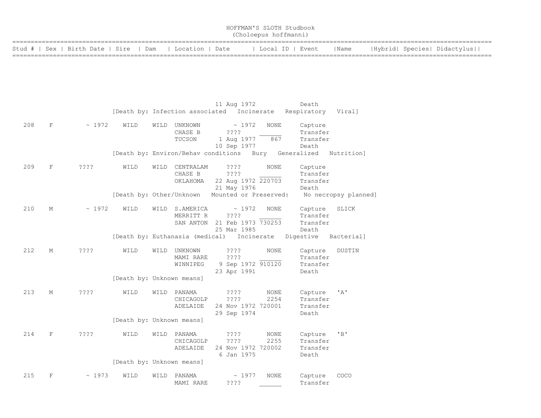| HOFFMAN'S SLOTH Studbook<br>(Choloepus hoffmanni) |  |  |  |  |  |  |  |  |                                                                                      |  |  |  |                             |
|---------------------------------------------------|--|--|--|--|--|--|--|--|--------------------------------------------------------------------------------------|--|--|--|-----------------------------|
|                                                   |  |  |  |  |  |  |  |  | Stud #   Sex   Birth Date   Sire   Dam   Location   Date     Local ID   Event   Name |  |  |  | Hybrid  Species  Didactylus |
|                                                   |  |  |  |  |  |  |  |  |                                                                                      |  |  |  |                             |
|                                                   |  |  |  |  |  |  |  |  |                                                                                      |  |  |  |                             |

|     |             |                  |                           |      |                                       | 11 Aug 1972                                                  |                    | Death                                    |                      |
|-----|-------------|------------------|---------------------------|------|---------------------------------------|--------------------------------------------------------------|--------------------|------------------------------------------|----------------------|
|     |             |                  |                           |      | [Death by: Infection associated       |                                                              | Incinerate         | Respiratory                              | Viral]               |
| 208 | $\mathbf F$ | ~1972            | WILD                      |      | WILD UNKNOWN<br>CHASE B<br>TUCSON     | ~1972<br>????<br>1 Aug 1977<br>10 Sep 1977                   | <b>NONE</b><br>867 | Capture<br>Transfer<br>Transfer<br>Death |                      |
|     |             |                  |                           |      | [Death by: Environ/Behav conditions   |                                                              | Bury               | Generalized                              | Nutrition]           |
| 209 | $\mathbf F$ | ????             | WILD                      |      | WILD CENTRALAM<br>CHASE B<br>OKLAHOMA | $??\mathbin{?}$<br>????<br>22 Aug 1972 220703<br>21 May 1976 | <b>NONE</b>        | Capture<br>Transfer<br>Transfer<br>Death |                      |
|     |             |                  | [Death by: Other/Unknown  |      |                                       | Mounted or Preserved:                                        |                    |                                          | No necropsy planned] |
| 210 | M           | ~1972            | WILD                      | WILD | S.AMERICA<br>MERRITT R<br>SAN ANTON   | ~1972<br>????<br>21 Feb 1973 730253<br>25 Mar 1985           | <b>NONE</b>        | Capture<br>Transfer<br>Transfer<br>Death | SLICK                |
|     |             |                  |                           |      | [Death by: Euthanasia (medical)       | Incinerate                                                   |                    | Digestive                                | Bacterial]           |
| 212 | М           | ????             | WILD                      | WILD | UNKNOWN<br>MAMI RARE<br>WINNIPEG      | ? ? ? ?<br>????<br>9 Sep 1972 910120<br>23 Apr 1991          | <b>NONE</b>        | Capture<br>Transfer<br>Transfer<br>Death | DUSTIN               |
|     |             |                  | [Death by: Unknown means] |      |                                       |                                                              |                    |                                          |                      |
| 213 | М           | $??\mathrel{?}?$ | WILD                      | WILD | PANAMA<br>CHICAGOLP<br>ADELAIDE       | ? ? ? ?<br>????<br>24 Nov 1972 720001<br>29 Sep 1974         | NONE<br>2254       | Capture<br>Transfer<br>Transfer<br>Death | ' A'                 |
|     |             |                  | [Death by: Unknown means] |      |                                       |                                                              |                    |                                          |                      |
| 214 | F           | ????             | WILD                      | WILD | PANAMA<br>CHICAGOLP<br>ADELAIDE       | ????<br>????<br>24 Nov 1972 720002<br>6 Jan 1975             | NONE<br>2255       | Capture<br>Transfer<br>Transfer<br>Death | "B"                  |
|     |             |                  | [Death by: Unknown means] |      |                                       |                                                              |                    |                                          |                      |
| 215 | F           | ~1973            | WILD                      | WILD | PANAMA<br>MAMI RARE                   | ~1977<br>????                                                | <b>NONE</b>        | Capture<br>Transfer                      | COCO                 |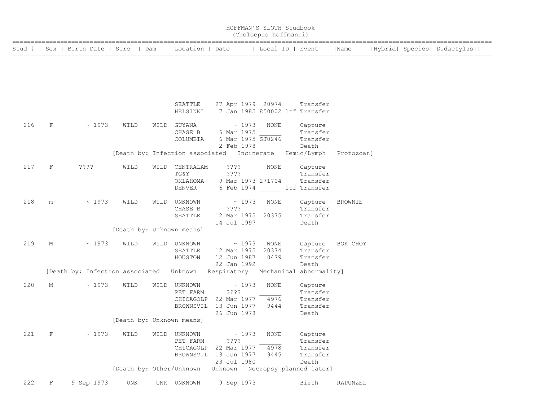|     |                    |                                          |                           |      |                                                                | HOFFMAN'S SLOTH Studbook                                           | (Choloepus hoffmanni)       |                                                      |                |  |                             |
|-----|--------------------|------------------------------------------|---------------------------|------|----------------------------------------------------------------|--------------------------------------------------------------------|-----------------------------|------------------------------------------------------|----------------|--|-----------------------------|
|     |                    | Stud #   Sex   Birth Date   Sire         |                           | Dam  | Location   Date                                                |                                                                    | Local ID   Event            |                                                      | Name           |  | Hybrid  Species  Didactylus |
|     |                    |                                          |                           |      |                                                                |                                                                    |                             |                                                      |                |  |                             |
|     |                    |                                          |                           |      |                                                                |                                                                    |                             |                                                      |                |  |                             |
|     |                    |                                          |                           |      | SEATTLE<br>HELSINKI                                            | 27 Apr 1979 20974<br>7 Jan 1985 850002 ltf Transfer                |                             | Transfer                                             |                |  |                             |
| 216 | F                  | ~1973                                    | WILD                      |      | WILD GUYANA                                                    | $\sim 1973$                                                        | NONE                        | Capture                                              |                |  |                             |
|     |                    |                                          |                           |      | CHASE B<br>COLUMBIA                                            | 6 Mar 1975<br>6 Mar 1975 SJ0246                                    |                             | Transfer<br>Transfer                                 |                |  |                             |
|     |                    |                                          |                           |      | [Death by: Infection associated Incinerate                     | 2 Feb 1978                                                         |                             | Death<br>Hemic/Lymph                                 | Protozoan]     |  |                             |
| 217 | $\mathbf F$        | ????                                     | WILD                      | WILD | CENTRALAM<br>TG&Y<br>OKLAHOMA<br>DENVER                        | $??\,?\,?$<br>????<br>9 Mar 1973 271704<br>6 Feb 1974 ltf Transfer | NONE                        | Capture<br>Transfer<br>Transfer                      |                |  |                             |
| 218 | m                  | ~1973                                    | WILD                      |      | WILD UNKNOWN<br>CHASE B<br>SEATTLE                             | ~1973<br>????<br>12 Mar 1975 20375<br>14 Jul 1997                  | NONE                        | Capture<br>Transfer<br>Transfer<br>Death             | <b>BROWNIE</b> |  |                             |
|     |                    |                                          | [Death by: Unknown means] |      |                                                                |                                                                    |                             |                                                      |                |  |                             |
| 219 | М                  | ~1973                                    | WILD                      |      | WILD UNKNOWN<br>SEATTLE<br>HOUSTON                             | ~1973<br>12 Mar 1975<br>12 Jun 1987<br>22 Jan 1992                 | NONE<br>20374<br>8479       | Capture<br>Transfer<br>Transfer<br>Death             | BOK CHOY       |  |                             |
|     |                    | [Death by: Infection associated  Unknown |                           |      |                                                                | Respiratory                                                        |                             | Mechanical abnormality]                              |                |  |                             |
| 220 | М                  | ~1973                                    | WILD                      |      | WILD UNKNOWN<br>PET FARM<br>CHICAGOLP<br>BROWNSVIL 13 Jun 1977 | ~1973<br>? ? ? ?<br>22 Mar 1977<br>26 Jun 1978                     | NONE<br>4976<br>9444        | Capture<br>Transfer<br>Transfer<br>Transfer          |                |  |                             |
|     |                    |                                          | [Death by: Unknown means] |      |                                                                |                                                                    |                             | Death                                                |                |  |                             |
| 221 | $\mathbf F$        | ~1973                                    | WILD                      |      | WILD UNKNOWN<br>PET FARM<br>CHICAGOLP<br>BROWNSVIL 13 Jun 1977 | $\sim 1973$<br>????<br>22 Mar 1977<br>23 Jul 1980                  | <b>NONE</b><br>4978<br>9445 | Capture<br>Transfer<br>Transfer<br>Transfer<br>Death |                |  |                             |
|     |                    |                                          | [Death by: Other/Unknown  |      |                                                                |                                                                    |                             | Unknown Necropsy planned later]                      |                |  |                             |
| 222 | $\mathbf{F}% _{0}$ | 9 Sep 1973                               | UNK                       |      | UNK UNKNOWN                                                    | 9 Sep 1973                                                         |                             | Birth                                                | RAPUNZEL       |  |                             |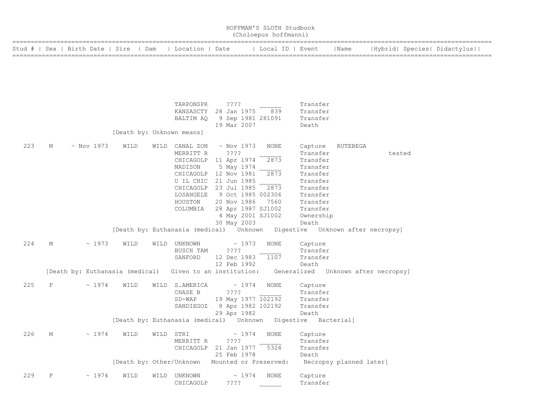|     |              |                                                          |                           |      |                             |                                                                             | HOFFMAN'S SLOTH Studbook<br>(Choloepus hoffmanni) |                      |                         |                                     |  |
|-----|--------------|----------------------------------------------------------|---------------------------|------|-----------------------------|-----------------------------------------------------------------------------|---------------------------------------------------|----------------------|-------------------------|-------------------------------------|--|
|     |              | Stud #   Sex   Birth Date   Sire   Dam   Location   Date |                           |      |                             |                                                                             | Local ID   Event                                  |                      | Name                    | Hybrid  Species  Didactylus         |  |
|     |              |                                                          |                           |      |                             |                                                                             |                                                   |                      |                         |                                     |  |
|     |              |                                                          |                           |      | TARPONSPR                   | ????                                                                        |                                                   | Transfer             |                         |                                     |  |
|     |              |                                                          |                           |      |                             | KANSASCTY 28 Jan 1975                                                       | 839                                               | Transfer             |                         |                                     |  |
|     |              |                                                          |                           |      | BALTIM AQ                   | 9 Sep 1981 281091<br>19 Mar 2007                                            |                                                   | Transfer<br>Death    |                         |                                     |  |
|     |              |                                                          | [Death by: Unknown means] |      |                             |                                                                             |                                                   |                      |                         |                                     |  |
| 223 | М            | $\sim$ Nov 1973                                          | WILD                      |      | WILD CANAL ZON<br>MERRITT R | $\sim$ Nov 1973<br>????                                                     | NONE                                              | Capture<br>Transfer  | RUTEBEGA                | tested                              |  |
|     |              |                                                          |                           |      |                             | CHICAGOLP 11 Apr 1974                                                       | 2873                                              | Transfer             |                         |                                     |  |
|     |              |                                                          |                           |      | MADISON                     | 5 May 1974                                                                  |                                                   | Transfer             |                         |                                     |  |
|     |              |                                                          |                           |      |                             | CHICAGOLP 12 Nov 1981                                                       | 2873                                              | Transfer             |                         |                                     |  |
|     |              |                                                          |                           |      |                             | U IL CHIC 21 Jun 1985<br>CHICAGOLP 23 Jul 1985                              | 2873                                              | Transfer<br>Transfer |                         |                                     |  |
|     |              |                                                          |                           |      | LOSANGELE                   | 9 Oct 1985 002306                                                           |                                                   | Transfer             |                         |                                     |  |
|     |              |                                                          |                           |      | HOUSTON                     | 20 Nov 1986                                                                 | 7560                                              | Transfer             |                         |                                     |  |
|     |              |                                                          |                           |      | COLUMBIA                    | 28 Apr 1987 SJ1002                                                          |                                                   | Transfer             |                         |                                     |  |
|     |              |                                                          |                           |      |                             | 4 May 2001 SJ1002                                                           |                                                   | Ownership            |                         |                                     |  |
|     |              |                                                          |                           |      |                             | 30 May 2003                                                                 |                                                   | Death                |                         |                                     |  |
|     |              |                                                          |                           |      |                             | [Death by: Euthanasia (medical) Unknown Digestive Unknown after necropsy]   |                                                   |                      |                         |                                     |  |
| 224 | М            | ~1973                                                    | WILD                      | WILD | UNKNOWN                     | ~1973                                                                       | NONE                                              | Capture              |                         |                                     |  |
|     |              |                                                          |                           |      | BUSCH TAM                   | $??\ ??$                                                                    |                                                   | Transfer             |                         |                                     |  |
|     |              |                                                          |                           |      | SANFORD                     | 12 Dec 1983                                                                 | 1107                                              | Transfer             |                         |                                     |  |
|     |              |                                                          |                           |      |                             | 12 Feb 1992                                                                 |                                                   | Death                |                         |                                     |  |
|     |              | [Death by: Euthanasia (medical) Given to an institution: |                           |      |                             |                                                                             |                                                   |                      |                         | Generalized Unknown after necropsy] |  |
| 225 | F            | ~1974                                                    | WILD                      |      | WILD S.AMERICA              | ~1974                                                                       | NONE                                              | Capture              |                         |                                     |  |
|     |              |                                                          |                           |      | CHASE B                     | ????                                                                        |                                                   | Transfer             |                         |                                     |  |
|     |              |                                                          |                           |      | $SD-WAP$                    | 19 May 1977 102192                                                          |                                                   | Transfer             |                         |                                     |  |
|     |              |                                                          |                           |      | SANDIEGOZ                   | 8 Apr 1982 102192                                                           |                                                   | Transfer             |                         |                                     |  |
|     |              |                                                          |                           |      |                             | 29 Apr 1982<br>[Death by: Euthanasia (medical) Unknown Digestive Bacterial] |                                                   | Death                |                         |                                     |  |
| 226 | Μ            | ~1974                                                    | WILD                      |      | WILD STRI                   | ~1974                                                                       | NONE                                              | Capture              |                         |                                     |  |
|     |              |                                                          |                           |      | MERRITT R                   | ? ? ? ?                                                                     |                                                   | Transfer             |                         |                                     |  |
|     |              |                                                          |                           |      |                             | CHICAGOLP 21 Jan 1977                                                       | 5324                                              | Transfer             |                         |                                     |  |
|     |              |                                                          |                           |      |                             | 25 Feb 1978                                                                 |                                                   | Death                |                         |                                     |  |
|     |              |                                                          | [Death by: Other/Unknown  |      |                             | Mounted or Preserved:                                                       |                                                   |                      | Necropsy planned later] |                                     |  |
| 229 | $\mathbf{F}$ | ~1974                                                    | WILD                      |      | WILD UNKNOWN                | ~1974                                                                       | NONE                                              | Capture              |                         |                                     |  |
|     |              |                                                          |                           |      | CHICAGOLP                   | ? ? ? ?                                                                     |                                                   | Transfer             |                         |                                     |  |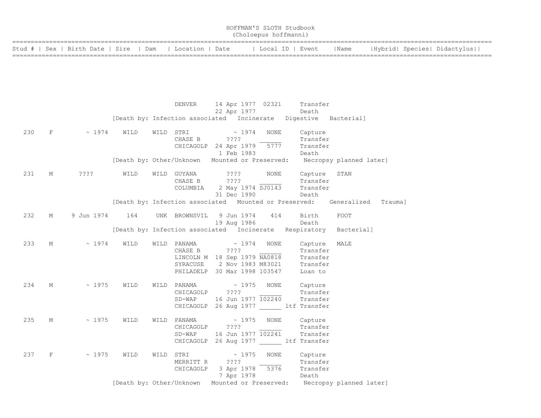| HOFFMAN'S SLOTH Studbook<br>(Choloepus hoffmanni)                           |  |  |      |                             |  |  |  |  |  |  |  |  |  |
|-----------------------------------------------------------------------------|--|--|------|-----------------------------|--|--|--|--|--|--|--|--|--|
| Stud #   Sex   Birth Date   Sire   Dam   Location   Date   Local ID   Event |  |  | Name | Hybrid  Species  Didactylus |  |  |  |  |  |  |  |  |  |
|                                                                             |  |  |      |                             |  |  |  |  |  |  |  |  |  |

|     |            |                   |                                                                   | DENVER                                                                                                                                                                                                                                                                                                                                                                                                                                                                                                                                                                           | 22 Apr 1977                          |      | 14 Apr 1977 02321 Transfer<br>Death  |                                                                           |  |
|-----|------------|-------------------|-------------------------------------------------------------------|----------------------------------------------------------------------------------------------------------------------------------------------------------------------------------------------------------------------------------------------------------------------------------------------------------------------------------------------------------------------------------------------------------------------------------------------------------------------------------------------------------------------------------------------------------------------------------|--------------------------------------|------|--------------------------------------|---------------------------------------------------------------------------|--|
|     |            |                   | [Death by: Infection associated Incinerate Digestive Bacterial]   |                                                                                                                                                                                                                                                                                                                                                                                                                                                                                                                                                                                  |                                      |      |                                      |                                                                           |  |
|     |            | 230 F ~ 1974 WILD |                                                                   | WILD STRI<br>CHASE B ????<br>CHICAGOLP 24 Apr 1979 5777 Transfer                                                                                                                                                                                                                                                                                                                                                                                                                                                                                                                 | $\sim 1974$ NONE<br>1 Feb 1983 Death |      | Capture<br>Transfer                  |                                                                           |  |
|     |            |                   |                                                                   |                                                                                                                                                                                                                                                                                                                                                                                                                                                                                                                                                                                  |                                      |      |                                      | [Death by: Other/Unknown Mounted or Preserved: Necropsy planned later]    |  |
| 231 |            | M ???? WILD       |                                                                   | WILD GUYANA ????<br>CHASE B ????<br>COLUMBIA 2 May 1974 SJ0143 Transfer                                                                                                                                                                                                                                                                                                                                                                                                                                                                                                          | 31 Dec 1990                          | NONE | Capture STAN<br>Transfer<br>Death    |                                                                           |  |
|     |            |                   |                                                                   |                                                                                                                                                                                                                                                                                                                                                                                                                                                                                                                                                                                  |                                      |      |                                      | [Death by: Infection associated Mounted or Preserved: Generalized Trauma] |  |
| 232 | M          |                   | 9 Jun 1974 164 UNK BROWNSVIL 9 Jun 1974 414 Birth                 |                                                                                                                                                                                                                                                                                                                                                                                                                                                                                                                                                                                  | 19 Aug 1986                          |      | Death                                | FOOT                                                                      |  |
|     |            |                   | [Death by: Infection associated Incinerate Respiratory Bacterial] |                                                                                                                                                                                                                                                                                                                                                                                                                                                                                                                                                                                  |                                      |      |                                      |                                                                           |  |
| 233 | $M \sim$   | $\sim 1974$       | WILD                                                              | WILD PANAMA $\sim 1974$ NONE<br>CHASE B ????<br>LINCOLN M 18 Sep 1979 NA0818 Transfer<br>SYRACUSE                                                                                                                                                                                                                                                                                                                                                                                                                                                                                | 2 Nov 1983 M83021                    |      | Capture MALE<br>Transfer<br>Transfer |                                                                           |  |
|     |            |                   |                                                                   | PHILADELP 30 Mar 1998 103547                                                                                                                                                                                                                                                                                                                                                                                                                                                                                                                                                     |                                      |      | Loan to                              |                                                                           |  |
| 234 | $M \sim 1$ | $\sim 1975$       | WILD                                                              | WILD PANAMA $\sim 1975$ NONE Capture<br>CHICAGOLP ????<br>SD-WAP 16 Jun 1977 102240 Transfer<br>CHICAGOLP 26 Aug 1977 _____ ltf Transfer                                                                                                                                                                                                                                                                                                                                                                                                                                         |                                      |      | Transfer                             |                                                                           |  |
| 235 | $M \sim 1$ | $\sim 1975$       | WILD                                                              | WILD PANAMA $\sim$ 1975 NONE Capture<br>CHICAGOLP ????<br>SD-WAP 16 Jun 1977 102241<br>CHICAGOLP 26 Aug 1977 ltf Transfer                                                                                                                                                                                                                                                                                                                                                                                                                                                        |                                      |      | Transfer<br>Transfer                 |                                                                           |  |
| 237 | F          | $\sim 1975$       | WILD                                                              | $\begin{minipage}{.4\linewidth} \begin{tabular}{l} \hline \texttt{WILD} & \texttt{STRI} \end{tabular} \end{minipage} \begin{minipage}{.4\linewidth} \begin{tabular}{l} \texttt{WILD} & \texttt{STRI} \end{tabular} \end{minipage} \vspace{0.03in} \begin{minipage}{.4\linewidth} \begin{tabular}{l} \hline \texttt{WILD} & \texttt{STRI} \end{tabular} \end{minipage} \vspace{0.03in} \begin{minipage}{.4\linewidth} \begin{tabular}{l} \hline \texttt{WILD} & \texttt{STRI} \end{tabular} \end{minip$<br>MERRITT R ????<br>MERRITT R 2222<br>CHICAGOLP 3 Apr 1978 5376 Transfer | 7 Apr 1978 Death                     | NONE | Capture<br>Transfer                  |                                                                           |  |
|     |            |                   |                                                                   |                                                                                                                                                                                                                                                                                                                                                                                                                                                                                                                                                                                  |                                      |      |                                      | [Death by: Other/Unknown Mounted or Preserved: Necropsy planned later]    |  |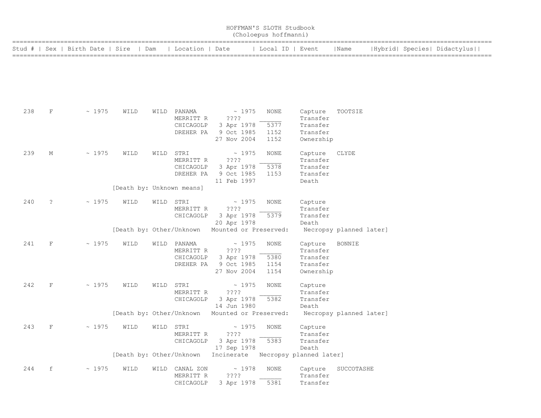|     | HOFFMAN'S SLOTH Studbook<br>(Choloepus hoffmanni)<br>  Location   Date     Local ID   Event<br> Hybrid  Species  Didactylus |                                  |                           |           |                                                    |                                                                       |                              |                                                          |                         |  |  |  |  |  |
|-----|-----------------------------------------------------------------------------------------------------------------------------|----------------------------------|---------------------------|-----------|----------------------------------------------------|-----------------------------------------------------------------------|------------------------------|----------------------------------------------------------|-------------------------|--|--|--|--|--|
|     |                                                                                                                             | Stud #   Sex   Birth Date   Sire | Dam                       |           |                                                    |                                                                       |                              |                                                          | Name                    |  |  |  |  |  |
|     |                                                                                                                             |                                  |                           |           |                                                    |                                                                       |                              |                                                          |                         |  |  |  |  |  |
| 238 | F                                                                                                                           | ~1975                            | WILD                      |           | WILD PANAMA<br>MERRITT R<br>CHICAGOLP<br>DREHER PA | $\sim 1975$<br>????<br>3 Apr 1978<br>9 Oct 1985<br>27 Nov 2004        | NONE<br>5377<br>1152<br>1152 | Capture<br>Transfer<br>Transfer<br>Transfer<br>Ownership | TOOTSIE                 |  |  |  |  |  |
| 239 | М                                                                                                                           | ~1975                            | WILD                      | WILD STRI | MERRITT R<br>CHICAGOLP<br>DREHER PA                | $\sim 1975$<br>$??\; ?$<br>3 Apr 1978<br>9 Oct 1985<br>11 Feb 1997    | NONE<br>5378<br>1153         | Capture<br>Transfer<br>Transfer<br>Transfer<br>Death     | CLYDE                   |  |  |  |  |  |
|     |                                                                                                                             |                                  | [Death by: Unknown means] |           |                                                    |                                                                       |                              |                                                          |                         |  |  |  |  |  |
| 240 | $\ddot{\phantom{0}}$                                                                                                        | ~1975                            | WILD                      | WILD STRI | MERRITT R<br>CHICAGOLP                             | $\sim$ 1975<br>????<br>3 Apr 1978<br>20 Apr 1978                      | NONE<br>5379                 | Capture<br>Transfer<br>Transfer<br>Death                 |                         |  |  |  |  |  |
|     |                                                                                                                             |                                  |                           |           |                                                    | [Death by: Other/Unknown Mounted or Preserved:                        |                              |                                                          | Necropsy planned later] |  |  |  |  |  |
| 241 | $\rm F$                                                                                                                     | ~1975                            | WILD                      | WILD      | PANAMA<br>MERRITT R<br>CHICAGOLP<br>DREHER PA      | $\sim 1975$<br>????<br>3 Apr 1978<br>9 Oct 1985<br>27 Nov 2004        | NONE<br>5380<br>1154<br>1154 | Capture<br>Transfer<br>Transfer<br>Transfer<br>Ownership | <b>BONNIE</b>           |  |  |  |  |  |
| 242 | $\mathbf F$                                                                                                                 | ~1975                            | WILD                      | WILD STRI | MERRITT R<br>CHICAGOLP                             | $\sim 1975$<br>????<br>3 Apr 1978<br>14 Jun 1980                      | <b>NONE</b><br>5382          | Capture<br>Transfer<br>Transfer<br>Death                 |                         |  |  |  |  |  |
|     |                                                                                                                             |                                  |                           |           |                                                    | [Death by: Other/Unknown Mounted or Preserved:                        |                              |                                                          | Necropsy planned later] |  |  |  |  |  |
| 243 | $\mathbf{F}$                                                                                                                | $\sim 1975$                      | WILD WILD STRI            |           | MERRITT R                                          | $\sim$ 1975 NONE<br>$??\,?\,?$<br>CHICAGOLP 3 Apr 1978<br>17 Sep 1978 | 5383                         | Capture<br>Transfer<br>Transfer<br>Death                 |                         |  |  |  |  |  |
|     |                                                                                                                             |                                  |                           |           |                                                    | [Death by: Other/Unknown Incinerate Necropsy planned later]           |                              |                                                          |                         |  |  |  |  |  |
| 244 | f                                                                                                                           | ~1975                            | WILD                      |           | WILD CANAL ZON<br>MERRITT R<br>CHICAGOLP           | $\sim 1978$<br>$??\mathbf{??}$<br>3 Apr 1978                          | NONE<br>5381                 | Capture<br>Transfer<br>Transfer                          | SUCCOTASHE              |  |  |  |  |  |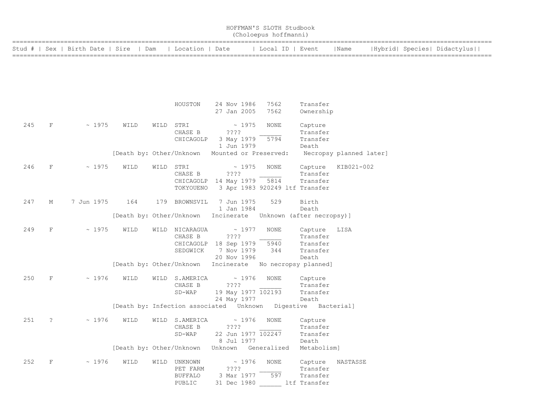|        |                    |                         |                                          |           |                                         |         |                            | HOFFMAN'S SLOTH Studbook<br>(Choloepus hoffmanni) |                                            |                         |  |                             |  |
|--------|--------------------|-------------------------|------------------------------------------|-----------|-----------------------------------------|---------|----------------------------|---------------------------------------------------|--------------------------------------------|-------------------------|--|-----------------------------|--|
| Stud # |                    | Sex   Birth Date   Sire | Dam                                      |           | Location   Date                         |         |                            | Local ID   Event                                  |                                            | Name                    |  | Hybrid  Species  Didactylus |  |
|        |                    |                         |                                          |           |                                         |         |                            |                                                   |                                            |                         |  |                             |  |
|        |                    |                         |                                          |           |                                         |         |                            |                                                   |                                            |                         |  |                             |  |
|        |                    |                         |                                          |           |                                         |         |                            |                                                   |                                            |                         |  |                             |  |
|        |                    |                         |                                          |           | HOUSTON                                 |         | 24 Nov 1986<br>27 Jan 2005 | 7562<br>7562                                      | Transfer<br>Ownership                      |                         |  |                             |  |
|        |                    |                         |                                          |           |                                         |         |                            |                                                   |                                            |                         |  |                             |  |
| 245    | $\mathbf F$        | ~1975                   | WILD                                     | WILD STRI |                                         |         | $\sim 1975$                | NONE                                              | Capture                                    |                         |  |                             |  |
|        |                    |                         |                                          |           | CHASE B                                 |         | ????                       |                                                   | Transfer                                   |                         |  |                             |  |
|        |                    |                         |                                          |           | CHICAGOLP                               |         | 3 May 1979<br>1 Jun 1979   | 5794                                              | Transfer<br>Death                          |                         |  |                             |  |
|        |                    |                         | [Death by: Other/Unknown                 |           |                                         |         |                            | Mounted or Preserved:                             |                                            | Necropsy planned later] |  |                             |  |
|        |                    |                         |                                          |           |                                         |         |                            |                                                   |                                            |                         |  |                             |  |
| 246    | F                  | ~1975                   | WILD                                     | WILD      | STRI                                    |         | $\sim 1975$                | NONE                                              | Capture                                    | KIB021-002              |  |                             |  |
|        |                    |                         |                                          |           | CHASE B                                 |         | ????                       |                                                   | Transfer                                   |                         |  |                             |  |
|        |                    |                         |                                          |           | CHICAGOLP 14 May 1979 5814<br>TOKYOUENO |         |                            |                                                   | Transfer<br>3 Apr 1983 920249 ltf Transfer |                         |  |                             |  |
|        |                    |                         |                                          |           |                                         |         |                            |                                                   |                                            |                         |  |                             |  |
| 247    | М                  | 7 Jun 1975              | 164                                      |           | 179 BROWNSVIL                           |         | 7 Jun 1975                 | 529                                               | Birth                                      |                         |  |                             |  |
|        |                    |                         |                                          |           |                                         |         | 1 Jan 1984                 |                                                   | Death                                      |                         |  |                             |  |
|        |                    |                         | [Death by: Other/Unknown                 |           |                                         |         | Incinerate                 |                                                   | Unknown (after necropsy)]                  |                         |  |                             |  |
| 249    | F                  | ~1975                   | WILD                                     |           | WILD NICARAGUA                          |         | ~1977                      | NONE                                              | Capture                                    | LISA                    |  |                             |  |
|        |                    |                         |                                          |           | CHASE B                                 |         | ????                       |                                                   | Transfer                                   |                         |  |                             |  |
|        |                    |                         |                                          |           | CHICAGOLP                               |         | 18 Sep 1979                | 5940                                              | Transfer                                   |                         |  |                             |  |
|        |                    |                         |                                          |           | SEDGWICK                                |         | 7 Nov 1979                 | 344                                               | Transfer                                   |                         |  |                             |  |
|        |                    |                         |                                          |           |                                         |         | 20 Nov 1996                |                                                   | Death                                      |                         |  |                             |  |
|        |                    |                         | [Death by: Other/Unknown                 |           |                                         |         | Incinerate                 |                                                   | No necropsy planned]                       |                         |  |                             |  |
| 250    | F                  | ~1976                   | WILD                                     | WILD      | S.AMERICA                               |         | ~1976                      | NONE                                              | Capture                                    |                         |  |                             |  |
|        |                    |                         |                                          |           | CHASE B                                 |         | ????                       |                                                   | Transfer                                   |                         |  |                             |  |
|        |                    |                         |                                          |           | $SD-WAP$                                |         | 19 May 1977 102193         |                                                   | Transfer                                   |                         |  |                             |  |
|        |                    |                         |                                          |           |                                         |         | 24 May 1977                |                                                   | Death                                      |                         |  |                             |  |
|        |                    |                         | [Death by: Infection associated  Unknown |           |                                         |         |                            |                                                   | Digestive Bacterial]                       |                         |  |                             |  |
| 251    | ?                  | ~1976                   | WILD                                     | WILD      | S.AMERICA                               |         | ~1976                      | NONE                                              | Capture                                    |                         |  |                             |  |
|        |                    |                         |                                          |           | CHASE B                                 |         | ????                       |                                                   | Transfer                                   |                         |  |                             |  |
|        |                    |                         |                                          |           | $SD-WAP$                                |         | 22 Jun 1977 102247         |                                                   | Transfer                                   |                         |  |                             |  |
|        |                    |                         |                                          |           |                                         |         | 8 Jul 1977                 |                                                   | Death                                      |                         |  |                             |  |
|        |                    |                         | [Death by: Other/Unknown                 |           |                                         | Unknown |                            | Generalized                                       | Metabolism]                                |                         |  |                             |  |
| 252    | $\mathbf{F}% _{0}$ | ~1976                   | WILD                                     |           | WILD UNKNOWN                            |         | ~1976                      | NONE                                              | Capture                                    | NASTASSE                |  |                             |  |
|        |                    |                         |                                          |           | PET FARM                                |         | ????                       |                                                   | Transfer                                   |                         |  |                             |  |
|        |                    |                         |                                          |           | <b>BUFFALO</b>                          |         | 3 Mar 1977                 | 597                                               | Transfer                                   |                         |  |                             |  |
|        |                    |                         |                                          |           | PUBLIC                                  |         | 31 Dec 1980                |                                                   | ltf Transfer                               |                         |  |                             |  |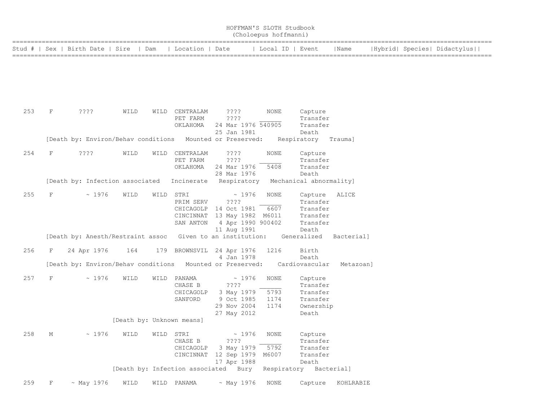| HOFFMAN'S SLOTH Studbook<br>(Choloepus hoffmanni)<br>  Sex   Birth Date   Sire<br>Local ID   Event<br>Location   Date |              |                                                           |                           |      |                                                                            |                                                         |       |                                     |                                                                  |            |  |  |                             |
|-----------------------------------------------------------------------------------------------------------------------|--------------|-----------------------------------------------------------|---------------------------|------|----------------------------------------------------------------------------|---------------------------------------------------------|-------|-------------------------------------|------------------------------------------------------------------|------------|--|--|-----------------------------|
| Stud #                                                                                                                |              |                                                           |                           | Dam  |                                                                            |                                                         |       |                                     |                                                                  | Name       |  |  | Hybrid  Species  Didactylus |
|                                                                                                                       |              |                                                           |                           |      |                                                                            |                                                         |       |                                     |                                                                  |            |  |  |                             |
| 253                                                                                                                   | F            | $??\; ?$                                                  | WILD                      |      | WILD CENTRALAM<br>PET FARM<br>OKLAHOMA                                     | ????<br>????<br>24 Mar 1976 540905<br>25 Jan 1981       |       | NONE                                | Capture<br>Transfer<br>Transfer<br>Death                         |            |  |  |                             |
|                                                                                                                       |              | [Death by: Environ/Behav conditions Mounted or Preserved: |                           |      |                                                                            |                                                         |       |                                     | Respiratory                                                      | Trauma]    |  |  |                             |
| 254                                                                                                                   | F            | $??\; ?$                                                  | WILD                      | WILD | CENTRALAM<br>PET FARM<br>OKLAHOMA                                          | ????<br>????<br>24 Mar 1976<br>28 Mar 1976              |       | <b>NONE</b><br>5408                 | Capture<br>Transfer<br>Transfer<br>Death                         |            |  |  |                             |
|                                                                                                                       |              | [Death by: Infection associated                           |                           |      | Incinerate                                                                 | Respiratory                                             |       |                                     | Mechanical abnormality]                                          |            |  |  |                             |
| 255                                                                                                                   | $\mathbf F$  | ~1976                                                     | WILD                      | WILD | STRI<br>PRIM SERV<br>CHICAGOLP<br>CINCINNAT 13 May 1982 M6011<br>SAN ANTON | ????<br>14 Oct 1981<br>4 Apr 1990 900402<br>11 Aug 1991 | ~1976 | <b>NONE</b><br>6607                 | Capture<br>Transfer<br>Transfer<br>Transfer<br>Transfer<br>Death | ALICE      |  |  |                             |
|                                                                                                                       |              | [Death by: Anesth/Restraint assoc                         |                           |      | Given to an institution:                                                   |                                                         |       |                                     | Generalized                                                      | Bacterial] |  |  |                             |
| 256                                                                                                                   | F            | 24 Apr 1976                                               | 164                       | 179  | BROWNSVIL 24 Apr 1976                                                      | 4 Jan 1978                                              |       | 1216                                | Birth<br>Death                                                   |            |  |  |                             |
|                                                                                                                       |              | [Death by: Environ/Behav conditions Mounted or Preserved: |                           |      |                                                                            |                                                         |       |                                     | Cardiovascular                                                   | Metazoan]  |  |  |                             |
| 257                                                                                                                   | $\mathbf F$  | ~1976                                                     | WILD                      | WILD | PANAMA<br>CHASE B<br>CHICAGOLP<br>SANFORD                                  | ????<br>3 May 1979<br>9 Oct 1985<br>29 Nov 2004         | ~1976 | <b>NONE</b><br>5793<br>1174<br>1174 | Capture<br>Transfer<br>Transfer<br>Transfer<br>Ownership         |            |  |  |                             |
|                                                                                                                       |              |                                                           | [Death by: Unknown means] |      |                                                                            | 27 May 2012                                             |       |                                     | Death                                                            |            |  |  |                             |
| 258                                                                                                                   | $\mathbb M$  | ~1976                                                     | WILD                      |      | WILD STRI<br>CHASE B<br>CHICAGOLP<br>CINCINNAT 12 Sep 1979                 | ????<br>3 May 1979<br>17 Apr 1988                       | ~1976 | <b>NONE</b><br>5792<br>M6007        | Capture<br>Transfer<br>Transfer<br>Transfer<br>Death             |            |  |  |                             |
|                                                                                                                       |              |                                                           |                           |      | [Death by: Infection associated Bury                                       |                                                         |       |                                     | Respiratory Bacterial]                                           |            |  |  |                             |
| 259                                                                                                                   | $\mathbf{F}$ | ~ May 1976                                                | WILD                      |      | WILD PANAMA                                                                | $~\sim$ May 1976                                        |       | NONE                                | Capture                                                          | KOHLRABIE  |  |  |                             |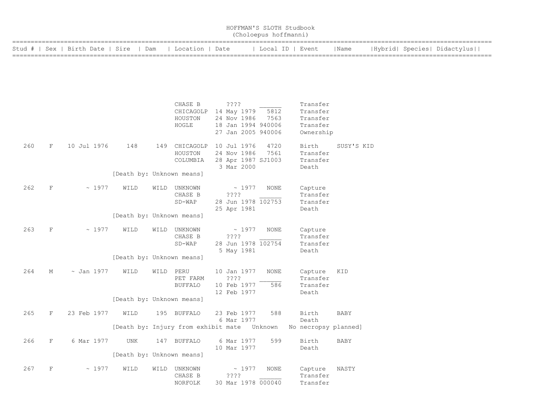|     |             |                                  |                           |           |                                                            |      |                                                                                | HOFFMAN'S SLOTH Studbook<br>(Choloepus hoffmanni) |                                                           |             |                             |  |
|-----|-------------|----------------------------------|---------------------------|-----------|------------------------------------------------------------|------|--------------------------------------------------------------------------------|---------------------------------------------------|-----------------------------------------------------------|-------------|-----------------------------|--|
|     |             | Stud #   Sex   Birth Date   Sire | Dam                       |           | Location                                                   | Date |                                                                                | Local ID   Event                                  |                                                           | Name        | Hybrid  Species  Didactylus |  |
|     |             |                                  |                           |           |                                                            |      |                                                                                |                                                   |                                                           |             |                             |  |
|     |             |                                  |                           |           |                                                            |      |                                                                                |                                                   |                                                           |             |                             |  |
|     |             |                                  |                           |           | CHASE B<br>CHICAGOLP<br>HOUSTON<br>HOGLE                   |      | ????<br>14 May 1979<br>24 Nov 1986<br>18 Jan 1994 940006<br>27 Jan 2005 940006 | 5812<br>7563                                      | Transfer<br>Transfer<br>Transfer<br>Transfer<br>Ownership |             |                             |  |
| 260 | F           | 10 Jul 1976                      | 148                       | 149       | CHICAGOLP<br>HOUSTON<br>COLUMBIA                           |      | 10 Jul 1976<br>24 Nov 1986<br>28 Apr 1987 SJ1003<br>3 Mar 2000                 | 4720<br>7561                                      | Birth<br>Transfer<br>Transfer<br>Death                    | SUSY'S KID  |                             |  |
|     |             |                                  | [Death by: Unknown means] |           |                                                            |      |                                                                                |                                                   |                                                           |             |                             |  |
| 262 | $\mathbf F$ | ~1977                            | WILD                      | WILD      | UNKNOWN<br>CHASE B<br>SD-WAP                               |      | ~1977<br>????<br>28 Jun 1978 102753<br>25 Apr 1981                             | NONE                                              | Capture<br>Transfer<br>Transfer<br>Death                  |             |                             |  |
|     |             |                                  | [Death by: Unknown means] |           |                                                            |      |                                                                                |                                                   |                                                           |             |                             |  |
| 263 | $\mathbf F$ | ~1977                            | WILD                      |           | WILD UNKNOWN<br>CHASE B<br>SD-WAP                          |      | ~1977<br>????<br>28 Jun 1978 102754<br>5 May 1981                              | NONE                                              | Capture<br>Transfer<br>Transfer<br>Death                  |             |                             |  |
|     |             |                                  | [Death by: Unknown means] |           |                                                            |      |                                                                                |                                                   |                                                           |             |                             |  |
| 264 | М           | $\sim$ Jan 1977                  | WILD                      | WILD PERU | PET FARM<br><b>BUFFALO</b>                                 |      | 10 Jan 1977<br>????<br>10 Feb 1977<br>12 Feb 1977                              | <b>NONE</b><br>586                                | Capture<br>Transfer<br>Transfer<br>Death                  | KID         |                             |  |
|     |             |                                  | [Death by: Unknown means] |           |                                                            |      |                                                                                |                                                   |                                                           |             |                             |  |
| 265 | F           | 23 Feb 1977                      | WILD                      |           | 195 BUFFALO<br>[Death by: Injury from exhibit mate Unknown |      | 23 Feb 1977<br>6 Mar 1977                                                      | 588                                               | Birth<br>Death<br>No necropsy planned]                    | <b>BABY</b> |                             |  |
| 266 | F           | 6 Mar 1977                       | UNK                       |           | 147 BUFFALO                                                |      | 6 Mar 1977<br>10 Mar 1977                                                      | 599                                               | Birth<br>Death                                            | BABY        |                             |  |
|     |             |                                  | [Death by: Unknown means] |           |                                                            |      |                                                                                |                                                   |                                                           |             |                             |  |
| 267 | $\rm F$     | ~1977                            | WILD                      |           | WILD UNKNOWN<br>CHASE B<br>NORFOLK                         |      | $\sim 1977$<br>$??\,?\,?$<br>30 Mar 1978 000040                                | NONE                                              | Capture<br>Transfer<br>Transfer                           | NASTY       |                             |  |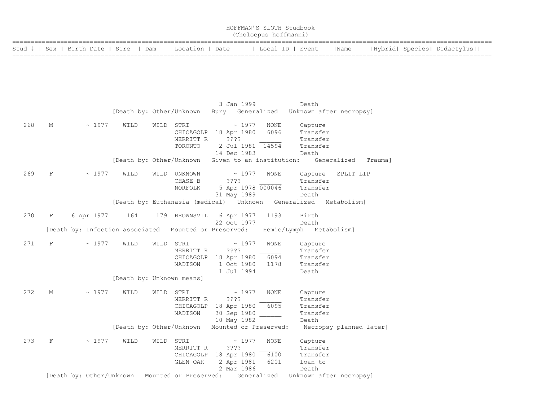|     | HOFFMAN'S SLOTH Studbook<br>(Choloepus hoffmanni) |  |  |            |                                        |  |  |                                                   |  |      |             |                   |                         |                         |         |                             |
|-----|---------------------------------------------------|--|--|------------|----------------------------------------|--|--|---------------------------------------------------|--|------|-------------|-------------------|-------------------------|-------------------------|---------|-----------------------------|
|     |                                                   |  |  |            | Stud #   Sex   Birth Date   Sire   Dam |  |  | Location   Date                                   |  |      |             |                   | Local ID   Event        | Name                    |         | Hybrid  Species  Didactylus |
|     |                                                   |  |  |            |                                        |  |  |                                                   |  |      |             |                   |                         |                         |         |                             |
|     |                                                   |  |  |            |                                        |  |  |                                                   |  |      |             |                   |                         |                         |         |                             |
|     |                                                   |  |  |            |                                        |  |  |                                                   |  |      |             |                   |                         |                         |         |                             |
|     |                                                   |  |  |            |                                        |  |  |                                                   |  |      | 3 Jan 1999  |                   | Death                   |                         |         |                             |
|     |                                                   |  |  |            | [Death by: Other/Unknown               |  |  |                                                   |  |      |             | Bury Generalized  | Unknown after necropsy] |                         |         |                             |
| 268 | М                                                 |  |  | ~1977      | WILD                                   |  |  | WILD STRI                                         |  |      | ~1977       | NONE              | Capture                 |                         |         |                             |
|     |                                                   |  |  |            |                                        |  |  | CHICAGOLP                                         |  |      | 18 Apr 1980 | 6096              | Transfer                |                         |         |                             |
|     |                                                   |  |  |            |                                        |  |  | MERRITT R                                         |  | ???? |             |                   | Transfer                |                         |         |                             |
|     |                                                   |  |  |            |                                        |  |  | TORONTO                                           |  |      | 14 Dec 1983 | 2 Jul 1981 14594  | Transfer<br>Death       |                         |         |                             |
|     |                                                   |  |  |            |                                        |  |  | [Death by: Other/Unknown Given to an institution: |  |      |             |                   |                         | Generalized             | Trauma] |                             |
| 269 | $\mathbf F$                                       |  |  | ~1977      | WILD                                   |  |  | WILD UNKNOWN                                      |  |      | $\sim 1977$ |                   |                         | SPLIT LIP               |         |                             |
|     |                                                   |  |  |            |                                        |  |  | CHASE B                                           |  | ???? |             | NONE              | Capture<br>Transfer     |                         |         |                             |
|     |                                                   |  |  |            |                                        |  |  | NORFOLK                                           |  |      |             | 5 Apr 1978 000046 | Transfer                |                         |         |                             |
|     |                                                   |  |  |            |                                        |  |  |                                                   |  |      | 31 May 1989 |                   | Death                   |                         |         |                             |
|     |                                                   |  |  |            |                                        |  |  | [Death by: Euthanasia (medical) Unknown           |  |      |             |                   | Generalized             | Metabolism]             |         |                             |
| 270 | F                                                 |  |  | 6 Apr 1977 | 164                                    |  |  | 179 BROWNSVIL                                     |  |      | 6 Apr 1977  | 1193              | Birth                   |                         |         |                             |
|     |                                                   |  |  |            |                                        |  |  |                                                   |  |      | 22 Oct 1977 |                   | Death                   |                         |         |                             |
|     |                                                   |  |  |            | [Death by: Infection associated        |  |  | Mounted or Preserved:                             |  |      |             |                   | Hemic/Lymph Metabolism] |                         |         |                             |
| 271 | $\mathbf F$                                       |  |  | ~1977      | WILD                                   |  |  | WILD STRI                                         |  |      | ~1977       | <b>NONE</b>       | Capture                 |                         |         |                             |
|     |                                                   |  |  |            |                                        |  |  | MERRITT R                                         |  | ???? |             |                   | Transfer                |                         |         |                             |
|     |                                                   |  |  |            |                                        |  |  | CHICAGOLP                                         |  |      | 18 Apr 1980 | 6094              | Transfer                |                         |         |                             |
|     |                                                   |  |  |            |                                        |  |  | MADISON                                           |  |      | 1 Oct 1980  | 1178              | Transfer                |                         |         |                             |
|     |                                                   |  |  |            |                                        |  |  |                                                   |  |      | 1 Jul 1994  |                   | Death                   |                         |         |                             |
|     |                                                   |  |  |            |                                        |  |  | [Death by: Unknown means]                         |  |      |             |                   |                         |                         |         |                             |
| 272 | М                                                 |  |  | ~1977      | WILD                                   |  |  | WILD STRI                                         |  |      | $\sim 1977$ | <b>NONE</b>       | Capture                 |                         |         |                             |
|     |                                                   |  |  |            |                                        |  |  | MERRITT R                                         |  | ???? |             |                   | Transfer                |                         |         |                             |
|     |                                                   |  |  |            |                                        |  |  | CHICAGOLP 18 Apr 1980                             |  |      |             | 6095              | Transfer                |                         |         |                             |
|     |                                                   |  |  |            |                                        |  |  | MADISON                                           |  |      | 30 Sep 1980 |                   | Transfer<br>Death       |                         |         |                             |
|     |                                                   |  |  |            |                                        |  |  | [Death by: Other/Unknown Mounted or Preserved:    |  |      | 10 May 1982 |                   |                         | Necropsy planned later] |         |                             |
|     |                                                   |  |  |            |                                        |  |  |                                                   |  |      |             |                   |                         |                         |         |                             |
| 273 | $\mathbf F$                                       |  |  | ~1977      | WILD                                   |  |  | WILD STRI                                         |  |      | $\sim 1977$ | <b>NONE</b>       | Capture                 |                         |         |                             |
|     |                                                   |  |  |            |                                        |  |  | MERRITT R                                         |  | ???? |             |                   | Transfer                |                         |         |                             |
|     |                                                   |  |  |            |                                        |  |  | CHICAGOLP                                         |  |      | 18 Apr 1980 | 6100              | Transfer                |                         |         |                             |
|     |                                                   |  |  |            |                                        |  |  | GLEN OAK                                          |  |      | 2 Apr 1981  | 6201              | Loan to                 |                         |         |                             |
|     |                                                   |  |  |            |                                        |  |  |                                                   |  |      | 2 Mar 1986  |                   | Death                   |                         |         |                             |
|     |                                                   |  |  |            | [Death by: Other/Unknown               |  |  | Mounted or Preserved:                             |  |      |             | Generalized       | Unknown after necropsy] |                         |         |                             |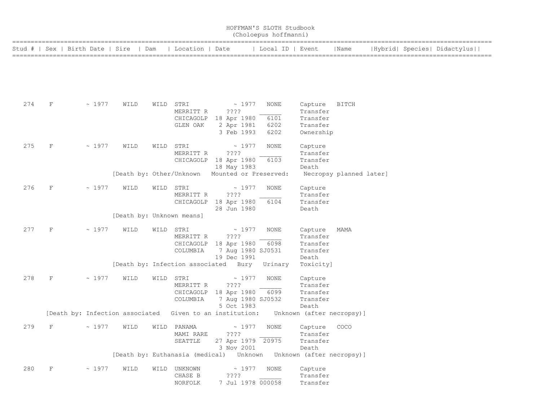| HOFFMAN'S SLOTH Studbook<br>(Choloepus hoffmanni) |         |                                 |                           |      |                                 |                                                       |                  |                                    |                         |  |                             |
|---------------------------------------------------|---------|---------------------------------|---------------------------|------|---------------------------------|-------------------------------------------------------|------------------|------------------------------------|-------------------------|--|-----------------------------|
| Stud #                                            |         | Sex   Birth Date   Sire         |                           | Dam  | Location   Date                 |                                                       | Local ID   Event |                                    | Name                    |  | Hybrid  Species  Didactylus |
|                                                   |         |                                 |                           |      |                                 |                                                       |                  |                                    |                         |  |                             |
|                                                   |         |                                 |                           |      |                                 |                                                       |                  |                                    |                         |  |                             |
|                                                   |         |                                 |                           |      |                                 |                                                       |                  |                                    |                         |  |                             |
| 274                                               | F       | ~1977                           | WILD                      |      | WILD STRI<br>MERRITT R          | $~\sim~1977$<br>????                                  | NONE             | Capture<br>Transfer                | <b>BITCH</b>            |  |                             |
|                                                   |         |                                 |                           |      |                                 | CHICAGOLP 18 Apr 1980                                 | 6101             | Transfer                           |                         |  |                             |
|                                                   |         |                                 |                           |      | GLEN OAK                        | 2 Apr 1981                                            | 6202             | Transfer                           |                         |  |                             |
|                                                   |         |                                 |                           |      |                                 | 3 Feb 1993                                            | 6202             | Ownership                          |                         |  |                             |
| 275                                               | F       | ~1977                           | WILD                      | WILD | STRI                            | ~1977                                                 | NONE             | Capture                            |                         |  |                             |
|                                                   |         |                                 |                           |      | MERRITT R                       | ? ? ? ?                                               |                  | Transfer                           |                         |  |                             |
|                                                   |         |                                 |                           |      |                                 | CHICAGOLP 18 Apr 1980                                 | 6103             | Transfer                           |                         |  |                             |
|                                                   |         |                                 |                           |      |                                 | 18 May 1983                                           |                  | Death                              |                         |  |                             |
|                                                   |         |                                 | [Death by: Other/Unknown  |      |                                 | Mounted or Preserved:                                 |                  |                                    | Necropsy planned later] |  |                             |
| 276                                               | F       | ~1977                           | WILD                      | WILD | STRI                            | $~\sim~1977$                                          | <b>NONE</b>      | Capture                            |                         |  |                             |
|                                                   |         |                                 |                           |      | MERRITT R                       | ????                                                  |                  | Transfer                           |                         |  |                             |
|                                                   |         |                                 |                           |      | CHICAGOLP                       | 18 Apr 1980                                           | 6104             | Transfer                           |                         |  |                             |
|                                                   |         |                                 | [Death by: Unknown means] |      |                                 | 28 Jun 1980                                           |                  | Death                              |                         |  |                             |
|                                                   |         |                                 |                           |      |                                 |                                                       |                  |                                    |                         |  |                             |
| 277                                               | F       | ~1977                           | WILD                      | WILD | STRI                            | $\sim 1977$                                           | NONE             | Capture                            | MAMA                    |  |                             |
|                                                   |         |                                 |                           |      | MERRITT R                       | ????<br>CHICAGOLP 18 Apr 1980                         | 6098             | Transfer<br>Transfer               |                         |  |                             |
|                                                   |         |                                 |                           |      | COLUMBIA                        | 7 Aug 1980 SJ0531                                     |                  | Transfer                           |                         |  |                             |
|                                                   |         |                                 |                           |      |                                 | 19 Dec 1991                                           |                  | Death                              |                         |  |                             |
|                                                   |         |                                 |                           |      | [Death by: Infection associated | Bury                                                  | Urinary          | Toxicity]                          |                         |  |                             |
| 278                                               | F       | ~1977                           | WILD                      | WILD | STRI                            | ~1977                                                 | <b>NONE</b>      | Capture                            |                         |  |                             |
|                                                   |         |                                 |                           |      | MERRITT R                       | ????                                                  |                  | Transfer                           |                         |  |                             |
|                                                   |         |                                 |                           |      |                                 | CHICAGOLP 18 Apr 1980                                 | 6099             | Transfer                           |                         |  |                             |
|                                                   |         |                                 |                           |      | COLUMBIA                        | 7 Aug 1980 SJ0532                                     |                  | Transfer                           |                         |  |                             |
|                                                   |         |                                 |                           |      |                                 | 5 Oct 1983                                            |                  | Death                              |                         |  |                             |
|                                                   |         | [Death by: Infection associated |                           |      |                                 | Given to an institution:                              |                  | Unknown (after necropsy)]          |                         |  |                             |
| 279                                               | F       | ~1977                           | WILD                      | WILD | PANAMA                          | ~1977                                                 | NONE             | Capture                            | COCO                    |  |                             |
|                                                   |         |                                 |                           |      | MAMI RARE                       | ? ? ? ?                                               |                  | Transfer                           |                         |  |                             |
|                                                   |         |                                 |                           |      | SEATTLE                         | 27 Apr 1979 20975                                     |                  | Transfer                           |                         |  |                             |
|                                                   |         |                                 |                           |      |                                 | 3 Nov 2001<br>[Death by: Euthanasia (medical) Unknown |                  | Death<br>Unknown (after necropsy)] |                         |  |                             |
| 280                                               | $\rm F$ | ~1977                           | WILD                      |      | WILD UNKNOWN                    | $\sim 1977$                                           | NONE             | Capture                            |                         |  |                             |
|                                                   |         |                                 |                           |      | CHASE B                         | ? ? ? ?                                               |                  | Transfer                           |                         |  |                             |
|                                                   |         |                                 |                           |      | NORFOLK                         | 7 Jul 1978 000058                                     |                  | Transfer                           |                         |  |                             |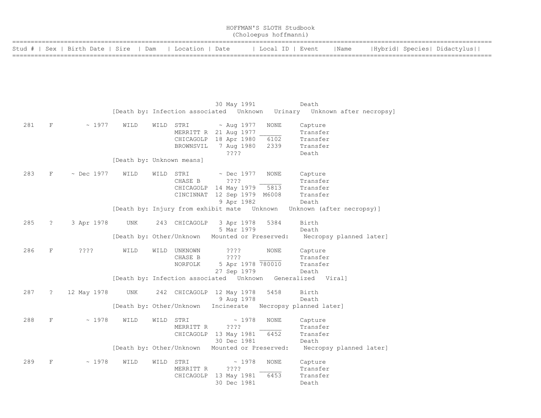| HOFFMAN'S SLOTH Studbook<br>(Choloepus hoffmanni) |             |                                        |                                 |  |                                     |                                                                                                        |                      |                                                      |                         |  |                             |
|---------------------------------------------------|-------------|----------------------------------------|---------------------------------|--|-------------------------------------|--------------------------------------------------------------------------------------------------------|----------------------|------------------------------------------------------|-------------------------|--|-----------------------------|
|                                                   |             | Stud #   Sex   Birth Date   Sire   Dam |                                 |  | Location   Date                     |                                                                                                        | Local ID   Event     |                                                      | Name                    |  | Hybrid  Species  Didactylus |
|                                                   |             |                                        |                                 |  |                                     |                                                                                                        |                      |                                                      |                         |  |                             |
|                                                   |             |                                        |                                 |  |                                     | 30 May 1991<br>[Death by: Infection associated    Unknown   Urinary    Unknown after necropsy]         |                      | Death                                                |                         |  |                             |
| 281                                               | F           | ~1977                                  | WILD                            |  | WILD STRI<br>CHICAGOLP<br>BROWNSVIL | $\sim$ Aug 1977<br>MERRITT R 21 Aug 1977<br>18 Apr 1980<br>7 Aug 1980<br>$??\cdot?$                    | NONE<br>6102<br>2339 | Capture<br>Transfer<br>Transfer<br>Transfer<br>Death |                         |  |                             |
|                                                   |             |                                        | [Death by: Unknown means]       |  |                                     |                                                                                                        |                      |                                                      |                         |  |                             |
| 283                                               | $\rm F$     | $~\sim$ Dec 1977                       | WILD                            |  | WILD STRI<br>CHASE B                | $\sim$ Dec 1977<br>????<br>CHICAGOLP 14 May 1979<br>CINCINNAT 12 Sep 1979 M6008<br>9 Apr 1982          | NONE<br>5813         | Capture<br>Transfer<br>Transfer<br>Transfer<br>Death |                         |  |                             |
|                                                   |             |                                        |                                 |  |                                     | [Death by: Injury from exhibit mate Unknown                                                            |                      | Unknown (after necropsy)]                            |                         |  |                             |
| 285                                               | ?           | 3 Apr 1978                             | UNK                             |  | 243 CHICAGOLP                       | 3 Apr 1978<br>5 Mar 1979                                                                               | 5384                 | Birth<br>Death                                       |                         |  |                             |
| 286                                               | F           | $??\mathbin{?}$                        | WILD                            |  | WILD UNKNOWN<br>CHASE B<br>NORFOLK  | [Death by: Other/Unknown Mounted or Preserved:<br>$??\; ?$<br>????<br>5 Apr 1978 780010<br>27 Sep 1979 | NONE                 | Capture<br>Transfer<br>Transfer<br>Death             | Necropsy planned later] |  |                             |
|                                                   |             |                                        |                                 |  |                                     | [Death by: Infection associated  Unknown  Generalized  Viral]                                          |                      |                                                      |                         |  |                             |
| 287                                               | $\tilde{ }$ | 12 May 1978                            | UNK<br>[Death by: Other/Unknown |  |                                     | 242 CHICAGOLP 12 May 1978<br>9 Aug 1978<br>Incinerate Necropsy planned later]                          | 5458                 | Birth<br>Death                                       |                         |  |                             |
| 288                                               | F           | ~1978                                  | WILD                            |  | WILD STRI<br>MERRITT R<br>CHICAGOLP | ~1978<br>????<br>13 May 1981<br>30 Dec 1981                                                            | NONE<br>6452         | Capture<br>Transfer<br>Transfer<br>Death             |                         |  |                             |

 [Death by: Other/Unknown Mounted or Preserved: Necropsy planned later] 289 F ~ 1978 WILD WILD STRI ~ 1978 NONE Capture

| 20 <i>2</i> |  | 11.LUU JILL |           | - 1770                     | LVULVII – | <b>CUPLULE</b> |
|-------------|--|-------------|-----------|----------------------------|-----------|----------------|
|             |  |             | MERRITT R | 2222                       |           | Transfer       |
|             |  |             |           | CHICAGOLP 13 May 1981 6453 |           | Transfer       |
|             |  |             |           | 30 Dec 1981                |           | Death          |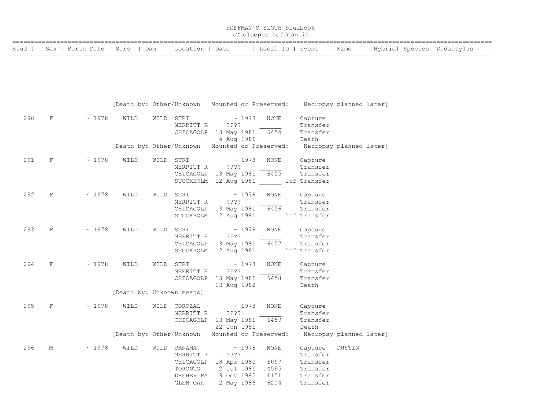| HOFFMAN'S SLOTH Studbook<br>(Choloepus hoffmanni)        |  |                  |      |                             |  |  |  |  |  |  |
|----------------------------------------------------------|--|------------------|------|-----------------------------|--|--|--|--|--|--|
| Stud #   Sex   Birth Date   Sire   Dam   Location   Date |  | Local ID   Event | Name | Hybrid  Species  Didactylus |  |  |  |  |  |  |

|     |                        |               |      | [Death by: Other/Unknown Mounted or Preserved: Necropsy planned later]                           |                                                                                       |                                    |                                                                                                      |                                                                     |        |  |
|-----|------------------------|---------------|------|--------------------------------------------------------------------------------------------------|---------------------------------------------------------------------------------------|------------------------------------|------------------------------------------------------------------------------------------------------|---------------------------------------------------------------------|--------|--|
| 290 | $F$ and the set of $F$ | $\sim 1978$   | WILD | $\begin{array}{cccc}\n\texttt{WILD} & \texttt{STRI} & \hspace{1.5cm} \sim & 1978 \\ \end{array}$ | MERRITT R ????<br>CHICAGOLP 13 May 1981 6454                                          | 4 Aug 1981                         | NONE                                                                                                 | Capture<br>Transfer<br>Transfer<br>Death                            |        |  |
|     |                        |               |      | [Death by: Other/Unknown Mounted or Preserved: Necropsy planned later]                           |                                                                                       |                                    |                                                                                                      |                                                                     |        |  |
| 291 |                        | $F \sim 1978$ | WILD | WILD                                                                                             | STRI $\sim$ 1978<br>MERRITT R ????                                                    |                                    | NONE<br>CHICAGOLP 13 May 1981 6455 Transfer<br>STOCKHOLM 12 Aug 1981 _____ ltf Transfer              | Capture<br>Transfer                                                 |        |  |
| 292 | $F$ and the set of $F$ | $\sim 1978$   | WILD | WILD                                                                                             | STRI $\sim$ 1978<br>MERRITT R ????                                                    |                                    | NONE<br><b>Transfer</b><br>CHICAGOLP 13 May 1981 6456 Transfer<br>STOCKHOLM 12 Aug 1981 ltf Transfer | Capture                                                             |        |  |
| 293 | $F$ and the set of $F$ | $\sim 1978$   | WILD | WILD                                                                                             | STRI $\sim$ 1978<br>MERRITT R ????                                                    |                                    | NONE<br>$CHICAGOLP$ 13 May 1981 6457<br>STOCKHOLM 12 Aug 1981 ltf Transfer                           | Capture<br>Transfer<br>Transfer                                     |        |  |
| 294 | $F \sim 1$             | $\sim 1978$   | WILD | STRI<br>WILD                                                                                     | MERRITT R                                                                             | $\sim 1978$<br>????<br>13 Aug 1982 | NONE<br>CHICAGOLP 13 May 1981 6458                                                                   | Capture<br>Transfer<br>Transfer<br>Death                            |        |  |
|     |                        |               |      | [Death by: Unknown means]                                                                        |                                                                                       |                                    |                                                                                                      |                                                                     |        |  |
| 295 | $F \sim 1$             | $\sim 1978$   | WILD | $\verb WILD COROZAL ~\sim~1978$                                                                  | MERRITT R<br>CHICAGOLP 13 May 1981 6459                                               | ????<br>22 Jun 1981                | <b>NONE</b>                                                                                          | Capture<br>Transfer<br>Transfer<br>Death                            |        |  |
|     |                        |               |      | [Death by: Other/Unknown Mounted or Preserved:                                                   |                                                                                       |                                    |                                                                                                      | Necropsy planned later]                                             |        |  |
| 296 | М                      | $\sim 1978$   | WILD | WILD PANAMA $\sim 1978$<br>TORONTO                                                               | MERRITT R ????<br>CHICAGOLP 18 Apr 1980 6097<br>DREHER PA 9 Oct 1985 1151<br>GLEN OAK | 2 May 1986                         | NONE<br>2 Jul 1981 14595<br>6204                                                                     | Capture<br>Transfer<br>Transfer<br>Transfer<br>Transfer<br>Transfer | DUSTIN |  |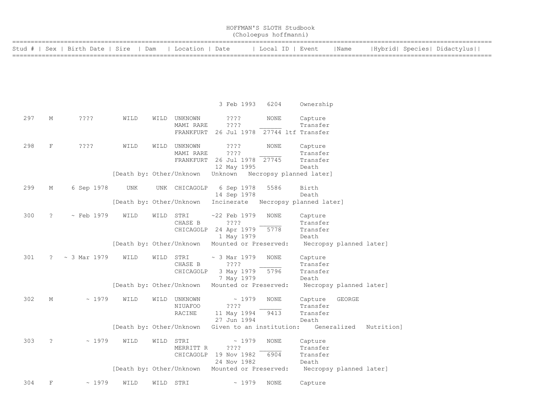|     | HOFFMAN'S SLOTH Studbook<br>(Choloepus hoffmanni) |                                  |                          |           |                      |                                                |                         |                                  |             |            |                             |  |
|-----|---------------------------------------------------|----------------------------------|--------------------------|-----------|----------------------|------------------------------------------------|-------------------------|----------------------------------|-------------|------------|-----------------------------|--|
|     |                                                   | Stud #   Sex   Birth Date   Sire | Dam                      |           | Location   Date      |                                                | Local ID   Event        |                                  | Name        |            | Hybrid  Species  Didactylus |  |
|     |                                                   |                                  |                          |           |                      |                                                |                         |                                  |             |            |                             |  |
|     |                                                   |                                  |                          |           |                      |                                                |                         |                                  |             |            |                             |  |
|     |                                                   |                                  |                          |           |                      |                                                |                         |                                  |             |            |                             |  |
|     |                                                   |                                  |                          |           |                      | 3 Feb 1993                                     | 6204                    | Ownership                        |             |            |                             |  |
| 297 | Μ                                                 | ????                             | WILD                     | WILD      | UNKNOWN<br>MAMI RARE | $??\ ??$<br>????                               | NONE                    | Capture<br>Transfer              |             |            |                             |  |
|     |                                                   |                                  |                          |           |                      | FRANKFURT 26 Jul 1978 27744 ltf Transfer       |                         |                                  |             |            |                             |  |
| 298 | F                                                 | ????                             | WILD                     | WILD      | UNKNOWN<br>MAMI RARE | ????<br>????                                   | NONE                    | Capture<br>Transfer              |             |            |                             |  |
|     |                                                   |                                  |                          |           |                      | FRANKFURT 26 Jul 1978 27745                    |                         | Transfer                         |             |            |                             |  |
|     |                                                   |                                  | [Death by: Other/Unknown |           |                      | 12 May 1995<br>Unknown Necropsy planned later] |                         | Death                            |             |            |                             |  |
| 299 | М                                                 | 6 Sep 1978                       | UNK                      |           | UNK CHICAGOLP        | 6 Sep 1978                                     | 5586                    | Birth                            |             |            |                             |  |
|     |                                                   |                                  | [Death by: Other/Unknown |           |                      | 14 Sep 1978<br>Incinerate                      | Necropsy planned later] | Death                            |             |            |                             |  |
| 300 | ?                                                 | $\sim$ Feb 1979                  | WILD                     | WILD      | STRI                 | $~22$ Feb 1979                                 | <b>NONE</b>             | Capture                          |             |            |                             |  |
|     |                                                   |                                  |                          |           | CHASE B              | ????<br>CHICAGOLP 24 Apr 1979                  | 5778                    | Transfer<br>Transfer             |             |            |                             |  |
|     |                                                   |                                  | [Death by: Other/Unknown |           |                      | 1 May 1979<br>Mounted or Preserved:            |                         | Death<br>Necropsy planned later] |             |            |                             |  |
|     |                                                   |                                  |                          |           |                      |                                                |                         |                                  |             |            |                             |  |
| 301 | $\mathbb{R}$                                      | $\sim$ 3 Mar 1979                | WILD                     | WILD      | STRI<br>CHASE B      | $\sim$ 3 Mar 1979<br>????                      | <b>NONE</b>             | Capture<br>Transfer              |             |            |                             |  |
|     |                                                   |                                  |                          |           | CHICAGOLP            | 3 May 1979                                     | 5796                    | Transfer                         |             |            |                             |  |
|     |                                                   |                                  | [Death by: Other/Unknown |           |                      | 7 May 1979<br>Mounted or Preserved:            |                         | Death<br>Necropsy planned later] |             |            |                             |  |
|     |                                                   |                                  |                          |           |                      |                                                |                         |                                  |             |            |                             |  |
| 302 | Μ                                                 | ~1979                            | WILD                     | WILD      | UNKNOWN              | ~1979                                          | NONE                    | Capture                          | GEORGE      |            |                             |  |
|     |                                                   |                                  |                          |           | NIUAFOO<br>RACINE    | $??\,?\,?$<br>11 May 1994                      | 9413                    | Transfer<br>Transfer             |             |            |                             |  |
|     |                                                   |                                  |                          |           |                      | 27 Jun 1994                                    |                         | Death                            |             |            |                             |  |
|     |                                                   |                                  | [Death by: Other/Unknown |           |                      | Given to an institution:                       |                         |                                  | Generalized | Nutrition] |                             |  |
| 303 | $\ddot{ }$                                        | ~1979                            | WILD                     | WILD      | STRI                 | ~1979                                          | NONE                    | Capture                          |             |            |                             |  |
|     |                                                   |                                  |                          |           | MERRITT R            | ????                                           |                         | Transfer                         |             |            |                             |  |
|     |                                                   |                                  |                          |           |                      | CHICAGOLP 19 Nov 1982<br>24 Nov 1982           | 6904                    | Transfer<br>Death                |             |            |                             |  |
|     |                                                   |                                  | [Death by: Other/Unknown |           |                      | Mounted or Preserved:                          |                         | Necropsy planned later]          |             |            |                             |  |
| 304 | F                                                 | ~1979                            | WILD                     | WILD STRI |                      | ~1979                                          | NONE                    | Capture                          |             |            |                             |  |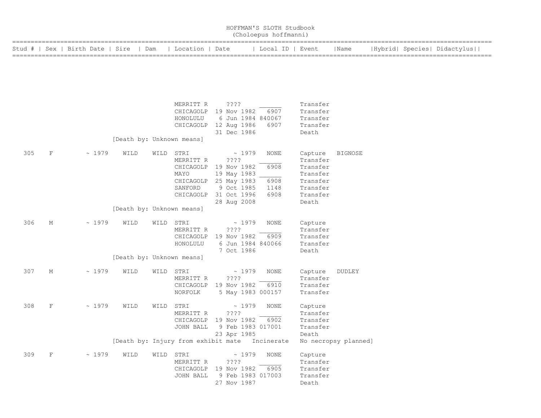|        | HOFFMAN'S SLOTH Studbook<br>(Choloepus hoffmanni) |                         |                                   |      |                                                                |                                                                                                                  |                                             |                                                                                          |                      |  |  |                             |
|--------|---------------------------------------------------|-------------------------|-----------------------------------|------|----------------------------------------------------------------|------------------------------------------------------------------------------------------------------------------|---------------------------------------------|------------------------------------------------------------------------------------------|----------------------|--|--|-----------------------------|
| Stud # |                                                   | Sex   Birth Date   Sire |                                   | Dam  | Location   Date                                                |                                                                                                                  | Local ID   Event                            |                                                                                          | Name                 |  |  | Hybrid  Species  Didactylus |
|        |                                                   |                         |                                   |      |                                                                |                                                                                                                  |                                             |                                                                                          |                      |  |  |                             |
|        |                                                   |                         | [Death by: Unknown means]         |      | MERRITT R<br>HONOLULU                                          | ????<br>CHICAGOLP 19 Nov 1982<br>6 Jun 1984 840067<br>CHICAGOLP 12 Aug 1986<br>31 Dec 1986                       | 6907<br>6907                                | Transfer<br>Transfer<br>Transfer<br>Transfer<br>Death                                    |                      |  |  |                             |
| 305    | F                                                 | ~1979                   | WILD<br>[Death by: Unknown means] | WILD | STRI<br>MERRITT R<br>CHICAGOLP<br>MAYO<br>SANFORD<br>CHICAGOLP | ~1979<br>????<br>19 Nov 1982<br>19 May 1983<br>CHICAGOLP 25 May 1983<br>9 Oct 1985<br>31 Oct 1996<br>28 Aug 2008 | <b>NONE</b><br>6908<br>6908<br>1148<br>6908 | Capture<br>Transfer<br>Transfer<br>Transfer<br>Transfer<br>Transfer<br>Transfer<br>Death | <b>BIGNOSE</b>       |  |  |                             |
| 306    | М                                                 | ~1979                   | WILD                              | WILD | STRI<br>MERRITT R<br>CHICAGOLP<br>HONOLULU                     | ~1979<br>????<br>19 Nov 1982<br>6 Jun 1984 840066<br>7 Oct 1986                                                  | NONE<br>6909                                | Capture<br>Transfer<br>Transfer<br>Transfer<br>Death                                     |                      |  |  |                             |
|        |                                                   |                         | [Death by: Unknown means]         |      |                                                                |                                                                                                                  |                                             |                                                                                          |                      |  |  |                             |
| 307    | М                                                 | ~1979                   | WILD                              | WILD | STRI<br>MERRITT R<br>CHICAGOLP<br>NORFOLK                      | ~1979<br>????<br>19 Nov 1982<br>5 May 1983 000157                                                                | NONE<br>6910                                | Capture<br>Transfer<br>Transfer<br>Transfer                                              | <b>DUDLEY</b>        |  |  |                             |
| 308    | $\mathbf F$                                       | ~1979                   | WILD                              | WILD | STRI<br>MERRITT R<br>CHICAGOLP<br>JOHN BALL                    | ~1979<br>????<br>19 Nov 1982<br>9 Feb 1983 017001<br>23 Apr 1985                                                 | NONE<br>6902                                | Capture<br>Transfer<br>Transfer<br>Transfer<br>Death                                     |                      |  |  |                             |
|        |                                                   |                         |                                   |      |                                                                | [Death by: Injury from exhibit mate Incinerate                                                                   |                                             |                                                                                          | No necropsy planned] |  |  |                             |
| 309    | $\mathbf F$                                       | ~1979                   | WILD                              | WILD | STRI<br>MERRITT R<br>CHICAGOLP<br>JOHN BALL                    | ~1979<br>? ? ? ?<br>19 Nov 1982<br>9 Feb 1983 017003<br>27 Nov 1987                                              | NONE<br>6905                                | Capture<br>Transfer<br>Transfer<br>Transfer<br>Death                                     |                      |  |  |                             |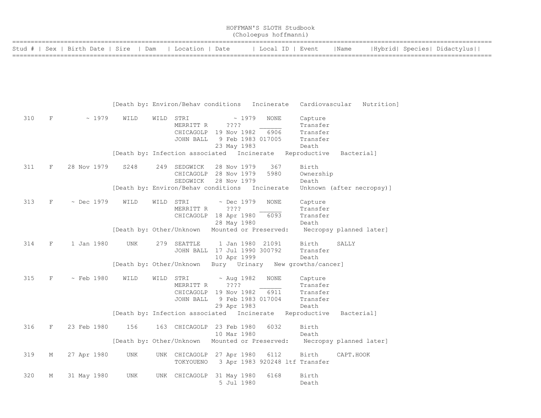| HOFFMAN'S SLOTH Studbook<br>(Choloepus hoffmanni)        |  |                  |      |                             |  |  |  |  |  |  |
|----------------------------------------------------------|--|------------------|------|-----------------------------|--|--|--|--|--|--|
| Stud #   Sex   Birth Date   Sire   Dam   Location   Date |  | Local ID   Event | Name | Hybrid  Species  Didactylus |  |  |  |  |  |  |
|                                                          |  |                  |      |                             |  |  |  |  |  |  |

|     |             |                  | [Death by: Environ/Behav conditions        |      |                                                         |                                         | Incinerate                                        | Cardiovascular                                          | Nutrition]                |
|-----|-------------|------------------|--------------------------------------------|------|---------------------------------------------------------|-----------------------------------------|---------------------------------------------------|---------------------------------------------------------|---------------------------|
| 310 | $\mathbf F$ | ~1979            | WILD                                       | WILD | STRI<br>MERRITT R<br>CHICAGOLP 19 Nov 1982<br>JOHN BALL | ????<br>23 May 1983                     | ~1979<br><b>NONE</b><br>6906<br>9 Feb 1983 017005 | Capture<br>Transfer<br>Transfer<br>Transfer<br>Death    |                           |
|     |             |                  | [Death by: Infection associated Incinerate |      |                                                         |                                         |                                                   | Reproductive                                            | Bacterial]                |
| 311 | F           | 28 Nov 1979      | S248                                       | 249  | SEDGWICK<br>CHICAGOLP 28 Nov 1979<br>SEDGWICK           | 28 Nov 1979<br>28 Nov 1979              | 367<br>5980                                       | Birth<br>Ownership<br>Death                             |                           |
|     |             |                  | [Death by: Environ/Behav conditions        |      |                                                         |                                         | Incinerate                                        |                                                         | Unknown (after necropsy)] |
| 313 | F           | $\sim$ Dec 1979  | WILD                                       | WILD | STRI<br>MERRITT R<br>CHICAGOLP 18 Apr 1980              | $~\sim$ Dec 1979<br>????<br>28 May 1980 | <b>NONE</b><br>6093                               | Capture<br>Transfer<br>Transfer<br>Death                |                           |
|     |             |                  | [Death by: Other/Unknown                   |      |                                                         |                                         | Mounted or Preserved:                             |                                                         | Necropsy planned later]   |
| 314 | F           | 1 Jan 1980       | UNK                                        | 279  | SEATTLE<br>JOHN BALL                                    | 1 Jan 1980<br>10 Apr 1999               | 21091<br>17 Jul 1990 300792                       | Birth<br>Transfer<br>Death                              | SALLY                     |
|     |             |                  | [Death by: Other/Unknown                   |      |                                                         |                                         |                                                   | Bury Urinary New growths/cancer]                        |                           |
| 315 | $\mathbf F$ | $~\sim$ Feb 1980 | WILD                                       | WILD | STRI<br>MERRITT R<br>CHICAGOLP 19 Nov 1982<br>JOHN BALL | $~\sim$ Aug 1982<br>????<br>29 Apr 1983 | <b>NONE</b><br>6911<br>9 Feb 1983 017004          | Capture<br>Transfer<br>Transfer<br>Transfer<br>Death    |                           |
|     |             |                  |                                            |      |                                                         |                                         |                                                   | [Death by: Infection associated Incinerate Reproductive | Bacterial]                |
| 316 | F           | 23 Feb 1980      | 156                                        |      | 163 CHICAGOLP                                           | 23 Feb 1980<br>10 Mar 1980              | 6032                                              | Birth<br>Death                                          |                           |
|     |             |                  | [Death by: Other/Unknown                   |      |                                                         |                                         | Mounted or Preserved:                             |                                                         | Necropsy planned later]   |
| 319 | М           | 27 Apr 1980      | UNK                                        |      | UNK CHICAGOLP 27 Apr 1980<br>TOKYOUENO                  |                                         | 6112                                              | Birth<br>3 Apr 1983 920248 ltf Transfer                 | CAPT.HOOK                 |
| 320 | М           | 31 May 1980      | UNK                                        | UNK  | CHICAGOLP                                               | 31 May 1980<br>5 Jul 1980               | 6168                                              | Birth<br>Death                                          |                           |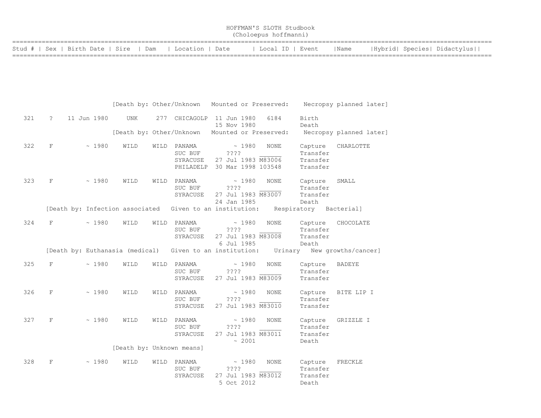| HOFFMAN'S SLOTH Studbook<br>(Choloepus hoffmanni)        |                  |      |                             |  |  |  |  |  |  |  |
|----------------------------------------------------------|------------------|------|-----------------------------|--|--|--|--|--|--|--|
| Stud #   Sex   Birth Date   Sire   Dam   Location   Date | Local ID   Event | Name | Hybrid  Species  Didactylus |  |  |  |  |  |  |  |

|     |             |                                 |                           |      | [Death by: Other/Unknown                                 |             |                     | Mounted or Preserved:             |                                          | Necropsy planned later] |
|-----|-------------|---------------------------------|---------------------------|------|----------------------------------------------------------|-------------|---------------------|-----------------------------------|------------------------------------------|-------------------------|
| 321 | $\tilde{?}$ | 11 Jun 1980                     | <b>UNK</b>                |      | 277 CHICAGOLP 11 Jun 1980                                | 15 Nov 1980 |                     | 6184                              | Birth<br>Death                           |                         |
|     |             |                                 |                           |      | [Death by: Other/Unknown                                 |             |                     | Mounted or Preserved:             |                                          | Necropsy planned later] |
| 322 | $\rm F$     | ~1980                           | WILD                      | WILD | PANAMA<br>SUC BUF<br>SYRACUSE                            | ????        | ~1980               | <b>NONE</b><br>27 Jul 1983 M83006 | Capture<br>Transfer<br>Transfer          | CHARLOTTE               |
|     |             |                                 |                           |      | PHILADELP                                                |             |                     | 30 Mar 1998 103548                | Transfer                                 |                         |
| 323 | F           | ~1980                           | WILD                      | WILD | PANAMA<br>SUC BUF<br>SYRACUSE                            | ????        | ~1980               | <b>NONE</b><br>27 Jul 1983 M83007 | Capture<br>Transfer<br>Transfer          | SMALL                   |
|     |             |                                 |                           |      |                                                          | 24 Jan 1985 |                     |                                   | Death                                    |                         |
|     |             |                                 |                           |      | [Death by: Infection associated Given to an institution: |             |                     |                                   | Respiratory Bacterial]                   |                         |
| 324 | F           | ~1980                           | WILD                      | WILD | PANAMA<br>SUC BUF<br>SYRACUSE                            | ????        | ~1980               | <b>NONE</b><br>27 Jul 1983 M83008 | Capture<br>Transfer<br>Transfer          | CHOCOLATE               |
|     |             | [Death by: Euthanasia (medical) |                           |      | Given to an institution:                                 |             | 6 Jul 1985          | Urinary                           | Death                                    | New growths/cancer]     |
| 325 | F           | ~1980                           | WILD                      | WILD | PANAMA<br>SUC BUF<br>SYRACUSE                            | ????        | ~1980               | NONE<br>27 Jul 1983 M83009        | Capture<br>Transfer<br>Transfer          | BADEYE                  |
| 326 | F           | ~1980                           | WILD                      | WILD | PANAMA<br>SUC BUF<br>SYRACUSE                            | ????        | ~1980               | <b>NONE</b><br>27 Jul 1983 M83010 | Capture<br>Transfer<br>Transfer          | BITE LIP I              |
| 327 | $\mathbf F$ | ~1980                           | WILD                      | WILD | PANAMA<br>SUC BUF<br>SYRACUSE                            | ????        | ~1980<br>~2001      | <b>NONE</b><br>27 Jul 1983 M83011 | Capture<br>Transfer<br>Transfer<br>Death | GRIZZLE I               |
|     |             |                                 | [Death by: Unknown means] |      |                                                          |             |                     |                                   |                                          |                         |
| 328 | F           | ~1980                           | WILD                      | WILD | PANAMA<br>SUC BUF<br>SYRACUSE                            | ????        | ~1980<br>5 Oct 2012 | NONE<br>27 Jul 1983 M83012        | Capture<br>Transfer<br>Transfer<br>Death | FRECKLE                 |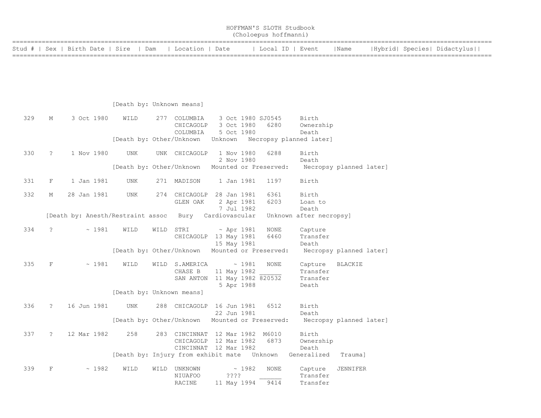|     |                      |                                        |                           |      |                                                                      |                     |       | (Choloepus hoffmanni) |                                          |                         |  |                             |
|-----|----------------------|----------------------------------------|---------------------------|------|----------------------------------------------------------------------|---------------------|-------|-----------------------|------------------------------------------|-------------------------|--|-----------------------------|
|     |                      | Stud #   Sex   Birth Date   Sire   Dam |                           |      | Location   Date                                                      |                     |       |                       | Local ID   Event                         | Name                    |  | Hybrid  Species  Didactylus |
|     |                      |                                        |                           |      |                                                                      |                     |       |                       |                                          |                         |  |                             |
|     |                      |                                        |                           |      |                                                                      |                     |       |                       |                                          |                         |  |                             |
|     |                      |                                        |                           |      |                                                                      |                     |       |                       |                                          |                         |  |                             |
|     |                      |                                        | [Death by: Unknown means] |      |                                                                      |                     |       |                       |                                          |                         |  |                             |
| 329 | М                    | 3 Oct 1980                             | WILD                      |      | 277 COLUMBIA                                                         |                     |       | 3 Oct 1980 SJ0545     | Birth                                    |                         |  |                             |
|     |                      |                                        |                           |      | CHICAGOLP                                                            | 3 Oct 1980          |       | 6280                  | Ownership                                |                         |  |                             |
|     |                      |                                        |                           |      | COLUMBIA<br>[Death by: Other/Unknown                                 | 5 Oct 1980          |       |                       | Death<br>Unknown Necropsy planned later] |                         |  |                             |
|     |                      |                                        |                           |      |                                                                      |                     |       |                       |                                          |                         |  |                             |
| 330 | $\ddot{\phantom{0}}$ | 1 Nov 1980                             | UNK                       |      | UNK CHICAGOLP                                                        | 1 Nov 1980          |       | 6288                  | Birth                                    |                         |  |                             |
|     |                      |                                        |                           |      | [Death by: Other/Unknown Mounted or Preserved:                       | 2 Nov 1980          |       |                       | Death                                    | Necropsy planned later] |  |                             |
|     |                      |                                        |                           |      |                                                                      |                     |       |                       |                                          |                         |  |                             |
| 331 | F                    | 1 Jan 1981                             | UNK                       |      | 271 MADISON                                                          | 1 Jan 1981          |       | 1197                  | Birth                                    |                         |  |                             |
| 332 | М                    | 28 Jan 1981                            | <b>UNK</b>                | 274  | CHICAGOLP 28 Jan 1981                                                |                     |       | 6361                  | Birth                                    |                         |  |                             |
|     |                      |                                        |                           |      | GLEN OAK                                                             | 2 Apr 1981          |       | 6203                  | Loan to                                  |                         |  |                             |
|     |                      | [Death by: Anesth/Restraint assoc      |                           |      | Bury Cardiovascular                                                  | 7 Jul 1982          |       |                       | Death<br>Unknown after necropsy]         |                         |  |                             |
|     |                      |                                        |                           |      |                                                                      |                     |       |                       |                                          |                         |  |                             |
| 334 | $\ddot{\phantom{0}}$ | ~1981                                  | WILD                      | WILD | STRI                                                                 | $~\sim$ Apr 1981    |       | <b>NONE</b>           | Capture                                  |                         |  |                             |
|     |                      |                                        |                           |      | CHICAGOLP 13 May 1981                                                | 15 May 1981         |       | 6460                  | Transfer<br>Death                        |                         |  |                             |
|     |                      |                                        |                           |      | [Death by: Other/Unknown Mounted or Preserved:                       |                     |       |                       |                                          | Necropsy planned later] |  |                             |
|     |                      |                                        |                           |      |                                                                      |                     |       |                       |                                          |                         |  |                             |
| 335 | $\mathbf F$          | ~1981                                  | WILD                      |      | WILD S.AMERICA<br>CHASE B                                            | 11 May 1982         | ~1981 | <b>NONE</b>           | Capture<br>Transfer                      | <b>BLACKIE</b>          |  |                             |
|     |                      |                                        |                           |      | SAN ANTON 11 May 1982 820532                                         |                     |       |                       | Transfer                                 |                         |  |                             |
|     |                      |                                        |                           |      |                                                                      | 5 Apr 1988          |       |                       | Death                                    |                         |  |                             |
|     |                      |                                        | [Death by: Unknown means] |      |                                                                      |                     |       |                       |                                          |                         |  |                             |
| 336 | $\ddot{\cdot}$       | 16 Jun 1981                            | UNK                       |      | 288 CHICAGOLP 16 Jun 1981                                            |                     |       | 6512                  | Birth                                    |                         |  |                             |
|     |                      |                                        |                           |      |                                                                      | 22 Jun 1981         |       |                       | Death                                    |                         |  |                             |
|     |                      |                                        |                           |      | [Death by: Other/Unknown Mounted or Preserved:                       |                     |       |                       |                                          | Necropsy planned later] |  |                             |
| 337 | $\ddot{\phantom{0}}$ | 12 Mar 1982                            | 258                       |      | 283 CINCINNAT 12 Mar 1982 M6010                                      |                     |       |                       | Birth                                    |                         |  |                             |
|     |                      |                                        |                           |      | CHICAGOLP 12 Mar 1982                                                |                     |       | 6873                  | Ownership                                |                         |  |                             |
|     |                      |                                        |                           |      | CINCINNAT 12 Mar 1982<br>[Death by: Injury from exhibit mate Unknown |                     |       |                       | Death<br>Generalized                     | Trauma]                 |  |                             |
|     |                      |                                        |                           |      |                                                                      |                     |       |                       |                                          |                         |  |                             |
| 339 | F                    | ~1982                                  | WILD                      | WILD | UNKNOWN                                                              |                     | ~1982 | <b>NONE</b>           | Capture                                  | JENNIFER                |  |                             |
|     |                      |                                        |                           |      | <b>NIUAFOO</b><br><b>RACINE</b>                                      | ????<br>11 May 1994 |       | 9414                  | Transfer<br>Transfer                     |                         |  |                             |
|     |                      |                                        |                           |      |                                                                      |                     |       |                       |                                          |                         |  |                             |

HOFFMAN'S SLOTH Studbook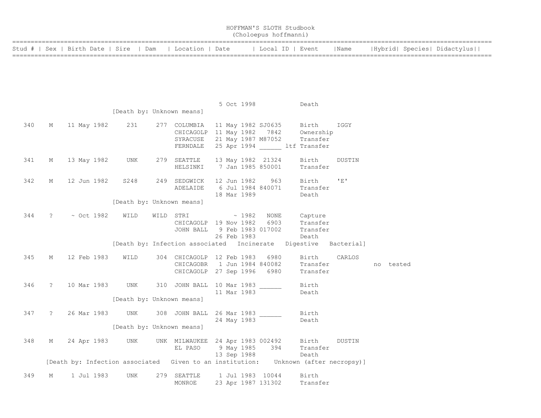|     |                      |                                        |                           |           |                                                                    |  |                            | HOFFMAN'S SLOTH Studbook<br>(Choloepus hoffmanni) |                                                            |        |           |                             |
|-----|----------------------|----------------------------------------|---------------------------|-----------|--------------------------------------------------------------------|--|----------------------------|---------------------------------------------------|------------------------------------------------------------|--------|-----------|-----------------------------|
|     |                      | Stud #   Sex   Birth Date   Sire   Dam |                           |           | Location   Date   Local ID   Event                                 |  |                            |                                                   |                                                            | Name   |           | Hybrid  Species  Didactylus |
|     |                      |                                        |                           |           |                                                                    |  |                            |                                                   |                                                            |        |           |                             |
|     |                      |                                        | [Death by: Unknown means] |           |                                                                    |  | 5 Oct 1998                 |                                                   | Death                                                      |        |           |                             |
| 340 | М                    | 11 May 1982                            | 231                       |           | 277 COLUMBIA<br>CHICAGOLP 11 May 1982 7842<br>SYRACUSE<br>FERNDALE |  |                            | 11 May 1982 SJ0635<br>21 May 1987 M87052          | Birth<br>Ownership<br>Transfer<br>25 Apr 1994 Ltf Transfer | IGGY   |           |                             |
| 341 | М                    | 13 May 1982                            | UNK                       |           | 279 SEATTLE<br>HELSINKI                                            |  |                            | 13 May 1982 21324<br>7 Jan 1985 850001            | Birth<br>Transfer                                          | DUSTIN |           |                             |
| 342 | М                    | 12 Jun 1982                            | S248                      |           | 249 SEDGWICK<br>ADELAIDE                                           |  | 12 Jun 1982<br>18 Mar 1989 | 963<br>6 Jul 1984 840071                          | Birth<br>Transfer<br>Death                                 | 'E'    |           |                             |
|     |                      |                                        | [Death by: Unknown means] |           |                                                                    |  |                            |                                                   |                                                            |        |           |                             |
| 344 | $\mathbf{?}$         | $\sim$ Oct 1982                        | WILD                      | WILD STRI | CHICAGOLP 19 Nov 1982<br>JOHN BALL                                 |  | $\sim 1982$<br>26 Feb 1983 | NONE<br>6903<br>9 Feb 1983 017002                 | Capture<br>Transfer<br>Transfer<br>Death                   |        |           |                             |
|     |                      |                                        |                           |           | [Death by: Infection associated Incinerate Digestive Bacterial]    |  |                            |                                                   |                                                            |        |           |                             |
| 345 | М                    | 12 Feb 1983                            | WILD                      |           | 304 CHICAGOLP 12 Feb 1983<br>CHICAGOBR<br>CHICAGOLP 27 Sep 1996    |  |                            | 6980<br>1 Jun 1984 840082<br>6980                 | Birth<br>Transfer<br>Transfer                              | CARLOS | no tested |                             |
| 346 | $\ddot{\phantom{0}}$ | 10 Mar 1983                            | UNK                       |           | 310 JOHN BALL 10 Mar 1983                                          |  | 11 Mar 1983                |                                                   | Birth<br>Death                                             |        |           |                             |
|     |                      |                                        | [Death by: Unknown means] |           |                                                                    |  |                            |                                                   |                                                            |        |           |                             |
| 347 | $\ddot{\phantom{0}}$ | 26 Mar 1983                            | UNK                       |           | 308 JOHN BALL<br>[Death by: Unknown means]                         |  | 26 Mar 1983<br>24 May 1983 |                                                   | Birth<br>Death                                             |        |           |                             |
| 348 | М                    | 24 Apr 1983                            | UNK                       |           | UNK MILWAUKEE 24 Apr 1983 002492<br>EL PASO                        |  | 9 May 1985<br>13 Sep 1988  | 394                                               | Birth<br>Transfer<br>Death                                 | DUSTIN |           |                             |
|     |                      | [Death by: Infection associated        |                           |           | Given to an institution:                                           |  |                            |                                                   | Unknown (after necropsy)]                                  |        |           |                             |
| 349 | М                    | 1 Jul 1983                             | UNK                       |           | 279 SEATTLE<br>MONROE                                              |  |                            | 1 Jul 1983 10044<br>23 Apr 1987 131302            | Birth<br>Transfer                                          |        |           |                             |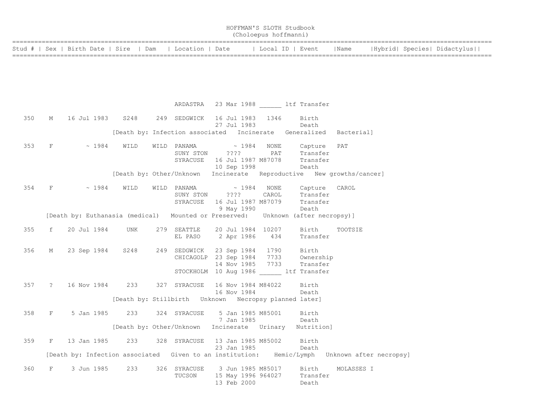|                                                          | HOFFMAN'S SLOTH Studbook<br>(Choloepus hoffmanni) |      |                             |
|----------------------------------------------------------|---------------------------------------------------|------|-----------------------------|
| Stud #   Sex   Birth Date   Sire   Dam   Location   Date | Local ID   Event                                  | Name | Hybrid  Species  Didactylus |

|     |   |                                 |  | ARDASTRA 23 Mar 1988 ltf Transfer                                                |                                                                                                                                                                                                                           |         |  |
|-----|---|---------------------------------|--|----------------------------------------------------------------------------------|---------------------------------------------------------------------------------------------------------------------------------------------------------------------------------------------------------------------------|---------|--|
|     |   |                                 |  | 350 M 16 Jul 1983 S248 249 SEDGWICK 16 Jul 1983 1346<br>27 Jul 1983 Death        | Birth                                                                                                                                                                                                                     |         |  |
|     |   |                                 |  |                                                                                  | [Death by: Infection associated Incinerate Generalized Bacterial]                                                                                                                                                         |         |  |
| 353 |   | $F \sim 1984 \quad \text{WILD}$ |  | SUNY STON ???? PAT<br>10 Sep 1998                                                | $\verb WILD PANAMA  \qquad \verb ~~ 1984  NONE  \qquad \verb Capture PAT $<br>SUNY STON 2??? PAT Transfer<br>SYRACUSE 16 Jul 1987 M87078 Transfer<br>Death                                                                |         |  |
|     |   |                                 |  |                                                                                  | [Death by: Other/Unknown Incinerate Reproductive New growths/cancer]                                                                                                                                                      |         |  |
|     |   |                                 |  |                                                                                  | 354 F ~ 1984 WILD WILD PANAMA ~ 1984 NONE Capture CAROL<br>SUNY STON ???? CAROL Transfer<br>SYRACUSE 16 Jul 1987 M87079 Transfer<br>Death [Death by: Euthanasia (medical) Mounted or Preserved: Unknown (after necropsy)] |         |  |
|     |   |                                 |  |                                                                                  |                                                                                                                                                                                                                           |         |  |
| 355 |   |                                 |  |                                                                                  | f 20 Jul 1984 UNK 279 SEATTLE 20 Jul 1984 10207 Birth<br>EL PASO 2 Apr 1986 434 Transfer                                                                                                                                  | TOOTSIE |  |
| 356 |   |                                 |  |                                                                                  | M 23 Sep 1984 S248 249 SEDGWICK 23 Sep 1984 1790 Birth<br>CHICAGOLP 23 Sep 1984 7733 Ownership<br>14 Nov 1985 7733 Transfer<br>STOCKHOLM 10 Aug 1986 ltf Transfer                                                         |         |  |
|     |   |                                 |  | 357 ? 16 Nov 1984 233 327 SYRACUSE 16 Nov 1984 M84022 Birth<br>16 Nov 1984 Death |                                                                                                                                                                                                                           |         |  |
|     |   |                                 |  |                                                                                  |                                                                                                                                                                                                                           |         |  |
|     |   |                                 |  | 358 F 5 Jan 1985 233 324 SYRACUSE 5 Jan 1985 M85001 Birth<br>7 Jan 1985 Death    |                                                                                                                                                                                                                           |         |  |
|     |   |                                 |  |                                                                                  | [Death by: Other/Unknown Incinerate Urinary Nutrition]                                                                                                                                                                    |         |  |
| 359 |   |                                 |  | F 13 Jan 1985 233 328 SYRACUSE 13 Jan 1985 M85002 Birth<br>23 Jan 1985           | Death                                                                                                                                                                                                                     |         |  |
|     |   |                                 |  |                                                                                  | [Death by: Infection associated Given to an institution: Hemic/Lymph Unknown after necropsy]                                                                                                                              |         |  |
| 360 | F |                                 |  | 13 Feb 2000                                                                      | TUCSON 15 May 1996 964027 Transfer<br>Death                                                                                                                                                                               |         |  |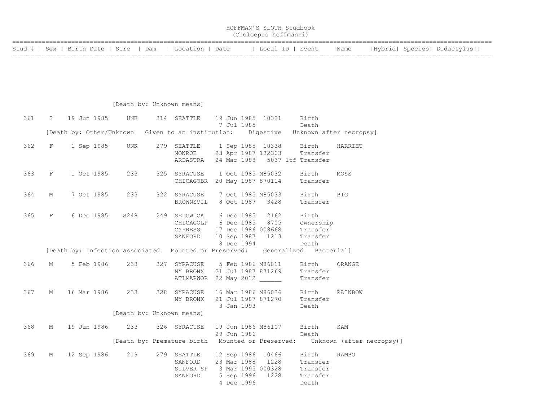|                                                          |  | HOFFMAN'S SLOTH Studbook<br>(Choloepus hoffmanni) |      |                             |
|----------------------------------------------------------|--|---------------------------------------------------|------|-----------------------------|
| Stud #   Sex   Birth Date   Sire   Dam   Location   Date |  | Local ID   Event                                  | Name | Hybrid  Species  Didactylus |

## [Death by: Unknown means]

| 361 |             | ? 19 Jun 1985                                                                       | <b>UNK</b>                | 314 SEATTLE 19 Jun 1985 10321                                       | 7 Jul 1985  |  | Birth<br>Death                                                                                                                                                |                                                                            |
|-----|-------------|-------------------------------------------------------------------------------------|---------------------------|---------------------------------------------------------------------|-------------|--|---------------------------------------------------------------------------------------------------------------------------------------------------------------|----------------------------------------------------------------------------|
|     |             | [Death by: Other/Unknown Given to an institution: Digestive Unknown after necropsy] |                           |                                                                     |             |  |                                                                                                                                                               |                                                                            |
| 362 | $F$ and $F$ | 1 Sep 1985 UNK                                                                      |                           |                                                                     |             |  | 279 SEATTLE 1 Sep 1985 10338 Birth<br>MONROE 23 Apr 1987 132303 Transfer<br>ARDASTRA 24 Mar 1988 5037 ltf Transfer                                            | HARRIET                                                                    |
| 363 | F           | 1 Oct 1985                                                                          | 233                       | 325 SYRACUSE    1 Oct 1985 M85032<br>CHICAGOBR 20 May 1987 870114   |             |  | Birth<br>Transfer                                                                                                                                             | MOSS                                                                       |
| 364 | М           | 7 Oct 1985                                                                          | 233                       | 322 SYRACUSE  7 Oct 1985 M85033  Birth<br>BROWNSVIL 8 Oct 1987 3428 |             |  | Transfer                                                                                                                                                      | <b>BIG</b>                                                                 |
| 365 | F           | 6 Dec 1985 S248                                                                     |                           | 249 SEDGWICK 6 Dec 1985 2162 Birth<br>CYPRESS 17 Dec 1986 008668    | 8 Dec 1994  |  | CHICAGOLP 6 Dec 1985 8705 Ownership<br>Transfer<br>SANFORD 10 Sep 1987 1213 Transfer<br>Death                                                                 |                                                                            |
|     |             | [Death by: Infection associated Mounted or Preserved: Generalized Bacterial]        |                           |                                                                     |             |  |                                                                                                                                                               |                                                                            |
| 366 | $M \sim$    | 5 Feb 1986                                                                          | 233                       | NY BRONX 21 Jul 1987 871269<br>ATLMARWOR 22 May 2012                |             |  | 327 SYRACUSE 5 Feb 1986 M86011 Birth<br>Transfer<br>Transfer                                                                                                  | ORANGE                                                                     |
| 367 | M           | 16 Mar 1986 233                                                                     |                           |                                                                     | 3 Jan 1993  |  | 328 SYRACUSE 16 Mar 1986 M86026 Birth<br>NY BRONX 21 Jul 1987 871270 Transfer<br>Death                                                                        | RAINBOW                                                                    |
|     |             |                                                                                     | [Death by: Unknown means] |                                                                     |             |  |                                                                                                                                                               |                                                                            |
| 368 | М           | 19 Jun 1986                                                                         | 233                       | 326 SYRACUSE 19 Jun 1986 M86107 Birth                               | 29 Jun 1986 |  | Death                                                                                                                                                         | SAM                                                                        |
|     |             |                                                                                     |                           |                                                                     |             |  |                                                                                                                                                               | [Death by: Premature birth Mounted or Preserved: Unknown (after necropsy)] |
| 369 | М           | 12 Sep 1986                                                                         | 219                       |                                                                     | 4 Dec 1996  |  | 279 SEATTLE 12 Sep 1986 10466 Birth<br>SANFORD 23 Mar 1988 1228 Transfer<br>SILVER SP 3 Mar 1995 000328 Transfer<br>SANFORD 5 Sep 1996 1228 Transfer<br>Death | RAMBO                                                                      |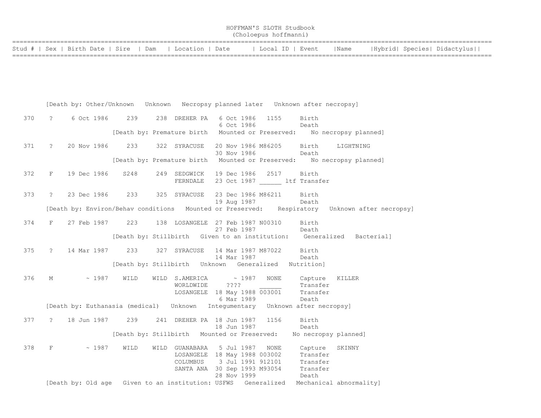| HOFFMAN'S SLOTH Studbook |  |
|--------------------------|--|
| (Choloepus hoffmanni)    |  |

| Stud #   Sex   Birth Date   Sire   Dam   Location   Date |  |  | Local ID   Event   Name   Hybrid  Species   Didactylus |
|----------------------------------------------------------|--|--|--------------------------------------------------------|
|                                                          |  |  |                                                        |

|     |                | [Death by: Other/Unknown Unknown Necropsy planned later Unknown after necropsy] |      |      |                                                                                                                                                                                                                                                                                                                                                                                                                                                                                                                                              |                                   |                                   |                                          |                                                                                               |
|-----|----------------|---------------------------------------------------------------------------------|------|------|----------------------------------------------------------------------------------------------------------------------------------------------------------------------------------------------------------------------------------------------------------------------------------------------------------------------------------------------------------------------------------------------------------------------------------------------------------------------------------------------------------------------------------------------|-----------------------------------|-----------------------------------|------------------------------------------|-----------------------------------------------------------------------------------------------|
| 370 | $\mathcal{P}$  | 6 Oct 1986                                                                      | 239  |      | 238 DREHER PA                                                                                                                                                                                                                                                                                                                                                                                                                                                                                                                                | 6 Oct 1986<br>6 Oct 1986          | 1155                              | Birth<br>Death                           |                                                                                               |
|     |                |                                                                                 |      |      |                                                                                                                                                                                                                                                                                                                                                                                                                                                                                                                                              |                                   |                                   |                                          | [Death by: Premature birth Mounted or Preserved: No necropsy planned]                         |
| 371 | $\overline{?}$ | 20 Nov 1986                                                                     | 233  |      | 322 SYRACUSE                                                                                                                                                                                                                                                                                                                                                                                                                                                                                                                                 | 30 Nov 1986                       | 20 Nov 1986 M86205 Birth<br>Death |                                          | LIGHTNING                                                                                     |
|     |                |                                                                                 |      |      |                                                                                                                                                                                                                                                                                                                                                                                                                                                                                                                                              |                                   |                                   |                                          | [Death by: Premature birth Mounted or Preserved: No necropsy planned]                         |
| 372 | F              | 19 Dec 1986                                                                     | S248 |      | 249 SEDGWICK<br>FERNDALE                                                                                                                                                                                                                                                                                                                                                                                                                                                                                                                     | 19 Dec 1986 2517                  |                                   | Birth<br>23 Oct 1987 ltf Transfer        |                                                                                               |
| 373 | $\tilde{z}$    | 23 Dec 1986                                                                     | 233  |      | 325 SYRACUSE                                                                                                                                                                                                                                                                                                                                                                                                                                                                                                                                 | 23 Dec 1986 M86211<br>19 Aug 1987 |                                   | Birth<br>Death                           |                                                                                               |
|     |                |                                                                                 |      |      |                                                                                                                                                                                                                                                                                                                                                                                                                                                                                                                                              |                                   |                                   |                                          | [Death by: Environ/Behav conditions Mounted or Preserved: Respiratory Unknown after necropsy] |
| 374 | F              | 27 Feb 1987                                                                     | 223  |      | 138 LOSANGELE 27 Feb 1987 N00310                                                                                                                                                                                                                                                                                                                                                                                                                                                                                                             | 27 Feb 1987                       |                                   | Birth<br>Death                           |                                                                                               |
|     |                |                                                                                 |      |      |                                                                                                                                                                                                                                                                                                                                                                                                                                                                                                                                              |                                   |                                   |                                          | [Death by: Stillbirth Given to an institution: Generalized Bacterial]                         |
| 375 | $\ddot{?}$     | 14 Mar 1987 233 327 SYRACUSE                                                    |      |      |                                                                                                                                                                                                                                                                                                                                                                                                                                                                                                                                              | 14 Mar 1987 M87022<br>14 Mar 1987 |                                   | Birth<br>Death                           |                                                                                               |
|     |                |                                                                                 |      |      |                                                                                                                                                                                                                                                                                                                                                                                                                                                                                                                                              |                                   |                                   | Nutrition]                               |                                                                                               |
| 376 | M              | $\sim 1987$                                                                     | WILD |      | WILD S.AMERICA $\sim$ 1987<br>$\begin{tabular}{lllllll} \multicolumn{2}{c }{\begin{tabular}{l} \multicolumn{2}{c}{\multicolumn{2}{c}{\text{}}}\end{tabular}} & \multicolumn{2}{c}{\begin{tabular}{l} \multicolumn{2}{c}{\multicolumn{2}{c}{\text{}}}\end{tabular}} & \multicolumn{2}{c}{\begin{tabular}{l} \multicolumn{2}{c}{\text{}}}\end{tabular}} & \multicolumn{2}{c}{\begin{tabular}{l} \multicolumn{2}{c}{\text{}}}\end{tabular}} & \multicolumn{2}{c}{\begin{tabular}{l} \multicolumn{2}{c}{\text{}}}\end{tabular}} & \multicolumn{$ |                                   | <b>NONE</b>                       | Capture                                  | KILLER                                                                                        |
|     |                | [Death by: Euthanasia (medical) Unknown Integumentary Unknown after necropsy]   |      |      |                                                                                                                                                                                                                                                                                                                                                                                                                                                                                                                                              |                                   |                                   |                                          |                                                                                               |
| 377 | $\overline{?}$ | 18 Jun 1987   239   241   DREHER PA   18 Jun 1987                               |      |      |                                                                                                                                                                                                                                                                                                                                                                                                                                                                                                                                              | 18 Jun 1987                       | 1156                              | Birth<br>Death                           |                                                                                               |
|     |                |                                                                                 |      |      | [Death by: Stillbirth Mounted or Preserved:                                                                                                                                                                                                                                                                                                                                                                                                                                                                                                  |                                   |                                   |                                          | No necropsy planned]                                                                          |
| 378 | F              | ~1987                                                                           | WILD | WILD | GUANABARA<br>LOSANGELE 18 May 1988 003002<br>COLUMBUS 3 Jul 1991 912101<br>SANTA ANA 30 Sep 1993 M93054 Transfer                                                                                                                                                                                                                                                                                                                                                                                                                             | 5 Jul 1987<br>28 Nov 1999         | NONE                              | Capture<br>Transfer<br>Transfer<br>Death | SKINNY                                                                                        |
|     |                |                                                                                 |      |      |                                                                                                                                                                                                                                                                                                                                                                                                                                                                                                                                              |                                   |                                   |                                          | [Death by: Old age Given to an institution: USFWS Generalized Mechanical abnormality]         |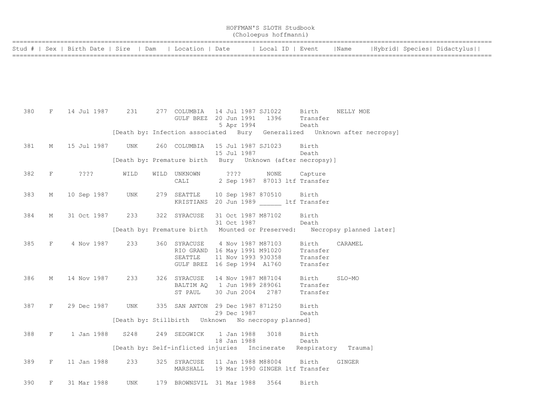|     |             |                                  |      |                                                                          |                       | (Choloepus hoffmanni) |                                 |                         |  |  |                             |
|-----|-------------|----------------------------------|------|--------------------------------------------------------------------------|-----------------------|-----------------------|---------------------------------|-------------------------|--|--|-----------------------------|
|     |             | Stud #   Sex   Birth Date   Sire | Dam  | Location   Date                                                          |                       |                       | Local ID   Event                | Name                    |  |  | Hybrid  Species  Didactylus |
|     |             |                                  |      |                                                                          |                       |                       |                                 |                         |  |  |                             |
|     |             |                                  |      |                                                                          |                       |                       |                                 |                         |  |  |                             |
|     |             |                                  |      |                                                                          |                       |                       |                                 |                         |  |  |                             |
|     |             |                                  |      |                                                                          |                       |                       |                                 |                         |  |  |                             |
| 380 | F           | 14 Jul 1987                      | 231  | 277 COLUMBIA<br>GULF BREZ 20 Jun 1991                                    | 14 Jul 1987 SJ1022    | 1396                  | Birth<br>Transfer               | NELLY MOE               |  |  |                             |
|     |             |                                  |      | [Death by: Infection associated Bury Generalized Unknown after necropsy] | 5 Apr 1994            |                       | Death                           |                         |  |  |                             |
| 381 | М           | 15 Jul 1987                      | UNK  | 260 COLUMBIA                                                             | 15 Jul 1987 SJ1023    |                       | Birth                           |                         |  |  |                             |
|     |             |                                  |      | [Death by: Premature birth Bury Unknown (after necropsy)]                | 15 Jul 1987           |                       | Death                           |                         |  |  |                             |
| 382 | $_{\rm F}$  | ????                             | WILD | WILD UNKNOWN                                                             | ????                  | NONE                  | Capture                         |                         |  |  |                             |
|     |             |                                  |      | CALI                                                                     |                       |                       | 2 Sep 1987 87013 ltf Transfer   |                         |  |  |                             |
| 383 | М           | 10 Sep 1987                      | UNK  | 279 SEATTLE<br>KRISTIANS 20 Jun 1989 ltf Transfer                        | 10 Sep 1987 870510    |                       | Birth                           |                         |  |  |                             |
| 384 | М           | 31 Oct 1987                      | 233  | 322 SYRACUSE                                                             | 31 Oct 1987 M87102    |                       | Birth                           |                         |  |  |                             |
|     |             |                                  |      |                                                                          | 31 Oct 1987           |                       | Death                           |                         |  |  |                             |
|     |             |                                  |      | [Death by: Premature birth                                               | Mounted or Preserved: |                       |                                 | Necropsy planned later] |  |  |                             |
| 385 | $_{\rm F}$  | 4 Nov 1987                       | 233  | 360 SYRACUSE<br>RIO GRAND 16 May 1991 M91020                             | 4 Nov 1987 M87103     |                       | Birth<br>Transfer               | CARAMEL                 |  |  |                             |
|     |             |                                  |      | SEATTLE                                                                  | 11 Nov 1993 930358    |                       | Transfer                        |                         |  |  |                             |
|     |             |                                  |      | GULF BREZ 16 Sep 1994 A1760                                              |                       |                       | Transfer                        |                         |  |  |                             |
| 386 | М           | 14 Nov 1987                      | 233  | 326 SYRACUSE<br>BALTIM AQ 1 Jun 1989 289061                              | 14 Nov 1987 M87104    |                       | Birth<br>Transfer               | SLO-MO                  |  |  |                             |
|     |             |                                  |      | ST PAUL                                                                  | 30 Jun 2004 2787      |                       | Transfer                        |                         |  |  |                             |
| 387 | F           | 29 Dec 1987                      | UNK  | 335 SAN ANTON 29 Dec 1987 871250                                         |                       |                       | Birth                           |                         |  |  |                             |
|     |             |                                  |      | [Death by: Stillbirth Unknown No necropsy planned]                       | 29 Dec 1987           |                       | Death                           |                         |  |  |                             |
| 388 | F           | 1 Jan 1988                       | S248 | 249 SEDGWICK                                                             | 1 Jan 1988            | 3018                  | Birth                           |                         |  |  |                             |
|     |             |                                  |      | [Death by: Self-inflicted injuries Incinerate                            | 18 Jan 1988           |                       | Death                           | Respiratory Trauma]     |  |  |                             |
| 389 | $\mathbf F$ | 11 Jan 1988                      | 233  | 325 SYRACUSE                                                             | 11 Jan 1988 M88004    |                       | Birth                           | GINGER                  |  |  |                             |
|     |             |                                  |      | MARSHALL                                                                 |                       |                       | 19 Mar 1990 GINGER ltf Transfer |                         |  |  |                             |
| 390 | F           | 31 Mar 1988                      | UNK  | 179 BROWNSVIL 31 Mar 1988                                                |                       | 3564                  | Birth                           |                         |  |  |                             |

HOFFMAN'S SLOTH Studbook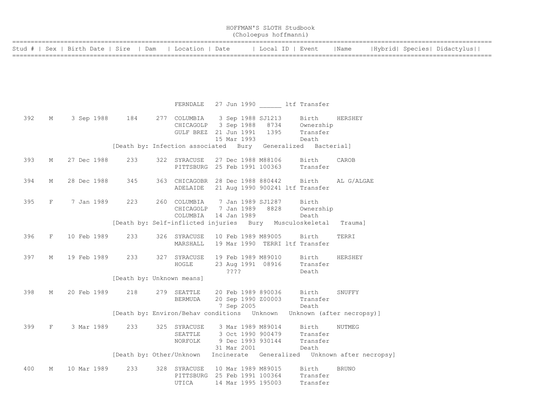|                                  |   |             |            | HOFFMAN'S SLOTH Studbook<br>(Choloepus hoffmanni) |     |                                                                 |  |                            |  |                    |  |                                                         |              |  |  |                             |  |
|----------------------------------|---|-------------|------------|---------------------------------------------------|-----|-----------------------------------------------------------------|--|----------------------------|--|--------------------|--|---------------------------------------------------------|--------------|--|--|-----------------------------|--|
| Stud #   Sex   Birth Date   Sire |   |             |            | Dam                                               |     | Location   Date                                                 |  |                            |  |                    |  | Local ID   Event                                        | Name         |  |  | Hybrid  Species  Didactylus |  |
|                                  |   |             |            |                                                   |     |                                                                 |  |                            |  |                    |  |                                                         |              |  |  |                             |  |
|                                  |   |             |            |                                                   |     |                                                                 |  |                            |  |                    |  |                                                         |              |  |  |                             |  |
|                                  |   |             |            |                                                   |     |                                                                 |  |                            |  |                    |  |                                                         |              |  |  |                             |  |
|                                  |   |             |            |                                                   |     | FERNDALE                                                        |  |                            |  |                    |  | 27 Jun 1990 ltf Transfer                                |              |  |  |                             |  |
| 392                              | М |             | 3 Sep 1988 | 184                                               |     | 277 COLUMBIA                                                    |  |                            |  | 3 Sep 1988 SJ1213  |  | Birth                                                   | HERSHEY      |  |  |                             |  |
|                                  |   |             |            |                                                   |     | CHICAGOLP                                                       |  |                            |  |                    |  | 3 Sep 1988 8734 Ownership                               |              |  |  |                             |  |
|                                  |   |             |            |                                                   |     | GULF BREZ 21 Jun 1991                                           |  |                            |  | 1395               |  | Transfer                                                |              |  |  |                             |  |
|                                  |   |             |            |                                                   |     |                                                                 |  | 15 Mar 1993                |  |                    |  | Death                                                   |              |  |  |                             |  |
|                                  |   |             |            |                                                   |     | [Death by: Infection associated Bury Generalized Bacterial]     |  |                            |  |                    |  |                                                         |              |  |  |                             |  |
| 393                              | М | 27 Dec 1988 |            | 233                                               |     | 322 SYRACUSE                                                    |  |                            |  | 27 Dec 1988 M88106 |  | Birth                                                   | CAROB        |  |  |                             |  |
|                                  |   |             |            |                                                   |     | PITTSBURG 25 Feb 1991 100363                                    |  |                            |  |                    |  | Transfer                                                |              |  |  |                             |  |
|                                  |   |             |            |                                                   |     |                                                                 |  |                            |  |                    |  |                                                         |              |  |  |                             |  |
| 394                              | М | 28 Dec 1988 |            | 345                                               |     | 363 CHICAGOBR 28 Dec 1988 880442<br>ADELAIDE                    |  |                            |  |                    |  | Birth<br>21 Aug 1990 900241 ltf Transfer                | AL G/ALGAE   |  |  |                             |  |
|                                  |   |             |            |                                                   |     |                                                                 |  |                            |  |                    |  |                                                         |              |  |  |                             |  |
| 395                              | F |             | 7 Jan 1989 | 223                                               |     | 260 COLUMBIA                                                    |  |                            |  | 7 Jan 1989 SJ1287  |  | Birth                                                   |              |  |  |                             |  |
|                                  |   |             |            |                                                   |     | CHICAGOLP                                                       |  | 7 Jan 1989                 |  | 8828               |  | Ownership                                               |              |  |  |                             |  |
|                                  |   |             |            |                                                   |     | COLUMBIA                                                        |  | 14 Jan 1989                |  |                    |  | Death                                                   |              |  |  |                             |  |
|                                  |   |             |            |                                                   |     | [Death by: Self-inflicted injuries Bury Musculoskeletal Trauma] |  |                            |  |                    |  |                                                         |              |  |  |                             |  |
| 396                              | F | 10 Feb 1989 |            | 233                                               |     | 326 SYRACUSE                                                    |  |                            |  | 10 Feb 1989 M89005 |  | Birth                                                   | TERRI        |  |  |                             |  |
|                                  |   |             |            |                                                   |     | MARSHALL                                                        |  |                            |  |                    |  | 19 Mar 1990 TERRI ltf Transfer                          |              |  |  |                             |  |
|                                  |   |             |            |                                                   |     |                                                                 |  |                            |  |                    |  |                                                         |              |  |  |                             |  |
| 397                              | М | 19 Feb 1989 |            | 233                                               |     | 327 SYRACUSE                                                    |  |                            |  | 19 Feb 1989 M89010 |  | Birth                                                   | HERSHEY      |  |  |                             |  |
|                                  |   |             |            |                                                   |     | HOGLE                                                           |  | $??\mathord{?}\mathord{?}$ |  | 23 Aug 1991 08916  |  | Transfer<br>Death                                       |              |  |  |                             |  |
|                                  |   |             |            | [Death by: Unknown means]                         |     |                                                                 |  |                            |  |                    |  |                                                         |              |  |  |                             |  |
|                                  |   |             |            |                                                   |     |                                                                 |  |                            |  |                    |  |                                                         |              |  |  |                             |  |
| 398                              | М | 20 Feb 1989 |            | 218                                               |     | 279 SEATTLE                                                     |  |                            |  | 20 Feb 1989 890036 |  | Birth                                                   | SNUFFY       |  |  |                             |  |
|                                  |   |             |            |                                                   |     | BERMUDA                                                         |  |                            |  | 20 Sep 1990 Z00003 |  | Transfer                                                |              |  |  |                             |  |
|                                  |   |             |            |                                                   |     |                                                                 |  | 7 Sep 2005                 |  |                    |  | Death                                                   |              |  |  |                             |  |
|                                  |   |             |            |                                                   |     |                                                                 |  |                            |  |                    |  |                                                         |              |  |  |                             |  |
| 399                              | F |             | 3 Mar 1989 | 233                                               | 325 | SYRACUSE                                                        |  |                            |  | 3 Mar 1989 M89014  |  | Birth                                                   | NUTMEG       |  |  |                             |  |
|                                  |   |             |            |                                                   |     | SEATTLE                                                         |  |                            |  | 3 Oct 1990 900479  |  | Transfer                                                |              |  |  |                             |  |
|                                  |   |             |            |                                                   |     | NORFOLK                                                         |  |                            |  | 9 Dec 1993 930144  |  | Transfer                                                |              |  |  |                             |  |
|                                  |   |             |            | [Death by: Other/Unknown                          |     |                                                                 |  | 31 Mar 2001                |  |                    |  | Death<br>Incinerate Generalized Unknown after necropsy] |              |  |  |                             |  |
|                                  |   |             |            |                                                   |     |                                                                 |  |                            |  |                    |  |                                                         |              |  |  |                             |  |
| 400                              | М | 10 Mar 1989 |            | 233                                               |     | 328 SYRACUSE                                                    |  |                            |  | 10 Mar 1989 M89015 |  | Birth                                                   | <b>BRUNO</b> |  |  |                             |  |
|                                  |   |             |            |                                                   |     | PITTSBURG 25 Feb 1991 100364                                    |  |                            |  |                    |  | Transfer                                                |              |  |  |                             |  |
|                                  |   |             |            |                                                   |     | UTICA                                                           |  |                            |  | 14 Mar 1995 195003 |  | Transfer                                                |              |  |  |                             |  |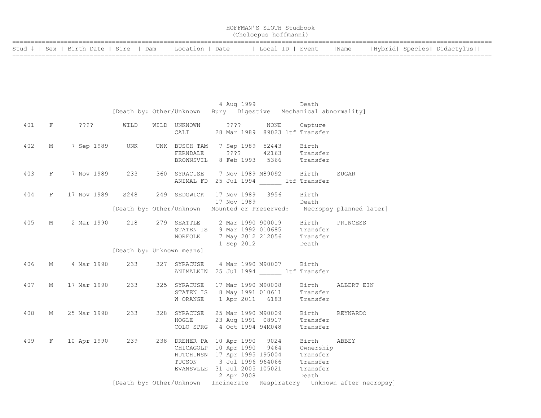|                                                          |  | HOFFMAN'S SLOTH Studbook<br>(Choloepus hoffmanni) |      |                             |
|----------------------------------------------------------|--|---------------------------------------------------|------|-----------------------------|
| Stud #   Sex   Birth Date   Sire   Dam   Location   Date |  | ' Local ID   Event                                | Name | Hybrid  Species  Didactylus |

|     |   |                                                                                                       |                                                                 |                                                                                                                                |  | 4 Aug 1999 Death  |                                                  |                                                                         |
|-----|---|-------------------------------------------------------------------------------------------------------|-----------------------------------------------------------------|--------------------------------------------------------------------------------------------------------------------------------|--|-------------------|--------------------------------------------------|-------------------------------------------------------------------------|
|     |   |                                                                                                       | [Death by: Other/Unknown Bury Digestive Mechanical abnormality] |                                                                                                                                |  |                   |                                                  |                                                                         |
|     |   | 401 F ???? WILD                                                                                       |                                                                 | WILD UNKNOWN ???? NONE Capture<br>CALI 28 Mar 1989 89023 ltf Transfer                                                          |  |                   |                                                  |                                                                         |
| 402 | M | 7 Sep 1989 UNK                                                                                        |                                                                 | UNK BUSCH TAM 7 Sep 1989 52443 Birth<br>FERNDALE 7??? 42163 Transfer<br>BROWNSVIL 8 Feb 1993 5366 Transfer                     |  |                   |                                                  |                                                                         |
| 403 |   | F 7 Nov 1989 233 360 SYRACUSE 7 Nov 1989 M89092 Birth SUGAR                                           |                                                                 |                                                                                                                                |  |                   | ANIMAL FD 25 Jul 1994 ltf Transfer               |                                                                         |
| 404 |   | F 17 Nov 1989 S248 249 SEDGWICK 17 Nov 1989 3956                                                      |                                                                 |                                                                                                                                |  | 17 Nov 1989 Death | Birth                                            |                                                                         |
|     |   |                                                                                                       |                                                                 |                                                                                                                                |  |                   |                                                  | [Death by: Other/Unknown Mounted or Preserved: Necropsy planned later]  |
| 405 |   | M 2 Mar 1990 218 279 SEATTLE 2 Mar 1990 900019 Birth PRINCESS<br>STATEN IS 9 Mar 1992 010685 Transfer |                                                                 | NORFOLK 7 May 2012 212056 Transfer                                                                                             |  | 1 Sep 2012        | Death                                            |                                                                         |
|     |   |                                                                                                       | [Death by: Unknown means]                                       |                                                                                                                                |  |                   |                                                  |                                                                         |
| 406 |   | M 4 Mar 1990 233 327 SYRACUSE 4 Mar 1990 M90007 Birth                                                 |                                                                 | ANIMALKIN 25 Jul 1994 ltf Transfer                                                                                             |  |                   |                                                  |                                                                         |
| 407 | M | 17 Mar 1990 233                                                                                       |                                                                 | STATEN IS 8 May 1991 010611 Transfer<br>W ORANGE 1 Apr 2011 6183 Transfer                                                      |  |                   |                                                  | 325 SYRACUSE 17 Mar 1990 M90008 Birth ALBERT EIN                        |
| 408 |   | M 25 Mar 1990 233 328 SYRACUSE 25 Mar 1990 M90009 Birth REYNARDO                                      |                                                                 | HOGLE 23 Aug 1991 08917<br>COLO SPRG 4 Oct 1994 94M048                                                                         |  |                   | Transfer<br>Transfer                             |                                                                         |
| 409 |   | F 10 Apr 1990 239 238 DREHER PA 10 Apr 1990 9024 Birth ABBEY                                          |                                                                 | HUTCHINSN 17 Apr 1995 195004<br>TUCSON 3 Jul 1996 964066 Transfer<br>EVANSVLLE 31 Jul 2005 105021 Transfer<br>2 Apr 2008 Death |  |                   | CHICAGOLP 10 Apr 1990 9464 Ownership<br>Transfer |                                                                         |
|     |   |                                                                                                       |                                                                 |                                                                                                                                |  |                   |                                                  | [Death by: Other/Unknown Incinerate Respiratory Unknown after necropsy] |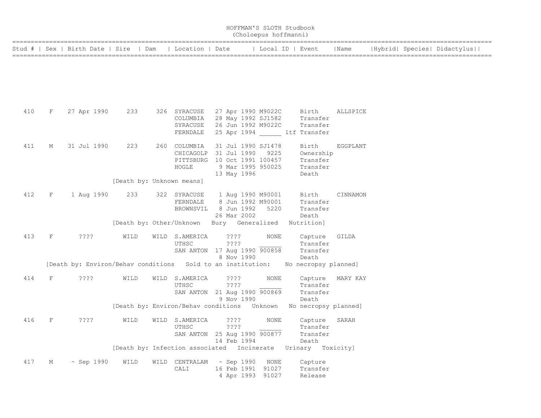|     |             |                                                             |                           |                                                  |                                                                                                       | (Choloepus hoffmanni) | HOFFMAN'S SLOTH Studbook                                               |          |  |                             |
|-----|-------------|-------------------------------------------------------------|---------------------------|--------------------------------------------------|-------------------------------------------------------------------------------------------------------|-----------------------|------------------------------------------------------------------------|----------|--|-----------------------------|
|     |             | Stud #   Sex   Birth Date   Sire                            | Dam                       | Location   Date                                  |                                                                                                       |                       | Local ID   Event                                                       | Name     |  | Hybrid  Species  Didactylus |
|     |             |                                                             |                           |                                                  |                                                                                                       |                       |                                                                        |          |  |                             |
| 410 | F           | 27 Apr 1990                                                 | 233                       | 326 SYRACUSE<br>COLUMBIA<br>SYRACUSE<br>FERNDALE | 27 Apr 1990 M9022C<br>28 May 1992 SJ1582<br>26 Jun 1992 M9022C                                        |                       | Birth<br>Transfer<br>Transfer<br>25 Apr 1994 ltf Transfer              | ALLSPICE |  |                             |
| 411 | М           | 31 Jul 1990                                                 | 223                       | 260 COLUMBIA<br>CHICAGOLP<br>HOGLE               | 31 Jul 1990 SJ1478<br>31 Jul 1990<br>PITTSBURG 10 Oct 1991 100457<br>9 Mar 1995 950025<br>13 May 1996 | 9225                  | Birth<br>Ownership<br>Transfer<br>Transfer<br>Death                    | EGGPLANT |  |                             |
|     |             |                                                             | [Death by: Unknown means] |                                                  |                                                                                                       |                       |                                                                        |          |  |                             |
| 412 | F           | 1 Aug 1990                                                  | 233                       | 322 SYRACUSE<br>FERNDALE<br>BROWNSVIL            | 1 Aug 1990 M90001<br>8 Jun 1992 M90001<br>8 Jun 1992<br>26 Mar 2002                                   | 5220                  | Birth<br>Transfer<br>Transfer<br>Death                                 | CINNAMON |  |                             |
|     |             |                                                             |                           |                                                  | [Death by: Other/Unknown Bury Generalized                                                             |                       | Nutrition]                                                             |          |  |                             |
| 413 | $\mathbf F$ | $??\mathord{?}\mathord{?}$                                  | WILD                      | WILD S.AMERICA<br>UTHSC                          | $??\; ?$<br>????<br>SAN ANTON 17 Aug 1990 900858<br>8 Nov 1990                                        | <b>NONE</b>           | Capture<br>Transfer<br>Transfer<br>Death                               | GILDA    |  |                             |
|     |             | [Death by: Environ/Behav conditions Sold to an institution: |                           |                                                  |                                                                                                       |                       | No necropsy planned]                                                   |          |  |                             |
| 414 | F           | $??\mathord{?}\mathord{?}$                                  | WILD                      | WILD S.AMERICA<br>UTHSC                          | $??\; ?$<br>????<br>SAN ANTON 21 Aug 1990 900869<br>9 Nov 1990                                        | NONE                  | Capture<br>Transfer<br>Transfer<br>Death                               | MARY KAY |  |                             |
|     |             |                                                             |                           |                                                  |                                                                                                       |                       | [Death by: Environ/Behav conditions    Unknown    No necropsy planned] |          |  |                             |
| 416 | F           | $??\,?\,?$                                                  | WILD                      | WILD S.AMERICA<br>UTHSC                          | ????<br>$??\ ??$<br>SAN ANTON 25 Aug 1990 900877<br>14 Feb 1994                                       | NONE                  | Capture<br>Transfer<br>Transfer<br>Death                               | SARAH    |  |                             |
|     |             |                                                             |                           |                                                  |                                                                                                       |                       | [Death by: Infection associated Incinerate Urinary Toxicity]           |          |  |                             |
| 417 | М           | $\sim$ Sep 1990                                             | WILD                      | WILD CENTRALAM<br>CALI                           | ~ Sep 1990<br>16 Feb 1991 91027<br>4 Apr 1993 91027                                                   | NONE                  | Capture<br>Transfer<br>Release                                         |          |  |                             |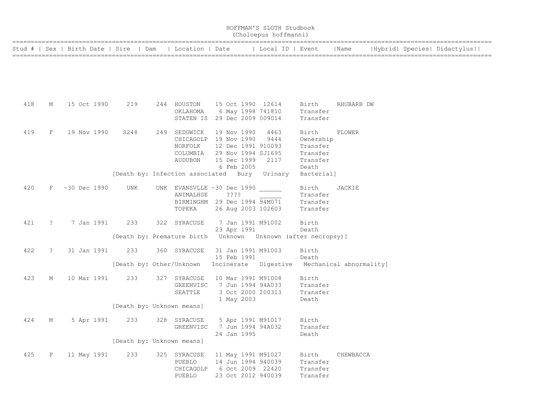| HOFFMAN'S SLOTH Studbook<br>(Choloepus hoffmanni) |             |                                                          |                                  |  |                                                                                                                                     |  |                           |  |                                                                                    |                                                                               |               |  |  |                             |
|---------------------------------------------------|-------------|----------------------------------------------------------|----------------------------------|--|-------------------------------------------------------------------------------------------------------------------------------------|--|---------------------------|--|------------------------------------------------------------------------------------|-------------------------------------------------------------------------------|---------------|--|--|-----------------------------|
|                                                   |             | Stud #   Sex   Birth Date   Sire   Dam   Location   Date |                                  |  |                                                                                                                                     |  |                           |  | Local ID   Event                                                                   |                                                                               | Name          |  |  | Hybrid  Species  Didactylus |
|                                                   |             |                                                          |                                  |  |                                                                                                                                     |  |                           |  |                                                                                    |                                                                               |               |  |  |                             |
| 418                                               | М           | 15 Oct 1990                                              | 219                              |  | 244 HOUSTON<br>ОКLАНОМА<br>STATEN IS 29 Dec 2009 009014                                                                             |  |                           |  | 15 Oct 1990 12614<br>6 May 1998 741810                                             | Birth<br>Transfer<br>Transfer                                                 | RHUBARB DW    |  |  |                             |
| 419                                               | F           | 19 Nov 1990                                              | S248                             |  | 249 SEDGWICK 19 Nov 1990<br>CHICAGOLP 19 Nov 1990<br>NORFOLK<br>COLUMBIA<br>AUDUBON<br>[Death by: Infection associated Bury Urinary |  | 15 Dec 1999<br>6 Feb 2005 |  | 4463<br>9444<br>12 Dec 1991 910093<br>29 Nov 1994 SJ1695<br>2117                   | Birth<br>Ownership<br>Transfer<br>Transfer<br>Transfer<br>Death<br>Bacterial] | FLOWER        |  |  |                             |
| 420                                               |             | F ~30 Dec 1990                                           | UNK                              |  | UNK EVANSVLLE ~30 Dec 1990<br>ANIMALHSE<br>BIRMINGHM 29 Dec 1994 94M071<br>TOPEKA                                                   |  | ????                      |  | 26 Aug 2003 102603                                                                 | Birth<br>Transfer<br>Transfer<br>Transfer                                     | <b>JACKIE</b> |  |  |                             |
| 421                                               | $\tilde{ }$ | 7 Jan 1991                                               | 233                              |  | 322 SYRACUSE                                                                                                                        |  | 23 Apr 1991               |  | 7 Jan 1991 M91002                                                                  | Birth<br>Death                                                                |               |  |  |                             |
| 422                                               | $\tilde{ }$ | 31 Jan 1991                                              | 233                              |  | 360 SYRACUSE<br>[Death by: Other/Unknown Incinerate Digestive Mechanical abnormality]                                               |  | 15 Feb 1991               |  | 31 Jan 1991 M91003                                                                 | Birth<br>Death                                                                |               |  |  |                             |
| 423                                               | М           | 10 Mar 1991                                              | 233                              |  | 327 SYRACUSE<br>GREENVISC<br>SEATTLE                                                                                                |  | 1 May 2003                |  | 10 Mar 1991 M91008<br>7 Jun 1994 94A033<br>3 Oct 2000 200313                       | Birth<br>Transfer<br>Transfer<br>Death                                        |               |  |  |                             |
| 424                                               | М           | 5 Apr 1991                                               | [Death by: Unknown means]<br>233 |  | 328 SYRACUSE<br>GREENVISC                                                                                                           |  | 24 Jan 1995               |  | 5 Apr 1991 M91017<br>7 Jun 1994 94A032                                             | Birth<br>Transfer<br>Death                                                    |               |  |  |                             |
| 425                                               | F           | 11 May 1991                                              | [Death by: Unknown means]<br>233 |  | 325 SYRACUSE<br>PUEBLO<br>CHICAGOLP<br>PUEBLO                                                                                       |  |                           |  | 11 May 1991 M91027<br>14 Jun 1994 940039<br>6 Oct 2009 22420<br>23 Oct 2012 940039 | Birth<br>Transfer<br>Transfer<br>Transfer                                     | CHEWBACCA     |  |  |                             |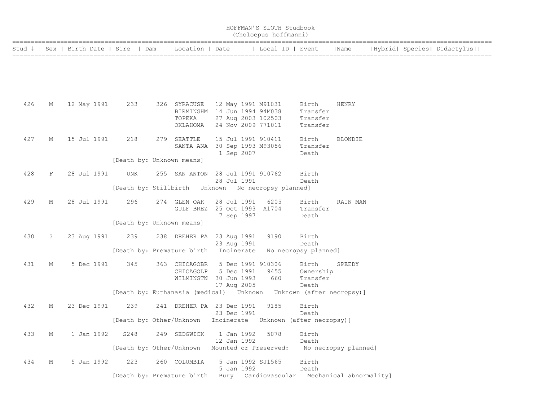|     | HOFFMAN'S SLOTH Studbook<br>(Choloepus hoffmanni) |                                        |                            |  |                                                                                                          |  |                           |                                  |                                                                                 |                         |  |  |                             |  |
|-----|---------------------------------------------------|----------------------------------------|----------------------------|--|----------------------------------------------------------------------------------------------------------|--|---------------------------|----------------------------------|---------------------------------------------------------------------------------|-------------------------|--|--|-----------------------------|--|
|     |                                                   | Stud #   Sex   Birth Date   Sire   Dam |                            |  | Location   Date                                                                                          |  |                           | Local ID   Event                 |                                                                                 | Name                    |  |  | Hybrid  Species  Didactylus |  |
|     |                                                   |                                        |                            |  |                                                                                                          |  |                           |                                  |                                                                                 |                         |  |  |                             |  |
| 426 | М                                                 | 12 May 1991                            | 233                        |  | 326 SYRACUSE 12 May 1991 M91031<br>BIRMINGHM 14 Jun 1994 94M038<br>TOPEKA<br>OKLAHOMA 24 Nov 2009 771011 |  |                           | 27 Aug 2003 102503               | Birth<br>Transfer<br>Transfer<br>Transfer                                       | HENRY                   |  |  |                             |  |
| 427 | М                                                 | 15 Jul 1991                            | 218                        |  | 279 SEATTLE<br>SANTA ANA 30 Sep 1993 M93056                                                              |  | 1 Sep 2007                | 15 Jul 1991 910411               | Birth<br>Transfer<br>Death                                                      | <b>BLONDIE</b>          |  |  |                             |  |
|     |                                                   |                                        | [Death by: Unknown means]  |  |                                                                                                          |  |                           |                                  |                                                                                 |                         |  |  |                             |  |
| 428 | F                                                 | 28 Jul 1991                            | UNK                        |  | 255 SAN ANTON 28 Jul 1991 910762                                                                         |  | 28 Jul 1991               |                                  | Birth<br>Death                                                                  |                         |  |  |                             |  |
|     |                                                   |                                        |                            |  | [Death by: Stillbirth Unknown No necropsy planned]                                                       |  |                           |                                  |                                                                                 |                         |  |  |                             |  |
| 429 | М                                                 | 28 Jul 1991                            | 296                        |  | 274 GLEN OAK<br>GULF BREZ 25 Oct 1993 A1704                                                              |  | 28 Jul 1991<br>7 Sep 1997 | 6205                             | Birth<br>Transfer<br>Death                                                      | RAIN MAN                |  |  |                             |  |
|     |                                                   |                                        | [Death by: Unknown means]  |  |                                                                                                          |  |                           |                                  |                                                                                 |                         |  |  |                             |  |
| 430 | $\ddot{\phantom{0}}$                              | 23 Aug 1991                            | 239                        |  | 238 DREHER PA 23 Aug 1991                                                                                |  | 23 Aug 1991               | 9190                             | Birth<br>Death                                                                  |                         |  |  |                             |  |
|     |                                                   |                                        |                            |  | [Death by: Premature birth Incinerate                                                                    |  |                           |                                  | No necropsy planned]                                                            |                         |  |  |                             |  |
| 431 | М                                                 | 5 Dec 1991                             | 345                        |  | 363 CHICAGOBR<br>CHICAGOLP<br>WILMINGTN 30 Jun 1993                                                      |  | 5 Dec 1991<br>17 Aug 2005 | 5 Dec 1991 910306<br>9455<br>660 | Birth<br>Ownership<br>Transfer<br>Death                                         | SPEEDY                  |  |  |                             |  |
|     |                                                   |                                        |                            |  |                                                                                                          |  |                           |                                  | [Death by: Euthanasia (medical)    Unknown   Unknown   (after necropsy)]        |                         |  |  |                             |  |
| 432 | М                                                 | 23 Dec 1991                            | 239                        |  | 241 DREHER PA 23 Dec 1991                                                                                |  | 23 Dec 1991               | 9185                             | Birth<br>Death<br>[Death by: Other/Unknown Incinerate Unknown (after necropsy)] |                         |  |  |                             |  |
| 433 | М                                                 | 1 Jan 1992                             | S248                       |  | 249 SEDGWICK                                                                                             |  | 1 Jan 1992<br>12 Jan 1992 | 5078                             | Birth<br>Death                                                                  |                         |  |  |                             |  |
|     |                                                   |                                        |                            |  | [Death by: Other/Unknown Mounted or Preserved:                                                           |  |                           |                                  | No necropsy planned]                                                            |                         |  |  |                             |  |
| 434 | М                                                 | 5 Jan 1992                             | 223                        |  | 260 COLUMBIA                                                                                             |  | 5 Jan 1992                | 5 Jan 1992 SJ1565                | Birth<br>Death                                                                  |                         |  |  |                             |  |
|     |                                                   |                                        | [Death by: Premature birth |  |                                                                                                          |  |                           | Bury Cardiovascular              |                                                                                 | Mechanical abnormality] |  |  |                             |  |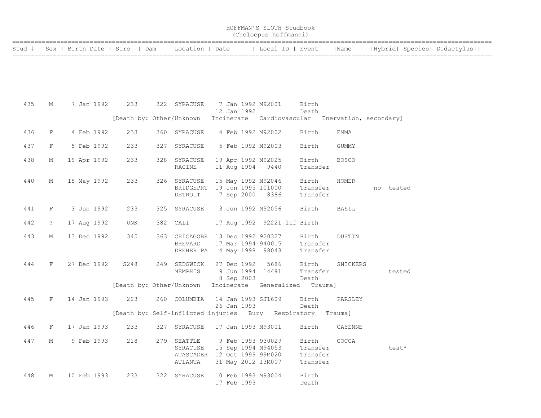| HOFFMAN'S SLOTH Studbook |  |  |  |  |  |
|--------------------------|--|--|--|--|--|
| (Choloepus hoffmanni)    |  |  |  |  |  |

| Stud #   Sex   Birth Date   Sire   Dam   Location   Date |  | Local ID   Event | <i>I</i> Name | Hybrid  Species  Didactylus |
|----------------------------------------------------------|--|------------------|---------------|-----------------------------|
|                                                          |  |                  |               |                             |

| 435 | М                    |             | 7 Jan 1992 233   | 322 SYRACUSE                                                                                                       |  | 12 Jan 1992 | 7 Jan 1992 M92001                      | Birth<br>Death                            |                                                                                                   |           |
|-----|----------------------|-------------|------------------|--------------------------------------------------------------------------------------------------------------------|--|-------------|----------------------------------------|-------------------------------------------|---------------------------------------------------------------------------------------------------|-----------|
|     |                      |             |                  |                                                                                                                    |  |             |                                        |                                           | [Death by: Other/Unknown Incinerate Cardiovascular Enervation, secondary]                         |           |
| 436 | F                    | 4 Feb 1992  | 233              | 360 SYRACUSE                                                                                                       |  |             | 4 Feb 1992 M92002                      | Birth                                     | <b>EMMA</b>                                                                                       |           |
| 437 | F                    | 5 Feb 1992  | 233              | 327 SYRACUSE                                                                                                       |  |             | 5 Feb 1992 M92003                      | Birth                                     | GUMMY                                                                                             |           |
| 438 | М                    | 19 Apr 1992 | 233              | 328 SYRACUSE<br>RACINE                                                                                             |  |             | 19 Apr 1992 M92025<br>11 Aug 1994 9440 | Transfer                                  | Birth BOSCO                                                                                       |           |
| 440 | М                    |             | 15 May 1992 233  | 326 SYRACUSE<br>SYRACUSE 15 May 1992 M92046<br>BRIDGEPRT 19 Jun 1995 101000<br>DETROIT 7 Sep 2000 8386             |  |             |                                        | Birth<br>Transfer<br>Transfer             | HOMER                                                                                             | no tested |
| 441 | F                    | 3 Jun 1992  | 233              | 325 SYRACUSE 3 Jun 1992 M92056                                                                                     |  |             |                                        | Birth                                     | <b>BASIL</b>                                                                                      |           |
| 442 | $\ddot{\phantom{0}}$ | 17 Aug 1992 | UNK              | 382 CALI                                                                                                           |  |             |                                        | 17 Aug 1992 92221 ltf Birth               |                                                                                                   |           |
| 443 | М                    | 13 Dec 1992 | 345              | 363 CHICAGOBR 13 Dec 1992 920327<br>BREVARD<br>DREHER PA 4 May 1998 98043                                          |  |             | 17 Mar 1994 940015                     | Transfer<br>Transfer                      | Birth DUSTIN                                                                                      |           |
| 444 | F                    |             | 27 Dec 1992 S248 | 249 SEDGWICK                                                                                                       |  |             |                                        |                                           | SEDGWICK 27 Dec 1992 5686 Birth SNICKERS<br>MEMPHIS 9 Jun 1994 14491 Transfer<br>8 Sep 2003 Death | tested    |
|     |                      |             |                  | [Death by: Other/Unknown Incinerate Generalized Trauma]                                                            |  |             |                                        |                                           |                                                                                                   |           |
| 445 | F                    |             | 14 Jan 1993 223  | 260 COLUMBIA 14 Jan 1993 SJ1609 Birth                                                                              |  | 26 Jan 1993 |                                        | Death                                     | PARSLEY                                                                                           |           |
|     |                      |             |                  | [Death by: Self-inflicted injuries Bury Respiratory Trauma]                                                        |  |             |                                        |                                           |                                                                                                   |           |
| 446 | $F$ and $F$          |             | 17 Jan 1993 233  | 327 SYRACUSE 17 Jan 1993 M93001                                                                                    |  |             |                                        | Birth                                     | CAYENNE                                                                                           |           |
| 447 | M                    | 9 Feb 1993  | 218              | 279 SEATTLE<br>SEATTLE 9 Feb 1993 930029<br>SYRACUSE 15 Sep 1994 M94053<br>ATASCADER 12 Oct 1999 99M020<br>ATLANTA |  |             | 31 May 2012 13M007                     | Birth<br>Transfer<br>Transfer<br>Transfer | COCOA                                                                                             | test*     |
| 448 | М                    | 10 Feb 1993 | 233              | 322 SYRACUSE                                                                                                       |  | 17 Feb 1993 | 10 Feb 1993 M93004                     | Birth<br>Death                            |                                                                                                   |           |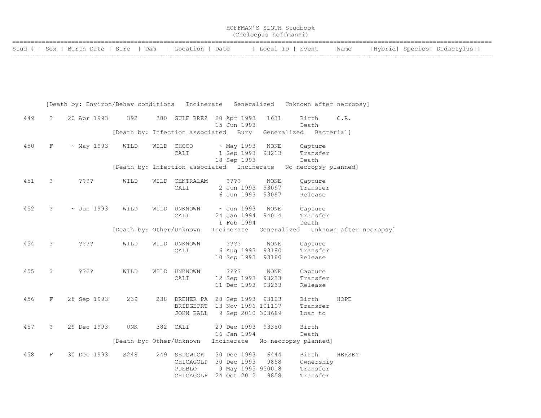|                                                          | HOFFMAN'S SLOTH Studbook |  |                  |      |                             |  |  |  |  |  |  |  |  |
|----------------------------------------------------------|--------------------------|--|------------------|------|-----------------------------|--|--|--|--|--|--|--|--|
| (Choloepus hoffmanni)                                    |                          |  |                  |      |                             |  |  |  |  |  |  |  |  |
|                                                          |                          |  |                  |      |                             |  |  |  |  |  |  |  |  |
| Stud #   Sex   Birth Date   Sire   Dam   Location   Date |                          |  | Local ID   Event | Name | Hybrid  Species  Didactylus |  |  |  |  |  |  |  |  |

==================================================================================================================================

|     |             | [Death by: Environ/Behav conditions |                                            |      |                                                                              |                                              |                                           | Incinerate Generalized Unknown after necropsy]    |                                     |
|-----|-------------|-------------------------------------|--------------------------------------------|------|------------------------------------------------------------------------------|----------------------------------------------|-------------------------------------------|---------------------------------------------------|-------------------------------------|
| 449 | ?           | 20 Apr 1993                         | 392                                        |      | 380 GULF BREZ 20 Apr 1993                                                    | 15 Jun 1993                                  | 1631                                      | Birth<br>Death                                    | C.R.                                |
|     |             |                                     | [Death by: Infection associated Bury       |      |                                                                              |                                              |                                           | Generalized Bacterial]                            |                                     |
| 450 | $\mathbf F$ | $~\sim$ May 1993                    | WILD                                       |      | WILD CHOCO<br>CALI                                                           | ~ May 1993<br>1 Sep 1993<br>18 Sep 1993      | NONE<br>93213                             | Capture<br>Transfer<br>Death                      |                                     |
|     |             |                                     | [Death by: Infection associated Incinerate |      |                                                                              |                                              |                                           | No necropsy planned]                              |                                     |
| 451 | $\tilde{z}$ | ????                                | WILD                                       | WILD | CENTRALAM<br>CALI                                                            | ????<br>2 Jun 1993<br>6 Jun 1993             | <b>NONE</b><br>93097<br>93097             | Capture<br>Transfer<br>Release                    |                                     |
| 452 | ?           | $\sim$ Jun 1993                     | WILD                                       | WILD | UNKNOWN<br>CALI                                                              | $\sim$ Jun 1993<br>24 Jan 1994<br>1 Feb 1994 | NONE<br>94014                             | Capture<br>Transfer<br>Death                      |                                     |
|     |             |                                     | [Death by: Other/Unknown                   |      |                                                                              | Incinerate                                   |                                           |                                                   | Generalized Unknown after necropsy] |
| 454 | ?           | ? ? ? ?                             | WILD                                       |      | WILD UNKNOWN<br>CALI                                                         | ????<br>6 Aug 1993<br>10 Sep 1993            | NONE<br>93180<br>93180                    | Capture<br>Transfer<br>Release                    |                                     |
| 455 | $\tilde{ }$ | ????                                | WILD                                       | WILD | UNKNOWN<br>CALI                                                              | ????<br>12 Sep 1993<br>11 Dec 1993           | NONE<br>93233<br>93233                    | Capture<br>Transfer<br>Release                    |                                     |
| 456 | $\mathbf F$ | 28 Sep 1993                         | 239                                        |      | 238 DREHER PA 28 Sep 1993 93123<br>BRIDGEPRT 13 Nov 1996 101107<br>JOHN BALL |                                              | 9 Sep 2010 303689                         | Birth<br>Transfer<br>Loan to                      | HOPE                                |
| 457 | ?           | 29 Dec 1993                         | <b>UNK</b><br>[Death by: Other/Unknown     |      | 382 CALI                                                                     | 29 Dec 1993<br>16 Jan 1994                   | 93350                                     | Birth<br>Death<br>Incinerate No necropsy planned] |                                     |
| 458 | $\mathbf F$ | 30 Dec 1993                         | S248                                       | 249  | SEDGWICK<br>CHICAGOLP<br>PUEBLO<br>CHICAGOLP                                 | 30 Dec 1993<br>30 Dec 1993<br>24 Oct 2012    | 6444<br>9858<br>9 May 1995 950018<br>9858 | Birth<br>Ownership<br>Transfer<br>Transfer        | HERSEY                              |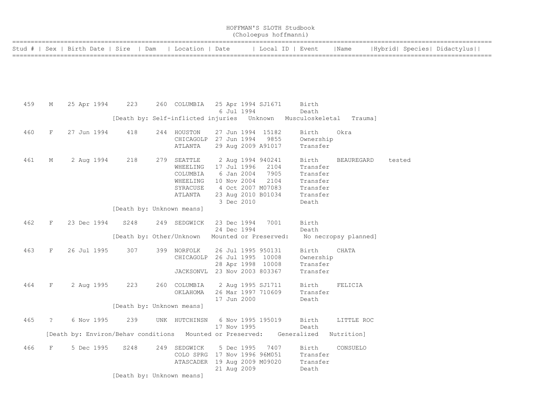|  |                                                          | HOFFMAN'S SLOTH Studbook<br>(Choloepus hoffmanni) |      |                             |
|--|----------------------------------------------------------|---------------------------------------------------|------|-----------------------------|
|  | Stud #   Sex   Birth Date   Sire   Dam   Location   Date | Local ID   Event                                  | Name | Hybrid  Species  Didactylus |

| 459 | М          | 25 Apr 1994 | 223                                                                   | 260 COLUMBIA                                                                 |  | 6 Jul 1994                | 25 Apr 1994 SJ1671                                                                                          | Birth<br>Death                                                             |                      |        |
|-----|------------|-------------|-----------------------------------------------------------------------|------------------------------------------------------------------------------|--|---------------------------|-------------------------------------------------------------------------------------------------------------|----------------------------------------------------------------------------|----------------------|--------|
|     |            |             |                                                                       |                                                                              |  |                           |                                                                                                             | [Death by: Self-inflicted injuries Unknown Musculoskeletal Trauma]         |                      |        |
| 460 | F          | 27 Jun 1994 | 418                                                                   | 244 HOUSTON<br>CHICAGOLP<br>ATLANTA                                          |  |                           | 27 Jun 1994 15182<br>27 Jun 1994 9855<br>29 Aug 2009 A91017                                                 | Birth<br>Ownership<br>Transfer                                             | Okra                 |        |
| 461 | М          | 2 Aug 1994  | 218<br>[Death by: Unknown means]                                      | 279 SEATTLE<br>WHEELING<br>COLUMBIA<br>WHEELING<br>SYRACUSE<br>ATLANTA       |  | 10 Nov 2004<br>3 Dec 2010 | 2 Aug 1994 940241<br>17 Jul 1996 2104<br>6 Jan 2004 7905<br>2104<br>4 Oct 2007 M07083<br>23 Aug 2010 B01034 | Birth<br>Transfer<br>Transfer<br>Transfer<br>Transfer<br>Transfer<br>Death | BEAUREGARD           | tested |
| 462 | F          | 23 Dec 1994 | S248                                                                  | 249 SEDGWICK                                                                 |  | 23 Dec 1994               | 7001                                                                                                        | Birth                                                                      |                      |        |
|     |            |             |                                                                       | [Death by: Other/Unknown                                                     |  | 24 Dec 1994               | Mounted or Preserved:                                                                                       | Death                                                                      | No necropsy planned] |        |
| 463 | F          | 26 Jul 1995 | 307                                                                   | 399 NORFOLK<br>CHICAGOLP<br>JACKSONVL                                        |  |                           | 26 Jul 1995 950131<br>26 Jul 1995 10008<br>28 Apr 1998 10008<br>23 Nov 2003 803367                          | Birth<br>Ownership<br>Transfer<br>Transfer                                 | CHATA                |        |
| 464 | F          | 2 Aug 1995  | 223                                                                   | 260 COLUMBIA<br>OKLAHOMA                                                     |  | 17 Jun 2000               | 2 Aug 1995 SJ1711<br>26 Mar 1997 710609                                                                     | Birth<br>Transfer<br>Death                                                 | FELICIA              |        |
|     |            |             | [Death by: Unknown means]                                             |                                                                              |  |                           |                                                                                                             |                                                                            |                      |        |
| 465 | $\ddot{?}$ | 6 Nov 1995  | 239                                                                   | UNK HUTCHINSN                                                                |  | 17 Nov 1995               | 6 Nov 1995 195019                                                                                           | Birth<br>Death                                                             | LITTLE ROC           |        |
|     |            |             | [Death by: Environ/Behav conditions Mounted or Preserved: Generalized |                                                                              |  |                           |                                                                                                             |                                                                            | Nutrition]           |        |
| 466 | F          | 5 Dec 1995  | S248                                                                  | 249 SEDGWICK<br>COLO SPRG 17 Nov 1996 96M051<br>ATASCADER 19 Aug 2009 M09020 |  | 21 Aug 2009               | 5 Dec 1995 7407                                                                                             | Birth<br>Transfer<br>Transfer<br>Death                                     | CONSUELO             |        |
|     |            |             | [Death by: Unknown means]                                             |                                                                              |  |                           |                                                                                                             |                                                                            |                      |        |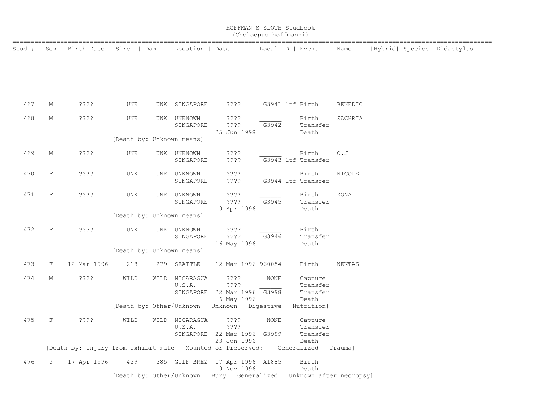| HOFFMAN'S SLOTH Studbook<br>(Choloepus hoffmanni) |              |                                                           |                           |      |                                                         |      |                             |                  |  |                                          |                         |  |                             |
|---------------------------------------------------|--------------|-----------------------------------------------------------|---------------------------|------|---------------------------------------------------------|------|-----------------------------|------------------|--|------------------------------------------|-------------------------|--|-----------------------------|
| Stud #                                            | Sex          | Birth Date   Sire                                         | Dam                       |      | Location   Date                                         |      |                             | Local ID   Event |  |                                          | Name                    |  | Hybrid  Species  Didactylus |
|                                                   |              |                                                           |                           |      |                                                         |      |                             |                  |  |                                          |                         |  |                             |
| 467                                               | М            | ????                                                      | UNK                       |      | UNK SINGAPORE                                           |      | $??\; ?$                    |                  |  | G3941 ltf Birth                          | <b>BENEDIC</b>          |  |                             |
| 468                                               | М            | $??\mathbf{??}$                                           | UNK                       |      | UNK UNKNOWN<br>SINGAPORE                                |      | ????<br>????<br>25 Jun 1998 | G3942            |  | Birth<br>Transfer<br>Death               | ZACHRIA                 |  |                             |
|                                                   |              |                                                           | [Death by: Unknown means] |      |                                                         |      |                             |                  |  |                                          |                         |  |                             |
| 469                                               | М            | $??\,?\,?$                                                | UNK                       |      | UNK UNKNOWN<br>SINGAPORE                                |      | ????<br>? ? ? ?             |                  |  | Birth<br>G3943 ltf Transfer              | O. J                    |  |                             |
| 470                                               | $\mathbf{F}$ | ????                                                      | UNK                       |      | UNK UNKNOWN<br>SINGAPORE                                |      | ????<br>????                |                  |  | Birth<br>G3944 ltf Transfer              | NICOLE                  |  |                             |
| 471                                               | $\mathbf F$  | $??\,?\,?$                                                | UNK                       |      | UNK UNKNOWN<br>SINGAPORE                                |      | ????<br>????<br>9 Apr 1996  | G3945            |  | Birth<br>Transfer<br>Death               | ZONA                    |  |                             |
|                                                   |              |                                                           | [Death by: Unknown means] |      |                                                         |      |                             |                  |  |                                          |                         |  |                             |
| 472                                               | $\mathbf F$  | ????                                                      | <b>UNK</b>                |      | UNK UNKNOWN<br>SINGAPORE                                |      | ????<br>????<br>16 May 1996 | G3946            |  | Birth<br>Transfer<br>Death               |                         |  |                             |
|                                                   |              |                                                           | [Death by: Unknown means] |      |                                                         |      |                             |                  |  |                                          |                         |  |                             |
| 473                                               | $\rm F$      | 12 Mar 1996                                               | 218                       |      | 279 SEATTLE                                             |      | 12 Mar 1996 960054          |                  |  | Birth                                    | NENTAS                  |  |                             |
| 474                                               | М            | ? ? ? ?                                                   | WILD                      | WILD | NICARAGUA<br>U.S.A.<br>SINGAPORE 22 Mar 1996 G3998      |      | ????<br>????<br>6 May 1996  | <b>NONE</b>      |  | Capture<br>Transfer<br>Transfer<br>Death |                         |  |                             |
|                                                   |              |                                                           | [Death by: Other/Unknown  |      |                                                         |      | Unknown                     | Digestive        |  | Nutrition]                               |                         |  |                             |
| 475                                               | $\mathbf{F}$ | ????                                                      | WILD                      |      | WILD NICARAGUA<br>U.S.A.<br>SINGAPORE 22 Mar 1996 G3999 |      | ????<br>????<br>23 Jun 1996 | <b>NONE</b>      |  | Capture<br>Transfer<br>Transfer<br>Death |                         |  |                             |
|                                                   |              | [Death by: Injury from exhibit mate Mounted or Preserved: |                           |      |                                                         |      |                             |                  |  | Generalized                              | Trauma]                 |  |                             |
| 476                                               | $\tilde{S}$  | 17 Apr 1996                                               | 429                       |      | 385 GULF BREZ 17 Apr 1996 A1885                         |      | 9 Nov 1996                  |                  |  | Birth<br>Death                           |                         |  |                             |
|                                                   |              |                                                           | [Death by: Other/Unknown  |      |                                                         | Bury |                             | Generalized      |  |                                          | Unknown after necropsy] |  |                             |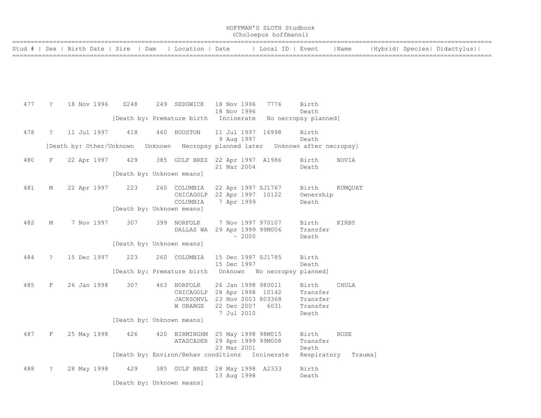| HOFFMAN'S SLOTH Studbook |  |  |
|--------------------------|--|--|
| (Choloepus hoffmanni)    |  |  |

| Stud #   Sex   Birth Date   Sire   Dam   Location   Date |  |  | Local ID   Event   Name | Hybrid  Species  Didactylus |
|----------------------------------------------------------|--|--|-------------------------|-----------------------------|
|                                                          |  |  |                         |                             |

| 477 | $\tilde{S}$          | 18 Nov 1996                      | S248                      | 249 SEDGWICK                        | 18 Nov 1996<br>18 Nov 1996                                                                                     | 7776                                           | Birth<br>Death                                     |         |
|-----|----------------------|----------------------------------|---------------------------|-------------------------------------|----------------------------------------------------------------------------------------------------------------|------------------------------------------------|----------------------------------------------------|---------|
|     |                      |                                  |                           | [Death by: Premature birth          | Incinerate                                                                                                     |                                                | No necropsy planned]                               |         |
| 478 | $\tilde{z}$          | 11 Jul 1997                      | 418                       | 460 HOUSTON                         | 11 Jul 1997 16998<br>9 Aug 1997                                                                                |                                                | Birth<br>Death                                     |         |
|     |                      | [Death by: Other/Unknown Unknown |                           |                                     |                                                                                                                | Necropsy planned later Unknown after necropsy] |                                                    |         |
| 480 | F                    | 22 Apr 1997                      | 429                       | 385 GULF BREZ 22 Apr 1997 A1986     | 21 Mar 2004                                                                                                    |                                                | Birth<br>Death                                     | NOVIA   |
|     |                      |                                  | [Death by: Unknown means] |                                     |                                                                                                                |                                                |                                                    |         |
| 481 | М                    | 22 Apr 1997                      | 223                       | 260 COLUMBIA<br>COLUMBIA            | 22 Apr 1997 SJ1767<br>CHICAGOLP 22 Apr 1997 10122<br>7 Apr 1999                                                |                                                | Birth<br>Ownership<br>Death                        | KUMQUAT |
|     |                      |                                  | [Death by: Unknown means] |                                     |                                                                                                                |                                                |                                                    |         |
| 482 | М                    | 7 Nov 1997                       | 307                       | 399 NORFOLK<br>DALLAS WA            | 7 Nov 1997 970107<br>29 Apr 1999 99M006<br>~2000                                                               |                                                | Birth<br>Transfer<br>Death                         | KIRBY   |
|     |                      |                                  | [Death by: Unknown means] |                                     |                                                                                                                |                                                |                                                    |         |
| 484 | $\tilde{?}$          | 15 Dec 1997                      | 223                       | 260 COLUMBIA                        | 15 Dec 1997 SJ1785<br>15 Dec 1997                                                                              |                                                | Birth<br>Death                                     |         |
|     |                      |                                  |                           | [Death by: Premature birth          |                                                                                                                | Unknown No necropsy planned]                   |                                                    |         |
| 485 | F                    | 26 Jan 1998                      | 307                       | 463 NORFOLK<br>W ORANGE             | 26 Jan 1998 980011<br>CHICAGOLP 28 Apr 1998 10142<br>JACKSONVL 23 Nov 2003 803368<br>22 Dec 2007<br>7 Jul 2010 | 6031                                           | Birth<br>Transfer<br>Transfer<br>Transfer<br>Death | CHULA   |
|     |                      |                                  | [Death by: Unknown means] |                                     |                                                                                                                |                                                |                                                    |         |
| 487 | F                    | 25 May 1998                      | 426                       | 420 BIRMINGHM 25 May 1998 98M015    | ATASCADER 29 Apr 1999 99M008<br>23 Mar 2001                                                                    |                                                | Birth<br>Transfer<br>Death                         | ROSE    |
|     |                      |                                  |                           | [Death by: Environ/Behav conditions |                                                                                                                | Incinerate                                     | Respiratory                                        | Trauma] |
| 488 | $\ddot{\phantom{0}}$ | 28 May 1998                      | 429                       | 385 GULF BREZ 28 May 1998 A2333     | 13 Aug 1998                                                                                                    |                                                | Birth<br>Death                                     |         |
|     |                      |                                  | [Death by: Unknown means] |                                     |                                                                                                                |                                                |                                                    |         |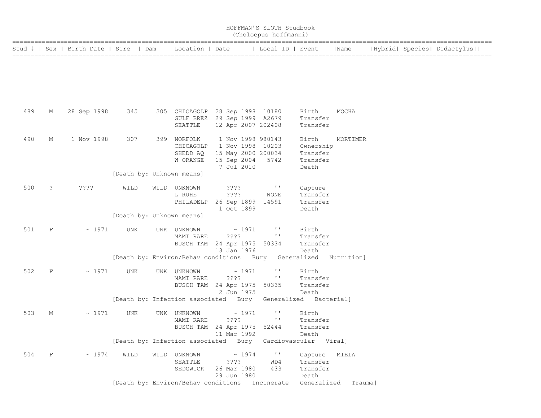|     | HOFFMAN'S SLOTH Studbook<br>(Choloepus hoffmanni) |                                  |                           |  |                                                                                       |  |                                                                                          |                                       |                                                     |                              |  |                             |
|-----|---------------------------------------------------|----------------------------------|---------------------------|--|---------------------------------------------------------------------------------------|--|------------------------------------------------------------------------------------------|---------------------------------------|-----------------------------------------------------|------------------------------|--|-----------------------------|
|     |                                                   | Stud #   Sex   Birth Date   Sire | Dam                       |  | Location   Date                                                                       |  |                                                                                          | Local ID   Event                      |                                                     | Name                         |  | Hybrid  Species  Didactylus |
|     |                                                   |                                  |                           |  |                                                                                       |  |                                                                                          |                                       |                                                     |                              |  |                             |
| 489 | М                                                 | 28 Sep 1998                      | 345                       |  | 305 CHICAGOLP<br>GULF BREZ<br>SEATTLE                                                 |  | 28 Sep 1998 10180<br>29 Sep 1999 A2679<br>12 Apr 2007 202408                             |                                       | Birth<br>Transfer<br>Transfer                       | MOCHA                        |  |                             |
| 490 | М                                                 | 1 Nov 1998                       | 307                       |  | 399 NORFOLK<br>CHICAGOLP<br>SHEDD AQ<br>W ORANGE                                      |  | 1 Nov 1998 980143<br>1 Nov 1998 10203<br>15 May 2000 200034<br>15 Sep 2004<br>7 Jul 2010 | 5742                                  | Birth<br>Ownership<br>Transfer<br>Transfer<br>Death | MORTIMER                     |  |                             |
|     |                                                   |                                  | [Death by: Unknown means] |  |                                                                                       |  |                                                                                          |                                       |                                                     |                              |  |                             |
| 500 | ?                                                 | ????                             | WILD                      |  | WILD UNKNOWN<br>L RUHE<br>PHILADELP                                                   |  | $??\,?\,?$<br>????<br>26 Sep 1899 14591<br>1 Oct 1899                                    | $\mathbf{I}$<br>NONE                  | Capture<br>Transfer<br>Transfer<br>Death            |                              |  |                             |
|     |                                                   |                                  | [Death by: Unknown means] |  |                                                                                       |  |                                                                                          |                                       |                                                     |                              |  |                             |
| 501 | $\mathbf F$                                       | ~1971                            | <b>UNK</b>                |  | UNK UNKNOWN<br>MAMI RARE<br>BUSCH TAM 24 Apr 1975                                     |  | ~1971<br>????<br>13 Jan 1976                                                             | $\mathbf{L}$<br>$\mathbf{r}$<br>50334 | Birth<br>Transfer<br>Transfer<br>Death              |                              |  |                             |
|     |                                                   |                                  |                           |  | [Death by: Environ/Behav conditions Bury Generalized                                  |  |                                                                                          |                                       |                                                     | Nutrition]                   |  |                             |
| 502 | $\rm F$                                           | ~1971                            | UNK                       |  | UNK UNKNOWN<br>MAMI RARE<br>BUSCH TAM 24 Apr 1975                                     |  | ~1971<br>????<br>2 Jun 1975                                                              | $\mathbf{L}$<br>$\mathbf{L}$<br>50335 | Birth<br>Transfer<br>Transfer<br>Death              |                              |  |                             |
|     |                                                   |                                  |                           |  | [Death by: Infection associated                                                       |  | Bury                                                                                     |                                       | Generalized Bacterial]                              |                              |  |                             |
| 503 | Μ                                                 | ~1971                            | UNK                       |  | UNK UNKNOWN<br>MAMI RARE<br>BUSCH TAM 24 Apr 1975                                     |  | ~1971<br>????<br>11 Mar 1992                                                             | $\mathbf{r}$<br>$\mathbf{L}$<br>52444 | Birth<br>Transfer<br>Transfer<br>Death              |                              |  |                             |
|     |                                                   |                                  |                           |  | [Death by: Infection associated Bury                                                  |  |                                                                                          |                                       | Cardiovascular Viral]                               |                              |  |                             |
| 504 | F                                                 | ~1974                            | WILD                      |  | WILD UNKNOWN<br>SEATTLE<br>SEDGWICK<br>[Death by: Environ/Behav conditions Incinerate |  | $\sim 1974$<br>????<br>26 Mar 1980<br>29 Jun 1980                                        | $\mathbf{r}$<br>WD4<br>433            | Capture<br>Transfer<br>Transfer<br>Death            | MIELA<br>Generalized Trauma] |  |                             |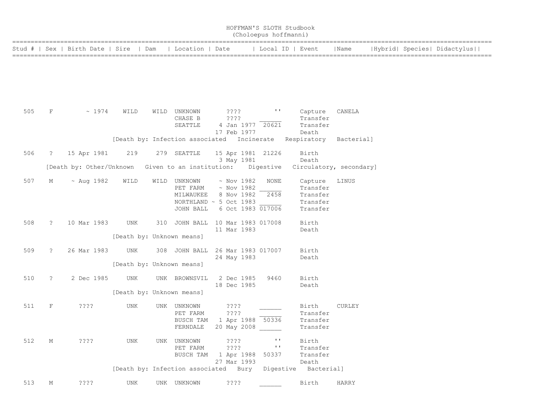|     | HOFFMAN'S SLOTH Studbook<br>(Choloepus hoffmanni) |                                  |                                  |  |                                                        |                                                                             |                                       |  |                                                         |                         |  |                             |
|-----|---------------------------------------------------|----------------------------------|----------------------------------|--|--------------------------------------------------------|-----------------------------------------------------------------------------|---------------------------------------|--|---------------------------------------------------------|-------------------------|--|-----------------------------|
|     |                                                   | Stud #   Sex   Birth Date   Sire | Dam                              |  | Location   Date                                        |                                                                             | Local ID   Event                      |  |                                                         | Name                    |  | Hybrid  Species  Didactylus |
|     |                                                   |                                  |                                  |  |                                                        |                                                                             |                                       |  |                                                         |                         |  |                             |
| 505 | F                                                 | ~1974                            | WILD                             |  | WILD UNKNOWN<br>CHASE B<br>SEATTLE                     | $??\mathord{?}\mathord{?}$<br>????<br>17 Feb 1977                           | $\mathbf{I}$<br>4 Jan 1977 20621      |  | Capture<br>Transfer<br>Transfer<br>Death                | CANELA                  |  |                             |
|     |                                                   |                                  |                                  |  | [Death by: Infection associated Incinerate Respiratory |                                                                             |                                       |  |                                                         | Bacterial]              |  |                             |
| 506 | $\mathbb{R}$                                      | 15 Apr 1981                      | 219                              |  | 279 SEATTLE                                            | 3 May 1981                                                                  | 15 Apr 1981 21226                     |  | Birth<br>Death                                          |                         |  |                             |
|     |                                                   | [Death by: Other/Unknown         |                                  |  | Given to an institution:                               |                                                                             | Digestive                             |  |                                                         | Circulatory, secondary] |  |                             |
| 507 | Μ                                                 | $~\sim$ Aug 1982                 | WILD                             |  | WILD UNKNOWN<br>PET FARM<br>MILWAUKEE<br>JOHN BALL     | $\sim$ Nov 1982<br>$~\sim$ Nov 1982<br>8 Nov 1982<br>NORTHLAND ~ 5 Oct 1983 | NONE<br>2458<br>6 Oct 1983 017006     |  | Capture<br>Transfer<br>Transfer<br>Transfer<br>Transfer | LINUS                   |  |                             |
| 508 | $\ddot{\phantom{0}}$                              | 10 Mar 1983                      | UNK<br>[Death by: Unknown means] |  | 310 JOHN BALL 10 Mar 1983 017008                       | 11 Mar 1983                                                                 |                                       |  | Birth<br>Death                                          |                         |  |                             |
| 509 | ?                                                 | 26 Mar 1983                      | UNK<br>[Death by: Unknown means] |  | 308 JOHN BALL                                          | 24 May 1983                                                                 | 26 Mar 1983 017007                    |  | Birth<br>Death                                          |                         |  |                             |
| 510 | $\ddot{\mathbf{c}}$                               | 2 Dec 1985                       | UNK<br>[Death by: Unknown means] |  | UNK BROWNSVIL                                          | 2 Dec 1985<br>18 Dec 1985                                                   | 9460                                  |  | Birth<br>Death                                          |                         |  |                             |
| 511 | F                                                 | ????                             | UNK                              |  | UNK UNKNOWN<br>PET FARM<br>BUSCH TAM                   | ????<br>????<br>FERNDALE 20 May 2008                                        | 1 Apr 1988 50336                      |  | Birth<br>Transfer<br>Transfer<br>Transfer               | CURLEY                  |  |                             |
| 512 | М                                                 | ????                             | UNK                              |  | UNK UNKNOWN<br>PET FARM<br>BUSCH TAM                   | $??\mathord{?}\mathord{?}$<br>? ? ? ?<br>1 Apr 1988<br>27 Mar 1993          | $\mathbf{I}$<br>$\mathbf{L}$<br>50337 |  | Birth<br>Transfer<br>Transfer<br>Death                  |                         |  |                             |
|     |                                                   |                                  |                                  |  | [Death by: Infection associated Bury                   |                                                                             |                                       |  | Digestive Bacterial]                                    |                         |  |                             |
| 513 | М                                                 | ? ? ? ?                          | UNK                              |  | UNK UNKNOWN                                            | ? ? ? ?                                                                     |                                       |  | Birth                                                   | <b>HARRY</b>            |  |                             |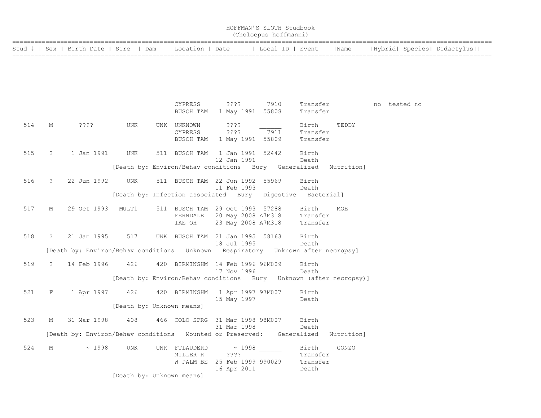|        |               |                               |                           |                                                           |                                  | HOFFMAN'S SLOTH Studbook<br>(Choloepus hoffmanni)                               |                                        |            |              |                             |
|--------|---------------|-------------------------------|---------------------------|-----------------------------------------------------------|----------------------------------|---------------------------------------------------------------------------------|----------------------------------------|------------|--------------|-----------------------------|
| Stud # |               | Sex   Birth Date   Sire   Dam |                           |                                                           |                                  | Location   Date   Local ID   Event                                              |                                        | Name       |              | Hybrid  Species  Didactylus |
|        |               |                               |                           |                                                           |                                  |                                                                                 |                                        |            |              |                             |
|        |               |                               |                           |                                                           |                                  |                                                                                 |                                        |            |              |                             |
|        |               |                               |                           | CYPRESS<br>BUSCH TAM                                      | ????                             | 7910<br>1 May 1991 55808                                                        | Transfer<br>Transfer                   |            | no tested no |                             |
| 514    | М             | ????                          | UNK                       | UNK UNKNOWN<br><b>CYPRESS</b><br>BUSCH TAM                | ????<br>????                     | 7911<br>1 May 1991 55809                                                        | Birth<br>Transfer<br>Transfer          | TEDDY      |              |                             |
| 515    | $\tilde{z}$   | 1 Jan 1991                    | <b>UNK</b>                | 511 BUSCH TAM                                             | 12 Jan 1991                      | 1 Jan 1991 52442                                                                | Birth<br>Death                         |            |              |                             |
|        |               |                               |                           |                                                           |                                  | [Death by: Environ/Behav conditions Bury Generalized                            |                                        | Nutrition] |              |                             |
| 516    | $\mathbb{R}$  | 22 Jun 1992                   | UNK                       | 511 BUSCH TAM 22 Jun 1992                                 | 11 Feb 1993                      | 55969                                                                           | Birth<br>Death                         |            |              |                             |
|        |               |                               |                           | [Death by: Infection associated Bury                      |                                  | Digestive                                                                       | Bacterial]                             |            |              |                             |
| 517    | М             | 29 Oct 1993                   | MULT1                     | 511 BUSCH TAM 29 Oct 1993 57288<br>FERNDALE<br>IAE OH     |                                  | 20 May 2008 A7M318<br>23 May 2008 A7M318                                        | Birth<br>Transfer<br>Transfer          | MOE        |              |                             |
| 518    | $\mathbb{R}$  | 21 Jan 1995                   | 517                       | UNK BUSCH TAM 21 Jan 1995 58163                           | 18 Jul 1995                      |                                                                                 | Birth<br>Death                         |            |              |                             |
|        |               |                               |                           |                                                           |                                  | [Death by: Environ/Behav conditions Unknown Respiratory Unknown after necropsy] |                                        |            |              |                             |
| 519    | $\mathcal{L}$ | 14 Feb 1996                   | 426                       | 420 BIRMINGHM 14 Feb 1996 96M009                          | 17 Nov 1996                      |                                                                                 | Birth<br>Death                         |            |              |                             |
|        |               |                               |                           |                                                           |                                  | [Death by: Environ/Behav conditions Bury Unknown (after necropsy)]              |                                        |            |              |                             |
| 521    | F             | 1 Apr 1997                    | 426                       | 420 BIRMINGHM 1 Apr 1997 97M007                           | 15 May 1997                      |                                                                                 | Birth<br>Death                         |            |              |                             |
|        |               |                               | [Death by: Unknown means] |                                                           |                                  |                                                                                 |                                        |            |              |                             |
| 523    | М             | 31 Mar 1998                   | 408                       | 466 COLO SPRG 31 Mar 1998 98M007                          | 31 Mar 1998                      |                                                                                 | Birth<br>Death                         |            |              |                             |
|        |               |                               |                           |                                                           |                                  | [Death by: Environ/Behav conditions Mounted or Preserved: Generalized           |                                        | Nutrition] |              |                             |
| 524    | M             | ~1998                         | <b>UNK</b>                | UNK FTLAUDERD<br>MILLER R<br>W PALM BE 25 Feb 1999 990029 | ~1998<br>$??\ ??$<br>16 Apr 2011 |                                                                                 | Birth<br>Transfer<br>Transfer<br>Death | GONZO      |              |                             |
|        |               |                               | [Death by: Unknown means] |                                                           |                                  |                                                                                 |                                        |            |              |                             |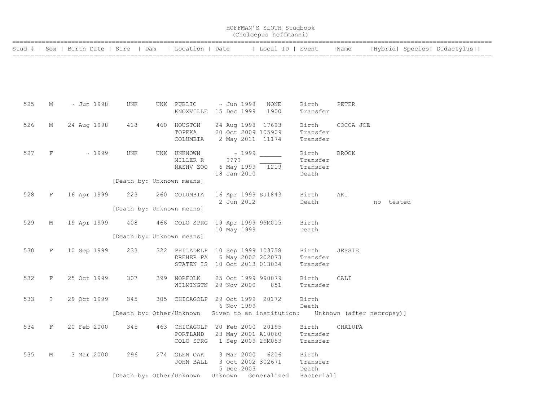|     | HOFFMAN'S SLOTH Studbook<br>(Choloepus hoffmanni) |             |                                                                             |  |                                                                                                 |                          |             |                                         |                                        |               |           |                             |
|-----|---------------------------------------------------|-------------|-----------------------------------------------------------------------------|--|-------------------------------------------------------------------------------------------------|--------------------------|-------------|-----------------------------------------|----------------------------------------|---------------|-----------|-----------------------------|
|     |                                                   |             | Stud #   Sex   Birth Date   Sire   Dam                                      |  |                                                                                                 |                          |             | Location   Date       Local ID   Event  |                                        | Name          |           | Hybrid  Species  Didactylus |
|     |                                                   |             |                                                                             |  |                                                                                                 |                          |             |                                         |                                        |               |           |                             |
| 525 | М                                                 | ~ Jun 1998  | UNK                                                                         |  | UNK PUBLIC<br>KNOXVILLE 15 Dec 1999                                                             | ~ Jun 1998               |             | NONE<br>1900                            | Birth<br>Transfer                      | PETER         |           |                             |
| 526 | М                                                 | 24 Aug 1998 | 418                                                                         |  | 460 HOUSTON<br>TOPEKA<br>COLUMBIA                                                               | 2 May 2011 11174         |             | 24 Aug 1998 17693<br>20 Oct 2009 105909 | Birth<br>Transfer<br>Transfer          | COCOA JOE     |           |                             |
| 527 | F                                                 | ~1999       | UNK                                                                         |  | UNK UNKNOWN<br>MILLER R<br>NASHV ZOO                                                            | ????<br>18 Jan 2010      | $\sim 1999$ | 6 May 1999 1219                         | Birth<br>Transfer<br>Transfer<br>Death | <b>BROOK</b>  |           |                             |
|     |                                                   |             | [Death by: Unknown means]                                                   |  |                                                                                                 |                          |             |                                         |                                        |               |           |                             |
| 528 | F                                                 | 16 Apr 1999 | 223<br>[Death by: Unknown means]                                            |  | 260 COLUMBIA                                                                                    | 2 Jun 2012               |             | 16 Apr 1999 SJ1843                      | Birth<br>Death                         | AKI           | no tested |                             |
| 529 | М                                                 | 19 Apr 1999 | 408                                                                         |  | 466 COLO SPRG 19 Apr 1999 99M005                                                                | 10 May 1999              |             |                                         | Birth<br>Death                         |               |           |                             |
|     |                                                   |             | [Death by: Unknown means]                                                   |  |                                                                                                 |                          |             |                                         |                                        |               |           |                             |
| 530 | F                                                 | 10 Sep 1999 | 233                                                                         |  | 322 PHILADELP 10 Sep 1999 103758<br>DREHER PA 6 May 2002 202073<br>STATEN IS 10 Oct 2013 013034 |                          |             |                                         | Birth<br>Transfer<br>Transfer          | <b>JESSIE</b> |           |                             |
| 532 | F                                                 | 25 Oct 1999 | 307                                                                         |  | 399 NORFOLK<br>WILMINGTN 29 Nov 2000                                                            |                          |             | 25 Oct 1999 990079<br>851               | Birth<br>Transfer                      | CALI          |           |                             |
| 533 | $\tilde{z}$                                       | 29 Oct 1999 | 345                                                                         |  | 305 CHICAGOLP 29 Oct 1999 20172                                                                 | 6 Nov 1999               |             |                                         | Birth<br>Death                         |               |           |                             |
|     |                                                   |             | [Death by: Other/Unknown Given to an institution: Unknown (after necropsy)] |  |                                                                                                 |                          |             |                                         |                                        |               |           |                             |
| 534 | $F =$                                             |             | 20 Feb 2000 345 463 CHICAGOLP 20 Feb 2000 20195                             |  | PORTLAND<br>COLO SPRG                                                                           |                          |             | 23 May 2001 A10060<br>1 Sep 2009 29M053 | Birth CHALUPA<br>Transfer<br>Transfer  |               |           |                             |
| 535 | М                                                 | 3 Mar 2000  | 296                                                                         |  | 274 GLEN OAK<br>JOHN BALL                                                                       | 3 Mar 2000<br>5 Dec 2003 |             | 6206<br>3 Oct 2002 302671               | Birth<br>Transfer<br>Death             |               |           |                             |
|     |                                                   |             | [Death by: Other/Unknown                                                    |  |                                                                                                 | Unknown                  |             | Generalized                             | Bacterial]                             |               |           |                             |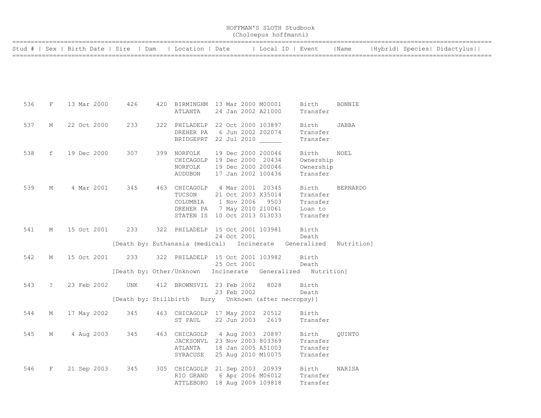|     |             |                                        |     |                                                                   |  |             | (Choloepus hoffmanni) |                      |                 |  |                             |
|-----|-------------|----------------------------------------|-----|-------------------------------------------------------------------|--|-------------|-----------------------|----------------------|-----------------|--|-----------------------------|
|     |             | Stud #   Sex   Birth Date   Sire   Dam |     | Location   Date                                                   |  |             |                       | Local ID   Event     | Name            |  | Hybrid  Species  Didactylus |
|     |             |                                        |     |                                                                   |  |             |                       |                      |                 |  |                             |
|     |             |                                        |     |                                                                   |  |             |                       |                      |                 |  |                             |
|     |             |                                        |     |                                                                   |  |             |                       |                      |                 |  |                             |
| 536 | F           | 13 Mar 2000                            | 426 | 420 BIRMINGHM 13 Mar 2000 M00001                                  |  |             |                       | Birth                | <b>BONNIE</b>   |  |                             |
|     |             |                                        |     | ATLANTA                                                           |  |             | 24 Jan 2002 A21000    | Transfer             |                 |  |                             |
| 537 | М           | 22 Oct 2000                            | 233 | 322 PHILADELP 22 Oct 2000 103897                                  |  |             |                       | Birth                | JABBA           |  |                             |
|     |             |                                        |     | DREHER PA<br>BRIDGEPRT 22 Jul 2010                                |  |             | 6 Jun 2002 202074     | Transfer<br>Transfer |                 |  |                             |
| 538 | f           | 19 Dec 2000                            | 307 | 399 NORFOLK                                                       |  |             | 19 Dec 2000 200046    | Birth                | NOEL            |  |                             |
|     |             |                                        |     | CHICAGOLP 19 Dec 2000 20434                                       |  |             |                       | Ownership            |                 |  |                             |
|     |             |                                        |     | NORFOLK                                                           |  |             | 19 Dec 2000 200046    | Ownership            |                 |  |                             |
|     |             |                                        |     | AUDUBON                                                           |  |             | 17 Jan 2002 100436    | Transfer             |                 |  |                             |
| 539 | $M_{\odot}$ | 4 Mar 2001                             | 345 | 463 CHICAGOLP 4 Mar 2001 20345                                    |  |             |                       | Birth                | <b>BERNARDO</b> |  |                             |
|     |             |                                        |     | TUCSON                                                            |  |             | 21 Oct 2003 X35014    | Transfer             |                 |  |                             |
|     |             |                                        |     | COLUMBIA                                                          |  | 1 Nov 2006  | 9503                  | Transfer             |                 |  |                             |
|     |             |                                        |     | DREHER PA                                                         |  |             | 7 May 2010 210061     | Loan to              |                 |  |                             |
|     |             |                                        |     | STATEN IS 10 Oct 2013 013033                                      |  |             |                       | Transfer             |                 |  |                             |
| 541 | M           | 15 Oct 2001 233                        |     | 322 PHILADELP 15 Oct 2001 103981                                  |  |             |                       | Birth                |                 |  |                             |
|     |             |                                        |     |                                                                   |  | 24 Oct 2001 |                       | Death                |                 |  |                             |
|     |             |                                        |     | [Death by: Euthanasia (medical) Incinerate Generalized Nutrition] |  |             |                       |                      |                 |  |                             |
| 542 | М           | 15 Oct 2001                            | 233 | 322 PHILADELP 15 Oct 2001 103982                                  |  |             |                       | Birth                |                 |  |                             |
|     |             |                                        |     |                                                                   |  | 25 Oct 2001 |                       | Death                |                 |  |                             |
|     |             |                                        |     | [Death by: Other/Unknown Incinerate Generalized Nutrition]        |  |             |                       |                      |                 |  |                             |
| 543 | $\tilde{S}$ | 23 Feb 2002                            | UNK | 412 BROWNSVIL 23 Feb 2002                                         |  |             | 8028                  | Birth                |                 |  |                             |
|     |             |                                        |     | [Death by: Stillbirth Bury Unknown (after necropsy)]              |  | 23 Feb 2002 |                       | Death                |                 |  |                             |
|     |             |                                        |     |                                                                   |  |             |                       |                      |                 |  |                             |
| 544 | М           | 17 May 2002                            | 345 | 463 CHICAGOLP 17 May 2002 20512                                   |  |             |                       | Birth                |                 |  |                             |
|     |             |                                        |     | ST PAUL                                                           |  | 22 Jun 2003 | 2619                  | Transfer             |                 |  |                             |
| 545 | М           | 4 Aug 2003                             | 345 | 463 CHICAGOLP 4 Aug 2003 20897                                    |  |             |                       | Birth                | OUINTO          |  |                             |
|     |             |                                        |     | JACKSONVL 23 Nov 2003 803369                                      |  |             |                       | Transfer             |                 |  |                             |
|     |             |                                        |     | ATLANTA                                                           |  |             | 18 Jan 2005 A51003    | Transfer             |                 |  |                             |
|     |             |                                        |     | SYRACUSE                                                          |  |             | 25 Aug 2010 M10075    | Transfer             |                 |  |                             |
| 546 | F           | 21 Sep 2003                            | 345 | 305 CHICAGOLP 21 Sep 2003 20939                                   |  |             |                       | Birth                | NARISA          |  |                             |
|     |             |                                        |     | RIO GRAND 6 Apr 2006 M06012                                       |  |             |                       | Transfer             |                 |  |                             |
|     |             |                                        |     | ATTLEBORO 18 Aug 2009 109818                                      |  |             |                       | Transfer             |                 |  |                             |

HOFFMAN'S SLOTH Studbook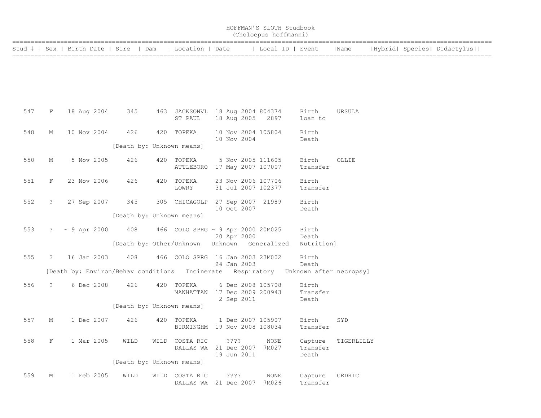|     |             |                     |                                        |     |                                                                                    |         |             | HOFFMAN'S SLOTH Studbook<br>(Choloepus hoffmanni) |                     |            |  |                             |  |
|-----|-------------|---------------------|----------------------------------------|-----|------------------------------------------------------------------------------------|---------|-------------|---------------------------------------------------|---------------------|------------|--|-----------------------------|--|
|     |             |                     | Stud #   Sex   Birth Date   Sire   Dam |     | Location   Date                                                                    |         |             | Local ID   Event                                  |                     | Name       |  | Hybrid  Species  Didactylus |  |
|     |             |                     |                                        |     |                                                                                    |         |             |                                                   |                     |            |  |                             |  |
|     |             |                     |                                        |     |                                                                                    |         |             |                                                   |                     |            |  |                             |  |
|     |             |                     |                                        |     |                                                                                    |         |             |                                                   |                     |            |  |                             |  |
| 547 | F           | 18 Aug 2004         | 345                                    |     | 463 JACKSONVL 18 Aug 2004 804374                                                   |         |             |                                                   | Birth               | URSULA     |  |                             |  |
|     |             |                     |                                        |     | ST PAUL                                                                            |         | 18 Aug 2005 | 2897                                              | Loan to             |            |  |                             |  |
| 548 | М           | 10 Nov 2004         | 426                                    |     | 420 TOPEKA                                                                         |         | 10 Nov 2004 | 10 Nov 2004 105804                                | Birth<br>Death      |            |  |                             |  |
|     |             |                     |                                        |     | [Death by: Unknown means]                                                          |         |             |                                                   |                     |            |  |                             |  |
| 550 | М           | 5 Nov 2005          | 426                                    |     | 420 TOPEKA<br>ATTLEBORO 17 May 2007 107007                                         |         |             | 5 Nov 2005 111605                                 | Birth<br>Transfer   | OLLIE      |  |                             |  |
| 551 | F           | 23 Nov 2006         | 426                                    |     | 420 TOPEKA<br>LOWRY                                                                |         |             | 23 Nov 2006 107706<br>31 Jul 2007 102377          | Birth<br>Transfer   |            |  |                             |  |
|     |             |                     |                                        |     |                                                                                    |         |             |                                                   |                     |            |  |                             |  |
| 552 | $\ddot{?}$  | 27 Sep 2007         | 345                                    |     | 305 CHICAGOLP                                                                      |         | 10 Oct 2007 | 27 Sep 2007 21989                                 | Birth<br>Death      |            |  |                             |  |
|     |             |                     |                                        |     | [Death by: Unknown means]                                                          |         |             |                                                   |                     |            |  |                             |  |
| 553 |             | $? \sim 9$ Apr 2000 | 408                                    |     | 466 COLO SPRG ~ 9 Apr 2000 20M025                                                  |         | 20 Apr 2000 |                                                   | Birth<br>Death      |            |  |                             |  |
|     |             |                     |                                        |     | [Death by: Other/Unknown Unknown Generalized                                       |         |             |                                                   | Nutrition]          |            |  |                             |  |
| 555 | $\ddot{?}$  | 16 Jan 2003         | 408                                    |     | 466 COLO SPRG 16 Jan 2003 23M002                                                   |         | 24 Jan 2003 |                                                   | Birth<br>Death      |            |  |                             |  |
|     |             |                     |                                        |     | [Death by: Environ/Behav conditions Incinerate Respiratory Unknown after necropsy] |         |             |                                                   |                     |            |  |                             |  |
| 556 | $\tilde{?}$ | 6 Dec 2008          | 426                                    |     | 420 TOPEKA<br>MANHATTAN 17 Dec 2009 200943                                         |         |             | 6 Dec 2008 105708                                 | Birth<br>Transfer   |            |  |                             |  |
|     |             |                     |                                        |     |                                                                                    |         | 2 Sep 2011  |                                                   | Death               |            |  |                             |  |
|     |             |                     |                                        |     | [Death by: Unknown means]                                                          |         |             |                                                   |                     |            |  |                             |  |
| 557 | Μ           | 1 Dec 2007          | 426                                    | 420 | TOPEKA<br>BIRMINGHM 19 Nov 2008 108034                                             |         |             | 1 Dec 2007 105907                                 | Birth<br>Transfer   | SYD        |  |                             |  |
| 558 | F           | 1 Mar 2005          | WILD                                   |     | WILD COSTA RIC<br>DALLAS WA 21 Dec 2007                                            | ????    |             | NONE<br>7M027                                     | Capture<br>Transfer | TIGERLILLY |  |                             |  |
|     |             |                     |                                        |     |                                                                                    |         | 19 Jun 2011 |                                                   | Death               |            |  |                             |  |
|     |             |                     |                                        |     | [Death by: Unknown means]                                                          |         |             |                                                   |                     |            |  |                             |  |
| 559 | М           | 1 Feb 2005          | WILD                                   |     | WILD COSTA RIC<br>DALLAS WA 21 Dec 2007                                            | ? ? ? ? |             | NONE<br>7M026                                     | Capture<br>Transfer | CEDRIC     |  |                             |  |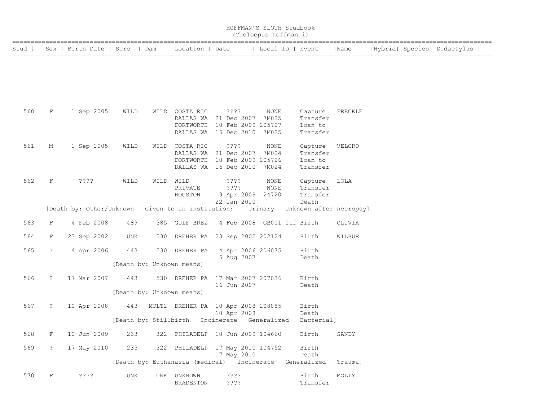|     | HOFFMAN'S SLOTH Studbook<br>(Choloepus hoffmanni) |                                        |                           |     |                                                                                                              |            |                                                     |                  |  |                                            |                                 |  |                             |
|-----|---------------------------------------------------|----------------------------------------|---------------------------|-----|--------------------------------------------------------------------------------------------------------------|------------|-----------------------------------------------------|------------------|--|--------------------------------------------|---------------------------------|--|-----------------------------|
|     |                                                   | Stud #   Sex   Birth Date   Sire   Dam |                           |     | Location   Date                                                                                              |            |                                                     | Local ID   Event |  |                                            | Name                            |  | Hybrid  Species  Didactylus |
|     |                                                   |                                        |                           |     |                                                                                                              |            |                                                     |                  |  |                                            |                                 |  |                             |
| 560 | F                                                 | 1 Sep 2005                             | WILD                      |     | WILD COSTA RIC<br>DALLAS WA 21 Dec 2007 7M025<br>FORTWORTH 10 Feb 2009 205727<br>DALLAS WA 16 Dec 2010 7M025 |            | ????                                                | NONE             |  | Capture<br>Transfer<br>Loan to<br>Transfer | FRECKLE                         |  |                             |
| 561 | М                                                 | 1 Sep 2005                             | WILD                      |     | WILD COSTA RIC<br>DALLAS WA<br>FORTWORTH<br>DALLAS WA 16 Dec 2010 7M024                                      |            | ????<br>21 Dec 2007<br>10 Feb 2009 205726           | NONE<br>7M024    |  | Capture<br>Transfer<br>Loan to<br>Transfer | VELCRO                          |  |                             |
| 562 | F                                                 | ????                                   | WILD                      |     | WILD WILD<br>PRIVATE<br>HOUSTON                                                                              |            | $??\ ??$<br>????<br>9 Apr 2009 24720<br>22 Jan 2010 | NONE<br>NONE     |  | Capture<br>Transfer<br>Transfer<br>Death   | LOLA                            |  |                             |
|     |                                                   | [Death by: Other/Unknown               |                           |     | Given to an institution:                                                                                     |            |                                                     |                  |  |                                            | Urinary Unknown after necropsy] |  |                             |
| 563 | F                                                 | 4 Feb 2008                             | 489                       |     | 385 GULF BREZ                                                                                                |            | 4 Feb 2008 GB001 ltf Birth                          |                  |  |                                            | OLIVIA                          |  |                             |
| 564 | F                                                 | 23 Sep 2002                            | UNK                       |     | 530 DREHER PA 23 Sep 2002 202124                                                                             |            |                                                     |                  |  | Birth                                      | WILBUR                          |  |                             |
| 565 | $\mathbf{?}$                                      | 4 Apr 2006                             | 443                       |     | 530 DREHER PA                                                                                                |            | 4 Apr 2006 206075<br>6 Aug 2007                     |                  |  | Birth<br>Death                             |                                 |  |                             |
|     |                                                   |                                        | [Death by: Unknown means] |     |                                                                                                              |            |                                                     |                  |  |                                            |                                 |  |                             |
| 566 | $\mathbb{R}$                                      | 17 Mar 2007                            | 443                       | 530 | DREHER PA 17 Mar 2007 207036                                                                                 |            | 16 Jun 2007                                         |                  |  | Birth<br>Death                             |                                 |  |                             |
|     |                                                   |                                        | [Death by: Unknown means] |     |                                                                                                              |            |                                                     |                  |  |                                            |                                 |  |                             |
| 567 | $\cdot$                                           | 10 Apr 2008                            |                           |     | 443 MULT2 DREHER PA 10 Apr 2008 208085                                                                       |            | 10 Apr 2008                                         |                  |  | Birth<br>Death                             |                                 |  |                             |
|     |                                                   |                                        | [Death by: Stillbirth     |     |                                                                                                              | Incinerate |                                                     | Generalized      |  | Bacterial]                                 |                                 |  |                             |
| 568 | $\mathbf F$                                       | 10 Jun 2009                            | 233                       |     | 322 PHILADELP 10 Jun 2009 104660                                                                             |            |                                                     |                  |  | Birth                                      | SANDY                           |  |                             |
| 569 | ?                                                 | 17 May 2010                            | 233                       |     | 322 PHILADELP 17 May 2010 104752                                                                             |            | 17 May 2010                                         |                  |  | Birth<br>Death                             |                                 |  |                             |
|     |                                                   |                                        |                           |     | [Death by: Euthanasia (medical) Incinerate                                                                   |            |                                                     |                  |  | Generalized                                | Trauma]                         |  |                             |
| 570 | $\mathbf F$                                       | ????                                   | UNK                       |     | UNK UNKNOWN<br>BRADENTON                                                                                     |            | ????<br>? ? ? ?                                     |                  |  | Birth<br>Transfer                          | MOLLY                           |  |                             |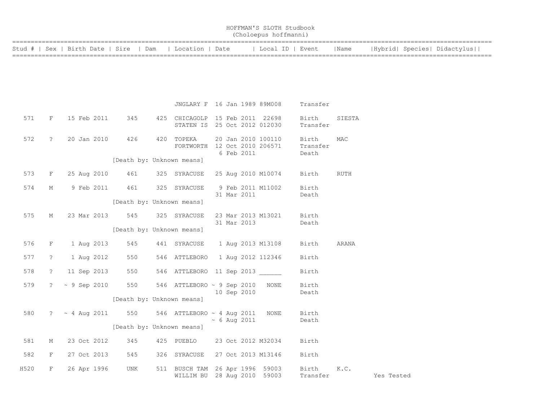|                                                          | HOFFMAN'S SLOTH Studbook<br>(Choloepus hoffmanni) |      |                             |
|----------------------------------------------------------|---------------------------------------------------|------|-----------------------------|
| Stud #   Sex   Birth Date   Sire   Dam   Location   Date | Local ID   Event                                  | Name | Hybrid  Species  Didactylus |

|      |             |                                                                  |                           | JNGLARY F 16 Jan 1989 89M008 |  |            |                                                           | Transfer                   |        |                     |
|------|-------------|------------------------------------------------------------------|---------------------------|------------------------------|--|------------|-----------------------------------------------------------|----------------------------|--------|---------------------|
| 571  | F           | 15 Feb 2011 345 425 CHICAGOLP 15 Feb 2011 22698                  |                           |                              |  |            | STATEN IS 25 Oct 2012 012030                              | Birth<br>Transfer          | SIESTA |                     |
| 572  |             | ? 20 Jan 2010 426 420 TOPEKA                                     |                           |                              |  | 6 Feb 2011 | TOPEKA 20 Jan 2010 100110<br>FORTWORTH 12 Oct 2010 206571 | Birth<br>Transfer<br>Death | MAC    |                     |
|      |             |                                                                  | [Death by: Unknown means] |                              |  |            |                                                           |                            |        |                     |
|      |             | 573 F 25 Aug 2010 461 325 SYRACUSE 25 Aug 2010 M10074 Birth RUTH |                           |                              |  |            |                                                           |                            |        |                     |
| 574  |             | M 9 Feb 2011 461 325 SYRACUSE                                    |                           |                              |  |            | 9 Feb 2011 M11002<br>31 Mar 2011                          | Birth<br>Death             |        |                     |
|      |             |                                                                  | [Death by: Unknown means] |                              |  |            |                                                           |                            |        |                     |
| 575  |             | M 23 Mar 2013 545 325 SYRACUSE                                   |                           |                              |  |            | 23 Mar 2013 M13021                                        | Birth                      |        |                     |
|      |             |                                                                  | [Death by: Unknown means] |                              |  |            | 31 Mar 2013                                               | Death                      |        |                     |
| 576  |             | F 1 Aug 2013 545 441 SYRACUSE 1 Aug 2013 M13108 Birth            |                           |                              |  |            |                                                           |                            | ARANA  |                     |
| 577  |             | ? 1 Aug 2012 550 546 ATTLEBORO 1 Aug 2012 112346                 |                           |                              |  |            |                                                           | Birth                      |        |                     |
| 578  |             | ? 11 Sep 2013 550 546 ATTLEBORO 11 Sep 2013                      |                           |                              |  |            |                                                           | Birth                      |        |                     |
|      |             | 579 ? ~ 9 Sep 2010 550 546 ATTLEBORO ~ 9 Sep 2010 NONE           |                           |                              |  |            |                                                           | Birth                      |        |                     |
|      |             |                                                                  | [Death by: Unknown means] |                              |  |            | 10 Sep 2010                                               | Death                      |        |                     |
|      |             | 580 $? \sim 4$ Aug 2011 550 546 ATTLEBORO ~ 4 Aug 2011 NONE      |                           |                              |  |            |                                                           | Birth                      |        |                     |
|      |             |                                                                  | [Death by: Unknown means] |                              |  |            | $\sim 6$ Aug 2011                                         | Death                      |        |                     |
| 581  | $M_{\odot}$ | 23 Oct 2012 345 425 PUEBLO 23 Oct 2012 M32034 Birth              |                           |                              |  |            |                                                           |                            |        |                     |
| 582  | F           | 27 Oct 2013 545 326 SYRACUSE 27 Oct 2013 M13146 Birth            |                           |                              |  |            |                                                           |                            |        |                     |
| H520 | $F$ and $F$ | 26 Apr 1996 UNK                                                  |                           | 511 BUSCH TAM                |  |            | 26 Apr 1996 59003<br>WILLIM BU 28 Aug 2010 59003          | Birth                      | K.C.   | Transfer Yes Tested |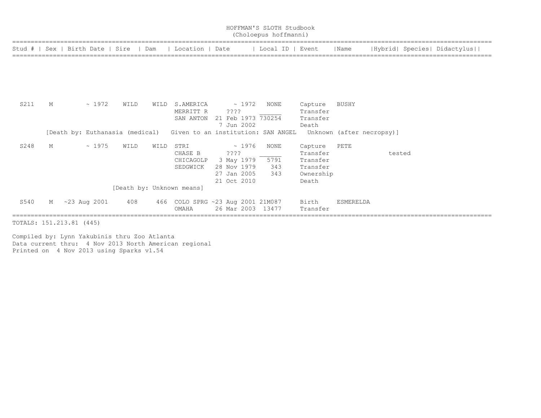|      |   |                                  |      |      |                                            |                                 | HOFFMAN'S SLOTH Studbook<br>(Choloepus hoffmanni) |                     |                  |                           |                             |
|------|---|----------------------------------|------|------|--------------------------------------------|---------------------------------|---------------------------------------------------|---------------------|------------------|---------------------------|-----------------------------|
|      |   | Stud #   Sex   Birth Date   Sire |      | Dam  | Location   Date                            |                                 | Local ID   Event                                  |                     | Name             |                           | Hybrid  Species  Didactylus |
|      |   |                                  |      |      |                                            |                                 |                                                   |                     |                  |                           |                             |
|      |   |                                  |      |      |                                            |                                 |                                                   |                     |                  |                           |                             |
| S211 | М | $\sim 1972$                      | WILD | WILD | S.AMERICA<br>MERRITT R                     | $\sim 1972$<br>$??\mathrel{?}?$ | <b>NONE</b>                                       | Capture<br>Transfer | BUSHY            |                           |                             |
|      |   |                                  |      |      | SAN ANTON                                  | 21 Feb 1973 730254              |                                                   | Transfer            |                  |                           |                             |
|      |   |                                  |      |      |                                            | 7 Jun 2002                      |                                                   | Death               |                  |                           |                             |
|      |   | [Death by: Euthanasia (medical)  |      |      | Given to an institution: SAN ANGEL         |                                 |                                                   |                     |                  | Unknown (after necropsy)] |                             |
| S248 | М | ~1975                            | WILD | WILD | STRI                                       | $\sim 1976$                     | <b>NONE</b>                                       | Capture             | PETE             |                           |                             |
|      |   |                                  |      |      | CHASE B                                    | ????                            |                                                   | Transfer            |                  | tested                    |                             |
|      |   |                                  |      |      | CHICAGOLP                                  | 3 May 1979                      | 5791                                              | Transfer            |                  |                           |                             |
|      |   |                                  |      |      | SEDGWICK                                   | 28 Nov 1979                     | 343                                               | Transfer            |                  |                           |                             |
|      |   |                                  |      |      |                                            | 27 Jan 2005                     | 343                                               | Ownership           |                  |                           |                             |
|      |   |                                  |      |      |                                            | 21 Oct 2010                     |                                                   | Death               |                  |                           |                             |
|      |   |                                  |      |      | [Death by: Unknown means]                  |                                 |                                                   |                     |                  |                           |                             |
| S540 | М | $~23$ Aug 2001                   | 408  |      | 466 COLO SPRG ~23 Aug 2001 21M087<br>OMAHA | 26 Mar 2003                     | 13477                                             | Birth<br>Transfer   | <b>ESMERELDA</b> |                           |                             |

TOTALS: 151.213.81 (445)

Compiled by: Lynn Yakubinis thru Zoo Atlanta Data current thru: 4 Nov 2013 North American regional Printed on 4 Nov 2013 using Sparks v1.54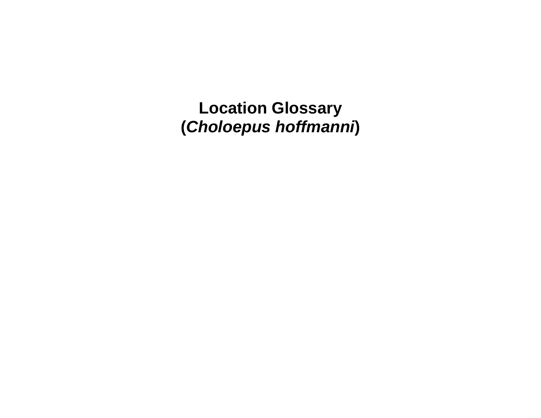**Location Glossary (***Choloepus hoffmanni***)**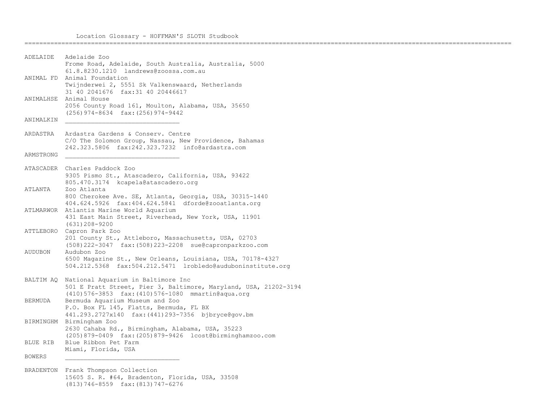====================================================================================================================================

```
ADELAIDE Adelaide Zoo 
            Frome Road, Adelaide, South Australia, Australia, 5000
            61.8.8230.1210 landrews@zoossa.com.au
ANIMAL FD Animal Foundation 
            Twijnderwei 2, 5551 Sk Valkenswaard, Netherlands
            31 40 2041676 fax:31 40 20446617
ANIMALHSE Animal House 
            2056 County Road 161, Moulton, Alabama, USA, 35650
            (256)974-8634 fax:(256)974-9442
ANIMALKIN
ARDASTRA Ardastra Gardens & Conserv. Centre 
            C/O The Solomon Group, Nassau, New Providence, Bahamas
            242.323.5806 fax:242.323.7232 info@ardastra.com
ARMSTRONG _______________________________
ATASCADER Charles Paddock Zoo 
           9305 Pismo St., Atascadero, California, USA, 93422
            805.470.3174 kcapela@atascadero.org
ATLANTA Zoo Atlanta 
            800 Cherokee Ave. SE, Atlanta, Georgia, USA, 30315-1440
            404.624.5926 fax:404.624.5841 dforde@zooatlanta.org
ATLMARWOR Atlantis Marine World Aquarium 
           431 East Main Street, Riverhead, New York, USA, 11901
            (631)208-9200
ATTLEBORO Capron Park Zoo 
            201 County St., Attleboro, Massachusetts, USA, 02703
            (508)222-3047 fax:(508)223-2208 sue@capronparkzoo.com
AUDUBON Audubon Zoo 
            6500 Magazine St., New Orleans, Louisiana, USA, 70178-4327
            504.212.5368 fax:504.212.5471 lrobledo@auduboninstitute.org
BALTIM AQ National Aquarium in Baltimore Inc 
            501 E Pratt Street, Pier 3, Baltimore, Maryland, USA, 21202-3194
            (410)576-3853 fax:(410)576-1080 mmartin@aqua.org
BERMUDA Bermuda Aquarium Museum and Zoo 
            P.O. Box FL 145, Flatts, Bermuda, FL BX
            441.293.2727x140 fax:(441)293-7356 bjbryce@gov.bm
BIRMINGHM Birmingham Zoo 
            2630 Cahaba Rd., Birmingham, Alabama, USA, 35223
            (205)879-0409 fax:(205)879-9426 lcost@birminghamzoo.com
BLUE RIB Blue Ribbon Pet Farm 
            Miami, Florida, USA
BOWERS _______________________________
```
BRADENTON Frank Thompson Collection 15605 S. R. #64, Bradenton, Florida, USA, 33508 (813)746-8559 fax:(813)747-6276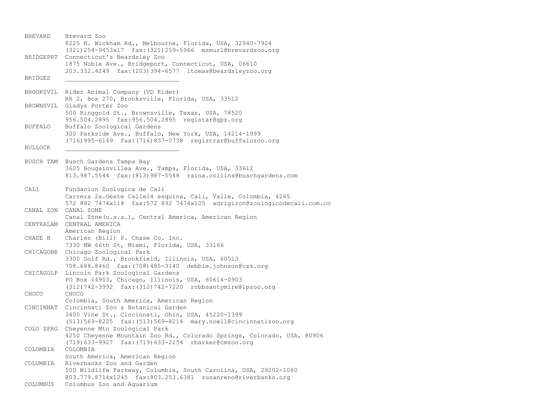BREVARD Brevard Zoo 8225 N. Wickham Rd., Melbourne, Florida, USA, 32940-7924 (321)254-9453x17 fax:(321)259-5966 msmurl@brevardzoo.org BRIDGEPRT Connecticut's Beardsley Zoo 1875 Noble Ave., Bridgeport, Connecticut, USA, 06610 203.332.4249 fax:(203)394-6577 ltomas@beardsleyzoo.org BRIDGES \_\_\_\_\_\_\_\_\_\_\_\_\_\_\_\_\_\_\_\_\_\_\_\_\_\_\_\_\_\_\_ BROOKSVIL Rider Animal Company (VD Rider) RR 2, Box 270, Brooksville, Florida, USA, 33512 BROWNSVIL Gladys Porter Zoo 500 Ringgold St., Brownsville, Texas, USA, 78520 956.504.2895 fax:956.504.2895 registar@gpz.org BUFFALO Buffalo Zoological Gardens 300 Parkside Ave., Buffalo, New York, USA, 14214-1999 (716)995-6149 fax:(716)837-0738 registrar@buffalozoo.org BULLOCK BUSCH TAM Busch Gardens Tampa Bay 3605 Bougainvillea Ave., Tampa, Florida, USA, 33612 813.987.5544 fax:(813)987-5548 raina.collins@buschgardens.com CALI Fundacion Zoologica de Cali Carrera 2a.Oeste Calle14 esquina, Cali, Valle, Colombia, 4265 572 892 7474x118 fax:572 892 7474x105 adrigiron@zoologicodecali.com.co CANAL ZON CANAL ZONE Canal Zone(u.s.a.), Central America, American Region CENTRALAM CENTRAL AMERICA American Region CHASE B Charles (Bill) P. Chase Co. Inc. 7330 NW 66th St, Miami, Florida, USA, 33166 CHICAGOBR Chicago Zoological Park 3300 Golf Rd., Brookfield, Illinois, USA, 60513 708.688.8460 fax:(708)485-3140 debbie.johnson@czs.org CHICAGOLP Lincoln Park Zoological Gardens PO Box 14903, Chicago, Illinois, USA, 60614-0903 (312)742-3992 fax:(312)742-7220 robbsantymire@lpzoo.org CHOCO CHOCO Colombia, South America, American Region CINCINNAT Cincinnati Zoo & Botanical Garden 3400 Vine St., Cincinnati, Ohio, USA, 45220-1399 (513)569-8225 fax:(513)569-8214 mary.noell@cincinnatizoo.org COLO SPRG Cheyenne Mtn Zoological Park 4250 Cheyenne Mountain Zoo Rd., Colorado Springs, Colorado, USA, 80906 (719)633-9927 fax:(719)633-2254 rbarker@cmzoo.org COLOMBIA COLOMBIA South America, American Region COLUMBIA Riverbanks Zoo and Garden 500 Wildlife Parkway, Columbia, South Carolina, USA, 29202-1060 803.779.8714x1245 fax:803.253.6381 susanreno@riverbanks.org COLUMBUS Columbus Zoo and Aquarium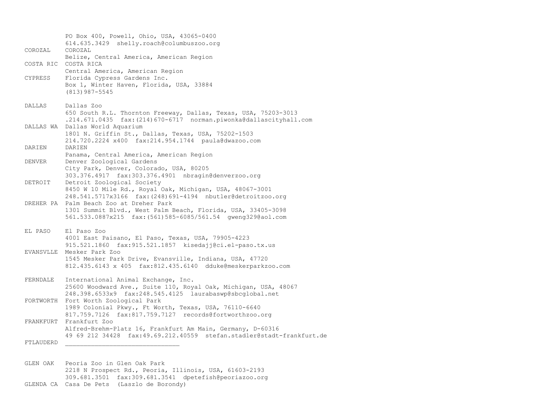PO Box 400, Powell, Ohio, USA, 43065-0400 614.635.3429 shelly.roach@columbuszoo.org COROZAL COROZAL Belize, Central America, American Region COSTA RIC COSTA RICA Central America, American Region CYPRESS Florida Cypress Gardens Inc. Box 1, Winter Haven, Florida, USA, 33884 (813)987-5545 DALLAS Dallas Zoo 650 South R.L. Thornton Freeway, Dallas, Texas, USA, 75203-3013 .214.671.0435 fax:(214)670-6717 norman.piwonka@dallascityhall.com DALLAS WA Dallas World Aquarium 1801 N. Griffin St., Dallas, Texas, USA, 75202-1503 214.720.2224 x400 fax:214.954.1744 paula@dwazoo.com DARIEN DARIEN Panama, Central America, American Region DENVER Denver Zoological Gardens City Park, Denver, Colorado, USA, 80205 303.376.4917 fax:303.376.4901 nbragin@denverzoo.org DETROIT Detroit Zoological Society 8450 W 10 Mile Rd., Royal Oak, Michigan, USA, 48067-3001 248.541.5717x3166 fax:(248)691-4194 nbutler@detroitzoo.org DREHER PA Palm Beach Zoo at Dreher Park 1301 Summit Blvd., West Palm Beach, Florida, USA, 33405-3098 561.533.0887x215 fax:(561)585-6085/561.54 gweng329@aol.com EL PASO El Paso Zoo 4001 East Paisano, El Paso, Texas, USA, 79905-4223 915.521.1860 fax:915.521.1857 kisedajj@ci.el-paso.tx.us EVANSVLLE Mesker Park Zoo 1545 Mesker Park Drive, Evansville, Indiana, USA, 47720 812.435.6143 x 405 fax:812.435.6140 dduke@meskerparkzoo.com FERNDALE International Animal Exchange, Inc. 25600 Woodward Ave., Suite 110, Royal Oak, Michigan, USA, 48067 248.398.6533x9 fax:248.545.4125 laurabaswp@sbcglobal.net FORTWORTH Fort Worth Zoological Park 1989 Colonial Pkwy., Ft Worth, Texas, USA, 76110-6640 817.759.7126 fax:817.759.7127 records@fortworthzoo.org FRANKFURT Frankfurt Zoo Alfred-Brehm-Platz 16, Frankfurt Am Main, Germany, D-60316 49 69 212 34428 fax:49.69.212.40559 stefan.stadler@stadt-frankfurt.de FTLAUDERD \_\_\_\_\_\_\_\_\_\_\_\_\_\_\_\_\_\_\_\_\_\_\_\_\_\_\_\_\_\_\_ GLEN OAK Peoria Zoo in Glen Oak Park 2218 N Prospect Rd., Peoria, Illinois, USA, 61603-2193

- 309.681.3501 fax:309.681.3541 dpetefish@peoriazoo.org
- GLENDA CA Casa De Pets (Laszlo de Borondy)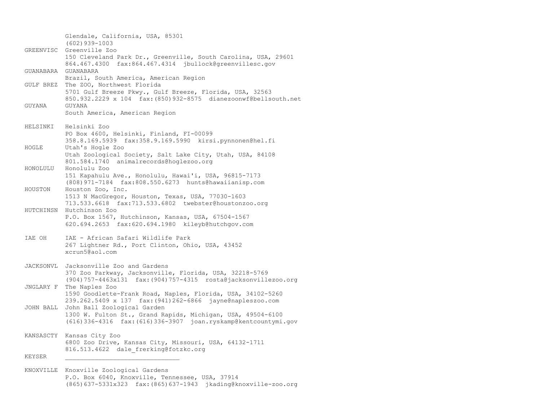Glendale, California, USA, 85301 (602)939-1003 GREENVISC Greenville Zoo 150 Cleveland Park Dr., Greenville, South Carolina, USA, 29601 864.467.4300 fax:864.467.4314 jbullock@greenvillesc.gov GUANABARA GUANABARA Brazil, South America, American Region GULF BREZ The ZOO, Northwest Florida 5701 Gulf Breeze Pkwy., Gulf Breeze, Florida, USA, 32563 850.932.2229 x 104 fax:(850)932-8575 dianezoonwf@bellsouth.net GUYANA GUYANA South America, American Region HELSINKI Helsinki Zoo PO Box 4600, Helsinki, Finland, FI-00099 358.8.169.5939 fax:358.9.169.5990 kirsi.pynnonen@hel.fi HOGLE Utah's Hogle Zoo Utah Zoological Society, Salt Lake City, Utah, USA, 84108 801.584.1740 animalrecords@hoglezoo.org HONOLULU Honolulu Zoo 151 Kapahulu Ave., Honolulu, Hawai'i, USA, 96815-7173 (808)971-7184 fax:808.550.6273 hunts@hawaiianisp.com HOUSTON Houston Zoo, Inc. 1513 N MacGregor, Houston, Texas, USA, 77030-1603 713.533.6618 fax:713.533.6802 twebster@houstonzoo.org HUTCHINSN Hutchinson Zoo P.O. Box 1567, Hutchinson, Kansas, USA, 67504-1567 620.694.2653 fax:620.694.1980 kileyb@hutchgov.com IAE OH IAE - African Safari Wildlife Park 267 Lightner Rd., Port Clinton, Ohio, USA, 43452 xcrun5@aol.com JACKSONVL Jacksonville Zoo and Gardens 370 Zoo Parkway, Jacksonville, Florida, USA, 32218-5769 (904)757-4463x131 fax:(904)757-4315 rosta@jacksonvillezoo.org JNGLARY F The Naples Zoo 1590 Goodlette-Frank Road, Naples, Florida, USA, 34102-5260 239.262.5409 x 137 fax:(941)262-6866 jayne@napleszoo.com JOHN BALL John Ball Zoological Garden 1300 W. Fulton St., Grand Rapids, Michigan, USA, 49504-6100 (616)336-4316 fax:(616)336-3907 joan.ryskamp@kentcountymi.gov KANSASCTY Kansas City Zoo 6800 Zoo Drive, Kansas City, Missouri, USA, 64132-1711 816.513.4622 dale frerking@fotzkc.org KEYSER

KNOXVILLE Knoxville Zoological Gardens P.O. Box 6040, Knoxville, Tennessee, USA, 37914 (865)637-5331x323 fax:(865)637-1943 jkading@knoxville-zoo.org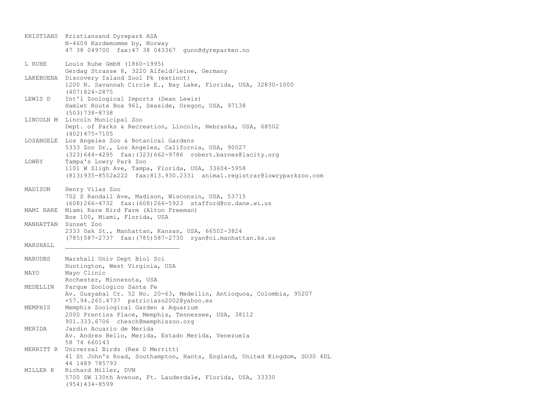|           | KRISTIANS Kristiansand Dyrepark ASA<br>N-4609 Kardemomme by, Norway<br>47 38 049700 fax: 47 38 043367 gunn@dyreparken.no                                        |
|-----------|-----------------------------------------------------------------------------------------------------------------------------------------------------------------|
| L RUHE    | Louis Ruhe GmbH (1860-1995)<br>Gerdag Strasse 8, 3220 Alfeld/leine, Germany                                                                                     |
|           | LAKEBUENA Discovery Island Zool Pk (extinct)<br>1200 N. Savannah Circle E., Bay Lake, Florida, USA, 32830-1000<br>$(407)824 - 2875$                             |
| LEWIS D   | Int'l Zoological Imports (Dean Lewis)<br>Hamlet Route Box 961, Seaside, Oregon, USA, 97138<br>$(503)738 - 8738$                                                 |
|           | LINCOLN M Lincoln Municipal Zoo<br>Dept. of Parks & Recreation, Lincoln, Nebraska, USA, 68502<br>$(402)$ 475-7105                                               |
| LOSANGELE | Los Angeles Zoo & Botanical Gardens<br>5333 Zoo Dr., Los Angeles, California, USA, 90027<br>$(323) 644 - 4295$ fax: $(323) 662 - 9786$ robert.barnes@lacity.org |
| LOWRY     | Tampa's Lowry Park Zoo<br>1101 W Sligh Ave, Tampa, Florida, USA, 33604-5958<br>(813) 935-8552x222 fax: 813. 930. 2331 animal. registrar@lowryparkzoo.com        |
| MADISON   | Henry Vilas Zoo<br>702 S Randall Ave, Madison, Wisconsin, USA, 53715<br>$(608) 266 - 4732$ fax: $(608) 266 - 5923$ stafford@co.dane.wi.us                       |
|           | MAMI RARE Miami Rare Bird Farm (Alton Freeman)<br>Box 100, Miami, Florida, USA                                                                                  |
|           | MANHATTAN Sunset Zoo<br>2333 Oak St., Manhattan, Kansas, USA, 66502-3824<br>(785) 587-2737 fax: (785) 587-2730 ryan@ci.manhattan.ks.us                          |
| MARSHALL  |                                                                                                                                                                 |
| MARUDBS   | Marshall Univ Dept Biol Sci<br>Huntington, West Virginia, USA                                                                                                   |
| MAYO      | Mayo Clinic<br>Rochester, Minnesota, USA                                                                                                                        |
| MEDELLIN  | Parque Zoologico Santa Fe<br>Av. Guayabal Cr. 52 No. 20-63, Medellin, Antioquoa, Colombia, 95207<br>+57.94.265.4737 patriciazo2002@yahoo.es                     |
| MEMPHIS   | Memphis Zoological Garden & Aquarium<br>2000 Prentiss Place, Memphis, Tennessee, USA, 38112<br>901.333.6706 chesch@memphiszoo.org                               |
| MERIDA    | Jardin Acuario de Merida<br>Av. Andres Bello, Merida, Estado Merida, Venezuela<br>58 74 660143                                                                  |
|           | MERRITT R Universal Birds (Rex D Merritt)<br>41 St John's Road, Southampton, Hants, England, United Kingdom, SO30 4DL<br>44 1489 785793                         |
| MILLER R  | Richard Miller, DVM<br>5700 SW 130th Avenue, Ft. Lauderdale, Florida, USA, 33330<br>$(954)$ 434-8599                                                            |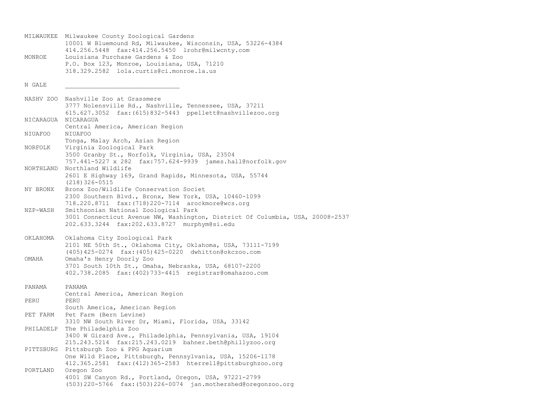MILWAUKEE Milwaukee County Zoological Gardens 10001 W Bluemound Rd, Milwaukee, Wisconsin, USA, 53226-4384 414.256.5448 fax:414.256.5450 lrohr@milwcnty.com MONROE Louisiana Purchase Gardens & Zoo P.O. Box 123, Monroe, Louisiana, USA, 71210 318.329.2582 lola.curtis@ci.monroe.la.us N GALE \_\_\_\_\_\_\_\_\_\_\_\_\_\_\_\_\_\_\_\_\_\_\_\_\_\_\_\_\_\_\_ NASHV ZOO Nashville Zoo at Grassmere 3777 Nolensville Rd., Nashville, Tennessee, USA, 37211 615.627.3052 fax:(615)832-5443 ppellett@nashvillezoo.org NICARAGUA NICARAGUA Central America, American Region NIUAFOO NIUAFOO Tonga, Malay Arch, Asian Region NORFOLK Virginia Zoological Park 3500 Granby St., Norfolk, Virginia, USA, 23504 757.441-5227 x 282 fax:757.624-9939 james.hall@norfolk.gov NORTHLAND Northland Wildlife 2601 E Highway 169, Grand Rapids, Minnesota, USA, 55744 (218)326-0515 NY BRONX Bronx Zoo/Wildlife Conservation Societ 2300 Southern Blvd., Bronx, New York, USA, 10460-1099 718.220.8711 fax:(718)220-7114 arockmore@wcs.org NZP-WASH Smithsonian National Zoological Park 3001 Connecticut Avenue NW, Washington, District Of Columbia, USA, 20008-2537 202.633.3244 fax:202.633.8727 murphym@si.edu OKLAHOMA Oklahoma City Zoological Park 2101 NE 50th St., Oklahoma City, Oklahoma, USA, 73111-7199 (405)425-0274 fax:(405)425-0220 dwhitton@okczoo.com OMAHA Omaha's Henry Doorly Zoo 3701 South 10th St., Omaha, Nebraska, USA, 68107-2200 402.738.2085 fax:(402)733-4415 registrar@omahazoo.com PANAMA PANAMA Central America, American Region PERU PERU South America, American Region PET FARM Pet Farm (Bern Levine) 3310 NW South River Dr, Miami, Florida, USA, 33142 PHILADELP The Philadelphia Zoo 3400 W Girard Ave., Philadelphia, Pennsylvania, USA, 19104 215.243.5214 fax:215.243.0219 bahner.beth@phillyzoo.org PITTSBURG Pittsburgh Zoo & PPG Aquarium One Wild Place, Pittsburgh, Pennsylvania, USA, 15206-1178 412.365.2581 fax:(412)365-2583 hterrell@pittsburghzoo.org PORTLAND Oregon Zoo 4001 SW Canyon Rd., Portland, Oregon, USA, 97221-2799 (503)220-5766 fax:(503)226-0074 jan.mothershed@oregonzoo.org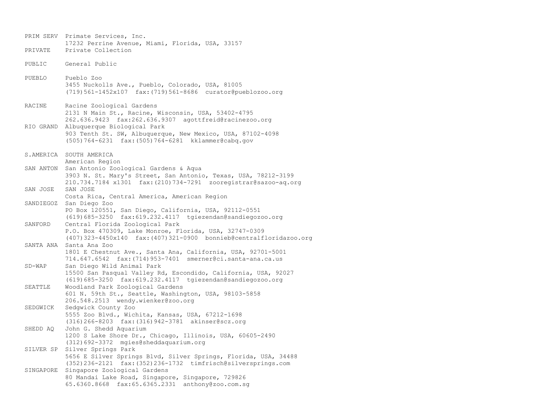PRIM SERV Primate Services, Inc. 17232 Perrine Avenue, Miami, Florida, USA, 33157 PRIVATE Private Collection PUBLIC General Public PUEBLO Pueblo Zoo 3455 Nuckolls Ave., Pueblo, Colorado, USA, 81005 (719)561-1452x107 fax:(719)561-8686 curator@pueblozoo.org RACINE Racine Zoological Gardens 2131 N Main St., Racine, Wisconsin, USA, 53402-4795 262.636.9423 fax:262.636.9307 agottfreid@racinezoo.org RIO GRAND Albuquerque Biological Park 903 Tenth St. SW, Albuquerque, New Mexico, USA, 87102-4098 (505)764-6231 fax:(505)764-6281 kklammer@cabq.gov S.AMERICA SOUTH AMERICA American Region SAN ANTON San Antonio Zoological Gardens & Aqua 3903 N. St. Mary's Street, San Antonio, Texas, USA, 78212-3199 210.734.7184 x1301 fax:(210)734-7291 zooregistrar@sazoo-aq.org SAN JOSE SAN JOSE Costa Rica, Central America, American Region SANDIEGOZ San Diego Zoo PO Box 120551, San Diego, California, USA, 92112-0551 (619)685-3250 fax:619.232.4117 tgiezendan@sandiegozoo.org SANFORD Central Florida Zoological Park P.O. Box 470309, Lake Monroe, Florida, USA, 32747-0309 (407)323-4450x140 fax:(407)321-0900 bonnieb@centralfloridazoo.org SANTA ANA Santa Ana Zoo 1801 E Chestnut Ave., Santa Ana, California, USA, 92701-5001 714.647.6542 fax:(714)953-7401 smerner@ci.santa-ana.ca.us SD-WAP San Diego Wild Animal Park 15500 San Pasqual Valley Rd, Escondido, California, USA, 92027 (619)685-3250 fax:619.232.4117 tgiezendan@sandiegozoo.org SEATTLE Woodland Park Zoological Gardens 601 N. 59th St., Seattle, Washington, USA, 98103-5858 206.548.2513 wendy.wienker@zoo.org SEDGWICK Sedgwick County Zoo 5555 Zoo Blvd., Wichita, Kansas, USA, 67212-1698 (316)266-8203 fax:(316)942-3781 akinser@scz.org SHEDD AQ John G. Shedd Aquarium 1200 S Lake Shore Dr., Chicago, Illinois, USA, 60605-2490 (312)692-3372 mgies@sheddaquarium.org SILVER SP Silver Springs Park 5656 E Silver Springs Blvd, Silver Springs, Florida, USA, 34488 (352)236-2121 fax:(352)236-1732 timfrisch@silversprings.com SINGAPORE Singapore Zoological Gardens 80 Mandai Lake Road, Singapore, Singapore, 729826 65.6360.8668 fax:65.6365.2331 anthony@zoo.com.sg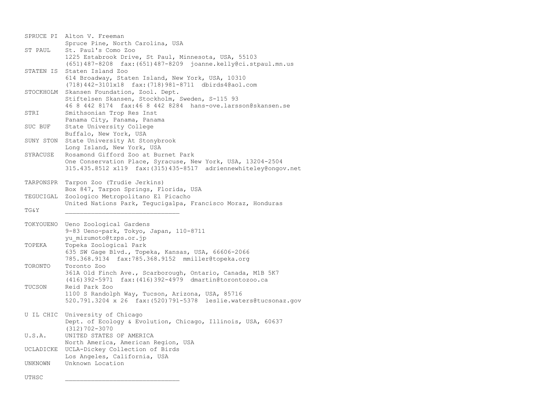|           | SPRUCE PI Alton V. Freeman                                                                                                      |
|-----------|---------------------------------------------------------------------------------------------------------------------------------|
| ST PAUL   | Spruce Pine, North Carolina, USA<br>St. Paul's Como Zoo                                                                         |
|           | 1225 Estabrook Drive, St Paul, Minnesota, USA, 55103                                                                            |
| STATEN IS | $(651)$ 487-8208 fax: $(651)$ 487-8209 joanne.kelly@ci.stpaul.mn.us<br>Staten Island Zoo                                        |
|           | 614 Broadway, Staten Island, New York, USA, 10310                                                                               |
|           | (718) 442-3101x18 fax: (718) 981-8711 dbirds4@aol.com                                                                           |
| STOCKHOLM | Skansen Foundation, Zool. Dept.                                                                                                 |
|           | Stiftelsen Skansen, Stockholm, Sweden, S-115 93<br>46 8 442 8174 fax: 46 8 442 8284 hans-ove.larsson@skansen.se                 |
| STRI      | Smithsonian Trop Res Inst                                                                                                       |
|           | Panama City, Panama, Panama                                                                                                     |
| SUC BUF   | State University College<br>Buffalo, New York, USA                                                                              |
| SUNY STON | State University At Stonybrook                                                                                                  |
|           | Long Island, New York, USA                                                                                                      |
| SYRACUSE  | Rosamond Gifford Zoo at Burnet Park                                                                                             |
|           | One Conservation Place, Syracuse, New York, USA, 13204-2504<br>315.435.8512 x119 fax: (315) 435-8517 adriennewhiteley@ongov.net |
|           |                                                                                                                                 |
| TARPONSPR | Tarpon Zoo (Trudie Jerkins)                                                                                                     |
|           | Box 847, Tarpon Springs, Florida, USA                                                                                           |
| TEGUCIGAL | Zoologico Metropolitano El Picacho<br>United Nations Park, Tequcigalpa, Francisco Moraz, Honduras                               |
| TG&Y      |                                                                                                                                 |
|           |                                                                                                                                 |
| TOKYOUENO | Ueno Zoological Gardens<br>9-83 Ueno-park, Tokyo, Japan, 110-8711                                                               |
|           | yu mizumoto@tzps.or.jp                                                                                                          |
| TOPEKA    | Topeka Zoological Park                                                                                                          |
|           | 635 SW Gage Blvd., Topeka, Kansas, USA, 66606-2066<br>785.368.9134 fax:785.368.9152 mmiller@topeka.org                          |
| TORONTO   | Toronto Zoo                                                                                                                     |
|           | 361A Old Finch Ave., Scarborough, Ontario, Canada, M1B 5K7                                                                      |
|           | $(416)$ 392-5971<br>fax: (416) 392-4979 dmartin@torontozoo.ca                                                                   |
| TUCSON    | Reid Park Zoo<br>1100 S Randolph Way, Tucson, Arizona, USA, 85716                                                               |
|           | 520.791.3204 x 26 fax: (520) 791-5378 leslie.waters@tucsonaz.gov                                                                |
|           |                                                                                                                                 |
| U IL CHIC | University of Chicago<br>Dept. of Ecology & Evolution, Chicago, Illinois, USA, 60637                                            |
|           | $(312) 702 - 3070$                                                                                                              |
| U.S.A.    | UNITED STATES OF AMERICA                                                                                                        |
|           | North America, American Region, USA                                                                                             |
| UCLADICKE | UCLA-Dickey Collection of Birds<br>Los Angeles, California, USA                                                                 |
| UNKNOWN   | Unknown Location                                                                                                                |
| UTHSC     |                                                                                                                                 |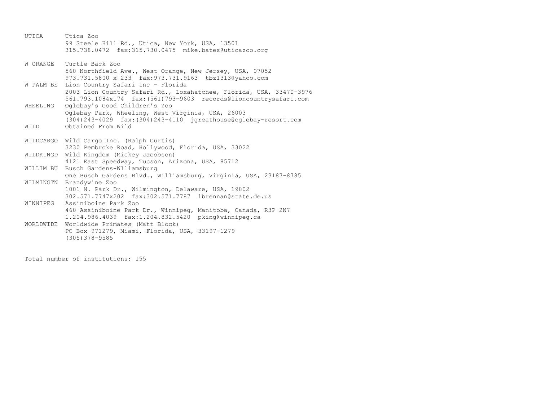UTICA Utica Zoo 99 Steele Hill Rd., Utica, New York, USA, 13501 315.738.0472 fax:315.730.0475 mike.bates@uticazoo.org W ORANGE Turtle Back Zoo 560 Northfield Ave., West Orange, New Jersey, USA, 07052 973.731.5800 x 233 fax:973.731.9163 tbz1313@yahoo.com W PALM BE Lion Country Safari Inc - Florida 2003 Lion Country Safari Rd., Loxahatchee, Florida, USA, 33470-3976 561.793.1084x174 fax:(561)793-9603 records@lioncountrysafari.com WHEELING Oglebay's Good Children's Zoo Oglebay Park, Wheeling, West Virginia, USA, 26003 (304)243-4029 fax:(304)243-4110 jgreathouse@oglebay-resort.com WILD Obtained From Wild WILDCARGO Wild Cargo Inc. (Ralph Curtis) 3230 Pembroke Road, Hollywood, Florida, USA, 33022 WILDKINGD Wild Kingdom (Mickey Jacobson) 4121 East Speedway, Tucson, Arizona, USA, 85712 WILLIM BU Busch Gardens-Wlliamsburg One Busch Gardens Blvd., Williamsburg, Virginia, USA, 23187-8785 WILMINGTN Brandywine Zoo 1001 N. Park Dr., Wilmington, Delaware, USA, 19802 302.571.7747x202 fax:302.571.7787 lbrennan@state.de.us WINNIPEG Assiniboine Park Zoo 460 Assiniboine Park Dr., Winnipeg, Manitoba, Canada, R3P 2N7 1.204.986.4039 fax:1.204.832.5420 pking@winnipeg.ca WORLDWIDE Worldwide Primates (Matt Block) PO Box 971279, Miami, Florida, USA, 33197-1279 (305)378-9585

Total number of institutions: 155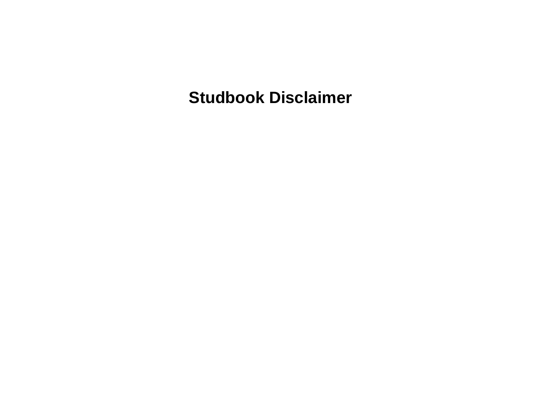**Studbook Disclaimer**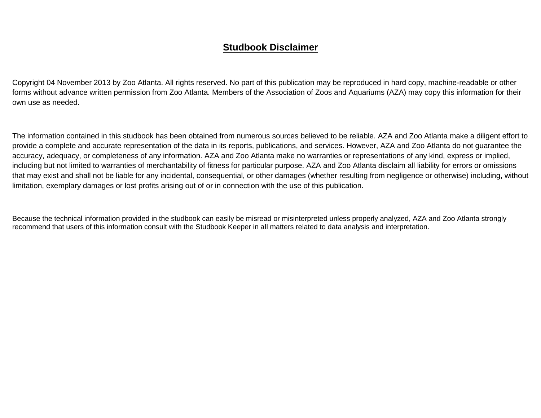## **Studbook Disclaimer**

Copyright 04 November 2013 by Zoo Atlanta. All rights reserved. No part of this publication may be reproduced in hard copy, machine-readable or other forms without advance written permission from Zoo Atlanta. Members of the Association of Zoos and Aquariums (AZA) may copy this information for their own use as needed.

The information contained in this studbook has been obtained from numerous sources believed to be reliable. AZA and Zoo Atlanta make a diligent effort to provide a complete and accurate representation of the data in its reports, publications, and services. However, AZA and Zoo Atlanta do not guarantee the accuracy, adequacy, or completeness of any information. AZA and Zoo Atlanta make no warranties or representations of any kind, express or implied, including but not limited to warranties of merchantability of fitness for particular purpose. AZA and Zoo Atlanta disclaim all liability for errors or omissions that may exist and shall not be liable for any incidental, consequential, or other damages (whether resulting from negligence or otherwise) including, without limitation, exemplary damages or lost profits arising out of or in connection with the use of this publication.

Because the technical information provided in the studbook can easily be misread or misinterpreted unless properly analyzed, AZA and Zoo Atlanta strongly recommend that users of this information consult with the Studbook Keeper in all matters related to data analysis and interpretation.